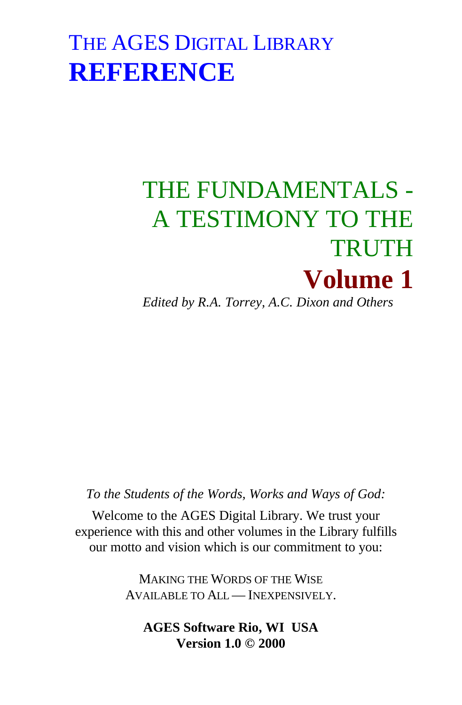## THE AGES DIGITAL LIBRARY **REFERENCE**

# THE FUNDAMENTALS - A TESTIMONY TO THE **TRUTH Volume 1**

*Edited by R.A. Torrey, A.C. Dixon and Others*

*To the Students of the Words, Works and Ways of God:*

Welcome to the AGES Digital Library. We trust your experience with this and other volumes in the Library fulfills our motto and vision which is our commitment to you:

> MAKING THE WORDS OF THE WISE AVAILABLE TO ALL — INEXPENSIVELY.

**AGES Software Rio, WI USA Version 1.0 © 2000**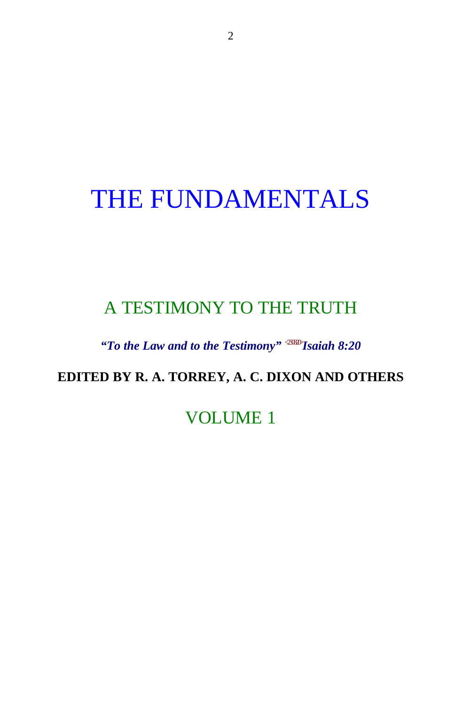# THE FUNDAMENTALS

## A TESTIMONY TO THE TRUTH

*"To the Law and to the Testimony"* <sup>2380</sup>*Isaiah 8:20* 

**EDITED BY R. A. TORREY, A. C. DIXON AND OTHERS**

VOLUME 1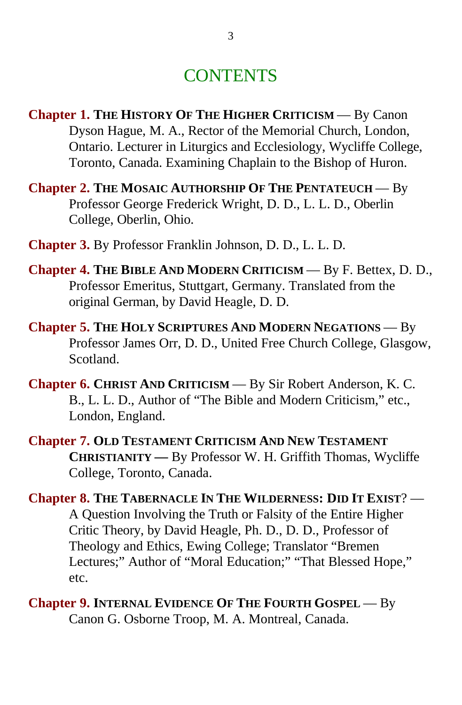## **CONTENTS**

- **Chapter 1. THE HISTORY OF THE HIGHER CRITICISM**  By Canon Dyson Hague, M. A., Rector of the Memorial Church, London, Ontario. Lecturer in Liturgics and Ecclesiology, Wycliffe College, Toronto, Canada. Examining Chaplain to the Bishop of Huron.
- **Chapter 2. THE MOSAIC AUTHORSHIP OF THE PENTATEUCH**  By Professor George Frederick Wright, D. D., L. L. D., Oberlin College, Oberlin, Ohio.
- **Chapter 3.** By Professor Franklin Johnson, D. D., L. L. D.
- **Chapter 4. THE BIBLE AND MODERN CRITICISM**  By F. Bettex, D. D., Professor Emeritus, Stuttgart, Germany. Translated from the original German, by David Heagle, D. D.
- **Chapter 5. THE HOLY SCRIPTURES AND MODERN NEGATIONS**  By Professor James Orr, D. D., United Free Church College, Glasgow, Scotland.
- **Chapter 6. CHRIST AND CRITICISM**  By Sir Robert Anderson, K. C. B., L. L. D., Author of "The Bible and Modern Criticism," etc., London, England.
- **Chapter 7. OLD TESTAMENT CRITICISM AND NEW TESTAMENT CHRISTIANITY —** By Professor W. H. Griffith Thomas, Wycliffe College, Toronto, Canada.
- **Chapter 8. THE TABERNACLE IN THE WILDERNESS: DID IT EXIST**? A Question Involving the Truth or Falsity of the Entire Higher Critic Theory, by David Heagle, Ph. D., D. D., Professor of Theology and Ethics, Ewing College; Translator "Bremen Lectures;" Author of "Moral Education;" "That Blessed Hope," etc.
- **Chapter 9. INTERNAL EVIDENCE OF THE FOURTH GOSPEL**  By Canon G. Osborne Troop, M. A. Montreal, Canada.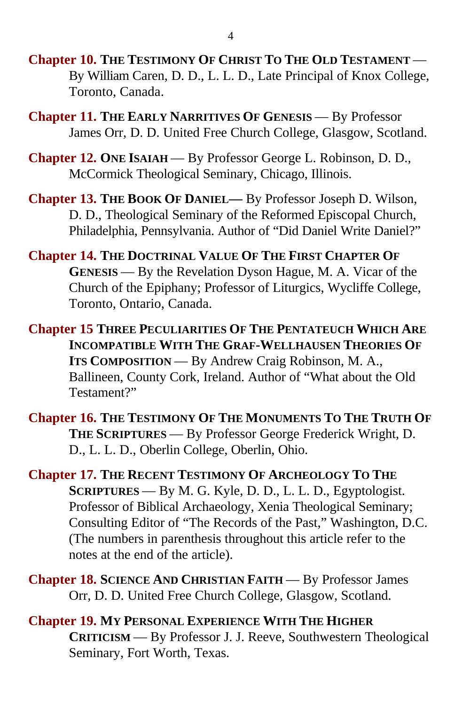- **Chapter 10. THE TESTIMONY OF CHRIST TO THE OLD TESTAMENT**  By William Caren, D. D., L. L. D., Late Principal of Knox College, Toronto, Canada.
- **Chapter 11. THE EARLY NARRITIVES OF GENESIS**  By Professor James Orr, D. D. United Free Church College, Glasgow, Scotland.
- **Chapter 12. ONE ISAIAH**  By Professor George L. Robinson, D. D., McCormick Theological Seminary, Chicago, Illinois.
- **Chapter 13. THE BOOK OF DANIEL—** By Professor Joseph D. Wilson, D. D., Theological Seminary of the Reformed Episcopal Church, Philadelphia, Pennsylvania. Author of "Did Daniel Write Daniel?"
- **Chapter 14. THE DOCTRINAL VALUE OF THE FIRST CHAPTER OF GENESIS** — By the Revelation Dyson Hague, M. A. Vicar of the Church of the Epiphany; Professor of Liturgics, Wycliffe College, Toronto, Ontario, Canada.
- **Chapter 15 THREE PECULIARITIES OF THE PENTATEUCH WHICH ARE INCOMPATIBLE WITH THE GRAF-WELLHAUSEN THEORIES OF ITS COMPOSITION** — By Andrew Craig Robinson, M. A., Ballineen, County Cork, Ireland. Author of "What about the Old Testament?"
- **Chapter 16. THE TESTIMONY OF THE MONUMENTS TO THE TRUTH OF THE SCRIPTURES** — By Professor George Frederick Wright, D. D., L. L. D., Oberlin College, Oberlin, Ohio.
- **Chapter 17. THE RECENT TESTIMONY OF ARCHEOLOGY TO THE SCRIPTURES** — By M. G. Kyle, D. D., L. L. D., Egyptologist. Professor of Biblical Archaeology, Xenia Theological Seminary; Consulting Editor of "The Records of the Past," Washington, D.C. (The numbers in parenthesis throughout this article refer to the notes at the end of the article).
- **Chapter 18. SCIENCE AND CHRISTIAN FAITH** By Professor James Orr, D. D. United Free Church College, Glasgow, Scotland.
- **Chapter 19. MY PERSONAL EXPERIENCE WITH THE HIGHER CRITICISM** — By Professor J. J. Reeve, Southwestern Theological Seminary, Fort Worth, Texas.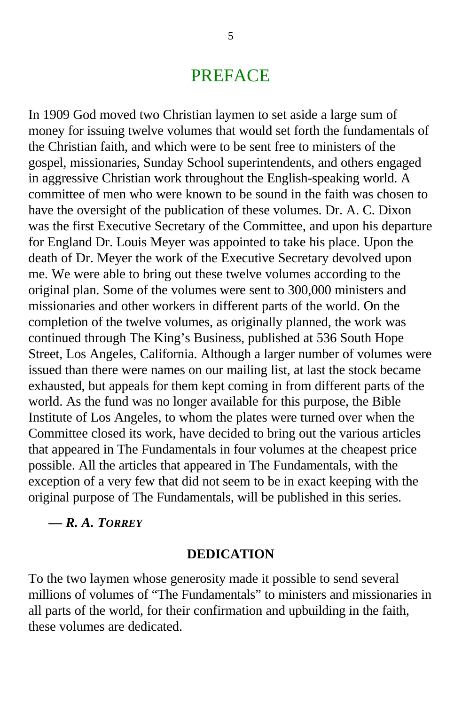## PREFACE

In 1909 God moved two Christian laymen to set aside a large sum of money for issuing twelve volumes that would set forth the fundamentals of the Christian faith, and which were to be sent free to ministers of the gospel, missionaries, Sunday School superintendents, and others engaged in aggressive Christian work throughout the English-speaking world. A committee of men who were known to be sound in the faith was chosen to have the oversight of the publication of these volumes. Dr. A. C. Dixon was the first Executive Secretary of the Committee, and upon his departure for England Dr. Louis Meyer was appointed to take his place. Upon the death of Dr. Meyer the work of the Executive Secretary devolved upon me. We were able to bring out these twelve volumes according to the original plan. Some of the volumes were sent to 300,000 ministers and missionaries and other workers in different parts of the world. On the completion of the twelve volumes, as originally planned, the work was continued through The King's Business, published at 536 South Hope Street, Los Angeles, California. Although a larger number of volumes were issued than there were names on our mailing list, at last the stock became exhausted, but appeals for them kept coming in from different parts of the world. As the fund was no longer available for this purpose, the Bible Institute of Los Angeles, to whom the plates were turned over when the Committee closed its work, have decided to bring out the various articles that appeared in The Fundamentals in four volumes at the cheapest price possible. All the articles that appeared in The Fundamentals, with the exception of a very few that did not seem to be in exact keeping with the original purpose of The Fundamentals, will be published in this series.

*— R. A. TORREY*

#### **DEDICATION**

To the two laymen whose generosity made it possible to send several millions of volumes of "The Fundamentals" to ministers and missionaries in all parts of the world, for their confirmation and upbuilding in the faith, these volumes are dedicated.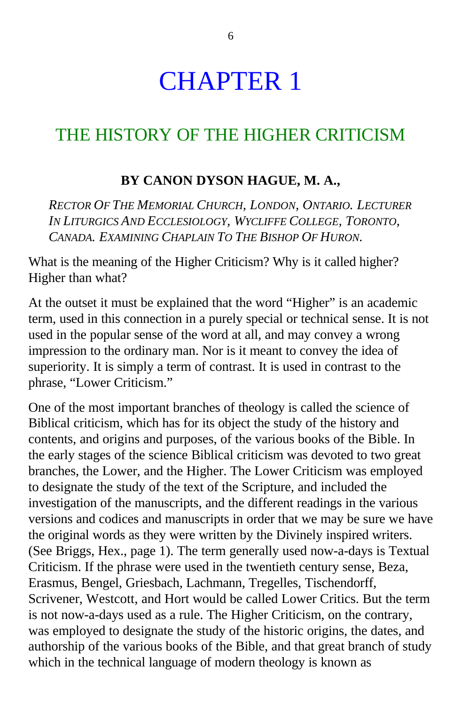# CHAPTER 1

## THE HISTORY OF THE HIGHER CRITICISM

## **BY CANON DYSON HAGUE, M. A.,**

*RECTOR OF THE MEMORIAL CHURCH, LONDON, ONTARIO. LECTURER IN LITURGICS AND ECCLESIOLOGY, WYCLIFFE COLLEGE, TORONTO, CANADA. EXAMINING CHAPLAIN TO THE BISHOP OF HURON.*

What is the meaning of the Higher Criticism? Why is it called higher? Higher than what?

At the outset it must be explained that the word "Higher" is an academic term, used in this connection in a purely special or technical sense. It is not used in the popular sense of the word at all, and may convey a wrong impression to the ordinary man. Nor is it meant to convey the idea of superiority. It is simply a term of contrast. It is used in contrast to the phrase, "Lower Criticism."

One of the most important branches of theology is called the science of Biblical criticism, which has for its object the study of the history and contents, and origins and purposes, of the various books of the Bible. In the early stages of the science Biblical criticism was devoted to two great branches, the Lower, and the Higher. The Lower Criticism was employed to designate the study of the text of the Scripture, and included the investigation of the manuscripts, and the different readings in the various versions and codices and manuscripts in order that we may be sure we have the original words as they were written by the Divinely inspired writers. (See Briggs, Hex., page 1). The term generally used now-a-days is Textual Criticism. If the phrase were used in the twentieth century sense, Beza, Erasmus, Bengel, Griesbach, Lachmann, Tregelles, Tischendorff, Scrivener, Westcott, and Hort would be called Lower Critics. But the term is not now-a-days used as a rule. The Higher Criticism, on the contrary, was employed to designate the study of the historic origins, the dates, and authorship of the various books of the Bible, and that great branch of study which in the technical language of modern theology is known as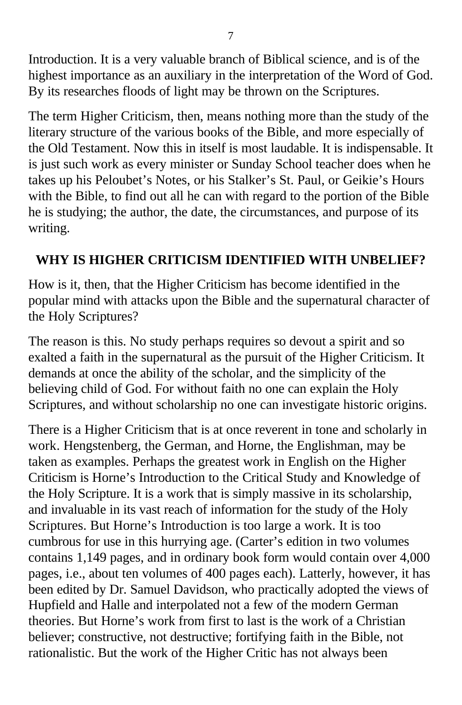Introduction. It is a very valuable branch of Biblical science, and is of the highest importance as an auxiliary in the interpretation of the Word of God. By its researches floods of light may be thrown on the Scriptures.

The term Higher Criticism, then, means nothing more than the study of the literary structure of the various books of the Bible, and more especially of the Old Testament. Now this in itself is most laudable. It is indispensable. It is just such work as every minister or Sunday School teacher does when he takes up his Peloubet's Notes, or his Stalker's St. Paul, or Geikie's Hours with the Bible, to find out all he can with regard to the portion of the Bible he is studying; the author, the date, the circumstances, and purpose of its writing.

## **WHY IS HIGHER CRITICISM IDENTIFIED WITH UNBELIEF?**

How is it, then, that the Higher Criticism has become identified in the popular mind with attacks upon the Bible and the supernatural character of the Holy Scriptures?

The reason is this. No study perhaps requires so devout a spirit and so exalted a faith in the supernatural as the pursuit of the Higher Criticism. It demands at once the ability of the scholar, and the simplicity of the believing child of God. For without faith no one can explain the Holy Scriptures, and without scholarship no one can investigate historic origins.

There is a Higher Criticism that is at once reverent in tone and scholarly in work. Hengstenberg, the German, and Horne, the Englishman, may be taken as examples. Perhaps the greatest work in English on the Higher Criticism is Horne's Introduction to the Critical Study and Knowledge of the Holy Scripture. It is a work that is simply massive in its scholarship, and invaluable in its vast reach of information for the study of the Holy Scriptures. But Horne's Introduction is too large a work. It is too cumbrous for use in this hurrying age. (Carter's edition in two volumes contains 1,149 pages, and in ordinary book form would contain over 4,000 pages, i.e., about ten volumes of 400 pages each). Latterly, however, it has been edited by Dr. Samuel Davidson, who practically adopted the views of Hupfield and Halle and interpolated not a few of the modern German theories. But Horne's work from first to last is the work of a Christian believer; constructive, not destructive; fortifying faith in the Bible, not rationalistic. But the work of the Higher Critic has not always been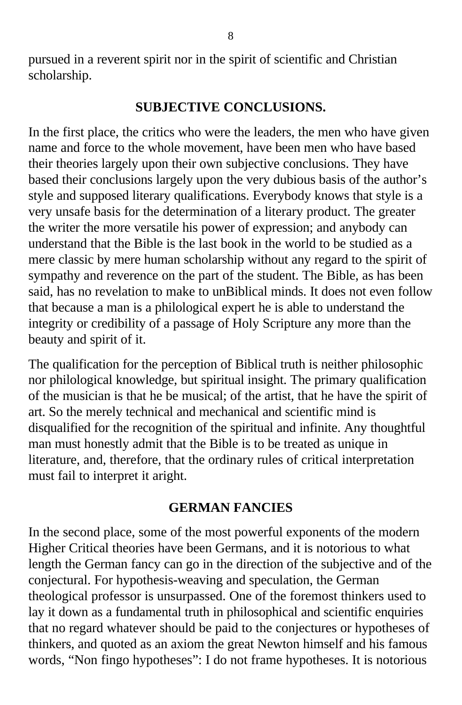pursued in a reverent spirit nor in the spirit of scientific and Christian scholarship.

### **SUBJECTIVE CONCLUSIONS.**

In the first place, the critics who were the leaders, the men who have given name and force to the whole movement, have been men who have based their theories largely upon their own subjective conclusions. They have based their conclusions largely upon the very dubious basis of the author's style and supposed literary qualifications. Everybody knows that style is a very unsafe basis for the determination of a literary product. The greater the writer the more versatile his power of expression; and anybody can understand that the Bible is the last book in the world to be studied as a mere classic by mere human scholarship without any regard to the spirit of sympathy and reverence on the part of the student. The Bible, as has been said, has no revelation to make to unBiblical minds. It does not even follow that because a man is a philological expert he is able to understand the integrity or credibility of a passage of Holy Scripture any more than the beauty and spirit of it.

The qualification for the perception of Biblical truth is neither philosophic nor philological knowledge, but spiritual insight. The primary qualification of the musician is that he be musical; of the artist, that he have the spirit of art. So the merely technical and mechanical and scientific mind is disqualified for the recognition of the spiritual and infinite. Any thoughtful man must honestly admit that the Bible is to be treated as unique in literature, and, therefore, that the ordinary rules of critical interpretation must fail to interpret it aright.

#### **GERMAN FANCIES**

In the second place, some of the most powerful exponents of the modern Higher Critical theories have been Germans, and it is notorious to what length the German fancy can go in the direction of the subjective and of the conjectural. For hypothesis-weaving and speculation, the German theological professor is unsurpassed. One of the foremost thinkers used to lay it down as a fundamental truth in philosophical and scientific enquiries that no regard whatever should be paid to the conjectures or hypotheses of thinkers, and quoted as an axiom the great Newton himself and his famous words, "Non fingo hypotheses": I do not frame hypotheses. It is notorious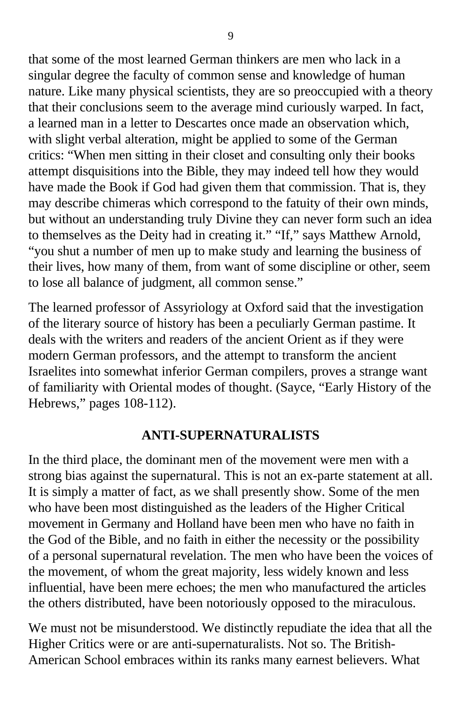that some of the most learned German thinkers are men who lack in a singular degree the faculty of common sense and knowledge of human nature. Like many physical scientists, they are so preoccupied with a theory that their conclusions seem to the average mind curiously warped. In fact, a learned man in a letter to Descartes once made an observation which, with slight verbal alteration, might be applied to some of the German critics: "When men sitting in their closet and consulting only their books attempt disquisitions into the Bible, they may indeed tell how they would have made the Book if God had given them that commission. That is, they may describe chimeras which correspond to the fatuity of their own minds, but without an understanding truly Divine they can never form such an idea to themselves as the Deity had in creating it." "If," says Matthew Arnold, "you shut a number of men up to make study and learning the business of their lives, how many of them, from want of some discipline or other, seem to lose all balance of judgment, all common sense."

The learned professor of Assyriology at Oxford said that the investigation of the literary source of history has been a peculiarly German pastime. It deals with the writers and readers of the ancient Orient as if they were modern German professors, and the attempt to transform the ancient Israelites into somewhat inferior German compilers, proves a strange want of familiarity with Oriental modes of thought. (Sayce, "Early History of the Hebrews," pages 108-112).

## **ANTI-SUPERNATURALISTS**

In the third place, the dominant men of the movement were men with a strong bias against the supernatural. This is not an ex-parte statement at all. It is simply a matter of fact, as we shall presently show. Some of the men who have been most distinguished as the leaders of the Higher Critical movement in Germany and Holland have been men who have no faith in the God of the Bible, and no faith in either the necessity or the possibility of a personal supernatural revelation. The men who have been the voices of the movement, of whom the great majority, less widely known and less influential, have been mere echoes; the men who manufactured the articles the others distributed, have been notoriously opposed to the miraculous.

We must not be misunderstood. We distinctly repudiate the idea that all the Higher Critics were or are anti-supernaturalists. Not so. The British-American School embraces within its ranks many earnest believers. What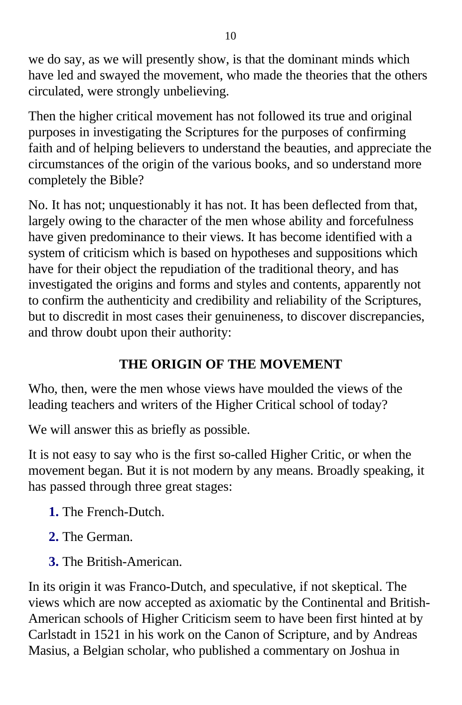we do say, as we will presently show, is that the dominant minds which have led and swayed the movement, who made the theories that the others circulated, were strongly unbelieving.

Then the higher critical movement has not followed its true and original purposes in investigating the Scriptures for the purposes of confirming faith and of helping believers to understand the beauties, and appreciate the circumstances of the origin of the various books, and so understand more completely the Bible?

No. It has not; unquestionably it has not. It has been deflected from that, largely owing to the character of the men whose ability and forcefulness have given predominance to their views. It has become identified with a system of criticism which is based on hypotheses and suppositions which have for their object the repudiation of the traditional theory, and has investigated the origins and forms and styles and contents, apparently not to confirm the authenticity and credibility and reliability of the Scriptures, but to discredit in most cases their genuineness, to discover discrepancies, and throw doubt upon their authority:

## **THE ORIGIN OF THE MOVEMENT**

Who, then, were the men whose views have moulded the views of the leading teachers and writers of the Higher Critical school of today?

We will answer this as briefly as possible.

It is not easy to say who is the first so-called Higher Critic, or when the movement began. But it is not modern by any means. Broadly speaking, it has passed through three great stages:

- **1.** The French-Dutch.
- **2.** The German.
- **3.** The British-American.

In its origin it was Franco-Dutch, and speculative, if not skeptical. The views which are now accepted as axiomatic by the Continental and British-American schools of Higher Criticism seem to have been first hinted at by Carlstadt in 1521 in his work on the Canon of Scripture, and by Andreas Masius, a Belgian scholar, who published a commentary on Joshua in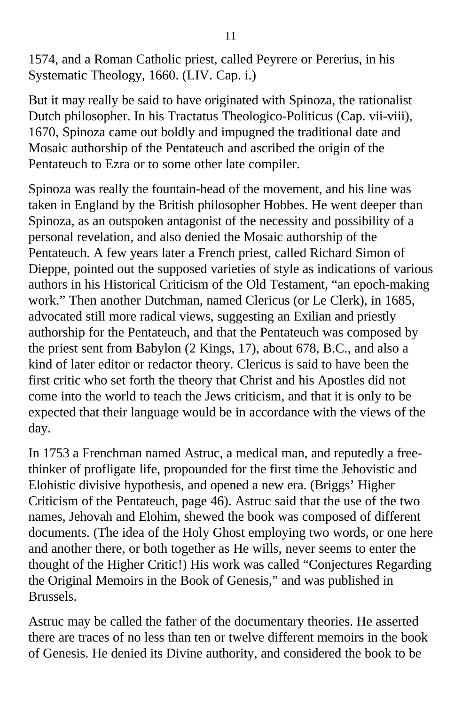1574, and a Roman Catholic priest, called Peyrere or Pererius, in his Systematic Theology, 1660. (LIV. Cap. i.)

But it may really be said to have originated with Spinoza, the rationalist Dutch philosopher. In his Tractatus Theologico-Politicus (Cap. vii-viii), 1670, Spinoza came out boldly and impugned the traditional date and Mosaic authorship of the Pentateuch and ascribed the origin of the Pentateuch to Ezra or to some other late compiler.

Spinoza was really the fountain-head of the movement, and his line was taken in England by the British philosopher Hobbes. He went deeper than Spinoza, as an outspoken antagonist of the necessity and possibility of a personal revelation, and also denied the Mosaic authorship of the Pentateuch. A few years later a French priest, called Richard Simon of Dieppe, pointed out the supposed varieties of style as indications of various authors in his Historical Criticism of the Old Testament, "an epoch-making work." Then another Dutchman, named Clericus (or Le Clerk), in 1685, advocated still more radical views, suggesting an Exilian and priestly authorship for the Pentateuch, and that the Pentateuch was composed by the priest sent from Babylon (2 Kings, 17), about 678, B.C., and also a kind of later editor or redactor theory. Clericus is said to have been the first critic who set forth the theory that Christ and his Apostles did not come into the world to teach the Jews criticism, and that it is only to be expected that their language would be in accordance with the views of the day.

In 1753 a Frenchman named Astruc, a medical man, and reputedly a freethinker of profligate life, propounded for the first time the Jehovistic and Elohistic divisive hypothesis, and opened a new era. (Briggs' Higher Criticism of the Pentateuch, page 46). Astruc said that the use of the two names, Jehovah and Elohim, shewed the book was composed of different documents. (The idea of the Holy Ghost employing two words, or one here and another there, or both together as He wills, never seems to enter the thought of the Higher Critic!) His work was called "Conjectures Regarding the Original Memoirs in the Book of Genesis," and was published in Brussels.

Astruc may be called the father of the documentary theories. He asserted there are traces of no less than ten or twelve different memoirs in the book of Genesis. He denied its Divine authority, and considered the book to be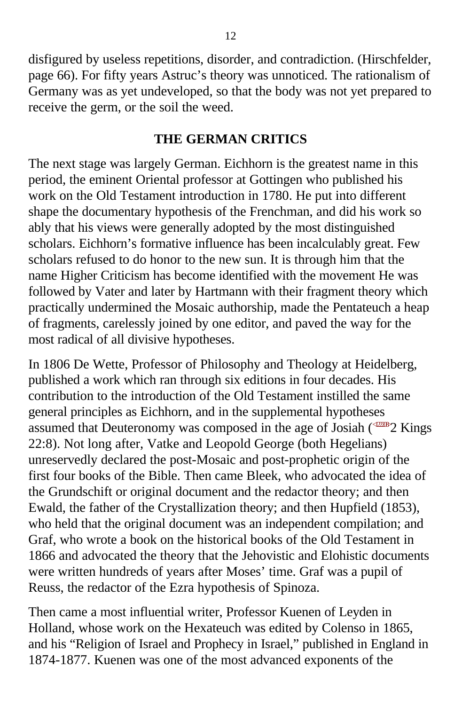<span id="page-11-0"></span>disfigured by useless repetitions, disorder, and contradiction. (Hirschfelder, page 66). For fifty years Astruc's theory was unnoticed. The rationalism of Germany was as yet undeveloped, so that the body was not yet prepared to receive the germ, or the soil the weed.

### **THE GERMAN CRITICS**

The next stage was largely German. Eichhorn is the greatest name in this period, the eminent Oriental professor at Gottingen who published his work on the Old Testament introduction in 1780. He put into different shape the documentary hypothesis of the Frenchman, and did his work so ably that his views were generally adopted by the most distinguished scholars. Eichhorn's formative influence has been incalculably great. Few scholars refused to do honor to the new sun. It is through him that the name Higher Criticism has become identified with the movement He was followed by Vater and later by Hartmann with their fragment theory which practically undermined the Mosaic authorship, made the Pentateuch a heap of fragments, carelessly joined by one editor, and paved the way for the most radical of all divisive hypotheses.

In 1806 De Wette, Professor of Philosophy and Theology at Heidelberg, published a work which ran through six editions in four decades. His contribution to the introduction of the Old Testament instilled the same general principles as Eichhorn, and in the supplemental hypotheses assumed that Deuteronomy was composed in the age of Josiah  $(228)$  Kings 22:8). Not long after, Vatke and Leopold George (both Hegelians) unreservedly declared the post-Mosaic and post-prophetic origin of the first four books of the Bible. Then came Bleek, who advocated the idea of the Grundschift or original document and the redactor theory; and then Ewald, the father of the Crystallization theory; and then Hupfield (1853), who held that the original document was an independent compilation; and Graf, who wrote a book on the historical books of the Old Testament in 1866 and advocated the theory that the Jehovistic and Elohistic documents were written hundreds of years after Moses' time. Graf was a pupil of Reuss, the redactor of the Ezra hypothesis of Spinoza.

Then came a most influential writer, Professor Kuenen of Leyden in Holland, whose work on the Hexateuch was edited by Colenso in 1865, and his "Religion of Israel and Prophecy in Israel," published in England in 1874-1877. Kuenen was one of the most advanced exponents of the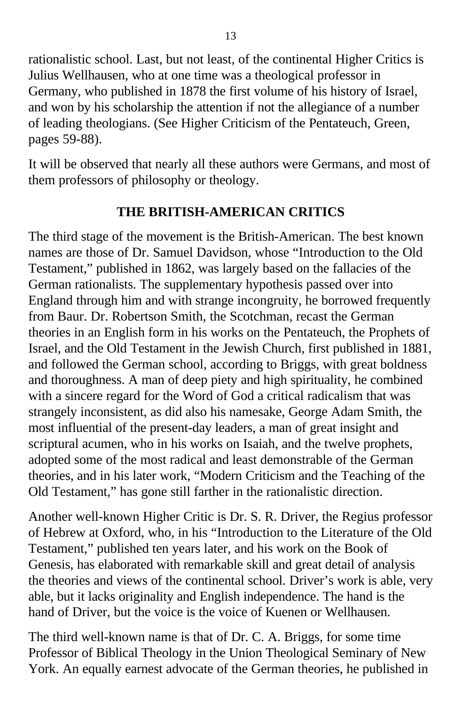rationalistic school. Last, but not least, of the continental Higher Critics is Julius Wellhausen, who at one time was a theological professor in Germany, who published in 1878 the first volume of his history of Israel, and won by his scholarship the attention if not the allegiance of a number of leading theologians. (See Higher Criticism of the Pentateuch, Green, pages 59-88).

It will be observed that nearly all these authors were Germans, and most of them professors of philosophy or theology.

## **THE BRITISH-AMERICAN CRITICS**

The third stage of the movement is the British-American. The best known names are those of Dr. Samuel Davidson, whose "Introduction to the Old Testament," published in 1862, was largely based on the fallacies of the German rationalists. The supplementary hypothesis passed over into England through him and with strange incongruity, he borrowed frequently from Baur. Dr. Robertson Smith, the Scotchman, recast the German theories in an English form in his works on the Pentateuch, the Prophets of Israel, and the Old Testament in the Jewish Church, first published in 1881, and followed the German school, according to Briggs, with great boldness and thoroughness. A man of deep piety and high spirituality, he combined with a sincere regard for the Word of God a critical radicalism that was strangely inconsistent, as did also his namesake, George Adam Smith, the most influential of the present-day leaders, a man of great insight and scriptural acumen, who in his works on Isaiah, and the twelve prophets, adopted some of the most radical and least demonstrable of the German theories, and in his later work, "Modern Criticism and the Teaching of the Old Testament," has gone still farther in the rationalistic direction.

Another well-known Higher Critic is Dr. S. R. Driver, the Regius professor of Hebrew at Oxford, who, in his "Introduction to the Literature of the Old Testament," published ten years later, and his work on the Book of Genesis, has elaborated with remarkable skill and great detail of analysis the theories and views of the continental school. Driver's work is able, very able, but it lacks originality and English independence. The hand is the hand of Driver, but the voice is the voice of Kuenen or Wellhausen.

The third well-known name is that of Dr. C. A. Briggs, for some time Professor of Biblical Theology in the Union Theological Seminary of New York. An equally earnest advocate of the German theories, he published in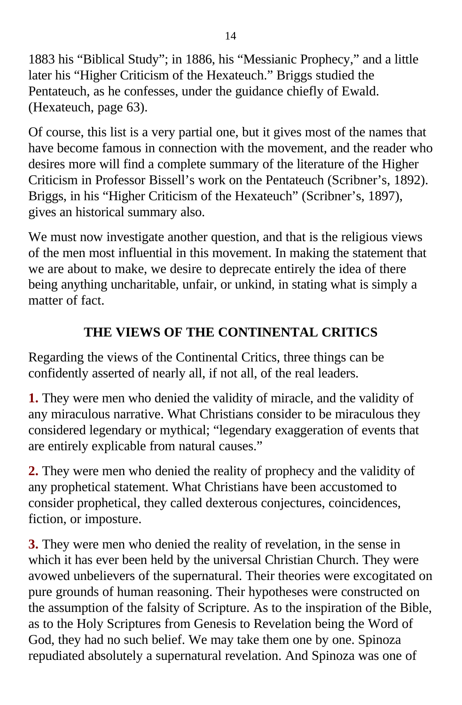1883 his "Biblical Study"; in 1886, his "Messianic Prophecy," and a little later his "Higher Criticism of the Hexateuch." Briggs studied the Pentateuch, as he confesses, under the guidance chiefly of Ewald. (Hexateuch, page 63).

Of course, this list is a very partial one, but it gives most of the names that have become famous in connection with the movement, and the reader who desires more will find a complete summary of the literature of the Higher Criticism in Professor Bissell's work on the Pentateuch (Scribner's, 1892). Briggs, in his "Higher Criticism of the Hexateuch" (Scribner's, 1897), gives an historical summary also.

We must now investigate another question, and that is the religious views of the men most influential in this movement. In making the statement that we are about to make, we desire to deprecate entirely the idea of there being anything uncharitable, unfair, or unkind, in stating what is simply a matter of fact.

## **THE VIEWS OF THE CONTINENTAL CRITICS**

Regarding the views of the Continental Critics, three things can be confidently asserted of nearly all, if not all, of the real leaders.

**1.** They were men who denied the validity of miracle, and the validity of any miraculous narrative. What Christians consider to be miraculous they considered legendary or mythical; "legendary exaggeration of events that are entirely explicable from natural causes."

**2.** They were men who denied the reality of prophecy and the validity of any prophetical statement. What Christians have been accustomed to consider prophetical, they called dexterous conjectures, coincidences, fiction, or imposture.

**3.** They were men who denied the reality of revelation, in the sense in which it has ever been held by the universal Christian Church. They were avowed unbelievers of the supernatural. Their theories were excogitated on pure grounds of human reasoning. Their hypotheses were constructed on the assumption of the falsity of Scripture. As to the inspiration of the Bible, as to the Holy Scriptures from Genesis to Revelation being the Word of God, they had no such belief. We may take them one by one. Spinoza repudiated absolutely a supernatural revelation. And Spinoza was one of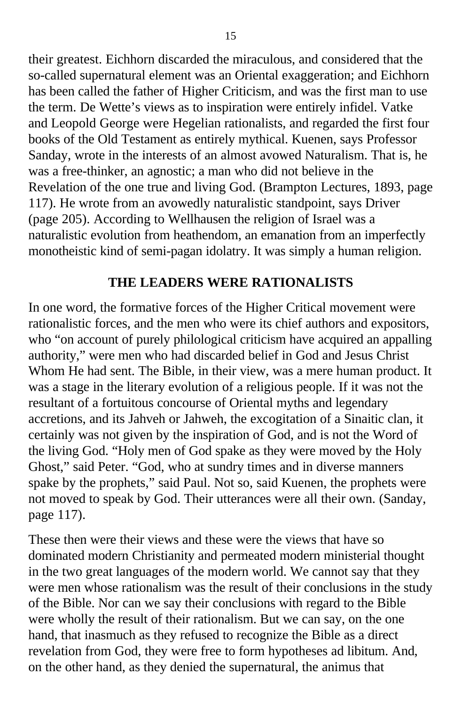their greatest. Eichhorn discarded the miraculous, and considered that the so-called supernatural element was an Oriental exaggeration; and Eichhorn has been called the father of Higher Criticism, and was the first man to use the term. De Wette's views as to inspiration were entirely infidel. Vatke and Leopold George were Hegelian rationalists, and regarded the first four books of the Old Testament as entirely mythical. Kuenen, says Professor Sanday, wrote in the interests of an almost avowed Naturalism. That is, he was a free-thinker, an agnostic; a man who did not believe in the Revelation of the one true and living God. (Brampton Lectures, 1893, page 117). He wrote from an avowedly naturalistic standpoint, says Driver (page 205). According to Wellhausen the religion of Israel was a naturalistic evolution from heathendom, an emanation from an imperfectly monotheistic kind of semi-pagan idolatry. It was simply a human religion.

## **THE LEADERS WERE RATIONALISTS**

In one word, the formative forces of the Higher Critical movement were rationalistic forces, and the men who were its chief authors and expositors, who "on account of purely philological criticism have acquired an appalling authority," were men who had discarded belief in God and Jesus Christ Whom He had sent. The Bible, in their view, was a mere human product. It was a stage in the literary evolution of a religious people. If it was not the resultant of a fortuitous concourse of Oriental myths and legendary accretions, and its Jahveh or Jahweh, the excogitation of a Sinaitic clan, it certainly was not given by the inspiration of God, and is not the Word of the living God. "Holy men of God spake as they were moved by the Holy Ghost," said Peter. "God, who at sundry times and in diverse manners spake by the prophets," said Paul. Not so, said Kuenen, the prophets were not moved to speak by God. Their utterances were all their own. (Sanday, page 117).

These then were their views and these were the views that have so dominated modern Christianity and permeated modern ministerial thought in the two great languages of the modern world. We cannot say that they were men whose rationalism was the result of their conclusions in the study of the Bible. Nor can we say their conclusions with regard to the Bible were wholly the result of their rationalism. But we can say, on the one hand, that inasmuch as they refused to recognize the Bible as a direct revelation from God, they were free to form hypotheses ad libitum. And, on the other hand, as they denied the supernatural, the animus that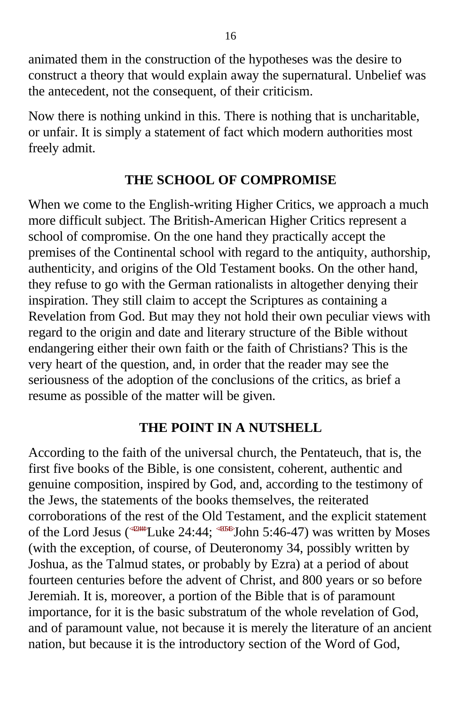animated them in the construction of the hypotheses was the desire to construct a theory that would explain away the supernatural. Unbelief was the antecedent, not the consequent, of their criticism.

Now there is nothing unkind in this. There is nothing that is uncharitable, or unfair. It is simply a statement of fact which modern authorities most freely admit.

## **THE SCHOOL OF COMPROMISE**

When we come to the English-writing Higher Critics, we approach a much more difficult subject. The British-American Higher Critics represent a school of compromise. On the one hand they practically accept the premises of the Continental school with regard to the antiquity, authorship, authenticity, and origins of the Old Testament books. On the other hand, they refuse to go with the German rationalists in altogether denying their inspiration. They still claim to accept the Scriptures as containing a Revelation from God. But may they not hold their own peculiar views with regard to the origin and date and literary structure of the Bible without endangering either their own faith or the faith of Christians? This is the very heart of the question, and, in order that the reader may see the seriousness of the adoption of the conclusions of the critics, as brief a resume as possible of the matter will be given.

## **THE POINT IN A NUTSHELL**

According to the faith of the universal church, the Pentateuch, that is, the first five books of the Bible, is one consistent, coherent, authentic and genuine composition, inspired by God, and, according to the testimony of the Jews, the statements of the books themselves, the reiterated corroborations of the rest of the Old Testament, and the explicit statement of the Lord Jesus ( $\frac{4244}{L}$ uke 24:44;  $\frac{4546}{L}$ John 5:46-47) was written by Moses (with the exception, of course, of Deuteronomy 34, possibly written by Joshua, as the Talmud states, or probably by Ezra) at a period of about fourteen centuries before the advent of Christ, and 800 years or so before Jeremiah. It is, moreover, a portion of the Bible that is of paramount importance, for it is the basic substratum of the whole revelation of God, and of paramount value, not because it is merely the literature of an ancient nation, but because it is the introductory section of the Word of God,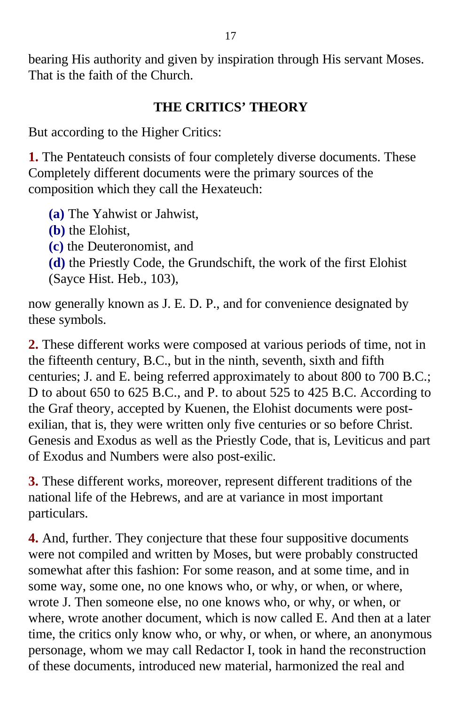bearing His authority and given by inspiration through His servant Moses. That is the faith of the Church.

## **THE CRITICS' THEORY**

But according to the Higher Critics:

**1.** The Pentateuch consists of four completely diverse documents. These Completely different documents were the primary sources of the composition which they call the Hexateuch:

- **(a)** The Yahwist or Jahwist,
- **(b)** the Elohist,
- **(c)** the Deuteronomist, and

**(d)** the Priestly Code, the Grundschift, the work of the first Elohist (Sayce Hist. Heb., 103),

now generally known as J. E. D. P., and for convenience designated by these symbols.

**2.** These different works were composed at various periods of time, not in the fifteenth century, B.C., but in the ninth, seventh, sixth and fifth centuries; J. and E. being referred approximately to about 800 to 700 B.C.; D to about 650 to 625 B.C., and P. to about 525 to 425 B.C. According to the Graf theory, accepted by Kuenen, the Elohist documents were postexilian, that is, they were written only five centuries or so before Christ. Genesis and Exodus as well as the Priestly Code, that is, Leviticus and part of Exodus and Numbers were also post-exilic.

**3.** These different works, moreover, represent different traditions of the national life of the Hebrews, and are at variance in most important particulars.

**4.** And, further. They conjecture that these four suppositive documents were not compiled and written by Moses, but were probably constructed somewhat after this fashion: For some reason, and at some time, and in some way, some one, no one knows who, or why, or when, or where, wrote J. Then someone else, no one knows who, or why, or when, or where, wrote another document, which is now called E. And then at a later time, the critics only know who, or why, or when, or where, an anonymous personage, whom we may call Redactor I, took in hand the reconstruction of these documents, introduced new material, harmonized the real and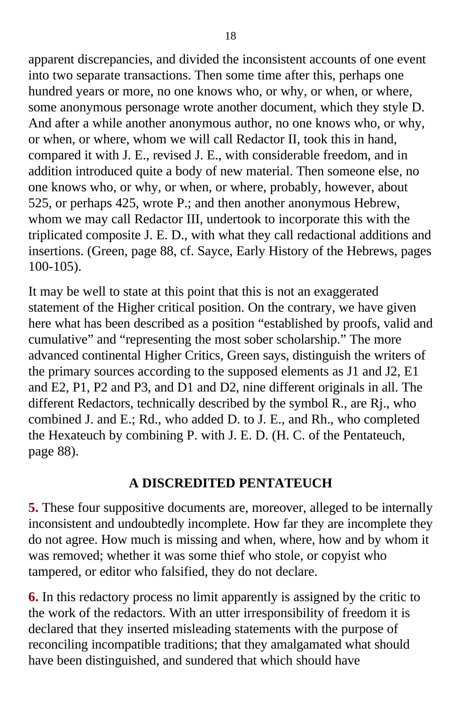apparent discrepancies, and divided the inconsistent accounts of one event into two separate transactions. Then some time after this, perhaps one hundred years or more, no one knows who, or why, or when, or where, some anonymous personage wrote another document, which they style D. And after a while another anonymous author, no one knows who, or why, or when, or where, whom we will call Redactor II, took this in hand, compared it with J. E., revised J. E., with considerable freedom, and in addition introduced quite a body of new material. Then someone else, no one knows who, or why, or when, or where, probably, however, about 525, or perhaps 425, wrote P.; and then another anonymous Hebrew, whom we may call Redactor III, undertook to incorporate this with the triplicated composite J. E. D., with what they call redactional additions and insertions. (Green, page 88, cf. Sayce, Early History of the Hebrews, pages 100-105).

It may be well to state at this point that this is not an exaggerated statement of the Higher critical position. On the contrary, we have given here what has been described as a position "established by proofs, valid and cumulative" and "representing the most sober scholarship." The more advanced continental Higher Critics, Green says, distinguish the writers of the primary sources according to the supposed elements as J1 and J2, E1 and E2, P1, P2 and P3, and D1 and D2, nine different originals in all. The different Redactors, technically described by the symbol R., are Rj., who combined J. and E.; Rd., who added D. to J. E., and Rh., who completed the Hexateuch by combining P. with J. E. D. (H. C. of the Pentateuch, page 88).

## **A DISCREDITED PENTATEUCH**

**5.** These four suppositive documents are, moreover, alleged to be internally inconsistent and undoubtedly incomplete. How far they are incomplete they do not agree. How much is missing and when, where, how and by whom it was removed; whether it was some thief who stole, or copyist who tampered, or editor who falsified, they do not declare.

**6.** In this redactory process no limit apparently is assigned by the critic to the work of the redactors. With an utter irresponsibility of freedom it is declared that they inserted misleading statements with the purpose of reconciling incompatible traditions; that they amalgamated what should have been distinguished, and sundered that which should have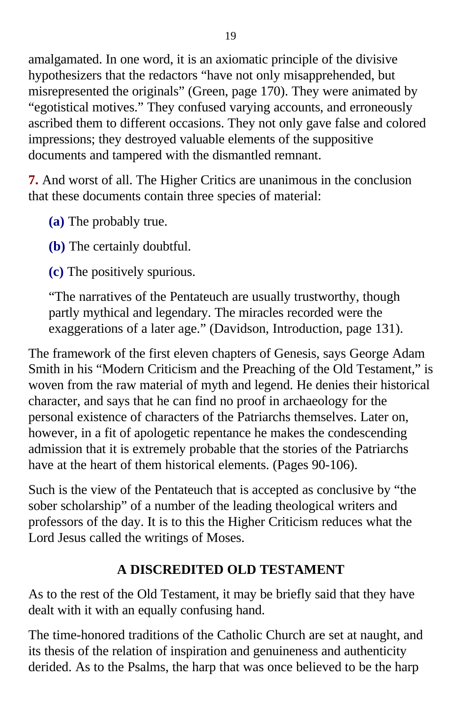amalgamated. In one word, it is an axiomatic principle of the divisive hypothesizers that the redactors "have not only misapprehended, but misrepresented the originals" (Green, page 170). They were animated by "egotistical motives." They confused varying accounts, and erroneously ascribed them to different occasions. They not only gave false and colored impressions; they destroyed valuable elements of the suppositive documents and tampered with the dismantled remnant.

**7.** And worst of all. The Higher Critics are unanimous in the conclusion that these documents contain three species of material:

**(a)** The probably true.

**(b)** The certainly doubtful.

**(c)** The positively spurious.

"The narratives of the Pentateuch are usually trustworthy, though partly mythical and legendary. The miracles recorded were the exaggerations of a later age." (Davidson, Introduction, page 131).

The framework of the first eleven chapters of Genesis, says George Adam Smith in his "Modern Criticism and the Preaching of the Old Testament," is woven from the raw material of myth and legend. He denies their historical character, and says that he can find no proof in archaeology for the personal existence of characters of the Patriarchs themselves. Later on, however, in a fit of apologetic repentance he makes the condescending admission that it is extremely probable that the stories of the Patriarchs have at the heart of them historical elements. (Pages 90-106).

Such is the view of the Pentateuch that is accepted as conclusive by "the sober scholarship" of a number of the leading theological writers and professors of the day. It is to this the Higher Criticism reduces what the Lord Jesus called the writings of Moses.

## **A DISCREDITED OLD TESTAMENT**

As to the rest of the Old Testament, it may be briefly said that they have dealt with it with an equally confusing hand.

The time-honored traditions of the Catholic Church are set at naught, and its thesis of the relation of inspiration and genuineness and authenticity derided. As to the Psalms, the harp that was once believed to be the harp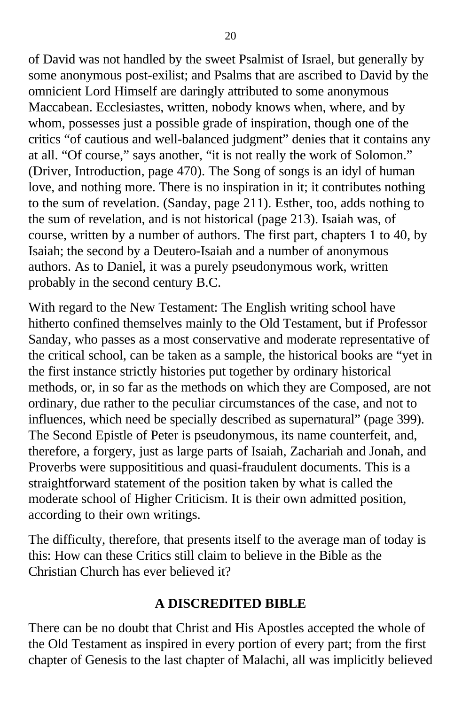of David was not handled by the sweet Psalmist of Israel, but generally by some anonymous post-exilist; and Psalms that are ascribed to David by the omnicient Lord Himself are daringly attributed to some anonymous Maccabean. Ecclesiastes, written, nobody knows when, where, and by whom, possesses just a possible grade of inspiration, though one of the critics "of cautious and well-balanced judgment" denies that it contains any at all. "Of course," says another, "it is not really the work of Solomon." (Driver, Introduction, page 470). The Song of songs is an idyl of human love, and nothing more. There is no inspiration in it; it contributes nothing to the sum of revelation. (Sanday, page 211). Esther, too, adds nothing to the sum of revelation, and is not historical (page 213). Isaiah was, of course, written by a number of authors. The first part, chapters 1 to 40, by Isaiah; the second by a Deutero-Isaiah and a number of anonymous authors. As to Daniel, it was a purely pseudonymous work, written probably in the second century B.C.

With regard to the New Testament: The English writing school have hitherto confined themselves mainly to the Old Testament, but if Professor Sanday, who passes as a most conservative and moderate representative of the critical school, can be taken as a sample, the historical books are "yet in the first instance strictly histories put together by ordinary historical methods, or, in so far as the methods on which they are Composed, are not ordinary, due rather to the peculiar circumstances of the case, and not to influences, which need be specially described as supernatural" (page 399). The Second Epistle of Peter is pseudonymous, its name counterfeit, and, therefore, a forgery, just as large parts of Isaiah, Zachariah and Jonah, and Proverbs were supposititious and quasi-fraudulent documents. This is a straightforward statement of the position taken by what is called the moderate school of Higher Criticism. It is their own admitted position, according to their own writings.

The difficulty, therefore, that presents itself to the average man of today is this: How can these Critics still claim to believe in the Bible as the Christian Church has ever believed it?

## **A DISCREDITED BIBLE**

There can be no doubt that Christ and His Apostles accepted the whole of the Old Testament as inspired in every portion of every part; from the first chapter of Genesis to the last chapter of Malachi, all was implicitly believed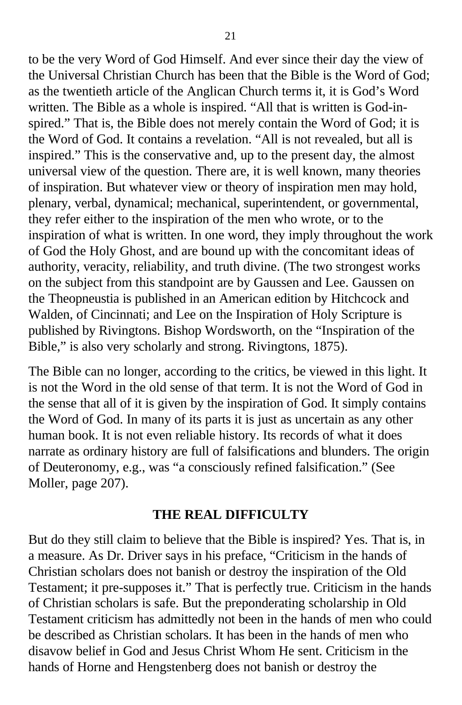to be the very Word of God Himself. And ever since their day the view of the Universal Christian Church has been that the Bible is the Word of God; as the twentieth article of the Anglican Church terms it, it is God's Word written. The Bible as a whole is inspired. "All that is written is God-inspired." That is, the Bible does not merely contain the Word of God; it is the Word of God. It contains a revelation. "All is not revealed, but all is inspired." This is the conservative and, up to the present day, the almost universal view of the question. There are, it is well known, many theories of inspiration. But whatever view or theory of inspiration men may hold, plenary, verbal, dynamical; mechanical, superintendent, or governmental, they refer either to the inspiration of the men who wrote, or to the inspiration of what is written. In one word, they imply throughout the work of God the Holy Ghost, and are bound up with the concomitant ideas of authority, veracity, reliability, and truth divine. (The two strongest works on the subject from this standpoint are by Gaussen and Lee. Gaussen on the Theopneustia is published in an American edition by Hitchcock and Walden, of Cincinnati; and Lee on the Inspiration of Holy Scripture is published by Rivingtons. Bishop Wordsworth, on the "Inspiration of the Bible," is also very scholarly and strong. Rivingtons, 1875).

The Bible can no longer, according to the critics, be viewed in this light. It is not the Word in the old sense of that term. It is not the Word of God in the sense that all of it is given by the inspiration of God. It simply contains the Word of God. In many of its parts it is just as uncertain as any other human book. It is not even reliable history. Its records of what it does narrate as ordinary history are full of falsifications and blunders. The origin of Deuteronomy, e.g., was "a consciously refined falsification." (See Moller, page 207).

#### **THE REAL DIFFICULTY**

But do they still claim to believe that the Bible is inspired? Yes. That is, in a measure. As Dr. Driver says in his preface, "Criticism in the hands of Christian scholars does not banish or destroy the inspiration of the Old Testament; it pre-supposes it." That is perfectly true. Criticism in the hands of Christian scholars is safe. But the preponderating scholarship in Old Testament criticism has admittedly not been in the hands of men who could be described as Christian scholars. It has been in the hands of men who disavow belief in God and Jesus Christ Whom He sent. Criticism in the hands of Horne and Hengstenberg does not banish or destroy the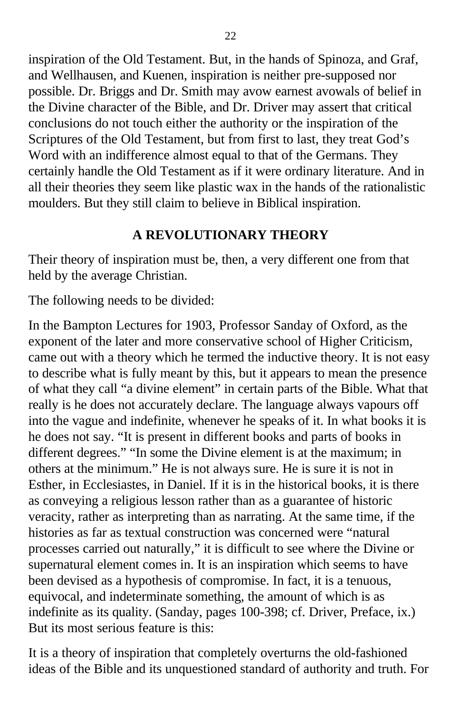inspiration of the Old Testament. But, in the hands of Spinoza, and Graf, and Wellhausen, and Kuenen, inspiration is neither pre-supposed nor possible. Dr. Briggs and Dr. Smith may avow earnest avowals of belief in the Divine character of the Bible, and Dr. Driver may assert that critical conclusions do not touch either the authority or the inspiration of the Scriptures of the Old Testament, but from first to last, they treat God's Word with an indifference almost equal to that of the Germans. They certainly handle the Old Testament as if it were ordinary literature. And in all their theories they seem like plastic wax in the hands of the rationalistic moulders. But they still claim to believe in Biblical inspiration.

## **A REVOLUTIONARY THEORY**

Their theory of inspiration must be, then, a very different one from that held by the average Christian.

The following needs to be divided:

In the Bampton Lectures for 1903, Professor Sanday of Oxford, as the exponent of the later and more conservative school of Higher Criticism, came out with a theory which he termed the inductive theory. It is not easy to describe what is fully meant by this, but it appears to mean the presence of what they call "a divine element" in certain parts of the Bible. What that really is he does not accurately declare. The language always vapours off into the vague and indefinite, whenever he speaks of it. In what books it is he does not say. "It is present in different books and parts of books in different degrees." "In some the Divine element is at the maximum; in others at the minimum." He is not always sure. He is sure it is not in Esther, in Ecclesiastes, in Daniel. If it is in the historical books, it is there as conveying a religious lesson rather than as a guarantee of historic veracity, rather as interpreting than as narrating. At the same time, if the histories as far as textual construction was concerned were "natural processes carried out naturally," it is difficult to see where the Divine or supernatural element comes in. It is an inspiration which seems to have been devised as a hypothesis of compromise. In fact, it is a tenuous, equivocal, and indeterminate something, the amount of which is as indefinite as its quality. (Sanday, pages 100-398; cf. Driver, Preface, ix.) But its most serious feature is this:

It is a theory of inspiration that completely overturns the old-fashioned ideas of the Bible and its unquestioned standard of authority and truth. For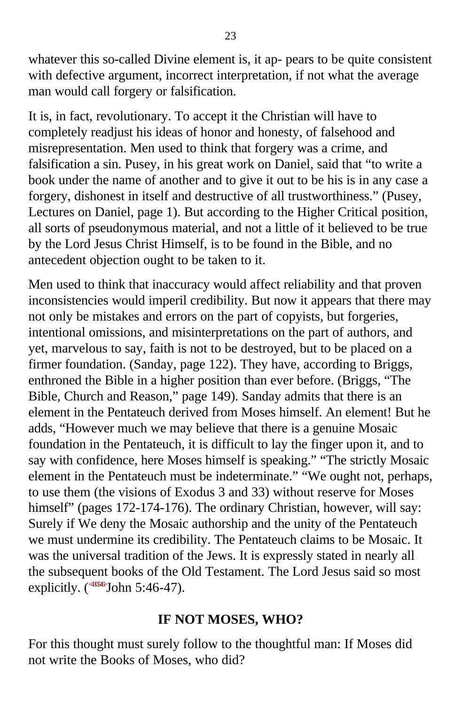whatever this so-called Divine element is, it ap- pears to be quite consistent with defective argument, incorrect interpretation, if not what the average man would call forgery or falsification.

It is, in fact, revolutionary. To accept it the Christian will have to completely readjust his ideas of honor and honesty, of falsehood and misrepresentation. Men used to think that forgery was a crime, and falsification a sin. Pusey, in his great work on Daniel, said that "to write a book under the name of another and to give it out to be his is in any case a forgery, dishonest in itself and destructive of all trustworthiness." (Pusey, Lectures on Daniel, page 1). But according to the Higher Critical position, all sorts of pseudonymous material, and not a little of it believed to be true by the Lord Jesus Christ Himself, is to be found in the Bible, and no antecedent objection ought to be taken to it.

Men used to think that inaccuracy would affect reliability and that proven inconsistencies would imperil credibility. But now it appears that there may not only be mistakes and errors on the part of copyists, but forgeries, intentional omissions, and misinterpretations on the part of authors, and yet, marvelous to say, faith is not to be destroyed, but to be placed on a firmer foundation. (Sanday, page 122). They have, according to Briggs, enthroned the Bible in a higher position than ever before. (Briggs, "The Bible, Church and Reason," page 149). Sanday admits that there is an element in the Pentateuch derived from Moses himself. An element! But he adds, "However much we may believe that there is a genuine Mosaic foundation in the Pentateuch, it is difficult to lay the finger upon it, and to say with confidence, here Moses himself is speaking." "The strictly Mosaic element in the Pentateuch must be indeterminate." "We ought not, perhaps, to use them (the visions of Exodus 3 and 33) without reserve for Moses himself" (pages 172-174-176). The ordinary Christian, however, will say: Surely if We deny the Mosaic authorship and the unity of the Pentateuch we must undermine its credibility. The Pentateuch claims to be Mosaic. It was the universal tradition of the Jews. It is expressly stated in nearly all the subsequent books of the Old Testament. The Lord Jesus said so most explicitly.  $(405/5)$ ohn 5:46-47).

## **IF NOT MOSES, WHO?**

For this thought must surely follow to the thoughtful man: If Moses did not write the Books of Moses, who did?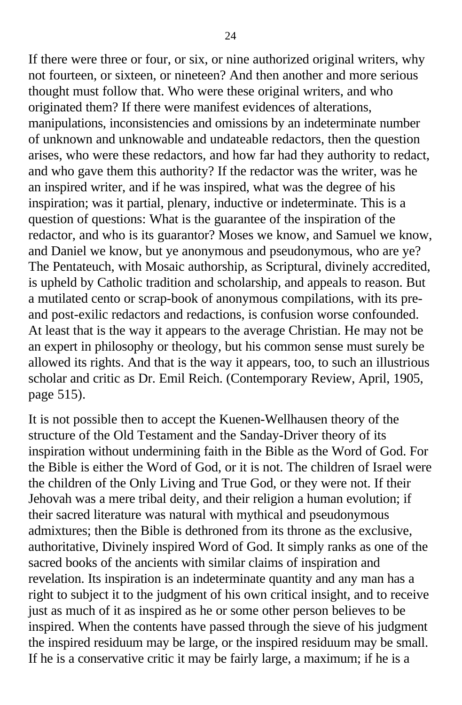If there were three or four, or six, or nine authorized original writers, why not fourteen, or sixteen, or nineteen? And then another and more serious thought must follow that. Who were these original writers, and who originated them? If there were manifest evidences of alterations, manipulations, inconsistencies and omissions by an indeterminate number of unknown and unknowable and undateable redactors, then the question arises, who were these redactors, and how far had they authority to redact, and who gave them this authority? If the redactor was the writer, was he an inspired writer, and if he was inspired, what was the degree of his inspiration; was it partial, plenary, inductive or indeterminate. This is a question of questions: What is the guarantee of the inspiration of the redactor, and who is its guarantor? Moses we know, and Samuel we know, and Daniel we know, but ye anonymous and pseudonymous, who are ye? The Pentateuch, with Mosaic authorship, as Scriptural, divinely accredited, is upheld by Catholic tradition and scholarship, and appeals to reason. But a mutilated cento or scrap-book of anonymous compilations, with its preand post-exilic redactors and redactions, is confusion worse confounded. At least that is the way it appears to the average Christian. He may not be an expert in philosophy or theology, but his common sense must surely be allowed its rights. And that is the way it appears, too, to such an illustrious scholar and critic as Dr. Emil Reich. (Contemporary Review, April, 1905, page 515).

It is not possible then to accept the Kuenen-Wellhausen theory of the structure of the Old Testament and the Sanday-Driver theory of its inspiration without undermining faith in the Bible as the Word of God. For the Bible is either the Word of God, or it is not. The children of Israel were the children of the Only Living and True God, or they were not. If their Jehovah was a mere tribal deity, and their religion a human evolution; if their sacred literature was natural with mythical and pseudonymous admixtures; then the Bible is dethroned from its throne as the exclusive, authoritative, Divinely inspired Word of God. It simply ranks as one of the sacred books of the ancients with similar claims of inspiration and revelation. Its inspiration is an indeterminate quantity and any man has a right to subject it to the judgment of his own critical insight, and to receive just as much of it as inspired as he or some other person believes to be inspired. When the contents have passed through the sieve of his judgment the inspired residuum may be large, or the inspired residuum may be small. If he is a conservative critic it may be fairly large, a maximum; if he is a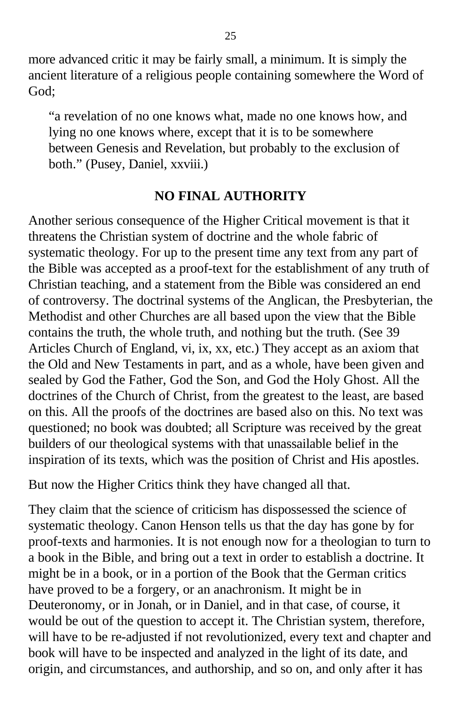more advanced critic it may be fairly small, a minimum. It is simply the ancient literature of a religious people containing somewhere the Word of God;

"a revelation of no one knows what, made no one knows how, and lying no one knows where, except that it is to be somewhere between Genesis and Revelation, but probably to the exclusion of both." (Pusey, Daniel, xxviii.)

#### **NO FINAL AUTHORITY**

Another serious consequence of the Higher Critical movement is that it threatens the Christian system of doctrine and the whole fabric of systematic theology. For up to the present time any text from any part of the Bible was accepted as a proof-text for the establishment of any truth of Christian teaching, and a statement from the Bible was considered an end of controversy. The doctrinal systems of the Anglican, the Presbyterian, the Methodist and other Churches are all based upon the view that the Bible contains the truth, the whole truth, and nothing but the truth. (See 39 Articles Church of England, vi, ix, xx, etc.) They accept as an axiom that the Old and New Testaments in part, and as a whole, have been given and sealed by God the Father, God the Son, and God the Holy Ghost. All the doctrines of the Church of Christ, from the greatest to the least, are based on this. All the proofs of the doctrines are based also on this. No text was questioned; no book was doubted; all Scripture was received by the great builders of our theological systems with that unassailable belief in the inspiration of its texts, which was the position of Christ and His apostles.

But now the Higher Critics think they have changed all that.

They claim that the science of criticism has dispossessed the science of systematic theology. Canon Henson tells us that the day has gone by for proof-texts and harmonies. It is not enough now for a theologian to turn to a book in the Bible, and bring out a text in order to establish a doctrine. It might be in a book, or in a portion of the Book that the German critics have proved to be a forgery, or an anachronism. It might be in Deuteronomy, or in Jonah, or in Daniel, and in that case, of course, it would be out of the question to accept it. The Christian system, therefore, will have to be re-adjusted if not revolutionized, every text and chapter and book will have to be inspected and analyzed in the light of its date, and origin, and circumstances, and authorship, and so on, and only after it has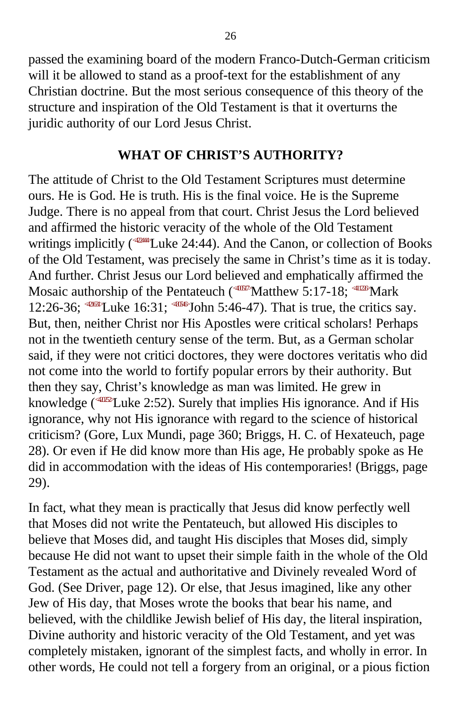passed the examining board of the modern Franco-Dutch-German criticism will it be allowed to stand as a proof-text for the establishment of any Christian doctrine. But the most serious consequence of this theory of the structure and inspiration of the Old Testament is that it overturns the juridic authority of our Lord Jesus Christ.

### **WHAT OF CHRIST'S AUTHORITY?**

The attitude of Christ to the Old Testament Scriptures must determine ours. He is God. He is truth. His is the final voice. He is the Supreme Judge. There is no appeal from that court. Christ Jesus the Lord believed and affirmed the historic veracity of the whole of the Old Testament writings implicitly ( $\frac{4244}{L}$ Luke 24:44). And the Canon, or collection of Books of the Old Testament, was precisely the same in Christ's time as it is today. And further. Christ Jesus our Lord believed and emphatically affirmed the Mosaic authorship of the Pentateuch ( $4057$ )Matthew 5:17-18;  $41226$ )Mark 12:26-36;  $\text{QED}$ Luke 16:31;  $\text{QED}$  John 5:46-47). That is true, the critics say. But, then, neither Christ nor His Apostles were critical scholars! Perhaps not in the twentieth century sense of the term. But, as a German scholar said, if they were not critici doctores, they were doctores veritatis who did not come into the world to fortify popular errors by their authority. But then they say, Christ's knowledge as man was limited. He grew in knowledge ( $402.52$ ). Surely that implies His ignorance. And if His ignorance, why not His ignorance with regard to the science of historical criticism? (Gore, Lux Mundi, page 360; Briggs, H. C. of Hexateuch, page 28). Or even if He did know more than His age, He probably spoke as He did in accommodation with the ideas of His contemporaries! (Briggs, page 29).

In fact, what they mean is practically that Jesus did know perfectly well that Moses did not write the Pentateuch, but allowed His disciples to believe that Moses did, and taught His disciples that Moses did, simply because He did not want to upset their simple faith in the whole of the Old Testament as the actual and authoritative and Divinely revealed Word of God. (See Driver, page 12). Or else, that Jesus imagined, like any other Jew of His day, that Moses wrote the books that bear his name, and believed, with the childlike Jewish belief of His day, the literal inspiration, Divine authority and historic veracity of the Old Testament, and yet was completely mistaken, ignorant of the simplest facts, and wholly in error. In other words, He could not tell a forgery from an original, or a pious fiction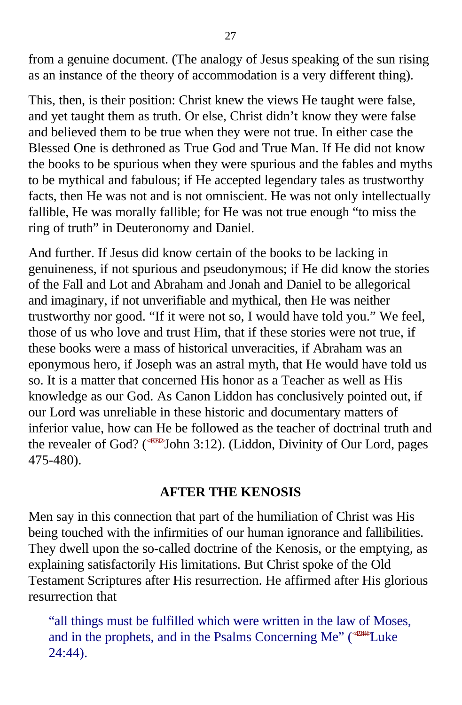from a genuine document. (The analogy of Jesus speaking of the sun rising as an instance of the theory of accommodation is a very different thing).

This, then, is their position: Christ knew the views He taught were false, and yet taught them as truth. Or else, Christ didn't know they were false and believed them to be true when they were not true. In either case the Blessed One is dethroned as True God and True Man. If He did not know the books to be spurious when they were spurious and the fables and myths to be mythical and fabulous; if He accepted legendary tales as trustworthy facts, then He was not and is not omniscient. He was not only intellectually fallible, He was morally fallible; for He was not true enough "to miss the ring of truth" in Deuteronomy and Daniel.

And further. If Jesus did know certain of the books to be lacking in genuineness, if not spurious and pseudonymous; if He did know the stories of the Fall and Lot and Abraham and Jonah and Daniel to be allegorical and imaginary, if not unverifiable and mythical, then He was neither trustworthy nor good. "If it were not so, I would have told you." We feel, those of us who love and trust Him, that if these stories were not true, if these books were a mass of historical unveracities, if Abraham was an eponymous hero, if Joseph was an astral myth, that He would have told us so. It is a matter that concerned His honor as a Teacher as well as His knowledge as our God. As Canon Liddon has conclusively pointed out, if our Lord was unreliable in these historic and documentary matters of inferior value, how can He be followed as the teacher of doctrinal truth and the revealer of God? ( $402$ Iohn 3:12). (Liddon, Divinity of Our Lord, pages 475-480).

#### **AFTER THE KENOSIS**

Men say in this connection that part of the humiliation of Christ was His being touched with the infirmities of our human ignorance and fallibilities. They dwell upon the so-called doctrine of the Kenosis, or the emptying, as explaining satisfactorily His limitations. But Christ spoke of the Old Testament Scriptures after His resurrection. He affirmed after His glorious resurrection that

"all things must be fulfilled which were written in the law of Moses, and in the prophets, and in the Psalms Concerning Me" ( $\frac{2244}{\text{Luke}}$ 24:44).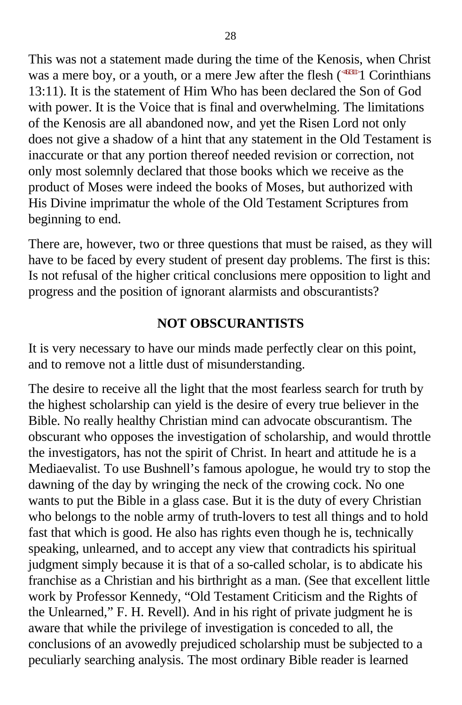This was not a statement made during the time of the Kenosis, when Christ was a mere boy, or a youth, or a mere Jew after the flesh ( $481$ <sup>11</sup> Corinthians 13:11). It is the statement of Him Who has been declared the Son of God with power. It is the Voice that is final and overwhelming. The limitations of the Kenosis are all abandoned now, and yet the Risen Lord not only does not give a shadow of a hint that any statement in the Old Testament is inaccurate or that any portion thereof needed revision or correction, not only most solemnly declared that those books which we receive as the product of Moses were indeed the books of Moses, but authorized with His Divine imprimatur the whole of the Old Testament Scriptures from beginning to end.

There are, however, two or three questions that must be raised, as they will have to be faced by every student of present day problems. The first is this: Is not refusal of the higher critical conclusions mere opposition to light and progress and the position of ignorant alarmists and obscurantists?

### **NOT OBSCURANTISTS**

It is very necessary to have our minds made perfectly clear on this point, and to remove not a little dust of misunderstanding.

The desire to receive all the light that the most fearless search for truth by the highest scholarship can yield is the desire of every true believer in the Bible. No really healthy Christian mind can advocate obscurantism. The obscurant who opposes the investigation of scholarship, and would throttle the investigators, has not the spirit of Christ. In heart and attitude he is a Mediaevalist. To use Bushnell's famous apologue, he would try to stop the dawning of the day by wringing the neck of the crowing cock. No one wants to put the Bible in a glass case. But it is the duty of every Christian who belongs to the noble army of truth-lovers to test all things and to hold fast that which is good. He also has rights even though he is, technically speaking, unlearned, and to accept any view that contradicts his spiritual judgment simply because it is that of a so-called scholar, is to abdicate his franchise as a Christian and his birthright as a man. (See that excellent little work by Professor Kennedy, "Old Testament Criticism and the Rights of the Unlearned," F. H. Revell). And in his right of private judgment he is aware that while the privilege of investigation is conceded to all, the conclusions of an avowedly prejudiced scholarship must be subjected to a peculiarly searching analysis. The most ordinary Bible reader is learned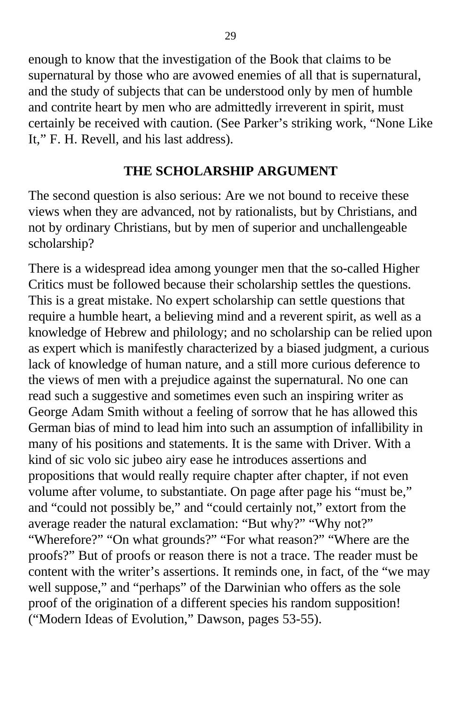enough to know that the investigation of the Book that claims to be supernatural by those who are avowed enemies of all that is supernatural, and the study of subjects that can be understood only by men of humble and contrite heart by men who are admittedly irreverent in spirit, must certainly be received with caution. (See Parker's striking work, "None Like It," F. H. Revell, and his last address).

### **THE SCHOLARSHIP ARGUMENT**

The second question is also serious: Are we not bound to receive these views when they are advanced, not by rationalists, but by Christians, and not by ordinary Christians, but by men of superior and unchallengeable scholarship?

There is a widespread idea among younger men that the so-called Higher Critics must be followed because their scholarship settles the questions. This is a great mistake. No expert scholarship can settle questions that require a humble heart, a believing mind and a reverent spirit, as well as a knowledge of Hebrew and philology; and no scholarship can be relied upon as expert which is manifestly characterized by a biased judgment, a curious lack of knowledge of human nature, and a still more curious deference to the views of men with a prejudice against the supernatural. No one can read such a suggestive and sometimes even such an inspiring writer as George Adam Smith without a feeling of sorrow that he has allowed this German bias of mind to lead him into such an assumption of infallibility in many of his positions and statements. It is the same with Driver. With a kind of sic volo sic jubeo airy ease he introduces assertions and propositions that would really require chapter after chapter, if not even volume after volume, to substantiate. On page after page his "must be," and "could not possibly be," and "could certainly not," extort from the average reader the natural exclamation: "But why?" "Why not?" "Wherefore?" "On what grounds?" "For what reason?" "Where are the proofs?" But of proofs or reason there is not a trace. The reader must be content with the writer's assertions. It reminds one, in fact, of the "we may well suppose," and "perhaps" of the Darwinian who offers as the sole proof of the origination of a different species his random supposition! ("Modern Ideas of Evolution," Dawson, pages 53-55).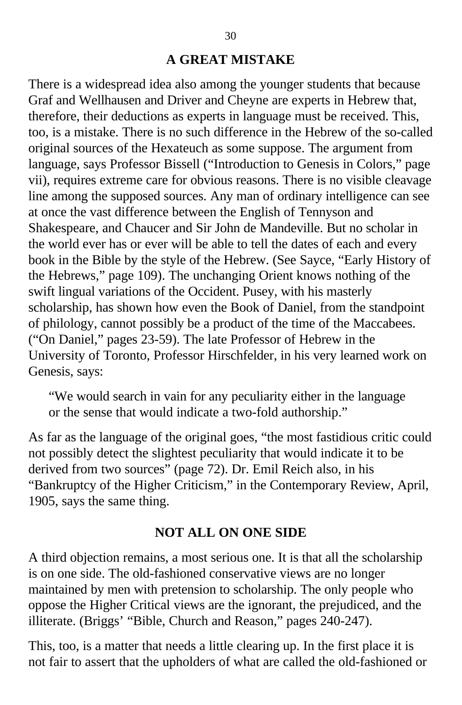### **A GREAT MISTAKE**

There is a widespread idea also among the younger students that because Graf and Wellhausen and Driver and Cheyne are experts in Hebrew that, therefore, their deductions as experts in language must be received. This, too, is a mistake. There is no such difference in the Hebrew of the so-called original sources of the Hexateuch as some suppose. The argument from language, says Professor Bissell ("Introduction to Genesis in Colors," page vii), requires extreme care for obvious reasons. There is no visible cleavage line among the supposed sources. Any man of ordinary intelligence can see at once the vast difference between the English of Tennyson and Shakespeare, and Chaucer and Sir John de Mandeville. But no scholar in the world ever has or ever will be able to tell the dates of each and every book in the Bible by the style of the Hebrew. (See Sayce, "Early History of the Hebrews," page 109). The unchanging Orient knows nothing of the swift lingual variations of the Occident. Pusey, with his masterly scholarship, has shown how even the Book of Daniel, from the standpoint of philology, cannot possibly be a product of the time of the Maccabees. ("On Daniel," pages 23-59). The late Professor of Hebrew in the University of Toronto, Professor Hirschfelder, in his very learned work on Genesis, says:

"We would search in vain for any peculiarity either in the language or the sense that would indicate a two-fold authorship."

As far as the language of the original goes, "the most fastidious critic could not possibly detect the slightest peculiarity that would indicate it to be derived from two sources" (page 72). Dr. Emil Reich also, in his "Bankruptcy of the Higher Criticism," in the Contemporary Review, April, 1905, says the same thing.

#### **NOT ALL ON ONE SIDE**

A third objection remains, a most serious one. It is that all the scholarship is on one side. The old-fashioned conservative views are no longer maintained by men with pretension to scholarship. The only people who oppose the Higher Critical views are the ignorant, the prejudiced, and the illiterate. (Briggs' "Bible, Church and Reason," pages 240-247).

This, too, is a matter that needs a little clearing up. In the first place it is not fair to assert that the upholders of what are called the old-fashioned or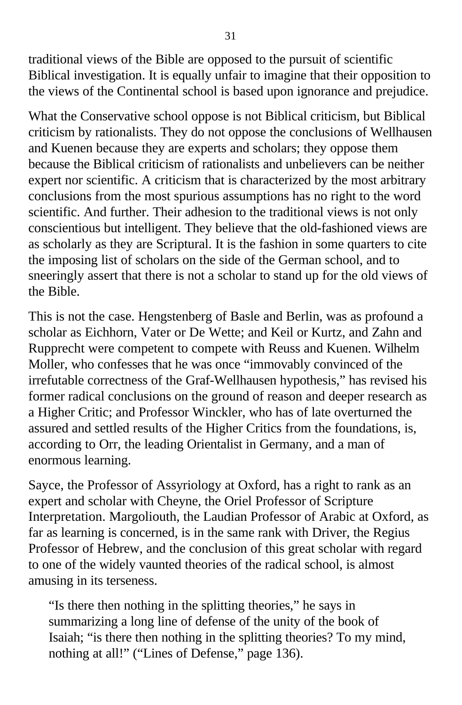traditional views of the Bible are opposed to the pursuit of scientific Biblical investigation. It is equally unfair to imagine that their opposition to the views of the Continental school is based upon ignorance and prejudice.

What the Conservative school oppose is not Biblical criticism, but Biblical criticism by rationalists. They do not oppose the conclusions of Wellhausen and Kuenen because they are experts and scholars; they oppose them because the Biblical criticism of rationalists and unbelievers can be neither expert nor scientific. A criticism that is characterized by the most arbitrary conclusions from the most spurious assumptions has no right to the word scientific. And further. Their adhesion to the traditional views is not only conscientious but intelligent. They believe that the old-fashioned views are as scholarly as they are Scriptural. It is the fashion in some quarters to cite the imposing list of scholars on the side of the German school, and to sneeringly assert that there is not a scholar to stand up for the old views of the Bible.

This is not the case. Hengstenberg of Basle and Berlin, was as profound a scholar as Eichhorn, Vater or De Wette; and Keil or Kurtz, and Zahn and Rupprecht were competent to compete with Reuss and Kuenen. Wilhelm Moller, who confesses that he was once "immovably convinced of the irrefutable correctness of the Graf-Wellhausen hypothesis," has revised his former radical conclusions on the ground of reason and deeper research as a Higher Critic; and Professor Winckler, who has of late overturned the assured and settled results of the Higher Critics from the foundations, is, according to Orr, the leading Orientalist in Germany, and a man of enormous learning.

Sayce, the Professor of Assyriology at Oxford, has a right to rank as an expert and scholar with Cheyne, the Oriel Professor of Scripture Interpretation. Margoliouth, the Laudian Professor of Arabic at Oxford, as far as learning is concerned, is in the same rank with Driver, the Regius Professor of Hebrew, and the conclusion of this great scholar with regard to one of the widely vaunted theories of the radical school, is almost amusing in its terseness.

"Is there then nothing in the splitting theories," he says in summarizing a long line of defense of the unity of the book of Isaiah; "is there then nothing in the splitting theories? To my mind, nothing at all!" ("Lines of Defense," page 136).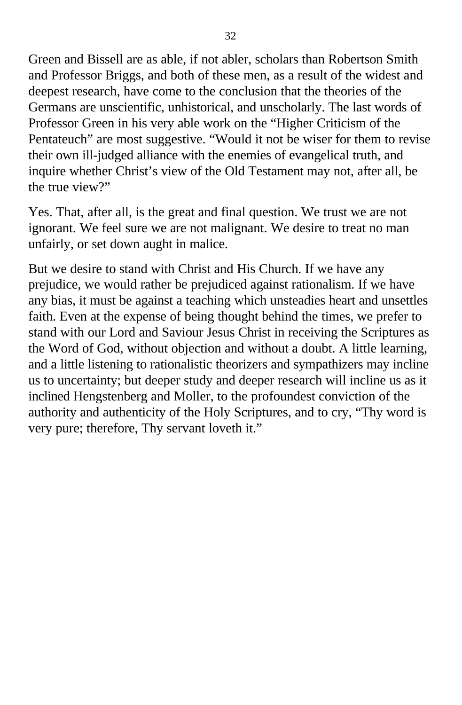Green and Bissell are as able, if not abler, scholars than Robertson Smith and Professor Briggs, and both of these men, as a result of the widest and deepest research, have come to the conclusion that the theories of the Germans are unscientific, unhistorical, and unscholarly. The last words of Professor Green in his very able work on the "Higher Criticism of the Pentateuch" are most suggestive. "Would it not be wiser for them to revise their own ill-judged alliance with the enemies of evangelical truth, and inquire whether Christ's view of the Old Testament may not, after all, be the true view?"

Yes. That, after all, is the great and final question. We trust we are not ignorant. We feel sure we are not malignant. We desire to treat no man unfairly, or set down aught in malice.

But we desire to stand with Christ and His Church. If we have any prejudice, we would rather be prejudiced against rationalism. If we have any bias, it must be against a teaching which unsteadies heart and unsettles faith. Even at the expense of being thought behind the times, we prefer to stand with our Lord and Saviour Jesus Christ in receiving the Scriptures as the Word of God, without objection and without a doubt. A little learning, and a little listening to rationalistic theorizers and sympathizers may incline us to uncertainty; but deeper study and deeper research will incline us as it inclined Hengstenberg and Moller, to the profoundest conviction of the authority and authenticity of the Holy Scriptures, and to cry, "Thy word is very pure; therefore, Thy servant loveth it."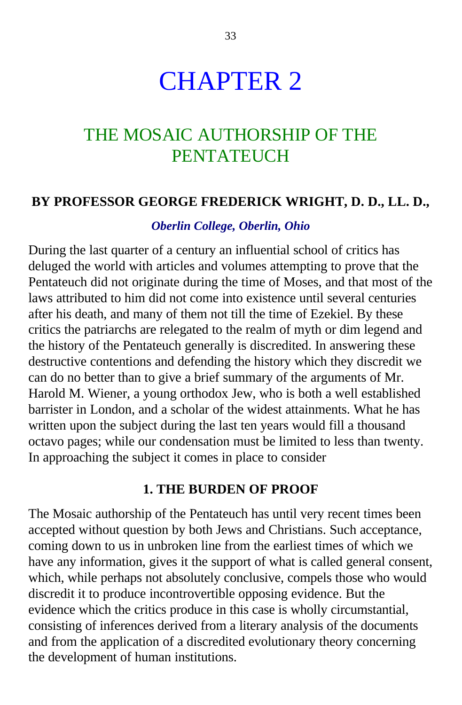# CHAPTER 2

## THE MOSAIC AUTHORSHIP OF THE **PENTATEUCH**

#### **BY PROFESSOR GEORGE FREDERICK WRIGHT, D. D., LL. D.,**

#### *Oberlin College, Oberlin, Ohio*

During the last quarter of a century an influential school of critics has deluged the world with articles and volumes attempting to prove that the Pentateuch did not originate during the time of Moses, and that most of the laws attributed to him did not come into existence until several centuries after his death, and many of them not till the time of Ezekiel. By these critics the patriarchs are relegated to the realm of myth or dim legend and the history of the Pentateuch generally is discredited. In answering these destructive contentions and defending the history which they discredit we can do no better than to give a brief summary of the arguments of Mr. Harold M. Wiener, a young orthodox Jew, who is both a well established barrister in London, and a scholar of the widest attainments. What he has written upon the subject during the last ten years would fill a thousand octavo pages; while our condensation must be limited to less than twenty. In approaching the subject it comes in place to consider

#### **1. THE BURDEN OF PROOF**

The Mosaic authorship of the Pentateuch has until very recent times been accepted without question by both Jews and Christians. Such acceptance, coming down to us in unbroken line from the earliest times of which we have any information, gives it the support of what is called general consent, which, while perhaps not absolutely conclusive, compels those who would discredit it to produce incontrovertible opposing evidence. But the evidence which the critics produce in this case is wholly circumstantial, consisting of inferences derived from a literary analysis of the documents and from the application of a discredited evolutionary theory concerning the development of human institutions.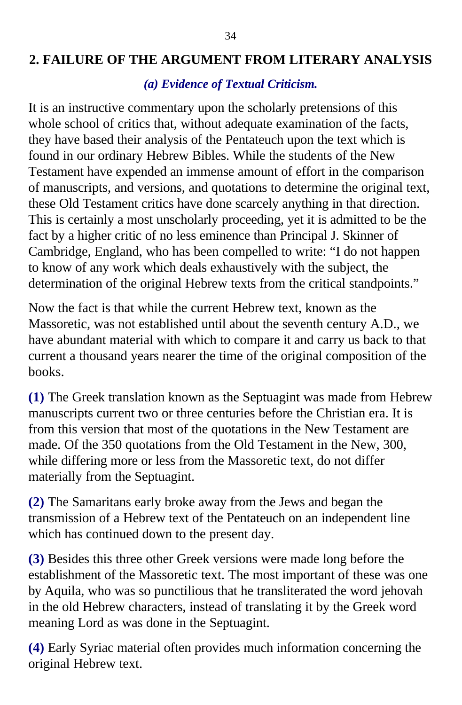#### **2. FAILURE OF THE ARGUMENT FROM LITERARY ANALYSIS**

#### *(a) Evidence of Textual Criticism.*

It is an instructive commentary upon the scholarly pretensions of this whole school of critics that, without adequate examination of the facts, they have based their analysis of the Pentateuch upon the text which is found in our ordinary Hebrew Bibles. While the students of the New Testament have expended an immense amount of effort in the comparison of manuscripts, and versions, and quotations to determine the original text, these Old Testament critics have done scarcely anything in that direction. This is certainly a most unscholarly proceeding, yet it is admitted to be the fact by a higher critic of no less eminence than Principal J. Skinner of Cambridge, England, who has been compelled to write: "I do not happen to know of any work which deals exhaustively with the subject, the determination of the original Hebrew texts from the critical standpoints."

Now the fact is that while the current Hebrew text, known as the Massoretic, was not established until about the seventh century A.D., we have abundant material with which to compare it and carry us back to that current a thousand years nearer the time of the original composition of the books.

**(1)** The Greek translation known as the Septuagint was made from Hebrew manuscripts current two or three centuries before the Christian era. It is from this version that most of the quotations in the New Testament are made. Of the 350 quotations from the Old Testament in the New, 300, while differing more or less from the Massoretic text, do not differ materially from the Septuagint.

**(2)** The Samaritans early broke away from the Jews and began the transmission of a Hebrew text of the Pentateuch on an independent line which has continued down to the present day.

**(3)** Besides this three other Greek versions were made long before the establishment of the Massoretic text. The most important of these was one by Aquila, who was so punctilious that he transliterated the word jehovah in the old Hebrew characters, instead of translating it by the Greek word meaning Lord as was done in the Septuagint.

**(4)** Early Syriac material often provides much information concerning the original Hebrew text.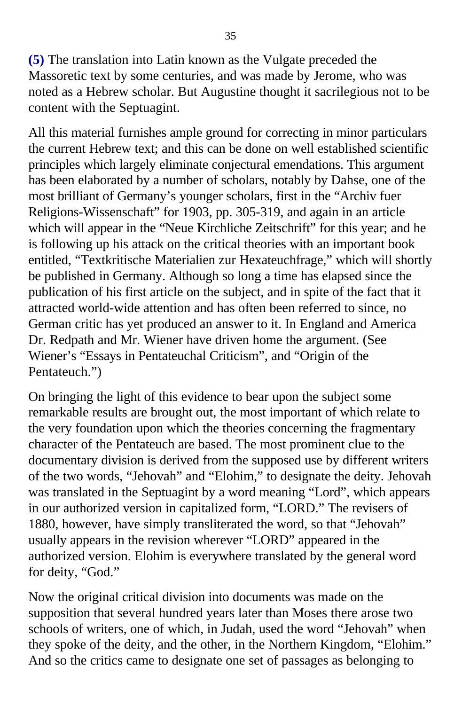**(5)** The translation into Latin known as the Vulgate preceded the Massoretic text by some centuries, and was made by Jerome, who was noted as a Hebrew scholar. But Augustine thought it sacrilegious not to be content with the Septuagint.

All this material furnishes ample ground for correcting in minor particulars the current Hebrew text; and this can be done on well established scientific principles which largely eliminate conjectural emendations. This argument has been elaborated by a number of scholars, notably by Dahse, one of the most brilliant of Germany's younger scholars, first in the "Archiv fuer Religions-Wissenschaft" for 1903, pp. 305-319, and again in an article which will appear in the "Neue Kirchliche Zeitschrift" for this year; and he is following up his attack on the critical theories with an important book entitled, "Textkritische Materialien zur Hexateuchfrage," which will shortly be published in Germany. Although so long a time has elapsed since the publication of his first article on the subject, and in spite of the fact that it attracted world-wide attention and has often been referred to since, no German critic has yet produced an answer to it. In England and America Dr. Redpath and Mr. Wiener have driven home the argument. (See Wiener's "Essays in Pentateuchal Criticism", and "Origin of the Pentateuch.")

On bringing the light of this evidence to bear upon the subject some remarkable results are brought out, the most important of which relate to the very foundation upon which the theories concerning the fragmentary character of the Pentateuch are based. The most prominent clue to the documentary division is derived from the supposed use by different writers of the two words, "Jehovah" and "Elohim," to designate the deity. Jehovah was translated in the Septuagint by a word meaning "Lord", which appears in our authorized version in capitalized form, "LORD." The revisers of 1880, however, have simply transliterated the word, so that "Jehovah" usually appears in the revision wherever "LORD" appeared in the authorized version. Elohim is everywhere translated by the general word for deity, "God."

Now the original critical division into documents was made on the supposition that several hundred years later than Moses there arose two schools of writers, one of which, in Judah, used the word "Jehovah" when they spoke of the deity, and the other, in the Northern Kingdom, "Elohim." And so the critics came to designate one set of passages as belonging to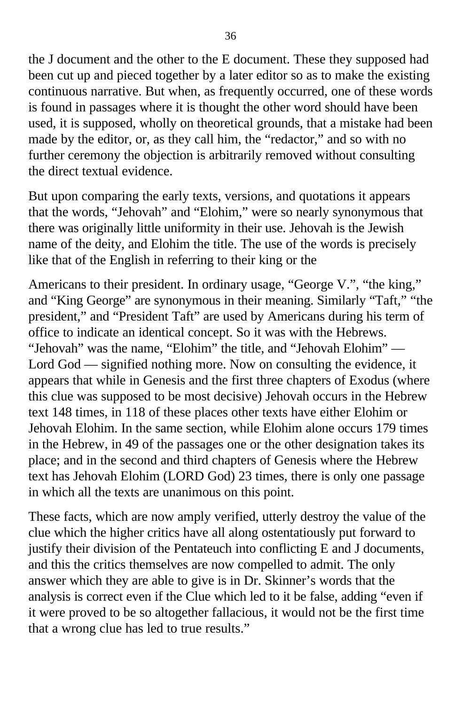the J document and the other to the E document. These they supposed had been cut up and pieced together by a later editor so as to make the existing continuous narrative. But when, as frequently occurred, one of these words is found in passages where it is thought the other word should have been used, it is supposed, wholly on theoretical grounds, that a mistake had been made by the editor, or, as they call him, the "redactor," and so with no further ceremony the objection is arbitrarily removed without consulting the direct textual evidence.

But upon comparing the early texts, versions, and quotations it appears that the words, "Jehovah" and "Elohim," were so nearly synonymous that there was originally little uniformity in their use. Jehovah is the Jewish name of the deity, and Elohim the title. The use of the words is precisely like that of the English in referring to their king or the

Americans to their president. In ordinary usage, "George V.", "the king," and "King George" are synonymous in their meaning. Similarly "Taft," "the president," and "President Taft" are used by Americans during his term of office to indicate an identical concept. So it was with the Hebrews. "Jehovah" was the name, "Elohim" the title, and "Jehovah Elohim" — Lord God — signified nothing more. Now on consulting the evidence, it appears that while in Genesis and the first three chapters of Exodus (where this clue was supposed to be most decisive) Jehovah occurs in the Hebrew text 148 times, in 118 of these places other texts have either Elohim or Jehovah Elohim. In the same section, while Elohim alone occurs 179 times in the Hebrew, in 49 of the passages one or the other designation takes its place; and in the second and third chapters of Genesis where the Hebrew text has Jehovah Elohim (LORD God) 23 times, there is only one passage in which all the texts are unanimous on this point.

These facts, which are now amply verified, utterly destroy the value of the clue which the higher critics have all along ostentatiously put forward to justify their division of the Pentateuch into conflicting E and J documents, and this the critics themselves are now compelled to admit. The only answer which they are able to give is in Dr. Skinner's words that the analysis is correct even if the Clue which led to it be false, adding "even if it were proved to be so altogether fallacious, it would not be the first time that a wrong clue has led to true results."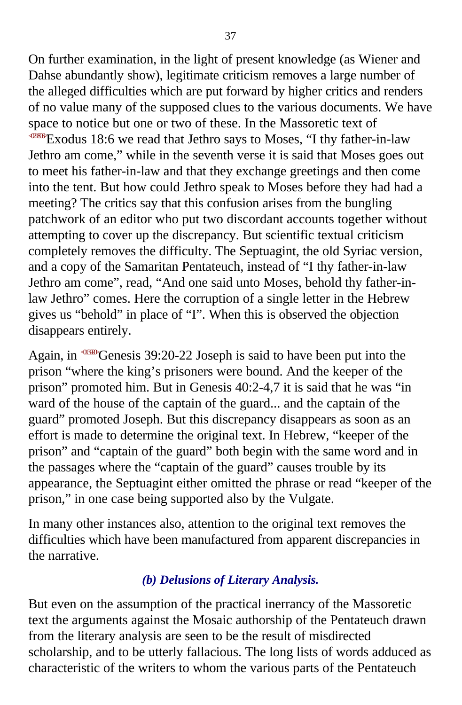On further examination, in the light of present knowledge (as Wiener and Dahse abundantly show), legitimate criticism removes a large number of the alleged difficulties which are put forward by higher critics and renders of no value many of the supposed clues to the various documents. We have space to notice but one or two of these. In the Massoretic text of  $\frac{40806}{2000}$  Exodus 18:6 we read that Jethro says to Moses, "I thy father-in-law Jethro am come," while in the seventh verse it is said that Moses goes out to meet his father-in-law and that they exchange greetings and then come into the tent. But how could Jethro speak to Moses before they had had a meeting? The critics say that this confusion arises from the bungling patchwork of an editor who put two discordant accounts together without attempting to cover up the discrepancy. But scientific textual criticism completely removes the difficulty. The Septuagint, the old Syriac version, and a copy of the Samaritan Pentateuch, instead of "I thy father-in-law Jethro am come", read, "And one said unto Moses, behold thy father-inlaw Jethro" comes. Here the corruption of a single letter in the Hebrew gives us "behold" in place of "I". When this is observed the objection disappears entirely.

Again, in  $\sqrt{4340}$  Genesis 39:20-22 Joseph is said to have been put into the prison "where the king's prisoners were bound. And the keeper of the prison" promoted him. But in Genesis 40:2-4,7 it is said that he was "in ward of the house of the captain of the guard... and the captain of the guard" promoted Joseph. But this discrepancy disappears as soon as an effort is made to determine the original text. In Hebrew, "keeper of the prison" and "captain of the guard" both begin with the same word and in the passages where the "captain of the guard" causes trouble by its appearance, the Septuagint either omitted the phrase or read "keeper of the prison," in one case being supported also by the Vulgate.

In many other instances also, attention to the original text removes the difficulties which have been manufactured from apparent discrepancies in the narrative.

# *(b) Delusions of Literary Analysis.*

But even on the assumption of the practical inerrancy of the Massoretic text the arguments against the Mosaic authorship of the Pentateuch drawn from the literary analysis are seen to be the result of misdirected scholarship, and to be utterly fallacious. The long lists of words adduced as characteristic of the writers to whom the various parts of the Pentateuch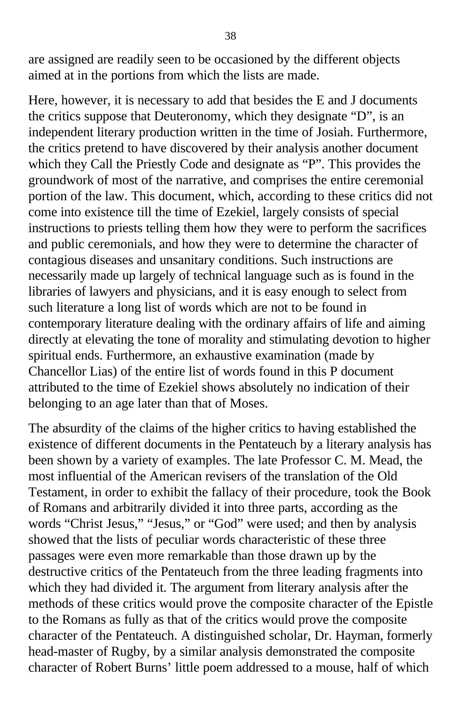are assigned are readily seen to be occasioned by the different objects aimed at in the portions from which the lists are made.

Here, however, it is necessary to add that besides the E and J documents the critics suppose that Deuteronomy, which they designate "D", is an independent literary production written in the time of Josiah. Furthermore, the critics pretend to have discovered by their analysis another document which they Call the Priestly Code and designate as "P". This provides the groundwork of most of the narrative, and comprises the entire ceremonial portion of the law. This document, which, according to these critics did not come into existence till the time of Ezekiel, largely consists of special instructions to priests telling them how they were to perform the sacrifices and public ceremonials, and how they were to determine the character of contagious diseases and unsanitary conditions. Such instructions are necessarily made up largely of technical language such as is found in the libraries of lawyers and physicians, and it is easy enough to select from such literature a long list of words which are not to be found in contemporary literature dealing with the ordinary affairs of life and aiming directly at elevating the tone of morality and stimulating devotion to higher spiritual ends. Furthermore, an exhaustive examination (made by Chancellor Lias) of the entire list of words found in this P document attributed to the time of Ezekiel shows absolutely no indication of their belonging to an age later than that of Moses.

The absurdity of the claims of the higher critics to having established the existence of different documents in the Pentateuch by a literary analysis has been shown by a variety of examples. The late Professor C. M. Mead, the most influential of the American revisers of the translation of the Old Testament, in order to exhibit the fallacy of their procedure, took the Book of Romans and arbitrarily divided it into three parts, according as the words "Christ Jesus," "Jesus," or "God" were used; and then by analysis showed that the lists of peculiar words characteristic of these three passages were even more remarkable than those drawn up by the destructive critics of the Pentateuch from the three leading fragments into which they had divided it. The argument from literary analysis after the methods of these critics would prove the composite character of the Epistle to the Romans as fully as that of the critics would prove the composite character of the Pentateuch. A distinguished scholar, Dr. Hayman, formerly head-master of Rugby, by a similar analysis demonstrated the composite character of Robert Burns' little poem addressed to a mouse, half of which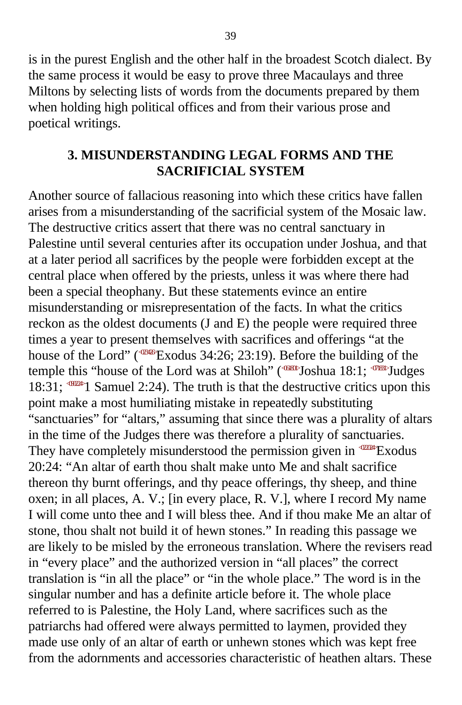is in the purest English and the other half in the broadest Scotch dialect. By the same process it would be easy to prove three Macaulays and three Miltons by selecting lists of words from the documents prepared by them when holding high political offices and from their various prose and poetical writings.

### **3. MISUNDERSTANDING LEGAL FORMS AND THE SACRIFICIAL SYSTEM**

Another source of fallacious reasoning into which these critics have fallen arises from a misunderstanding of the sacrificial system of the Mosaic law. The destructive critics assert that there was no central sanctuary in Palestine until several centuries after its occupation under Joshua, and that at a later period all sacrifices by the people were forbidden except at the central place when offered by the priests, unless it was where there had been a special theophany. But these statements evince an entire misunderstanding or misrepresentation of the facts. In what the critics reckon as the oldest documents (J and E) the people were required three times a year to present themselves with sacrifices and offerings "at the house of the Lord" ( $\Phi$ <sup>26</sup>Exodus 34:26; 23:19). Before the building of the temple this "house of the Lord was at Shiloh" ( $\frac{\text{dBSD}}{\text{S}}$ Joshua 18:1;  $\frac{\text{dBSD}}{\text{S}}$ Judges 18:31;  $\frac{dP}{dP}$  Samuel 2:24). The truth is that the destructive critics upon this point make a most humiliating mistake in repeatedly substituting "sanctuaries" for "altars," assuming that since there was a plurality of altars in the time of the Judges there was therefore a plurality of sanctuaries. They have completely misunderstood the permission given in  $\frac{dP}{dP}$ Exodus 20:24: "An altar of earth thou shalt make unto Me and shalt sacrifice thereon thy burnt offerings, and thy peace offerings, thy sheep, and thine oxen; in all places, A. V.; [in every place, R. V.], where I record My name I will come unto thee and I will bless thee. And if thou make Me an altar of stone, thou shalt not build it of hewn stones." In reading this passage we are likely to be misled by the erroneous translation. Where the revisers read in "every place" and the authorized version in "all places" the correct translation is "in all the place" or "in the whole place." The word is in the singular number and has a definite article before it. The whole place referred to is Palestine, the Holy Land, where sacrifices such as the patriarchs had offered were always permitted to laymen, provided they made use only of an altar of earth or unhewn stones which was kept free from the adornments and accessories characteristic of heathen altars. These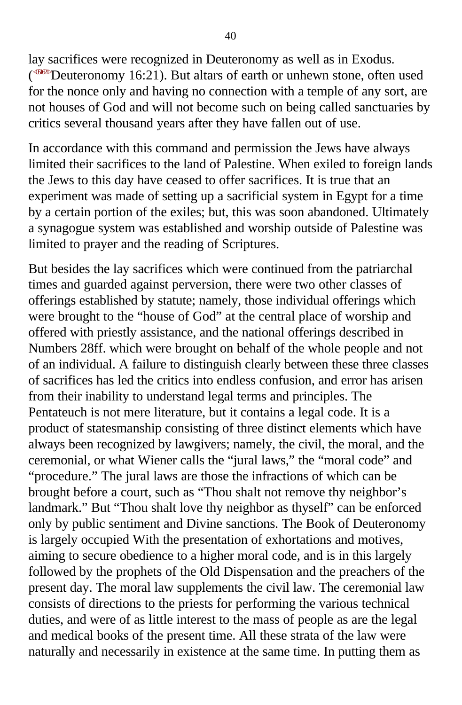<span id="page-39-0"></span>lay sacrifices were recognized in Deuteronomy as well as in Exodus. ( $^{4562}$ Deuteronomy 16:21). But altars of earth or unhewn stone, often used for the nonce only and having no connection with a temple of any sort, are not houses of God and will not become such on being called sanctuaries by critics several thousand years after they have fallen out of use.

In accordance with this command and permission the Jews have always limited their sacrifices to the land of Palestine. When exiled to foreign lands the Jews to this day have ceased to offer sacrifices. It is true that an experiment was made of setting up a sacrificial system in Egypt for a time by a certain portion of the exiles; but, this was soon abandoned. Ultimately a synagogue system was established and worship outside of Palestine was limited to prayer and the reading of Scriptures.

But besides the lay sacrifices which were continued from the patriarchal times and guarded against perversion, there were two other classes of offerings established by statute; namely, those individual offerings which were brought to the "house of God" at the central place of worship and offered with priestly assistance, and the national offerings described in Numbers 28ff. which were brought on behalf of the whole people and not of an individual. A failure to distinguish clearly between these three classes of sacrifices has led the critics into endless confusion, and error has arisen from their inability to understand legal terms and principles. The Pentateuch is not mere literature, but it contains a legal code. It is a product of statesmanship consisting of three distinct elements which have always been recognized by lawgivers; namely, the civil, the moral, and the ceremonial, or what Wiener calls the "jural laws," the "moral code" and "procedure." The jural laws are those the infractions of which can be brought before a court, such as "Thou shalt not remove thy neighbor's landmark." But "Thou shalt love thy neighbor as thyself" can be enforced only by public sentiment and Divine sanctions. The Book of Deuteronomy is largely occupied With the presentation of exhortations and motives, aiming to secure obedience to a higher moral code, and is in this largely followed by the prophets of the Old Dispensation and the preachers of the present day. The moral law supplements the civil law. The ceremonial law consists of directions to the priests for performing the various technical duties, and were of as little interest to the mass of people as are the legal and medical books of the present time. All these strata of the law were naturally and necessarily in existence at the same time. In putting them as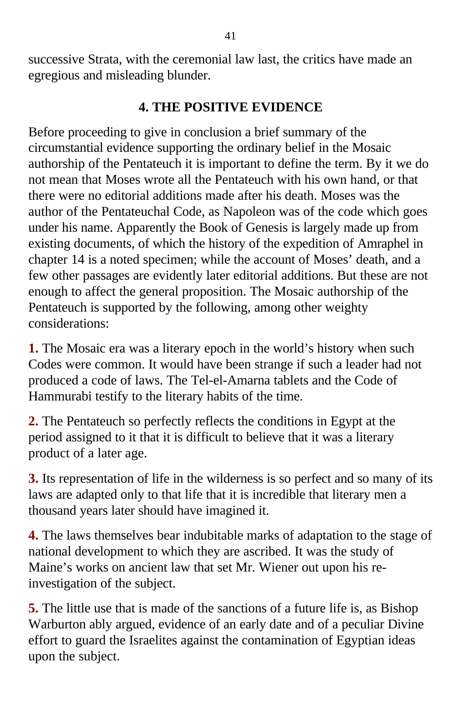successive Strata, with the ceremonial law last, the critics have made an egregious and misleading blunder.

# **4. THE POSITIVE EVIDENCE**

Before proceeding to give in conclusion a brief summary of the circumstantial evidence supporting the ordinary belief in the Mosaic authorship of the Pentateuch it is important to define the term. By it we do not mean that Moses wrote all the Pentateuch with his own hand, or that there were no editorial additions made after his death. Moses was the author of the Pentateuchal Code, as Napoleon was of the code which goes under his name. Apparently the Book of Genesis is largely made up from existing documents, of which the history of the expedition of Amraphel in chapter 14 is a noted specimen; while the account of Moses' death, and a few other passages are evidently later editorial additions. But these are not enough to affect the general proposition. The Mosaic authorship of the Pentateuch is supported by the following, among other weighty considerations:

**1.** The Mosaic era was a literary epoch in the world's history when such Codes were common. It would have been strange if such a leader had not produced a code of laws. The Tel-el-Amarna tablets and the Code of Hammurabi testify to the literary habits of the time.

**2.** The Pentateuch so perfectly reflects the conditions in Egypt at the period assigned to it that it is difficult to believe that it was a literary product of a later age.

**3.** Its representation of life in the wilderness is so perfect and so many of its laws are adapted only to that life that it is incredible that literary men a thousand years later should have imagined it.

**4.** The laws themselves bear indubitable marks of adaptation to the stage of national development to which they are ascribed. It was the study of Maine's works on ancient law that set Mr. Wiener out upon his reinvestigation of the subject.

**5.** The little use that is made of the sanctions of a future life is, as Bishop Warburton ably argued, evidence of an early date and of a peculiar Divine effort to guard the Israelites against the contamination of Egyptian ideas upon the subject.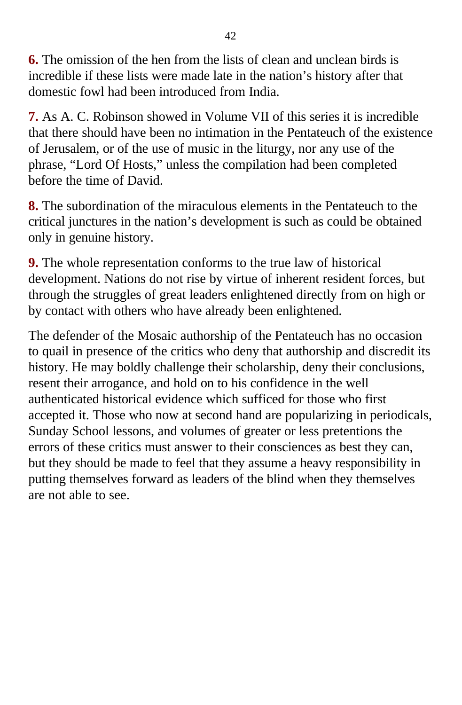**6.** The omission of the hen from the lists of clean and unclean birds is incredible if these lists were made late in the nation's history after that domestic fowl had been introduced from India.

**7.** As A. C. Robinson showed in Volume VII of this series it is incredible that there should have been no intimation in the Pentateuch of the existence of Jerusalem, or of the use of music in the liturgy, nor any use of the phrase, "Lord Of Hosts," unless the compilation had been completed before the time of David.

**8.** The subordination of the miraculous elements in the Pentateuch to the critical junctures in the nation's development is such as could be obtained only in genuine history.

**9.** The whole representation conforms to the true law of historical development. Nations do not rise by virtue of inherent resident forces, but through the struggles of great leaders enlightened directly from on high or by contact with others who have already been enlightened.

The defender of the Mosaic authorship of the Pentateuch has no occasion to quail in presence of the critics who deny that authorship and discredit its history. He may boldly challenge their scholarship, deny their conclusions, resent their arrogance, and hold on to his confidence in the well authenticated historical evidence which sufficed for those who first accepted it. Those who now at second hand are popularizing in periodicals, Sunday School lessons, and volumes of greater or less pretentions the errors of these critics must answer to their consciences as best they can, but they should be made to feel that they assume a heavy responsibility in putting themselves forward as leaders of the blind when they themselves are not able to see.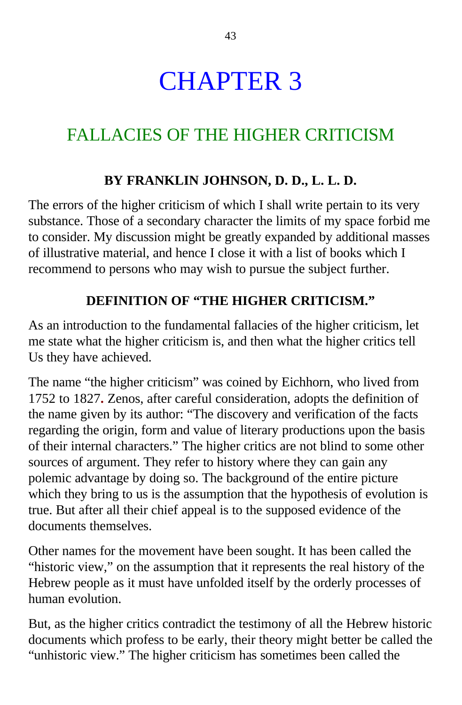# CHAPTER 3

# FALLACIES OF THE HIGHER CRITICISM

# **BY FRANKLIN JOHNSON, D. D., L. L. D.**

The errors of the higher criticism of which I shall write pertain to its very substance. Those of a secondary character the limits of my space forbid me to consider. My discussion might be greatly expanded by additional masses of illustrative material, and hence I close it with a list of books which I recommend to persons who may wish to pursue the subject further.

# **DEFINITION OF "THE HIGHER CRITICISM."**

As an introduction to the fundamental fallacies of the higher criticism, let me state what the higher criticism is, and then what the higher critics tell Us they have achieved.

The name "the higher criticism" was coined by Eichhorn, who lived from 1752 to 1827**.** Zenos, after careful consideration, adopts the definition of the name given by its author: "The discovery and verification of the facts regarding the origin, form and value of literary productions upon the basis of their internal characters." The higher critics are not blind to some other sources of argument. They refer to history where they can gain any polemic advantage by doing so. The background of the entire picture which they bring to us is the assumption that the hypothesis of evolution is true. But after all their chief appeal is to the supposed evidence of the documents themselves.

Other names for the movement have been sought. It has been called the "historic view," on the assumption that it represents the real history of the Hebrew people as it must have unfolded itself by the orderly processes of human evolution.

But, as the higher critics contradict the testimony of all the Hebrew historic documents which profess to be early, their theory might better be called the "unhistoric view." The higher criticism has sometimes been called the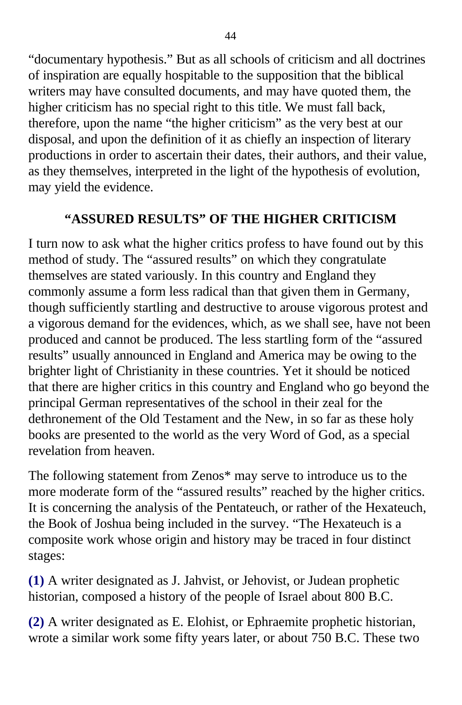"documentary hypothesis." But as all schools of criticism and all doctrines of inspiration are equally hospitable to the supposition that the biblical writers may have consulted documents, and may have quoted them, the higher criticism has no special right to this title. We must fall back, therefore, upon the name "the higher criticism" as the very best at our disposal, and upon the definition of it as chiefly an inspection of literary productions in order to ascertain their dates, their authors, and their value, as they themselves, interpreted in the light of the hypothesis of evolution, may yield the evidence.

# **"ASSURED RESULTS" OF THE HIGHER CRITICISM**

I turn now to ask what the higher critics profess to have found out by this method of study. The "assured results" on which they congratulate themselves are stated variously. In this country and England they commonly assume a form less radical than that given them in Germany, though sufficiently startling and destructive to arouse vigorous protest and a vigorous demand for the evidences, which, as we shall see, have not been produced and cannot be produced. The less startling form of the "assured results" usually announced in England and America may be owing to the brighter light of Christianity in these countries. Yet it should be noticed that there are higher critics in this country and England who go beyond the principal German representatives of the school in their zeal for the dethronement of the Old Testament and the New, in so far as these holy books are presented to the world as the very Word of God, as a special revelation from heaven.

The following statement from Zenos\* may serve to introduce us to the more moderate form of the "assured results" reached by the higher critics. It is concerning the analysis of the Pentateuch, or rather of the Hexateuch, the Book of Joshua being included in the survey. "The Hexateuch is a composite work whose origin and history may be traced in four distinct stages:

**(1)** A writer designated as J. Jahvist, or Jehovist, or Judean prophetic historian, composed a history of the people of Israel about 800 B.C.

**(2)** A writer designated as E. Elohist, or Ephraemite prophetic historian, wrote a similar work some fifty years later, or about 750 B.C. These two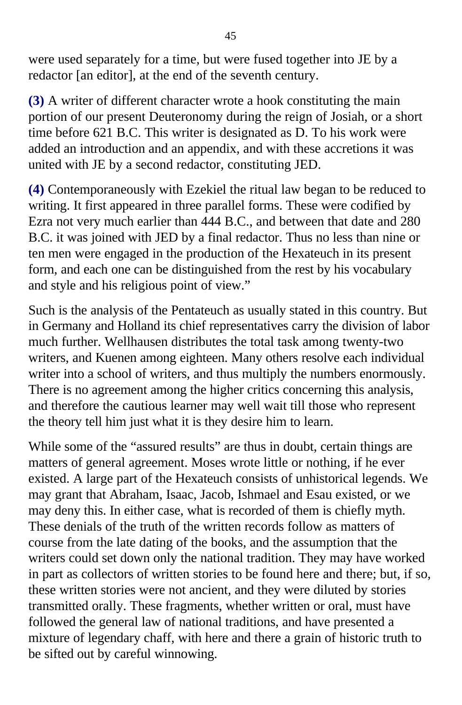were used separately for a time, but were fused together into JE by a redactor [an editor], at the end of the seventh century.

**(3)** A writer of different character wrote a hook constituting the main portion of our present Deuteronomy during the reign of Josiah, or a short time before 621 B.C. This writer is designated as D. To his work were added an introduction and an appendix, and with these accretions it was united with JE by a second redactor, constituting JED.

**(4)** Contemporaneously with Ezekiel the ritual law began to be reduced to writing. It first appeared in three parallel forms. These were codified by Ezra not very much earlier than 444 B.C., and between that date and 280 B.C. it was joined with JED by a final redactor. Thus no less than nine or ten men were engaged in the production of the Hexateuch in its present form, and each one can be distinguished from the rest by his vocabulary and style and his religious point of view."

Such is the analysis of the Pentateuch as usually stated in this country. But in Germany and Holland its chief representatives carry the division of labor much further. Wellhausen distributes the total task among twenty-two writers, and Kuenen among eighteen. Many others resolve each individual writer into a school of writers, and thus multiply the numbers enormously. There is no agreement among the higher critics concerning this analysis, and therefore the cautious learner may well wait till those who represent the theory tell him just what it is they desire him to learn.

While some of the "assured results" are thus in doubt, certain things are matters of general agreement. Moses wrote little or nothing, if he ever existed. A large part of the Hexateuch consists of unhistorical legends. We may grant that Abraham, Isaac, Jacob, Ishmael and Esau existed, or we may deny this. In either case, what is recorded of them is chiefly myth. These denials of the truth of the written records follow as matters of course from the late dating of the books, and the assumption that the writers could set down only the national tradition. They may have worked in part as collectors of written stories to be found here and there; but, if so, these written stories were not ancient, and they were diluted by stories transmitted orally. These fragments, whether written or oral, must have followed the general law of national traditions, and have presented a mixture of legendary chaff, with here and there a grain of historic truth to be sifted out by careful winnowing.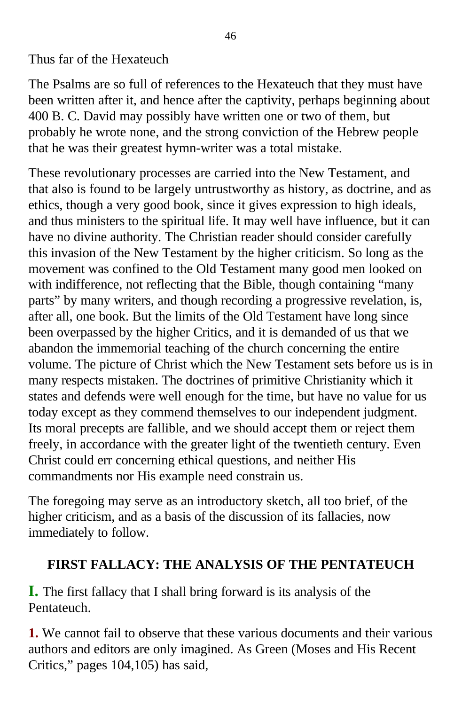Thus far of the Hexateuch

The Psalms are so full of references to the Hexateuch that they must have been written after it, and hence after the captivity, perhaps beginning about 400 B. C. David may possibly have written one or two of them, but probably he wrote none, and the strong conviction of the Hebrew people that he was their greatest hymn-writer was a total mistake.

These revolutionary processes are carried into the New Testament, and that also is found to be largely untrustworthy as history, as doctrine, and as ethics, though a very good book, since it gives expression to high ideals, and thus ministers to the spiritual life. It may well have influence, but it can have no divine authority. The Christian reader should consider carefully this invasion of the New Testament by the higher criticism. So long as the movement was confined to the Old Testament many good men looked on with indifference, not reflecting that the Bible, though containing "many" parts" by many writers, and though recording a progressive revelation, is, after all, one book. But the limits of the Old Testament have long since been overpassed by the higher Critics, and it is demanded of us that we abandon the immemorial teaching of the church concerning the entire volume. The picture of Christ which the New Testament sets before us is in many respects mistaken. The doctrines of primitive Christianity which it states and defends were well enough for the time, but have no value for us today except as they commend themselves to our independent judgment. Its moral precepts are fallible, and we should accept them or reject them freely, in accordance with the greater light of the twentieth century. Even Christ could err concerning ethical questions, and neither His commandments nor His example need constrain us.

The foregoing may serve as an introductory sketch, all too brief, of the higher criticism, and as a basis of the discussion of its fallacies, now immediately to follow.

# **FIRST FALLACY: THE ANALYSIS OF THE PENTATEUCH**

**I.** The first fallacy that I shall bring forward is its analysis of the Pentateuch.

**1.** We cannot fail to observe that these various documents and their various authors and editors are only imagined. As Green (Moses and His Recent Critics," pages 104,105) has said,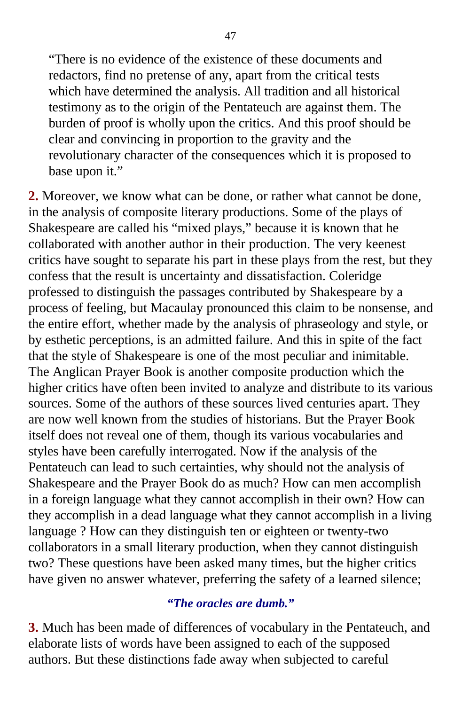<span id="page-46-0"></span>"There is no evidence of the existence of these documents and redactors, find no pretense of any, apart from the critical tests which have determined the analysis. All tradition and all historical testimony as to the origin of the Pentateuch are against them. The burden of proof is wholly upon the critics. And this proof should be clear and convincing in proportion to the gravity and the revolutionary character of the consequences which it is proposed to base upon it."

**2.** Moreover, we know what can be done, or rather what cannot be done, in the analysis of composite literary productions. Some of the plays of Shakespeare are called his "mixed plays," because it is known that he collaborated with another author in their production. The very keenest critics have sought to separate his part in these plays from the rest, but they confess that the result is uncertainty and dissatisfaction. Coleridge professed to distinguish the passages contributed by Shakespeare by a process of feeling, but Macaulay pronounced this claim to be nonsense, and the entire effort, whether made by the analysis of phraseology and style, or by esthetic perceptions, is an admitted failure. And this in spite of the fact that the style of Shakespeare is one of the most peculiar and inimitable. The Anglican Prayer Book is another composite production which the higher critics have often been invited to analyze and distribute to its various sources. Some of the authors of these sources lived centuries apart. They are now well known from the studies of historians. But the Prayer Book itself does not reveal one of them, though its various vocabularies and styles have been carefully interrogated. Now if the analysis of the Pentateuch can lead to such certainties, why should not the analysis of Shakespeare and the Prayer Book do as much? How can men accomplish in a foreign language what they cannot accomplish in their own? How can they accomplish in a dead language what they cannot accomplish in a living language ? How can they distinguish ten or eighteen or twenty-two collaborators in a small literary production, when they cannot distinguish two? These questions have been asked many times, but the higher critics have given no answer whatever, preferring the safety of a learned silence;

### *"The oracles are dumb."*

**3.** Much has been made of differences of vocabulary in the Pentateuch, and elaborate lists of words have been assigned to each of the supposed authors. But these distinctions fade away when subjected to careful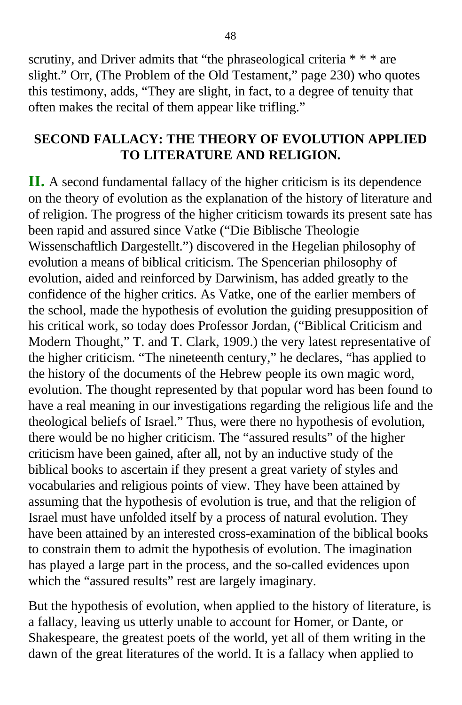scrutiny, and Driver admits that "the phraseological criteria \* \* \* are slight." Orr, (The Problem of the Old Testament," page 230) who quotes this testimony, adds, "They are slight, in fact, to a degree of tenuity that often makes the recital of them appear like trifling."

# **SECOND FALLACY: THE THEORY OF EVOLUTION APPLIED TO LITERATURE AND RELIGION.**

**II.** A second fundamental fallacy of the higher criticism is its dependence on the theory of evolution as the explanation of the history of literature and of religion. The progress of the higher criticism towards its present sate has been rapid and assured since Vatke ("Die Biblische Theologie Wissenschaftlich Dargestellt.") discovered in the Hegelian philosophy of evolution a means of biblical criticism. The Spencerian philosophy of evolution, aided and reinforced by Darwinism, has added greatly to the confidence of the higher critics. As Vatke, one of the earlier members of the school, made the hypothesis of evolution the guiding presupposition of his critical work, so today does Professor Jordan, ("Biblical Criticism and Modern Thought," T. and T. Clark, 1909.) the very latest representative of the higher criticism. "The nineteenth century," he declares, "has applied to the history of the documents of the Hebrew people its own magic word, evolution. The thought represented by that popular word has been found to have a real meaning in our investigations regarding the religious life and the theological beliefs of Israel." Thus, were there no hypothesis of evolution, there would be no higher criticism. The "assured results" of the higher criticism have been gained, after all, not by an inductive study of the biblical books to ascertain if they present a great variety of styles and vocabularies and religious points of view. They have been attained by assuming that the hypothesis of evolution is true, and that the religion of Israel must have unfolded itself by a process of natural evolution. They have been attained by an interested cross-examination of the biblical books to constrain them to admit the hypothesis of evolution. The imagination has played a large part in the process, and the so-called evidences upon which the "assured results" rest are largely imaginary.

But the hypothesis of evolution, when applied to the history of literature, is a fallacy, leaving us utterly unable to account for Homer, or Dante, or Shakespeare, the greatest poets of the world, yet all of them writing in the dawn of the great literatures of the world. It is a fallacy when applied to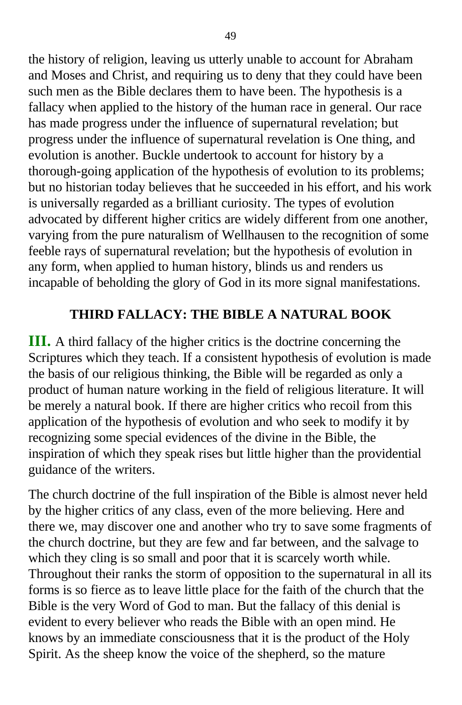the history of religion, leaving us utterly unable to account for Abraham and Moses and Christ, and requiring us to deny that they could have been such men as the Bible declares them to have been. The hypothesis is a fallacy when applied to the history of the human race in general. Our race has made progress under the influence of supernatural revelation; but progress under the influence of supernatural revelation is One thing, and evolution is another. Buckle undertook to account for history by a thorough-going application of the hypothesis of evolution to its problems; but no historian today believes that he succeeded in his effort, and his work is universally regarded as a brilliant curiosity. The types of evolution advocated by different higher critics are widely different from one another, varying from the pure naturalism of Wellhausen to the recognition of some feeble rays of supernatural revelation; but the hypothesis of evolution in any form, when applied to human history, blinds us and renders us incapable of beholding the glory of God in its more signal manifestations.

### **THIRD FALLACY: THE BIBLE A NATURAL BOOK**

**III.** A third fallacy of the higher critics is the doctrine concerning the Scriptures which they teach. If a consistent hypothesis of evolution is made the basis of our religious thinking, the Bible will be regarded as only a product of human nature working in the field of religious literature. It will be merely a natural book. If there are higher critics who recoil from this application of the hypothesis of evolution and who seek to modify it by recognizing some special evidences of the divine in the Bible, the inspiration of which they speak rises but little higher than the providential guidance of the writers.

The church doctrine of the full inspiration of the Bible is almost never held by the higher critics of any class, even of the more believing. Here and there we, may discover one and another who try to save some fragments of the church doctrine, but they are few and far between, and the salvage to which they cling is so small and poor that it is scarcely worth while. Throughout their ranks the storm of opposition to the supernatural in all its forms is so fierce as to leave little place for the faith of the church that the Bible is the very Word of God to man. But the fallacy of this denial is evident to every believer who reads the Bible with an open mind. He knows by an immediate consciousness that it is the product of the Holy Spirit. As the sheep know the voice of the shepherd, so the mature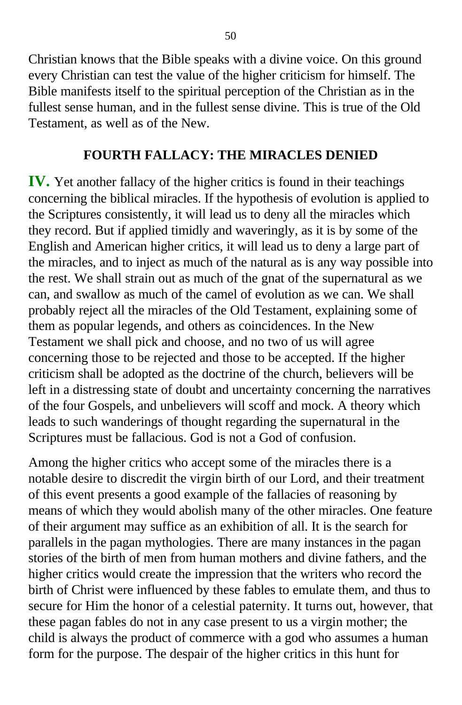Christian knows that the Bible speaks with a divine voice. On this ground every Christian can test the value of the higher criticism for himself. The Bible manifests itself to the spiritual perception of the Christian as in the fullest sense human, and in the fullest sense divine. This is true of the Old Testament, as well as of the New.

### **FOURTH FALLACY: THE MIRACLES DENIED**

**IV.** Yet another fallacy of the higher critics is found in their teachings concerning the biblical miracles. If the hypothesis of evolution is applied to the Scriptures consistently, it will lead us to deny all the miracles which they record. But if applied timidly and waveringly, as it is by some of the English and American higher critics, it will lead us to deny a large part of the miracles, and to inject as much of the natural as is any way possible into the rest. We shall strain out as much of the gnat of the supernatural as we can, and swallow as much of the camel of evolution as we can. We shall probably reject all the miracles of the Old Testament, explaining some of them as popular legends, and others as coincidences. In the New Testament we shall pick and choose, and no two of us will agree concerning those to be rejected and those to be accepted. If the higher criticism shall be adopted as the doctrine of the church, believers will be left in a distressing state of doubt and uncertainty concerning the narratives of the four Gospels, and unbelievers will scoff and mock. A theory which leads to such wanderings of thought regarding the supernatural in the Scriptures must be fallacious. God is not a God of confusion.

Among the higher critics who accept some of the miracles there is a notable desire to discredit the virgin birth of our Lord, and their treatment of this event presents a good example of the fallacies of reasoning by means of which they would abolish many of the other miracles. One feature of their argument may suffice as an exhibition of all. It is the search for parallels in the pagan mythologies. There are many instances in the pagan stories of the birth of men from human mothers and divine fathers, and the higher critics would create the impression that the writers who record the birth of Christ were influenced by these fables to emulate them, and thus to secure for Him the honor of a celestial paternity. It turns out, however, that these pagan fables do not in any case present to us a virgin mother; the child is always the product of commerce with a god who assumes a human form for the purpose. The despair of the higher critics in this hunt for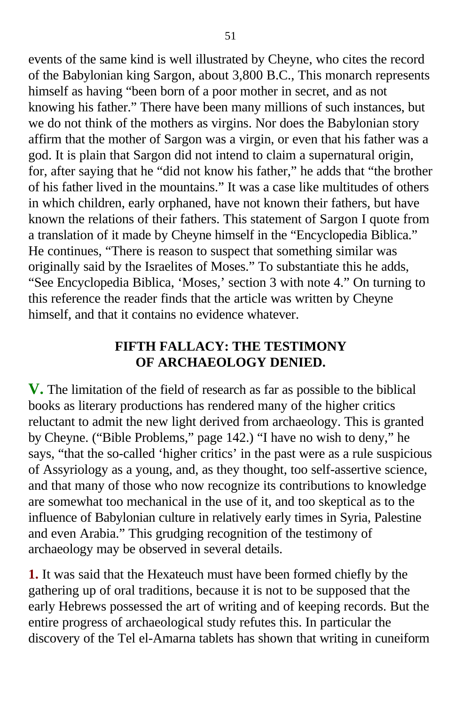events of the same kind is well illustrated by Cheyne, who cites the record of the Babylonian king Sargon, about 3,800 B.C., This monarch represents himself as having "been born of a poor mother in secret, and as not knowing his father." There have been many millions of such instances, but we do not think of the mothers as virgins. Nor does the Babylonian story affirm that the mother of Sargon was a virgin, or even that his father was a god. It is plain that Sargon did not intend to claim a supernatural origin, for, after saying that he "did not know his father," he adds that "the brother of his father lived in the mountains." It was a case like multitudes of others in which children, early orphaned, have not known their fathers, but have known the relations of their fathers. This statement of Sargon I quote from a translation of it made by Cheyne himself in the "Encyclopedia Biblica." He continues, "There is reason to suspect that something similar was originally said by the Israelites of Moses." To substantiate this he adds, "See Encyclopedia Biblica, 'Moses,' section 3 with note 4." On turning to this reference the reader finds that the article was written by Cheyne himself, and that it contains no evidence whatever.

# **FIFTH FALLACY: THE TESTIMONY OF ARCHAEOLOGY DENIED.**

**V.** The limitation of the field of research as far as possible to the biblical books as literary productions has rendered many of the higher critics reluctant to admit the new light derived from archaeology. This is granted by Cheyne. ("Bible Problems," page 142.) "I have no wish to deny," he says, "that the so-called 'higher critics' in the past were as a rule suspicious of Assyriology as a young, and, as they thought, too self-assertive science, and that many of those who now recognize its contributions to knowledge are somewhat too mechanical in the use of it, and too skeptical as to the influence of Babylonian culture in relatively early times in Syria, Palestine and even Arabia." This grudging recognition of the testimony of archaeology may be observed in several details.

**1.** It was said that the Hexateuch must have been formed chiefly by the gathering up of oral traditions, because it is not to be supposed that the early Hebrews possessed the art of writing and of keeping records. But the entire progress of archaeological study refutes this. In particular the discovery of the Tel el-Amarna tablets has shown that writing in cuneiform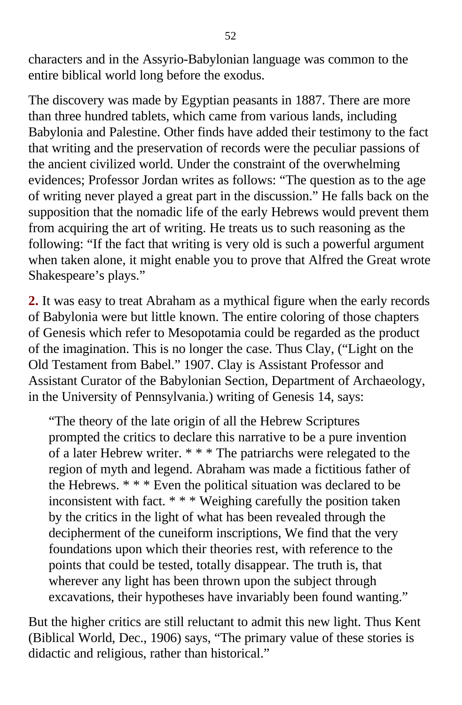characters and in the Assyrio-Babylonian language was common to the entire biblical world long before the exodus.

The discovery was made by Egyptian peasants in 1887. There are more than three hundred tablets, which came from various lands, including Babylonia and Palestine. Other finds have added their testimony to the fact that writing and the preservation of records were the peculiar passions of the ancient civilized world. Under the constraint of the overwhelming evidences; Professor Jordan writes as follows: "The question as to the age of writing never played a great part in the discussion." He falls back on the supposition that the nomadic life of the early Hebrews would prevent them from acquiring the art of writing. He treats us to such reasoning as the following: "If the fact that writing is very old is such a powerful argument when taken alone, it might enable you to prove that Alfred the Great wrote Shakespeare's plays."

**2.** It was easy to treat Abraham as a mythical figure when the early records of Babylonia were but little known. The entire coloring of those chapters of Genesis which refer to Mesopotamia could be regarded as the product of the imagination. This is no longer the case. Thus Clay, ("Light on the Old Testament from Babel." 1907. Clay is Assistant Professor and Assistant Curator of the Babylonian Section, Department of Archaeology, in the University of Pennsylvania.) writing of Genesis 14, says:

"The theory of the late origin of all the Hebrew Scriptures prompted the critics to declare this narrative to be a pure invention of a later Hebrew writer. \* \* \* The patriarchs were relegated to the region of myth and legend. Abraham was made a fictitious father of the Hebrews. \* \* \* Even the political situation was declared to be inconsistent with fact. \* \* \* Weighing carefully the position taken by the critics in the light of what has been revealed through the decipherment of the cuneiform inscriptions, We find that the very foundations upon which their theories rest, with reference to the points that could be tested, totally disappear. The truth is, that wherever any light has been thrown upon the subject through excavations, their hypotheses have invariably been found wanting."

But the higher critics are still reluctant to admit this new light. Thus Kent (Biblical World, Dec., 1906) says, "The primary value of these stories is didactic and religious, rather than historical."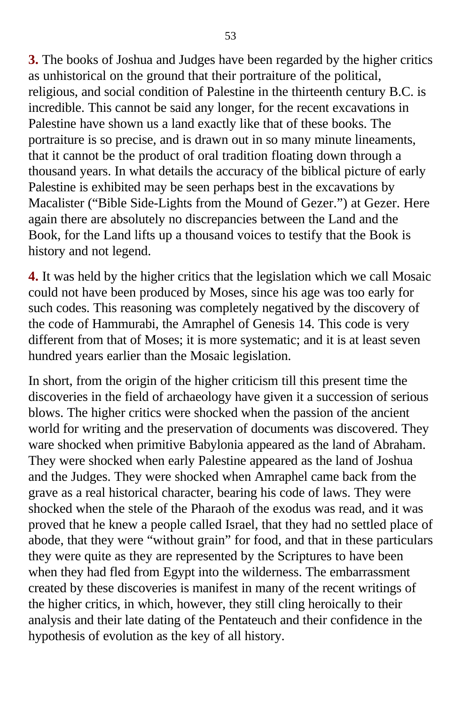**3.** The books of Joshua and Judges have been regarded by the higher critics as unhistorical on the ground that their portraiture of the political, religious, and social condition of Palestine in the thirteenth century B.C. is incredible. This cannot be said any longer, for the recent excavations in Palestine have shown us a land exactly like that of these books. The portraiture is so precise, and is drawn out in so many minute lineaments, that it cannot be the product of oral tradition floating down through a thousand years. In what details the accuracy of the biblical picture of early Palestine is exhibited may be seen perhaps best in the excavations by Macalister ("Bible Side-Lights from the Mound of Gezer.") at Gezer. Here again there are absolutely no discrepancies between the Land and the Book, for the Land lifts up a thousand voices to testify that the Book is history and not legend.

**4.** It was held by the higher critics that the legislation which we call Mosaic could not have been produced by Moses, since his age was too early for such codes. This reasoning was completely negatived by the discovery of the code of Hammurabi, the Amraphel of Genesis 14. This code is very different from that of Moses; it is more systematic; and it is at least seven hundred years earlier than the Mosaic legislation.

In short, from the origin of the higher criticism till this present time the discoveries in the field of archaeology have given it a succession of serious blows. The higher critics were shocked when the passion of the ancient world for writing and the preservation of documents was discovered. They ware shocked when primitive Babylonia appeared as the land of Abraham. They were shocked when early Palestine appeared as the land of Joshua and the Judges. They were shocked when Amraphel came back from the grave as a real historical character, bearing his code of laws. They were shocked when the stele of the Pharaoh of the exodus was read, and it was proved that he knew a people called Israel, that they had no settled place of abode, that they were "without grain" for food, and that in these particulars they were quite as they are represented by the Scriptures to have been when they had fled from Egypt into the wilderness. The embarrassment created by these discoveries is manifest in many of the recent writings of the higher critics, in which, however, they still cling heroically to their analysis and their late dating of the Pentateuch and their confidence in the hypothesis of evolution as the key of all history.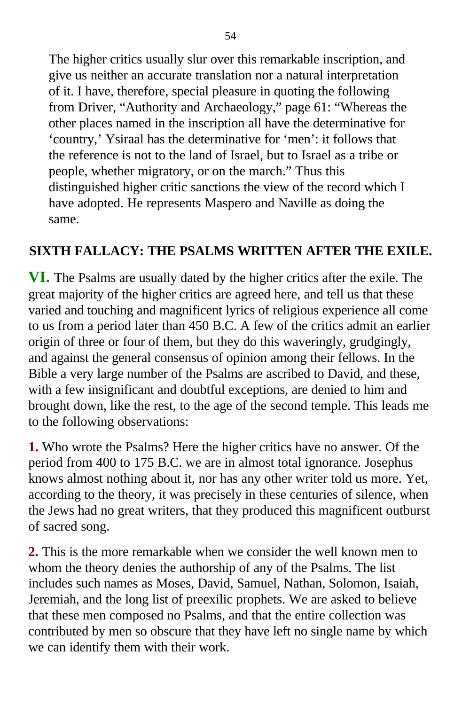The higher critics usually slur over this remarkable inscription, and give us neither an accurate translation nor a natural interpretation of it. I have, therefore, special pleasure in quoting the following from Driver, "Authority and Archaeology," page 61: "Whereas the other places named in the inscription all have the determinative for 'country,' Ysiraal has the determinative for 'men': it follows that the reference is not to the land of Israel, but to Israel as a tribe or people, whether migratory, or on the march." Thus this distinguished higher critic sanctions the view of the record which I have adopted. He represents Maspero and Naville as doing the same.

# **SIXTH FALLACY: THE PSALMS WRITTEN AFTER THE EXILE.**

**VI.** The Psalms are usually dated by the higher critics after the exile. The great majority of the higher critics are agreed here, and tell us that these varied and touching and magnificent lyrics of religious experience all come to us from a period later than 450 B.C. A few of the critics admit an earlier origin of three or four of them, but they do this waveringly, grudgingly, and against the general consensus of opinion among their fellows. In the Bible a very large number of the Psalms are ascribed to David, and these, with a few insignificant and doubtful exceptions, are denied to him and brought down, like the rest, to the age of the second temple. This leads me to the following observations:

**1.** Who wrote the Psalms? Here the higher critics have no answer. Of the period from 400 to 175 B.C. we are in almost total ignorance. Josephus knows almost nothing about it, nor has any other writer told us more. Yet, according to the theory, it was precisely in these centuries of silence, when the Jews had no great writers, that they produced this magnificent outburst of sacred song.

**2.** This is the more remarkable when we consider the well known men to whom the theory denies the authorship of any of the Psalms. The list includes such names as Moses, David, Samuel, Nathan, Solomon, Isaiah, Jeremiah, and the long list of preexilic prophets. We are asked to believe that these men composed no Psalms, and that the entire collection was contributed by men so obscure that they have left no single name by which we can identify them with their work.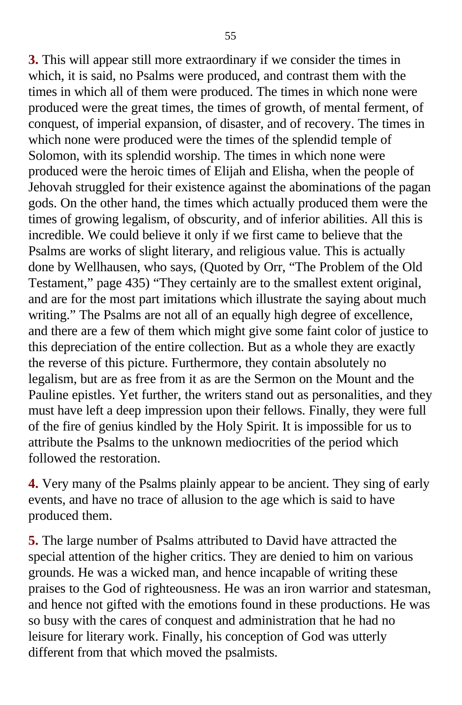**3.** This will appear still more extraordinary if we consider the times in which, it is said, no Psalms were produced, and contrast them with the times in which all of them were produced. The times in which none were produced were the great times, the times of growth, of mental ferment, of conquest, of imperial expansion, of disaster, and of recovery. The times in which none were produced were the times of the splendid temple of Solomon, with its splendid worship. The times in which none were produced were the heroic times of Elijah and Elisha, when the people of Jehovah struggled for their existence against the abominations of the pagan gods. On the other hand, the times which actually produced them were the times of growing legalism, of obscurity, and of inferior abilities. All this is incredible. We could believe it only if we first came to believe that the Psalms are works of slight literary, and religious value. This is actually done by Wellhausen, who says, (Quoted by Orr, "The Problem of the Old Testament," page 435) "They certainly are to the smallest extent original, and are for the most part imitations which illustrate the saying about much writing." The Psalms are not all of an equally high degree of excellence, and there are a few of them which might give some faint color of justice to this depreciation of the entire collection. But as a whole they are exactly the reverse of this picture. Furthermore, they contain absolutely no legalism, but are as free from it as are the Sermon on the Mount and the Pauline epistles. Yet further, the writers stand out as personalities, and they must have left a deep impression upon their fellows. Finally, they were full of the fire of genius kindled by the Holy Spirit. It is impossible for us to attribute the Psalms to the unknown mediocrities of the period which followed the restoration.

**4.** Very many of the Psalms plainly appear to be ancient. They sing of early events, and have no trace of allusion to the age which is said to have produced them.

**5.** The large number of Psalms attributed to David have attracted the special attention of the higher critics. They are denied to him on various grounds. He was a wicked man, and hence incapable of writing these praises to the God of righteousness. He was an iron warrior and statesman, and hence not gifted with the emotions found in these productions. He was so busy with the cares of conquest and administration that he had no leisure for literary work. Finally, his conception of God was utterly different from that which moved the psalmists.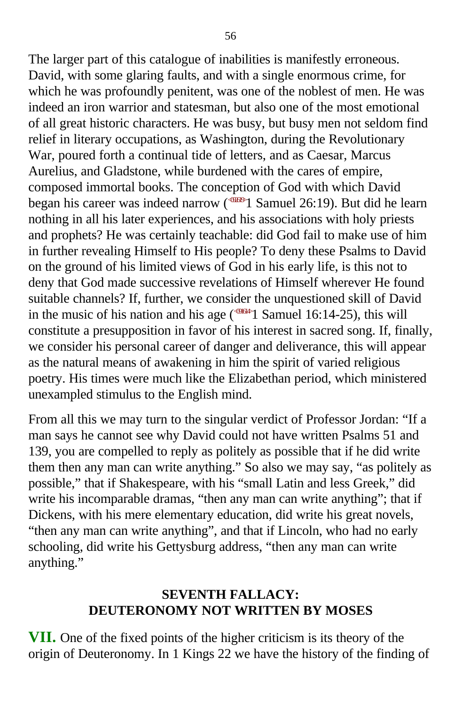The larger part of this catalogue of inabilities is manifestly erroneous. David, with some glaring faults, and with a single enormous crime, for which he was profoundly penitent, was one of the noblest of men. He was indeed an iron warrior and statesman, but also one of the most emotional of all great historic characters. He was busy, but busy men not seldom find relief in literary occupations, as Washington, during the Revolutionary War, poured forth a continual tide of letters, and as Caesar, Marcus Aurelius, and Gladstone, while burdened with the cares of empire, composed immortal books. The conception of God with which David began his career was indeed narrow ( $\frac{4000}{2}$  Samuel 26:19). But did he learn nothing in all his later experiences, and his associations with holy priests and prophets? He was certainly teachable: did God fail to make use of him in further revealing Himself to His people? To deny these Psalms to David on the ground of his limited views of God in his early life, is this not to deny that God made successive revelations of Himself wherever He found suitable channels? If, further, we consider the unquestioned skill of David in the music of his nation and his age  $(4064)$  Samuel 16:14-25), this will constitute a presupposition in favor of his interest in sacred song. If, finally, we consider his personal career of danger and deliverance, this will appear as the natural means of awakening in him the spirit of varied religious poetry. His times were much like the Elizabethan period, which ministered unexampled stimulus to the English mind.

From all this we may turn to the singular verdict of Professor Jordan: "If a man says he cannot see why David could not have written Psalms 51 and 139, you are compelled to reply as politely as possible that if he did write them then any man can write anything." So also we may say, "as politely as possible," that if Shakespeare, with his "small Latin and less Greek," did write his incomparable dramas, "then any man can write anything"; that if Dickens, with his mere elementary education, did write his great novels, "then any man can write anything", and that if Lincoln, who had no early schooling, did write his Gettysburg address, "then any man can write anything."

### **SEVENTH FALLACY: DEUTERONOMY NOT WRITTEN BY MOSES**

**VII.** One of the fixed points of the higher criticism is its theory of the origin of Deuteronomy. In 1 Kings 22 we have the history of the finding of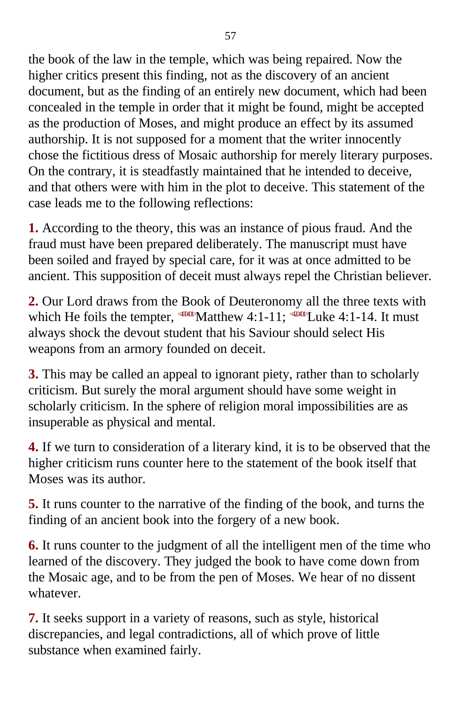the book of the law in the temple, which was being repaired. Now the higher critics present this finding, not as the discovery of an ancient document, but as the finding of an entirely new document, which had been concealed in the temple in order that it might be found, might be accepted as the production of Moses, and might produce an effect by its assumed authorship. It is not supposed for a moment that the writer innocently chose the fictitious dress of Mosaic authorship for merely literary purposes. On the contrary, it is steadfastly maintained that he intended to deceive, and that others were with him in the plot to deceive. This statement of the case leads me to the following reflections:

**1.** According to the theory, this was an instance of pious fraud. And the fraud must have been prepared deliberately. The manuscript must have been soiled and frayed by special care, for it was at once admitted to be ancient. This supposition of deceit must always repel the Christian believer.

**2.** Our Lord draws from the Book of Deuteronomy all the three texts with which He foils the tempter,  $400\%$  Matthew 4:1-11;  $400\%$  Luke 4:1-14. It must always shock the devout student that his Saviour should select His weapons from an armory founded on deceit.

**3.** This may be called an appeal to ignorant piety, rather than to scholarly criticism. But surely the moral argument should have some weight in scholarly criticism. In the sphere of religion moral impossibilities are as insuperable as physical and mental.

**4.** If we turn to consideration of a literary kind, it is to be observed that the higher criticism runs counter here to the statement of the book itself that Moses was its author.

**5.** It runs counter to the narrative of the finding of the book, and turns the finding of an ancient book into the forgery of a new book.

**6.** It runs counter to the judgment of all the intelligent men of the time who learned of the discovery. They judged the book to have come down from the Mosaic age, and to be from the pen of Moses. We hear of no dissent whatever.

**7.** It seeks support in a variety of reasons, such as style, historical discrepancies, and legal contradictions, all of which prove of little substance when examined fairly.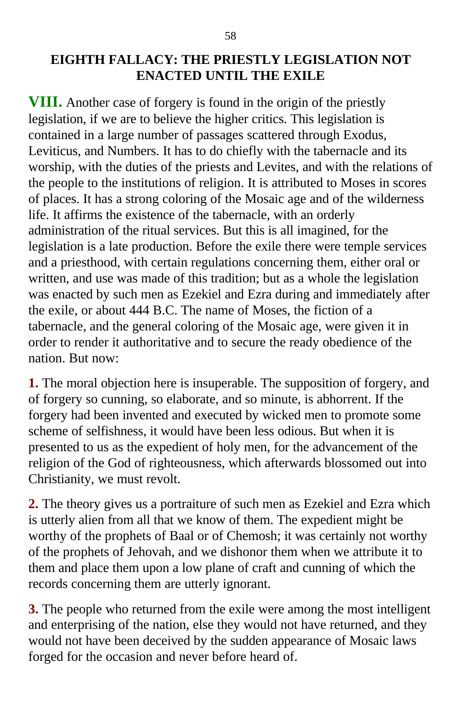# **EIGHTH FALLACY: THE PRIESTLY LEGISLATION NOT ENACTED UNTIL THE EXILE**

**VIII.** Another case of forgery is found in the origin of the priestly legislation, if we are to believe the higher critics. This legislation is contained in a large number of passages scattered through Exodus, Leviticus, and Numbers. It has to do chiefly with the tabernacle and its worship, with the duties of the priests and Levites, and with the relations of the people to the institutions of religion. It is attributed to Moses in scores of places. It has a strong coloring of the Mosaic age and of the wilderness life. It affirms the existence of the tabernacle, with an orderly administration of the ritual services. But this is all imagined, for the legislation is a late production. Before the exile there were temple services and a priesthood, with certain regulations concerning them, either oral or written, and use was made of this tradition; but as a whole the legislation was enacted by such men as Ezekiel and Ezra during and immediately after the exile, or about 444 B.C. The name of Moses, the fiction of a tabernacle, and the general coloring of the Mosaic age, were given it in order to render it authoritative and to secure the ready obedience of the nation. But now:

**1.** The moral objection here is insuperable. The supposition of forgery, and of forgery so cunning, so elaborate, and so minute, is abhorrent. If the forgery had been invented and executed by wicked men to promote some scheme of selfishness, it would have been less odious. But when it is presented to us as the expedient of holy men, for the advancement of the religion of the God of righteousness, which afterwards blossomed out into Christianity, we must revolt.

**2.** The theory gives us a portraiture of such men as Ezekiel and Ezra which is utterly alien from all that we know of them. The expedient might be worthy of the prophets of Baal or of Chemosh; it was certainly not worthy of the prophets of Jehovah, and we dishonor them when we attribute it to them and place them upon a low plane of craft and cunning of which the records concerning them are utterly ignorant.

**3.** The people who returned from the exile were among the most intelligent and enterprising of the nation, else they would not have returned, and they would not have been deceived by the sudden appearance of Mosaic laws forged for the occasion and never before heard of.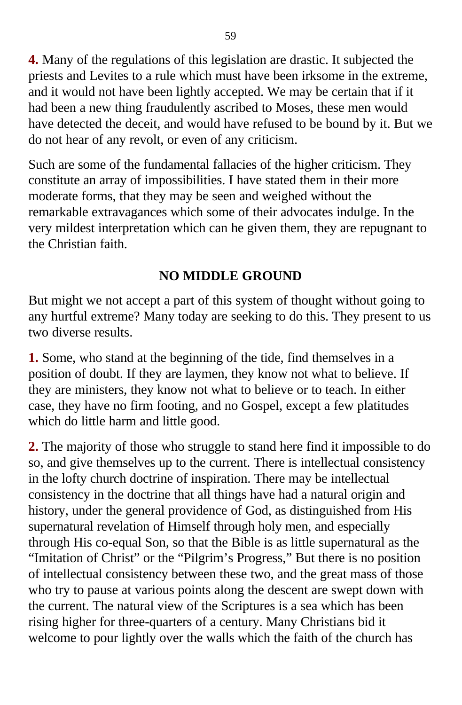**4.** Many of the regulations of this legislation are drastic. It subjected the priests and Levites to a rule which must have been irksome in the extreme, and it would not have been lightly accepted. We may be certain that if it had been a new thing fraudulently ascribed to Moses, these men would have detected the deceit, and would have refused to be bound by it. But we do not hear of any revolt, or even of any criticism.

Such are some of the fundamental fallacies of the higher criticism. They constitute an array of impossibilities. I have stated them in their more moderate forms, that they may be seen and weighed without the remarkable extravagances which some of their advocates indulge. In the very mildest interpretation which can he given them, they are repugnant to the Christian faith.

# **NO MIDDLE GROUND**

But might we not accept a part of this system of thought without going to any hurtful extreme? Many today are seeking to do this. They present to us two diverse results.

**1.** Some, who stand at the beginning of the tide, find themselves in a position of doubt. If they are laymen, they know not what to believe. If they are ministers, they know not what to believe or to teach. In either case, they have no firm footing, and no Gospel, except a few platitudes which do little harm and little good.

**2.** The majority of those who struggle to stand here find it impossible to do so, and give themselves up to the current. There is intellectual consistency in the lofty church doctrine of inspiration. There may be intellectual consistency in the doctrine that all things have had a natural origin and history, under the general providence of God, as distinguished from His supernatural revelation of Himself through holy men, and especially through His co-equal Son, so that the Bible is as little supernatural as the "Imitation of Christ" or the "Pilgrim's Progress," But there is no position of intellectual consistency between these two, and the great mass of those who try to pause at various points along the descent are swept down with the current. The natural view of the Scriptures is a sea which has been rising higher for three-quarters of a century. Many Christians bid it welcome to pour lightly over the walls which the faith of the church has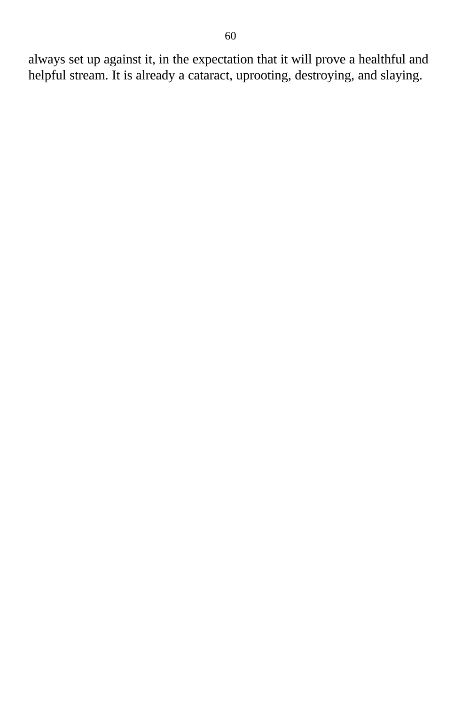<span id="page-59-0"></span>always set up against it, in the expectation that it will prove a healthful and helpful stream. It is already a cataract, uprooting, destroying, and slaying.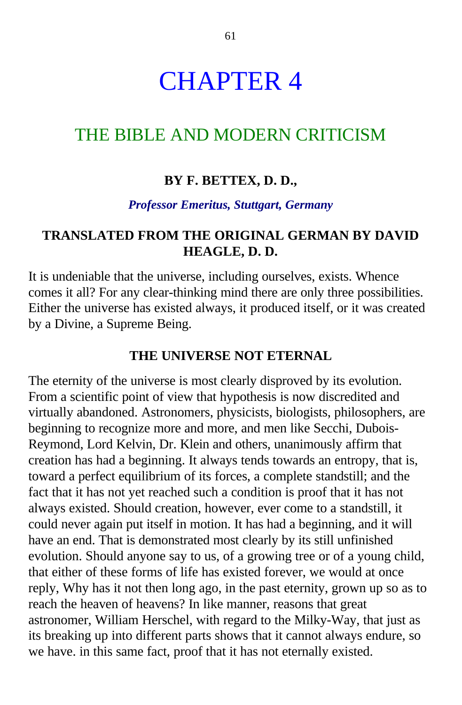# CHAPTER 4

# THE BIBLE AND MODERN CRITICISM

### **BY F. BETTEX, D. D.,**

### *Professor Emeritus, Stuttgart, Germany*

# **TRANSLATED FROM THE ORIGINAL GERMAN BY DAVID HEAGLE, D. D.**

It is undeniable that the universe, including ourselves, exists. Whence comes it all? For any clear-thinking mind there are only three possibilities. Either the universe has existed always, it produced itself, or it was created by a Divine, a Supreme Being.

#### **THE UNIVERSE NOT ETERNAL**

The eternity of the universe is most clearly disproved by its evolution. From a scientific point of view that hypothesis is now discredited and virtually abandoned. Astronomers, physicists, biologists, philosophers, are beginning to recognize more and more, and men like Secchi, Dubois-Reymond, Lord Kelvin, Dr. Klein and others, unanimously affirm that creation has had a beginning. It always tends towards an entropy, that is, toward a perfect equilibrium of its forces, a complete standstill; and the fact that it has not yet reached such a condition is proof that it has not always existed. Should creation, however, ever come to a standstill, it could never again put itself in motion. It has had a beginning, and it will have an end. That is demonstrated most clearly by its still unfinished evolution. Should anyone say to us, of a growing tree or of a young child, that either of these forms of life has existed forever, we would at once reply, Why has it not then long ago, in the past eternity, grown up so as to reach the heaven of heavens? In like manner, reasons that great astronomer, William Herschel, with regard to the Milky-Way, that just as its breaking up into different parts shows that it cannot always endure, so we have. in this same fact, proof that it has not eternally existed.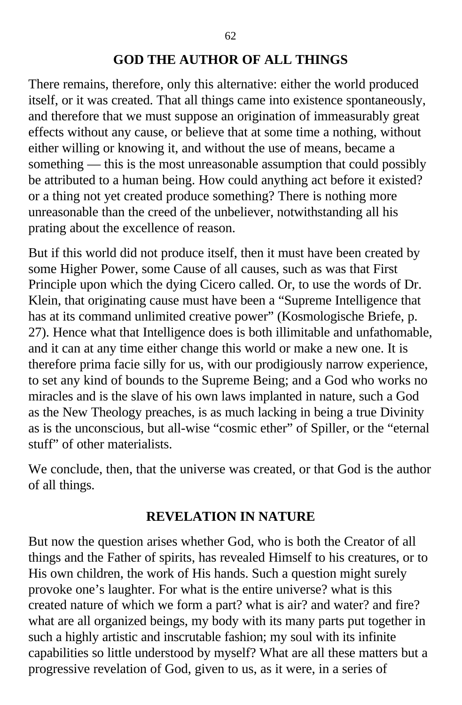There remains, therefore, only this alternative: either the world produced itself, or it was created. That all things came into existence spontaneously, and therefore that we must suppose an origination of immeasurably great effects without any cause, or believe that at some time a nothing, without either willing or knowing it, and without the use of means, became a something — this is the most unreasonable assumption that could possibly be attributed to a human being. How could anything act before it existed? or a thing not yet created produce something? There is nothing more unreasonable than the creed of the unbeliever, notwithstanding all his prating about the excellence of reason.

But if this world did not produce itself, then it must have been created by some Higher Power, some Cause of all causes, such as was that First Principle upon which the dying Cicero called. Or, to use the words of Dr. Klein, that originating cause must have been a "Supreme Intelligence that has at its command unlimited creative power" (Kosmologische Briefe, p. 27). Hence what that Intelligence does is both illimitable and unfathomable, and it can at any time either change this world or make a new one. It is therefore prima facie silly for us, with our prodigiously narrow experience, to set any kind of bounds to the Supreme Being; and a God who works no miracles and is the slave of his own laws implanted in nature, such a God as the New Theology preaches, is as much lacking in being a true Divinity as is the unconscious, but all-wise "cosmic ether" of Spiller, or the "eternal stuff" of other materialists.

We conclude, then, that the universe was created, or that God is the author of all things.

# **REVELATION IN NATURE**

But now the question arises whether God, who is both the Creator of all things and the Father of spirits, has revealed Himself to his creatures, or to His own children, the work of His hands. Such a question might surely provoke one's laughter. For what is the entire universe? what is this created nature of which we form a part? what is air? and water? and fire? what are all organized beings, my body with its many parts put together in such a highly artistic and inscrutable fashion; my soul with its infinite capabilities so little understood by myself? What are all these matters but a progressive revelation of God, given to us, as it were, in a series of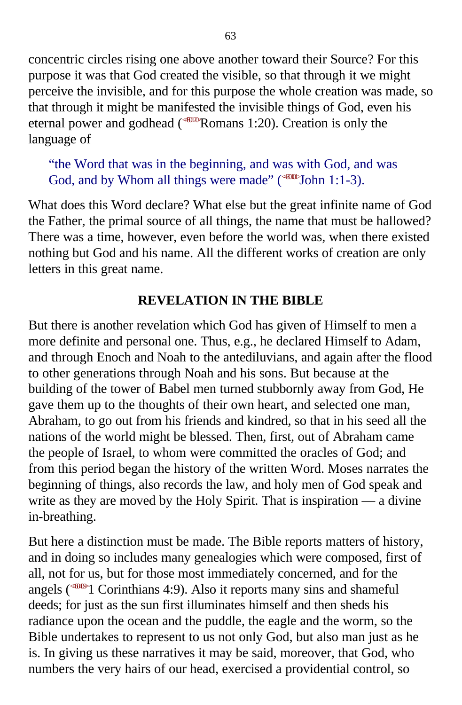concentric circles rising one above another toward their Source? For this purpose it was that God created the visible, so that through it we might perceive the invisible, and for this purpose the whole creation was made, so that through it might be manifested the invisible things of God, even his eternal power and godhead ( $\sqrt{402}$ Romans 1:20). Creation is only the language of

"the Word that was in the beginning, and was with God, and was God, and by Whom all things were made" ( $400\text{D}$ John 1:1-3).

What does this Word declare? What else but the great infinite name of God the Father, the primal source of all things, the name that must be hallowed? There was a time, however, even before the world was, when there existed nothing but God and his name. All the different works of creation are only letters in this great name.

### **REVELATION IN THE BIBLE**

But there is another revelation which God has given of Himself to men a more definite and personal one. Thus, e.g., he declared Himself to Adam, and through Enoch and Noah to the antediluvians, and again after the flood to other generations through Noah and his sons. But because at the building of the tower of Babel men turned stubbornly away from God, He gave them up to the thoughts of their own heart, and selected one man, Abraham, to go out from his friends and kindred, so that in his seed all the nations of the world might be blessed. Then, first, out of Abraham came the people of Israel, to whom were committed the oracles of God; and from this period began the history of the written Word. Moses narrates the beginning of things, also records the law, and holy men of God speak and write as they are moved by the Holy Spirit. That is inspiration — a divine in-breathing.

But here a distinction must be made. The Bible reports matters of history, and in doing so includes many genealogies which were composed, first of all, not for us, but for those most immediately concerned, and for the angels ( $400\frac{1}{2}$  Corinthians 4:9). Also it reports many sins and shameful deeds; for just as the sun first illuminates himself and then sheds his radiance upon the ocean and the puddle, the eagle and the worm, so the Bible undertakes to represent to us not only God, but also man just as he is. In giving us these narratives it may be said, moreover, that God, who numbers the very hairs of our head, exercised a providential control, so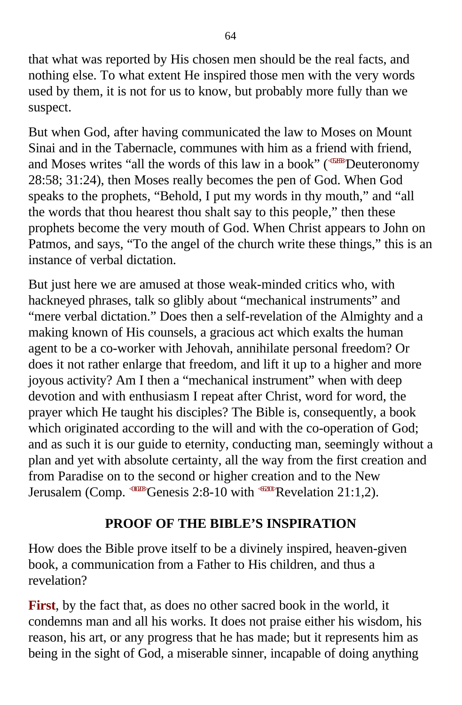that what was reported by His chosen men should be the real facts, and nothing else. To what extent He inspired those men with the very words used by them, it is not for us to know, but probably more fully than we suspect.

But when God, after having communicated the law to Moses on Mount Sinai and in the Tabernacle, communes with him as a friend with friend, and Moses writes "all the words of this law in a book" ( $\frac{4088}{8}$ Deuteronomy 28:58; 31:24), then Moses really becomes the pen of God. When God speaks to the prophets, "Behold, I put my words in thy mouth," and "all the words that thou hearest thou shalt say to this people," then these prophets become the very mouth of God. When Christ appears to John on Patmos, and says, "To the angel of the church write these things," this is an instance of verbal dictation.

But just here we are amused at those weak-minded critics who, with hackneyed phrases, talk so glibly about "mechanical instruments" and "mere verbal dictation." Does then a self-revelation of the Almighty and a making known of His counsels, a gracious act which exalts the human agent to be a co-worker with Jehovah, annihilate personal freedom? Or does it not rather enlarge that freedom, and lift it up to a higher and more joyous activity? Am I then a "mechanical instrument" when with deep devotion and with enthusiasm I repeat after Christ, word for word, the prayer which He taught his disciples? The Bible is, consequently, a book which originated according to the will and with the co-operation of God; and as such it is our guide to eternity, conducting man, seemingly without a plan and yet with absolute certainty, all the way from the first creation and from Paradise on to the second or higher creation and to the New Jerusalem (Comp.  $\sqrt{0.0028}$ Genesis 2:8-10 with  $\sqrt{6.0028}$ Revelation 21:1,2).

# **PROOF OF THE BIBLE'S INSPIRATION**

How does the Bible prove itself to be a divinely inspired, heaven-given book, a communication from a Father to His children, and thus a revelation?

**First**, by the fact that, as does no other sacred book in the world, it condemns man and all his works. It does not praise either his wisdom, his reason, his art, or any progress that he has made; but it represents him as being in the sight of God, a miserable sinner, incapable of doing anything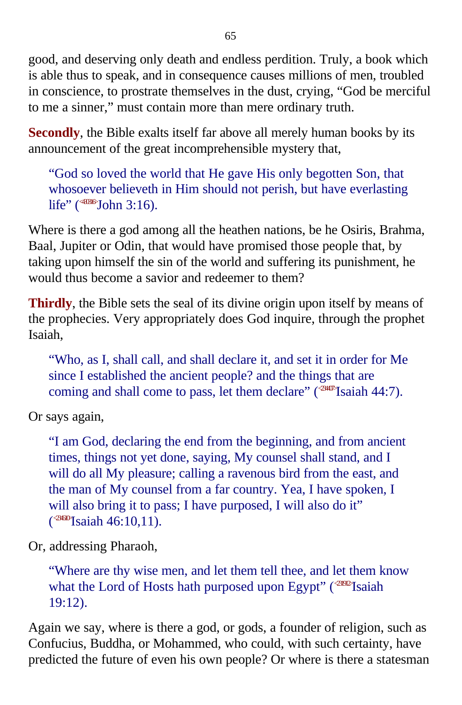good, and deserving only death and endless perdition. Truly, a book which is able thus to speak, and in consequence causes millions of men, troubled in conscience, to prostrate themselves in the dust, crying, "God be merciful to me a sinner," must contain more than mere ordinary truth.

**Secondly**, the Bible exalts itself far above all merely human books by its announcement of the great incomprehensible mystery that,

"God so loved the world that He gave His only begotten Son, that whosoever believeth in Him should not perish, but have everlasting life" ( $48816$ John 3:16).

Where is there a god among all the heathen nations, be he Osiris, Brahma, Baal, Jupiter or Odin, that would have promised those people that, by taking upon himself the sin of the world and suffering its punishment, he would thus become a savior and redeemer to them?

**Thirdly**, the Bible sets the seal of its divine origin upon itself by means of the prophecies. Very appropriately does God inquire, through the prophet Isaiah,

"Who, as I, shall call, and shall declare it, and set it in order for Me since I established the ancient people? and the things that are coming and shall come to pass, let them declare" ( $\alpha$ <sup>340</sup>Isaiah 44:7).

Or says again,

"I am God, declaring the end from the beginning, and from ancient times, things not yet done, saying, My counsel shall stand, and I will do all My pleasure; calling a ravenous bird from the east, and the man of My counsel from a far country. Yea, I have spoken, I will also bring it to pass; I have purposed, I will also do it"  $\left( \frac{2860}{15a^2}$ Isaiah 46:10,11).

Or, addressing Pharaoh,

"Where are thy wise men, and let them tell thee, and let them know what the Lord of Hosts hath purposed upon Egypt" ( $^{2892}$ Isaiah 19:12).

Again we say, where is there a god, or gods, a founder of religion, such as Confucius, Buddha, or Mohammed, who could, with such certainty, have predicted the future of even his own people? Or where is there a statesman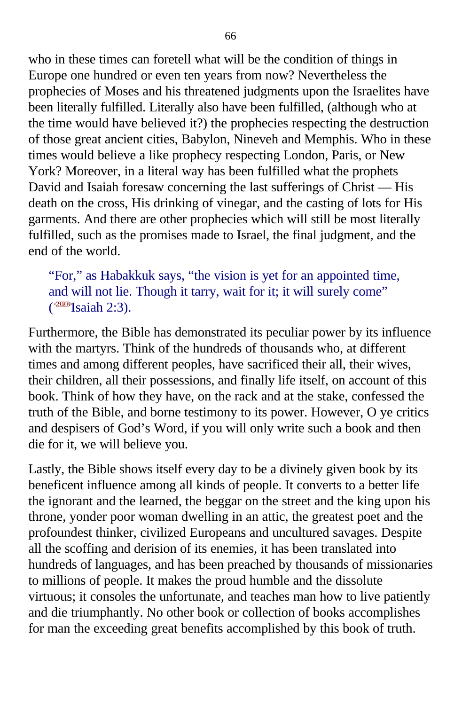who in these times can foretell what will be the condition of things in Europe one hundred or even ten years from now? Nevertheless the prophecies of Moses and his threatened judgments upon the Israelites have been literally fulfilled. Literally also have been fulfilled, (although who at the time would have believed it?) the prophecies respecting the destruction of those great ancient cities, Babylon, Nineveh and Memphis. Who in these times would believe a like prophecy respecting London, Paris, or New York? Moreover, in a literal way has been fulfilled what the prophets David and Isaiah foresaw concerning the last sufferings of Christ — His death on the cross, His drinking of vinegar, and the casting of lots for His garments. And there are other prophecies which will still be most literally fulfilled, such as the promises made to Israel, the final judgment, and the end of the world.

"For," as Habakkuk says, "the vision is yet for an appointed time, and will not lie. Though it tarry, wait for it; it will surely come"  $\left(\frac{2008}{15} \text{Isaiah } 2:3\right)$ .

Furthermore, the Bible has demonstrated its peculiar power by its influence with the martyrs. Think of the hundreds of thousands who, at different times and among different peoples, have sacrificed their all, their wives, their children, all their possessions, and finally life itself, on account of this book. Think of how they have, on the rack and at the stake, confessed the truth of the Bible, and borne testimony to its power. However, O ye critics and despisers of God's Word, if you will only write such a book and then die for it, we will believe you.

Lastly, the Bible shows itself every day to be a divinely given book by its beneficent influence among all kinds of people. It converts to a better life the ignorant and the learned, the beggar on the street and the king upon his throne, yonder poor woman dwelling in an attic, the greatest poet and the profoundest thinker, civilized Europeans and uncultured savages. Despite all the scoffing and derision of its enemies, it has been translated into hundreds of languages, and has been preached by thousands of missionaries to millions of people. It makes the proud humble and the dissolute virtuous; it consoles the unfortunate, and teaches man how to live patiently and die triumphantly. No other book or collection of books accomplishes for man the exceeding great benefits accomplished by this book of truth.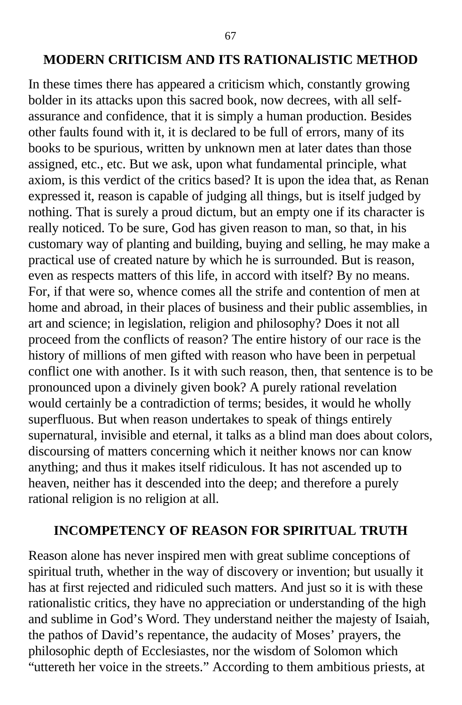### **MODERN CRITICISM AND ITS RATIONALISTIC METHOD**

In these times there has appeared a criticism which, constantly growing bolder in its attacks upon this sacred book, now decrees, with all selfassurance and confidence, that it is simply a human production. Besides other faults found with it, it is declared to be full of errors, many of its books to be spurious, written by unknown men at later dates than those assigned, etc., etc. But we ask, upon what fundamental principle, what axiom, is this verdict of the critics based? It is upon the idea that, as Renan expressed it, reason is capable of judging all things, but is itself judged by nothing. That is surely a proud dictum, but an empty one if its character is really noticed. To be sure, God has given reason to man, so that, in his customary way of planting and building, buying and selling, he may make a practical use of created nature by which he is surrounded. But is reason, even as respects matters of this life, in accord with itself? By no means. For, if that were so, whence comes all the strife and contention of men at home and abroad, in their places of business and their public assemblies, in art and science; in legislation, religion and philosophy? Does it not all proceed from the conflicts of reason? The entire history of our race is the history of millions of men gifted with reason who have been in perpetual conflict one with another. Is it with such reason, then, that sentence is to be pronounced upon a divinely given book? A purely rational revelation would certainly be a contradiction of terms; besides, it would he wholly superfluous. But when reason undertakes to speak of things entirely supernatural, invisible and eternal, it talks as a blind man does about colors, discoursing of matters concerning which it neither knows nor can know anything; and thus it makes itself ridiculous. It has not ascended up to heaven, neither has it descended into the deep; and therefore a purely rational religion is no religion at all.

### **INCOMPETENCY OF REASON FOR SPIRITUAL TRUTH**

Reason alone has never inspired men with great sublime conceptions of spiritual truth, whether in the way of discovery or invention; but usually it has at first rejected and ridiculed such matters. And just so it is with these rationalistic critics, they have no appreciation or understanding of the high and sublime in God's Word. They understand neither the majesty of Isaiah, the pathos of David's repentance, the audacity of Moses' prayers, the philosophic depth of Ecclesiastes, nor the wisdom of Solomon which "uttereth her voice in the streets." According to them ambitious priests, at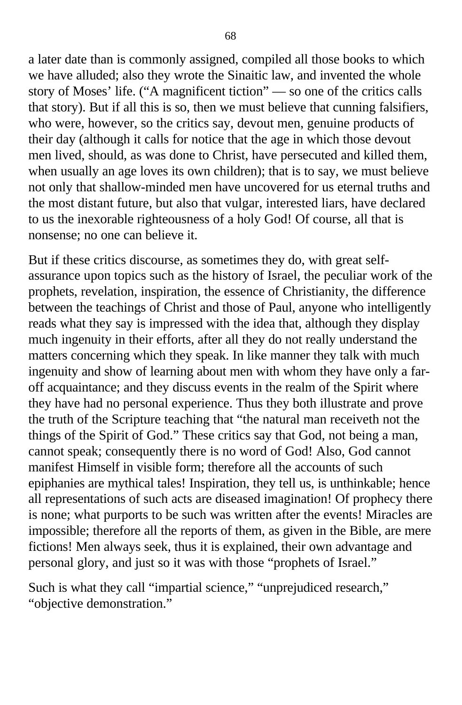a later date than is commonly assigned, compiled all those books to which we have alluded; also they wrote the Sinaitic law, and invented the whole story of Moses' life. ("A magnificent tiction" — so one of the critics calls that story). But if all this is so, then we must believe that cunning falsifiers, who were, however, so the critics say, devout men, genuine products of their day (although it calls for notice that the age in which those devout men lived, should, as was done to Christ, have persecuted and killed them, when usually an age loves its own children); that is to say, we must believe not only that shallow-minded men have uncovered for us eternal truths and the most distant future, but also that vulgar, interested liars, have declared to us the inexorable righteousness of a holy God! Of course, all that is nonsense; no one can believe it.

But if these critics discourse, as sometimes they do, with great selfassurance upon topics such as the history of Israel, the peculiar work of the prophets, revelation, inspiration, the essence of Christianity, the difference between the teachings of Christ and those of Paul, anyone who intelligently reads what they say is impressed with the idea that, although they display much ingenuity in their efforts, after all they do not really understand the matters concerning which they speak. In like manner they talk with much ingenuity and show of learning about men with whom they have only a faroff acquaintance; and they discuss events in the realm of the Spirit where they have had no personal experience. Thus they both illustrate and prove the truth of the Scripture teaching that "the natural man receiveth not the things of the Spirit of God." These critics say that God, not being a man, cannot speak; consequently there is no word of God! Also, God cannot manifest Himself in visible form; therefore all the accounts of such epiphanies are mythical tales! Inspiration, they tell us, is unthinkable; hence all representations of such acts are diseased imagination! Of prophecy there is none; what purports to be such was written after the events! Miracles are impossible; therefore all the reports of them, as given in the Bible, are mere fictions! Men always seek, thus it is explained, their own advantage and personal glory, and just so it was with those "prophets of Israel."

Such is what they call "impartial science," "unprejudiced research," "objective demonstration."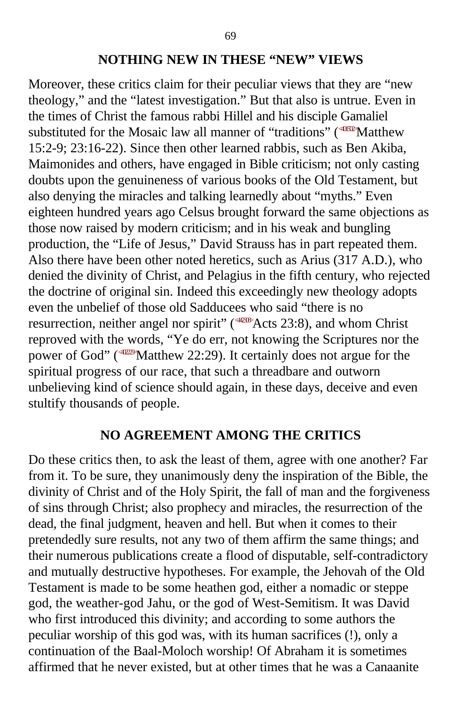### **NOTHING NEW IN THESE "NEW" VIEWS**

Moreover, these critics claim for their peculiar views that they are "new theology," and the "latest investigation." But that also is untrue. Even in the times of Christ the famous rabbi Hillel and his disciple Gamaliel substituted for the Mosaic law all manner of "traditions" (<am>
(<am>
(<am>
(<am>
(<am>
(<am>
(<am>
(<am>
(<am>
(<am>
(<am>
(<am>
(<am>
(<am>
(<am>
(<am>
(<am>
(<am>
(<am>
(<am>
(<am>
(<am>
(<am>
(<am>
(<am>
(<am>
(<am>
(< 15:2-9; 23:16-22). Since then other learned rabbis, such as Ben Akiba, Maimonides and others, have engaged in Bible criticism; not only casting doubts upon the genuineness of various books of the Old Testament, but also denying the miracles and talking learnedly about "myths." Even eighteen hundred years ago Celsus brought forward the same objections as those now raised by modern criticism; and in his weak and bungling production, the "Life of Jesus," David Strauss has in part repeated them. Also there have been other noted heretics, such as Arius (317 A.D.), who denied the divinity of Christ, and Pelagius in the fifth century, who rejected the doctrine of original sin. Indeed this exceedingly new theology adopts even the unbelief of those old Sadducees who said "there is no resurrection, neither angel nor spirit" ( $423$ <sup>6836</sup>Acts 23:8), and whom Christ reproved with the words, "Ye do err, not knowing the Scriptures nor the power of God" ( $4022229$ ). It certainly does not argue for the spiritual progress of our race, that such a threadbare and outworn unbelieving kind of science should again, in these days, deceive and even stultify thousands of people.

### **NO AGREEMENT AMONG THE CRITICS**

Do these critics then, to ask the least of them, agree with one another? Far from it. To be sure, they unanimously deny the inspiration of the Bible, the divinity of Christ and of the Holy Spirit, the fall of man and the forgiveness of sins through Christ; also prophecy and miracles, the resurrection of the dead, the final judgment, heaven and hell. But when it comes to their pretendedly sure results, not any two of them affirm the same things; and their numerous publications create a flood of disputable, self-contradictory and mutually destructive hypotheses. For example, the Jehovah of the Old Testament is made to be some heathen god, either a nomadic or steppe god, the weather-god Jahu, or the god of West-Semitism. It was David who first introduced this divinity; and according to some authors the peculiar worship of this god was, with its human sacrifices (!), only a continuation of the Baal-Moloch worship! Of Abraham it is sometimes affirmed that he never existed, but at other times that he was a Canaanite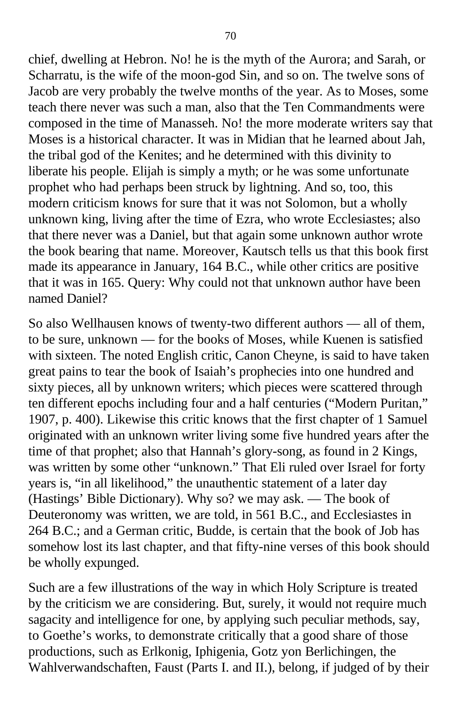chief, dwelling at Hebron. No! he is the myth of the Aurora; and Sarah, or Scharratu, is the wife of the moon-god Sin, and so on. The twelve sons of Jacob are very probably the twelve months of the year. As to Moses, some teach there never was such a man, also that the Ten Commandments were composed in the time of Manasseh. No! the more moderate writers say that Moses is a historical character. It was in Midian that he learned about Jah, the tribal god of the Kenites; and he determined with this divinity to liberate his people. Elijah is simply a myth; or he was some unfortunate prophet who had perhaps been struck by lightning. And so, too, this modern criticism knows for sure that it was not Solomon, but a wholly unknown king, living after the time of Ezra, who wrote Ecclesiastes; also that there never was a Daniel, but that again some unknown author wrote the book bearing that name. Moreover, Kautsch tells us that this book first made its appearance in January, 164 B.C., while other critics are positive that it was in 165. Query: Why could not that unknown author have been named Daniel?

So also Wellhausen knows of twenty-two different authors — all of them, to be sure, unknown — for the books of Moses, while Kuenen is satisfied with sixteen. The noted English critic, Canon Cheyne, is said to have taken great pains to tear the book of Isaiah's prophecies into one hundred and sixty pieces, all by unknown writers; which pieces were scattered through ten different epochs including four and a half centuries ("Modern Puritan," 1907, p. 400). Likewise this critic knows that the first chapter of 1 Samuel originated with an unknown writer living some five hundred years after the time of that prophet; also that Hannah's glory-song, as found in 2 Kings, was written by some other "unknown." That Eli ruled over Israel for forty years is, "in all likelihood," the unauthentic statement of a later day (Hastings' Bible Dictionary). Why so? we may ask. — The book of Deuteronomy was written, we are told, in 561 B.C., and Ecclesiastes in 264 B.C.; and a German critic, Budde, is certain that the book of Job has somehow lost its last chapter, and that fifty-nine verses of this book should be wholly expunged.

Such are a few illustrations of the way in which Holy Scripture is treated by the criticism we are considering. But, surely, it would not require much sagacity and intelligence for one, by applying such peculiar methods, say, to Goethe's works, to demonstrate critically that a good share of those productions, such as Erlkonig, Iphigenia, Gotz yon Berlichingen, the Wahlverwandschaften, Faust (Parts I. and II.), belong, if judged of by their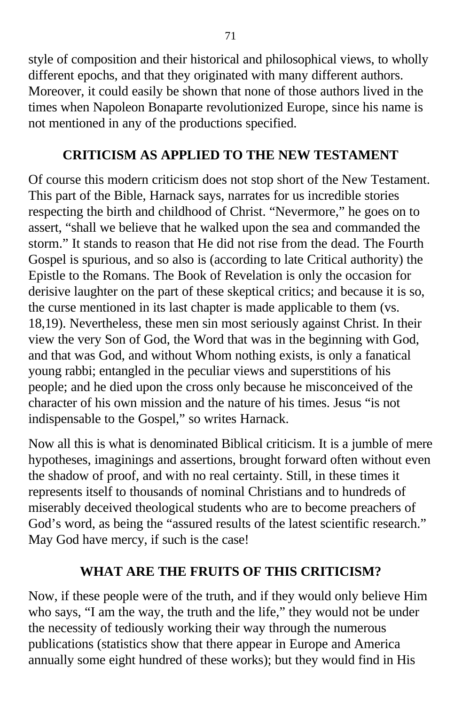style of composition and their historical and philosophical views, to wholly different epochs, and that they originated with many different authors. Moreover, it could easily be shown that none of those authors lived in the times when Napoleon Bonaparte revolutionized Europe, since his name is not mentioned in any of the productions specified.

# **CRITICISM AS APPLIED TO THE NEW TESTAMENT**

Of course this modern criticism does not stop short of the New Testament. This part of the Bible, Harnack says, narrates for us incredible stories respecting the birth and childhood of Christ. "Nevermore," he goes on to assert, "shall we believe that he walked upon the sea and commanded the storm." It stands to reason that He did not rise from the dead. The Fourth Gospel is spurious, and so also is (according to late Critical authority) the Epistle to the Romans. The Book of Revelation is only the occasion for derisive laughter on the part of these skeptical critics; and because it is so, the curse mentioned in its last chapter is made applicable to them (vs. 18,19). Nevertheless, these men sin most seriously against Christ. In their view the very Son of God, the Word that was in the beginning with God, and that was God, and without Whom nothing exists, is only a fanatical young rabbi; entangled in the peculiar views and superstitions of his people; and he died upon the cross only because he misconceived of the character of his own mission and the nature of his times. Jesus "is not indispensable to the Gospel," so writes Harnack.

Now all this is what is denominated Biblical criticism. It is a jumble of mere hypotheses, imaginings and assertions, brought forward often without even the shadow of proof, and with no real certainty. Still, in these times it represents itself to thousands of nominal Christians and to hundreds of miserably deceived theological students who are to become preachers of God's word, as being the "assured results of the latest scientific research." May God have mercy, if such is the case!

# **WHAT ARE THE FRUITS OF THIS CRITICISM?**

Now, if these people were of the truth, and if they would only believe Him who says, "I am the way, the truth and the life," they would not be under the necessity of tediously working their way through the numerous publications (statistics show that there appear in Europe and America annually some eight hundred of these works); but they would find in His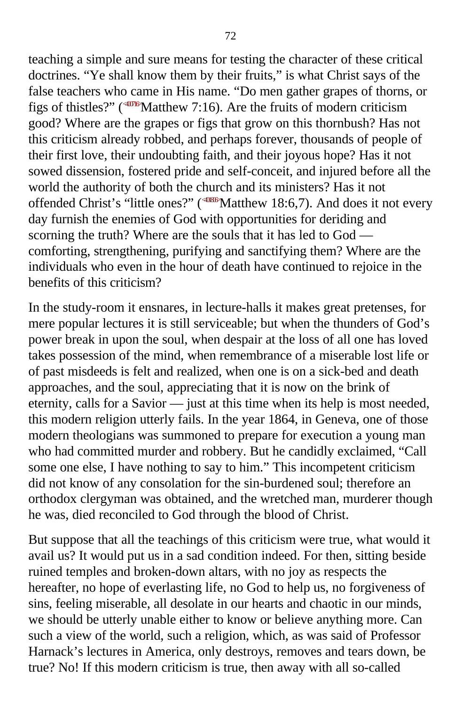teaching a simple and sure means for testing the character of these critical doctrines. "Ye shall know them by their fruits," is what Christ says of the false teachers who came in His name. "Do men gather grapes of thorns, or figs of thistles?" ( $40\%$ Matthew 7:16). Are the fruits of modern criticism good? Where are the grapes or figs that grow on this thornbush? Has not this criticism already robbed, and perhaps forever, thousands of people of their first love, their undoubting faith, and their joyous hope? Has it not sowed dissension, fostered pride and self-conceit, and injured before all the world the authority of both the church and its ministers? Has it not offended Christ's "little ones?" (<a006) Matthew 18:6,7). And does it not every day furnish the enemies of God with opportunities for deriding and scorning the truth? Where are the souls that it has led to God comforting, strengthening, purifying and sanctifying them? Where are the individuals who even in the hour of death have continued to rejoice in the benefits of this criticism?

In the study-room it ensnares, in lecture-halls it makes great pretenses, for mere popular lectures it is still serviceable; but when the thunders of God's power break in upon the soul, when despair at the loss of all one has loved takes possession of the mind, when remembrance of a miserable lost life or of past misdeeds is felt and realized, when one is on a sick-bed and death approaches, and the soul, appreciating that it is now on the brink of eternity, calls for a Savior — just at this time when its help is most needed, this modern religion utterly fails. In the year 1864, in Geneva, one of those modern theologians was summoned to prepare for execution a young man who had committed murder and robbery. But he candidly exclaimed, "Call some one else, I have nothing to say to him." This incompetent criticism did not know of any consolation for the sin-burdened soul; therefore an orthodox clergyman was obtained, and the wretched man, murderer though he was, died reconciled to God through the blood of Christ.

But suppose that all the teachings of this criticism were true, what would it avail us? It would put us in a sad condition indeed. For then, sitting beside ruined temples and broken-down altars, with no joy as respects the hereafter, no hope of everlasting life, no God to help us, no forgiveness of sins, feeling miserable, all desolate in our hearts and chaotic in our minds, we should be utterly unable either to know or believe anything more. Can such a view of the world, such a religion, which, as was said of Professor Harnack's lectures in America, only destroys, removes and tears down, be true? No! If this modern criticism is true, then away with all so-called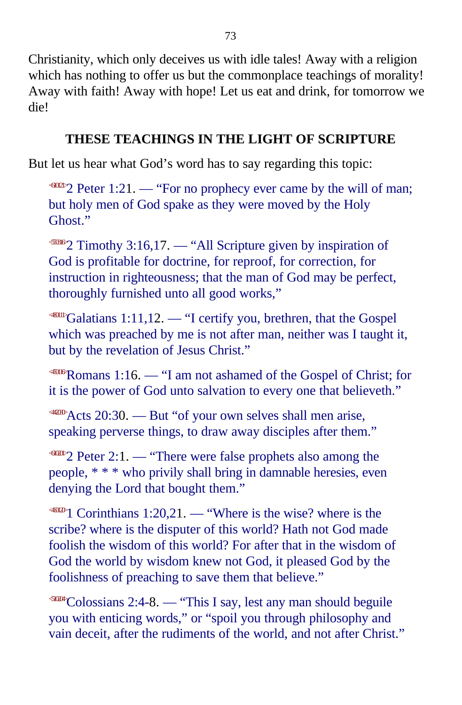Christianity, which only deceives us with idle tales! Away with a religion which has nothing to offer us but the commonplace teachings of morality! Away with faith! Away with hope! Let us eat and drink, for tomorrow we die!

# **THESE TEACHINGS IN THE LIGHT OF SCRIPTURE**

But let us hear what God's word has to say regarding this topic:

 $\frac{1}{2}$  Peter 1:21. — "For no prophecy ever came by the will of man; but holy men of God spake as they were moved by the Holy Ghost."

 $\sqrt{356}$  Timothy 3:16,17. — "All Scripture given by inspiration of God is profitable for doctrine, for reproof, for correction, for instruction in righteousness; that the man of God may be perfect, thoroughly furnished unto all good works,"

[<480111>](#page-443-0)Galatians 1:11,12. — "I certify you, brethren, that the Gospel which was preached by me is not after man, neither was I taught it, but by the revelation of Jesus Christ."

[<450116>](#page-359-0)Romans 1:16. — "I am not ashamed of the Gospel of Christ; for it is the power of God unto salvation to every one that believeth."

[<442030>](#page-335-0)Acts 20:30. — But "of your own selves shall men arise, speaking perverse things, to draw away disciples after them."

 $\frac{1}{2}$  Peter 2:1. — "There were false prophets also among the people, \* \* \* who privily shall bring in damnable heresies, even denying the Lord that bought them."

 $4002$ <sup>1</sup> Corinthians 1:20,21. — "Where is the wise? where is the scribe? where is the disputer of this world? Hath not God made foolish the wisdom of this world? For after that in the wisdom of God the world by wisdom knew not God, it pleased God by the foolishness of preaching to save them that believe."

 $\frac{1}{2}$  Colossians 2:4-8. — "This I say, lest any man should beguile you with enticing words," or "spoil you through philosophy and vain deceit, after the rudiments of the world, and not after Christ."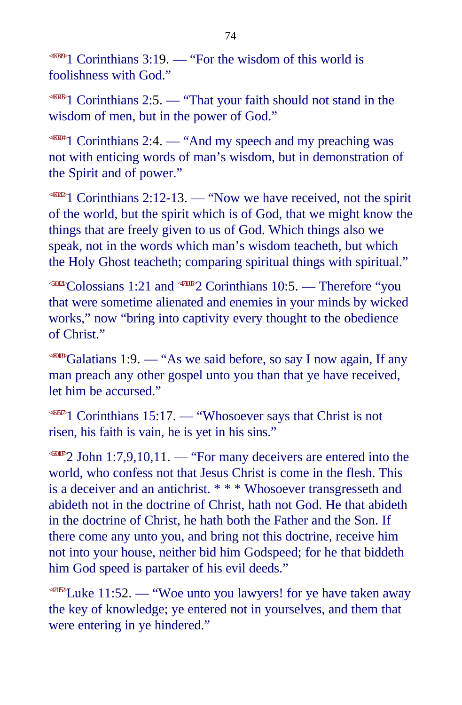$4680$ <sup>1</sup> Corinthians 3:19. — "For the wisdom of this world is foolishness with God."

[<460205>](#page-392-0)1 Corinthians 2:5. — "That your faith should not stand in the wisdom of men, but in the power of God."

 $\frac{4800}{10}$  Corinthians 2:4. — "And my speech and my preaching was not with enticing words of man's wisdom, but in demonstration of the Spirit and of power."

 $\frac{4002}{1}$  Corinthians 2:12-13. — "Now we have received, not the spirit of the world, but the spirit which is of God, that we might know the things that are freely given to us of God. Which things also we speak, not in the words which man's wisdom teacheth, but which the Holy Ghost teacheth; comparing spiritual things with spiritual."

 $\frac{121}{121}$  and  $\frac{4705}{2}$  Corinthians 10:5. — Therefore "you that were sometime alienated and enemies in your minds by wicked works," now "bring into captivity every thought to the obedience of Christ."

[<480109>](#page-443-0)Galatians 1:9. — "As we said before, so say I now again, If any man preach any other gospel unto you than that ye have received, let him be accursed."

 $4657$ <sup>2</sup> Corinthians 15:17. — "Whosoever says that Christ is not risen, his faith is vain, he is yet in his sins."

 $\frac{4000}{2}$  John 1:7,9,10,11. — "For many deceivers are entered into the world, who confess not that Jesus Christ is come in the flesh. This is a deceiver and an antichrist. \* \* \* Whosoever transgresseth and abideth not in the doctrine of Christ, hath not God. He that abideth in the doctrine of Christ, he hath both the Father and the Son. If there come any unto you, and bring not this doctrine, receive him not into your house, neither bid him Godspeed; for he that biddeth him God speed is partaker of his evil deeds."

 $\triangle$ <sup>2013</sup>Luke 11:52. — "Woe unto you lawyers! for ye have taken away the key of knowledge; ye entered not in yourselves, and them that were entering in ye hindered."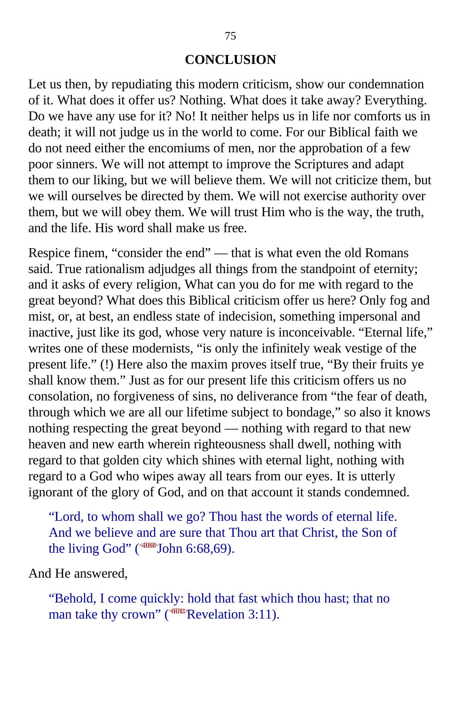#### **CONCLUSION**

Let us then, by repudiating this modern criticism, show our condemnation of it. What does it offer us? Nothing. What does it take away? Everything. Do we have any use for it? No! It neither helps us in life nor comforts us in death; it will not judge us in the world to come. For our Biblical faith we do not need either the encomiums of men, nor the approbation of a few poor sinners. We will not attempt to improve the Scriptures and adapt them to our liking, but we will believe them. We will not criticize them, but we will ourselves be directed by them. We will not exercise authority over them, but we will obey them. We will trust Him who is the way, the truth, and the life. His word shall make us free.

Respice finem, "consider the end" — that is what even the old Romans said. True rationalism adjudges all things from the standpoint of eternity; and it asks of every religion, What can you do for me with regard to the great beyond? What does this Biblical criticism offer us here? Only fog and mist, or, at best, an endless state of indecision, something impersonal and inactive, just like its god, whose very nature is inconceivable. "Eternal life," writes one of these modernists, "is only the infinitely weak vestige of the present life." (!) Here also the maxim proves itself true, "By their fruits ye shall know them." Just as for our present life this criticism offers us no consolation, no forgiveness of sins, no deliverance from "the fear of death, through which we are all our lifetime subject to bondage," so also it knows nothing respecting the great beyond — nothing with regard to that new heaven and new earth wherein righteousness shall dwell, nothing with regard to that golden city which shines with eternal light, nothing with regard to a God who wipes away all tears from our eyes. It is utterly ignorant of the glory of God, and on that account it stands condemned.

"Lord, to whom shall we go? Thou hast the words of eternal life. And we believe and are sure that Thou art that Christ, the Son of the living God" ( $\alpha$ <sup>3068</sup>John 6:68,69).

And He answered,

"Behold, I come quickly: hold that fast which thou hast; that no man take thy crown" ( $\textcircled{46B1}$ Revelation 3:11).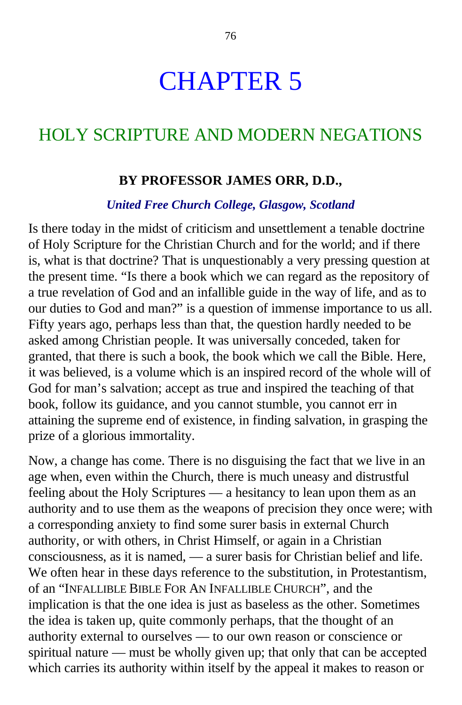# CHAPTER 5

# HOLY SCRIPTURE AND MODERN NEGATIONS

### **BY PROFESSOR JAMES ORR, D.D.,**

#### *United Free Church College, Glasgow, Scotland*

Is there today in the midst of criticism and unsettlement a tenable doctrine of Holy Scripture for the Christian Church and for the world; and if there is, what is that doctrine? That is unquestionably a very pressing question at the present time. "Is there a book which we can regard as the repository of a true revelation of God and an infallible guide in the way of life, and as to our duties to God and man?" is a question of immense importance to us all. Fifty years ago, perhaps less than that, the question hardly needed to be asked among Christian people. It was universally conceded, taken for granted, that there is such a book, the book which we call the Bible. Here, it was believed, is a volume which is an inspired record of the whole will of God for man's salvation; accept as true and inspired the teaching of that book, follow its guidance, and you cannot stumble, you cannot err in attaining the supreme end of existence, in finding salvation, in grasping the prize of a glorious immortality.

Now, a change has come. There is no disguising the fact that we live in an age when, even within the Church, there is much uneasy and distrustful feeling about the Holy Scriptures — a hesitancy to lean upon them as an authority and to use them as the weapons of precision they once were; with a corresponding anxiety to find some surer basis in external Church authority, or with others, in Christ Himself, or again in a Christian consciousness, as it is named, — a surer basis for Christian belief and life. We often hear in these days reference to the substitution, in Protestantism, of an "INFALLIBLE BIBLE FOR AN INFALLIBLE CHURCH", and the implication is that the one idea is just as baseless as the other. Sometimes the idea is taken up, quite commonly perhaps, that the thought of an authority external to ourselves — to our own reason or conscience or spiritual nature — must be wholly given up; that only that can be accepted which carries its authority within itself by the appeal it makes to reason or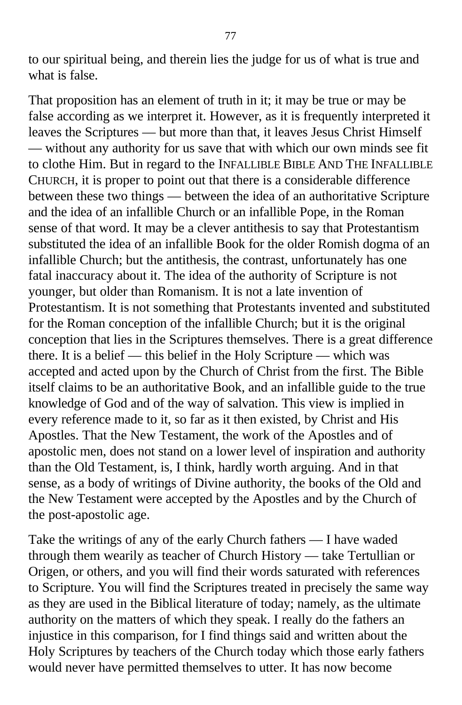to our spiritual being, and therein lies the judge for us of what is true and what is false.

That proposition has an element of truth in it; it may be true or may be false according as we interpret it. However, as it is frequently interpreted it leaves the Scriptures — but more than that, it leaves Jesus Christ Himself — without any authority for us save that with which our own minds see fit to clothe Him. But in regard to the INFALLIBLE BIBLE AND THE INFALLIBLE CHURCH, it is proper to point out that there is a considerable difference between these two things — between the idea of an authoritative Scripture and the idea of an infallible Church or an infallible Pope, in the Roman sense of that word. It may be a clever antithesis to say that Protestantism substituted the idea of an infallible Book for the older Romish dogma of an infallible Church; but the antithesis, the contrast, unfortunately has one fatal inaccuracy about it. The idea of the authority of Scripture is not younger, but older than Romanism. It is not a late invention of Protestantism. It is not something that Protestants invented and substituted for the Roman conception of the infallible Church; but it is the original conception that lies in the Scriptures themselves. There is a great difference there. It is a belief — this belief in the Holy Scripture — which was accepted and acted upon by the Church of Christ from the first. The Bible itself claims to be an authoritative Book, and an infallible guide to the true knowledge of God and of the way of salvation. This view is implied in every reference made to it, so far as it then existed, by Christ and His Apostles. That the New Testament, the work of the Apostles and of apostolic men, does not stand on a lower level of inspiration and authority than the Old Testament, is, I think, hardly worth arguing. And in that sense, as a body of writings of Divine authority, the books of the Old and the New Testament were accepted by the Apostles and by the Church of the post-apostolic age.

Take the writings of any of the early Church fathers — I have waded through them wearily as teacher of Church History — take Tertullian or Origen, or others, and you will find their words saturated with references to Scripture. You will find the Scriptures treated in precisely the same way as they are used in the Biblical literature of today; namely, as the ultimate authority on the matters of which they speak. I really do the fathers an injustice in this comparison, for I find things said and written about the Holy Scriptures by teachers of the Church today which those early fathers would never have permitted themselves to utter. It has now become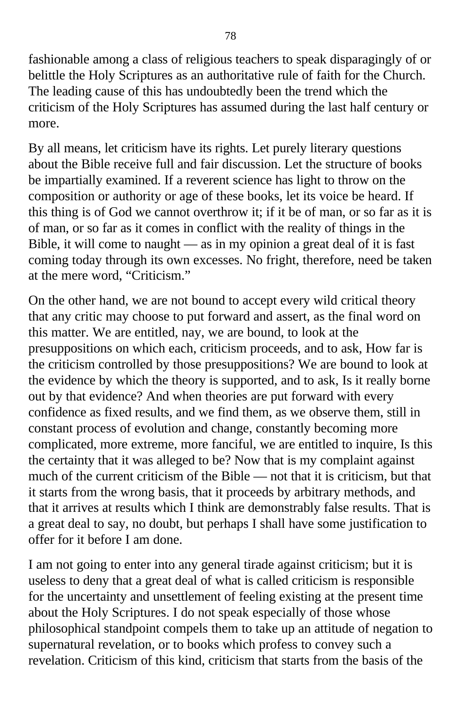fashionable among a class of religious teachers to speak disparagingly of or belittle the Holy Scriptures as an authoritative rule of faith for the Church. The leading cause of this has undoubtedly been the trend which the criticism of the Holy Scriptures has assumed during the last half century or more.

By all means, let criticism have its rights. Let purely literary questions about the Bible receive full and fair discussion. Let the structure of books be impartially examined. If a reverent science has light to throw on the composition or authority or age of these books, let its voice be heard. If this thing is of God we cannot overthrow it; if it be of man, or so far as it is of man, or so far as it comes in conflict with the reality of things in the Bible, it will come to naught — as in my opinion a great deal of it is fast coming today through its own excesses. No fright, therefore, need be taken at the mere word, "Criticism."

On the other hand, we are not bound to accept every wild critical theory that any critic may choose to put forward and assert, as the final word on this matter. We are entitled, nay, we are bound, to look at the presuppositions on which each, criticism proceeds, and to ask, How far is the criticism controlled by those presuppositions? We are bound to look at the evidence by which the theory is supported, and to ask, Is it really borne out by that evidence? And when theories are put forward with every confidence as fixed results, and we find them, as we observe them, still in constant process of evolution and change, constantly becoming more complicated, more extreme, more fanciful, we are entitled to inquire, Is this the certainty that it was alleged to be? Now that is my complaint against much of the current criticism of the Bible — not that it is criticism, but that it starts from the wrong basis, that it proceeds by arbitrary methods, and that it arrives at results which I think are demonstrably false results. That is a great deal to say, no doubt, but perhaps I shall have some justification to offer for it before I am done.

I am not going to enter into any general tirade against criticism; but it is useless to deny that a great deal of what is called criticism is responsible for the uncertainty and unsettlement of feeling existing at the present time about the Holy Scriptures. I do not speak especially of those whose philosophical standpoint compels them to take up an attitude of negation to supernatural revelation, or to books which profess to convey such a revelation. Criticism of this kind, criticism that starts from the basis of the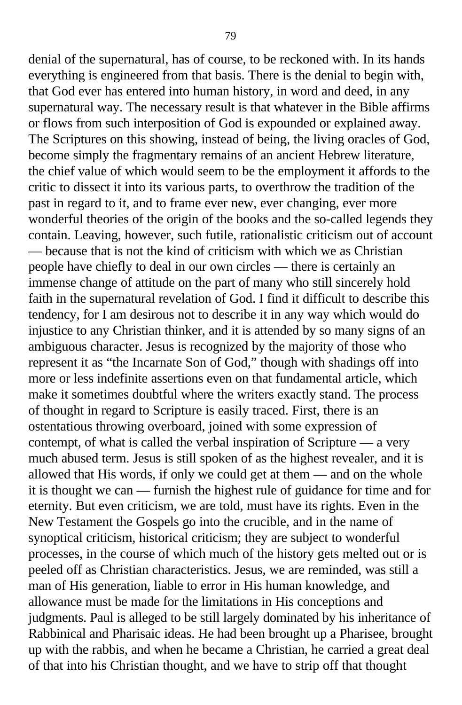denial of the supernatural, has of course, to be reckoned with. In its hands everything is engineered from that basis. There is the denial to begin with, that God ever has entered into human history, in word and deed, in any supernatural way. The necessary result is that whatever in the Bible affirms or flows from such interposition of God is expounded or explained away. The Scriptures on this showing, instead of being, the living oracles of God, become simply the fragmentary remains of an ancient Hebrew literature, the chief value of which would seem to be the employment it affords to the critic to dissect it into its various parts, to overthrow the tradition of the past in regard to it, and to frame ever new, ever changing, ever more wonderful theories of the origin of the books and the so-called legends they contain. Leaving, however, such futile, rationalistic criticism out of account — because that is not the kind of criticism with which we as Christian people have chiefly to deal in our own circles — there is certainly an immense change of attitude on the part of many who still sincerely hold faith in the supernatural revelation of God. I find it difficult to describe this tendency, for I am desirous not to describe it in any way which would do injustice to any Christian thinker, and it is attended by so many signs of an ambiguous character. Jesus is recognized by the majority of those who represent it as "the Incarnate Son of God," though with shadings off into more or less indefinite assertions even on that fundamental article, which make it sometimes doubtful where the writers exactly stand. The process of thought in regard to Scripture is easily traced. First, there is an ostentatious throwing overboard, joined with some expression of contempt, of what is called the verbal inspiration of Scripture — a very much abused term. Jesus is still spoken of as the highest revealer, and it is allowed that His words, if only we could get at them — and on the whole it is thought we can — furnish the highest rule of guidance for time and for eternity. But even criticism, we are told, must have its rights. Even in the New Testament the Gospels go into the crucible, and in the name of synoptical criticism, historical criticism; they are subject to wonderful processes, in the course of which much of the history gets melted out or is peeled off as Christian characteristics. Jesus, we are reminded, was still a man of His generation, liable to error in His human knowledge, and allowance must be made for the limitations in His conceptions and judgments. Paul is alleged to be still largely dominated by his inheritance of Rabbinical and Pharisaic ideas. He had been brought up a Pharisee, brought up with the rabbis, and when he became a Christian, he carried a great deal of that into his Christian thought, and we have to strip off that thought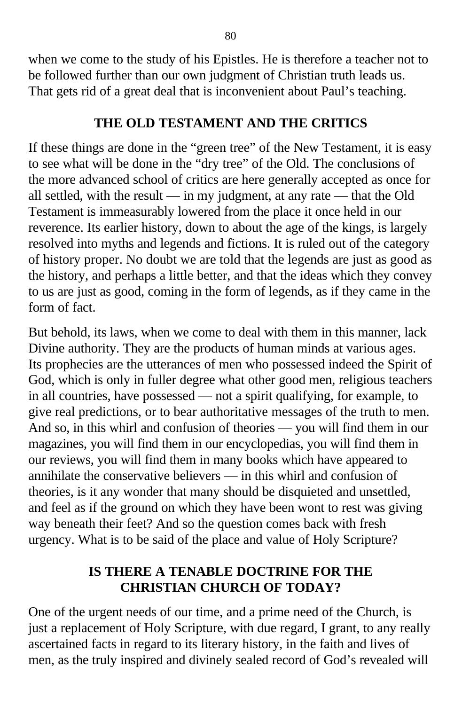when we come to the study of his Epistles. He is therefore a teacher not to be followed further than our own judgment of Christian truth leads us. That gets rid of a great deal that is inconvenient about Paul's teaching.

# **THE OLD TESTAMENT AND THE CRITICS**

If these things are done in the "green tree" of the New Testament, it is easy to see what will be done in the "dry tree" of the Old. The conclusions of the more advanced school of critics are here generally accepted as once for all settled, with the result — in my judgment, at any rate — that the Old Testament is immeasurably lowered from the place it once held in our reverence. Its earlier history, down to about the age of the kings, is largely resolved into myths and legends and fictions. It is ruled out of the category of history proper. No doubt we are told that the legends are just as good as the history, and perhaps a little better, and that the ideas which they convey to us are just as good, coming in the form of legends, as if they came in the form of fact.

But behold, its laws, when we come to deal with them in this manner, lack Divine authority. They are the products of human minds at various ages. Its prophecies are the utterances of men who possessed indeed the Spirit of God, which is only in fuller degree what other good men, religious teachers in all countries, have possessed — not a spirit qualifying, for example, to give real predictions, or to bear authoritative messages of the truth to men. And so, in this whirl and confusion of theories — you will find them in our magazines, you will find them in our encyclopedias, you will find them in our reviews, you will find them in many books which have appeared to annihilate the conservative believers — in this whirl and confusion of theories, is it any wonder that many should be disquieted and unsettled, and feel as if the ground on which they have been wont to rest was giving way beneath their feet? And so the question comes back with fresh urgency. What is to be said of the place and value of Holy Scripture?

# **IS THERE A TENABLE DOCTRINE FOR THE CHRISTIAN CHURCH OF TODAY?**

One of the urgent needs of our time, and a prime need of the Church, is just a replacement of Holy Scripture, with due regard, I grant, to any really ascertained facts in regard to its literary history, in the faith and lives of men, as the truly inspired and divinely sealed record of God's revealed will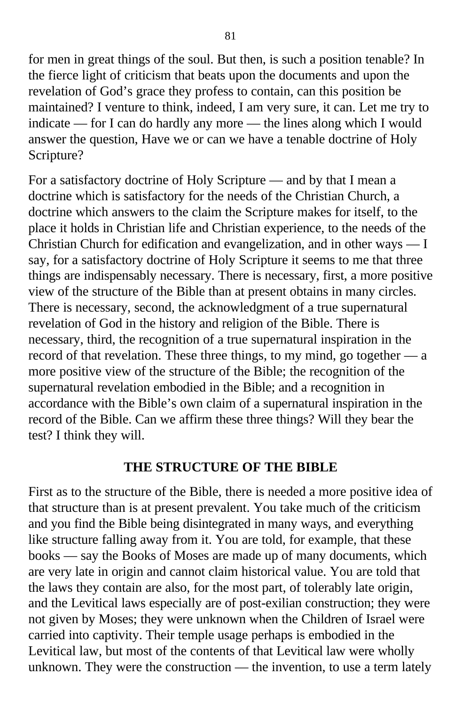for men in great things of the soul. But then, is such a position tenable? In the fierce light of criticism that beats upon the documents and upon the revelation of God's grace they profess to contain, can this position be maintained? I venture to think, indeed, I am very sure, it can. Let me try to indicate — for I can do hardly any more — the lines along which I would answer the question, Have we or can we have a tenable doctrine of Holy Scripture?

For a satisfactory doctrine of Holy Scripture — and by that I mean a doctrine which is satisfactory for the needs of the Christian Church, a doctrine which answers to the claim the Scripture makes for itself, to the place it holds in Christian life and Christian experience, to the needs of the Christian Church for edification and evangelization, and in other ways — I say, for a satisfactory doctrine of Holy Scripture it seems to me that three things are indispensably necessary. There is necessary, first, a more positive view of the structure of the Bible than at present obtains in many circles. There is necessary, second, the acknowledgment of a true supernatural revelation of God in the history and religion of the Bible. There is necessary, third, the recognition of a true supernatural inspiration in the record of that revelation. These three things, to my mind, go together — a more positive view of the structure of the Bible; the recognition of the supernatural revelation embodied in the Bible; and a recognition in accordance with the Bible's own claim of a supernatural inspiration in the record of the Bible. Can we affirm these three things? Will they bear the test? I think they will.

#### **THE STRUCTURE OF THE BIBLE**

First as to the structure of the Bible, there is needed a more positive idea of that structure than is at present prevalent. You take much of the criticism and you find the Bible being disintegrated in many ways, and everything like structure falling away from it. You are told, for example, that these books — say the Books of Moses are made up of many documents, which are very late in origin and cannot claim historical value. You are told that the laws they contain are also, for the most part, of tolerably late origin, and the Levitical laws especially are of post-exilian construction; they were not given by Moses; they were unknown when the Children of Israel were carried into captivity. Their temple usage perhaps is embodied in the Levitical law, but most of the contents of that Levitical law were wholly unknown. They were the construction — the invention, to use a term lately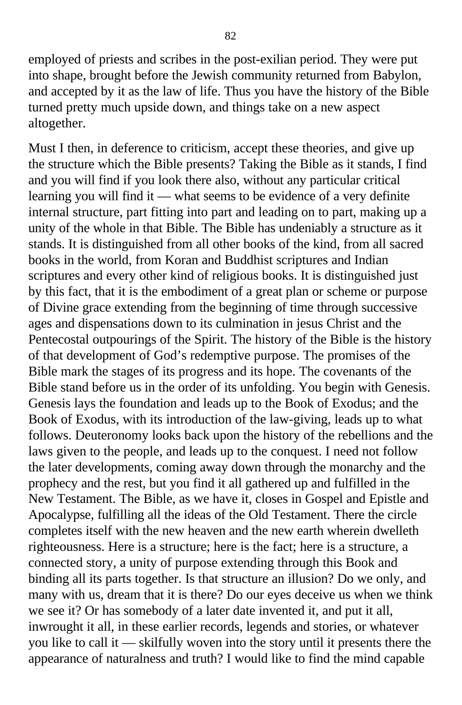employed of priests and scribes in the post-exilian period. They were put into shape, brought before the Jewish community returned from Babylon, and accepted by it as the law of life. Thus you have the history of the Bible turned pretty much upside down, and things take on a new aspect altogether.

Must I then, in deference to criticism, accept these theories, and give up the structure which the Bible presents? Taking the Bible as it stands, I find and you will find if you look there also, without any particular critical learning you will find it — what seems to be evidence of a very definite internal structure, part fitting into part and leading on to part, making up a unity of the whole in that Bible. The Bible has undeniably a structure as it stands. It is distinguished from all other books of the kind, from all sacred books in the world, from Koran and Buddhist scriptures and Indian scriptures and every other kind of religious books. It is distinguished just by this fact, that it is the embodiment of a great plan or scheme or purpose of Divine grace extending from the beginning of time through successive ages and dispensations down to its culmination in jesus Christ and the Pentecostal outpourings of the Spirit. The history of the Bible is the history of that development of God's redemptive purpose. The promises of the Bible mark the stages of its progress and its hope. The covenants of the Bible stand before us in the order of its unfolding. You begin with Genesis. Genesis lays the foundation and leads up to the Book of Exodus; and the Book of Exodus, with its introduction of the law-giving, leads up to what follows. Deuteronomy looks back upon the history of the rebellions and the laws given to the people, and leads up to the conquest. I need not follow the later developments, coming away down through the monarchy and the prophecy and the rest, but you find it all gathered up and fulfilled in the New Testament. The Bible, as we have it, closes in Gospel and Epistle and Apocalypse, fulfilling all the ideas of the Old Testament. There the circle completes itself with the new heaven and the new earth wherein dwelleth righteousness. Here is a structure; here is the fact; here is a structure, a connected story, a unity of purpose extending through this Book and binding all its parts together. Is that structure an illusion? Do we only, and many with us, dream that it is there? Do our eyes deceive us when we think we see it? Or has somebody of a later date invented it, and put it all, inwrought it all, in these earlier records, legends and stories, or whatever you like to call it — skilfully woven into the story until it presents there the appearance of naturalness and truth? I would like to find the mind capable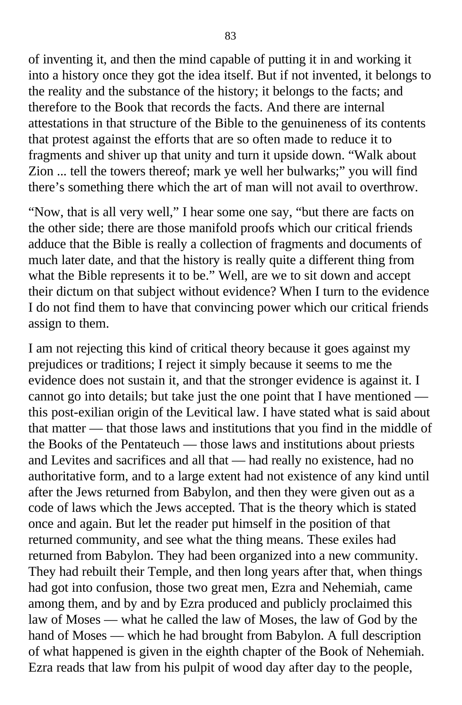of inventing it, and then the mind capable of putting it in and working it into a history once they got the idea itself. But if not invented, it belongs to the reality and the substance of the history; it belongs to the facts; and therefore to the Book that records the facts. And there are internal attestations in that structure of the Bible to the genuineness of its contents that protest against the efforts that are so often made to reduce it to fragments and shiver up that unity and turn it upside down. "Walk about Zion ... tell the towers thereof; mark ye well her bulwarks;" you will find there's something there which the art of man will not avail to overthrow.

"Now, that is all very well," I hear some one say, "but there are facts on the other side; there are those manifold proofs which our critical friends adduce that the Bible is really a collection of fragments and documents of much later date, and that the history is really quite a different thing from what the Bible represents it to be." Well, are we to sit down and accept their dictum on that subject without evidence? When I turn to the evidence I do not find them to have that convincing power which our critical friends assign to them.

I am not rejecting this kind of critical theory because it goes against my prejudices or traditions; I reject it simply because it seems to me the evidence does not sustain it, and that the stronger evidence is against it. I cannot go into details; but take just the one point that I have mentioned this post-exilian origin of the Levitical law. I have stated what is said about that matter — that those laws and institutions that you find in the middle of the Books of the Pentateuch — those laws and institutions about priests and Levites and sacrifices and all that — had really no existence, had no authoritative form, and to a large extent had not existence of any kind until after the Jews returned from Babylon, and then they were given out as a code of laws which the Jews accepted. That is the theory which is stated once and again. But let the reader put himself in the position of that returned community, and see what the thing means. These exiles had returned from Babylon. They had been organized into a new community. They had rebuilt their Temple, and then long years after that, when things had got into confusion, those two great men, Ezra and Nehemiah, came among them, and by and by Ezra produced and publicly proclaimed this law of Moses — what he called the law of Moses, the law of God by the hand of Moses — which he had brought from Babylon. A full description of what happened is given in the eighth chapter of the Book of Nehemiah. Ezra reads that law from his pulpit of wood day after day to the people,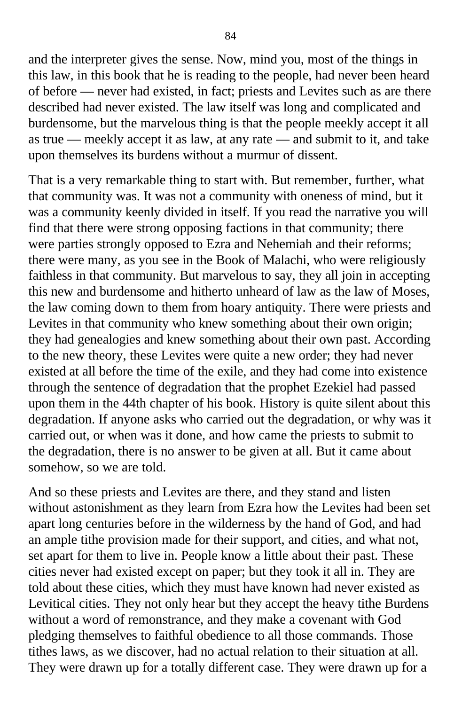and the interpreter gives the sense. Now, mind you, most of the things in this law, in this book that he is reading to the people, had never been heard of before — never had existed, in fact; priests and Levites such as are there described had never existed. The law itself was long and complicated and burdensome, but the marvelous thing is that the people meekly accept it all as true — meekly accept it as law, at any rate — and submit to it, and take upon themselves its burdens without a murmur of dissent.

That is a very remarkable thing to start with. But remember, further, what that community was. It was not a community with oneness of mind, but it was a community keenly divided in itself. If you read the narrative you will find that there were strong opposing factions in that community; there were parties strongly opposed to Ezra and Nehemiah and their reforms; there were many, as you see in the Book of Malachi, who were religiously faithless in that community. But marvelous to say, they all join in accepting this new and burdensome and hitherto unheard of law as the law of Moses, the law coming down to them from hoary antiquity. There were priests and Levites in that community who knew something about their own origin; they had genealogies and knew something about their own past. According to the new theory, these Levites were quite a new order; they had never existed at all before the time of the exile, and they had come into existence through the sentence of degradation that the prophet Ezekiel had passed upon them in the 44th chapter of his book. History is quite silent about this degradation. If anyone asks who carried out the degradation, or why was it carried out, or when was it done, and how came the priests to submit to the degradation, there is no answer to be given at all. But it came about somehow, so we are told.

And so these priests and Levites are there, and they stand and listen without astonishment as they learn from Ezra how the Levites had been set apart long centuries before in the wilderness by the hand of God, and had an ample tithe provision made for their support, and cities, and what not, set apart for them to live in. People know a little about their past. These cities never had existed except on paper; but they took it all in. They are told about these cities, which they must have known had never existed as Levitical cities. They not only hear but they accept the heavy tithe Burdens without a word of remonstrance, and they make a covenant with God pledging themselves to faithful obedience to all those commands. Those tithes laws, as we discover, had no actual relation to their situation at all. They were drawn up for a totally different case. They were drawn up for a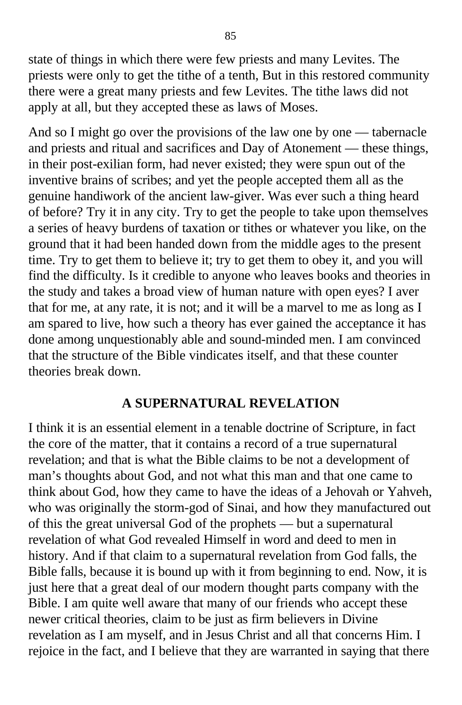state of things in which there were few priests and many Levites. The priests were only to get the tithe of a tenth, But in this restored community there were a great many priests and few Levites. The tithe laws did not apply at all, but they accepted these as laws of Moses.

And so I might go over the provisions of the law one by one — tabernacle and priests and ritual and sacrifices and Day of Atonement — these things, in their post-exilian form, had never existed; they were spun out of the inventive brains of scribes; and yet the people accepted them all as the genuine handiwork of the ancient law-giver. Was ever such a thing heard of before? Try it in any city. Try to get the people to take upon themselves a series of heavy burdens of taxation or tithes or whatever you like, on the ground that it had been handed down from the middle ages to the present time. Try to get them to believe it; try to get them to obey it, and you will find the difficulty. Is it credible to anyone who leaves books and theories in the study and takes a broad view of human nature with open eyes? I aver that for me, at any rate, it is not; and it will be a marvel to me as long as I am spared to live, how such a theory has ever gained the acceptance it has done among unquestionably able and sound-minded men. I am convinced that the structure of the Bible vindicates itself, and that these counter theories break down.

### **A SUPERNATURAL REVELATION**

I think it is an essential element in a tenable doctrine of Scripture, in fact the core of the matter, that it contains a record of a true supernatural revelation; and that is what the Bible claims to be not a development of man's thoughts about God, and not what this man and that one came to think about God, how they came to have the ideas of a Jehovah or Yahveh, who was originally the storm-god of Sinai, and how they manufactured out of this the great universal God of the prophets — but a supernatural revelation of what God revealed Himself in word and deed to men in history. And if that claim to a supernatural revelation from God falls, the Bible falls, because it is bound up with it from beginning to end. Now, it is just here that a great deal of our modern thought parts company with the Bible. I am quite well aware that many of our friends who accept these newer critical theories, claim to be just as firm believers in Divine revelation as I am myself, and in Jesus Christ and all that concerns Him. I rejoice in the fact, and I believe that they are warranted in saying that there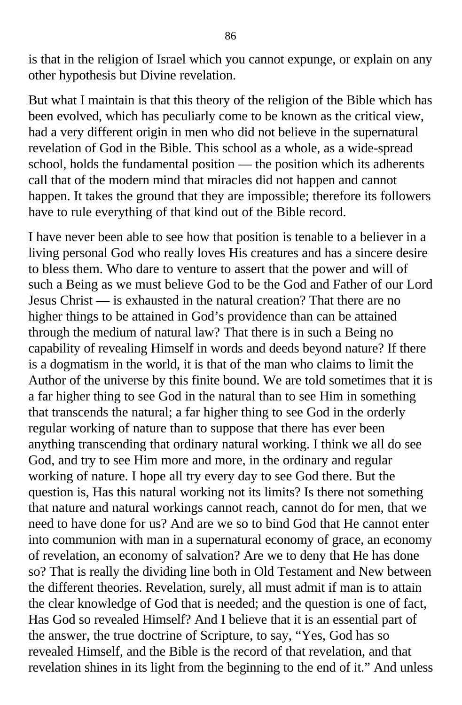is that in the religion of Israel which you cannot expunge, or explain on any other hypothesis but Divine revelation.

But what I maintain is that this theory of the religion of the Bible which has been evolved, which has peculiarly come to be known as the critical view, had a very different origin in men who did not believe in the supernatural revelation of God in the Bible. This school as a whole, as a wide-spread school, holds the fundamental position — the position which its adherents call that of the modern mind that miracles did not happen and cannot happen. It takes the ground that they are impossible; therefore its followers have to rule everything of that kind out of the Bible record.

I have never been able to see how that position is tenable to a believer in a living personal God who really loves His creatures and has a sincere desire to bless them. Who dare to venture to assert that the power and will of such a Being as we must believe God to be the God and Father of our Lord Jesus Christ — is exhausted in the natural creation? That there are no higher things to be attained in God's providence than can be attained through the medium of natural law? That there is in such a Being no capability of revealing Himself in words and deeds beyond nature? If there is a dogmatism in the world, it is that of the man who claims to limit the Author of the universe by this finite bound. We are told sometimes that it is a far higher thing to see God in the natural than to see Him in something that transcends the natural; a far higher thing to see God in the orderly regular working of nature than to suppose that there has ever been anything transcending that ordinary natural working. I think we all do see God, and try to see Him more and more, in the ordinary and regular working of nature. I hope all try every day to see God there. But the question is, Has this natural working not its limits? Is there not something that nature and natural workings cannot reach, cannot do for men, that we need to have done for us? And are we so to bind God that He cannot enter into communion with man in a supernatural economy of grace, an economy of revelation, an economy of salvation? Are we to deny that He has done so? That is really the dividing line both in Old Testament and New between the different theories. Revelation, surely, all must admit if man is to attain the clear knowledge of God that is needed; and the question is one of fact, Has God so revealed Himself? And I believe that it is an essential part of the answer, the true doctrine of Scripture, to say, "Yes, God has so revealed Himself, and the Bible is the record of that revelation, and that revelation shines in its light from the beginning to the end of it." And unless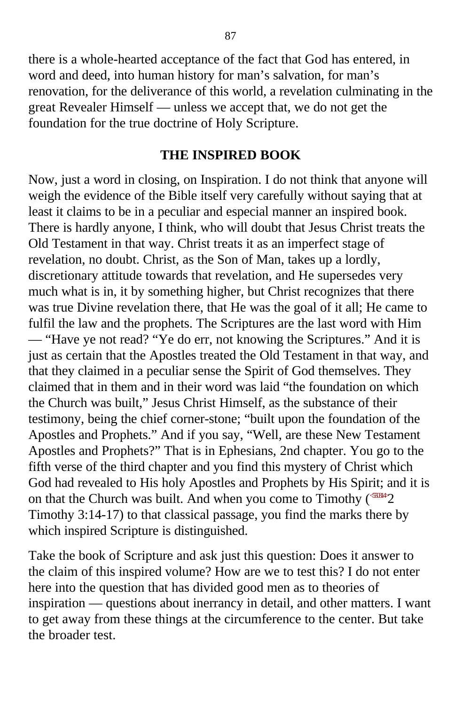there is a whole-hearted acceptance of the fact that God has entered, in word and deed, into human history for man's salvation, for man's renovation, for the deliverance of this world, a revelation culminating in the great Revealer Himself — unless we accept that, we do not get the foundation for the true doctrine of Holy Scripture.

#### **THE INSPIRED BOOK**

Now, just a word in closing, on Inspiration. I do not think that anyone will weigh the evidence of the Bible itself very carefully without saying that at least it claims to be in a peculiar and especial manner an inspired book. There is hardly anyone, I think, who will doubt that Jesus Christ treats the Old Testament in that way. Christ treats it as an imperfect stage of revelation, no doubt. Christ, as the Son of Man, takes up a lordly, discretionary attitude towards that revelation, and He supersedes very much what is in, it by something higher, but Christ recognizes that there was true Divine revelation there, that He was the goal of it all; He came to fulfil the law and the prophets. The Scriptures are the last word with Him — "Have ye not read? "Ye do err, not knowing the Scriptures." And it is just as certain that the Apostles treated the Old Testament in that way, and that they claimed in a peculiar sense the Spirit of God themselves. They claimed that in them and in their word was laid "the foundation on which the Church was built," Jesus Christ Himself, as the substance of their testimony, being the chief corner-stone; "built upon the foundation of the Apostles and Prophets." And if you say, "Well, are these New Testament Apostles and Prophets?" That is in Ephesians, 2nd chapter. You go to the fifth verse of the third chapter and you find this mystery of Christ which God had revealed to His holy Apostles and Prophets by His Spirit; and it is on that the Church was built. And when you come to Timothy  $(\sqrt{35842})$ Timothy 3:14-17) to that classical passage, you find the marks there by which inspired Scripture is distinguished.

Take the book of Scripture and ask just this question: Does it answer to the claim of this inspired volume? How are we to test this? I do not enter here into the question that has divided good men as to theories of inspiration — questions about inerrancy in detail, and other matters. I want to get away from these things at the circumference to the center. But take the broader test.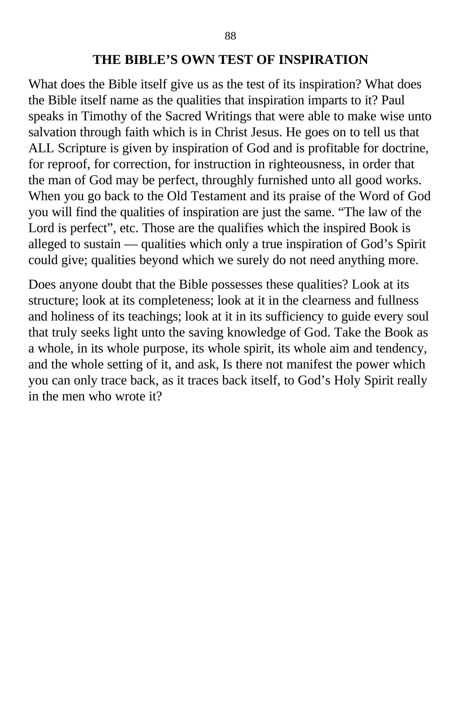What does the Bible itself give us as the test of its inspiration? What does the Bible itself name as the qualities that inspiration imparts to it? Paul speaks in Timothy of the Sacred Writings that were able to make wise unto salvation through faith which is in Christ Jesus. He goes on to tell us that ALL Scripture is given by inspiration of God and is profitable for doctrine, for reproof, for correction, for instruction in righteousness, in order that the man of God may be perfect, throughly furnished unto all good works. When you go back to the Old Testament and its praise of the Word of God you will find the qualities of inspiration are just the same. "The law of the Lord is perfect", etc. Those are the qualifies which the inspired Book is alleged to sustain — qualities which only a true inspiration of God's Spirit could give; qualities beyond which we surely do not need anything more.

Does anyone doubt that the Bible possesses these qualities? Look at its structure; look at its completeness; look at it in the clearness and fullness and holiness of its teachings; look at it in its sufficiency to guide every soul that truly seeks light unto the saving knowledge of God. Take the Book as a whole, in its whole purpose, its whole spirit, its whole aim and tendency, and the whole setting of it, and ask, Is there not manifest the power which you can only trace back, as it traces back itself, to God's Holy Spirit really in the men who wrote it?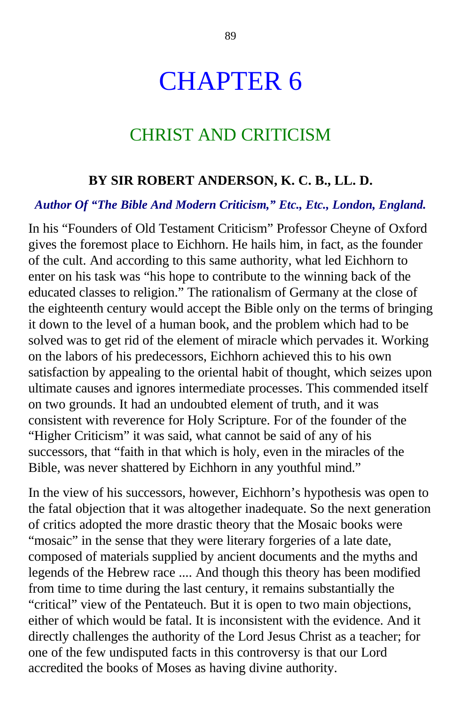# CHAPTER 6

# CHRIST AND CRITICISM

### **BY SIR ROBERT ANDERSON, K. C. B., LL. D.**

#### *Author Of "The Bible And Modern Criticism," Etc., Etc., London, England.*

In his "Founders of Old Testament Criticism" Professor Cheyne of Oxford gives the foremost place to Eichhorn. He hails him, in fact, as the founder of the cult. And according to this same authority, what led Eichhorn to enter on his task was "his hope to contribute to the winning back of the educated classes to religion." The rationalism of Germany at the close of the eighteenth century would accept the Bible only on the terms of bringing it down to the level of a human book, and the problem which had to be solved was to get rid of the element of miracle which pervades it. Working on the labors of his predecessors, Eichhorn achieved this to his own satisfaction by appealing to the oriental habit of thought, which seizes upon ultimate causes and ignores intermediate processes. This commended itself on two grounds. It had an undoubted element of truth, and it was consistent with reverence for Holy Scripture. For of the founder of the "Higher Criticism" it was said, what cannot be said of any of his successors, that "faith in that which is holy, even in the miracles of the Bible, was never shattered by Eichhorn in any youthful mind."

In the view of his successors, however, Eichhorn's hypothesis was open to the fatal objection that it was altogether inadequate. So the next generation of critics adopted the more drastic theory that the Mosaic books were "mosaic" in the sense that they were literary forgeries of a late date, composed of materials supplied by ancient documents and the myths and legends of the Hebrew race .... And though this theory has been modified from time to time during the last century, it remains substantially the "critical" view of the Pentateuch. But it is open to two main objections, either of which would be fatal. It is inconsistent with the evidence. And it directly challenges the authority of the Lord Jesus Christ as a teacher; for one of the few undisputed facts in this controversy is that our Lord accredited the books of Moses as having divine authority.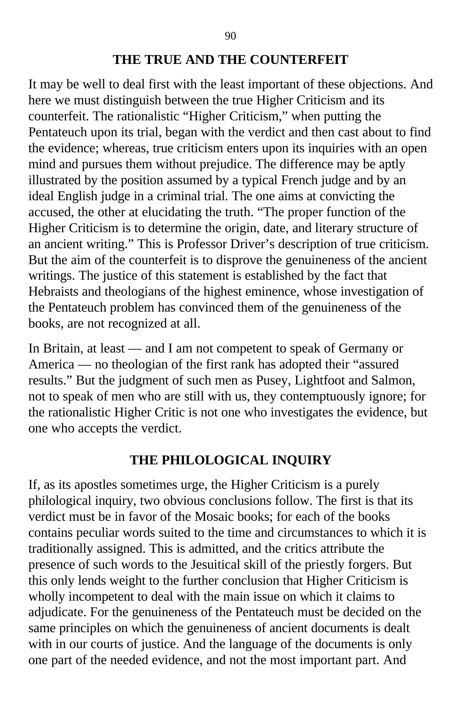### **THE TRUE AND THE COUNTERFEIT**

It may be well to deal first with the least important of these objections. And here we must distinguish between the true Higher Criticism and its counterfeit. The rationalistic "Higher Criticism," when putting the Pentateuch upon its trial, began with the verdict and then cast about to find the evidence; whereas, true criticism enters upon its inquiries with an open mind and pursues them without prejudice. The difference may be aptly illustrated by the position assumed by a typical French judge and by an ideal English judge in a criminal trial. The one aims at convicting the accused, the other at elucidating the truth. "The proper function of the Higher Criticism is to determine the origin, date, and literary structure of an ancient writing." This is Professor Driver's description of true criticism. But the aim of the counterfeit is to disprove the genuineness of the ancient writings. The justice of this statement is established by the fact that Hebraists and theologians of the highest eminence, whose investigation of the Pentateuch problem has convinced them of the genuineness of the books, are not recognized at all.

In Britain, at least — and I am not competent to speak of Germany or America — no theologian of the first rank has adopted their "assured results." But the judgment of such men as Pusey, Lightfoot and Salmon, not to speak of men who are still with us, they contemptuously ignore; for the rationalistic Higher Critic is not one who investigates the evidence, but one who accepts the verdict.

### **THE PHILOLOGICAL INQUIRY**

If, as its apostles sometimes urge, the Higher Criticism is a purely philological inquiry, two obvious conclusions follow. The first is that its verdict must be in favor of the Mosaic books; for each of the books contains peculiar words suited to the time and circumstances to which it is traditionally assigned. This is admitted, and the critics attribute the presence of such words to the Jesuitical skill of the priestly forgers. But this only lends weight to the further conclusion that Higher Criticism is wholly incompetent to deal with the main issue on which it claims to adjudicate. For the genuineness of the Pentateuch must be decided on the same principles on which the genuineness of ancient documents is dealt with in our courts of justice. And the language of the documents is only one part of the needed evidence, and not the most important part. And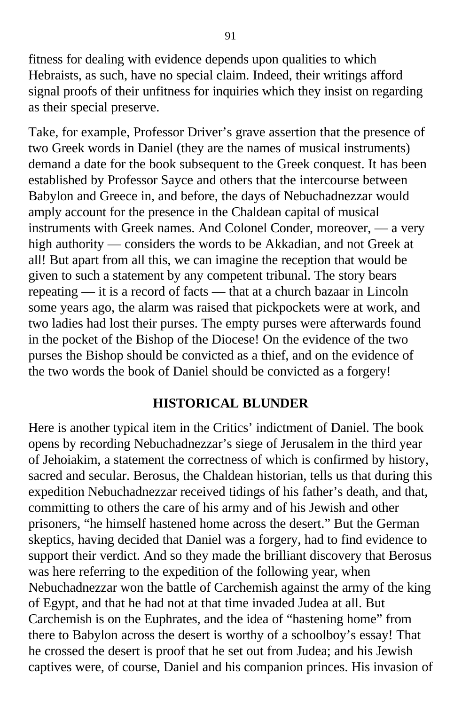fitness for dealing with evidence depends upon qualities to which Hebraists, as such, have no special claim. Indeed, their writings afford signal proofs of their unfitness for inquiries which they insist on regarding as their special preserve.

Take, for example, Professor Driver's grave assertion that the presence of two Greek words in Daniel (they are the names of musical instruments) demand a date for the book subsequent to the Greek conquest. It has been established by Professor Sayce and others that the intercourse between Babylon and Greece in, and before, the days of Nebuchadnezzar would amply account for the presence in the Chaldean capital of musical instruments with Greek names. And Colonel Conder, moreover, — a very high authority — considers the words to be Akkadian, and not Greek at all! But apart from all this, we can imagine the reception that would be given to such a statement by any competent tribunal. The story bears repeating — it is a record of facts — that at a church bazaar in Lincoln some years ago, the alarm was raised that pickpockets were at work, and two ladies had lost their purses. The empty purses were afterwards found in the pocket of the Bishop of the Diocese! On the evidence of the two purses the Bishop should be convicted as a thief, and on the evidence of the two words the book of Daniel should be convicted as a forgery!

#### **HISTORICAL BLUNDER**

Here is another typical item in the Critics' indictment of Daniel. The book opens by recording Nebuchadnezzar's siege of Jerusalem in the third year of Jehoiakim, a statement the correctness of which is confirmed by history, sacred and secular. Berosus, the Chaldean historian, tells us that during this expedition Nebuchadnezzar received tidings of his father's death, and that, committing to others the care of his army and of his Jewish and other prisoners, "he himself hastened home across the desert." But the German skeptics, having decided that Daniel was a forgery, had to find evidence to support their verdict. And so they made the brilliant discovery that Berosus was here referring to the expedition of the following year, when Nebuchadnezzar won the battle of Carchemish against the army of the king of Egypt, and that he had not at that time invaded Judea at all. But Carchemish is on the Euphrates, and the idea of "hastening home" from there to Babylon across the desert is worthy of a schoolboy's essay! That he crossed the desert is proof that he set out from Judea; and his Jewish captives were, of course, Daniel and his companion princes. His invasion of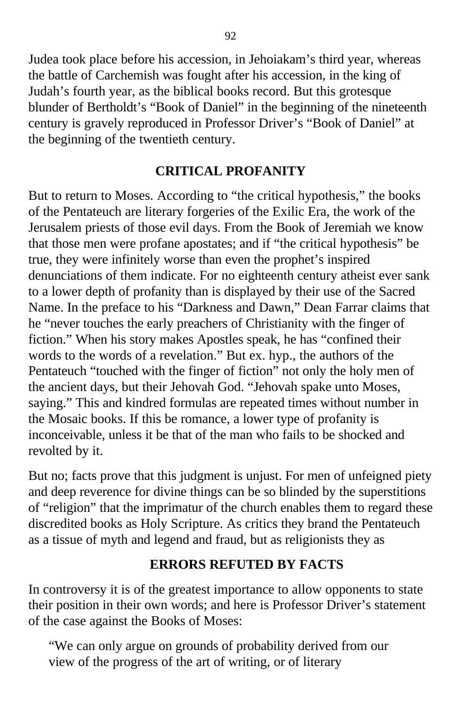Judea took place before his accession, in Jehoiakam's third year, whereas the battle of Carchemish was fought after his accession, in the king of Judah's fourth year, as the biblical books record. But this grotesque blunder of Bertholdt's "Book of Daniel" in the beginning of the nineteenth century is gravely reproduced in Professor Driver's "Book of Daniel" at the beginning of the twentieth century.

## **CRITICAL PROFANITY**

But to return to Moses. According to "the critical hypothesis," the books of the Pentateuch are literary forgeries of the Exilic Era, the work of the Jerusalem priests of those evil days. From the Book of Jeremiah we know that those men were profane apostates; and if "the critical hypothesis" be true, they were infinitely worse than even the prophet's inspired denunciations of them indicate. For no eighteenth century atheist ever sank to a lower depth of profanity than is displayed by their use of the Sacred Name. In the preface to his "Darkness and Dawn," Dean Farrar claims that he "never touches the early preachers of Christianity with the finger of fiction." When his story makes Apostles speak, he has "confined their words to the words of a revelation." But ex. hyp., the authors of the Pentateuch "touched with the finger of fiction" not only the holy men of the ancient days, but their Jehovah God. "Jehovah spake unto Moses, saying." This and kindred formulas are repeated times without number in the Mosaic books. If this be romance, a lower type of profanity is inconceivable, unless it be that of the man who fails to be shocked and revolted by it.

But no; facts prove that this judgment is unjust. For men of unfeigned piety and deep reverence for divine things can be so blinded by the superstitions of "religion" that the imprimatur of the church enables them to regard these discredited books as Holy Scripture. As critics they brand the Pentateuch as a tissue of myth and legend and fraud, but as religionists they as

### **ERRORS REFUTED BY FACTS**

In controversy it is of the greatest importance to allow opponents to state their position in their own words; and here is Professor Driver's statement of the case against the Books of Moses:

"We can only argue on grounds of probability derived from our view of the progress of the art of writing, or of literary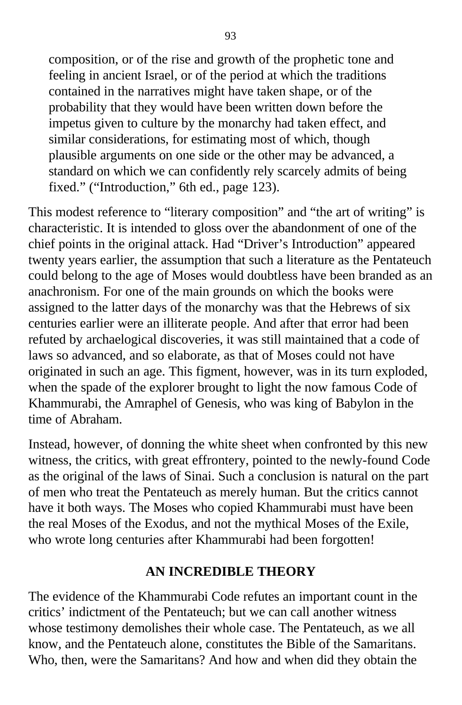composition, or of the rise and growth of the prophetic tone and feeling in ancient Israel, or of the period at which the traditions contained in the narratives might have taken shape, or of the probability that they would have been written down before the impetus given to culture by the monarchy had taken effect, and similar considerations, for estimating most of which, though plausible arguments on one side or the other may be advanced, a standard on which we can confidently rely scarcely admits of being fixed." ("Introduction," 6th ed., page 123).

This modest reference to "literary composition" and "the art of writing" is characteristic. It is intended to gloss over the abandonment of one of the chief points in the original attack. Had "Driver's Introduction" appeared twenty years earlier, the assumption that such a literature as the Pentateuch could belong to the age of Moses would doubtless have been branded as an anachronism. For one of the main grounds on which the books were assigned to the latter days of the monarchy was that the Hebrews of six centuries earlier were an illiterate people. And after that error had been refuted by archaelogical discoveries, it was still maintained that a code of laws so advanced, and so elaborate, as that of Moses could not have originated in such an age. This figment, however, was in its turn exploded, when the spade of the explorer brought to light the now famous Code of Khammurabi, the Amraphel of Genesis, who was king of Babylon in the time of Abraham.

Instead, however, of donning the white sheet when confronted by this new witness, the critics, with great effrontery, pointed to the newly-found Code as the original of the laws of Sinai. Such a conclusion is natural on the part of men who treat the Pentateuch as merely human. But the critics cannot have it both ways. The Moses who copied Khammurabi must have been the real Moses of the Exodus, and not the mythical Moses of the Exile, who wrote long centuries after Khammurabi had been forgotten!

### **AN INCREDIBLE THEORY**

The evidence of the Khammurabi Code refutes an important count in the critics' indictment of the Pentateuch; but we can call another witness whose testimony demolishes their whole case. The Pentateuch, as we all know, and the Pentateuch alone, constitutes the Bible of the Samaritans. Who, then, were the Samaritans? And how and when did they obtain the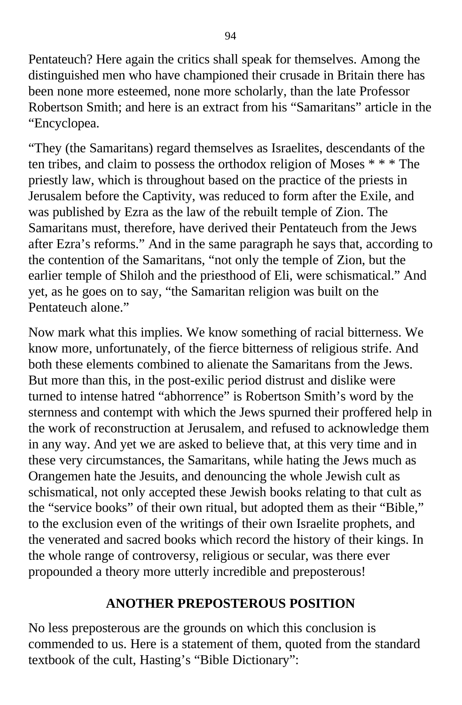Pentateuch? Here again the critics shall speak for themselves. Among the distinguished men who have championed their crusade in Britain there has been none more esteemed, none more scholarly, than the late Professor Robertson Smith; and here is an extract from his "Samaritans" article in the "Encyclopea.

"They (the Samaritans) regard themselves as Israelites, descendants of the ten tribes, and claim to possess the orthodox religion of Moses \* \* \* The priestly law, which is throughout based on the practice of the priests in Jerusalem before the Captivity, was reduced to form after the Exile, and was published by Ezra as the law of the rebuilt temple of Zion. The Samaritans must, therefore, have derived their Pentateuch from the Jews after Ezra's reforms." And in the same paragraph he says that, according to the contention of the Samaritans, "not only the temple of Zion, but the earlier temple of Shiloh and the priesthood of Eli, were schismatical." And yet, as he goes on to say, "the Samaritan religion was built on the Pentateuch alone."

Now mark what this implies. We know something of racial bitterness. We know more, unfortunately, of the fierce bitterness of religious strife. And both these elements combined to alienate the Samaritans from the Jews. But more than this, in the post-exilic period distrust and dislike were turned to intense hatred "abhorrence" is Robertson Smith's word by the sternness and contempt with which the Jews spurned their proffered help in the work of reconstruction at Jerusalem, and refused to acknowledge them in any way. And yet we are asked to believe that, at this very time and in these very circumstances, the Samaritans, while hating the Jews much as Orangemen hate the Jesuits, and denouncing the whole Jewish cult as schismatical, not only accepted these Jewish books relating to that cult as the "service books" of their own ritual, but adopted them as their "Bible," to the exclusion even of the writings of their own Israelite prophets, and the venerated and sacred books which record the history of their kings. In the whole range of controversy, religious or secular, was there ever propounded a theory more utterly incredible and preposterous!

## **ANOTHER PREPOSTEROUS POSITION**

No less preposterous are the grounds on which this conclusion is commended to us. Here is a statement of them, quoted from the standard textbook of the cult, Hasting's "Bible Dictionary":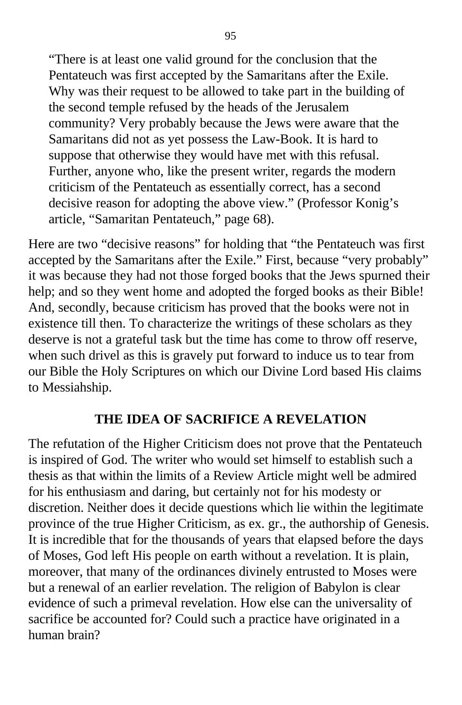"There is at least one valid ground for the conclusion that the Pentateuch was first accepted by the Samaritans after the Exile. Why was their request to be allowed to take part in the building of the second temple refused by the heads of the Jerusalem community? Very probably because the Jews were aware that the Samaritans did not as yet possess the Law-Book. It is hard to suppose that otherwise they would have met with this refusal. Further, anyone who, like the present writer, regards the modern criticism of the Pentateuch as essentially correct, has a second decisive reason for adopting the above view." (Professor Konig's article, "Samaritan Pentateuch," page 68).

Here are two "decisive reasons" for holding that "the Pentateuch was first accepted by the Samaritans after the Exile." First, because "very probably" it was because they had not those forged books that the Jews spurned their help; and so they went home and adopted the forged books as their Bible! And, secondly, because criticism has proved that the books were not in existence till then. To characterize the writings of these scholars as they deserve is not a grateful task but the time has come to throw off reserve, when such drivel as this is gravely put forward to induce us to tear from our Bible the Holy Scriptures on which our Divine Lord based His claims to Messiahship.

### **THE IDEA OF SACRIFICE A REVELATION**

The refutation of the Higher Criticism does not prove that the Pentateuch is inspired of God. The writer who would set himself to establish such a thesis as that within the limits of a Review Article might well be admired for his enthusiasm and daring, but certainly not for his modesty or discretion. Neither does it decide questions which lie within the legitimate province of the true Higher Criticism, as ex. gr., the authorship of Genesis. It is incredible that for the thousands of years that elapsed before the days of Moses, God left His people on earth without a revelation. It is plain, moreover, that many of the ordinances divinely entrusted to Moses were but a renewal of an earlier revelation. The religion of Babylon is clear evidence of such a primeval revelation. How else can the universality of sacrifice be accounted for? Could such a practice have originated in a human brain?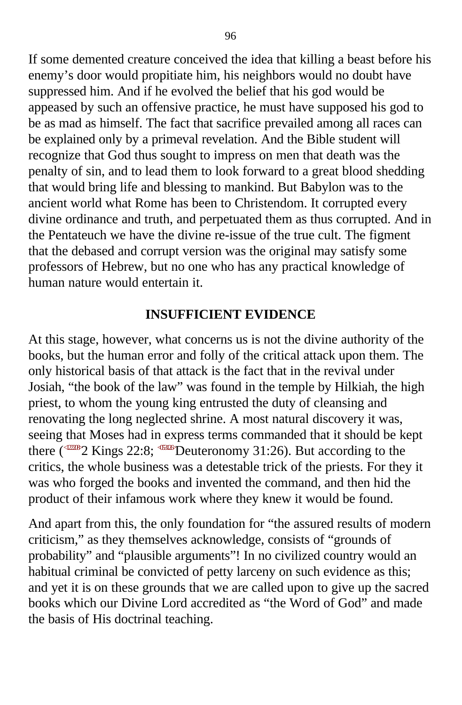If some demented creature conceived the idea that killing a beast before his enemy's door would propitiate him, his neighbors would no doubt have suppressed him. And if he evolved the belief that his god would be appeased by such an offensive practice, he must have supposed his god to be as mad as himself. The fact that sacrifice prevailed among all races can be explained only by a primeval revelation. And the Bible student will recognize that God thus sought to impress on men that death was the penalty of sin, and to lead them to look forward to a great blood shedding that would bring life and blessing to mankind. But Babylon was to the ancient world what Rome has been to Christendom. It corrupted every divine ordinance and truth, and perpetuated them as thus corrupted. And in the Pentateuch we have the divine re-issue of the true cult. The figment that the debased and corrupt version was the original may satisfy some professors of Hebrew, but no one who has any practical knowledge of human nature would entertain it.

#### **INSUFFICIENT EVIDENCE**

At this stage, however, what concerns us is not the divine authority of the books, but the human error and folly of the critical attack upon them. The only historical basis of that attack is the fact that in the revival under Josiah, "the book of the law" was found in the temple by Hilkiah, the high priest, to whom the young king entrusted the duty of cleansing and renovating the long neglected shrine. A most natural discovery it was, seeing that Moses had in express terms commanded that it should be kept there ( $\frac{\text{max}}{2}$  Kings 22:8;  $\frac{\text{max}}{2}$  Deuteronomy 31:26). But according to the critics, the whole business was a detestable trick of the priests. For they it was who forged the books and invented the command, and then hid the product of their infamous work where they knew it would be found.

And apart from this, the only foundation for "the assured results of modern criticism," as they themselves acknowledge, consists of "grounds of probability" and "plausible arguments"! In no civilized country would an habitual criminal be convicted of petty larceny on such evidence as this; and yet it is on these grounds that we are called upon to give up the sacred books which our Divine Lord accredited as "the Word of God" and made the basis of His doctrinal teaching.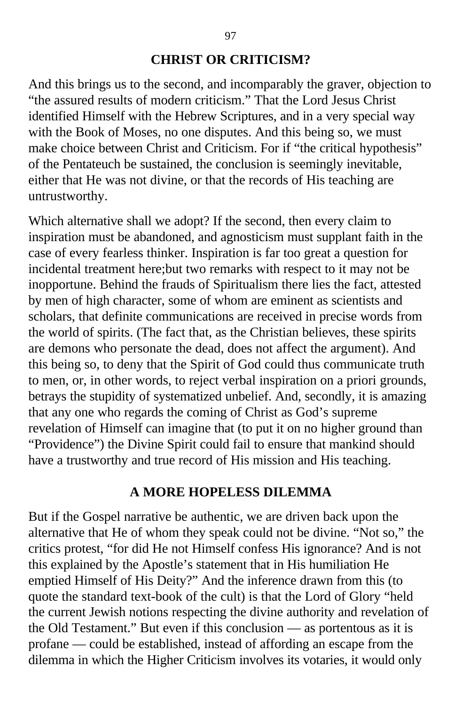### **CHRIST OR CRITICISM?**

And this brings us to the second, and incomparably the graver, objection to "the assured results of modern criticism." That the Lord Jesus Christ identified Himself with the Hebrew Scriptures, and in a very special way with the Book of Moses, no one disputes. And this being so, we must make choice between Christ and Criticism. For if "the critical hypothesis" of the Pentateuch be sustained, the conclusion is seemingly inevitable, either that He was not divine, or that the records of His teaching are untrustworthy.

Which alternative shall we adopt? If the second, then every claim to inspiration must be abandoned, and agnosticism must supplant faith in the case of every fearless thinker. Inspiration is far too great a question for incidental treatment here;but two remarks with respect to it may not be inopportune. Behind the frauds of Spiritualism there lies the fact, attested by men of high character, some of whom are eminent as scientists and scholars, that definite communications are received in precise words from the world of spirits. (The fact that, as the Christian believes, these spirits are demons who personate the dead, does not affect the argument). And this being so, to deny that the Spirit of God could thus communicate truth to men, or, in other words, to reject verbal inspiration on a priori grounds, betrays the stupidity of systematized unbelief. And, secondly, it is amazing that any one who regards the coming of Christ as God's supreme revelation of Himself can imagine that (to put it on no higher ground than "Providence") the Divine Spirit could fail to ensure that mankind should have a trustworthy and true record of His mission and His teaching.

#### **A MORE HOPELESS DILEMMA**

But if the Gospel narrative be authentic, we are driven back upon the alternative that He of whom they speak could not be divine. "Not so," the critics protest, "for did He not Himself confess His ignorance? And is not this explained by the Apostle's statement that in His humiliation He emptied Himself of His Deity?" And the inference drawn from this (to quote the standard text-book of the cult) is that the Lord of Glory "held the current Jewish notions respecting the divine authority and revelation of the Old Testament." But even if this conclusion — as portentous as it is profane — could be established, instead of affording an escape from the dilemma in which the Higher Criticism involves its votaries, it would only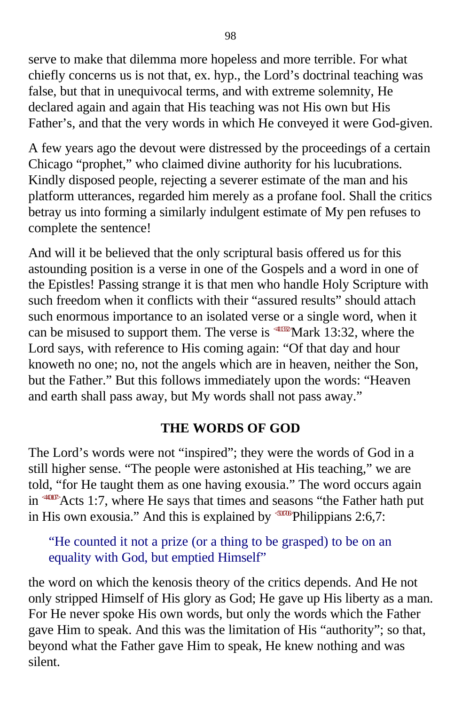serve to make that dilemma more hopeless and more terrible. For what chiefly concerns us is not that, ex. hyp., the Lord's doctrinal teaching was false, but that in unequivocal terms, and with extreme solemnity, He declared again and again that His teaching was not His own but His Father's, and that the very words in which He conveyed it were God-given.

A few years ago the devout were distressed by the proceedings of a certain Chicago "prophet," who claimed divine authority for his lucubrations. Kindly disposed people, rejecting a severer estimate of the man and his platform utterances, regarded him merely as a profane fool. Shall the critics betray us into forming a similarly indulgent estimate of My pen refuses to complete the sentence!

And will it be believed that the only scriptural basis offered us for this astounding position is a verse in one of the Gospels and a word in one of the Epistles! Passing strange it is that men who handle Holy Scripture with such freedom when it conflicts with their "assured results" should attach such enormous importance to an isolated verse or a single word, when it can be misused to support them. The verse is  $\frac{4180}{2}$ Mark 13:32, where the Lord says, with reference to His coming again: "Of that day and hour knoweth no one; no, not the angels which are in heaven, neither the Son, but the Father." But this follows immediately upon the words: "Heaven and earth shall pass away, but My words shall not pass away."

### **THE WORDS OF GOD**

The Lord's words were not "inspired"; they were the words of God in a still higher sense. "The people were astonished at His teaching," we are told, "for He taught them as one having exousia." The word occurs again in [<440107>](#page-278-0)Acts 1:7, where He says that times and seasons "the Father hath put in His own exousia." And this is explained by  $\frac{\text{dim}\Theta}{\text{dim}\Theta}$ Philippians 2:6,7:

"He counted it not a prize (or a thing to be grasped) to be on an equality with God, but emptied Himself"

the word on which the kenosis theory of the critics depends. And He not only stripped Himself of His glory as God; He gave up His liberty as a man. For He never spoke His own words, but only the words which the Father gave Him to speak. And this was the limitation of His "authority"; so that, beyond what the Father gave Him to speak, He knew nothing and was silent.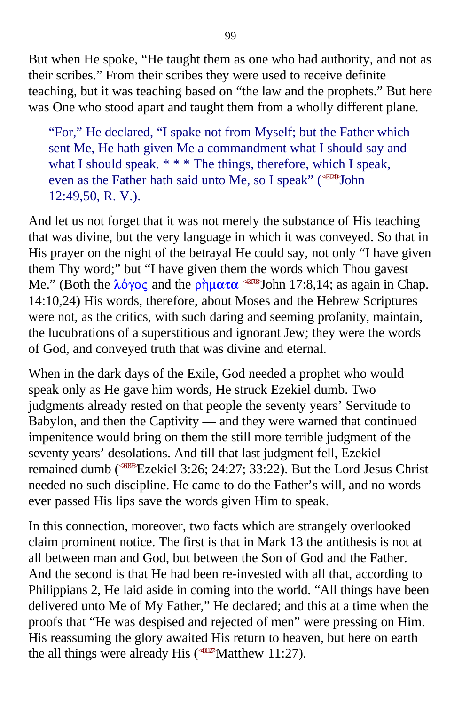But when He spoke, "He taught them as one who had authority, and not as their scribes." From their scribes they were used to receive definite teaching, but it was teaching based on "the law and the prophets." But here was One who stood apart and taught them from a wholly different plane.

"For," He declared, "I spake not from Myself; but the Father which sent Me, He hath given Me a commandment what I should say and what I should speak. \* \* \* The things, therefore, which I speak, even as the Father hath said unto Me, so I speak" ( $482\%$  John 12:49,50, R. V.).

And let us not forget that it was not merely the substance of His teaching that was divine, but the very language in which it was conveyed. So that in His prayer on the night of the betrayal He could say, not only "I have given them Thy word;" but "I have given them the words which Thou gavest Me." (Both the  $\lambda \acute{o} \gamma o \varsigma$  and the  $\rho \dot{n} \mu \alpha \tau \alpha$   $\alpha \dot{n}$  John 17:8,14; as again in Chap. 14:10,24) His words, therefore, about Moses and the Hebrew Scriptures were not, as the critics, with such daring and seeming profanity, maintain, the lucubrations of a superstitious and ignorant Jew; they were the words of God, and conveyed truth that was divine and eternal.

When in the dark days of the Exile, God needed a prophet who would speak only as He gave him words, He struck Ezekiel dumb. Two judgments already rested on that people the seventy years' Servitude to Babylon, and then the Captivity — and they were warned that continued impenitence would bring on them the still more terrible judgment of the seventy years' desolations. And till that last judgment fell, Ezekiel remained dumb ( $\frac{\text{ATM}}{\text{E}}$ Ezekiel 3:26; 24:27; 33:22). But the Lord Jesus Christ needed no such discipline. He came to do the Father's will, and no words ever passed His lips save the words given Him to speak.

In this connection, moreover, two facts which are strangely overlooked claim prominent notice. The first is that in Mark 13 the antithesis is not at all between man and God, but between the Son of God and the Father. And the second is that He had been re-invested with all that, according to Philippians 2, He laid aside in coming into the world. "All things have been delivered unto Me of My Father," He declared; and this at a time when the proofs that "He was despised and rejected of men" were pressing on Him. His reassuming the glory awaited His return to heaven, but here on earth the all things were already His ( $\frac{402}{2}$ Matthew 11:27).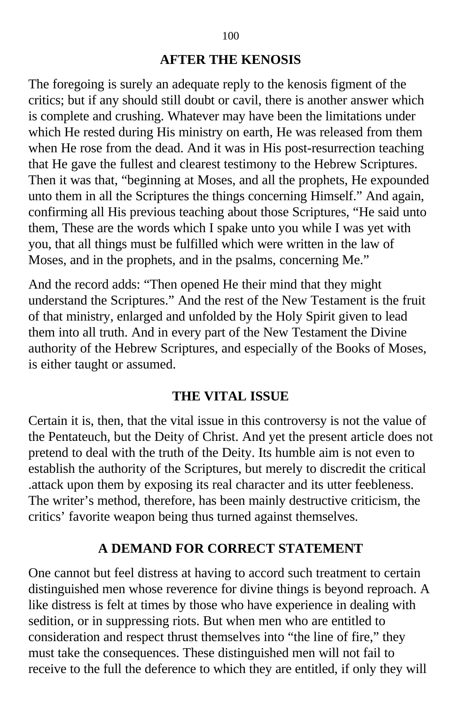## **AFTER THE KENOSIS**

The foregoing is surely an adequate reply to the kenosis figment of the critics; but if any should still doubt or cavil, there is another answer which is complete and crushing. Whatever may have been the limitations under which He rested during His ministry on earth, He was released from them when He rose from the dead. And it was in His post-resurrection teaching that He gave the fullest and clearest testimony to the Hebrew Scriptures. Then it was that, "beginning at Moses, and all the prophets, He expounded unto them in all the Scriptures the things concerning Himself." And again, confirming all His previous teaching about those Scriptures, "He said unto them, These are the words which I spake unto you while I was yet with you, that all things must be fulfilled which were written in the law of Moses, and in the prophets, and in the psalms, concerning Me."

And the record adds: "Then opened He their mind that they might understand the Scriptures." And the rest of the New Testament is the fruit of that ministry, enlarged and unfolded by the Holy Spirit given to lead them into all truth. And in every part of the New Testament the Divine authority of the Hebrew Scriptures, and especially of the Books of Moses, is either taught or assumed.

#### **THE VITAL ISSUE**

Certain it is, then, that the vital issue in this controversy is not the value of the Pentateuch, but the Deity of Christ. And yet the present article does not pretend to deal with the truth of the Deity. Its humble aim is not even to establish the authority of the Scriptures, but merely to discredit the critical .attack upon them by exposing its real character and its utter feebleness. The writer's method, therefore, has been mainly destructive criticism, the critics' favorite weapon being thus turned against themselves.

### **A DEMAND FOR CORRECT STATEMENT**

One cannot but feel distress at having to accord such treatment to certain distinguished men whose reverence for divine things is beyond reproach. A like distress is felt at times by those who have experience in dealing with sedition, or in suppressing riots. But when men who are entitled to consideration and respect thrust themselves into "the line of fire," they must take the consequences. These distinguished men will not fail to receive to the full the deference to which they are entitled, if only they will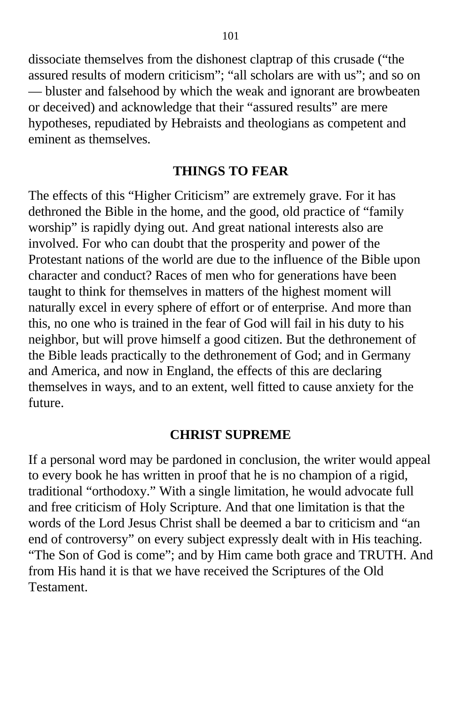dissociate themselves from the dishonest claptrap of this crusade ("the assured results of modern criticism"; "all scholars are with us"; and so on — bluster and falsehood by which the weak and ignorant are browbeaten or deceived) and acknowledge that their "assured results" are mere hypotheses, repudiated by Hebraists and theologians as competent and eminent as themselves.

#### **THINGS TO FEAR**

The effects of this "Higher Criticism" are extremely grave. For it has dethroned the Bible in the home, and the good, old practice of "family worship" is rapidly dying out. And great national interests also are involved. For who can doubt that the prosperity and power of the Protestant nations of the world are due to the influence of the Bible upon character and conduct? Races of men who for generations have been taught to think for themselves in matters of the highest moment will naturally excel in every sphere of effort or of enterprise. And more than this, no one who is trained in the fear of God will fail in his duty to his neighbor, but will prove himself a good citizen. But the dethronement of the Bible leads practically to the dethronement of God; and in Germany and America, and now in England, the effects of this are declaring themselves in ways, and to an extent, well fitted to cause anxiety for the future.

#### **CHRIST SUPREME**

If a personal word may be pardoned in conclusion, the writer would appeal to every book he has written in proof that he is no champion of a rigid, traditional "orthodoxy." With a single limitation, he would advocate full and free criticism of Holy Scripture. And that one limitation is that the words of the Lord Jesus Christ shall be deemed a bar to criticism and "an end of controversy" on every subject expressly dealt with in His teaching. "The Son of God is come"; and by Him came both grace and TRUTH. And from His hand it is that we have received the Scriptures of the Old Testament.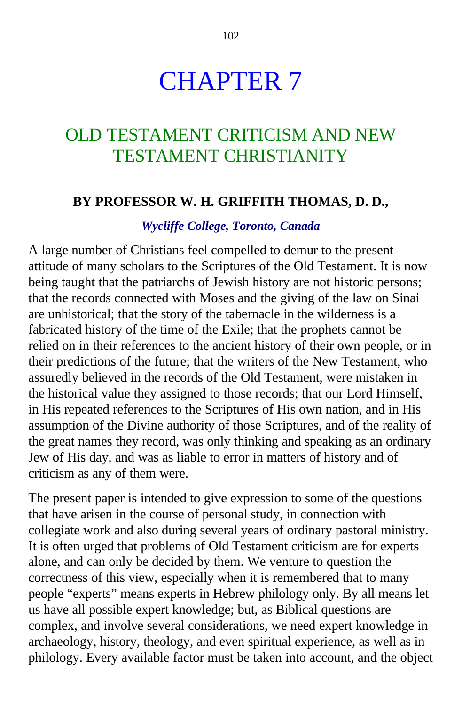# CHAPTER 7

# OLD TESTAMENT CRITICISM AND NEW TESTAMENT CHRISTIANITY

### **BY PROFESSOR W. H. GRIFFITH THOMAS, D. D.,**

#### *Wycliffe College, Toronto, Canada*

A large number of Christians feel compelled to demur to the present attitude of many scholars to the Scriptures of the Old Testament. It is now being taught that the patriarchs of Jewish history are not historic persons; that the records connected with Moses and the giving of the law on Sinai are unhistorical; that the story of the tabernacle in the wilderness is a fabricated history of the time of the Exile; that the prophets cannot be relied on in their references to the ancient history of their own people, or in their predictions of the future; that the writers of the New Testament, who assuredly believed in the records of the Old Testament, were mistaken in the historical value they assigned to those records; that our Lord Himself, in His repeated references to the Scriptures of His own nation, and in His assumption of the Divine authority of those Scriptures, and of the reality of the great names they record, was only thinking and speaking as an ordinary Jew of His day, and was as liable to error in matters of history and of criticism as any of them were.

The present paper is intended to give expression to some of the questions that have arisen in the course of personal study, in connection with collegiate work and also during several years of ordinary pastoral ministry. It is often urged that problems of Old Testament criticism are for experts alone, and can only be decided by them. We venture to question the correctness of this view, especially when it is remembered that to many people "experts" means experts in Hebrew philology only. By all means let us have all possible expert knowledge; but, as Biblical questions are complex, and involve several considerations, we need expert knowledge in archaeology, history, theology, and even spiritual experience, as well as in philology. Every available factor must be taken into account, and the object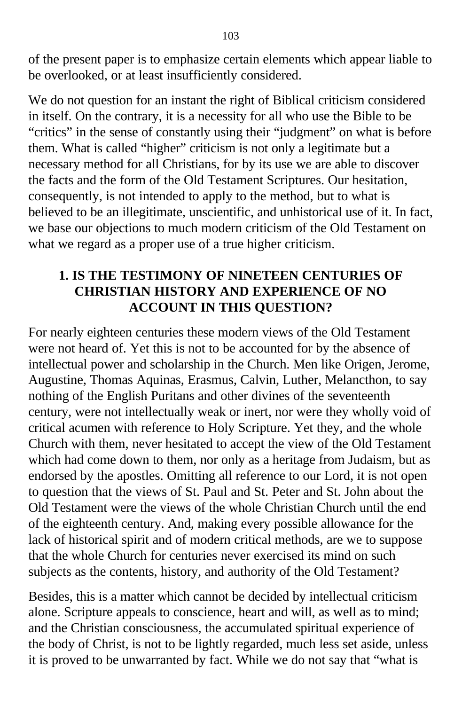of the present paper is to emphasize certain elements which appear liable to be overlooked, or at least insufficiently considered.

We do not question for an instant the right of Biblical criticism considered in itself. On the contrary, it is a necessity for all who use the Bible to be "critics" in the sense of constantly using their "judgment" on what is before them. What is called "higher" criticism is not only a legitimate but a necessary method for all Christians, for by its use we are able to discover the facts and the form of the Old Testament Scriptures. Our hesitation, consequently, is not intended to apply to the method, but to what is believed to be an illegitimate, unscientific, and unhistorical use of it. In fact, we base our objections to much modern criticism of the Old Testament on what we regard as a proper use of a true higher criticism.

# **1. IS THE TESTIMONY OF NINETEEN CENTURIES OF CHRISTIAN HISTORY AND EXPERIENCE OF NO ACCOUNT IN THIS QUESTION?**

For nearly eighteen centuries these modern views of the Old Testament were not heard of. Yet this is not to be accounted for by the absence of intellectual power and scholarship in the Church. Men like Origen, Jerome, Augustine, Thomas Aquinas, Erasmus, Calvin, Luther, Melancthon, to say nothing of the English Puritans and other divines of the seventeenth century, were not intellectually weak or inert, nor were they wholly void of critical acumen with reference to Holy Scripture. Yet they, and the whole Church with them, never hesitated to accept the view of the Old Testament which had come down to them, nor only as a heritage from Judaism, but as endorsed by the apostles. Omitting all reference to our Lord, it is not open to question that the views of St. Paul and St. Peter and St. John about the Old Testament were the views of the whole Christian Church until the end of the eighteenth century. And, making every possible allowance for the lack of historical spirit and of modern critical methods, are we to suppose that the whole Church for centuries never exercised its mind on such subjects as the contents, history, and authority of the Old Testament?

Besides, this is a matter which cannot be decided by intellectual criticism alone. Scripture appeals to conscience, heart and will, as well as to mind; and the Christian consciousness, the accumulated spiritual experience of the body of Christ, is not to be lightly regarded, much less set aside, unless it is proved to be unwarranted by fact. While we do not say that "what is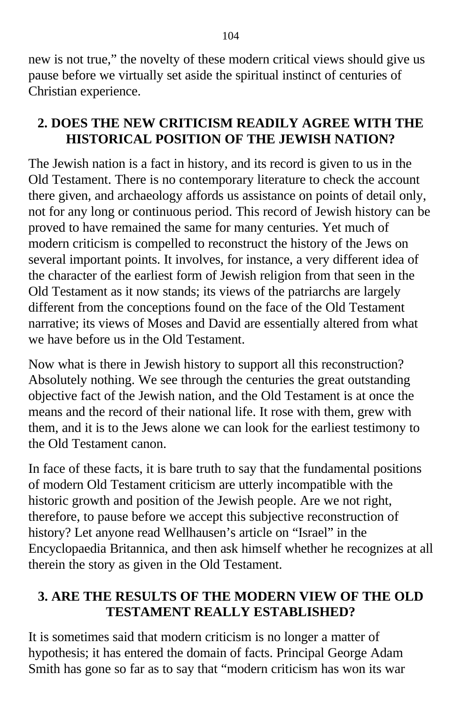new is not true," the novelty of these modern critical views should give us pause before we virtually set aside the spiritual instinct of centuries of Christian experience.

# **2. DOES THE NEW CRITICISM READILY AGREE WITH THE HISTORICAL POSITION OF THE JEWISH NATION?**

The Jewish nation is a fact in history, and its record is given to us in the Old Testament. There is no contemporary literature to check the account there given, and archaeology affords us assistance on points of detail only, not for any long or continuous period. This record of Jewish history can be proved to have remained the same for many centuries. Yet much of modern criticism is compelled to reconstruct the history of the Jews on several important points. It involves, for instance, a very different idea of the character of the earliest form of Jewish religion from that seen in the Old Testament as it now stands; its views of the patriarchs are largely different from the conceptions found on the face of the Old Testament narrative; its views of Moses and David are essentially altered from what we have before us in the Old Testament.

Now what is there in Jewish history to support all this reconstruction? Absolutely nothing. We see through the centuries the great outstanding objective fact of the Jewish nation, and the Old Testament is at once the means and the record of their national life. It rose with them, grew with them, and it is to the Jews alone we can look for the earliest testimony to the Old Testament canon.

In face of these facts, it is bare truth to say that the fundamental positions of modern Old Testament criticism are utterly incompatible with the historic growth and position of the Jewish people. Are we not right, therefore, to pause before we accept this subjective reconstruction of history? Let anyone read Wellhausen's article on "Israel" in the Encyclopaedia Britannica, and then ask himself whether he recognizes at all therein the story as given in the Old Testament.

# **3. ARE THE RESULTS OF THE MODERN VIEW OF THE OLD TESTAMENT REALLY ESTABLISHED?**

It is sometimes said that modern criticism is no longer a matter of hypothesis; it has entered the domain of facts. Principal George Adam Smith has gone so far as to say that "modern criticism has won its war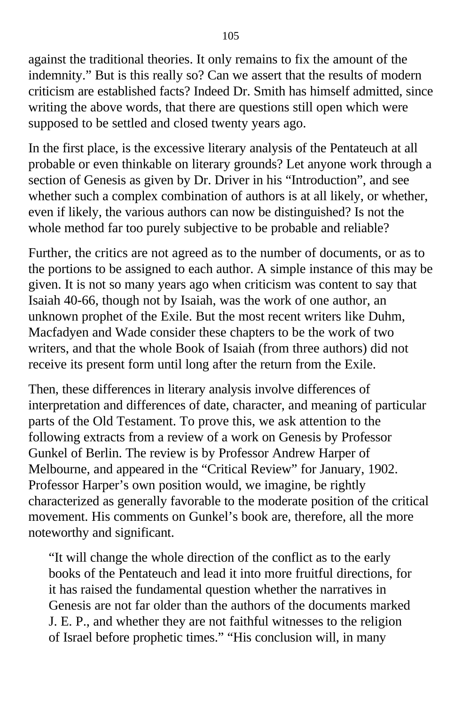against the traditional theories. It only remains to fix the amount of the indemnity." But is this really so? Can we assert that the results of modern criticism are established facts? Indeed Dr. Smith has himself admitted, since writing the above words, that there are questions still open which were supposed to be settled and closed twenty years ago.

In the first place, is the excessive literary analysis of the Pentateuch at all probable or even thinkable on literary grounds? Let anyone work through a section of Genesis as given by Dr. Driver in his "Introduction", and see whether such a complex combination of authors is at all likely, or whether, even if likely, the various authors can now be distinguished? Is not the whole method far too purely subjective to be probable and reliable?

Further, the critics are not agreed as to the number of documents, or as to the portions to be assigned to each author. A simple instance of this may be given. It is not so many years ago when criticism was content to say that Isaiah 40-66, though not by Isaiah, was the work of one author, an unknown prophet of the Exile. But the most recent writers like Duhm, Macfadyen and Wade consider these chapters to be the work of two writers, and that the whole Book of Isaiah (from three authors) did not receive its present form until long after the return from the Exile.

Then, these differences in literary analysis involve differences of interpretation and differences of date, character, and meaning of particular parts of the Old Testament. To prove this, we ask attention to the following extracts from a review of a work on Genesis by Professor Gunkel of Berlin. The review is by Professor Andrew Harper of Melbourne, and appeared in the "Critical Review" for January, 1902. Professor Harper's own position would, we imagine, be rightly characterized as generally favorable to the moderate position of the critical movement. His comments on Gunkel's book are, therefore, all the more noteworthy and significant.

"It will change the whole direction of the conflict as to the early books of the Pentateuch and lead it into more fruitful directions, for it has raised the fundamental question whether the narratives in Genesis are not far older than the authors of the documents marked J. E. P., and whether they are not faithful witnesses to the religion of Israel before prophetic times." "His conclusion will, in many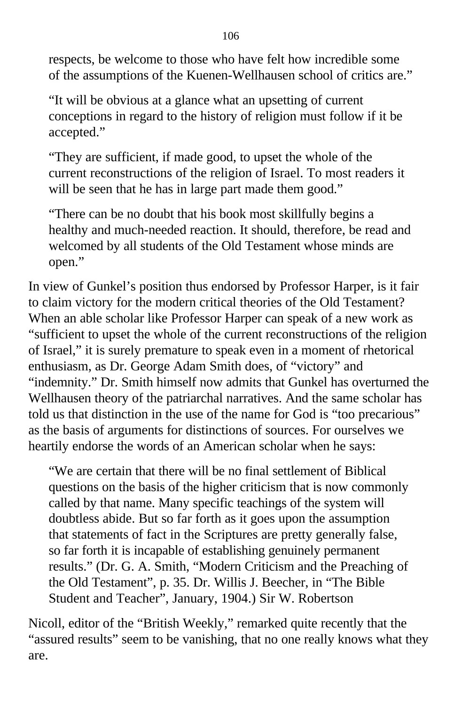respects, be welcome to those who have felt how incredible some of the assumptions of the Kuenen-Wellhausen school of critics are."

"It will be obvious at a glance what an upsetting of current conceptions in regard to the history of religion must follow if it be accepted."

"They are sufficient, if made good, to upset the whole of the current reconstructions of the religion of Israel. To most readers it will be seen that he has in large part made them good."

"There can be no doubt that his book most skillfully begins a healthy and much-needed reaction. It should, therefore, be read and welcomed by all students of the Old Testament whose minds are open."

In view of Gunkel's position thus endorsed by Professor Harper, is it fair to claim victory for the modern critical theories of the Old Testament? When an able scholar like Professor Harper can speak of a new work as "sufficient to upset the whole of the current reconstructions of the religion of Israel," it is surely premature to speak even in a moment of rhetorical enthusiasm, as Dr. George Adam Smith does, of "victory" and "indemnity." Dr. Smith himself now admits that Gunkel has overturned the Wellhausen theory of the patriarchal narratives. And the same scholar has told us that distinction in the use of the name for God is "too precarious" as the basis of arguments for distinctions of sources. For ourselves we heartily endorse the words of an American scholar when he says:

"We are certain that there will be no final settlement of Biblical questions on the basis of the higher criticism that is now commonly called by that name. Many specific teachings of the system will doubtless abide. But so far forth as it goes upon the assumption that statements of fact in the Scriptures are pretty generally false, so far forth it is incapable of establishing genuinely permanent results." (Dr. G. A. Smith, "Modern Criticism and the Preaching of the Old Testament", p. 35. Dr. Willis J. Beecher, in "The Bible Student and Teacher", January, 1904.) Sir W. Robertson

Nicoll, editor of the "British Weekly," remarked quite recently that the "assured results" seem to be vanishing, that no one really knows what they are.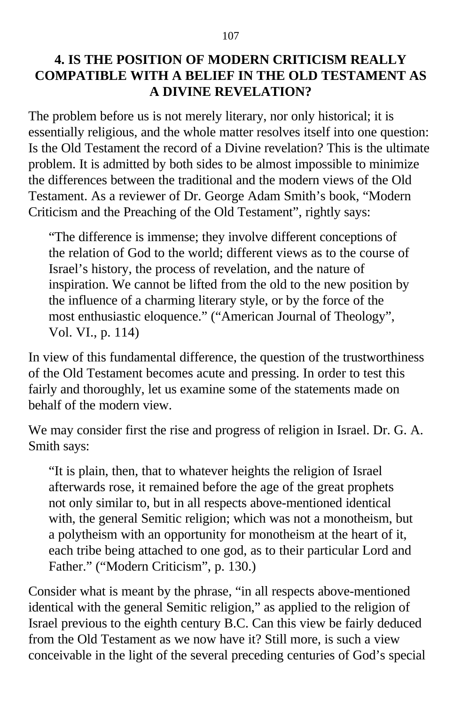## **4. IS THE POSITION OF MODERN CRITICISM REALLY COMPATIBLE WITH A BELIEF IN THE OLD TESTAMENT AS A DIVINE REVELATION?**

The problem before us is not merely literary, nor only historical; it is essentially religious, and the whole matter resolves itself into one question: Is the Old Testament the record of a Divine revelation? This is the ultimate problem. It is admitted by both sides to be almost impossible to minimize the differences between the traditional and the modern views of the Old Testament. As a reviewer of Dr. George Adam Smith's book, "Modern Criticism and the Preaching of the Old Testament", rightly says:

"The difference is immense; they involve different conceptions of the relation of God to the world; different views as to the course of Israel's history, the process of revelation, and the nature of inspiration. We cannot be lifted from the old to the new position by the influence of a charming literary style, or by the force of the most enthusiastic eloquence." ("American Journal of Theology", Vol. VI., p. 114)

In view of this fundamental difference, the question of the trustworthiness of the Old Testament becomes acute and pressing. In order to test this fairly and thoroughly, let us examine some of the statements made on behalf of the modern view.

We may consider first the rise and progress of religion in Israel. Dr. G. A. Smith says:

"It is plain, then, that to whatever heights the religion of Israel afterwards rose, it remained before the age of the great prophets not only similar to, but in all respects above-mentioned identical with, the general Semitic religion; which was not a monotheism, but a polytheism with an opportunity for monotheism at the heart of it, each tribe being attached to one god, as to their particular Lord and Father." ("Modern Criticism", p. 130.)

Consider what is meant by the phrase, "in all respects above-mentioned identical with the general Semitic religion," as applied to the religion of Israel previous to the eighth century B.C. Can this view be fairly deduced from the Old Testament as we now have it? Still more, is such a view conceivable in the light of the several preceding centuries of God's special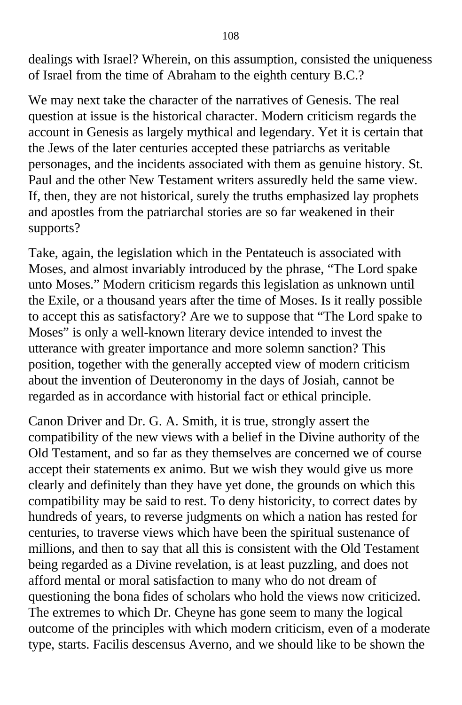dealings with Israel? Wherein, on this assumption, consisted the uniqueness of Israel from the time of Abraham to the eighth century B.C.?

We may next take the character of the narratives of Genesis. The real question at issue is the historical character. Modern criticism regards the account in Genesis as largely mythical and legendary. Yet it is certain that the Jews of the later centuries accepted these patriarchs as veritable personages, and the incidents associated with them as genuine history. St. Paul and the other New Testament writers assuredly held the same view. If, then, they are not historical, surely the truths emphasized lay prophets and apostles from the patriarchal stories are so far weakened in their supports?

Take, again, the legislation which in the Pentateuch is associated with Moses, and almost invariably introduced by the phrase, "The Lord spake unto Moses." Modern criticism regards this legislation as unknown until the Exile, or a thousand years after the time of Moses. Is it really possible to accept this as satisfactory? Are we to suppose that "The Lord spake to Moses" is only a well-known literary device intended to invest the utterance with greater importance and more solemn sanction? This position, together with the generally accepted view of modern criticism about the invention of Deuteronomy in the days of Josiah, cannot be regarded as in accordance with historial fact or ethical principle.

Canon Driver and Dr. G. A. Smith, it is true, strongly assert the compatibility of the new views with a belief in the Divine authority of the Old Testament, and so far as they themselves are concerned we of course accept their statements ex animo. But we wish they would give us more clearly and definitely than they have yet done, the grounds on which this compatibility may be said to rest. To deny historicity, to correct dates by hundreds of years, to reverse judgments on which a nation has rested for centuries, to traverse views which have been the spiritual sustenance of millions, and then to say that all this is consistent with the Old Testament being regarded as a Divine revelation, is at least puzzling, and does not afford mental or moral satisfaction to many who do not dream of questioning the bona fides of scholars who hold the views now criticized. The extremes to which Dr. Cheyne has gone seem to many the logical outcome of the principles with which modern criticism, even of a moderate type, starts. Facilis descensus Averno, and we should like to be shown the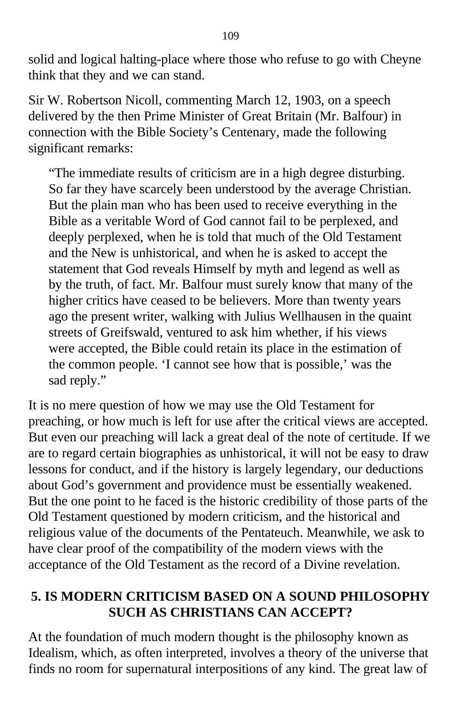solid and logical halting-place where those who refuse to go with Cheyne think that they and we can stand.

Sir W. Robertson Nicoll, commenting March 12, 1903, on a speech delivered by the then Prime Minister of Great Britain (Mr. Balfour) in connection with the Bible Society's Centenary, made the following significant remarks:

"The immediate results of criticism are in a high degree disturbing. So far they have scarcely been understood by the average Christian. But the plain man who has been used to receive everything in the Bible as a veritable Word of God cannot fail to be perplexed, and deeply perplexed, when he is told that much of the Old Testament and the New is unhistorical, and when he is asked to accept the statement that God reveals Himself by myth and legend as well as by the truth, of fact. Mr. Balfour must surely know that many of the higher critics have ceased to be believers. More than twenty years ago the present writer, walking with Julius Wellhausen in the quaint streets of Greifswald, ventured to ask him whether, if his views were accepted, the Bible could retain its place in the estimation of the common people. 'I cannot see how that is possible,' was the sad reply."

It is no mere question of how we may use the Old Testament for preaching, or how much is left for use after the critical views are accepted. But even our preaching will lack a great deal of the note of certitude. If we are to regard certain biographies as unhistorical, it will not be easy to draw lessons for conduct, and if the history is largely legendary, our deductions about God's government and providence must be essentially weakened. But the one point to he faced is the historic credibility of those parts of the Old Testament questioned by modern criticism, and the historical and religious value of the documents of the Pentateuch. Meanwhile, we ask to have clear proof of the compatibility of the modern views with the acceptance of the Old Testament as the record of a Divine revelation.

# **5. IS MODERN CRITICISM BASED ON A SOUND PHILOSOPHY SUCH AS CHRISTIANS CAN ACCEPT?**

At the foundation of much modern thought is the philosophy known as Idealism, which, as often interpreted, involves a theory of the universe that finds no room for supernatural interpositions of any kind. The great law of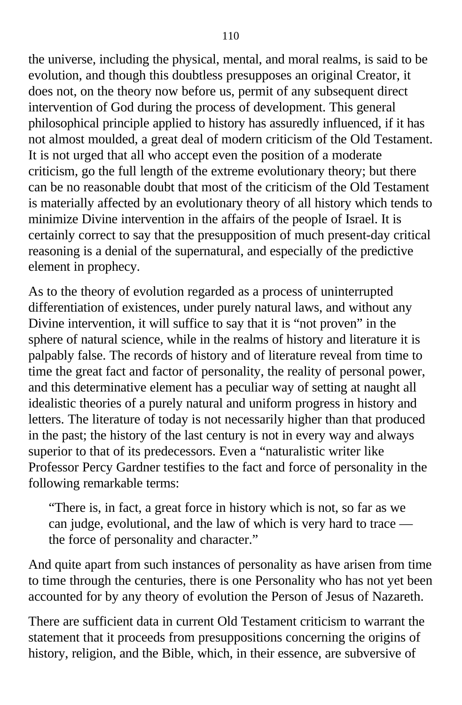the universe, including the physical, mental, and moral realms, is said to be evolution, and though this doubtless presupposes an original Creator, it does not, on the theory now before us, permit of any subsequent direct intervention of God during the process of development. This general philosophical principle applied to history has assuredly influenced, if it has not almost moulded, a great deal of modern criticism of the Old Testament. It is not urged that all who accept even the position of a moderate criticism, go the full length of the extreme evolutionary theory; but there can be no reasonable doubt that most of the criticism of the Old Testament is materially affected by an evolutionary theory of all history which tends to minimize Divine intervention in the affairs of the people of Israel. It is certainly correct to say that the presupposition of much present-day critical reasoning is a denial of the supernatural, and especially of the predictive element in prophecy.

As to the theory of evolution regarded as a process of uninterrupted differentiation of existences, under purely natural laws, and without any Divine intervention, it will suffice to say that it is "not proven" in the sphere of natural science, while in the realms of history and literature it is palpably false. The records of history and of literature reveal from time to time the great fact and factor of personality, the reality of personal power, and this determinative element has a peculiar way of setting at naught all idealistic theories of a purely natural and uniform progress in history and letters. The literature of today is not necessarily higher than that produced in the past; the history of the last century is not in every way and always superior to that of its predecessors. Even a "naturalistic writer like Professor Percy Gardner testifies to the fact and force of personality in the following remarkable terms:

"There is, in fact, a great force in history which is not, so far as we can judge, evolutional, and the law of which is very hard to trace the force of personality and character."

And quite apart from such instances of personality as have arisen from time to time through the centuries, there is one Personality who has not yet been accounted for by any theory of evolution the Person of Jesus of Nazareth.

There are sufficient data in current Old Testament criticism to warrant the statement that it proceeds from presuppositions concerning the origins of history, religion, and the Bible, which, in their essence, are subversive of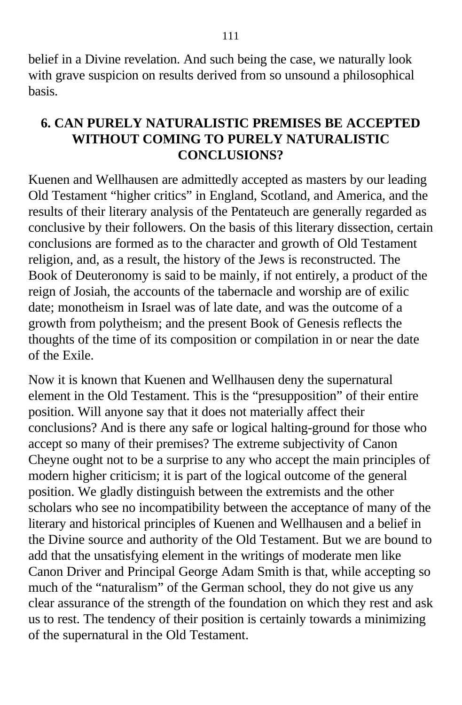belief in a Divine revelation. And such being the case, we naturally look with grave suspicion on results derived from so unsound a philosophical basis.

# **6. CAN PURELY NATURALISTIC PREMISES BE ACCEPTED WITHOUT COMING TO PURELY NATURALISTIC CONCLUSIONS?**

Kuenen and Wellhausen are admittedly accepted as masters by our leading Old Testament "higher critics" in England, Scotland, and America, and the results of their literary analysis of the Pentateuch are generally regarded as conclusive by their followers. On the basis of this literary dissection, certain conclusions are formed as to the character and growth of Old Testament religion, and, as a result, the history of the Jews is reconstructed. The Book of Deuteronomy is said to be mainly, if not entirely, a product of the reign of Josiah, the accounts of the tabernacle and worship are of exilic date; monotheism in Israel was of late date, and was the outcome of a growth from polytheism; and the present Book of Genesis reflects the thoughts of the time of its composition or compilation in or near the date of the Exile.

Now it is known that Kuenen and Wellhausen deny the supernatural element in the Old Testament. This is the "presupposition" of their entire position. Will anyone say that it does not materially affect their conclusions? And is there any safe or logical halting-ground for those who accept so many of their premises? The extreme subjectivity of Canon Cheyne ought not to be a surprise to any who accept the main principles of modern higher criticism; it is part of the logical outcome of the general position. We gladly distinguish between the extremists and the other scholars who see no incompatibility between the acceptance of many of the literary and historical principles of Kuenen and Wellhausen and a belief in the Divine source and authority of the Old Testament. But we are bound to add that the unsatisfying element in the writings of moderate men like Canon Driver and Principal George Adam Smith is that, while accepting so much of the "naturalism" of the German school, they do not give us any clear assurance of the strength of the foundation on which they rest and ask us to rest. The tendency of their position is certainly towards a minimizing of the supernatural in the Old Testament.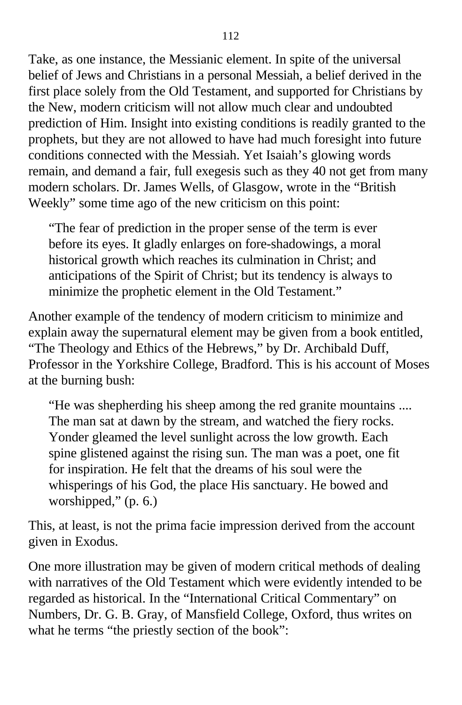Take, as one instance, the Messianic element. In spite of the universal belief of Jews and Christians in a personal Messiah, a belief derived in the first place solely from the Old Testament, and supported for Christians by the New, modern criticism will not allow much clear and undoubted prediction of Him. Insight into existing conditions is readily granted to the prophets, but they are not allowed to have had much foresight into future conditions connected with the Messiah. Yet Isaiah's glowing words remain, and demand a fair, full exegesis such as they 40 not get from many modern scholars. Dr. James Wells, of Glasgow, wrote in the "British Weekly" some time ago of the new criticism on this point:

"The fear of prediction in the proper sense of the term is ever before its eyes. It gladly enlarges on fore-shadowings, a moral historical growth which reaches its culmination in Christ; and anticipations of the Spirit of Christ; but its tendency is always to minimize the prophetic element in the Old Testament."

Another example of the tendency of modern criticism to minimize and explain away the supernatural element may be given from a book entitled, "The Theology and Ethics of the Hebrews," by Dr. Archibald Duff, Professor in the Yorkshire College, Bradford. This is his account of Moses at the burning bush:

"He was shepherding his sheep among the red granite mountains .... The man sat at dawn by the stream, and watched the fiery rocks. Yonder gleamed the level sunlight across the low growth. Each spine glistened against the rising sun. The man was a poet, one fit for inspiration. He felt that the dreams of his soul were the whisperings of his God, the place His sanctuary. He bowed and worshipped," (p. 6.)

This, at least, is not the prima facie impression derived from the account given in Exodus.

One more illustration may be given of modern critical methods of dealing with narratives of the Old Testament which were evidently intended to be regarded as historical. In the "International Critical Commentary" on Numbers, Dr. G. B. Gray, of Mansfield College, Oxford, thus writes on what he terms "the priestly section of the book":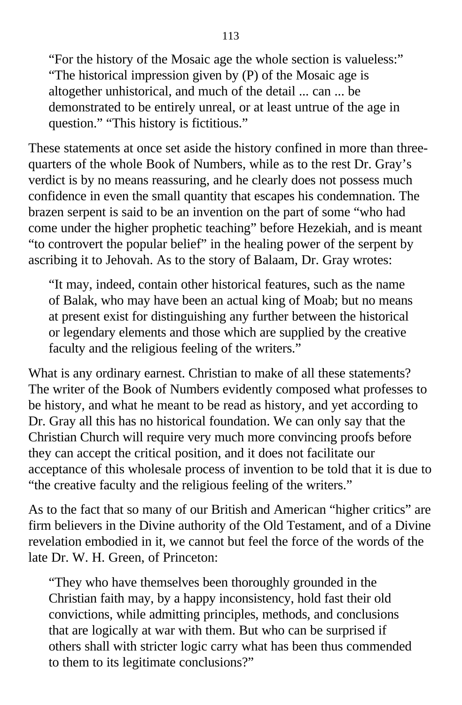"For the history of the Mosaic age the whole section is valueless:" "The historical impression given by (P) of the Mosaic age is altogether unhistorical, and much of the detail ... can ... be demonstrated to be entirely unreal, or at least untrue of the age in question." "This history is fictitious."

These statements at once set aside the history confined in more than threequarters of the whole Book of Numbers, while as to the rest Dr. Gray's verdict is by no means reassuring, and he clearly does not possess much confidence in even the small quantity that escapes his condemnation. The brazen serpent is said to be an invention on the part of some "who had come under the higher prophetic teaching" before Hezekiah, and is meant "to controvert the popular belief" in the healing power of the serpent by ascribing it to Jehovah. As to the story of Balaam, Dr. Gray wrotes:

"It may, indeed, contain other historical features, such as the name of Balak, who may have been an actual king of Moab; but no means at present exist for distinguishing any further between the historical or legendary elements and those which are supplied by the creative faculty and the religious feeling of the writers."

What is any ordinary earnest. Christian to make of all these statements? The writer of the Book of Numbers evidently composed what professes to be history, and what he meant to be read as history, and yet according to Dr. Gray all this has no historical foundation. We can only say that the Christian Church will require very much more convincing proofs before they can accept the critical position, and it does not facilitate our acceptance of this wholesale process of invention to be told that it is due to "the creative faculty and the religious feeling of the writers."

As to the fact that so many of our British and American "higher critics" are firm believers in the Divine authority of the Old Testament, and of a Divine revelation embodied in it, we cannot but feel the force of the words of the late Dr. W. H. Green, of Princeton:

"They who have themselves been thoroughly grounded in the Christian faith may, by a happy inconsistency, hold fast their old convictions, while admitting principles, methods, and conclusions that are logically at war with them. But who can be surprised if others shall with stricter logic carry what has been thus commended to them to its legitimate conclusions?"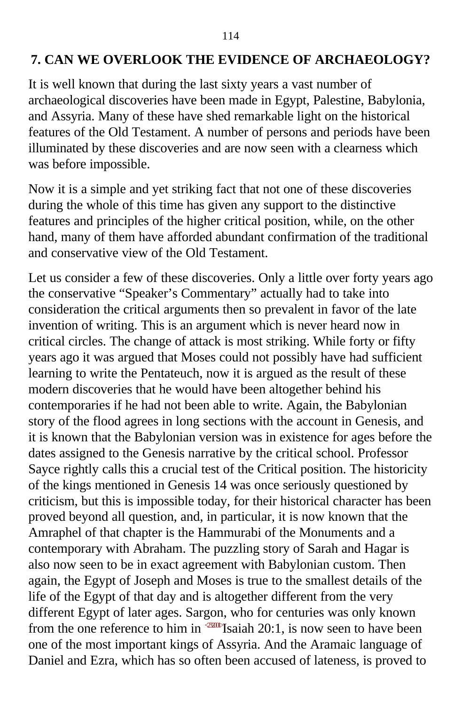#### 114

# **7. CAN WE OVERLOOK THE EVIDENCE OF ARCHAEOLOGY?**

It is well known that during the last sixty years a vast number of archaeological discoveries have been made in Egypt, Palestine, Babylonia, and Assyria. Many of these have shed remarkable light on the historical features of the Old Testament. A number of persons and periods have been illuminated by these discoveries and are now seen with a clearness which was before impossible.

Now it is a simple and yet striking fact that not one of these discoveries during the whole of this time has given any support to the distinctive features and principles of the higher critical position, while, on the other hand, many of them have afforded abundant confirmation of the traditional and conservative view of the Old Testament.

Let us consider a few of these discoveries. Only a little over forty years ago the conservative "Speaker's Commentary" actually had to take into consideration the critical arguments then so prevalent in favor of the late invention of writing. This is an argument which is never heard now in critical circles. The change of attack is most striking. While forty or fifty years ago it was argued that Moses could not possibly have had sufficient learning to write the Pentateuch, now it is argued as the result of these modern discoveries that he would have been altogether behind his contemporaries if he had not been able to write. Again, the Babylonian story of the flood agrees in long sections with the account in Genesis, and it is known that the Babylonian version was in existence for ages before the dates assigned to the Genesis narrative by the critical school. Professor Sayce rightly calls this a crucial test of the Critical position. The historicity of the kings mentioned in Genesis 14 was once seriously questioned by criticism, but this is impossible today, for their historical character has been proved beyond all question, and, in particular, it is now known that the Amraphel of that chapter is the Hammurabi of the Monuments and a contemporary with Abraham. The puzzling story of Sarah and Hagar is also now seen to be in exact agreement with Babylonian custom. Then again, the Egypt of Joseph and Moses is true to the smallest details of the life of the Egypt of that day and is altogether different from the very different Egypt of later ages. Sargon, who for centuries was only known from the one reference to him in  $\sqrt{2320}$  Isaiah 20:1, is now seen to have been one of the most important kings of Assyria. And the Aramaic language of Daniel and Ezra, which has so often been accused of lateness, is proved to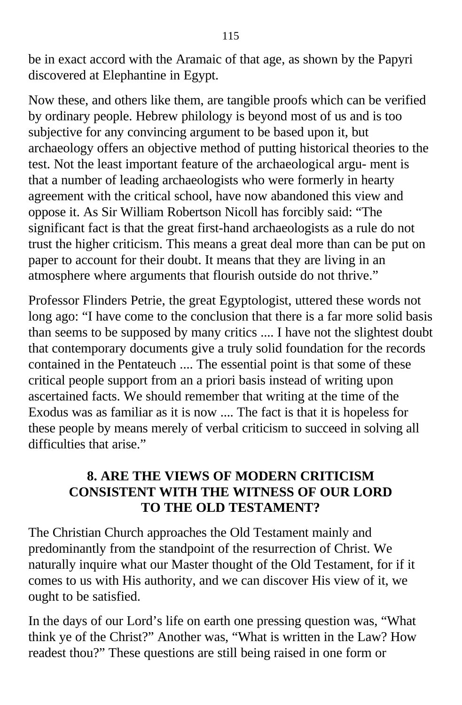be in exact accord with the Aramaic of that age, as shown by the Papyri discovered at Elephantine in Egypt.

Now these, and others like them, are tangible proofs which can be verified by ordinary people. Hebrew philology is beyond most of us and is too subjective for any convincing argument to be based upon it, but archaeology offers an objective method of putting historical theories to the test. Not the least important feature of the archaeological argu- ment is that a number of leading archaeologists who were formerly in hearty agreement with the critical school, have now abandoned this view and oppose it. As Sir William Robertson Nicoll has forcibly said: "The significant fact is that the great first-hand archaeologists as a rule do not trust the higher criticism. This means a great deal more than can be put on paper to account for their doubt. It means that they are living in an atmosphere where arguments that flourish outside do not thrive."

Professor Flinders Petrie, the great Egyptologist, uttered these words not long ago: "I have come to the conclusion that there is a far more solid basis than seems to be supposed by many critics .... I have not the slightest doubt that contemporary documents give a truly solid foundation for the records contained in the Pentateuch .... The essential point is that some of these critical people support from an a priori basis instead of writing upon ascertained facts. We should remember that writing at the time of the Exodus was as familiar as it is now .... The fact is that it is hopeless for these people by means merely of verbal criticism to succeed in solving all difficulties that arise."

# **8. ARE THE VIEWS OF MODERN CRITICISM CONSISTENT WITH THE WITNESS OF OUR LORD TO THE OLD TESTAMENT?**

The Christian Church approaches the Old Testament mainly and predominantly from the standpoint of the resurrection of Christ. We naturally inquire what our Master thought of the Old Testament, for if it comes to us with His authority, and we can discover His view of it, we ought to be satisfied.

In the days of our Lord's life on earth one pressing question was, "What think ye of the Christ?" Another was, "What is written in the Law? How readest thou?" These questions are still being raised in one form or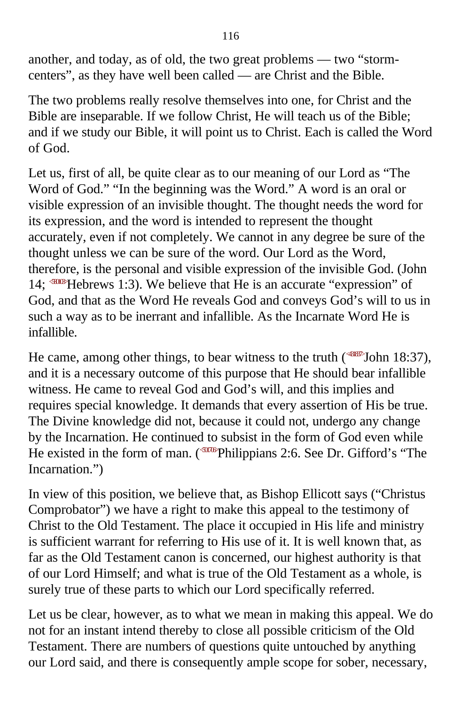another, and today, as of old, the two great problems — two "stormcenters", as they have well been called — are Christ and the Bible.

The two problems really resolve themselves into one, for Christ and the Bible are inseparable. If we follow Christ, He will teach us of the Bible; and if we study our Bible, it will point us to Christ. Each is called the Word of God.

Let us, first of all, be quite clear as to our meaning of our Lord as "The Word of God." "In the beginning was the Word." A word is an oral or visible expression of an invisible thought. The thought needs the word for its expression, and the word is intended to represent the thought accurately, even if not completely. We cannot in any degree be sure of the thought unless we can be sure of the word. Our Lord as the Word, therefore, is the personal and visible expression of the invisible God. (John 14; <sup> $\mathcal{L}$ 8008</sup> Hebrews 1:3). We believe that He is an accurate "expression" of God, and that as the Word He reveals God and conveys God's will to us in such a way as to be inerrant and infallible. As the Incarnate Word He is infallible.

He came, among other things, to bear witness to the truth  $(\sqrt{8835})$ John 18:37), and it is a necessary outcome of this purpose that He should bear infallible witness. He came to reveal God and God's will, and this implies and requires special knowledge. It demands that every assertion of His be true. The Divine knowledge did not, because it could not, undergo any change by the Incarnation. He continued to subsist in the form of God even while He existed in the form of man. ( $\sqrt{3076}$ Philippians 2:6. See Dr. Gifford's "The Incarnation.")

In view of this position, we believe that, as Bishop Ellicott says ("Christus Comprobator") we have a right to make this appeal to the testimony of Christ to the Old Testament. The place it occupied in His life and ministry is sufficient warrant for referring to His use of it. It is well known that, as far as the Old Testament canon is concerned, our highest authority is that of our Lord Himself; and what is true of the Old Testament as a whole, is surely true of these parts to which our Lord specifically referred.

Let us be clear, however, as to what we mean in making this appeal. We do not for an instant intend thereby to close all possible criticism of the Old Testament. There are numbers of questions quite untouched by anything our Lord said, and there is consequently ample scope for sober, necessary,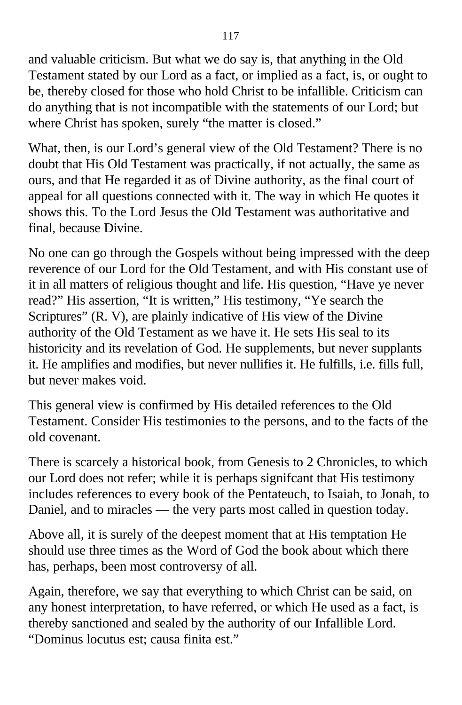and valuable criticism. But what we do say is, that anything in the Old Testament stated by our Lord as a fact, or implied as a fact, is, or ought to be, thereby closed for those who hold Christ to be infallible. Criticism can do anything that is not incompatible with the statements of our Lord; but where Christ has spoken, surely "the matter is closed."

What, then, is our Lord's general view of the Old Testament? There is no doubt that His Old Testament was practically, if not actually, the same as ours, and that He regarded it as of Divine authority, as the final court of appeal for all questions connected with it. The way in which He quotes it shows this. To the Lord Jesus the Old Testament was authoritative and final, because Divine.

No one can go through the Gospels without being impressed with the deep reverence of our Lord for the Old Testament, and with His constant use of it in all matters of religious thought and life. His question, "Have ye never read?" His assertion, "It is written," His testimony, "Ye search the Scriptures" (R. V), are plainly indicative of His view of the Divine authority of the Old Testament as we have it. He sets His seal to its historicity and its revelation of God. He supplements, but never supplants it. He amplifies and modifies, but never nullifies it. He fulfills, i.e. fills full, but never makes void.

This general view is confirmed by His detailed references to the Old Testament. Consider His testimonies to the persons, and to the facts of the old covenant.

There is scarcely a historical book, from Genesis to 2 Chronicles, to which our Lord does not refer; while it is perhaps signifcant that His testimony includes references to every book of the Pentateuch, to Isaiah, to Jonah, to Daniel, and to miracles — the very parts most called in question today.

Above all, it is surely of the deepest moment that at His temptation He should use three times as the Word of God the book about which there has, perhaps, been most controversy of all.

Again, therefore, we say that everything to which Christ can be said, on any honest interpretation, to have referred, or which He used as a fact, is thereby sanctioned and sealed by the authority of our Infallible Lord. "Dominus locutus est; causa finita est."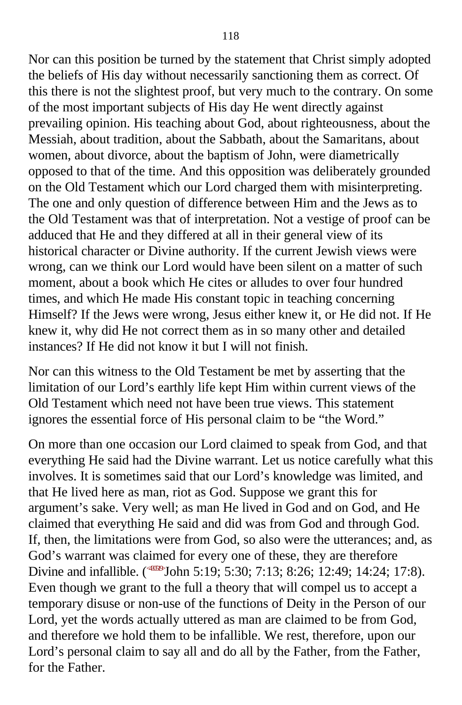Nor can this position be turned by the statement that Christ simply adopted the beliefs of His day without necessarily sanctioning them as correct. Of this there is not the slightest proof, but very much to the contrary. On some of the most important subjects of His day He went directly against prevailing opinion. His teaching about God, about righteousness, about the Messiah, about tradition, about the Sabbath, about the Samaritans, about women, about divorce, about the baptism of John, were diametrically opposed to that of the time. And this opposition was deliberately grounded on the Old Testament which our Lord charged them with misinterpreting. The one and only question of difference between Him and the Jews as to the Old Testament was that of interpretation. Not a vestige of proof can be adduced that He and they differed at all in their general view of its historical character or Divine authority. If the current Jewish views were wrong, can we think our Lord would have been silent on a matter of such moment, about a book which He cites or alludes to over four hundred times, and which He made His constant topic in teaching concerning Himself? If the Jews were wrong, Jesus either knew it, or He did not. If He knew it, why did He not correct them as in so many other and detailed instances? If He did not know it but I will not finish.

Nor can this witness to the Old Testament be met by asserting that the limitation of our Lord's earthly life kept Him within current views of the Old Testament which need not have been true views. This statement ignores the essential force of His personal claim to be "the Word."

On more than one occasion our Lord claimed to speak from God, and that everything He said had the Divine warrant. Let us notice carefully what this involves. It is sometimes said that our Lord's knowledge was limited, and that He lived here as man, riot as God. Suppose we grant this for argument's sake. Very well; as man He lived in God and on God, and He claimed that everything He said and did was from God and through God. If, then, the limitations were from God, so also were the utterances; and, as God's warrant was claimed for every one of these, they are therefore Divine and infallible. (4000 John 5:19; 5:30; 7:13; 8:26; 12:49; 14:24; 17:8). Even though we grant to the full a theory that will compel us to accept a temporary disuse or non-use of the functions of Deity in the Person of our Lord, yet the words actually uttered as man are claimed to be from God, and therefore we hold them to be infallible. We rest, therefore, upon our Lord's personal claim to say all and do all by the Father, from the Father, for the Father.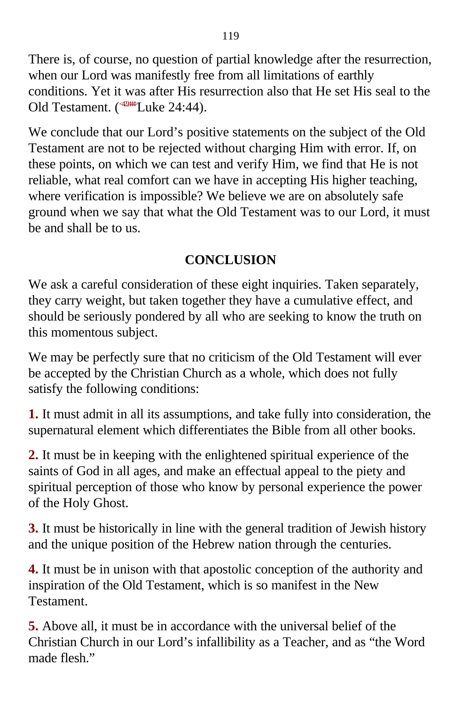There is, of course, no question of partial knowledge after the resurrection, when our Lord was manifestly free from all limitations of earthly conditions. Yet it was after His resurrection also that He set His seal to the Old Testament.  $\left(\frac{4244}{2}\right)$ Luke 24:44).

We conclude that our Lord's positive statements on the subject of the Old Testament are not to be rejected without charging Him with error. If, on these points, on which we can test and verify Him, we find that He is not reliable, what real comfort can we have in accepting His higher teaching, where verification is impossible? We believe we are on absolutely safe ground when we say that what the Old Testament was to our Lord, it must be and shall be to us.

# **CONCLUSION**

We ask a careful consideration of these eight inquiries. Taken separately, they carry weight, but taken together they have a cumulative effect, and should be seriously pondered by all who are seeking to know the truth on this momentous subject.

We may be perfectly sure that no criticism of the Old Testament will ever be accepted by the Christian Church as a whole, which does not fully satisfy the following conditions:

**1.** It must admit in all its assumptions, and take fully into consideration, the supernatural element which differentiates the Bible from all other books.

**2.** It must be in keeping with the enlightened spiritual experience of the saints of God in all ages, and make an effectual appeal to the piety and spiritual perception of those who know by personal experience the power of the Holy Ghost.

**3.** It must be historically in line with the general tradition of Jewish history and the unique position of the Hebrew nation through the centuries.

**4.** It must be in unison with that apostolic conception of the authority and inspiration of the Old Testament, which is so manifest in the New Testament.

**5.** Above all, it must be in accordance with the universal belief of the Christian Church in our Lord's infallibility as a Teacher, and as "the Word made flesh."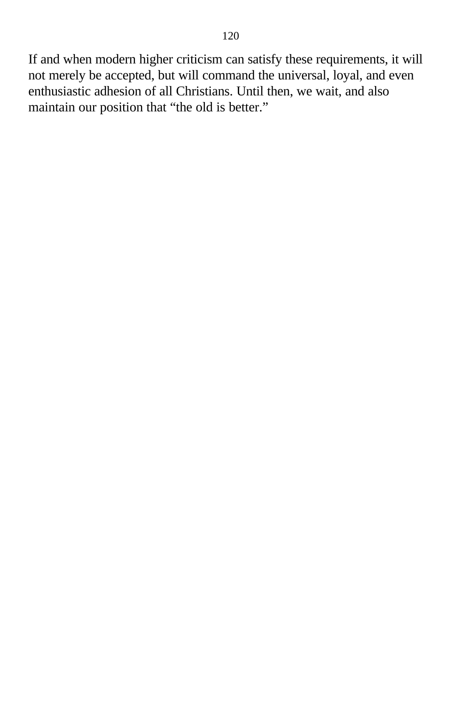If and when modern higher criticism can satisfy these requirements, it will not merely be accepted, but will command the universal, loyal, and even enthusiastic adhesion of all Christians. Until then, we wait, and also maintain our position that "the old is better."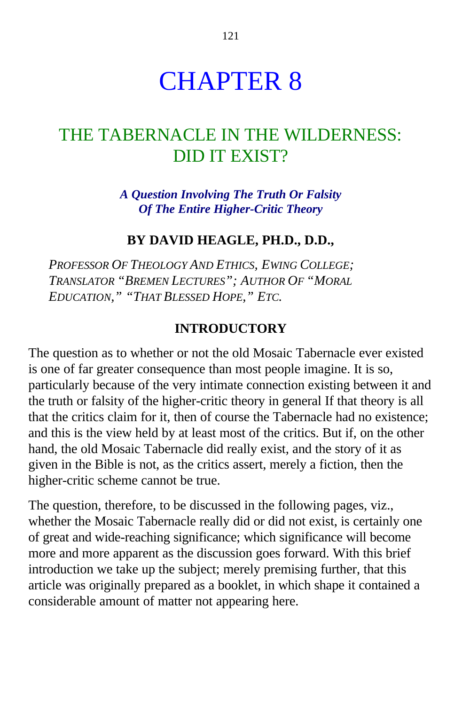# CHAPTER 8

# THE TABERNACLE IN THE WILDERNESS: DID IT EXIST?

*A Question Involving The Truth Or Falsity Of The Entire Higher-Critic Theory*

### **BY DAVID HEAGLE, PH.D., D.D.,**

*PROFESSOR OF THEOLOGY AND ETHICS, EWING COLLEGE; TRANSLATOR "BREMEN LECTURES"; AUTHOR OF "MORAL EDUCATION," "THAT BLESSED HOPE," ETC.*

#### **INTRODUCTORY**

The question as to whether or not the old Mosaic Tabernacle ever existed is one of far greater consequence than most people imagine. It is so, particularly because of the very intimate connection existing between it and the truth or falsity of the higher-critic theory in general If that theory is all that the critics claim for it, then of course the Tabernacle had no existence; and this is the view held by at least most of the critics. But if, on the other hand, the old Mosaic Tabernacle did really exist, and the story of it as given in the Bible is not, as the critics assert, merely a fiction, then the higher-critic scheme cannot be true.

The question, therefore, to be discussed in the following pages, viz., whether the Mosaic Tabernacle really did or did not exist, is certainly one of great and wide-reaching significance; which significance will become more and more apparent as the discussion goes forward. With this brief introduction we take up the subject; merely premising further, that this article was originally prepared as a booklet, in which shape it contained a considerable amount of matter not appearing here.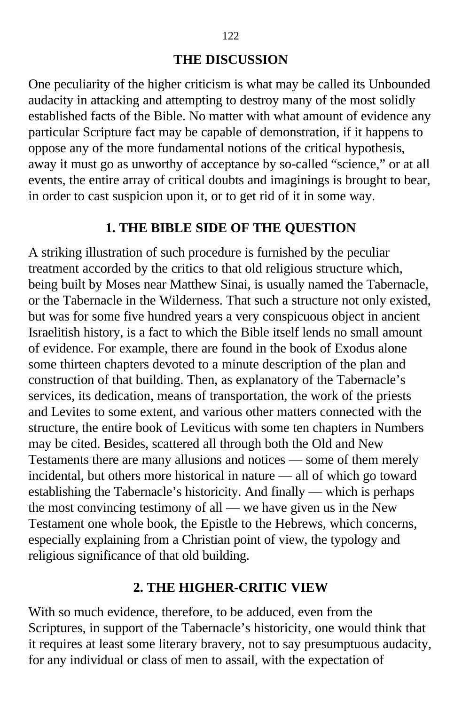### **THE DISCUSSION**

One peculiarity of the higher criticism is what may be called its Unbounded audacity in attacking and attempting to destroy many of the most solidly established facts of the Bible. No matter with what amount of evidence any particular Scripture fact may be capable of demonstration, if it happens to oppose any of the more fundamental notions of the critical hypothesis, away it must go as unworthy of acceptance by so-called "science," or at all events, the entire array of critical doubts and imaginings is brought to bear, in order to cast suspicion upon it, or to get rid of it in some way.

### **1. THE BIBLE SIDE OF THE QUESTION**

A striking illustration of such procedure is furnished by the peculiar treatment accorded by the critics to that old religious structure which, being built by Moses near Matthew Sinai, is usually named the Tabernacle, or the Tabernacle in the Wilderness. That such a structure not only existed, but was for some five hundred years a very conspicuous object in ancient Israelitish history, is a fact to which the Bible itself lends no small amount of evidence. For example, there are found in the book of Exodus alone some thirteen chapters devoted to a minute description of the plan and construction of that building. Then, as explanatory of the Tabernacle's services, its dedication, means of transportation, the work of the priests and Levites to some extent, and various other matters connected with the structure, the entire book of Leviticus with some ten chapters in Numbers may be cited. Besides, scattered all through both the Old and New Testaments there are many allusions and notices — some of them merely incidental, but others more historical in nature — all of which go toward establishing the Tabernacle's historicity. And finally — which is perhaps the most convincing testimony of all — we have given us in the New Testament one whole book, the Epistle to the Hebrews, which concerns, especially explaining from a Christian point of view, the typology and religious significance of that old building.

#### **2. THE HIGHER-CRITIC VIEW**

With so much evidence, therefore, to be adduced, even from the Scriptures, in support of the Tabernacle's historicity, one would think that it requires at least some literary bravery, not to say presumptuous audacity, for any individual or class of men to assail, with the expectation of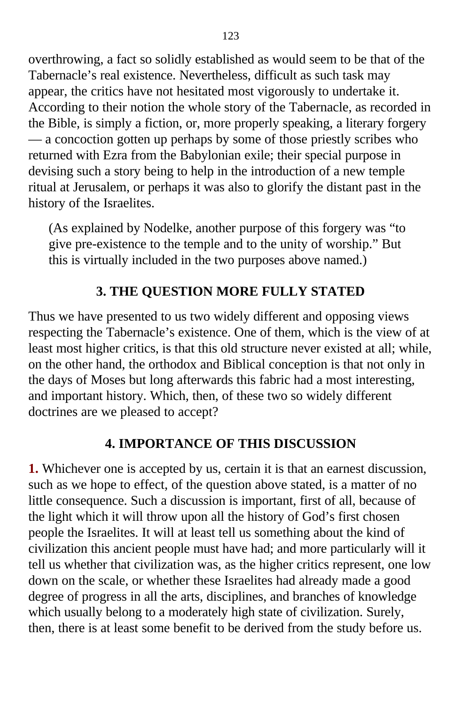overthrowing, a fact so solidly established as would seem to be that of the Tabernacle's real existence. Nevertheless, difficult as such task may appear, the critics have not hesitated most vigorously to undertake it. According to their notion the whole story of the Tabernacle, as recorded in the Bible, is simply a fiction, or, more properly speaking, a literary forgery — a concoction gotten up perhaps by some of those priestly scribes who returned with Ezra from the Babylonian exile; their special purpose in devising such a story being to help in the introduction of a new temple ritual at Jerusalem, or perhaps it was also to glorify the distant past in the history of the Israelites.

(As explained by Nodelke, another purpose of this forgery was "to give pre-existence to the temple and to the unity of worship." But this is virtually included in the two purposes above named.)

# **3. THE QUESTION MORE FULLY STATED**

Thus we have presented to us two widely different and opposing views respecting the Tabernacle's existence. One of them, which is the view of at least most higher critics, is that this old structure never existed at all; while, on the other hand, the orthodox and Biblical conception is that not only in the days of Moses but long afterwards this fabric had a most interesting, and important history. Which, then, of these two so widely different doctrines are we pleased to accept?

# **4. IMPORTANCE OF THIS DISCUSSION**

**1.** Whichever one is accepted by us, certain it is that an earnest discussion, such as we hope to effect, of the question above stated, is a matter of no little consequence. Such a discussion is important, first of all, because of the light which it will throw upon all the history of God's first chosen people the Israelites. It will at least tell us something about the kind of civilization this ancient people must have had; and more particularly will it tell us whether that civilization was, as the higher critics represent, one low down on the scale, or whether these Israelites had already made a good degree of progress in all the arts, disciplines, and branches of knowledge which usually belong to a moderately high state of civilization. Surely, then, there is at least some benefit to be derived from the study before us.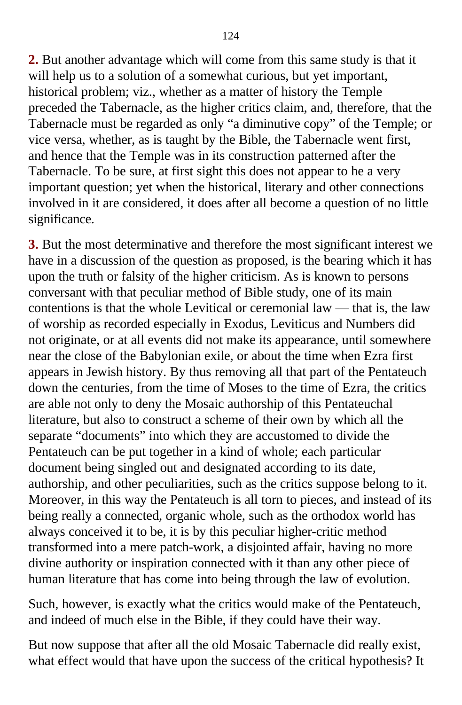**2.** But another advantage which will come from this same study is that it will help us to a solution of a somewhat curious, but yet important, historical problem; viz., whether as a matter of history the Temple preceded the Tabernacle, as the higher critics claim, and, therefore, that the Tabernacle must be regarded as only "a diminutive copy" of the Temple; or vice versa, whether, as is taught by the Bible, the Tabernacle went first, and hence that the Temple was in its construction patterned after the Tabernacle. To be sure, at first sight this does not appear to he a very important question; yet when the historical, literary and other connections involved in it are considered, it does after all become a question of no little significance.

**3.** But the most determinative and therefore the most significant interest we have in a discussion of the question as proposed, is the bearing which it has upon the truth or falsity of the higher criticism. As is known to persons conversant with that peculiar method of Bible study, one of its main contentions is that the whole Levitical or ceremonial law — that is, the law of worship as recorded especially in Exodus, Leviticus and Numbers did not originate, or at all events did not make its appearance, until somewhere near the close of the Babylonian exile, or about the time when Ezra first appears in Jewish history. By thus removing all that part of the Pentateuch down the centuries, from the time of Moses to the time of Ezra, the critics are able not only to deny the Mosaic authorship of this Pentateuchal literature, but also to construct a scheme of their own by which all the separate "documents" into which they are accustomed to divide the Pentateuch can be put together in a kind of whole; each particular document being singled out and designated according to its date, authorship, and other peculiarities, such as the critics suppose belong to it. Moreover, in this way the Pentateuch is all torn to pieces, and instead of its being really a connected, organic whole, such as the orthodox world has always conceived it to be, it is by this peculiar higher-critic method transformed into a mere patch-work, a disjointed affair, having no more divine authority or inspiration connected with it than any other piece of human literature that has come into being through the law of evolution.

Such, however, is exactly what the critics would make of the Pentateuch, and indeed of much else in the Bible, if they could have their way.

But now suppose that after all the old Mosaic Tabernacle did really exist, what effect would that have upon the success of the critical hypothesis? It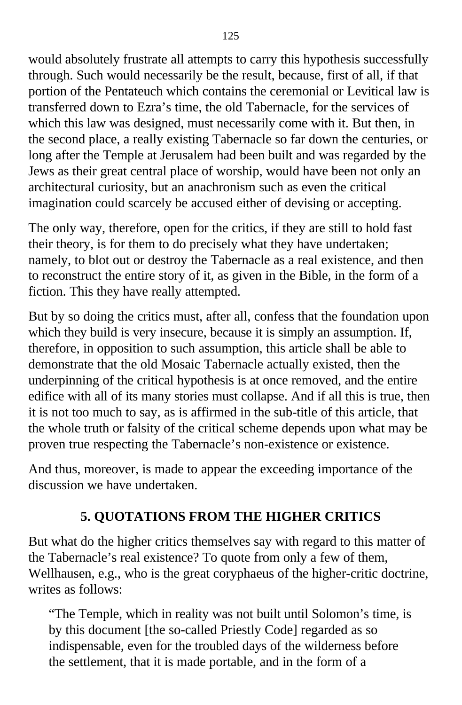would absolutely frustrate all attempts to carry this hypothesis successfully through. Such would necessarily be the result, because, first of all, if that portion of the Pentateuch which contains the ceremonial or Levitical law is transferred down to Ezra's time, the old Tabernacle, for the services of which this law was designed, must necessarily come with it. But then, in the second place, a really existing Tabernacle so far down the centuries, or long after the Temple at Jerusalem had been built and was regarded by the Jews as their great central place of worship, would have been not only an architectural curiosity, but an anachronism such as even the critical imagination could scarcely be accused either of devising or accepting.

The only way, therefore, open for the critics, if they are still to hold fast their theory, is for them to do precisely what they have undertaken; namely, to blot out or destroy the Tabernacle as a real existence, and then to reconstruct the entire story of it, as given in the Bible, in the form of a fiction. This they have really attempted.

But by so doing the critics must, after all, confess that the foundation upon which they build is very insecure, because it is simply an assumption. If, therefore, in opposition to such assumption, this article shall be able to demonstrate that the old Mosaic Tabernacle actually existed, then the underpinning of the critical hypothesis is at once removed, and the entire edifice with all of its many stories must collapse. And if all this is true, then it is not too much to say, as is affirmed in the sub-title of this article, that the whole truth or falsity of the critical scheme depends upon what may be proven true respecting the Tabernacle's non-existence or existence.

And thus, moreover, is made to appear the exceeding importance of the discussion we have undertaken.

# **5. QUOTATIONS FROM THE HIGHER CRITICS**

But what do the higher critics themselves say with regard to this matter of the Tabernacle's real existence? To quote from only a few of them, Wellhausen, e.g., who is the great coryphaeus of the higher-critic doctrine, writes as follows:

"The Temple, which in reality was not built until Solomon's time, is by this document [the so-called Priestly Code] regarded as so indispensable, even for the troubled days of the wilderness before the settlement, that it is made portable, and in the form of a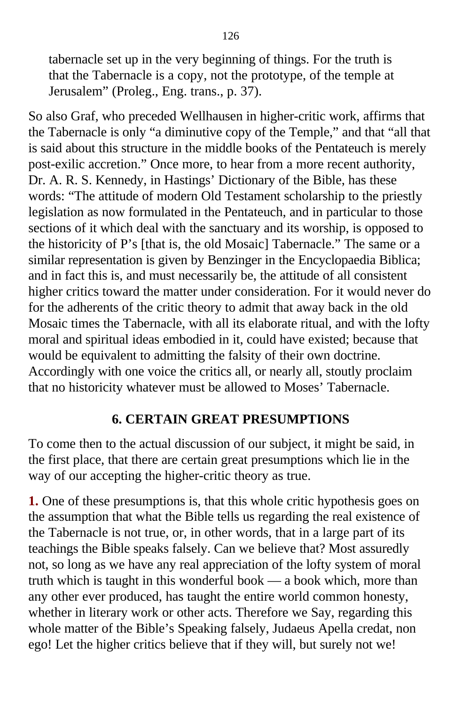tabernacle set up in the very beginning of things. For the truth is that the Tabernacle is a copy, not the prototype, of the temple at Jerusalem" (Proleg., Eng. trans., p. 37).

So also Graf, who preceded Wellhausen in higher-critic work, affirms that the Tabernacle is only "a diminutive copy of the Temple," and that "all that is said about this structure in the middle books of the Pentateuch is merely post-exilic accretion." Once more, to hear from a more recent authority, Dr. A. R. S. Kennedy, in Hastings' Dictionary of the Bible, has these words: "The attitude of modern Old Testament scholarship to the priestly legislation as now formulated in the Pentateuch, and in particular to those sections of it which deal with the sanctuary and its worship, is opposed to the historicity of P's [that is, the old Mosaic] Tabernacle." The same or a similar representation is given by Benzinger in the Encyclopaedia Biblica; and in fact this is, and must necessarily be, the attitude of all consistent higher critics toward the matter under consideration. For it would never do for the adherents of the critic theory to admit that away back in the old Mosaic times the Tabernacle, with all its elaborate ritual, and with the lofty moral and spiritual ideas embodied in it, could have existed; because that would be equivalent to admitting the falsity of their own doctrine. Accordingly with one voice the critics all, or nearly all, stoutly proclaim that no historicity whatever must be allowed to Moses' Tabernacle.

# **6. CERTAIN GREAT PRESUMPTIONS**

To come then to the actual discussion of our subject, it might be said, in the first place, that there are certain great presumptions which lie in the way of our accepting the higher-critic theory as true.

**1.** One of these presumptions is, that this whole critic hypothesis goes on the assumption that what the Bible tells us regarding the real existence of the Tabernacle is not true, or, in other words, that in a large part of its teachings the Bible speaks falsely. Can we believe that? Most assuredly not, so long as we have any real appreciation of the lofty system of moral truth which is taught in this wonderful book — a book which, more than any other ever produced, has taught the entire world common honesty, whether in literary work or other acts. Therefore we Say, regarding this whole matter of the Bible's Speaking falsely, Judaeus Apella credat, non ego! Let the higher critics believe that if they will, but surely not we!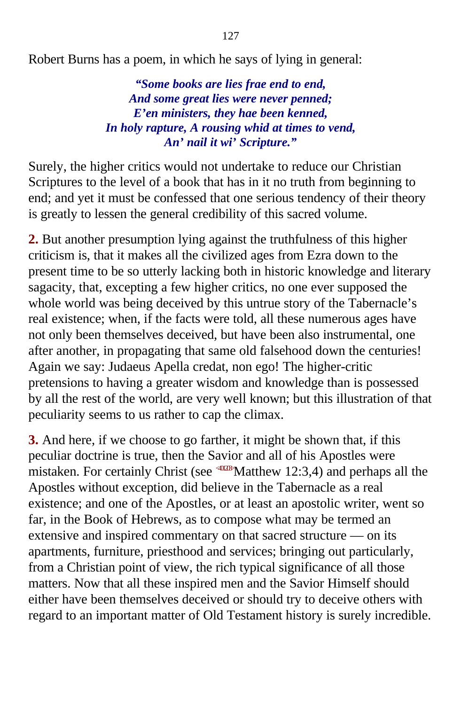Robert Burns has a poem, in which he says of lying in general:

*"Some books are lies frae end to end, And some great lies were never penned; E'en ministers, they hae been kenned, In holy rapture, A rousing whid at times to vend, An' nail it wi' Scripture."*

Surely, the higher critics would not undertake to reduce our Christian Scriptures to the level of a book that has in it no truth from beginning to end; and yet it must be confessed that one serious tendency of their theory is greatly to lessen the general credibility of this sacred volume.

**2.** But another presumption lying against the truthfulness of this higher criticism is, that it makes all the civilized ages from Ezra down to the present time to be so utterly lacking both in historic knowledge and literary sagacity, that, excepting a few higher critics, no one ever supposed the whole world was being deceived by this untrue story of the Tabernacle's real existence; when, if the facts were told, all these numerous ages have not only been themselves deceived, but have been also instrumental, one after another, in propagating that same old falsehood down the centuries! Again we say: Judaeus Apella credat, non ego! The higher-critic pretensions to having a greater wisdom and knowledge than is possessed by all the rest of the world, are very well known; but this illustration of that peculiarity seems to us rather to cap the climax.

**3.** And here, if we choose to go farther, it might be shown that, if this peculiar doctrine is true, then the Savior and all of his Apostles were mistaken. For certainly Christ (see  $\frac{4028}{2}$ Matthew 12:3,4) and perhaps all the Apostles without exception, did believe in the Tabernacle as a real existence; and one of the Apostles, or at least an apostolic writer, went so far, in the Book of Hebrews, as to compose what may be termed an extensive and inspired commentary on that sacred structure — on its apartments, furniture, priesthood and services; bringing out particularly, from a Christian point of view, the rich typical significance of all those matters. Now that all these inspired men and the Savior Himself should either have been themselves deceived or should try to deceive others with regard to an important matter of Old Testament history is surely incredible.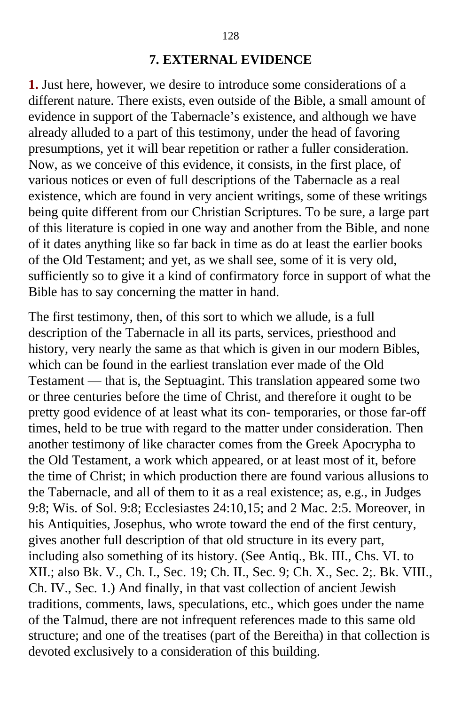### **7. EXTERNAL EVIDENCE**

**1.** Just here, however, we desire to introduce some considerations of a different nature. There exists, even outside of the Bible, a small amount of evidence in support of the Tabernacle's existence, and although we have already alluded to a part of this testimony, under the head of favoring presumptions, yet it will bear repetition or rather a fuller consideration. Now, as we conceive of this evidence, it consists, in the first place, of various notices or even of full descriptions of the Tabernacle as a real existence, which are found in very ancient writings, some of these writings being quite different from our Christian Scriptures. To be sure, a large part of this literature is copied in one way and another from the Bible, and none of it dates anything like so far back in time as do at least the earlier books of the Old Testament; and yet, as we shall see, some of it is very old, sufficiently so to give it a kind of confirmatory force in support of what the Bible has to say concerning the matter in hand.

The first testimony, then, of this sort to which we allude, is a full description of the Tabernacle in all its parts, services, priesthood and history, very nearly the same as that which is given in our modern Bibles, which can be found in the earliest translation ever made of the Old Testament — that is, the Septuagint. This translation appeared some two or three centuries before the time of Christ, and therefore it ought to be pretty good evidence of at least what its con- temporaries, or those far-off times, held to be true with regard to the matter under consideration. Then another testimony of like character comes from the Greek Apocrypha to the Old Testament, a work which appeared, or at least most of it, before the time of Christ; in which production there are found various allusions to the Tabernacle, and all of them to it as a real existence; as, e.g., in Judges 9:8; Wis. of Sol. 9:8; Ecclesiastes 24:10,15; and 2 Mac. 2:5. Moreover, in his Antiquities, Josephus, who wrote toward the end of the first century, gives another full description of that old structure in its every part, including also something of its history. (See Antiq., Bk. III., Chs. VI. to XII.; also Bk. V., Ch. I., Sec. 19; Ch. II., Sec. 9; Ch. X., Sec. 2;. Bk. VIII., Ch. IV., Sec. 1.) And finally, in that vast collection of ancient Jewish traditions, comments, laws, speculations, etc., which goes under the name of the Talmud, there are not infrequent references made to this same old structure; and one of the treatises (part of the Bereitha) in that collection is devoted exclusively to a consideration of this building.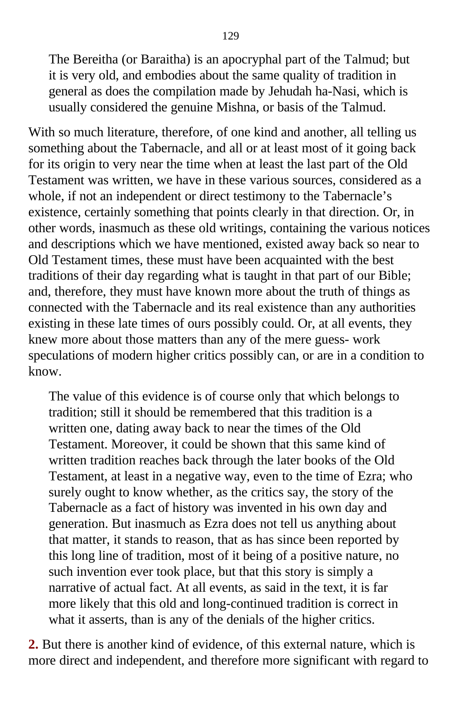The Bereitha (or Baraitha) is an apocryphal part of the Talmud; but it is very old, and embodies about the same quality of tradition in general as does the compilation made by Jehudah ha-Nasi, which is usually considered the genuine Mishna, or basis of the Talmud.

With so much literature, therefore, of one kind and another, all telling us something about the Tabernacle, and all or at least most of it going back for its origin to very near the time when at least the last part of the Old Testament was written, we have in these various sources, considered as a whole, if not an independent or direct testimony to the Tabernacle's existence, certainly something that points clearly in that direction. Or, in other words, inasmuch as these old writings, containing the various notices and descriptions which we have mentioned, existed away back so near to Old Testament times, these must have been acquainted with the best traditions of their day regarding what is taught in that part of our Bible; and, therefore, they must have known more about the truth of things as connected with the Tabernacle and its real existence than any authorities existing in these late times of ours possibly could. Or, at all events, they knew more about those matters than any of the mere guess- work speculations of modern higher critics possibly can, or are in a condition to know.

The value of this evidence is of course only that which belongs to tradition; still it should be remembered that this tradition is a written one, dating away back to near the times of the Old Testament. Moreover, it could be shown that this same kind of written tradition reaches back through the later books of the Old Testament, at least in a negative way, even to the time of Ezra; who surely ought to know whether, as the critics say, the story of the Tabernacle as a fact of history was invented in his own day and generation. But inasmuch as Ezra does not tell us anything about that matter, it stands to reason, that as has since been reported by this long line of tradition, most of it being of a positive nature, no such invention ever took place, but that this story is simply a narrative of actual fact. At all events, as said in the text, it is far more likely that this old and long-continued tradition is correct in what it asserts, than is any of the denials of the higher critics.

**2.** But there is another kind of evidence, of this external nature, which is more direct and independent, and therefore more significant with regard to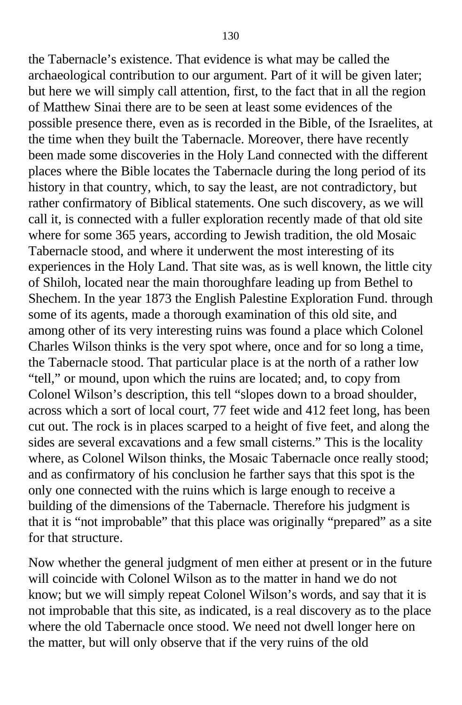the Tabernacle's existence. That evidence is what may be called the archaeological contribution to our argument. Part of it will be given later; but here we will simply call attention, first, to the fact that in all the region of Matthew Sinai there are to be seen at least some evidences of the possible presence there, even as is recorded in the Bible, of the Israelites, at the time when they built the Tabernacle. Moreover, there have recently been made some discoveries in the Holy Land connected with the different places where the Bible locates the Tabernacle during the long period of its history in that country, which, to say the least, are not contradictory, but rather confirmatory of Biblical statements. One such discovery, as we will call it, is connected with a fuller exploration recently made of that old site where for some 365 years, according to Jewish tradition, the old Mosaic Tabernacle stood, and where it underwent the most interesting of its experiences in the Holy Land. That site was, as is well known, the little city of Shiloh, located near the main thoroughfare leading up from Bethel to Shechem. In the year 1873 the English Palestine Exploration Fund. through some of its agents, made a thorough examination of this old site, and among other of its very interesting ruins was found a place which Colonel Charles Wilson thinks is the very spot where, once and for so long a time, the Tabernacle stood. That particular place is at the north of a rather low "tell," or mound, upon which the ruins are located; and, to copy from Colonel Wilson's description, this tell "slopes down to a broad shoulder, across which a sort of local court, 77 feet wide and 412 feet long, has been cut out. The rock is in places scarped to a height of five feet, and along the sides are several excavations and a few small cisterns." This is the locality where, as Colonel Wilson thinks, the Mosaic Tabernacle once really stood; and as confirmatory of his conclusion he farther says that this spot is the only one connected with the ruins which is large enough to receive a building of the dimensions of the Tabernacle. Therefore his judgment is that it is "not improbable" that this place was originally "prepared" as a site for that structure.

Now whether the general judgment of men either at present or in the future will coincide with Colonel Wilson as to the matter in hand we do not know; but we will simply repeat Colonel Wilson's words, and say that it is not improbable that this site, as indicated, is a real discovery as to the place where the old Tabernacle once stood. We need not dwell longer here on the matter, but will only observe that if the very ruins of the old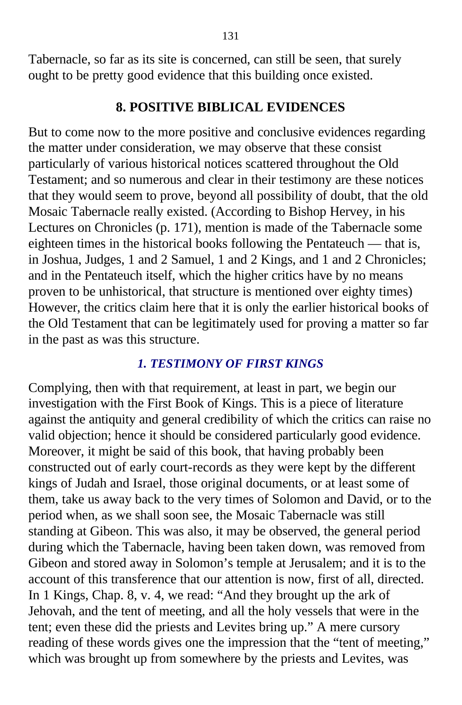Tabernacle, so far as its site is concerned, can still be seen, that surely ought to be pretty good evidence that this building once existed.

#### **8. POSITIVE BIBLICAL EVIDENCES**

But to come now to the more positive and conclusive evidences regarding the matter under consideration, we may observe that these consist particularly of various historical notices scattered throughout the Old Testament; and so numerous and clear in their testimony are these notices that they would seem to prove, beyond all possibility of doubt, that the old Mosaic Tabernacle really existed. (According to Bishop Hervey, in his Lectures on Chronicles (p. 171), mention is made of the Tabernacle some eighteen times in the historical books following the Pentateuch — that is, in Joshua, Judges, 1 and 2 Samuel, 1 and 2 Kings, and 1 and 2 Chronicles; and in the Pentateuch itself, which the higher critics have by no means proven to be unhistorical, that structure is mentioned over eighty times) However, the critics claim here that it is only the earlier historical books of the Old Testament that can be legitimately used for proving a matter so far in the past as was this structure.

#### *1. TESTIMONY OF FIRST KINGS*

Complying, then with that requirement, at least in part, we begin our investigation with the First Book of Kings. This is a piece of literature against the antiquity and general credibility of which the critics can raise no valid objection; hence it should be considered particularly good evidence. Moreover, it might be said of this book, that having probably been constructed out of early court-records as they were kept by the different kings of Judah and Israel, those original documents, or at least some of them, take us away back to the very times of Solomon and David, or to the period when, as we shall soon see, the Mosaic Tabernacle was still standing at Gibeon. This was also, it may be observed, the general period during which the Tabernacle, having been taken down, was removed from Gibeon and stored away in Solomon's temple at Jerusalem; and it is to the account of this transference that our attention is now, first of all, directed. In 1 Kings, Chap. 8, v. 4, we read: "And they brought up the ark of Jehovah, and the tent of meeting, and all the holy vessels that were in the tent; even these did the priests and Levites bring up." A mere cursory reading of these words gives one the impression that the "tent of meeting," which was brought up from somewhere by the priests and Levites, was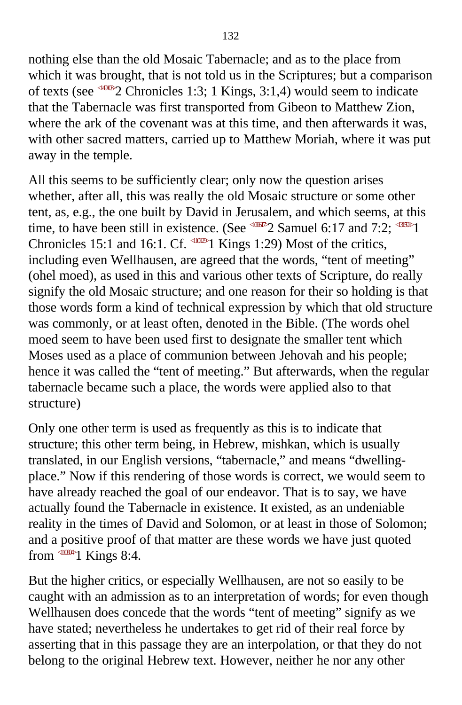nothing else than the old Mosaic Tabernacle; and as to the place from which it was brought, that is not told us in the Scriptures; but a comparison of texts (see  $\frac{4000}{2}$  Chronicles 1:3; 1 Kings, 3:1,4) would seem to indicate that the Tabernacle was first transported from Gibeon to Matthew Zion, where the ark of the covenant was at this time, and then afterwards it was, with other sacred matters, carried up to Matthew Moriah, where it was put away in the temple.

All this seems to be sufficiently clear; only now the question arises whether, after all, this was really the old Mosaic structure or some other tent, as, e.g., the one built by David in Jerusalem, and which seems, at this time, to have been still in existence. (See  $\frac{4067}{2}$  Samuel 6:17 and 7:2;  $\frac{4380}{1}$ ] Chronicles 15:1 and 16:1. Cf.  $\triangleleft$  Kings 1:29) Most of the critics, including even Wellhausen, are agreed that the words, "tent of meeting" (ohel moed), as used in this and various other texts of Scripture, do really signify the old Mosaic structure; and one reason for their so holding is that those words form a kind of technical expression by which that old structure was commonly, or at least often, denoted in the Bible. (The words ohel moed seem to have been used first to designate the smaller tent which Moses used as a place of communion between Jehovah and his people; hence it was called the "tent of meeting." But afterwards, when the regular tabernacle became such a place, the words were applied also to that structure)

Only one other term is used as frequently as this is to indicate that structure; this other term being, in Hebrew, mishkan, which is usually translated, in our English versions, "tabernacle," and means "dwellingplace." Now if this rendering of those words is correct, we would seem to have already reached the goal of our endeavor. That is to say, we have actually found the Tabernacle in existence. It existed, as an undeniable reality in the times of David and Solomon, or at least in those of Solomon; and a positive proof of that matter are these words we have just quoted from  $4080+1$  Kings 8:4.

But the higher critics, or especially Wellhausen, are not so easily to be caught with an admission as to an interpretation of words; for even though Wellhausen does concede that the words "tent of meeting" signify as we have stated; nevertheless he undertakes to get rid of their real force by asserting that in this passage they are an interpolation, or that they do not belong to the original Hebrew text. However, neither he nor any other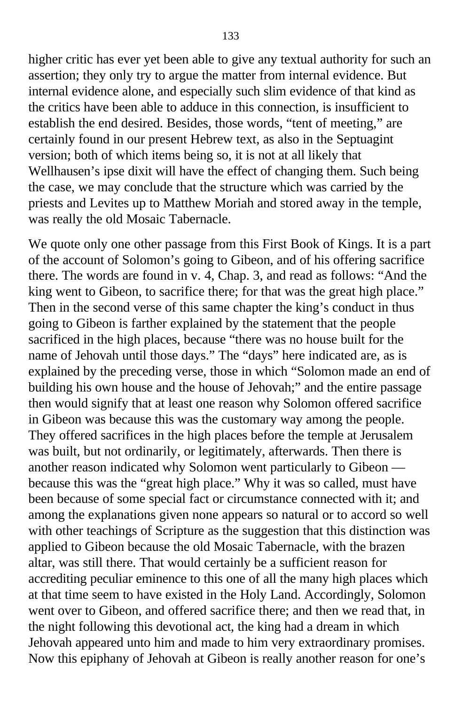higher critic has ever yet been able to give any textual authority for such an assertion; they only try to argue the matter from internal evidence. But internal evidence alone, and especially such slim evidence of that kind as the critics have been able to adduce in this connection, is insufficient to establish the end desired. Besides, those words, "tent of meeting," are certainly found in our present Hebrew text, as also in the Septuagint version; both of which items being so, it is not at all likely that Wellhausen's ipse dixit will have the effect of changing them. Such being the case, we may conclude that the structure which was carried by the priests and Levites up to Matthew Moriah and stored away in the temple, was really the old Mosaic Tabernacle.

We quote only one other passage from this First Book of Kings. It is a part of the account of Solomon's going to Gibeon, and of his offering sacrifice there. The words are found in v. 4, Chap. 3, and read as follows: "And the king went to Gibeon, to sacrifice there; for that was the great high place." Then in the second verse of this same chapter the king's conduct in thus going to Gibeon is farther explained by the statement that the people sacrificed in the high places, because "there was no house built for the name of Jehovah until those days." The "days" here indicated are, as is explained by the preceding verse, those in which "Solomon made an end of building his own house and the house of Jehovah;" and the entire passage then would signify that at least one reason why Solomon offered sacrifice in Gibeon was because this was the customary way among the people. They offered sacrifices in the high places before the temple at Jerusalem was built, but not ordinarily, or legitimately, afterwards. Then there is another reason indicated why Solomon went particularly to Gibeon because this was the "great high place." Why it was so called, must have been because of some special fact or circumstance connected with it; and among the explanations given none appears so natural or to accord so well with other teachings of Scripture as the suggestion that this distinction was applied to Gibeon because the old Mosaic Tabernacle, with the brazen altar, was still there. That would certainly be a sufficient reason for accrediting peculiar eminence to this one of all the many high places which at that time seem to have existed in the Holy Land. Accordingly, Solomon went over to Gibeon, and offered sacrifice there; and then we read that, in the night following this devotional act, the king had a dream in which Jehovah appeared unto him and made to him very extraordinary promises. Now this epiphany of Jehovah at Gibeon is really another reason for one's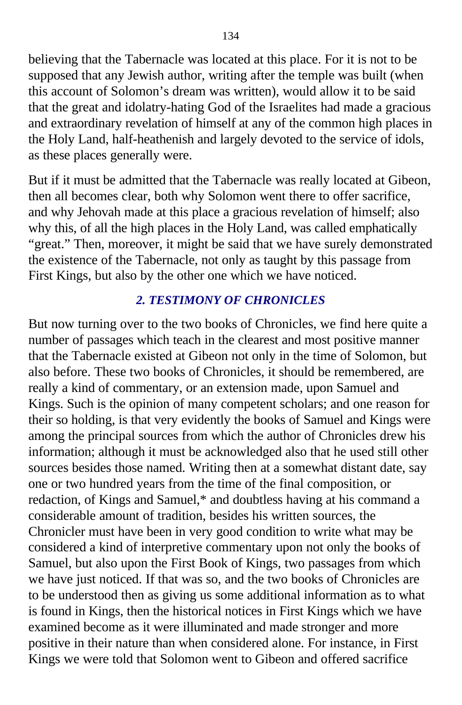believing that the Tabernacle was located at this place. For it is not to be supposed that any Jewish author, writing after the temple was built (when this account of Solomon's dream was written), would allow it to be said that the great and idolatry-hating God of the Israelites had made a gracious and extraordinary revelation of himself at any of the common high places in the Holy Land, half-heathenish and largely devoted to the service of idols, as these places generally were.

But if it must be admitted that the Tabernacle was really located at Gibeon, then all becomes clear, both why Solomon went there to offer sacrifice, and why Jehovah made at this place a gracious revelation of himself; also why this, of all the high places in the Holy Land, was called emphatically "great." Then, moreover, it might be said that we have surely demonstrated the existence of the Tabernacle, not only as taught by this passage from First Kings, but also by the other one which we have noticed.

### *2. TESTIMONY OF CHRONICLES*

But now turning over to the two books of Chronicles, we find here quite a number of passages which teach in the clearest and most positive manner that the Tabernacle existed at Gibeon not only in the time of Solomon, but also before. These two books of Chronicles, it should be remembered, are really a kind of commentary, or an extension made, upon Samuel and Kings. Such is the opinion of many competent scholars; and one reason for their so holding, is that very evidently the books of Samuel and Kings were among the principal sources from which the author of Chronicles drew his information; although it must be acknowledged also that he used still other sources besides those named. Writing then at a somewhat distant date, say one or two hundred years from the time of the final composition, or redaction, of Kings and Samuel,\* and doubtless having at his command a considerable amount of tradition, besides his written sources, the Chronicler must have been in very good condition to write what may be considered a kind of interpretive commentary upon not only the books of Samuel, but also upon the First Book of Kings, two passages from which we have just noticed. If that was so, and the two books of Chronicles are to be understood then as giving us some additional information as to what is found in Kings, then the historical notices in First Kings which we have examined become as it were illuminated and made stronger and more positive in their nature than when considered alone. For instance, in First Kings we were told that Solomon went to Gibeon and offered sacrifice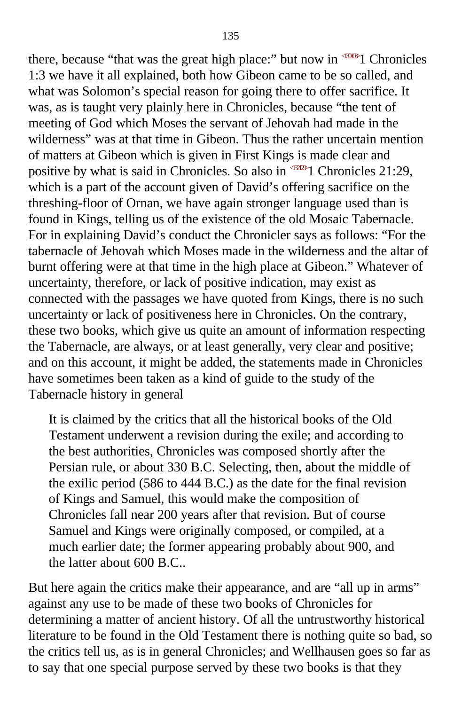there, because "that was the great high place:" but now in  $\frac{4300}{5}$  Chronicles 1:3 we have it all explained, both how Gibeon came to be so called, and what was Solomon's special reason for going there to offer sacrifice. It was, as is taught very plainly here in Chronicles, because "the tent of meeting of God which Moses the servant of Jehovah had made in the wilderness" was at that time in Gibeon. Thus the rather uncertain mention of matters at Gibeon which is given in First Kings is made clear and positive by what is said in Chronicles. So also in  $\frac{4829}{1}$  Chronicles 21:29, which is a part of the account given of David's offering sacrifice on the threshing-floor of Ornan, we have again stronger language used than is found in Kings, telling us of the existence of the old Mosaic Tabernacle. For in explaining David's conduct the Chronicler says as follows: "For the tabernacle of Jehovah which Moses made in the wilderness and the altar of burnt offering were at that time in the high place at Gibeon." Whatever of uncertainty, therefore, or lack of positive indication, may exist as connected with the passages we have quoted from Kings, there is no such uncertainty or lack of positiveness here in Chronicles. On the contrary, these two books, which give us quite an amount of information respecting the Tabernacle, are always, or at least generally, very clear and positive; and on this account, it might be added, the statements made in Chronicles have sometimes been taken as a kind of guide to the study of the Tabernacle history in general

It is claimed by the critics that all the historical books of the Old Testament underwent a revision during the exile; and according to the best authorities, Chronicles was composed shortly after the Persian rule, or about 330 B.C. Selecting, then, about the middle of the exilic period (586 to 444 B.C.) as the date for the final revision of Kings and Samuel, this would make the composition of Chronicles fall near 200 years after that revision. But of course Samuel and Kings were originally composed, or compiled, at a much earlier date; the former appearing probably about 900, and the latter about 600 B.C..

But here again the critics make their appearance, and are "all up in arms" against any use to be made of these two books of Chronicles for determining a matter of ancient history. Of all the untrustworthy historical literature to be found in the Old Testament there is nothing quite so bad, so the critics tell us, as is in general Chronicles; and Wellhausen goes so far as to say that one special purpose served by these two books is that they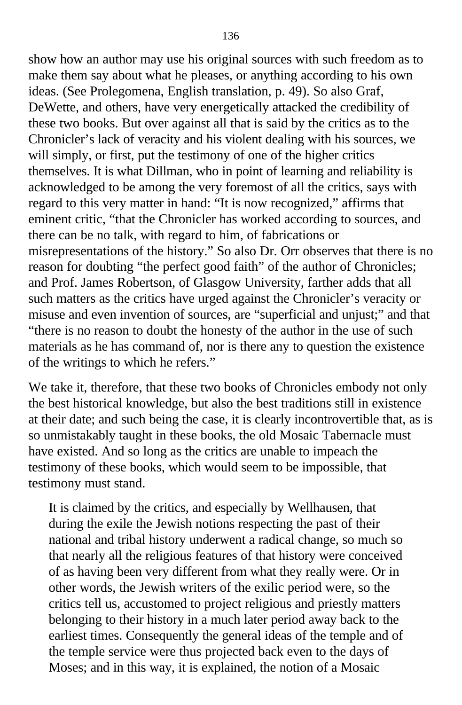show how an author may use his original sources with such freedom as to make them say about what he pleases, or anything according to his own ideas. (See Prolegomena, English translation, p. 49). So also Graf, DeWette, and others, have very energetically attacked the credibility of these two books. But over against all that is said by the critics as to the Chronicler's lack of veracity and his violent dealing with his sources, we will simply, or first, put the testimony of one of the higher critics themselves. It is what Dillman, who in point of learning and reliability is acknowledged to be among the very foremost of all the critics, says with regard to this very matter in hand: "It is now recognized," affirms that eminent critic, "that the Chronicler has worked according to sources, and there can be no talk, with regard to him, of fabrications or misrepresentations of the history." So also Dr. Orr observes that there is no reason for doubting "the perfect good faith" of the author of Chronicles; and Prof. James Robertson, of Glasgow University, farther adds that all such matters as the critics have urged against the Chronicler's veracity or misuse and even invention of sources, are "superficial and unjust;" and that "there is no reason to doubt the honesty of the author in the use of such materials as he has command of, nor is there any to question the existence of the writings to which he refers."

We take it, therefore, that these two books of Chronicles embody not only the best historical knowledge, but also the best traditions still in existence at their date; and such being the case, it is clearly incontrovertible that, as is so unmistakably taught in these books, the old Mosaic Tabernacle must have existed. And so long as the critics are unable to impeach the testimony of these books, which would seem to be impossible, that testimony must stand.

It is claimed by the critics, and especially by Wellhausen, that during the exile the Jewish notions respecting the past of their national and tribal history underwent a radical change, so much so that nearly all the religious features of that history were conceived of as having been very different from what they really were. Or in other words, the Jewish writers of the exilic period were, so the critics tell us, accustomed to project religious and priestly matters belonging to their history in a much later period away back to the earliest times. Consequently the general ideas of the temple and of the temple service were thus projected back even to the days of Moses; and in this way, it is explained, the notion of a Mosaic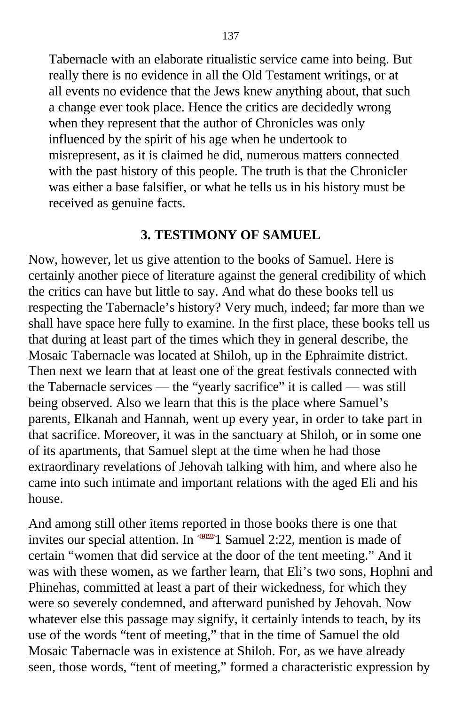Tabernacle with an elaborate ritualistic service came into being. But really there is no evidence in all the Old Testament writings, or at all events no evidence that the Jews knew anything about, that such a change ever took place. Hence the critics are decidedly wrong when they represent that the author of Chronicles was only influenced by the spirit of his age when he undertook to misrepresent, as it is claimed he did, numerous matters connected with the past history of this people. The truth is that the Chronicler was either a base falsifier, or what he tells us in his history must be received as genuine facts.

### **3. TESTIMONY OF SAMUEL**

Now, however, let us give attention to the books of Samuel. Here is certainly another piece of literature against the general credibility of which the critics can have but little to say. And what do these books tell us respecting the Tabernacle's history? Very much, indeed; far more than we shall have space here fully to examine. In the first place, these books tell us that during at least part of the times which they in general describe, the Mosaic Tabernacle was located at Shiloh, up in the Ephraimite district. Then next we learn that at least one of the great festivals connected with the Tabernacle services — the "yearly sacrifice" it is called — was still being observed. Also we learn that this is the place where Samuel's parents, Elkanah and Hannah, went up every year, in order to take part in that sacrifice. Moreover, it was in the sanctuary at Shiloh, or in some one of its apartments, that Samuel slept at the time when he had those extraordinary revelations of Jehovah talking with him, and where also he came into such intimate and important relations with the aged Eli and his house.

And among still other items reported in those books there is one that invites our special attention. In  $\frac{W}{2}$  Samuel 2:22, mention is made of certain "women that did service at the door of the tent meeting." And it was with these women, as we farther learn, that Eli's two sons, Hophni and Phinehas, committed at least a part of their wickedness, for which they were so severely condemned, and afterward punished by Jehovah. Now whatever else this passage may signify, it certainly intends to teach, by its use of the words "tent of meeting," that in the time of Samuel the old Mosaic Tabernacle was in existence at Shiloh. For, as we have already seen, those words, "tent of meeting," formed a characteristic expression by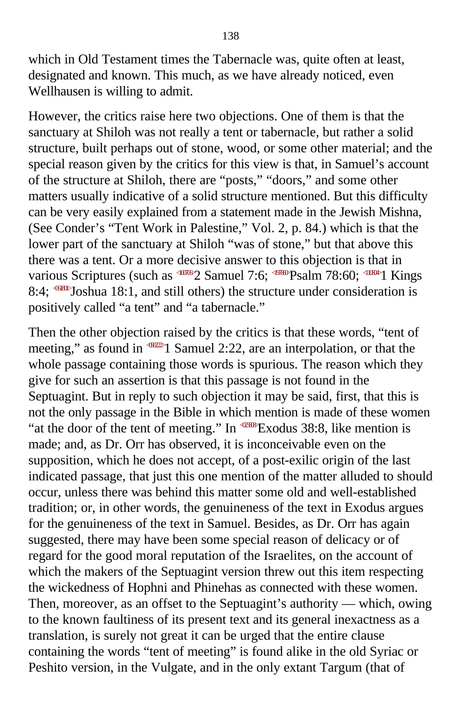which in Old Testament times the Tabernacle was, quite often at least, designated and known. This much, as we have already noticed, even Wellhausen is willing to admit.

However, the critics raise here two objections. One of them is that the sanctuary at Shiloh was not really a tent or tabernacle, but rather a solid structure, built perhaps out of stone, wood, or some other material; and the special reason given by the critics for this view is that, in Samuel's account of the structure at Shiloh, there are "posts," "doors," and some other matters usually indicative of a solid structure mentioned. But this difficulty can be very easily explained from a statement made in the Jewish Mishna, (See Conder's "Tent Work in Palestine," Vol. 2, p. 84.) which is that the lower part of the sanctuary at Shiloh "was of stone," but that above this there was a tent. Or a more decisive answer to this objection is that in various Scriptures (such as  $\frac{40006}{2}$  Samuel 7:6;  $\frac{40000}{2}$ Psalm 78:60;  $\frac{4180}{2}$  Kings 8:4;  $\frac{4680}{10}$  Joshua 18:1, and still others) the structure under consideration is positively called "a tent" and "a tabernacle."

Then the other objection raised by the critics is that these words, "tent of meeting," as found in  $\frac{1}{2}$  Samuel 2:22, are an interpolation, or that the whole passage containing those words is spurious. The reason which they give for such an assertion is that this passage is not found in the Septuagint. But in reply to such objection it may be said, first, that this is not the only passage in the Bible in which mention is made of these women "at the door of the tent of meeting." In  $\frac{dP}{dX}$ Exodus 38:8, like mention is made; and, as Dr. Orr has observed, it is inconceivable even on the supposition, which he does not accept, of a post-exilic origin of the last indicated passage, that just this one mention of the matter alluded to should occur, unless there was behind this matter some old and well-established tradition; or, in other words, the genuineness of the text in Exodus argues for the genuineness of the text in Samuel. Besides, as Dr. Orr has again suggested, there may have been some special reason of delicacy or of regard for the good moral reputation of the Israelites, on the account of which the makers of the Septuagint version threw out this item respecting the wickedness of Hophni and Phinehas as connected with these women. Then, moreover, as an offset to the Septuagint's authority — which, owing to the known faultiness of its present text and its general inexactness as a translation, is surely not great it can be urged that the entire clause containing the words "tent of meeting" is found alike in the old Syriac or Peshito version, in the Vulgate, and in the only extant Targum (that of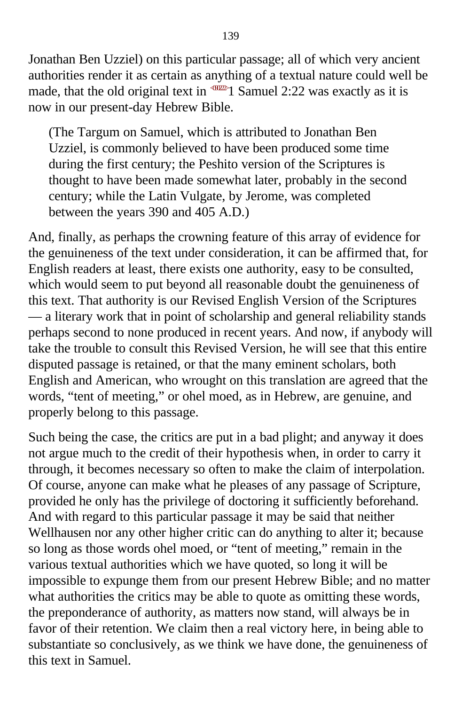Jonathan Ben Uzziel) on this particular passage; all of which very ancient authorities render it as certain as anything of a textual nature could well be made, that the old original text in  $\frac{dP}{dx}$  Samuel 2:22 was exactly as it is now in our present-day Hebrew Bible.

(The Targum on Samuel, which is attributed to Jonathan Ben Uzziel, is commonly believed to have been produced some time during the first century; the Peshito version of the Scriptures is thought to have been made somewhat later, probably in the second century; while the Latin Vulgate, by Jerome, was completed between the years 390 and 405 A.D.)

And, finally, as perhaps the crowning feature of this array of evidence for the genuineness of the text under consideration, it can be affirmed that, for English readers at least, there exists one authority, easy to be consulted, which would seem to put beyond all reasonable doubt the genuineness of this text. That authority is our Revised English Version of the Scriptures — a literary work that in point of scholarship and general reliability stands perhaps second to none produced in recent years. And now, if anybody will take the trouble to consult this Revised Version, he will see that this entire disputed passage is retained, or that the many eminent scholars, both English and American, who wrought on this translation are agreed that the words, "tent of meeting," or ohel moed, as in Hebrew, are genuine, and properly belong to this passage.

Such being the case, the critics are put in a bad plight; and anyway it does not argue much to the credit of their hypothesis when, in order to carry it through, it becomes necessary so often to make the claim of interpolation. Of course, anyone can make what he pleases of any passage of Scripture, provided he only has the privilege of doctoring it sufficiently beforehand. And with regard to this particular passage it may be said that neither Wellhausen nor any other higher critic can do anything to alter it; because so long as those words ohel moed, or "tent of meeting," remain in the various textual authorities which we have quoted, so long it will be impossible to expunge them from our present Hebrew Bible; and no matter what authorities the critics may be able to quote as omitting these words, the preponderance of authority, as matters now stand, will always be in favor of their retention. We claim then a real victory here, in being able to substantiate so conclusively, as we think we have done, the genuineness of this text in Samuel.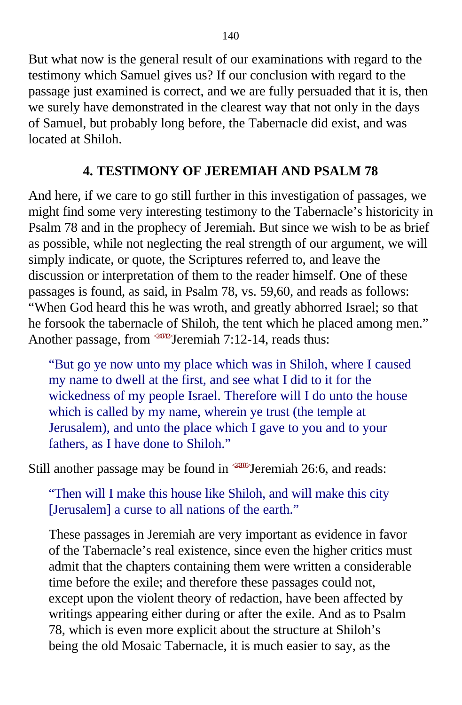But what now is the general result of our examinations with regard to the testimony which Samuel gives us? If our conclusion with regard to the passage just examined is correct, and we are fully persuaded that it is, then we surely have demonstrated in the clearest way that not only in the days of Samuel, but probably long before, the Tabernacle did exist, and was located at Shiloh.

# **4. TESTIMONY OF JEREMIAH AND PSALM 78**

And here, if we care to go still further in this investigation of passages, we might find some very interesting testimony to the Tabernacle's historicity in Psalm 78 and in the prophecy of Jeremiah. But since we wish to be as brief as possible, while not neglecting the real strength of our argument, we will simply indicate, or quote, the Scriptures referred to, and leave the discussion or interpretation of them to the reader himself. One of these passages is found, as said, in Psalm 78, vs. 59,60, and reads as follows: "When God heard this he was wroth, and greatly abhorred Israel; so that he forsook the tabernacle of Shiloh, the tent which he placed among men." Another passage, from  $\frac{2002}{2}$ Jeremiah 7:12-14, reads thus:

"But go ye now unto my place which was in Shiloh, where I caused my name to dwell at the first, and see what I did to it for the wickedness of my people Israel. Therefore will I do unto the house which is called by my name, wherein ye trust (the temple at Jerusalem), and unto the place which I gave to you and to your fathers, as I have done to Shiloh."

Still another passage may be found in <sup>2006</sup>Jeremiah 26:6, and reads:

"Then will I make this house like Shiloh, and will make this city [Jerusalem] a curse to all nations of the earth."

These passages in Jeremiah are very important as evidence in favor of the Tabernacle's real existence, since even the higher critics must admit that the chapters containing them were written a considerable time before the exile; and therefore these passages could not, except upon the violent theory of redaction, have been affected by writings appearing either during or after the exile. And as to Psalm 78, which is even more explicit about the structure at Shiloh's being the old Mosaic Tabernacle, it is much easier to say, as the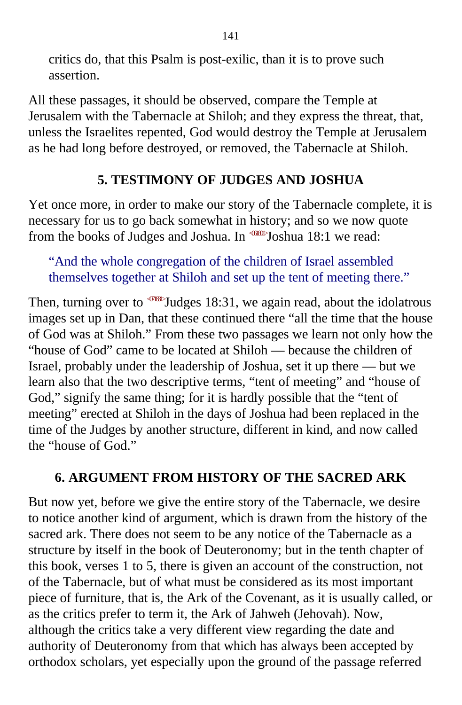critics do, that this Psalm is post-exilic, than it is to prove such assertion.

All these passages, it should be observed, compare the Temple at Jerusalem with the Tabernacle at Shiloh; and they express the threat, that, unless the Israelites repented, God would destroy the Temple at Jerusalem as he had long before destroyed, or removed, the Tabernacle at Shiloh.

# **5. TESTIMONY OF JUDGES AND JOSHUA**

Yet once more, in order to make our story of the Tabernacle complete, it is necessary for us to go back somewhat in history; and so we now quote from the books of Judges and Joshua. In  $\frac{4680}{5}$ Joshua 18:1 we read:

"And the whole congregation of the children of Israel assembled themselves together at Shiloh and set up the tent of meeting there."

Then, turning over to  $\sqrt{47885}$  Judges 18:31, we again read, about the idolatrous images set up in Dan, that these continued there "all the time that the house of God was at Shiloh." From these two passages we learn not only how the "house of God" came to be located at Shiloh — because the children of Israel, probably under the leadership of Joshua, set it up there — but we learn also that the two descriptive terms, "tent of meeting" and "house of God," signify the same thing; for it is hardly possible that the "tent of meeting" erected at Shiloh in the days of Joshua had been replaced in the time of the Judges by another structure, different in kind, and now called the "house of God."

# **6. ARGUMENT FROM HISTORY OF THE SACRED ARK**

But now yet, before we give the entire story of the Tabernacle, we desire to notice another kind of argument, which is drawn from the history of the sacred ark. There does not seem to be any notice of the Tabernacle as a structure by itself in the book of Deuteronomy; but in the tenth chapter of this book, verses 1 to 5, there is given an account of the construction, not of the Tabernacle, but of what must be considered as its most important piece of furniture, that is, the Ark of the Covenant, as it is usually called, or as the critics prefer to term it, the Ark of Jahweh (Jehovah). Now, although the critics take a very different view regarding the date and authority of Deuteronomy from that which has always been accepted by orthodox scholars, yet especially upon the ground of the passage referred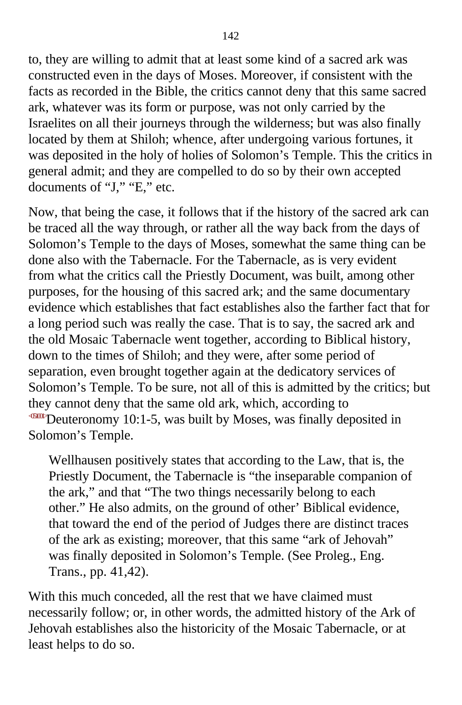to, they are willing to admit that at least some kind of a sacred ark was constructed even in the days of Moses. Moreover, if consistent with the facts as recorded in the Bible, the critics cannot deny that this same sacred ark, whatever was its form or purpose, was not only carried by the Israelites on all their journeys through the wilderness; but was also finally located by them at Shiloh; whence, after undergoing various fortunes, it was deposited in the holy of holies of Solomon's Temple. This the critics in general admit; and they are compelled to do so by their own accepted documents of "J," "E," etc.

Now, that being the case, it follows that if the history of the sacred ark can be traced all the way through, or rather all the way back from the days of Solomon's Temple to the days of Moses, somewhat the same thing can be done also with the Tabernacle. For the Tabernacle, as is very evident from what the critics call the Priestly Document, was built, among other purposes, for the housing of this sacred ark; and the same documentary evidence which establishes that fact establishes also the farther fact that for a long period such was really the case. That is to say, the sacred ark and the old Mosaic Tabernacle went together, according to Biblical history, down to the times of Shiloh; and they were, after some period of separation, even brought together again at the dedicatory services of Solomon's Temple. To be sure, not all of this is admitted by the critics; but they cannot deny that the same old ark, which, according to  $\Phi$ <sup>0500</sup> $\Phi$ Deuteronomy 10:1-5, was built by Moses, was finally deposited in Solomon's Temple.

Wellhausen positively states that according to the Law, that is, the Priestly Document, the Tabernacle is "the inseparable companion of the ark," and that "The two things necessarily belong to each other." He also admits, on the ground of other' Biblical evidence, that toward the end of the period of Judges there are distinct traces of the ark as existing; moreover, that this same "ark of Jehovah" was finally deposited in Solomon's Temple. (See Proleg., Eng. Trans., pp. 41,42).

With this much conceded, all the rest that we have claimed must necessarily follow; or, in other words, the admitted history of the Ark of Jehovah establishes also the historicity of the Mosaic Tabernacle, or at least helps to do so.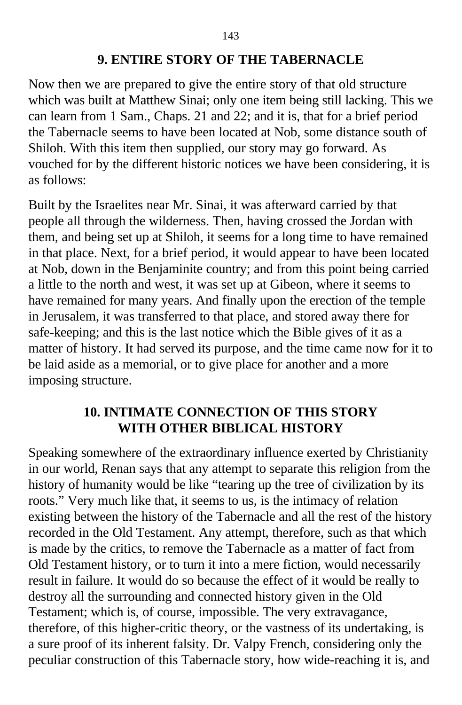### **9. ENTIRE STORY OF THE TABERNACLE**

Now then we are prepared to give the entire story of that old structure which was built at Matthew Sinai; only one item being still lacking. This we can learn from 1 Sam., Chaps. 21 and 22; and it is, that for a brief period the Tabernacle seems to have been located at Nob, some distance south of Shiloh. With this item then supplied, our story may go forward. As vouched for by the different historic notices we have been considering, it is as follows:

Built by the Israelites near Mr. Sinai, it was afterward carried by that people all through the wilderness. Then, having crossed the Jordan with them, and being set up at Shiloh, it seems for a long time to have remained in that place. Next, for a brief period, it would appear to have been located at Nob, down in the Benjaminite country; and from this point being carried a little to the north and west, it was set up at Gibeon, where it seems to have remained for many years. And finally upon the erection of the temple in Jerusalem, it was transferred to that place, and stored away there for safe-keeping; and this is the last notice which the Bible gives of it as a matter of history. It had served its purpose, and the time came now for it to be laid aside as a memorial, or to give place for another and a more imposing structure.

# **10. INTIMATE CONNECTION OF THIS STORY WITH OTHER BIBLICAL HISTORY**

Speaking somewhere of the extraordinary influence exerted by Christianity in our world, Renan says that any attempt to separate this religion from the history of humanity would be like "tearing up the tree of civilization by its roots." Very much like that, it seems to us, is the intimacy of relation existing between the history of the Tabernacle and all the rest of the history recorded in the Old Testament. Any attempt, therefore, such as that which is made by the critics, to remove the Tabernacle as a matter of fact from Old Testament history, or to turn it into a mere fiction, would necessarily result in failure. It would do so because the effect of it would be really to destroy all the surrounding and connected history given in the Old Testament; which is, of course, impossible. The very extravagance, therefore, of this higher-critic theory, or the vastness of its undertaking, is a sure proof of its inherent falsity. Dr. Valpy French, considering only the peculiar construction of this Tabernacle story, how wide-reaching it is, and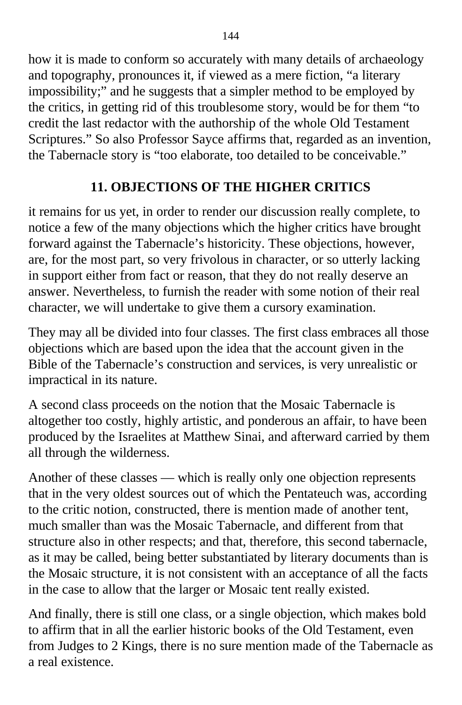how it is made to conform so accurately with many details of archaeology and topography, pronounces it, if viewed as a mere fiction, "a literary impossibility;" and he suggests that a simpler method to be employed by the critics, in getting rid of this troublesome story, would be for them "to credit the last redactor with the authorship of the whole Old Testament Scriptures." So also Professor Sayce affirms that, regarded as an invention, the Tabernacle story is "too elaborate, too detailed to be conceivable."

# **11. OBJECTIONS OF THE HIGHER CRITICS**

it remains for us yet, in order to render our discussion really complete, to notice a few of the many objections which the higher critics have brought forward against the Tabernacle's historicity. These objections, however, are, for the most part, so very frivolous in character, or so utterly lacking in support either from fact or reason, that they do not really deserve an answer. Nevertheless, to furnish the reader with some notion of their real character, we will undertake to give them a cursory examination.

They may all be divided into four classes. The first class embraces all those objections which are based upon the idea that the account given in the Bible of the Tabernacle's construction and services, is very unrealistic or impractical in its nature.

A second class proceeds on the notion that the Mosaic Tabernacle is altogether too costly, highly artistic, and ponderous an affair, to have been produced by the Israelites at Matthew Sinai, and afterward carried by them all through the wilderness.

Another of these classes — which is really only one objection represents that in the very oldest sources out of which the Pentateuch was, according to the critic notion, constructed, there is mention made of another tent, much smaller than was the Mosaic Tabernacle, and different from that structure also in other respects; and that, therefore, this second tabernacle, as it may be called, being better substantiated by literary documents than is the Mosaic structure, it is not consistent with an acceptance of all the facts in the case to allow that the larger or Mosaic tent really existed.

And finally, there is still one class, or a single objection, which makes bold to affirm that in all the earlier historic books of the Old Testament, even from Judges to 2 Kings, there is no sure mention made of the Tabernacle as a real existence.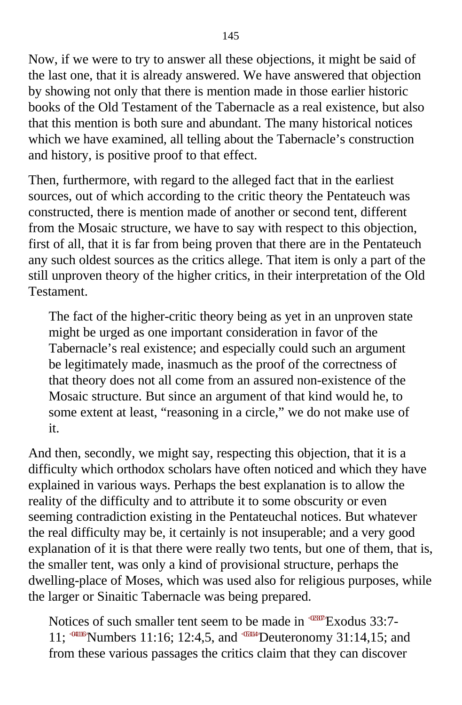<span id="page-144-0"></span>Now, if we were to try to answer all these objections, it might be said of the last one, that it is already answered. We have answered that objection by showing not only that there is mention made in those earlier historic books of the Old Testament of the Tabernacle as a real existence, but also that this mention is both sure and abundant. The many historical notices which we have examined, all telling about the Tabernacle's construction and history, is positive proof to that effect.

Then, furthermore, with regard to the alleged fact that in the earliest sources, out of which according to the critic theory the Pentateuch was constructed, there is mention made of another or second tent, different from the Mosaic structure, we have to say with respect to this objection, first of all, that it is far from being proven that there are in the Pentateuch any such oldest sources as the critics allege. That item is only a part of the still unproven theory of the higher critics, in their interpretation of the Old Testament.

The fact of the higher-critic theory being as yet in an unproven state might be urged as one important consideration in favor of the Tabernacle's real existence; and especially could such an argument be legitimately made, inasmuch as the proof of the correctness of that theory does not all come from an assured non-existence of the Mosaic structure. But since an argument of that kind would he, to some extent at least, "reasoning in a circle," we do not make use of it.

And then, secondly, we might say, respecting this objection, that it is a difficulty which orthodox scholars have often noticed and which they have explained in various ways. Perhaps the best explanation is to allow the reality of the difficulty and to attribute it to some obscurity or even seeming contradiction existing in the Pentateuchal notices. But whatever the real difficulty may be, it certainly is not insuperable; and a very good explanation of it is that there were really two tents, but one of them, that is, the smaller tent, was only a kind of provisional structure, perhaps the dwelling-place of Moses, which was used also for religious purposes, while the larger or Sinaitic Tabernacle was being prepared.

Notices of such smaller tent seem to be made in  $\frac{4830}{25}$ Exodus 33:7-11;  $\frac{0.04116}{12.45}$  Numbers 11:16; 12:4,5, and  $\frac{0.0414}{12.45}$  Deuteronomy 31:14,15; and from these various passages the critics claim that they can discover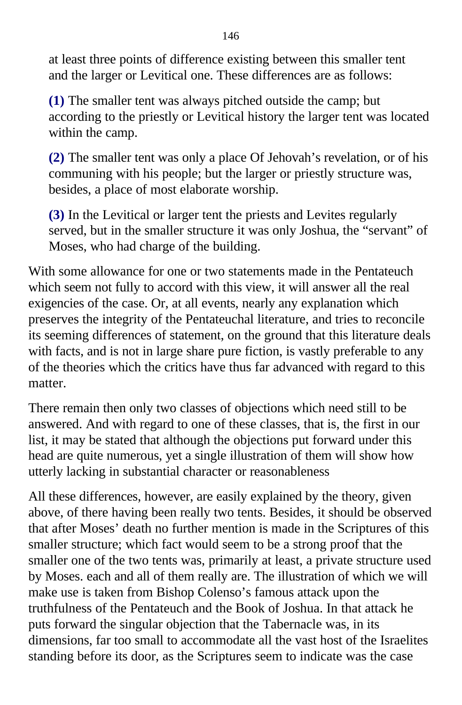at least three points of difference existing between this smaller tent and the larger or Levitical one. These differences are as follows:

**(1)** The smaller tent was always pitched outside the camp; but according to the priestly or Levitical history the larger tent was located within the camp.

**(2)** The smaller tent was only a place Of Jehovah's revelation, or of his communing with his people; but the larger or priestly structure was, besides, a place of most elaborate worship.

**(3)** In the Levitical or larger tent the priests and Levites regularly served, but in the smaller structure it was only Joshua, the "servant" of Moses, who had charge of the building.

With some allowance for one or two statements made in the Pentateuch which seem not fully to accord with this view, it will answer all the real exigencies of the case. Or, at all events, nearly any explanation which preserves the integrity of the Pentateuchal literature, and tries to reconcile its seeming differences of statement, on the ground that this literature deals with facts, and is not in large share pure fiction, is vastly preferable to any of the theories which the critics have thus far advanced with regard to this matter.

There remain then only two classes of objections which need still to be answered. And with regard to one of these classes, that is, the first in our list, it may be stated that although the objections put forward under this head are quite numerous, yet a single illustration of them will show how utterly lacking in substantial character or reasonableness

All these differences, however, are easily explained by the theory, given above, of there having been really two tents. Besides, it should be observed that after Moses' death no further mention is made in the Scriptures of this smaller structure; which fact would seem to be a strong proof that the smaller one of the two tents was, primarily at least, a private structure used by Moses. each and all of them really are. The illustration of which we will make use is taken from Bishop Colenso's famous attack upon the truthfulness of the Pentateuch and the Book of Joshua. In that attack he puts forward the singular objection that the Tabernacle was, in its dimensions, far too small to accommodate all the vast host of the Israelites standing before its door, as the Scriptures seem to indicate was the case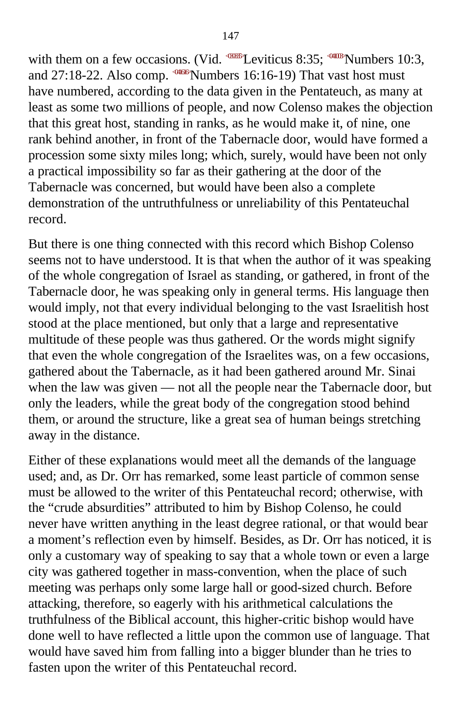with them on a few occasions. (Vid.  $\frac{40085}{2}$ Leviticus 8:35;  $\frac{44008}{2}$ Numbers 10:3, and 27:18-22. Also comp. **MAGE** Numbers 16:16-19) That vast host must have numbered, according to the data given in the Pentateuch, as many at least as some two millions of people, and now Colenso makes the objection that this great host, standing in ranks, as he would make it, of nine, one rank behind another, in front of the Tabernacle door, would have formed a procession some sixty miles long; which, surely, would have been not only a practical impossibility so far as their gathering at the door of the Tabernacle was concerned, but would have been also a complete demonstration of the untruthfulness or unreliability of this Pentateuchal record.

But there is one thing connected with this record which Bishop Colenso seems not to have understood. It is that when the author of it was speaking of the whole congregation of Israel as standing, or gathered, in front of the Tabernacle door, he was speaking only in general terms. His language then would imply, not that every individual belonging to the vast Israelitish host stood at the place mentioned, but only that a large and representative multitude of these people was thus gathered. Or the words might signify that even the whole congregation of the Israelites was, on a few occasions, gathered about the Tabernacle, as it had been gathered around Mr. Sinai when the law was given — not all the people near the Tabernacle door, but only the leaders, while the great body of the congregation stood behind them, or around the structure, like a great sea of human beings stretching away in the distance.

Either of these explanations would meet all the demands of the language used; and, as Dr. Orr has remarked, some least particle of common sense must be allowed to the writer of this Pentateuchal record; otherwise, with the "crude absurdities" attributed to him by Bishop Colenso, he could never have written anything in the least degree rational, or that would bear a moment's reflection even by himself. Besides, as Dr. Orr has noticed, it is only a customary way of speaking to say that a whole town or even a large city was gathered together in mass-convention, when the place of such meeting was perhaps only some large hall or good-sized church. Before attacking, therefore, so eagerly with his arithmetical calculations the truthfulness of the Biblical account, this higher-critic bishop would have done well to have reflected a little upon the common use of language. That would have saved him from falling into a bigger blunder than he tries to fasten upon the writer of this Pentateuchal record.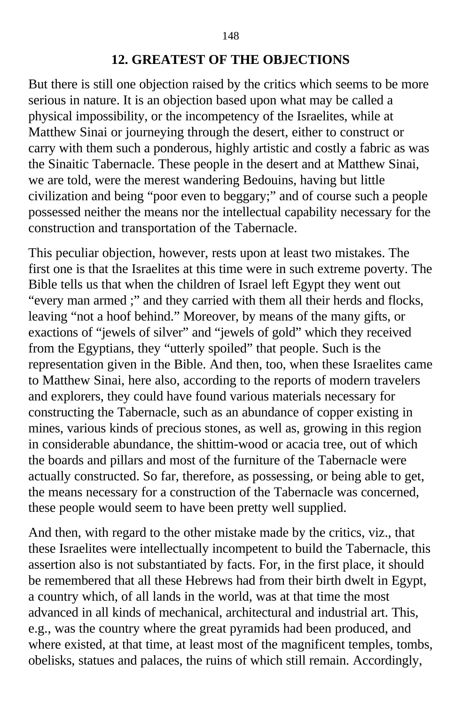# **12. GREATEST OF THE OBJECTIONS**

But there is still one objection raised by the critics which seems to be more serious in nature. It is an objection based upon what may be called a physical impossibility, or the incompetency of the Israelites, while at Matthew Sinai or journeying through the desert, either to construct or carry with them such a ponderous, highly artistic and costly a fabric as was the Sinaitic Tabernacle. These people in the desert and at Matthew Sinai, we are told, were the merest wandering Bedouins, having but little civilization and being "poor even to beggary;" and of course such a people possessed neither the means nor the intellectual capability necessary for the construction and transportation of the Tabernacle.

This peculiar objection, however, rests upon at least two mistakes. The first one is that the Israelites at this time were in such extreme poverty. The Bible tells us that when the children of Israel left Egypt they went out "every man armed ;" and they carried with them all their herds and flocks, leaving "not a hoof behind." Moreover, by means of the many gifts, or exactions of "jewels of silver" and "jewels of gold" which they received from the Egyptians, they "utterly spoiled" that people. Such is the representation given in the Bible. And then, too, when these Israelites came to Matthew Sinai, here also, according to the reports of modern travelers and explorers, they could have found various materials necessary for constructing the Tabernacle, such as an abundance of copper existing in mines, various kinds of precious stones, as well as, growing in this region in considerable abundance, the shittim-wood or acacia tree, out of which the boards and pillars and most of the furniture of the Tabernacle were actually constructed. So far, therefore, as possessing, or being able to get, the means necessary for a construction of the Tabernacle was concerned, these people would seem to have been pretty well supplied.

And then, with regard to the other mistake made by the critics, viz., that these Israelites were intellectually incompetent to build the Tabernacle, this assertion also is not substantiated by facts. For, in the first place, it should be remembered that all these Hebrews had from their birth dwelt in Egypt, a country which, of all lands in the world, was at that time the most advanced in all kinds of mechanical, architectural and industrial art. This, e.g., was the country where the great pyramids had been produced, and where existed, at that time, at least most of the magnificent temples, tombs, obelisks, statues and palaces, the ruins of which still remain. Accordingly,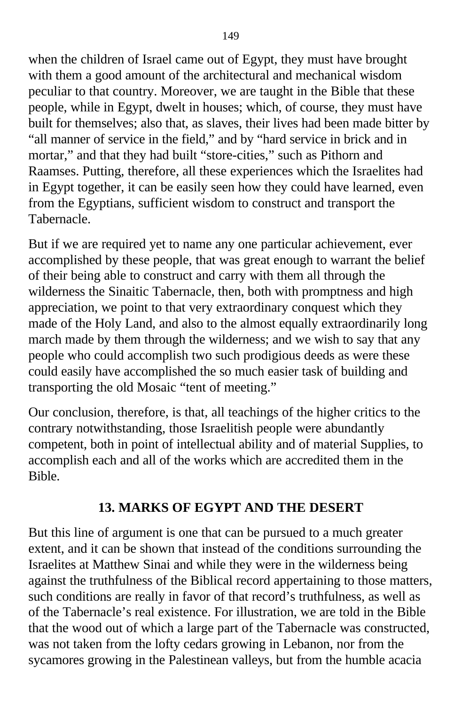when the children of Israel came out of Egypt, they must have brought with them a good amount of the architectural and mechanical wisdom peculiar to that country. Moreover, we are taught in the Bible that these people, while in Egypt, dwelt in houses; which, of course, they must have built for themselves; also that, as slaves, their lives had been made bitter by "all manner of service in the field," and by "hard service in brick and in mortar," and that they had built "store-cities," such as Pithorn and Raamses. Putting, therefore, all these experiences which the Israelites had in Egypt together, it can be easily seen how they could have learned, even from the Egyptians, sufficient wisdom to construct and transport the Tabernacle.

But if we are required yet to name any one particular achievement, ever accomplished by these people, that was great enough to warrant the belief of their being able to construct and carry with them all through the wilderness the Sinaitic Tabernacle, then, both with promptness and high appreciation, we point to that very extraordinary conquest which they made of the Holy Land, and also to the almost equally extraordinarily long march made by them through the wilderness; and we wish to say that any people who could accomplish two such prodigious deeds as were these could easily have accomplished the so much easier task of building and transporting the old Mosaic "tent of meeting."

Our conclusion, therefore, is that, all teachings of the higher critics to the contrary notwithstanding, those Israelitish people were abundantly competent, both in point of intellectual ability and of material Supplies, to accomplish each and all of the works which are accredited them in the Bible.

# **13. MARKS OF EGYPT AND THE DESERT**

But this line of argument is one that can be pursued to a much greater extent, and it can be shown that instead of the conditions surrounding the Israelites at Matthew Sinai and while they were in the wilderness being against the truthfulness of the Biblical record appertaining to those matters, such conditions are really in favor of that record's truthfulness, as well as of the Tabernacle's real existence. For illustration, we are told in the Bible that the wood out of which a large part of the Tabernacle was constructed, was not taken from the lofty cedars growing in Lebanon, nor from the sycamores growing in the Palestinean valleys, but from the humble acacia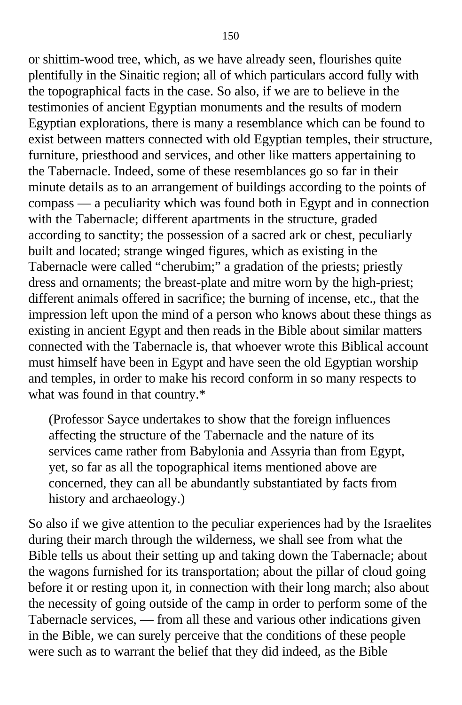or shittim-wood tree, which, as we have already seen, flourishes quite plentifully in the Sinaitic region; all of which particulars accord fully with the topographical facts in the case. So also, if we are to believe in the testimonies of ancient Egyptian monuments and the results of modern Egyptian explorations, there is many a resemblance which can be found to exist between matters connected with old Egyptian temples, their structure, furniture, priesthood and services, and other like matters appertaining to the Tabernacle. Indeed, some of these resemblances go so far in their minute details as to an arrangement of buildings according to the points of compass — a peculiarity which was found both in Egypt and in connection with the Tabernacle; different apartments in the structure, graded according to sanctity; the possession of a sacred ark or chest, peculiarly built and located; strange winged figures, which as existing in the Tabernacle were called "cherubim;" a gradation of the priests; priestly dress and ornaments; the breast-plate and mitre worn by the high-priest; different animals offered in sacrifice; the burning of incense, etc., that the impression left upon the mind of a person who knows about these things as existing in ancient Egypt and then reads in the Bible about similar matters connected with the Tabernacle is, that whoever wrote this Biblical account must himself have been in Egypt and have seen the old Egyptian worship and temples, in order to make his record conform in so many respects to what was found in that country.\*

(Professor Sayce undertakes to show that the foreign influences affecting the structure of the Tabernacle and the nature of its services came rather from Babylonia and Assyria than from Egypt, yet, so far as all the topographical items mentioned above are concerned, they can all be abundantly substantiated by facts from history and archaeology.)

So also if we give attention to the peculiar experiences had by the Israelites during their march through the wilderness, we shall see from what the Bible tells us about their setting up and taking down the Tabernacle; about the wagons furnished for its transportation; about the pillar of cloud going before it or resting upon it, in connection with their long march; also about the necessity of going outside of the camp in order to perform some of the Tabernacle services, — from all these and various other indications given in the Bible, we can surely perceive that the conditions of these people were such as to warrant the belief that they did indeed, as the Bible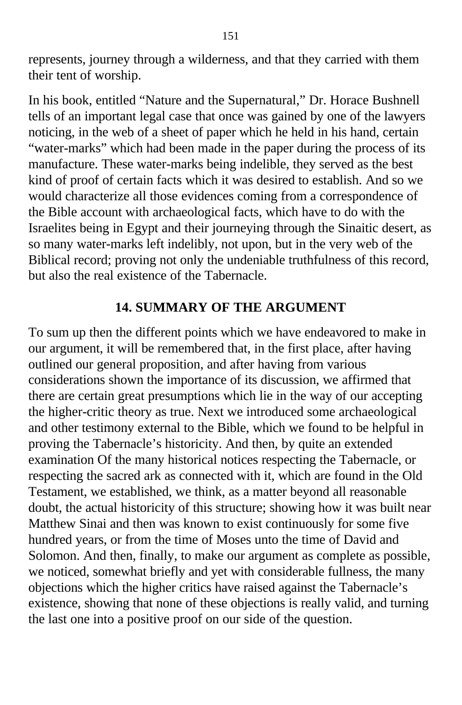represents, journey through a wilderness, and that they carried with them their tent of worship.

In his book, entitled "Nature and the Supernatural," Dr. Horace Bushnell tells of an important legal case that once was gained by one of the lawyers noticing, in the web of a sheet of paper which he held in his hand, certain "water-marks" which had been made in the paper during the process of its manufacture. These water-marks being indelible, they served as the best kind of proof of certain facts which it was desired to establish. And so we would characterize all those evidences coming from a correspondence of the Bible account with archaeological facts, which have to do with the Israelites being in Egypt and their journeying through the Sinaitic desert, as so many water-marks left indelibly, not upon, but in the very web of the Biblical record; proving not only the undeniable truthfulness of this record, but also the real existence of the Tabernacle.

#### **14. SUMMARY OF THE ARGUMENT**

To sum up then the different points which we have endeavored to make in our argument, it will be remembered that, in the first place, after having outlined our general proposition, and after having from various considerations shown the importance of its discussion, we affirmed that there are certain great presumptions which lie in the way of our accepting the higher-critic theory as true. Next we introduced some archaeological and other testimony external to the Bible, which we found to be helpful in proving the Tabernacle's historicity. And then, by quite an extended examination Of the many historical notices respecting the Tabernacle, or respecting the sacred ark as connected with it, which are found in the Old Testament, we established, we think, as a matter beyond all reasonable doubt, the actual historicity of this structure; showing how it was built near Matthew Sinai and then was known to exist continuously for some five hundred years, or from the time of Moses unto the time of David and Solomon. And then, finally, to make our argument as complete as possible, we noticed, somewhat briefly and yet with considerable fullness, the many objections which the higher critics have raised against the Tabernacle's existence, showing that none of these objections is really valid, and turning the last one into a positive proof on our side of the question.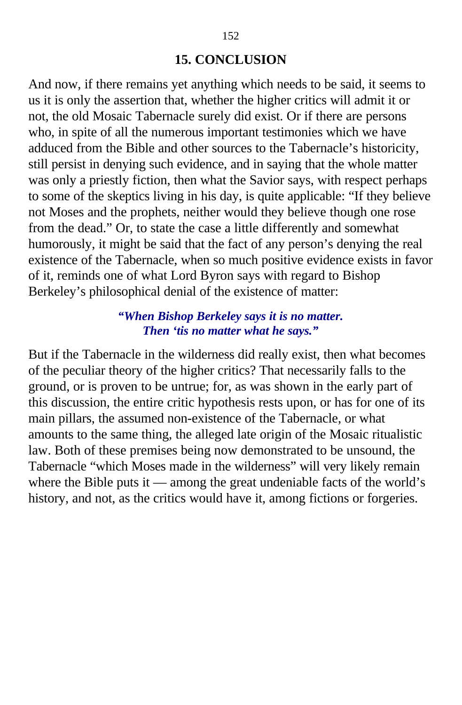#### **15. CONCLUSION**

And now, if there remains yet anything which needs to be said, it seems to us it is only the assertion that, whether the higher critics will admit it or not, the old Mosaic Tabernacle surely did exist. Or if there are persons who, in spite of all the numerous important testimonies which we have adduced from the Bible and other sources to the Tabernacle's historicity, still persist in denying such evidence, and in saying that the whole matter was only a priestly fiction, then what the Savior says, with respect perhaps to some of the skeptics living in his day, is quite applicable: "If they believe not Moses and the prophets, neither would they believe though one rose from the dead." Or, to state the case a little differently and somewhat humorously, it might be said that the fact of any person's denying the real existence of the Tabernacle, when so much positive evidence exists in favor of it, reminds one of what Lord Byron says with regard to Bishop Berkeley's philosophical denial of the existence of matter:

#### *"When Bishop Berkeley says it is no matter. Then 'tis no matter what he says."*

But if the Tabernacle in the wilderness did really exist, then what becomes of the peculiar theory of the higher critics? That necessarily falls to the ground, or is proven to be untrue; for, as was shown in the early part of this discussion, the entire critic hypothesis rests upon, or has for one of its main pillars, the assumed non-existence of the Tabernacle, or what amounts to the same thing, the alleged late origin of the Mosaic ritualistic law. Both of these premises being now demonstrated to be unsound, the Tabernacle "which Moses made in the wilderness" will very likely remain where the Bible puts it — among the great undeniable facts of the world's history, and not, as the critics would have it, among fictions or forgeries.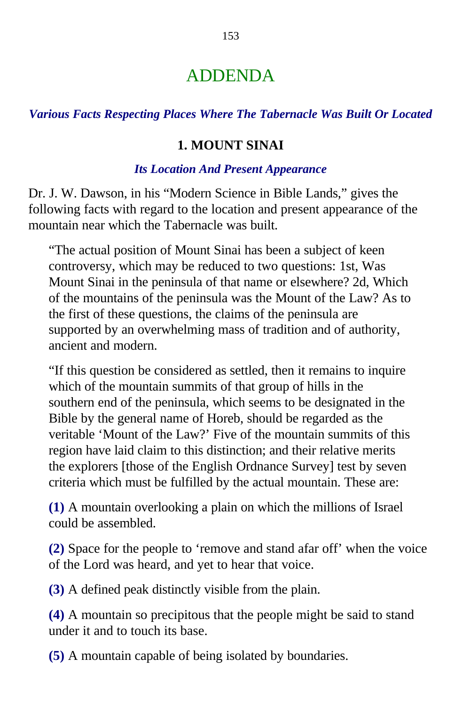# ADDENDA

*Various Facts Respecting Places Where The Tabernacle Was Built Or Located*

# **1. MOUNT SINAI**

#### *Its Location And Present Appearance*

Dr. J. W. Dawson, in his "Modern Science in Bible Lands," gives the following facts with regard to the location and present appearance of the mountain near which the Tabernacle was built.

"The actual position of Mount Sinai has been a subject of keen controversy, which may be reduced to two questions: 1st, Was Mount Sinai in the peninsula of that name or elsewhere? 2d, Which of the mountains of the peninsula was the Mount of the Law? As to the first of these questions, the claims of the peninsula are supported by an overwhelming mass of tradition and of authority, ancient and modern.

"If this question be considered as settled, then it remains to inquire which of the mountain summits of that group of hills in the southern end of the peninsula, which seems to be designated in the Bible by the general name of Horeb, should be regarded as the veritable 'Mount of the Law?' Five of the mountain summits of this region have laid claim to this distinction; and their relative merits the explorers [those of the English Ordnance Survey] test by seven criteria which must be fulfilled by the actual mountain. These are:

**(1)** A mountain overlooking a plain on which the millions of Israel could be assembled.

**(2)** Space for the people to 'remove and stand afar off' when the voice of the Lord was heard, and yet to hear that voice.

**(3)** A defined peak distinctly visible from the plain.

**(4)** A mountain so precipitous that the people might be said to stand under it and to touch its base.

**(5)** A mountain capable of being isolated by boundaries.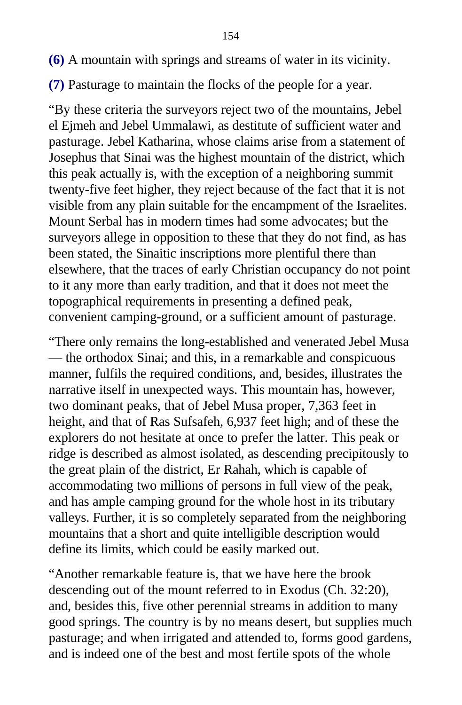**(6)** A mountain with springs and streams of water in its vicinity.

**(7)** Pasturage to maintain the flocks of the people for a year.

"By these criteria the surveyors reject two of the mountains, Jebel el Ejmeh and Jebel Ummalawi, as destitute of sufficient water and pasturage. Jebel Katharina, whose claims arise from a statement of Josephus that Sinai was the highest mountain of the district, which this peak actually is, with the exception of a neighboring summit twenty-five feet higher, they reject because of the fact that it is not visible from any plain suitable for the encampment of the Israelites. Mount Serbal has in modern times had some advocates; but the surveyors allege in opposition to these that they do not find, as has been stated, the Sinaitic inscriptions more plentiful there than elsewhere, that the traces of early Christian occupancy do not point to it any more than early tradition, and that it does not meet the topographical requirements in presenting a defined peak, convenient camping-ground, or a sufficient amount of pasturage.

"There only remains the long-established and venerated Jebel Musa — the orthodox Sinai; and this, in a remarkable and conspicuous manner, fulfils the required conditions, and, besides, illustrates the narrative itself in unexpected ways. This mountain has, however, two dominant peaks, that of Jebel Musa proper, 7,363 feet in height, and that of Ras Sufsafeh, 6,937 feet high; and of these the explorers do not hesitate at once to prefer the latter. This peak or ridge is described as almost isolated, as descending precipitously to the great plain of the district, Er Rahah, which is capable of accommodating two millions of persons in full view of the peak, and has ample camping ground for the whole host in its tributary valleys. Further, it is so completely separated from the neighboring mountains that a short and quite intelligible description would define its limits, which could be easily marked out.

"Another remarkable feature is, that we have here the brook descending out of the mount referred to in Exodus (Ch. 32:20), and, besides this, five other perennial streams in addition to many good springs. The country is by no means desert, but supplies much pasturage; and when irrigated and attended to, forms good gardens, and is indeed one of the best and most fertile spots of the whole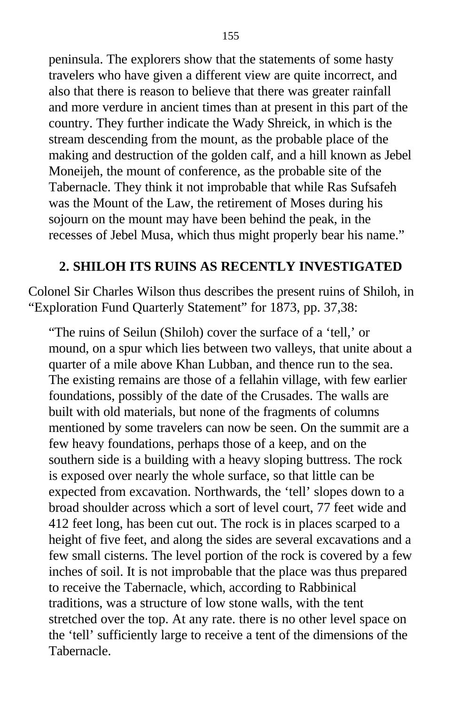peninsula. The explorers show that the statements of some hasty travelers who have given a different view are quite incorrect, and also that there is reason to believe that there was greater rainfall and more verdure in ancient times than at present in this part of the country. They further indicate the Wady Shreick, in which is the stream descending from the mount, as the probable place of the making and destruction of the golden calf, and a hill known as Jebel Moneijeh, the mount of conference, as the probable site of the Tabernacle. They think it not improbable that while Ras Sufsafeh was the Mount of the Law, the retirement of Moses during his sojourn on the mount may have been behind the peak, in the recesses of Jebel Musa, which thus might properly bear his name."

#### **2. SHILOH ITS RUINS AS RECENTLY INVESTIGATED**

Colonel Sir Charles Wilson thus describes the present ruins of Shiloh, in "Exploration Fund Quarterly Statement" for 1873, pp. 37,38:

"The ruins of Seilun (Shiloh) cover the surface of a 'tell,' or mound, on a spur which lies between two valleys, that unite about a quarter of a mile above Khan Lubban, and thence run to the sea. The existing remains are those of a fellahin village, with few earlier foundations, possibly of the date of the Crusades. The walls are built with old materials, but none of the fragments of columns mentioned by some travelers can now be seen. On the summit are a few heavy foundations, perhaps those of a keep, and on the southern side is a building with a heavy sloping buttress. The rock is exposed over nearly the whole surface, so that little can be expected from excavation. Northwards, the 'tell' slopes down to a broad shoulder across which a sort of level court, 77 feet wide and 412 feet long, has been cut out. The rock is in places scarped to a height of five feet, and along the sides are several excavations and a few small cisterns. The level portion of the rock is covered by a few inches of soil. It is not improbable that the place was thus prepared to receive the Tabernacle, which, according to Rabbinical traditions, was a structure of low stone walls, with the tent stretched over the top. At any rate. there is no other level space on the 'tell' sufficiently large to receive a tent of the dimensions of the Tabernacle.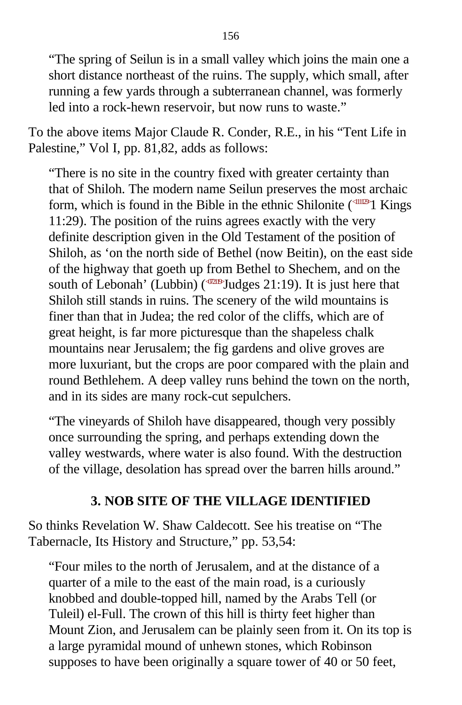"The spring of Seilun is in a small valley which joins the main one a short distance northeast of the ruins. The supply, which small, after running a few yards through a subterranean channel, was formerly led into a rock-hewn reservoir, but now runs to waste."

To the above items Major Claude R. Conder, R.E., in his "Tent Life in Palestine," Vol I, pp. 81,82, adds as follows:

"There is no site in the country fixed with greater certainty than that of Shiloh. The modern name Seilun preserves the most archaic form, which is found in the Bible in the ethnic Shilonite  $($ <sup>dll29</sup> $)$  Kings 11:29). The position of the ruins agrees exactly with the very definite description given in the Old Testament of the position of Shiloh, as 'on the north side of Bethel (now Beitin), on the east side of the highway that goeth up from Bethel to Shechem, and on the south of Lebonah' (Lubbin) ( $\sqrt{2219}$  Judges 21:19). It is just here that Shiloh still stands in ruins. The scenery of the wild mountains is finer than that in Judea; the red color of the cliffs, which are of great height, is far more picturesque than the shapeless chalk mountains near Jerusalem; the fig gardens and olive groves are more luxuriant, but the crops are poor compared with the plain and round Bethlehem. A deep valley runs behind the town on the north, and in its sides are many rock-cut sepulchers.

"The vineyards of Shiloh have disappeared, though very possibly once surrounding the spring, and perhaps extending down the valley westwards, where water is also found. With the destruction of the village, desolation has spread over the barren hills around."

#### **3. NOB SITE OF THE VILLAGE IDENTIFIED**

So thinks Revelation W. Shaw Caldecott. See his treatise on "The Tabernacle, Its History and Structure," pp. 53,54:

"Four miles to the north of Jerusalem, and at the distance of a quarter of a mile to the east of the main road, is a curiously knobbed and double-topped hill, named by the Arabs Tell (or Tuleil) el-Full. The crown of this hill is thirty feet higher than Mount Zion, and Jerusalem can be plainly seen from it. On its top is a large pyramidal mound of unhewn stones, which Robinson supposes to have been originally a square tower of 40 or 50 feet,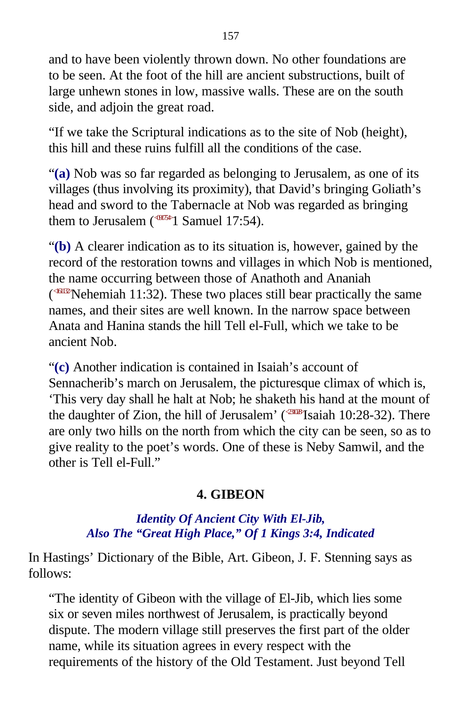and to have been violently thrown down. No other foundations are to be seen. At the foot of the hill are ancient substructions, built of large unhewn stones in low, massive walls. These are on the south side, and adjoin the great road.

"If we take the Scriptural indications as to the site of Nob (height), this hill and these ruins fulfill all the conditions of the case.

"**(a)** Nob was so far regarded as belonging to Jerusalem, as one of its villages (thus involving its proximity), that David's bringing Goliath's head and sword to the Tabernacle at Nob was regarded as bringing them to Jerusalem ( $\frac{\text{OPT54}}{2}$  Samuel 17:54).

"**(b)** A clearer indication as to its situation is, however, gained by the record of the restoration towns and villages in which Nob is mentioned, the name occurring between those of Anathoth and Ananiah  $($ <sup>-612</sup>°Nehemiah 11:32). These two places still bear practically the same names, and their sites are well known. In the narrow space between Anata and Hanina stands the hill Tell el-Full, which we take to be ancient Nob.

"**(c)** Another indication is contained in Isaiah's account of Sennacherib's march on Jerusalem, the picturesque climax of which is, 'This very day shall he halt at Nob; he shaketh his hand at the mount of the daughter of Zion, the hill of Jerusalem' ( $\alpha$ <sup>1028</sup>Isaiah 10:28-32). There are only two hills on the north from which the city can be seen, so as to give reality to the poet's words. One of these is Neby Samwil, and the other is Tell el-Full."

# **4. GIBEON**

# *Identity Of Ancient City With El-Jib, Also The "Great High Place," Of 1 Kings 3:4, Indicated*

In Hastings' Dictionary of the Bible, Art. Gibeon, J. F. Stenning says as follows:

"The identity of Gibeon with the village of El-Jib, which lies some six or seven miles northwest of Jerusalem, is practically beyond dispute. The modern village still preserves the first part of the older name, while its situation agrees in every respect with the requirements of the history of the Old Testament. Just beyond Tell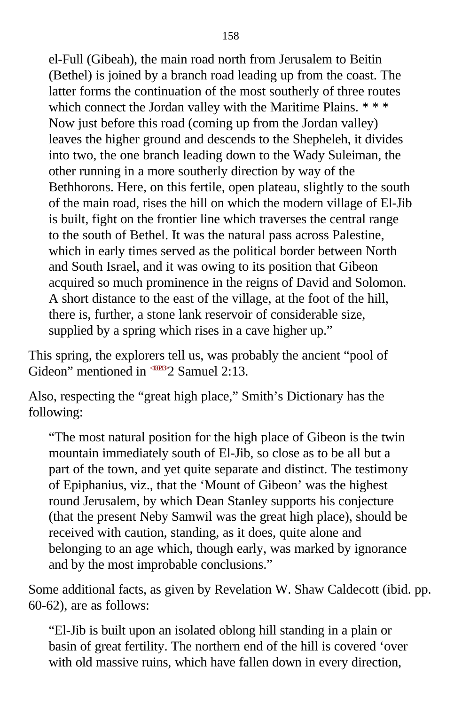el-Full (Gibeah), the main road north from Jerusalem to Beitin (Bethel) is joined by a branch road leading up from the coast. The latter forms the continuation of the most southerly of three routes which connect the Jordan valley with the Maritime Plains. \*\*\* Now just before this road (coming up from the Jordan valley) leaves the higher ground and descends to the Shepheleh, it divides into two, the one branch leading down to the Wady Suleiman, the other running in a more southerly direction by way of the Bethhorons. Here, on this fertile, open plateau, slightly to the south of the main road, rises the hill on which the modern village of El-Jib is built, fight on the frontier line which traverses the central range to the south of Bethel. It was the natural pass across Palestine, which in early times served as the political border between North and South Israel, and it was owing to its position that Gibeon acquired so much prominence in the reigns of David and Solomon. A short distance to the east of the village, at the foot of the hill, there is, further, a stone lank reservoir of considerable size, supplied by a spring which rises in a cave higher up."

This spring, the explorers tell us, was probably the ancient "pool of Gideon" mentioned in  $\frac{10003}{2}$  Samuel 2:13.

Also, respecting the "great high place," Smith's Dictionary has the following:

"The most natural position for the high place of Gibeon is the twin mountain immediately south of El-Jib, so close as to be all but a part of the town, and yet quite separate and distinct. The testimony of Epiphanius, viz., that the 'Mount of Gibeon' was the highest round Jerusalem, by which Dean Stanley supports his conjecture (that the present Neby Samwil was the great high place), should be received with caution, standing, as it does, quite alone and belonging to an age which, though early, was marked by ignorance and by the most improbable conclusions."

Some additional facts, as given by Revelation W. Shaw Caldecott (ibid. pp. 60-62), are as follows:

"El-Jib is built upon an isolated oblong hill standing in a plain or basin of great fertility. The northern end of the hill is covered 'over with old massive ruins, which have fallen down in every direction,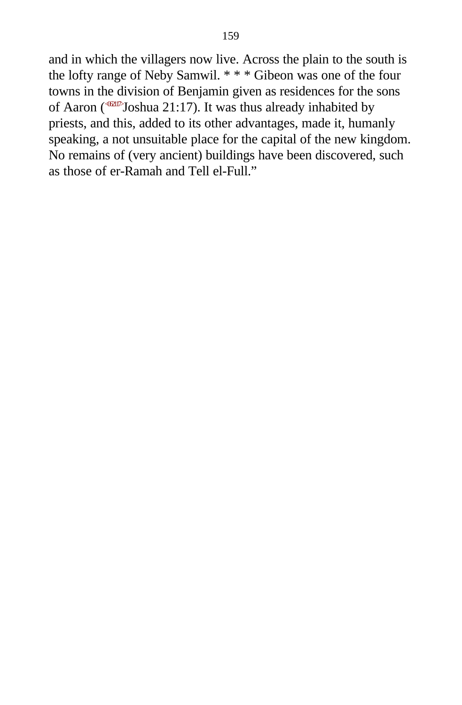and in which the villagers now live. Across the plain to the south is the lofty range of Neby Samwil. \* \* \* Gibeon was one of the four towns in the division of Benjamin given as residences for the sons of Aaron ( $\sqrt{21/2}$ Joshua 21:17). It was thus already inhabited by priests, and this, added to its other advantages, made it, humanly speaking, a not unsuitable place for the capital of the new kingdom. No remains of (very ancient) buildings have been discovered, such as those of er-Ramah and Tell el-Full."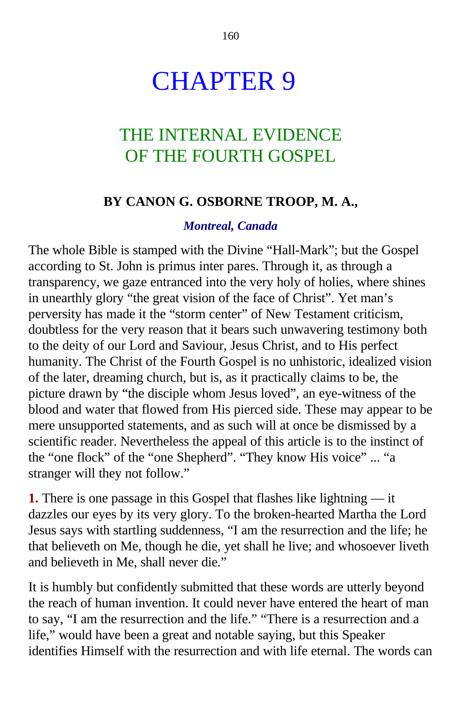# CHAPTER 9

# THE INTERNAL EVIDENCE OF THE FOURTH GOSPEL

# **BY CANON G. OSBORNE TROOP, M. A.,**

#### *Montreal, Canada*

The whole Bible is stamped with the Divine "Hall-Mark"; but the Gospel according to St. John is primus inter pares. Through it, as through a transparency, we gaze entranced into the very holy of holies, where shines in unearthly glory "the great vision of the face of Christ". Yet man's perversity has made it the "storm center" of New Testament criticism, doubtless for the very reason that it bears such unwavering testimony both to the deity of our Lord and Saviour, Jesus Christ, and to His perfect humanity. The Christ of the Fourth Gospel is no unhistoric, idealized vision of the later, dreaming church, but is, as it practically claims to be, the picture drawn by "the disciple whom Jesus loved", an eye-witness of the blood and water that flowed from His pierced side. These may appear to be mere unsupported statements, and as such will at once be dismissed by a scientific reader. Nevertheless the appeal of this article is to the instinct of the "one flock" of the "one Shepherd". "They know His voice" ... "a stranger will they not follow."

**1.** There is one passage in this Gospel that flashes like lightning — it dazzles our eyes by its very glory. To the broken-hearted Martha the Lord Jesus says with startling suddenness, "I am the resurrection and the life; he that believeth on Me, though he die, yet shall he live; and whosoever liveth and believeth in Me, shall never die."

It is humbly but confidently submitted that these words are utterly beyond the reach of human invention. It could never have entered the heart of man to say, "I am the resurrection and the life." "There is a resurrection and a life," would have been a great and notable saying, but this Speaker identifies Himself with the resurrection and with life eternal. The words can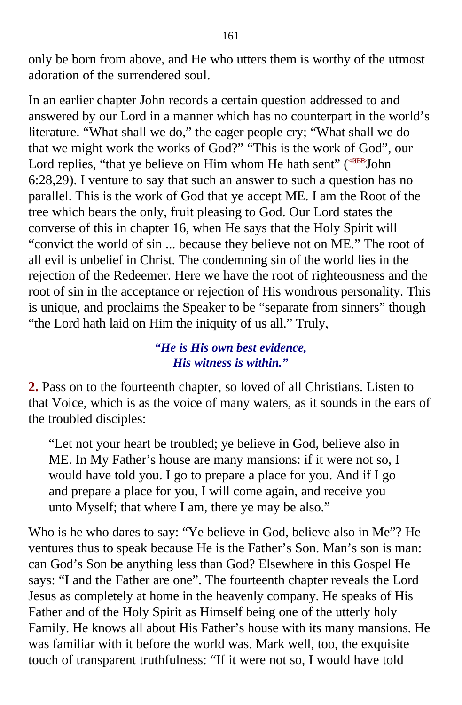only be born from above, and He who utters them is worthy of the utmost adoration of the surrendered soul.

In an earlier chapter John records a certain question addressed to and answered by our Lord in a manner which has no counterpart in the world's literature. "What shall we do," the eager people cry; "What shall we do that we might work the works of God?" "This is the work of God", our Lord replies, "that ye believe on Him whom He hath sent" ( $402$ 888) John 6:28,29). I venture to say that such an answer to such a question has no parallel. This is the work of God that ye accept ME. I am the Root of the tree which bears the only, fruit pleasing to God. Our Lord states the converse of this in chapter 16, when He says that the Holy Spirit will "convict the world of sin ... because they believe not on ME." The root of all evil is unbelief in Christ. The condemning sin of the world lies in the rejection of the Redeemer. Here we have the root of righteousness and the root of sin in the acceptance or rejection of His wondrous personality. This is unique, and proclaims the Speaker to be "separate from sinners" though "the Lord hath laid on Him the iniquity of us all." Truly,

#### *"He is His own best evidence, His witness is within."*

**2.** Pass on to the fourteenth chapter, so loved of all Christians. Listen to that Voice, which is as the voice of many waters, as it sounds in the ears of the troubled disciples:

"Let not your heart be troubled; ye believe in God, believe also in ME. In My Father's house are many mansions: if it were not so, I would have told you. I go to prepare a place for you. And if I go and prepare a place for you, I will come again, and receive you unto Myself; that where I am, there ye may be also."

Who is he who dares to say: "Ye believe in God, believe also in Me"? He ventures thus to speak because He is the Father's Son. Man's son is man: can God's Son be anything less than God? Elsewhere in this Gospel He says: "I and the Father are one". The fourteenth chapter reveals the Lord Jesus as completely at home in the heavenly company. He speaks of His Father and of the Holy Spirit as Himself being one of the utterly holy Family. He knows all about His Father's house with its many mansions. He was familiar with it before the world was. Mark well, too, the exquisite touch of transparent truthfulness: "If it were not so, I would have told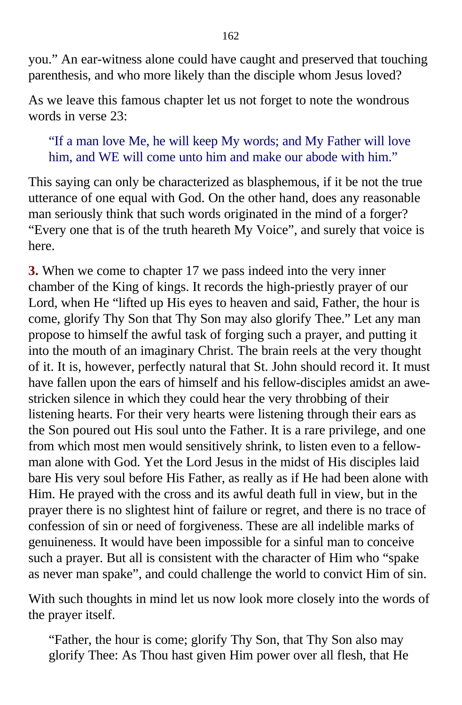you." An ear-witness alone could have caught and preserved that touching parenthesis, and who more likely than the disciple whom Jesus loved?

As we leave this famous chapter let us not forget to note the wondrous words in verse 23:

"If a man love Me, he will keep My words; and My Father will love him, and WE will come unto him and make our abode with him."

This saying can only be characterized as blasphemous, if it be not the true utterance of one equal with God. On the other hand, does any reasonable man seriously think that such words originated in the mind of a forger? "Every one that is of the truth heareth My Voice", and surely that voice is here.

**3.** When we come to chapter 17 we pass indeed into the very inner chamber of the King of kings. It records the high-priestly prayer of our Lord, when He "lifted up His eyes to heaven and said, Father, the hour is come, glorify Thy Son that Thy Son may also glorify Thee." Let any man propose to himself the awful task of forging such a prayer, and putting it into the mouth of an imaginary Christ. The brain reels at the very thought of it. It is, however, perfectly natural that St. John should record it. It must have fallen upon the ears of himself and his fellow-disciples amidst an awestricken silence in which they could hear the very throbbing of their listening hearts. For their very hearts were listening through their ears as the Son poured out His soul unto the Father. It is a rare privilege, and one from which most men would sensitively shrink, to listen even to a fellowman alone with God. Yet the Lord Jesus in the midst of His disciples laid bare His very soul before His Father, as really as if He had been alone with Him. He prayed with the cross and its awful death full in view, but in the prayer there is no slightest hint of failure or regret, and there is no trace of confession of sin or need of forgiveness. These are all indelible marks of genuineness. It would have been impossible for a sinful man to conceive such a prayer. But all is consistent with the character of Him who "spake as never man spake", and could challenge the world to convict Him of sin.

With such thoughts in mind let us now look more closely into the words of the prayer itself.

"Father, the hour is come; glorify Thy Son, that Thy Son also may glorify Thee: As Thou hast given Him power over all flesh, that He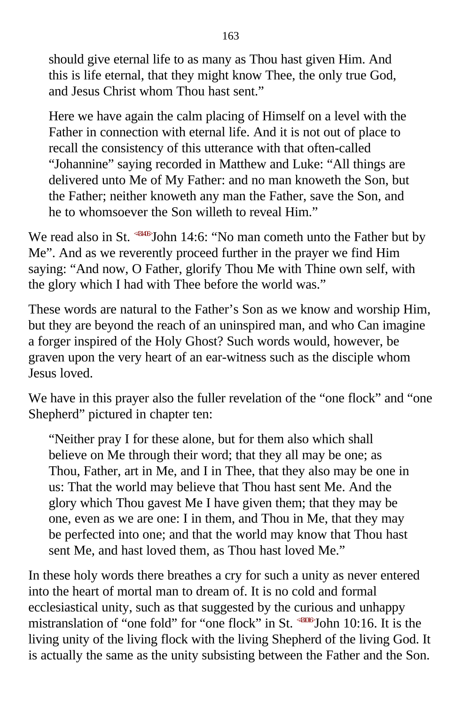should give eternal life to as many as Thou hast given Him. And this is life eternal, that they might know Thee, the only true God, and Jesus Christ whom Thou hast sent."

Here we have again the calm placing of Himself on a level with the Father in connection with eternal life. And it is not out of place to recall the consistency of this utterance with that often-called "Johannine" saying recorded in Matthew and Luke: "All things are delivered unto Me of My Father: and no man knoweth the Son, but the Father; neither knoweth any man the Father, save the Son, and he to whomsoever the Son willeth to reveal Him."

We read also in St.  $4446$  John 14:6: "No man cometh unto the Father but by Me". And as we reverently proceed further in the prayer we find Him saying: "And now, O Father, glorify Thou Me with Thine own self, with the glory which I had with Thee before the world was."

These words are natural to the Father's Son as we know and worship Him, but they are beyond the reach of an uninspired man, and who Can imagine a forger inspired of the Holy Ghost? Such words would, however, be graven upon the very heart of an ear-witness such as the disciple whom Jesus loved.

We have in this prayer also the fuller revelation of the "one flock" and "one Shepherd" pictured in chapter ten:

"Neither pray I for these alone, but for them also which shall believe on Me through their word; that they all may be one; as Thou, Father, art in Me, and I in Thee, that they also may be one in us: That the world may believe that Thou hast sent Me. And the glory which Thou gavest Me I have given them; that they may be one, even as we are one: I in them, and Thou in Me, that they may be perfected into one; and that the world may know that Thou hast sent Me, and hast loved them, as Thou hast loved Me."

In these holy words there breathes a cry for such a unity as never entered into the heart of mortal man to dream of. It is no cold and formal ecclesiastical unity, such as that suggested by the curious and unhappy mistranslation of "one fold" for "one flock" in St.  $\frac{4006}{5}$ John 10:16. It is the living unity of the living flock with the living Shepherd of the living God. It is actually the same as the unity subsisting between the Father and the Son.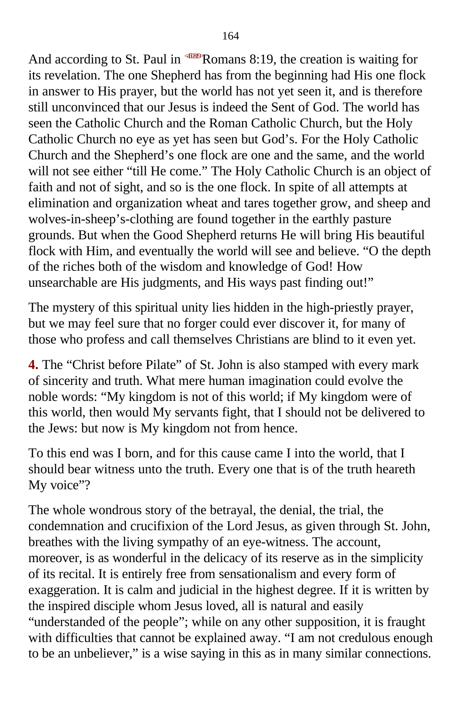And according to St. Paul in  $4589$  Romans 8:19, the creation is waiting for its revelation. The one Shepherd has from the beginning had His one flock in answer to His prayer, but the world has not yet seen it, and is therefore still unconvinced that our Jesus is indeed the Sent of God. The world has seen the Catholic Church and the Roman Catholic Church, but the Holy Catholic Church no eye as yet has seen but God's. For the Holy Catholic Church and the Shepherd's one flock are one and the same, and the world will not see either "till He come." The Holy Catholic Church is an object of faith and not of sight, and so is the one flock. In spite of all attempts at elimination and organization wheat and tares together grow, and sheep and wolves-in-sheep's-clothing are found together in the earthly pasture grounds. But when the Good Shepherd returns He will bring His beautiful flock with Him, and eventually the world will see and believe. "O the depth of the riches both of the wisdom and knowledge of God! How unsearchable are His judgments, and His ways past finding out!"

The mystery of this spiritual unity lies hidden in the high-priestly prayer, but we may feel sure that no forger could ever discover it, for many of those who profess and call themselves Christians are blind to it even yet.

**4.** The "Christ before Pilate" of St. John is also stamped with every mark of sincerity and truth. What mere human imagination could evolve the noble words: "My kingdom is not of this world; if My kingdom were of this world, then would My servants fight, that I should not be delivered to the Jews: but now is My kingdom not from hence.

To this end was I born, and for this cause came I into the world, that I should bear witness unto the truth. Every one that is of the truth heareth My voice"?

The whole wondrous story of the betrayal, the denial, the trial, the condemnation and crucifixion of the Lord Jesus, as given through St. John, breathes with the living sympathy of an eye-witness. The account, moreover, is as wonderful in the delicacy of its reserve as in the simplicity of its recital. It is entirely free from sensationalism and every form of exaggeration. It is calm and judicial in the highest degree. If it is written by the inspired disciple whom Jesus loved, all is natural and easily "understanded of the people"; while on any other supposition, it is fraught with difficulties that cannot be explained away. "I am not credulous enough to be an unbeliever," is a wise saying in this as in many similar connections.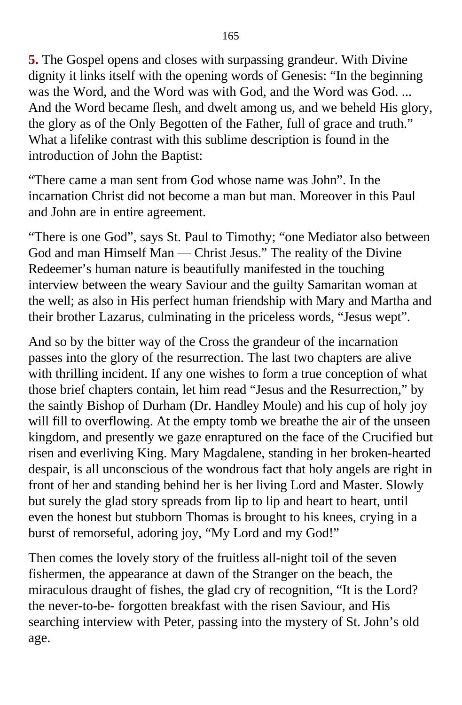**5.** The Gospel opens and closes with surpassing grandeur. With Divine dignity it links itself with the opening words of Genesis: "In the beginning was the Word, and the Word was with God, and the Word was God. ... And the Word became flesh, and dwelt among us, and we beheld His glory, the glory as of the Only Begotten of the Father, full of grace and truth." What a lifelike contrast with this sublime description is found in the introduction of John the Baptist:

"There came a man sent from God whose name was John". In the incarnation Christ did not become a man but man. Moreover in this Paul and John are in entire agreement.

"There is one God", says St. Paul to Timothy; "one Mediator also between God and man Himself Man — Christ Jesus." The reality of the Divine Redeemer's human nature is beautifully manifested in the touching interview between the weary Saviour and the guilty Samaritan woman at the well; as also in His perfect human friendship with Mary and Martha and their brother Lazarus, culminating in the priceless words, "Jesus wept".

And so by the bitter way of the Cross the grandeur of the incarnation passes into the glory of the resurrection. The last two chapters are alive with thrilling incident. If any one wishes to form a true conception of what those brief chapters contain, let him read "Jesus and the Resurrection," by the saintly Bishop of Durham (Dr. Handley Moule) and his cup of holy joy will fill to overflowing. At the empty tomb we breathe the air of the unseen kingdom, and presently we gaze enraptured on the face of the Crucified but risen and everliving King. Mary Magdalene, standing in her broken-hearted despair, is all unconscious of the wondrous fact that holy angels are right in front of her and standing behind her is her living Lord and Master. Slowly but surely the glad story spreads from lip to lip and heart to heart, until even the honest but stubborn Thomas is brought to his knees, crying in a burst of remorseful, adoring joy, "My Lord and my God!"

Then comes the lovely story of the fruitless all-night toil of the seven fishermen, the appearance at dawn of the Stranger on the beach, the miraculous draught of fishes, the glad cry of recognition, "It is the Lord? the never-to-be- forgotten breakfast with the risen Saviour, and His searching interview with Peter, passing into the mystery of St. John's old age.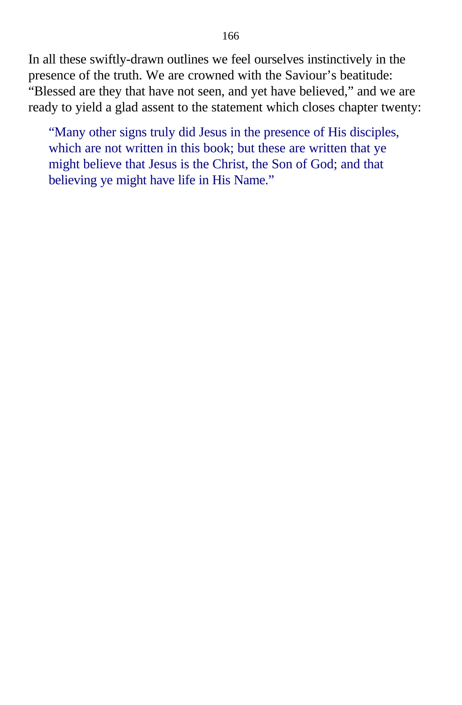In all these swiftly-drawn outlines we feel ourselves instinctively in the presence of the truth. We are crowned with the Saviour's beatitude: "Blessed are they that have not seen, and yet have believed," and we are ready to yield a glad assent to the statement which closes chapter twenty:

"Many other signs truly did Jesus in the presence of His disciples, which are not written in this book; but these are written that ye might believe that Jesus is the Christ, the Son of God; and that believing ye might have life in His Name."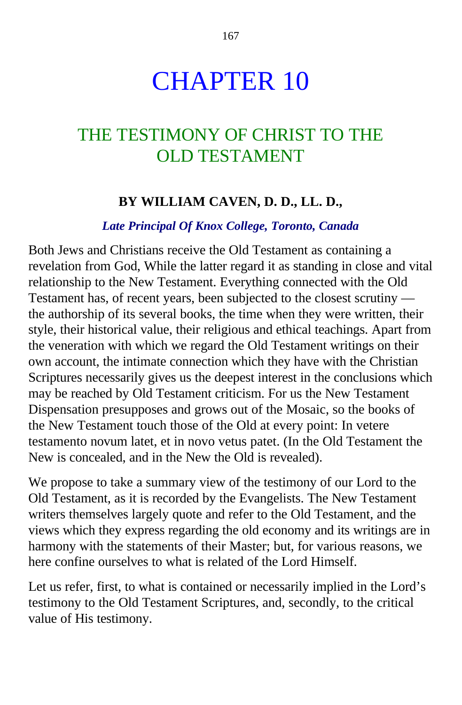# CHAPTER 10

# THE TESTIMONY OF CHRIST TO THE OLD TESTAMENT

#### **BY WILLIAM CAVEN, D. D., LL. D.,**

#### *Late Principal Of Knox College, Toronto, Canada*

Both Jews and Christians receive the Old Testament as containing a revelation from God, While the latter regard it as standing in close and vital relationship to the New Testament. Everything connected with the Old Testament has, of recent years, been subjected to the closest scrutiny the authorship of its several books, the time when they were written, their style, their historical value, their religious and ethical teachings. Apart from the veneration with which we regard the Old Testament writings on their own account, the intimate connection which they have with the Christian Scriptures necessarily gives us the deepest interest in the conclusions which may be reached by Old Testament criticism. For us the New Testament Dispensation presupposes and grows out of the Mosaic, so the books of the New Testament touch those of the Old at every point: In vetere testamento novum latet, et in novo vetus patet. (In the Old Testament the New is concealed, and in the New the Old is revealed).

We propose to take a summary view of the testimony of our Lord to the Old Testament, as it is recorded by the Evangelists. The New Testament writers themselves largely quote and refer to the Old Testament, and the views which they express regarding the old economy and its writings are in harmony with the statements of their Master; but, for various reasons, we here confine ourselves to what is related of the Lord Himself.

Let us refer, first, to what is contained or necessarily implied in the Lord's testimony to the Old Testament Scriptures, and, secondly, to the critical value of His testimony.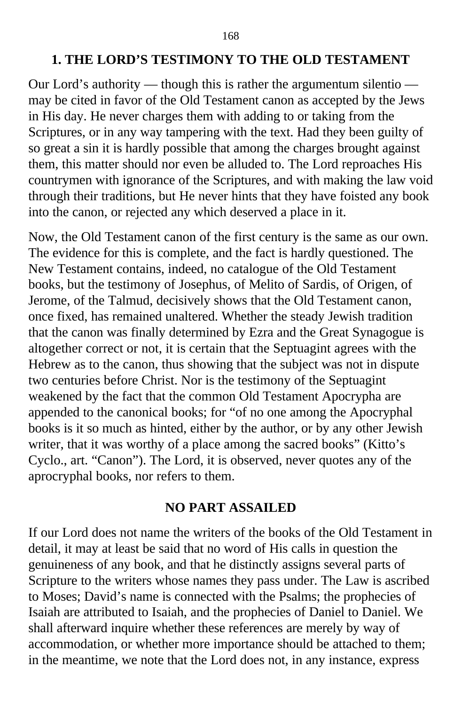Our Lord's authority — though this is rather the argumentum silentio may be cited in favor of the Old Testament canon as accepted by the Jews in His day. He never charges them with adding to or taking from the Scriptures, or in any way tampering with the text. Had they been guilty of so great a sin it is hardly possible that among the charges brought against them, this matter should nor even be alluded to. The Lord reproaches His countrymen with ignorance of the Scriptures, and with making the law void through their traditions, but He never hints that they have foisted any book into the canon, or rejected any which deserved a place in it.

Now, the Old Testament canon of the first century is the same as our own. The evidence for this is complete, and the fact is hardly questioned. The New Testament contains, indeed, no catalogue of the Old Testament books, but the testimony of Josephus, of Melito of Sardis, of Origen, of Jerome, of the Talmud, decisively shows that the Old Testament canon, once fixed, has remained unaltered. Whether the steady Jewish tradition that the canon was finally determined by Ezra and the Great Synagogue is altogether correct or not, it is certain that the Septuagint agrees with the Hebrew as to the canon, thus showing that the subject was not in dispute two centuries before Christ. Nor is the testimony of the Septuagint weakened by the fact that the common Old Testament Apocrypha are appended to the canonical books; for "of no one among the Apocryphal books is it so much as hinted, either by the author, or by any other Jewish writer, that it was worthy of a place among the sacred books" (Kitto's Cyclo., art. "Canon"). The Lord, it is observed, never quotes any of the aprocryphal books, nor refers to them.

# **NO PART ASSAILED**

If our Lord does not name the writers of the books of the Old Testament in detail, it may at least be said that no word of His calls in question the genuineness of any book, and that he distinctly assigns several parts of Scripture to the writers whose names they pass under. The Law is ascribed to Moses; David's name is connected with the Psalms; the prophecies of Isaiah are attributed to Isaiah, and the prophecies of Daniel to Daniel. We shall afterward inquire whether these references are merely by way of accommodation, or whether more importance should be attached to them; in the meantime, we note that the Lord does not, in any instance, express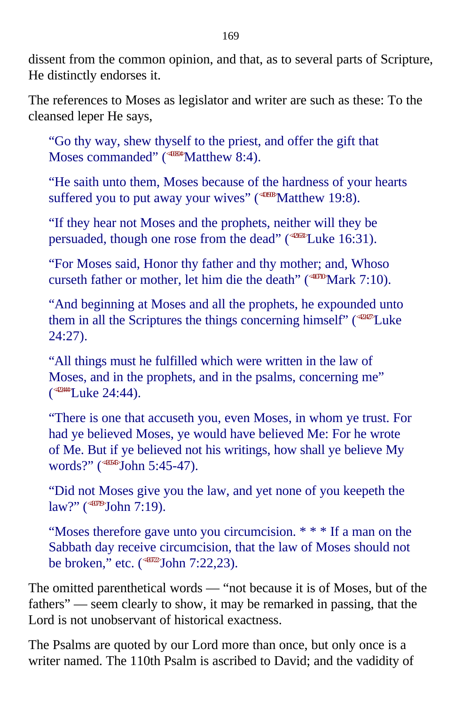dissent from the common opinion, and that, as to several parts of Scripture, He distinctly endorses it.

The references to Moses as legislator and writer are such as these: To the cleansed leper He says,

"Go thy way, shew thyself to the priest, and offer the gift that Moses commanded" ( $4084$ Matthew 8:4).

"He saith unto them, Moses because of the hardness of your hearts suffered you to put away your wives" (4008Matthew 19:8).

"If they hear not Moses and the prophets, neither will they be persuaded, though one rose from the dead" ( $\alpha$ <sup>163</sup>Luke 16:31).

"For Moses said, Honor thy father and thy mother; and, Whoso curseth father or mother, let him die the death" ( $4000$ Mark 7:10).

"And beginning at Moses and all the prophets, he expounded unto them in all the Scriptures the things concerning himself" ( $\frac{d^{2}2}{2}$ Luke 24:27).

"All things must he fulfilled which were written in the law of Moses, and in the prophets, and in the psalms, concerning me"  $($ <sup>-2244</sup>Luke 24:44).

"There is one that accuseth you, even Moses, in whom ye trust. For had ye believed Moses, ye would have believed Me: For he wrote of Me. But if ye believed not his writings, how shall ye believe My words?" (<sup>40565</sup>John 5:45-47).

"Did not Moses give you the law, and yet none of you keepeth the  $law?$ " ( $40709$ John 7:19).

"Moses therefore gave unto you circumcision. \* \* \* If a man on the Sabbath day receive circumcision, that the law of Moses should not be broken," etc.  $(\sqrt{40725})$ ohn 7:22,23).

The omitted parenthetical words — "not because it is of Moses, but of the fathers" — seem clearly to show, it may be remarked in passing, that the Lord is not unobservant of historical exactness.

The Psalms are quoted by our Lord more than once, but only once is a writer named. The 110th Psalm is ascribed to David; and the vadidity of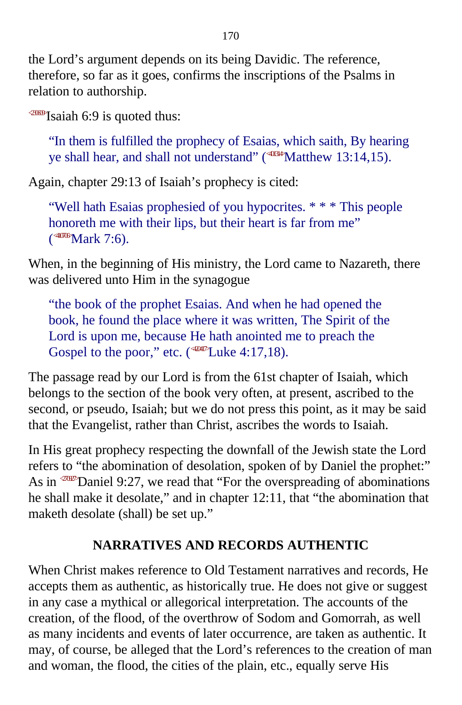the Lord's argument depends on its being Davidic. The reference, therefore, so far as it goes, confirms the inscriptions of the Psalms in relation to authorship.

 $\frac{2000}{200}$ Isaiah 6:9 is quoted thus:

"In them is fulfilled the prophecy of Esaias, which saith, By hearing ye shall hear, and shall not understand" ( $4034$ Matthew 13:14,15).

Again, chapter 29:13 of Isaiah's prophecy is cited:

"Well hath Esaias prophesied of you hypocrites. \* \* \* This people honoreth me with their lips, but their heart is far from me"  $(*1006\text{Mark } 7:6).$ 

When, in the beginning of His ministry, the Lord came to Nazareth, there was delivered unto Him in the synagogue

"the book of the prophet Esaias. And when he had opened the book, he found the place where it was written, The Spirit of the Lord is upon me, because He hath anointed me to preach the Gospel to the poor," etc.  $($ <sup> $\triangle$ *QMT* $>$ Luke 4:17,18).</sup>

The passage read by our Lord is from the 61st chapter of Isaiah, which belongs to the section of the book very often, at present, ascribed to the second, or pseudo, Isaiah; but we do not press this point, as it may be said that the Evangelist, rather than Christ, ascribes the words to Isaiah.

In His great prophecy respecting the downfall of the Jewish state the Lord refers to "the abomination of desolation, spoken of by Daniel the prophet:" As in  $\frac{2000}{200}$  Daniel 9:27, we read that "For the overspreading of abominations" he shall make it desolate," and in chapter 12:11, that "the abomination that maketh desolate (shall) be set up."

# **NARRATIVES AND RECORDS AUTHENTIC**

When Christ makes reference to Old Testament narratives and records, He accepts them as authentic, as historically true. He does not give or suggest in any case a mythical or allegorical interpretation. The accounts of the creation, of the flood, of the overthrow of Sodom and Gomorrah, as well as many incidents and events of later occurrence, are taken as authentic. It may, of course, be alleged that the Lord's references to the creation of man and woman, the flood, the cities of the plain, etc., equally serve His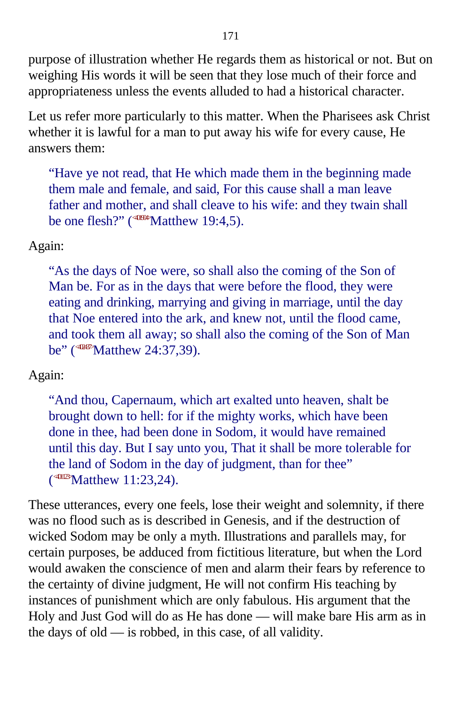purpose of illustration whether He regards them as historical or not. But on weighing His words it will be seen that they lose much of their force and appropriateness unless the events alluded to had a historical character.

Let us refer more particularly to this matter. When the Pharisees ask Christ whether it is lawful for a man to put away his wife for every cause, He answers them:

"Have ye not read, that He which made them in the beginning made them male and female, and said, For this cause shall a man leave father and mother, and shall cleave to his wife: and they twain shall be one flesh?" ( $4094$ Matthew 19:4,5).

# Again:

"As the days of Noe were, so shall also the coming of the Son of Man be. For as in the days that were before the flood, they were eating and drinking, marrying and giving in marriage, until the day that Noe entered into the ark, and knew not, until the flood came, and took them all away; so shall also the coming of the Son of Man be" (<abr/>assumed 24:37,39).

# Again:

"And thou, Capernaum, which art exalted unto heaven, shalt be brought down to hell: for if the mighty works, which have been done in thee, had been done in Sodom, it would have remained until this day. But I say unto you, That it shall be more tolerable for the land of Sodom in the day of judgment, than for thee"  $($ <sup>40123</sup>Matthew 11:23,24).

These utterances, every one feels, lose their weight and solemnity, if there was no flood such as is described in Genesis, and if the destruction of wicked Sodom may be only a myth. Illustrations and parallels may, for certain purposes, be adduced from fictitious literature, but when the Lord would awaken the conscience of men and alarm their fears by reference to the certainty of divine judgment, He will not confirm His teaching by instances of punishment which are only fabulous. His argument that the Holy and Just God will do as He has done — will make bare His arm as in the days of old — is robbed, in this case, of all validity.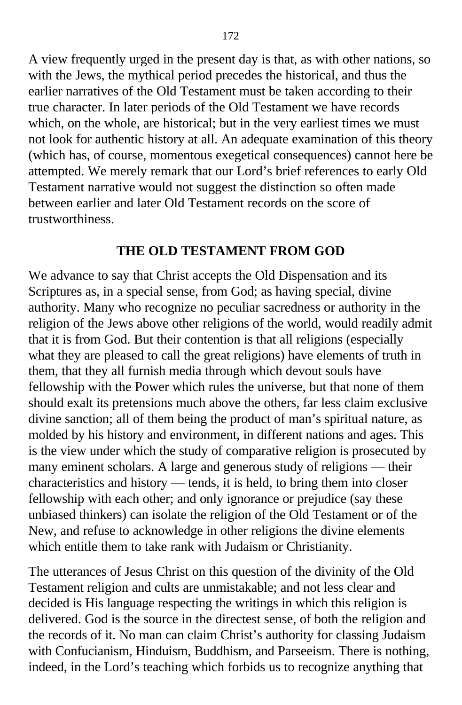A view frequently urged in the present day is that, as with other nations, so with the Jews, the mythical period precedes the historical, and thus the earlier narratives of the Old Testament must be taken according to their true character. In later periods of the Old Testament we have records which, on the whole, are historical; but in the very earliest times we must not look for authentic history at all. An adequate examination of this theory (which has, of course, momentous exegetical consequences) cannot here be attempted. We merely remark that our Lord's brief references to early Old Testament narrative would not suggest the distinction so often made between earlier and later Old Testament records on the score of trustworthiness.

#### **THE OLD TESTAMENT FROM GOD**

We advance to say that Christ accepts the Old Dispensation and its Scriptures as, in a special sense, from God; as having special, divine authority. Many who recognize no peculiar sacredness or authority in the religion of the Jews above other religions of the world, would readily admit that it is from God. But their contention is that all religions (especially what they are pleased to call the great religions) have elements of truth in them, that they all furnish media through which devout souls have fellowship with the Power which rules the universe, but that none of them should exalt its pretensions much above the others, far less claim exclusive divine sanction; all of them being the product of man's spiritual nature, as molded by his history and environment, in different nations and ages. This is the view under which the study of comparative religion is prosecuted by many eminent scholars. A large and generous study of religions — their characteristics and history — tends, it is held, to bring them into closer fellowship with each other; and only ignorance or prejudice (say these unbiased thinkers) can isolate the religion of the Old Testament or of the New, and refuse to acknowledge in other religions the divine elements which entitle them to take rank with Judaism or Christianity.

The utterances of Jesus Christ on this question of the divinity of the Old Testament religion and cults are unmistakable; and not less clear and decided is His language respecting the writings in which this religion is delivered. God is the source in the directest sense, of both the religion and the records of it. No man can claim Christ's authority for classing Judaism with Confucianism, Hinduism, Buddhism, and Parseeism. There is nothing, indeed, in the Lord's teaching which forbids us to recognize anything that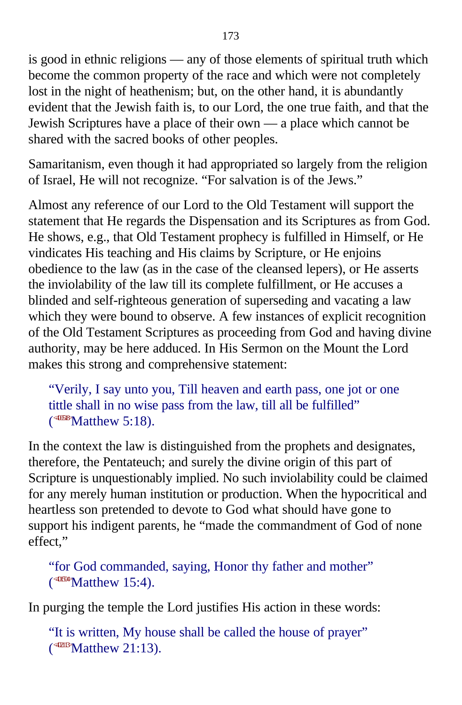is good in ethnic religions — any of those elements of spiritual truth which become the common property of the race and which were not completely lost in the night of heathenism; but, on the other hand, it is abundantly evident that the Jewish faith is, to our Lord, the one true faith, and that the Jewish Scriptures have a place of their own — a place which cannot be shared with the sacred books of other peoples.

Samaritanism, even though it had appropriated so largely from the religion of Israel, He will not recognize. "For salvation is of the Jews."

Almost any reference of our Lord to the Old Testament will support the statement that He regards the Dispensation and its Scriptures as from God. He shows, e.g., that Old Testament prophecy is fulfilled in Himself, or He vindicates His teaching and His claims by Scripture, or He enjoins obedience to the law (as in the case of the cleansed lepers), or He asserts the inviolability of the law till its complete fulfillment, or He accuses a blinded and self-righteous generation of superseding and vacating a law which they were bound to observe. A few instances of explicit recognition of the Old Testament Scriptures as proceeding from God and having divine authority, may be here adduced. In His Sermon on the Mount the Lord makes this strong and comprehensive statement:

"Verily, I say unto you, Till heaven and earth pass, one jot or one tittle shall in no wise pass from the law, till all be fulfilled"  $($ <sup>40518</sup>Matthew 5:18).

In the context the law is distinguished from the prophets and designates, therefore, the Pentateuch; and surely the divine origin of this part of Scripture is unquestionably implied. No such inviolability could be claimed for any merely human institution or production. When the hypocritical and heartless son pretended to devote to God what should have gone to support his indigent parents, he "made the commandment of God of none effect,"

"for God commanded, saying, Honor thy father and mother"  $($ <sup>40504</sup>Matthew 15:4).

In purging the temple the Lord justifies His action in these words:

"It is written, My house shall be called the house of prayer"  $($ <sup>4013</sup>Matthew 21:13).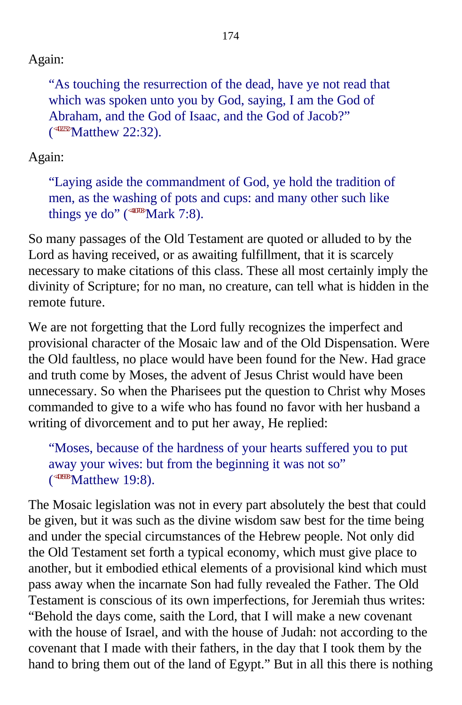Again:

"As touching the resurrection of the dead, have ye not read that which was spoken unto you by God, saying, I am the God of Abraham, and the God of Isaac, and the God of Jacob?"  $($ <sup>4022</sup>Matthew 22:32).

Again:

"Laying aside the commandment of God, ye hold the tradition of men, as the washing of pots and cups: and many other such like things ye do" ( $4008$ Mark 7:8).

So many passages of the Old Testament are quoted or alluded to by the Lord as having received, or as awaiting fulfillment, that it is scarcely necessary to make citations of this class. These all most certainly imply the divinity of Scripture; for no man, no creature, can tell what is hidden in the remote future.

We are not forgetting that the Lord fully recognizes the imperfect and provisional character of the Mosaic law and of the Old Dispensation. Were the Old faultless, no place would have been found for the New. Had grace and truth come by Moses, the advent of Jesus Christ would have been unnecessary. So when the Pharisees put the question to Christ why Moses commanded to give to a wife who has found no favor with her husband a writing of divorcement and to put her away, He replied:

"Moses, because of the hardness of your hearts suffered you to put away your wives: but from the beginning it was not so"  $($ <sup>40908</sup>Matthew 19:8).

The Mosaic legislation was not in every part absolutely the best that could be given, but it was such as the divine wisdom saw best for the time being and under the special circumstances of the Hebrew people. Not only did the Old Testament set forth a typical economy, which must give place to another, but it embodied ethical elements of a provisional kind which must pass away when the incarnate Son had fully revealed the Father. The Old Testament is conscious of its own imperfections, for Jeremiah thus writes: "Behold the days come, saith the Lord, that I will make a new covenant with the house of Israel, and with the house of Judah: not according to the covenant that I made with their fathers, in the day that I took them by the hand to bring them out of the land of Egypt." But in all this there is nothing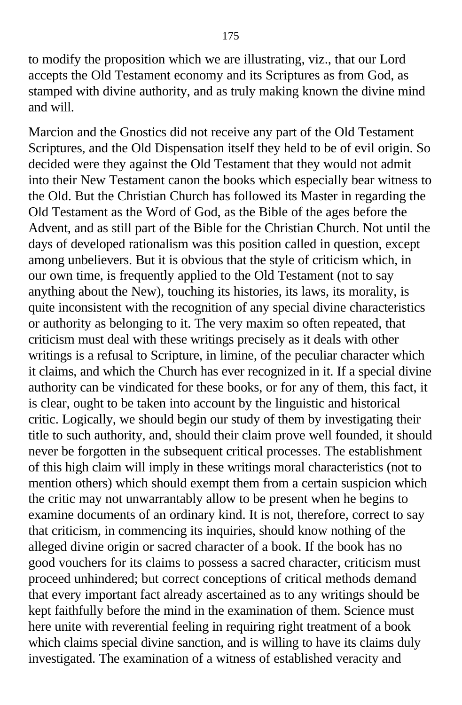to modify the proposition which we are illustrating, viz., that our Lord accepts the Old Testament economy and its Scriptures as from God, as stamped with divine authority, and as truly making known the divine mind and will.

Marcion and the Gnostics did not receive any part of the Old Testament Scriptures, and the Old Dispensation itself they held to be of evil origin. So decided were they against the Old Testament that they would not admit into their New Testament canon the books which especially bear witness to the Old. But the Christian Church has followed its Master in regarding the Old Testament as the Word of God, as the Bible of the ages before the Advent, and as still part of the Bible for the Christian Church. Not until the days of developed rationalism was this position called in question, except among unbelievers. But it is obvious that the style of criticism which, in our own time, is frequently applied to the Old Testament (not to say anything about the New), touching its histories, its laws, its morality, is quite inconsistent with the recognition of any special divine characteristics or authority as belonging to it. The very maxim so often repeated, that criticism must deal with these writings precisely as it deals with other writings is a refusal to Scripture, in limine, of the peculiar character which it claims, and which the Church has ever recognized in it. If a special divine authority can be vindicated for these books, or for any of them, this fact, it is clear, ought to be taken into account by the linguistic and historical critic. Logically, we should begin our study of them by investigating their title to such authority, and, should their claim prove well founded, it should never be forgotten in the subsequent critical processes. The establishment of this high claim will imply in these writings moral characteristics (not to mention others) which should exempt them from a certain suspicion which the critic may not unwarrantably allow to be present when he begins to examine documents of an ordinary kind. It is not, therefore, correct to say that criticism, in commencing its inquiries, should know nothing of the alleged divine origin or sacred character of a book. If the book has no good vouchers for its claims to possess a sacred character, criticism must proceed unhindered; but correct conceptions of critical methods demand that every important fact already ascertained as to any writings should be kept faithfully before the mind in the examination of them. Science must here unite with reverential feeling in requiring right treatment of a book which claims special divine sanction, and is willing to have its claims duly investigated. The examination of a witness of established veracity and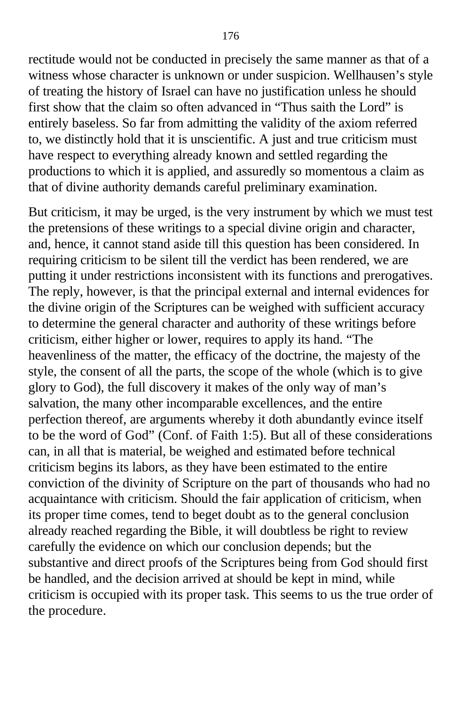rectitude would not be conducted in precisely the same manner as that of a witness whose character is unknown or under suspicion. Wellhausen's style of treating the history of Israel can have no justification unless he should first show that the claim so often advanced in "Thus saith the Lord" is entirely baseless. So far from admitting the validity of the axiom referred to, we distinctly hold that it is unscientific. A just and true criticism must have respect to everything already known and settled regarding the productions to which it is applied, and assuredly so momentous a claim as that of divine authority demands careful preliminary examination.

But criticism, it may be urged, is the very instrument by which we must test the pretensions of these writings to a special divine origin and character, and, hence, it cannot stand aside till this question has been considered. In requiring criticism to be silent till the verdict has been rendered, we are putting it under restrictions inconsistent with its functions and prerogatives. The reply, however, is that the principal external and internal evidences for the divine origin of the Scriptures can be weighed with sufficient accuracy to determine the general character and authority of these writings before criticism, either higher or lower, requires to apply its hand. "The heavenliness of the matter, the efficacy of the doctrine, the majesty of the style, the consent of all the parts, the scope of the whole (which is to give glory to God), the full discovery it makes of the only way of man's salvation, the many other incomparable excellences, and the entire perfection thereof, are arguments whereby it doth abundantly evince itself to be the word of God" (Conf. of Faith 1:5). But all of these considerations can, in all that is material, be weighed and estimated before technical criticism begins its labors, as they have been estimated to the entire conviction of the divinity of Scripture on the part of thousands who had no acquaintance with criticism. Should the fair application of criticism, when its proper time comes, tend to beget doubt as to the general conclusion already reached regarding the Bible, it will doubtless be right to review carefully the evidence on which our conclusion depends; but the substantive and direct proofs of the Scriptures being from God should first be handled, and the decision arrived at should be kept in mind, while criticism is occupied with its proper task. This seems to us the true order of the procedure.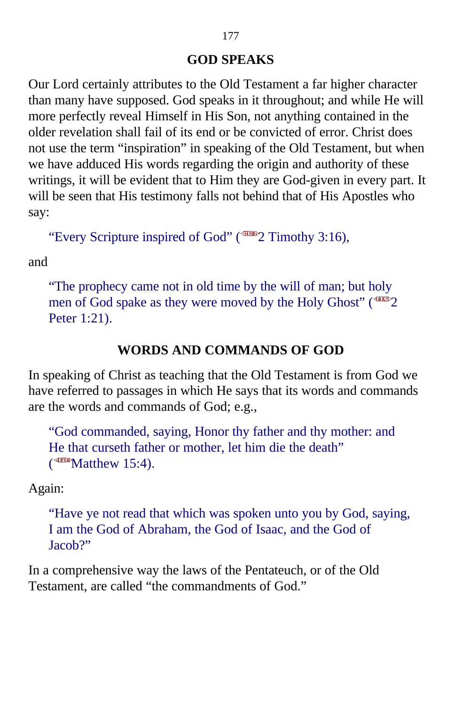# **GOD SPEAKS**

Our Lord certainly attributes to the Old Testament a far higher character than many have supposed. God speaks in it throughout; and while He will more perfectly reveal Himself in His Son, not anything contained in the older revelation shall fail of its end or be convicted of error. Christ does not use the term "inspiration" in speaking of the Old Testament, but when we have adduced His words regarding the origin and authority of these writings, it will be evident that to Him they are God-given in every part. It will be seen that His testimony falls not behind that of His Apostles who say:

```
"Every Scripture inspired of God" (\sqrt{3506}2 Timothy 3:16),
```
and

"The prophecy came not in old time by the will of man; but holy men of God spake as they were moved by the Holy Ghost"  $(6022)$ Peter 1:21).

# **WORDS AND COMMANDS OF GOD**

In speaking of Christ as teaching that the Old Testament is from God we have referred to passages in which He says that its words and commands are the words and commands of God; e.g.,

"God commanded, saying, Honor thy father and thy mother: and He that curseth father or mother, let him die the death"  $($ <sup>40504</sup>Matthew 15:4).

Again:

"Have ye not read that which was spoken unto you by God, saying, I am the God of Abraham, the God of Isaac, and the God of Jacob?"

In a comprehensive way the laws of the Pentateuch, or of the Old Testament, are called "the commandments of God."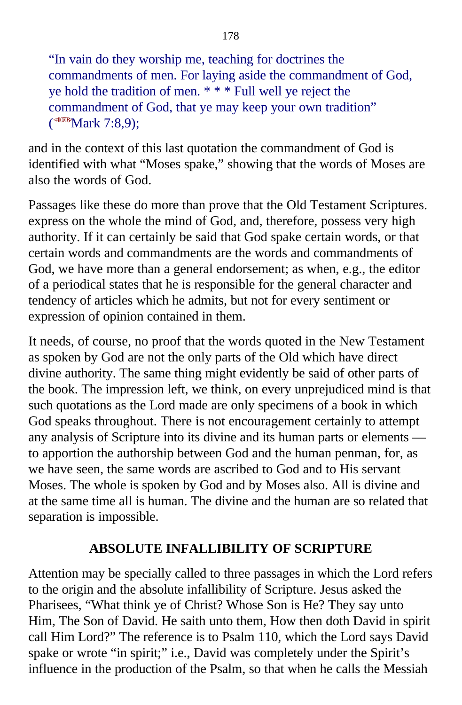"In vain do they worship me, teaching for doctrines the commandments of men. For laying aside the commandment of God, ye hold the tradition of men. \* \* \* Full well ye reject the commandment of God, that ye may keep your own tradition" (4008Mark 7:8,9);

and in the context of this last quotation the commandment of God is identified with what "Moses spake," showing that the words of Moses are also the words of God.

Passages like these do more than prove that the Old Testament Scriptures. express on the whole the mind of God, and, therefore, possess very high authority. If it can certainly be said that God spake certain words, or that certain words and commandments are the words and commandments of God, we have more than a general endorsement; as when, e.g., the editor of a periodical states that he is responsible for the general character and tendency of articles which he admits, but not for every sentiment or expression of opinion contained in them.

It needs, of course, no proof that the words quoted in the New Testament as spoken by God are not the only parts of the Old which have direct divine authority. The same thing might evidently be said of other parts of the book. The impression left, we think, on every unprejudiced mind is that such quotations as the Lord made are only specimens of a book in which God speaks throughout. There is not encouragement certainly to attempt any analysis of Scripture into its divine and its human parts or elements to apportion the authorship between God and the human penman, for, as we have seen, the same words are ascribed to God and to His servant Moses. The whole is spoken by God and by Moses also. All is divine and at the same time all is human. The divine and the human are so related that separation is impossible.

# **ABSOLUTE INFALLIBILITY OF SCRIPTURE**

Attention may be specially called to three passages in which the Lord refers to the origin and the absolute infallibility of Scripture. Jesus asked the Pharisees, "What think ye of Christ? Whose Son is He? They say unto Him, The Son of David. He saith unto them, How then doth David in spirit call Him Lord?" The reference is to Psalm 110, which the Lord says David spake or wrote "in spirit;" i.e., David was completely under the Spirit's influence in the production of the Psalm, so that when he calls the Messiah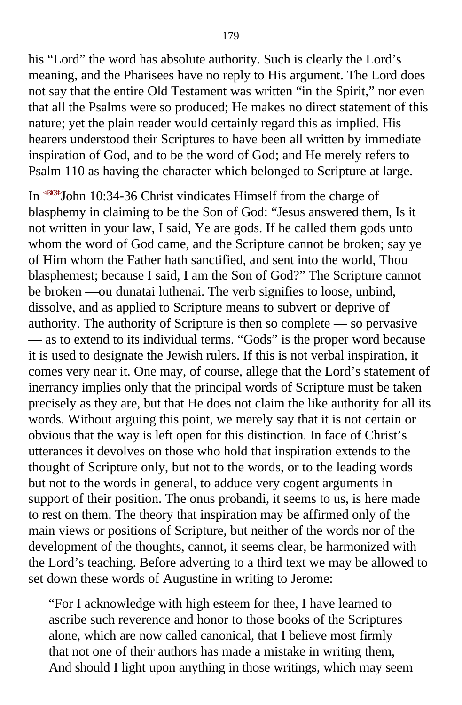his "Lord" the word has absolute authority. Such is clearly the Lord's meaning, and the Pharisees have no reply to His argument. The Lord does not say that the entire Old Testament was written "in the Spirit," nor even that all the Psalms were so produced; He makes no direct statement of this nature; yet the plain reader would certainly regard this as implied. His hearers understood their Scriptures to have been all written by immediate inspiration of God, and to be the word of God; and He merely refers to Psalm 110 as having the character which belonged to Scripture at large.

In  $\frac{48084}{1000}$  John 10:34-36 Christ vindicates Himself from the charge of blasphemy in claiming to be the Son of God: "Jesus answered them, Is it not written in your law, I said, Ye are gods. If he called them gods unto whom the word of God came, and the Scripture cannot be broken; say ye of Him whom the Father hath sanctified, and sent into the world, Thou blasphemest; because I said, I am the Son of God?" The Scripture cannot be broken —ou dunatai luthenai. The verb signifies to loose, unbind, dissolve, and as applied to Scripture means to subvert or deprive of authority. The authority of Scripture is then so complete — so pervasive — as to extend to its individual terms. "Gods" is the proper word because it is used to designate the Jewish rulers. If this is not verbal inspiration, it comes very near it. One may, of course, allege that the Lord's statement of inerrancy implies only that the principal words of Scripture must be taken precisely as they are, but that He does not claim the like authority for all its words. Without arguing this point, we merely say that it is not certain or obvious that the way is left open for this distinction. In face of Christ's utterances it devolves on those who hold that inspiration extends to the thought of Scripture only, but not to the words, or to the leading words but not to the words in general, to adduce very cogent arguments in support of their position. The onus probandi, it seems to us, is here made to rest on them. The theory that inspiration may be affirmed only of the main views or positions of Scripture, but neither of the words nor of the development of the thoughts, cannot, it seems clear, be harmonized with the Lord's teaching. Before adverting to a third text we may be allowed to set down these words of Augustine in writing to Jerome:

"For I acknowledge with high esteem for thee, I have learned to ascribe such reverence and honor to those books of the Scriptures alone, which are now called canonical, that I believe most firmly that not one of their authors has made a mistake in writing them, And should I light upon anything in those writings, which may seem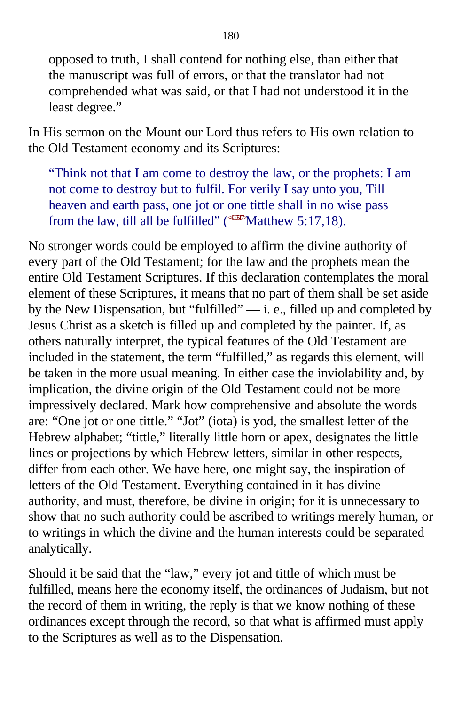opposed to truth, I shall contend for nothing else, than either that the manuscript was full of errors, or that the translator had not comprehended what was said, or that I had not understood it in the least degree."

In His sermon on the Mount our Lord thus refers to His own relation to the Old Testament economy and its Scriptures:

"Think not that I am come to destroy the law, or the prophets: I am not come to destroy but to fulfil. For verily I say unto you, Till heaven and earth pass, one jot or one tittle shall in no wise pass from the law, till all be fulfilled" ( $405/7$ Matthew 5:17,18).

No stronger words could be employed to affirm the divine authority of every part of the Old Testament; for the law and the prophets mean the entire Old Testament Scriptures. If this declaration contemplates the moral element of these Scriptures, it means that no part of them shall be set aside by the New Dispensation, but "fulfilled" — i. e., filled up and completed by Jesus Christ as a sketch is filled up and completed by the painter. If, as others naturally interpret, the typical features of the Old Testament are included in the statement, the term "fulfilled," as regards this element, will be taken in the more usual meaning. In either case the inviolability and, by implication, the divine origin of the Old Testament could not be more impressively declared. Mark how comprehensive and absolute the words are: "One jot or one tittle." "Jot" (iota) is yod, the smallest letter of the Hebrew alphabet; "tittle," literally little horn or apex, designates the little lines or projections by which Hebrew letters, similar in other respects, differ from each other. We have here, one might say, the inspiration of letters of the Old Testament. Everything contained in it has divine authority, and must, therefore, be divine in origin; for it is unnecessary to show that no such authority could be ascribed to writings merely human, or to writings in which the divine and the human interests could be separated analytically.

Should it be said that the "law," every jot and tittle of which must be fulfilled, means here the economy itself, the ordinances of Judaism, but not the record of them in writing, the reply is that we know nothing of these ordinances except through the record, so that what is affirmed must apply to the Scriptures as well as to the Dispensation.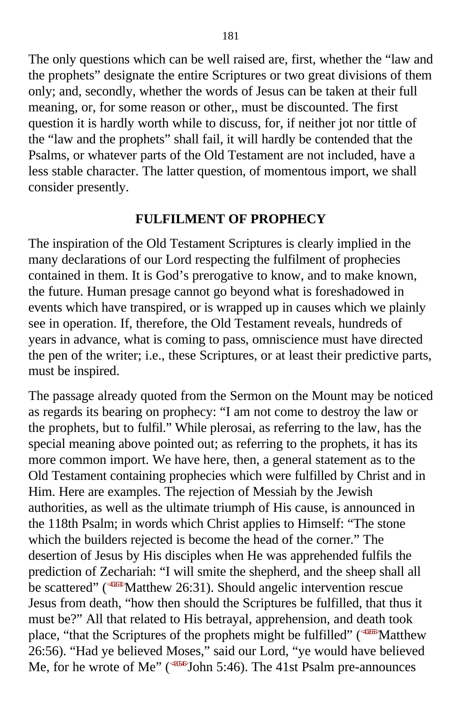The only questions which can be well raised are, first, whether the "law and the prophets" designate the entire Scriptures or two great divisions of them only; and, secondly, whether the words of Jesus can be taken at their full meaning, or, for some reason or other,, must be discounted. The first question it is hardly worth while to discuss, for, if neither jot nor tittle of the "law and the prophets" shall fail, it will hardly be contended that the Psalms, or whatever parts of the Old Testament are not included, have a less stable character. The latter question, of momentous import, we shall consider presently.

#### **FULFILMENT OF PROPHECY**

The inspiration of the Old Testament Scriptures is clearly implied in the many declarations of our Lord respecting the fulfilment of prophecies contained in them. It is God's prerogative to know, and to make known, the future. Human presage cannot go beyond what is foreshadowed in events which have transpired, or is wrapped up in causes which we plainly see in operation. If, therefore, the Old Testament reveals, hundreds of years in advance, what is coming to pass, omniscience must have directed the pen of the writer; i.e., these Scriptures, or at least their predictive parts, must be inspired.

The passage already quoted from the Sermon on the Mount may be noticed as regards its bearing on prophecy: "I am not come to destroy the law or the prophets, but to fulfil." While plerosai, as referring to the law, has the special meaning above pointed out; as referring to the prophets, it has its more common import. We have here, then, a general statement as to the Old Testament containing prophecies which were fulfilled by Christ and in Him. Here are examples. The rejection of Messiah by the Jewish authorities, as well as the ultimate triumph of His cause, is announced in the 118th Psalm; in words which Christ applies to Himself: "The stone which the builders rejected is become the head of the corner." The desertion of Jesus by His disciples when He was apprehended fulfils the prediction of Zechariah: "I will smite the shepherd, and the sheep shall all be scattered" ( $40\%$ Matthew 26:31). Should angelic intervention rescue Jesus from death, "how then should the Scriptures be fulfilled, that thus it must be?" All that related to His betrayal, apprehension, and death took place, "that the Scriptures of the prophets might be fulfilled" ( $4006$ ) Matthew 26:56). "Had ye believed Moses," said our Lord, "ye would have believed Me, for he wrote of Me" ( $456$ b) Uhn 5:46). The 41st Psalm pre-announces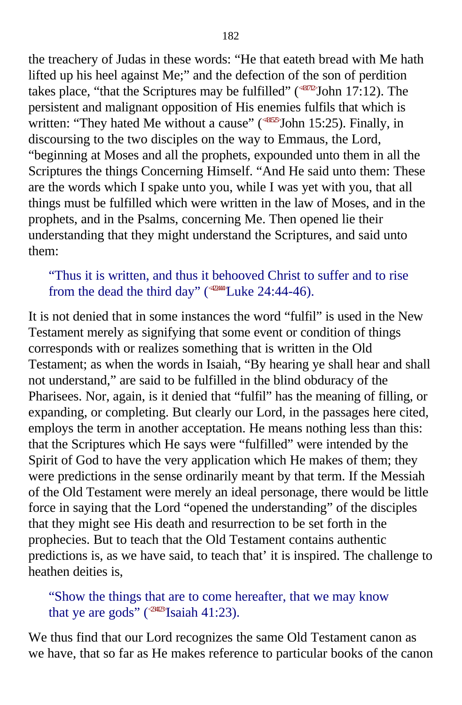the treachery of Judas in these words: "He that eateth bread with Me hath lifted up his heel against Me;" and the defection of the son of perdition takes place, "that the Scriptures may be fulfilled" ( $\frac{\text{GED}}{\text{GMD}}$ John 17:12). The persistent and malignant opposition of His enemies fulfils that which is written: "They hated Me without a cause" (4855) John 15:25). Finally, in discoursing to the two disciples on the way to Emmaus, the Lord, "beginning at Moses and all the prophets, expounded unto them in all the Scriptures the things Concerning Himself. "And He said unto them: These are the words which I spake unto you, while I was yet with you, that all things must be fulfilled which were written in the law of Moses, and in the prophets, and in the Psalms, concerning Me. Then opened lie their understanding that they might understand the Scriptures, and said unto them:

## "Thus it is written, and thus it behooved Christ to suffer and to rise from the dead the third day" ( $\textcircled{24:44-46}$ ).

It is not denied that in some instances the word "fulfil" is used in the New Testament merely as signifying that some event or condition of things corresponds with or realizes something that is written in the Old Testament; as when the words in Isaiah, "By hearing ye shall hear and shall not understand," are said to be fulfilled in the blind obduracy of the Pharisees. Nor, again, is it denied that "fulfil" has the meaning of filling, or expanding, or completing. But clearly our Lord, in the passages here cited, employs the term in another acceptation. He means nothing less than this: that the Scriptures which He says were "fulfilled" were intended by the Spirit of God to have the very application which He makes of them; they were predictions in the sense ordinarily meant by that term. If the Messiah of the Old Testament were merely an ideal personage, there would be little force in saying that the Lord "opened the understanding" of the disciples that they might see His death and resurrection to be set forth in the prophecies. But to teach that the Old Testament contains authentic predictions is, as we have said, to teach that' it is inspired. The challenge to heathen deities is,

## "Show the things that are to come hereafter, that we may know that ye are gods" ( $\frac{2423}{1}$ Saiah 41:23).

We thus find that our Lord recognizes the same Old Testament canon as we have, that so far as He makes reference to particular books of the canon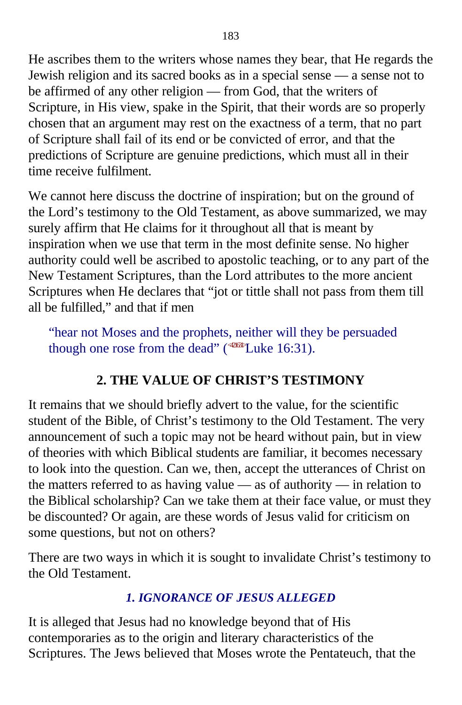He ascribes them to the writers whose names they bear, that He regards the Jewish religion and its sacred books as in a special sense — a sense not to be affirmed of any other religion — from God, that the writers of Scripture, in His view, spake in the Spirit, that their words are so properly chosen that an argument may rest on the exactness of a term, that no part of Scripture shall fail of its end or be convicted of error, and that the predictions of Scripture are genuine predictions, which must all in their time receive fulfilment.

We cannot here discuss the doctrine of inspiration; but on the ground of the Lord's testimony to the Old Testament, as above summarized, we may surely affirm that He claims for it throughout all that is meant by inspiration when we use that term in the most definite sense. No higher authority could well be ascribed to apostolic teaching, or to any part of the New Testament Scriptures, than the Lord attributes to the more ancient Scriptures when He declares that "jot or tittle shall not pass from them till all be fulfilled," and that if men

"hear not Moses and the prophets, neither will they be persuaded though one rose from the dead" ( $\textdegree$ <sup>E63</sup>Luke 16:31).

# **2. THE VALUE OF CHRIST'S TESTIMONY**

It remains that we should briefly advert to the value, for the scientific student of the Bible, of Christ's testimony to the Old Testament. The very announcement of such a topic may not be heard without pain, but in view of theories with which Biblical students are familiar, it becomes necessary to look into the question. Can we, then, accept the utterances of Christ on the matters referred to as having value — as of authority — in relation to the Biblical scholarship? Can we take them at their face value, or must they be discounted? Or again, are these words of Jesus valid for criticism on some questions, but not on others?

There are two ways in which it is sought to invalidate Christ's testimony to the Old Testament.

## *1. IGNORANCE OF JESUS ALLEGED*

It is alleged that Jesus had no knowledge beyond that of His contemporaries as to the origin and literary characteristics of the Scriptures. The Jews believed that Moses wrote the Pentateuch, that the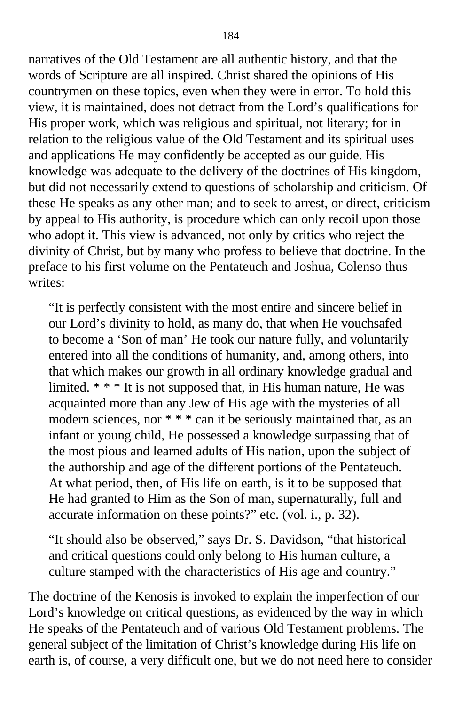narratives of the Old Testament are all authentic history, and that the words of Scripture are all inspired. Christ shared the opinions of His countrymen on these topics, even when they were in error. To hold this view, it is maintained, does not detract from the Lord's qualifications for His proper work, which was religious and spiritual, not literary; for in relation to the religious value of the Old Testament and its spiritual uses and applications He may confidently be accepted as our guide. His knowledge was adequate to the delivery of the doctrines of His kingdom, but did not necessarily extend to questions of scholarship and criticism. Of these He speaks as any other man; and to seek to arrest, or direct, criticism by appeal to His authority, is procedure which can only recoil upon those who adopt it. This view is advanced, not only by critics who reject the divinity of Christ, but by many who profess to believe that doctrine. In the preface to his first volume on the Pentateuch and Joshua, Colenso thus writes:

"It is perfectly consistent with the most entire and sincere belief in our Lord's divinity to hold, as many do, that when He vouchsafed to become a 'Son of man' He took our nature fully, and voluntarily entered into all the conditions of humanity, and, among others, into that which makes our growth in all ordinary knowledge gradual and limited. \* \* \* It is not supposed that, in His human nature, He was acquainted more than any Jew of His age with the mysteries of all modern sciences, nor \* \* \* can it be seriously maintained that, as an infant or young child, He possessed a knowledge surpassing that of the most pious and learned adults of His nation, upon the subject of the authorship and age of the different portions of the Pentateuch. At what period, then, of His life on earth, is it to be supposed that He had granted to Him as the Son of man, supernaturally, full and accurate information on these points?" etc. (vol. i., p. 32).

"It should also be observed," says Dr. S. Davidson, "that historical and critical questions could only belong to His human culture, a culture stamped with the characteristics of His age and country."

The doctrine of the Kenosis is invoked to explain the imperfection of our Lord's knowledge on critical questions, as evidenced by the way in which He speaks of the Pentateuch and of various Old Testament problems. The general subject of the limitation of Christ's knowledge during His life on earth is, of course, a very difficult one, but we do not need here to consider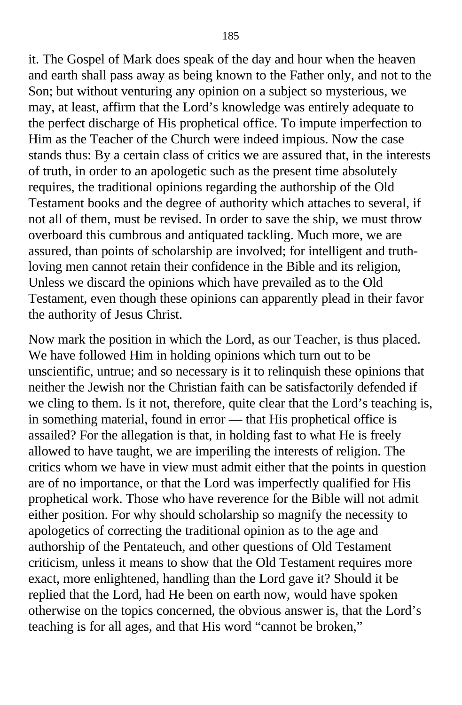it. The Gospel of Mark does speak of the day and hour when the heaven and earth shall pass away as being known to the Father only, and not to the Son; but without venturing any opinion on a subject so mysterious, we may, at least, affirm that the Lord's knowledge was entirely adequate to the perfect discharge of His prophetical office. To impute imperfection to Him as the Teacher of the Church were indeed impious. Now the case stands thus: By a certain class of critics we are assured that, in the interests of truth, in order to an apologetic such as the present time absolutely requires, the traditional opinions regarding the authorship of the Old Testament books and the degree of authority which attaches to several, if not all of them, must be revised. In order to save the ship, we must throw overboard this cumbrous and antiquated tackling. Much more, we are assured, than points of scholarship are involved; for intelligent and truthloving men cannot retain their confidence in the Bible and its religion, Unless we discard the opinions which have prevailed as to the Old Testament, even though these opinions can apparently plead in their favor the authority of Jesus Christ.

Now mark the position in which the Lord, as our Teacher, is thus placed. We have followed Him in holding opinions which turn out to be unscientific, untrue; and so necessary is it to relinquish these opinions that neither the Jewish nor the Christian faith can be satisfactorily defended if we cling to them. Is it not, therefore, quite clear that the Lord's teaching is, in something material, found in error — that His prophetical office is assailed? For the allegation is that, in holding fast to what He is freely allowed to have taught, we are imperiling the interests of religion. The critics whom we have in view must admit either that the points in question are of no importance, or that the Lord was imperfectly qualified for His prophetical work. Those who have reverence for the Bible will not admit either position. For why should scholarship so magnify the necessity to apologetics of correcting the traditional opinion as to the age and authorship of the Pentateuch, and other questions of Old Testament criticism, unless it means to show that the Old Testament requires more exact, more enlightened, handling than the Lord gave it? Should it be replied that the Lord, had He been on earth now, would have spoken otherwise on the topics concerned, the obvious answer is, that the Lord's teaching is for all ages, and that His word "cannot be broken,"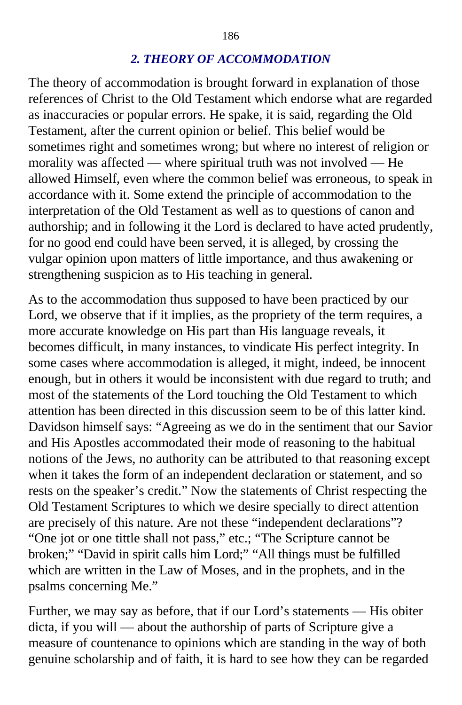#### *2. THEORY OF ACCOMMODATION*

The theory of accommodation is brought forward in explanation of those references of Christ to the Old Testament which endorse what are regarded as inaccuracies or popular errors. He spake, it is said, regarding the Old Testament, after the current opinion or belief. This belief would be sometimes right and sometimes wrong; but where no interest of religion or morality was affected — where spiritual truth was not involved — He allowed Himself, even where the common belief was erroneous, to speak in accordance with it. Some extend the principle of accommodation to the interpretation of the Old Testament as well as to questions of canon and authorship; and in following it the Lord is declared to have acted prudently, for no good end could have been served, it is alleged, by crossing the vulgar opinion upon matters of little importance, and thus awakening or strengthening suspicion as to His teaching in general.

As to the accommodation thus supposed to have been practiced by our Lord, we observe that if it implies, as the propriety of the term requires, a more accurate knowledge on His part than His language reveals, it becomes difficult, in many instances, to vindicate His perfect integrity. In some cases where accommodation is alleged, it might, indeed, be innocent enough, but in others it would be inconsistent with due regard to truth; and most of the statements of the Lord touching the Old Testament to which attention has been directed in this discussion seem to be of this latter kind. Davidson himself says: "Agreeing as we do in the sentiment that our Savior and His Apostles accommodated their mode of reasoning to the habitual notions of the Jews, no authority can be attributed to that reasoning except when it takes the form of an independent declaration or statement, and so rests on the speaker's credit." Now the statements of Christ respecting the Old Testament Scriptures to which we desire specially to direct attention are precisely of this nature. Are not these "independent declarations"? "One jot or one tittle shall not pass," etc.; "The Scripture cannot be broken;" "David in spirit calls him Lord;" "All things must be fulfilled which are written in the Law of Moses, and in the prophets, and in the psalms concerning Me."

Further, we may say as before, that if our Lord's statements — His obiter dicta, if you will — about the authorship of parts of Scripture give a measure of countenance to opinions which are standing in the way of both genuine scholarship and of faith, it is hard to see how they can be regarded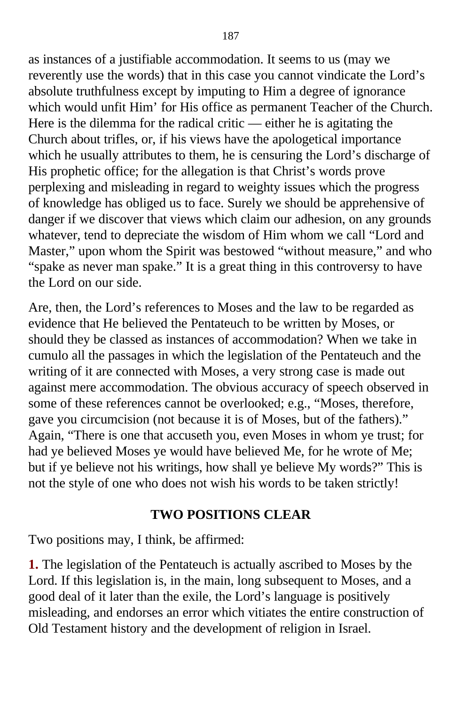as instances of a justifiable accommodation. It seems to us (may we reverently use the words) that in this case you cannot vindicate the Lord's absolute truthfulness except by imputing to Him a degree of ignorance which would unfit Him' for His office as permanent Teacher of the Church. Here is the dilemma for the radical critic — either he is agitating the Church about trifles, or, if his views have the apologetical importance which he usually attributes to them, he is censuring the Lord's discharge of His prophetic office; for the allegation is that Christ's words prove perplexing and misleading in regard to weighty issues which the progress of knowledge has obliged us to face. Surely we should be apprehensive of danger if we discover that views which claim our adhesion, on any grounds whatever, tend to depreciate the wisdom of Him whom we call "Lord and Master," upon whom the Spirit was bestowed "without measure," and who "spake as never man spake." It is a great thing in this controversy to have the Lord on our side.

Are, then, the Lord's references to Moses and the law to be regarded as evidence that He believed the Pentateuch to be written by Moses, or should they be classed as instances of accommodation? When we take in cumulo all the passages in which the legislation of the Pentateuch and the writing of it are connected with Moses, a very strong case is made out against mere accommodation. The obvious accuracy of speech observed in some of these references cannot be overlooked; e.g., "Moses, therefore, gave you circumcision (not because it is of Moses, but of the fathers)." Again, "There is one that accuseth you, even Moses in whom ye trust; for had ye believed Moses ye would have believed Me, for he wrote of Me; but if ye believe not his writings, how shall ye believe My words?" This is not the style of one who does not wish his words to be taken strictly!

## **TWO POSITIONS CLEAR**

Two positions may, I think, be affirmed:

**1.** The legislation of the Pentateuch is actually ascribed to Moses by the Lord. If this legislation is, in the main, long subsequent to Moses, and a good deal of it later than the exile, the Lord's language is positively misleading, and endorses an error which vitiates the entire construction of Old Testament history and the development of religion in Israel.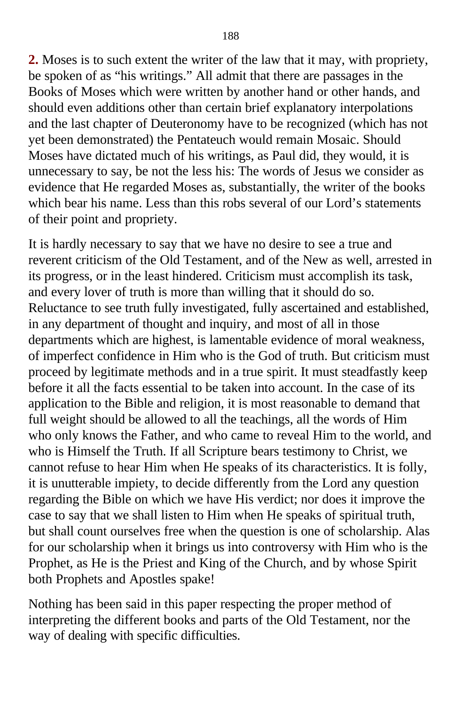<span id="page-187-0"></span>**2.** Moses is to such extent the writer of the law that it may, with propriety, be spoken of as "his writings." All admit that there are passages in the Books of Moses which were written by another hand or other hands, and should even additions other than certain brief explanatory interpolations and the last chapter of Deuteronomy have to be recognized (which has not yet been demonstrated) the Pentateuch would remain Mosaic. Should Moses have dictated much of his writings, as Paul did, they would, it is unnecessary to say, be not the less his: The words of Jesus we consider as evidence that He regarded Moses as, substantially, the writer of the books which bear his name. Less than this robs several of our Lord's statements of their point and propriety.

It is hardly necessary to say that we have no desire to see a true and reverent criticism of the Old Testament, and of the New as well, arrested in its progress, or in the least hindered. Criticism must accomplish its task, and every lover of truth is more than willing that it should do so. Reluctance to see truth fully investigated, fully ascertained and established, in any department of thought and inquiry, and most of all in those departments which are highest, is lamentable evidence of moral weakness, of imperfect confidence in Him who is the God of truth. But criticism must proceed by legitimate methods and in a true spirit. It must steadfastly keep before it all the facts essential to be taken into account. In the case of its application to the Bible and religion, it is most reasonable to demand that full weight should be allowed to all the teachings, all the words of Him who only knows the Father, and who came to reveal Him to the world, and who is Himself the Truth. If all Scripture bears testimony to Christ, we cannot refuse to hear Him when He speaks of its characteristics. It is folly, it is unutterable impiety, to decide differently from the Lord any question regarding the Bible on which we have His verdict; nor does it improve the case to say that we shall listen to Him when He speaks of spiritual truth, but shall count ourselves free when the question is one of scholarship. Alas for our scholarship when it brings us into controversy with Him who is the Prophet, as He is the Priest and King of the Church, and by whose Spirit both Prophets and Apostles spake!

Nothing has been said in this paper respecting the proper method of interpreting the different books and parts of the Old Testament, nor the way of dealing with specific difficulties.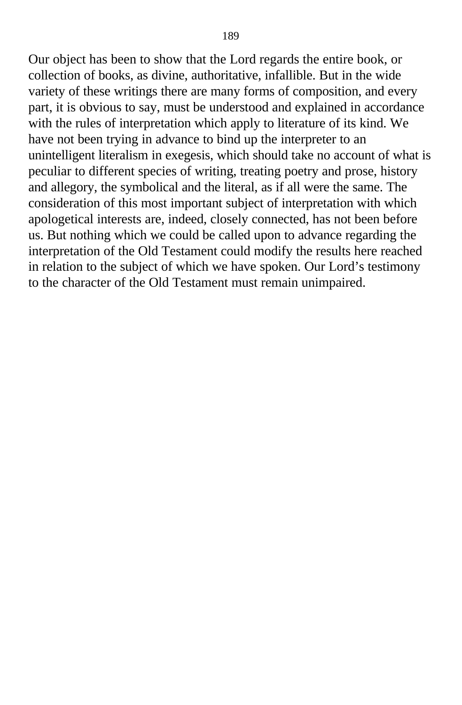Our object has been to show that the Lord regards the entire book, or collection of books, as divine, authoritative, infallible. But in the wide variety of these writings there are many forms of composition, and every part, it is obvious to say, must be understood and explained in accordance with the rules of interpretation which apply to literature of its kind. We have not been trying in advance to bind up the interpreter to an unintelligent literalism in exegesis, which should take no account of what is peculiar to different species of writing, treating poetry and prose, history and allegory, the symbolical and the literal, as if all were the same. The consideration of this most important subject of interpretation with which apologetical interests are, indeed, closely connected, has not been before us. But nothing which we could be called upon to advance regarding the interpretation of the Old Testament could modify the results here reached in relation to the subject of which we have spoken. Our Lord's testimony to the character of the Old Testament must remain unimpaired.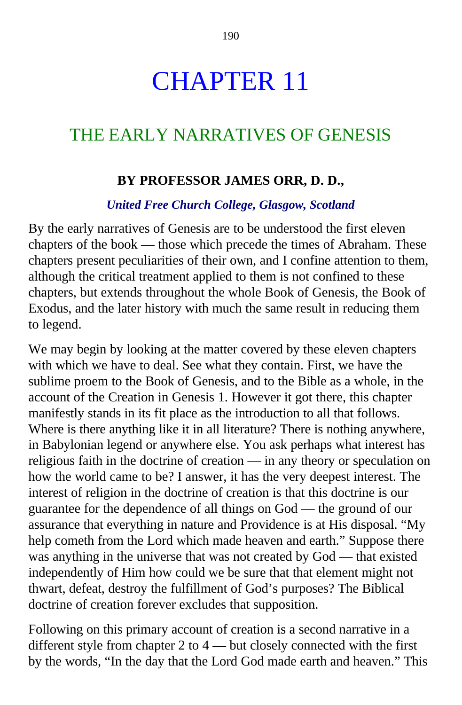# CHAPTER 11

# THE EARLY NARRATIVES OF GENESIS

## **BY PROFESSOR JAMES ORR, D. D.,**

#### *United Free Church College, Glasgow, Scotland*

By the early narratives of Genesis are to be understood the first eleven chapters of the book — those which precede the times of Abraham. These chapters present peculiarities of their own, and I confine attention to them, although the critical treatment applied to them is not confined to these chapters, but extends throughout the whole Book of Genesis, the Book of Exodus, and the later history with much the same result in reducing them to legend.

We may begin by looking at the matter covered by these eleven chapters with which we have to deal. See what they contain. First, we have the sublime proem to the Book of Genesis, and to the Bible as a whole, in the account of the Creation in Genesis 1. However it got there, this chapter manifestly stands in its fit place as the introduction to all that follows. Where is there anything like it in all literature? There is nothing anywhere, in Babylonian legend or anywhere else. You ask perhaps what interest has religious faith in the doctrine of creation — in any theory or speculation on how the world came to be? I answer, it has the very deepest interest. The interest of religion in the doctrine of creation is that this doctrine is our guarantee for the dependence of all things on God — the ground of our assurance that everything in nature and Providence is at His disposal. "My help cometh from the Lord which made heaven and earth." Suppose there was anything in the universe that was not created by God — that existed independently of Him how could we be sure that that element might not thwart, defeat, destroy the fulfillment of God's purposes? The Biblical doctrine of creation forever excludes that supposition.

Following on this primary account of creation is a second narrative in a different style from chapter 2 to 4 — but closely connected with the first by the words, "In the day that the Lord God made earth and heaven." This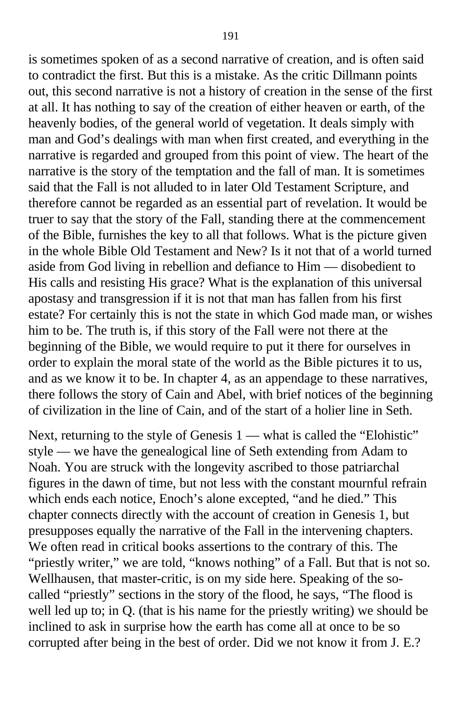is sometimes spoken of as a second narrative of creation, and is often said to contradict the first. But this is a mistake. As the critic Dillmann points out, this second narrative is not a history of creation in the sense of the first at all. It has nothing to say of the creation of either heaven or earth, of the heavenly bodies, of the general world of vegetation. It deals simply with man and God's dealings with man when first created, and everything in the narrative is regarded and grouped from this point of view. The heart of the narrative is the story of the temptation and the fall of man. It is sometimes said that the Fall is not alluded to in later Old Testament Scripture, and therefore cannot be regarded as an essential part of revelation. It would be truer to say that the story of the Fall, standing there at the commencement of the Bible, furnishes the key to all that follows. What is the picture given in the whole Bible Old Testament and New? Is it not that of a world turned aside from God living in rebellion and defiance to Him — disobedient to His calls and resisting His grace? What is the explanation of this universal apostasy and transgression if it is not that man has fallen from his first estate? For certainly this is not the state in which God made man, or wishes him to be. The truth is, if this story of the Fall were not there at the beginning of the Bible, we would require to put it there for ourselves in order to explain the moral state of the world as the Bible pictures it to us, and as we know it to be. In chapter 4, as an appendage to these narratives, there follows the story of Cain and Abel, with brief notices of the beginning of civilization in the line of Cain, and of the start of a holier line in Seth.

Next, returning to the style of Genesis 1 — what is called the "Elohistic" style — we have the genealogical line of Seth extending from Adam to Noah. You are struck with the longevity ascribed to those patriarchal figures in the dawn of time, but not less with the constant mournful refrain which ends each notice, Enoch's alone excepted, "and he died." This chapter connects directly with the account of creation in Genesis 1, but presupposes equally the narrative of the Fall in the intervening chapters. We often read in critical books assertions to the contrary of this. The "priestly writer," we are told, "knows nothing" of a Fall. But that is not so. Wellhausen, that master-critic, is on my side here. Speaking of the socalled "priestly" sections in the story of the flood, he says, "The flood is well led up to; in Q. (that is his name for the priestly writing) we should be inclined to ask in surprise how the earth has come all at once to be so corrupted after being in the best of order. Did we not know it from J. E.?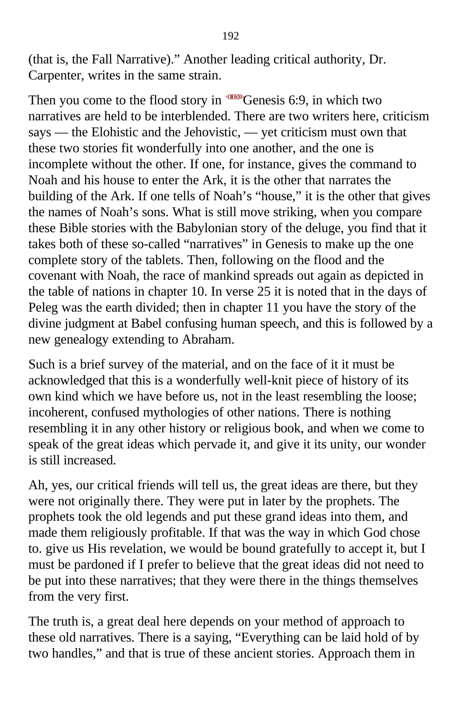(that is, the Fall Narrative)." Another leading critical authority, Dr. Carpenter, writes in the same strain.

Then you come to the flood story in  $\frac{0.006}{0.006}$  Genesis 6:9, in which two narratives are held to be interblended. There are two writers here, criticism says — the Elohistic and the Jehovistic, — yet criticism must own that these two stories fit wonderfully into one another, and the one is incomplete without the other. If one, for instance, gives the command to Noah and his house to enter the Ark, it is the other that narrates the building of the Ark. If one tells of Noah's "house," it is the other that gives the names of Noah's sons. What is still move striking, when you compare these Bible stories with the Babylonian story of the deluge, you find that it takes both of these so-called "narratives" in Genesis to make up the one complete story of the tablets. Then, following on the flood and the covenant with Noah, the race of mankind spreads out again as depicted in the table of nations in chapter 10. In verse 25 it is noted that in the days of Peleg was the earth divided; then in chapter 11 you have the story of the divine judgment at Babel confusing human speech, and this is followed by a new genealogy extending to Abraham.

Such is a brief survey of the material, and on the face of it it must be acknowledged that this is a wonderfully well-knit piece of history of its own kind which we have before us, not in the least resembling the loose; incoherent, confused mythologies of other nations. There is nothing resembling it in any other history or religious book, and when we come to speak of the great ideas which pervade it, and give it its unity, our wonder is still increased.

Ah, yes, our critical friends will tell us, the great ideas are there, but they were not originally there. They were put in later by the prophets. The prophets took the old legends and put these grand ideas into them, and made them religiously profitable. If that was the way in which God chose to. give us His revelation, we would be bound gratefully to accept it, but I must be pardoned if I prefer to believe that the great ideas did not need to be put into these narratives; that they were there in the things themselves from the very first.

The truth is, a great deal here depends on your method of approach to these old narratives. There is a saying, "Everything can be laid hold of by two handles," and that is true of these ancient stories. Approach them in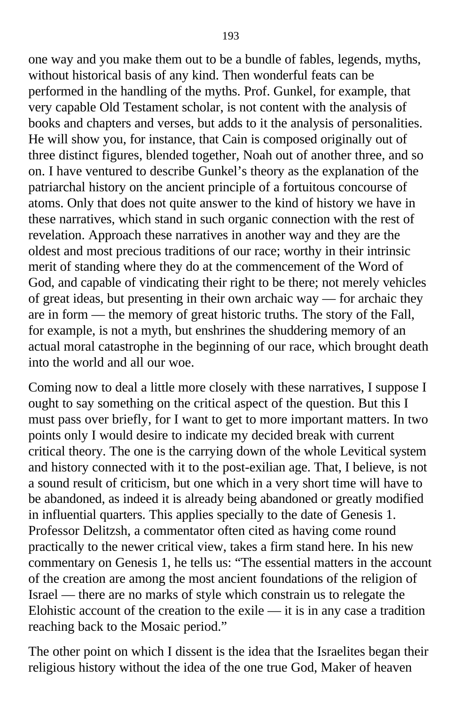one way and you make them out to be a bundle of fables, legends, myths, without historical basis of any kind. Then wonderful feats can be performed in the handling of the myths. Prof. Gunkel, for example, that very capable Old Testament scholar, is not content with the analysis of books and chapters and verses, but adds to it the analysis of personalities. He will show you, for instance, that Cain is composed originally out of three distinct figures, blended together, Noah out of another three, and so on. I have ventured to describe Gunkel's theory as the explanation of the patriarchal history on the ancient principle of a fortuitous concourse of atoms. Only that does not quite answer to the kind of history we have in these narratives, which stand in such organic connection with the rest of revelation. Approach these narratives in another way and they are the oldest and most precious traditions of our race; worthy in their intrinsic merit of standing where they do at the commencement of the Word of God, and capable of vindicating their right to be there; not merely vehicles of great ideas, but presenting in their own archaic way — for archaic they are in form — the memory of great historic truths. The story of the Fall, for example, is not a myth, but enshrines the shuddering memory of an actual moral catastrophe in the beginning of our race, which brought death into the world and all our woe.

Coming now to deal a little more closely with these narratives, I suppose I ought to say something on the critical aspect of the question. But this I must pass over briefly, for I want to get to more important matters. In two points only I would desire to indicate my decided break with current critical theory. The one is the carrying down of the whole Levitical system and history connected with it to the post-exilian age. That, I believe, is not a sound result of criticism, but one which in a very short time will have to be abandoned, as indeed it is already being abandoned or greatly modified in influential quarters. This applies specially to the date of Genesis 1. Professor Delitzsh, a commentator often cited as having come round practically to the newer critical view, takes a firm stand here. In his new commentary on Genesis 1, he tells us: "The essential matters in the account of the creation are among the most ancient foundations of the religion of Israel — there are no marks of style which constrain us to relegate the Elohistic account of the creation to the exile  $-$  it is in any case a tradition reaching back to the Mosaic period."

The other point on which I dissent is the idea that the Israelites began their religious history without the idea of the one true God, Maker of heaven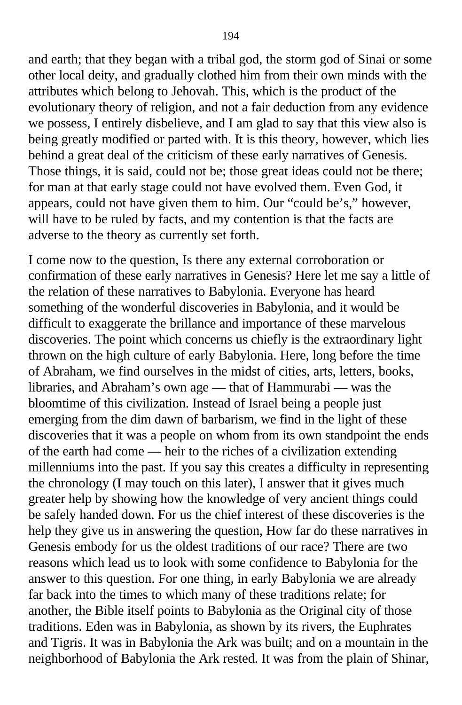and earth; that they began with a tribal god, the storm god of Sinai or some other local deity, and gradually clothed him from their own minds with the attributes which belong to Jehovah. This, which is the product of the evolutionary theory of religion, and not a fair deduction from any evidence we possess, I entirely disbelieve, and I am glad to say that this view also is being greatly modified or parted with. It is this theory, however, which lies behind a great deal of the criticism of these early narratives of Genesis. Those things, it is said, could not be; those great ideas could not be there; for man at that early stage could not have evolved them. Even God, it appears, could not have given them to him. Our "could be's," however, will have to be ruled by facts, and my contention is that the facts are adverse to the theory as currently set forth.

I come now to the question, Is there any external corroboration or confirmation of these early narratives in Genesis? Here let me say a little of the relation of these narratives to Babylonia. Everyone has heard something of the wonderful discoveries in Babylonia, and it would be difficult to exaggerate the brillance and importance of these marvelous discoveries. The point which concerns us chiefly is the extraordinary light thrown on the high culture of early Babylonia. Here, long before the time of Abraham, we find ourselves in the midst of cities, arts, letters, books, libraries, and Abraham's own age — that of Hammurabi — was the bloomtime of this civilization. Instead of Israel being a people just emerging from the dim dawn of barbarism, we find in the light of these discoveries that it was a people on whom from its own standpoint the ends of the earth had come — heir to the riches of a civilization extending millenniums into the past. If you say this creates a difficulty in representing the chronology (I may touch on this later), I answer that it gives much greater help by showing how the knowledge of very ancient things could be safely handed down. For us the chief interest of these discoveries is the help they give us in answering the question, How far do these narratives in Genesis embody for us the oldest traditions of our race? There are two reasons which lead us to look with some confidence to Babylonia for the answer to this question. For one thing, in early Babylonia we are already far back into the times to which many of these traditions relate; for another, the Bible itself points to Babylonia as the Original city of those traditions. Eden was in Babylonia, as shown by its rivers, the Euphrates and Tigris. It was in Babylonia the Ark was built; and on a mountain in the neighborhood of Babylonia the Ark rested. It was from the plain of Shinar,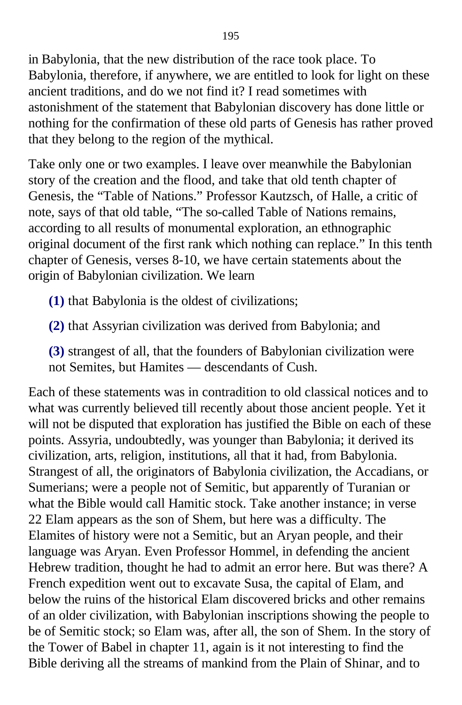in Babylonia, that the new distribution of the race took place. To Babylonia, therefore, if anywhere, we are entitled to look for light on these ancient traditions, and do we not find it? I read sometimes with astonishment of the statement that Babylonian discovery has done little or nothing for the confirmation of these old parts of Genesis has rather proved that they belong to the region of the mythical.

Take only one or two examples. I leave over meanwhile the Babylonian story of the creation and the flood, and take that old tenth chapter of Genesis, the "Table of Nations." Professor Kautzsch, of Halle, a critic of note, says of that old table, "The so-called Table of Nations remains, according to all results of monumental exploration, an ethnographic original document of the first rank which nothing can replace." In this tenth chapter of Genesis, verses 8-10, we have certain statements about the origin of Babylonian civilization. We learn

**(1)** that Babylonia is the oldest of civilizations;

**(2)** that Assyrian civilization was derived from Babylonia; and

**(3)** strangest of all, that the founders of Babylonian civilization were not Semites, but Hamites — descendants of Cush.

Each of these statements was in contradition to old classical notices and to what was currently believed till recently about those ancient people. Yet it will not be disputed that exploration has justified the Bible on each of these points. Assyria, undoubtedly, was younger than Babylonia; it derived its civilization, arts, religion, institutions, all that it had, from Babylonia. Strangest of all, the originators of Babylonia civilization, the Accadians, or Sumerians; were a people not of Semitic, but apparently of Turanian or what the Bible would call Hamitic stock. Take another instance; in verse 22 Elam appears as the son of Shem, but here was a difficulty. The Elamites of history were not a Semitic, but an Aryan people, and their language was Aryan. Even Professor Hommel, in defending the ancient Hebrew tradition, thought he had to admit an error here. But was there? A French expedition went out to excavate Susa, the capital of Elam, and below the ruins of the historical Elam discovered bricks and other remains of an older civilization, with Babylonian inscriptions showing the people to be of Semitic stock; so Elam was, after all, the son of Shem. In the story of the Tower of Babel in chapter 11, again is it not interesting to find the Bible deriving all the streams of mankind from the Plain of Shinar, and to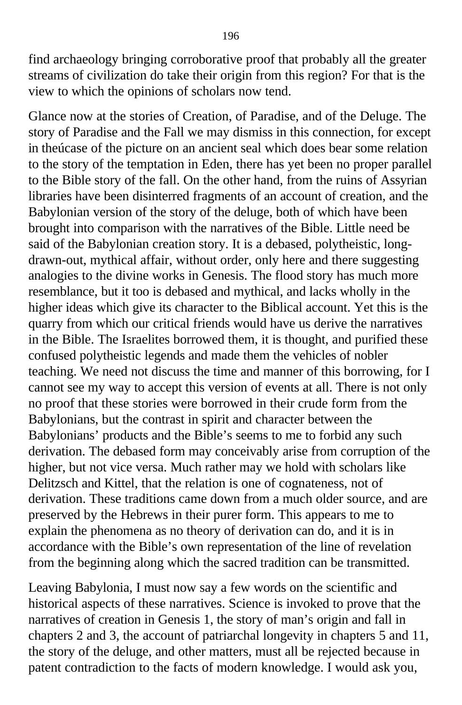find archaeology bringing corroborative proof that probably all the greater streams of civilization do take their origin from this region? For that is the view to which the opinions of scholars now tend.

Glance now at the stories of Creation, of Paradise, and of the Deluge. The story of Paradise and the Fall we may dismiss in this connection, for except in theúcase of the picture on an ancient seal which does bear some relation to the story of the temptation in Eden, there has yet been no proper parallel to the Bible story of the fall. On the other hand, from the ruins of Assyrian libraries have been disinterred fragments of an account of creation, and the Babylonian version of the story of the deluge, both of which have been brought into comparison with the narratives of the Bible. Little need be said of the Babylonian creation story. It is a debased, polytheistic, longdrawn-out, mythical affair, without order, only here and there suggesting analogies to the divine works in Genesis. The flood story has much more resemblance, but it too is debased and mythical, and lacks wholly in the higher ideas which give its character to the Biblical account. Yet this is the quarry from which our critical friends would have us derive the narratives in the Bible. The Israelites borrowed them, it is thought, and purified these confused polytheistic legends and made them the vehicles of nobler teaching. We need not discuss the time and manner of this borrowing, for I cannot see my way to accept this version of events at all. There is not only no proof that these stories were borrowed in their crude form from the Babylonians, but the contrast in spirit and character between the Babylonians' products and the Bible's seems to me to forbid any such derivation. The debased form may conceivably arise from corruption of the higher, but not vice versa. Much rather may we hold with scholars like Delitzsch and Kittel, that the relation is one of cognateness, not of derivation. These traditions came down from a much older source, and are preserved by the Hebrews in their purer form. This appears to me to explain the phenomena as no theory of derivation can do, and it is in accordance with the Bible's own representation of the line of revelation from the beginning along which the sacred tradition can be transmitted.

Leaving Babylonia, I must now say a few words on the scientific and historical aspects of these narratives. Science is invoked to prove that the narratives of creation in Genesis 1, the story of man's origin and fall in chapters 2 and 3, the account of patriarchal longevity in chapters 5 and 11, the story of the deluge, and other matters, must all be rejected because in patent contradiction to the facts of modern knowledge. I would ask you,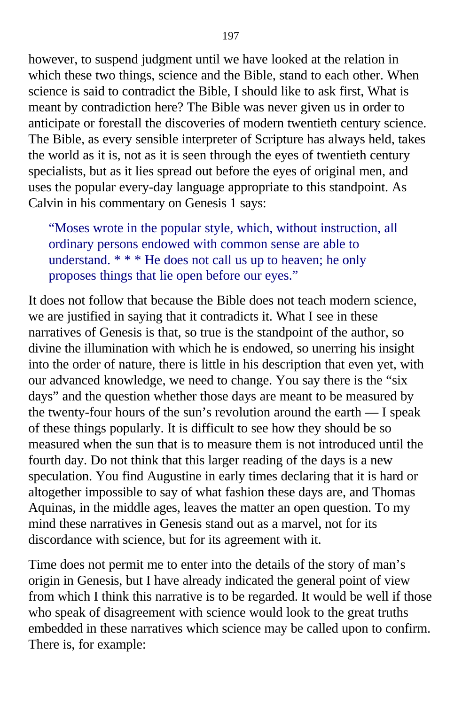however, to suspend judgment until we have looked at the relation in which these two things, science and the Bible, stand to each other. When science is said to contradict the Bible, I should like to ask first, What is meant by contradiction here? The Bible was never given us in order to anticipate or forestall the discoveries of modern twentieth century science. The Bible, as every sensible interpreter of Scripture has always held, takes the world as it is, not as it is seen through the eyes of twentieth century specialists, but as it lies spread out before the eyes of original men, and uses the popular every-day language appropriate to this standpoint. As Calvin in his commentary on Genesis 1 says:

"Moses wrote in the popular style, which, without instruction, all ordinary persons endowed with common sense are able to understand. \* \* \* He does not call us up to heaven; he only proposes things that lie open before our eyes."

It does not follow that because the Bible does not teach modern science, we are justified in saying that it contradicts it. What I see in these narratives of Genesis is that, so true is the standpoint of the author, so divine the illumination with which he is endowed, so unerring his insight into the order of nature, there is little in his description that even yet, with our advanced knowledge, we need to change. You say there is the "six days" and the question whether those days are meant to be measured by the twenty-four hours of the sun's revolution around the earth — I speak of these things popularly. It is difficult to see how they should be so measured when the sun that is to measure them is not introduced until the fourth day. Do not think that this larger reading of the days is a new speculation. You find Augustine in early times declaring that it is hard or altogether impossible to say of what fashion these days are, and Thomas Aquinas, in the middle ages, leaves the matter an open question. To my mind these narratives in Genesis stand out as a marvel, not for its discordance with science, but for its agreement with it.

Time does not permit me to enter into the details of the story of man's origin in Genesis, but I have already indicated the general point of view from which I think this narrative is to be regarded. It would be well if those who speak of disagreement with science would look to the great truths embedded in these narratives which science may be called upon to confirm. There is, for example: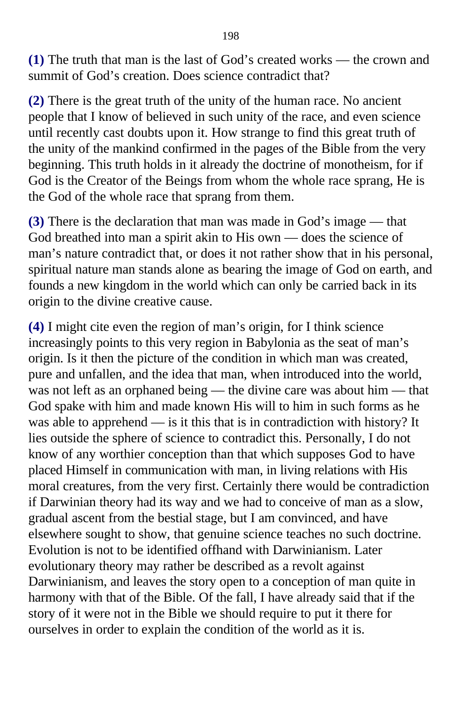**(1)** The truth that man is the last of God's created works — the crown and summit of God's creation. Does science contradict that?

**(2)** There is the great truth of the unity of the human race. No ancient people that I know of believed in such unity of the race, and even science until recently cast doubts upon it. How strange to find this great truth of the unity of the mankind confirmed in the pages of the Bible from the very beginning. This truth holds in it already the doctrine of monotheism, for if God is the Creator of the Beings from whom the whole race sprang, He is the God of the whole race that sprang from them.

**(3)** There is the declaration that man was made in God's image — that God breathed into man a spirit akin to His own — does the science of man's nature contradict that, or does it not rather show that in his personal, spiritual nature man stands alone as bearing the image of God on earth, and founds a new kingdom in the world which can only be carried back in its origin to the divine creative cause.

**(4)** I might cite even the region of man's origin, for I think science increasingly points to this very region in Babylonia as the seat of man's origin. Is it then the picture of the condition in which man was created, pure and unfallen, and the idea that man, when introduced into the world, was not left as an orphaned being — the divine care was about him — that God spake with him and made known His will to him in such forms as he was able to apprehend — is it this that is in contradiction with history? It lies outside the sphere of science to contradict this. Personally, I do not know of any worthier conception than that which supposes God to have placed Himself in communication with man, in living relations with His moral creatures, from the very first. Certainly there would be contradiction if Darwinian theory had its way and we had to conceive of man as a slow, gradual ascent from the bestial stage, but I am convinced, and have elsewhere sought to show, that genuine science teaches no such doctrine. Evolution is not to be identified offhand with Darwinianism. Later evolutionary theory may rather be described as a revolt against Darwinianism, and leaves the story open to a conception of man quite in harmony with that of the Bible. Of the fall, I have already said that if the story of it were not in the Bible we should require to put it there for ourselves in order to explain the condition of the world as it is.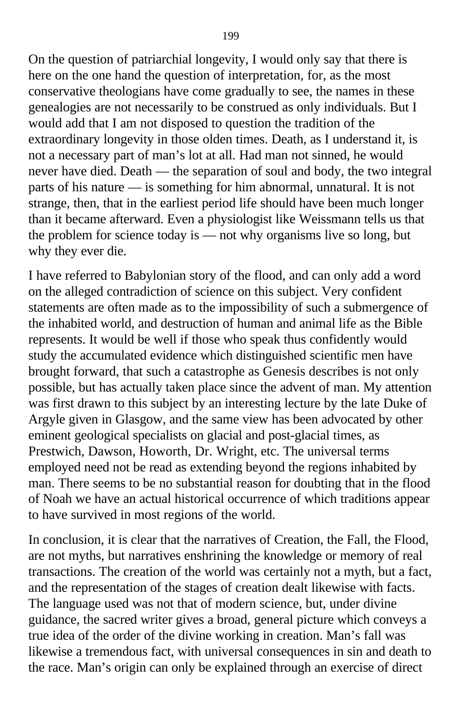On the question of patriarchial longevity, I would only say that there is here on the one hand the question of interpretation, for, as the most conservative theologians have come gradually to see, the names in these genealogies are not necessarily to be construed as only individuals. But I would add that I am not disposed to question the tradition of the extraordinary longevity in those olden times. Death, as I understand it, is not a necessary part of man's lot at all. Had man not sinned, he would never have died. Death — the separation of soul and body, the two integral parts of his nature — is something for him abnormal, unnatural. It is not strange, then, that in the earliest period life should have been much longer than it became afterward. Even a physiologist like Weissmann tells us that the problem for science today is — not why organisms live so long, but why they ever die.

I have referred to Babylonian story of the flood, and can only add a word on the alleged contradiction of science on this subject. Very confident statements are often made as to the impossibility of such a submergence of the inhabited world, and destruction of human and animal life as the Bible represents. It would be well if those who speak thus confidently would study the accumulated evidence which distinguished scientific men have brought forward, that such a catastrophe as Genesis describes is not only possible, but has actually taken place since the advent of man. My attention was first drawn to this subject by an interesting lecture by the late Duke of Argyle given in Glasgow, and the same view has been advocated by other eminent geological specialists on glacial and post-glacial times, as Prestwich, Dawson, Howorth, Dr. Wright, etc. The universal terms employed need not be read as extending beyond the regions inhabited by man. There seems to be no substantial reason for doubting that in the flood of Noah we have an actual historical occurrence of which traditions appear to have survived in most regions of the world.

In conclusion, it is clear that the narratives of Creation, the Fall, the Flood, are not myths, but narratives enshrining the knowledge or memory of real transactions. The creation of the world was certainly not a myth, but a fact, and the representation of the stages of creation dealt likewise with facts. The language used was not that of modern science, but, under divine guidance, the sacred writer gives a broad, general picture which conveys a true idea of the order of the divine working in creation. Man's fall was likewise a tremendous fact, with universal consequences in sin and death to the race. Man's origin can only be explained through an exercise of direct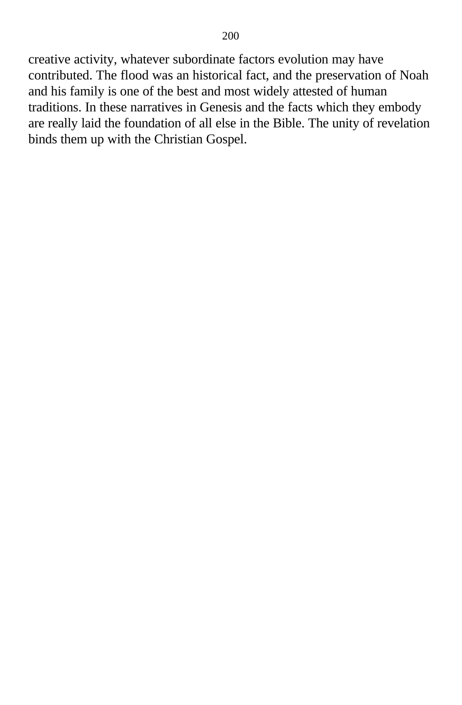creative activity, whatever subordinate factors evolution may have contributed. The flood was an historical fact, and the preservation of Noah and his family is one of the best and most widely attested of human traditions. In these narratives in Genesis and the facts which they embody are really laid the foundation of all else in the Bible. The unity of revelation binds them up with the Christian Gospel.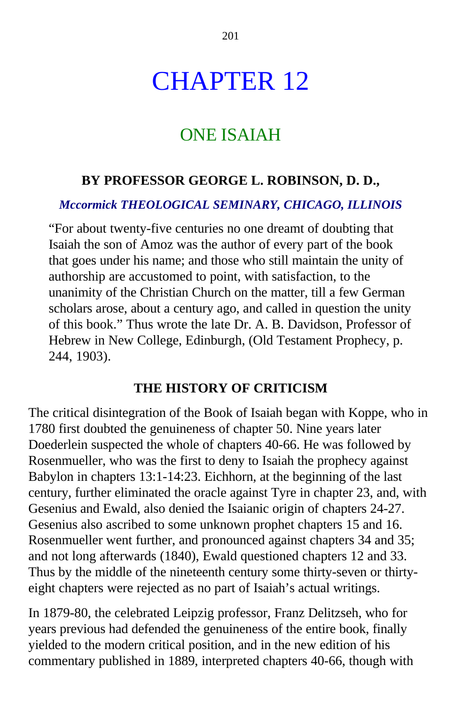# CHAPTER 12

# ONE ISAIAH

### **BY PROFESSOR GEORGE L. ROBINSON, D. D.,**

*Mccormick THEOLOGICAL SEMINARY, CHICAGO, ILLINOIS*

"For about twenty-five centuries no one dreamt of doubting that Isaiah the son of Amoz was the author of every part of the book that goes under his name; and those who still maintain the unity of authorship are accustomed to point, with satisfaction, to the unanimity of the Christian Church on the matter, till a few German scholars arose, about a century ago, and called in question the unity of this book." Thus wrote the late Dr. A. B. Davidson, Professor of Hebrew in New College, Edinburgh, (Old Testament Prophecy, p. 244, 1903).

#### **THE HISTORY OF CRITICISM**

The critical disintegration of the Book of Isaiah began with Koppe, who in 1780 first doubted the genuineness of chapter 50. Nine years later Doederlein suspected the whole of chapters 40-66. He was followed by Rosenmueller, who was the first to deny to Isaiah the prophecy against Babylon in chapters 13:1-14:23. Eichhorn, at the beginning of the last century, further eliminated the oracle against Tyre in chapter 23, and, with Gesenius and Ewald, also denied the Isaianic origin of chapters 24-27. Gesenius also ascribed to some unknown prophet chapters 15 and 16. Rosenmueller went further, and pronounced against chapters 34 and 35; and not long afterwards (1840), Ewald questioned chapters 12 and 33. Thus by the middle of the nineteenth century some thirty-seven or thirtyeight chapters were rejected as no part of Isaiah's actual writings.

In 1879-80, the celebrated Leipzig professor, Franz Delitzseh, who for years previous had defended the genuineness of the entire book, finally yielded to the modern critical position, and in the new edition of his commentary published in 1889, interpreted chapters 40-66, though with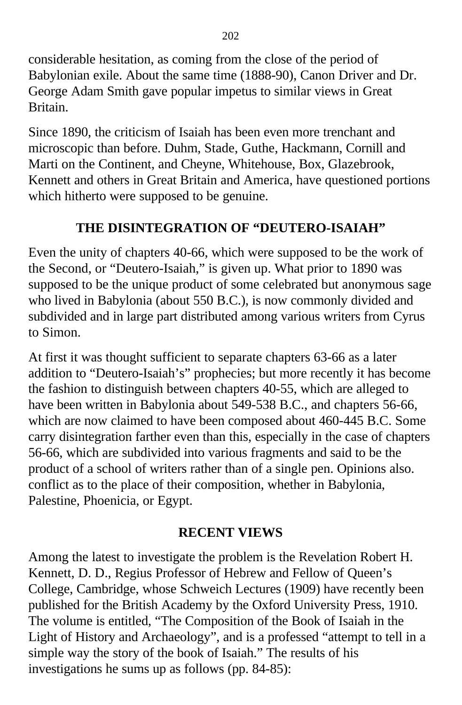considerable hesitation, as coming from the close of the period of Babylonian exile. About the same time (1888-90), Canon Driver and Dr. George Adam Smith gave popular impetus to similar views in Great Britain.

Since 1890, the criticism of Isaiah has been even more trenchant and microscopic than before. Duhm, Stade, Guthe, Hackmann, Cornill and Marti on the Continent, and Cheyne, Whitehouse, Box, Glazebrook, Kennett and others in Great Britain and America, have questioned portions which hitherto were supposed to be genuine.

# **THE DISINTEGRATION OF "DEUTERO-ISAIAH"**

Even the unity of chapters 40-66, which were supposed to be the work of the Second, or "Deutero-Isaiah," is given up. What prior to 1890 was supposed to be the unique product of some celebrated but anonymous sage who lived in Babylonia (about 550 B.C.), is now commonly divided and subdivided and in large part distributed among various writers from Cyrus to Simon.

At first it was thought sufficient to separate chapters 63-66 as a later addition to "Deutero-Isaiah's" prophecies; but more recently it has become the fashion to distinguish between chapters 40-55, which are alleged to have been written in Babylonia about 549-538 B.C., and chapters 56-66, which are now claimed to have been composed about 460-445 B.C. Some carry disintegration farther even than this, especially in the case of chapters 56-66, which are subdivided into various fragments and said to be the product of a school of writers rather than of a single pen. Opinions also. conflict as to the place of their composition, whether in Babylonia, Palestine, Phoenicia, or Egypt.

# **RECENT VIEWS**

Among the latest to investigate the problem is the Revelation Robert H. Kennett, D. D., Regius Professor of Hebrew and Fellow of Queen's College, Cambridge, whose Schweich Lectures (1909) have recently been published for the British Academy by the Oxford University Press, 1910. The volume is entitled, "The Composition of the Book of Isaiah in the Light of History and Archaeology", and is a professed "attempt to tell in a simple way the story of the book of Isaiah." The results of his investigations he sums up as follows (pp. 84-85):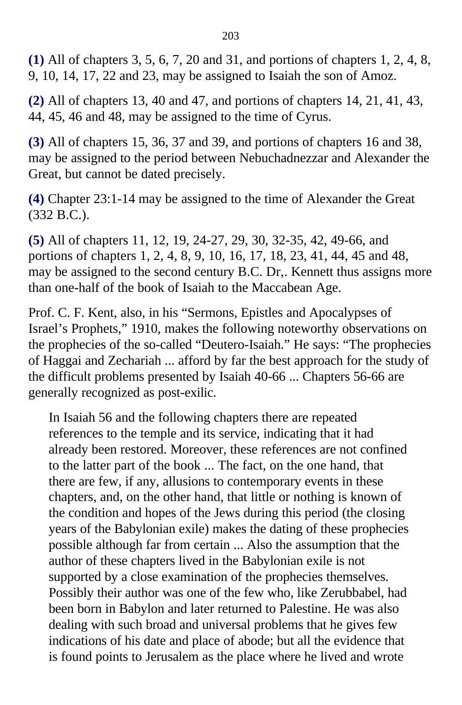**(1)** All of chapters 3, 5, 6, 7, 20 and 31, and portions of chapters 1, 2, 4, 8, 9, 10, 14, 17, 22 and 23, may be assigned to Isaiah the son of Amoz.

**(2)** All of chapters 13, 40 and 47, and portions of chapters 14, 21, 41, 43, 44, 45, 46 and 48, may be assigned to the time of Cyrus.

**(3)** All of chapters 15, 36, 37 and 39, and portions of chapters 16 and 38, may be assigned to the period between Nebuchadnezzar and Alexander the Great, but cannot be dated precisely.

**(4)** Chapter 23:1-14 may be assigned to the time of Alexander the Great (332 B.C.).

**(5)** All of chapters 11, 12, 19, 24-27, 29, 30, 32-35, 42, 49-66, and portions of chapters 1, 2, 4, 8, 9, 10, 16, 17, 18, 23, 41, 44, 45 and 48, may be assigned to the second century B.C. Dr,. Kennett thus assigns more than one-half of the book of Isaiah to the Maccabean Age.

Prof. C. F. Kent, also, in his "Sermons, Epistles and Apocalypses of Israel's Prophets," 1910, makes the following noteworthy observations on the prophecies of the so-called "Deutero-Isaiah." He says: "The prophecies of Haggai and Zechariah ... afford by far the best approach for the study of the difficult problems presented by Isaiah 40-66 ... Chapters 56-66 are generally recognized as post-exilic.

In Isaiah 56 and the following chapters there are repeated references to the temple and its service, indicating that it had already been restored. Moreover, these references are not confined to the latter part of the book ... The fact, on the one hand, that there are few, if any, allusions to contemporary events in these chapters, and, on the other hand, that little or nothing is known of the condition and hopes of the Jews during this period (the closing years of the Babylonian exile) makes the dating of these prophecies possible although far from certain ... Also the assumption that the author of these chapters lived in the Babylonian exile is not supported by a close examination of the prophecies themselves. Possibly their author was one of the few who, like Zerubbabel, had been born in Babylon and later returned to Palestine. He was also dealing with such broad and universal problems that he gives few indications of his date and place of abode; but all the evidence that is found points to Jerusalem as the place where he lived and wrote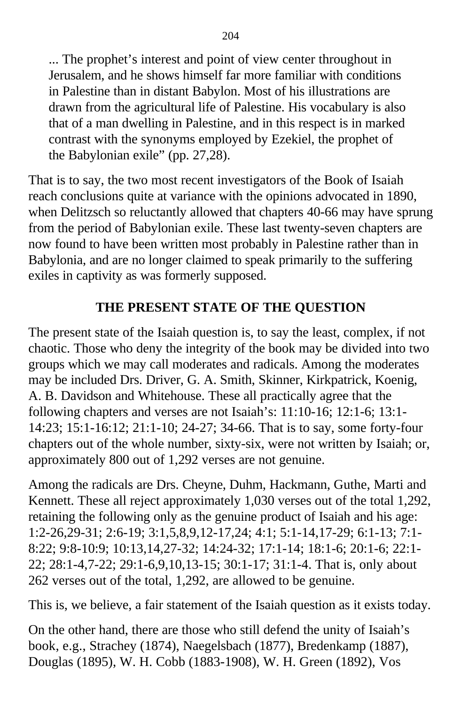... The prophet's interest and point of view center throughout in Jerusalem, and he shows himself far more familiar with conditions in Palestine than in distant Babylon. Most of his illustrations are drawn from the agricultural life of Palestine. His vocabulary is also that of a man dwelling in Palestine, and in this respect is in marked contrast with the synonyms employed by Ezekiel, the prophet of the Babylonian exile" (pp. 27,28).

That is to say, the two most recent investigators of the Book of Isaiah reach conclusions quite at variance with the opinions advocated in 1890, when Delitzsch so reluctantly allowed that chapters 40-66 may have sprung from the period of Babylonian exile. These last twenty-seven chapters are now found to have been written most probably in Palestine rather than in Babylonia, and are no longer claimed to speak primarily to the suffering exiles in captivity as was formerly supposed.

## **THE PRESENT STATE OF THE QUESTION**

The present state of the Isaiah question is, to say the least, complex, if not chaotic. Those who deny the integrity of the book may be divided into two groups which we may call moderates and radicals. Among the moderates may be included Drs. Driver, G. A. Smith, Skinner, Kirkpatrick, Koenig, A. B. Davidson and Whitehouse. These all practically agree that the following chapters and verses are not Isaiah's: 11:10-16; 12:1-6; 13:1- 14:23; 15:1-16:12; 21:1-10; 24-27; 34-66. That is to say, some forty-four chapters out of the whole number, sixty-six, were not written by Isaiah; or, approximately 800 out of 1,292 verses are not genuine.

Among the radicals are Drs. Cheyne, Duhm, Hackmann, Guthe, Marti and Kennett. These all reject approximately 1,030 verses out of the total 1,292, retaining the following only as the genuine product of Isaiah and his age: 1:2-26,29-31; 2:6-19; 3:1,5,8,9,12-17,24; 4:1; 5:1-14,17-29; 6:1-13; 7:1- 8:22; 9:8-10:9; 10:13,14,27-32; 14:24-32; 17:1-14; 18:1-6; 20:1-6; 22:1- 22; 28:1-4,7-22; 29:1-6,9,10,13-15; 30:1-17; 31:1-4. That is, only about 262 verses out of the total, 1,292, are allowed to be genuine.

This is, we believe, a fair statement of the Isaiah question as it exists today.

On the other hand, there are those who still defend the unity of Isaiah's book, e.g., Strachey (1874), Naegelsbach (1877), Bredenkamp (1887), Douglas (1895), W. H. Cobb (1883-1908), W. H. Green (1892), Vos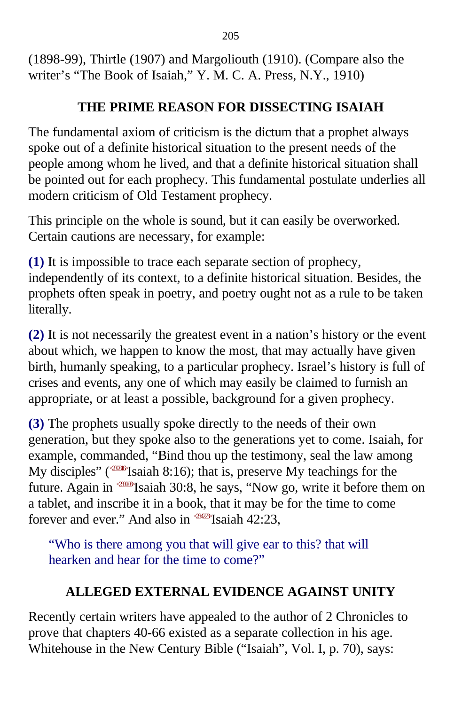(1898-99), Thirtle (1907) and Margoliouth (1910). (Compare also the writer's "The Book of Isaiah," Y. M. C. A. Press, N.Y., 1910)

# **THE PRIME REASON FOR DISSECTING ISAIAH**

The fundamental axiom of criticism is the dictum that a prophet always spoke out of a definite historical situation to the present needs of the people among whom he lived, and that a definite historical situation shall be pointed out for each prophecy. This fundamental postulate underlies all modern criticism of Old Testament prophecy.

This principle on the whole is sound, but it can easily be overworked. Certain cautions are necessary, for example:

**(1)** It is impossible to trace each separate section of prophecy, independently of its context, to a definite historical situation. Besides, the prophets often speak in poetry, and poetry ought not as a rule to be taken literally.

**(2)** It is not necessarily the greatest event in a nation's history or the event about which, we happen to know the most, that may actually have given birth, humanly speaking, to a particular prophecy. Israel's history is full of crises and events, any one of which may easily be claimed to furnish an appropriate, or at least a possible, background for a given prophecy.

**(3)** The prophets usually spoke directly to the needs of their own generation, but they spoke also to the generations yet to come. Isaiah, for example, commanded, "Bind thou up the testimony, seal the law among My disciples" ( $\alpha$ 886<sup>o</sup>Isaiah 8:16); that is, preserve My teachings for the future. Again in  $\frac{2308}{15}$ Isaiah 30:8, he says, "Now go, write it before them on a tablet, and inscribe it in a book, that it may be for the time to come forever and ever." And also in  $\frac{2023}{15}$ Isaiah 42:23,

"Who is there among you that will give ear to this? that will hearken and hear for the time to come?"

# **ALLEGED EXTERNAL EVIDENCE AGAINST UNITY**

Recently certain writers have appealed to the author of 2 Chronicles to prove that chapters 40-66 existed as a separate collection in his age. Whitehouse in the New Century Bible ("Isaiah", Vol. I, p. 70), says: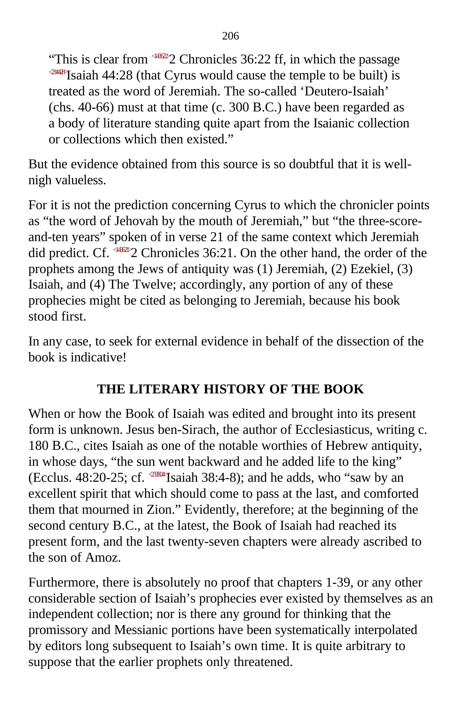"This is clear from  $482$  Chronicles 36:22 ff, in which the passage  $\frac{\text{max}}{\text{3448}}$ Isaiah 44:28 (that Cyrus would cause the temple to be built) is treated as the word of Jeremiah. The so-called 'Deutero-Isaiah' (chs. 40-66) must at that time (c. 300 B.C.) have been regarded as a body of literature standing quite apart from the Isaianic collection or collections which then existed."

But the evidence obtained from this source is so doubtful that it is wellnigh valueless.

For it is not the prediction concerning Cyrus to which the chronicler points as "the word of Jehovah by the mouth of Jeremiah," but "the three-scoreand-ten years" spoken of in verse 21 of the same context which Jeremiah did predict. Cf.  $482^2$  Chronicles 36:21. On the other hand, the order of the prophets among the Jews of antiquity was (1) Jeremiah, (2) Ezekiel, (3) Isaiah, and (4) The Twelve; accordingly, any portion of any of these prophecies might be cited as belonging to Jeremiah, because his book stood first.

In any case, to seek for external evidence in behalf of the dissection of the book is indicative!

# **THE LITERARY HISTORY OF THE BOOK**

When or how the Book of Isaiah was edited and brought into its present form is unknown. Jesus ben-Sirach, the author of Ecclesiasticus, writing c. 180 B.C., cites Isaiah as one of the notable worthies of Hebrew antiquity, in whose days, "the sun went backward and he added life to the king" (Ecclus. 48:20-25; cf.  $\frac{23334}{15}$  Saiah 38:4-8); and he adds, who "saw by an excellent spirit that which should come to pass at the last, and comforted them that mourned in Zion." Evidently, therefore; at the beginning of the second century B.C., at the latest, the Book of Isaiah had reached its present form, and the last twenty-seven chapters were already ascribed to the son of Amoz.

Furthermore, there is absolutely no proof that chapters 1-39, or any other considerable section of Isaiah's prophecies ever existed by themselves as an independent collection; nor is there any ground for thinking that the promissory and Messianic portions have been systematically interpolated by editors long subsequent to Isaiah's own time. It is quite arbitrary to suppose that the earlier prophets only threatened.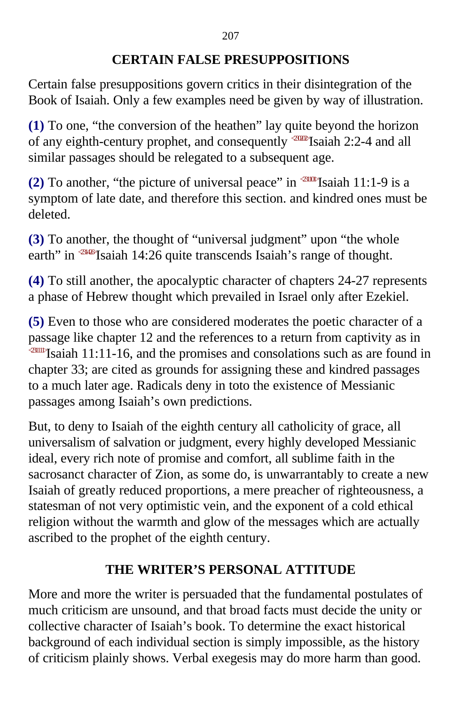# **CERTAIN FALSE PRESUPPOSITIONS**

Certain false presuppositions govern critics in their disintegration of the Book of Isaiah. Only a few examples need be given by way of illustration.

**(1)** To one, "the conversion of the heathen" lay quite beyond the horizon of any eighth-century prophet, and consequently  $\frac{\text{exp}}{\text{cosial}}$  2:2-4 and all similar passages should be relegated to a subsequent age.

**(2)** To another, "the picture of universal peace" in  $\frac{\text{QMD}}{\text{Sain}}$ Isaiah 11:1-9 is a symptom of late date, and therefore this section. and kindred ones must be deleted.

**(3)** To another, the thought of "universal judgment" upon "the whole earth" in  $\frac{23486}{15}$ Isaiah 14:26 quite transcends Isaiah's range of thought.

**(4)** To still another, the apocalyptic character of chapters 24-27 represents a phase of Hebrew thought which prevailed in Israel only after Ezekiel.

**(5)** Even to those who are considered moderates the poetic character of a passage like chapter 12 and the references to a return from captivity as in  $\alpha$ <sup>23111</sup> Saiah 11:11-16, and the promises and consolations such as are found in chapter 33; are cited as grounds for assigning these and kindred passages to a much later age. Radicals deny in toto the existence of Messianic passages among Isaiah's own predictions.

But, to deny to Isaiah of the eighth century all catholicity of grace, all universalism of salvation or judgment, every highly developed Messianic ideal, every rich note of promise and comfort, all sublime faith in the sacrosanct character of Zion, as some do, is unwarrantably to create a new Isaiah of greatly reduced proportions, a mere preacher of righteousness, a statesman of not very optimistic vein, and the exponent of a cold ethical religion without the warmth and glow of the messages which are actually ascribed to the prophet of the eighth century.

# **THE WRITER'S PERSONAL ATTITUDE**

More and more the writer is persuaded that the fundamental postulates of much criticism are unsound, and that broad facts must decide the unity or collective character of Isaiah's book. To determine the exact historical background of each individual section is simply impossible, as the history of criticism plainly shows. Verbal exegesis may do more harm than good.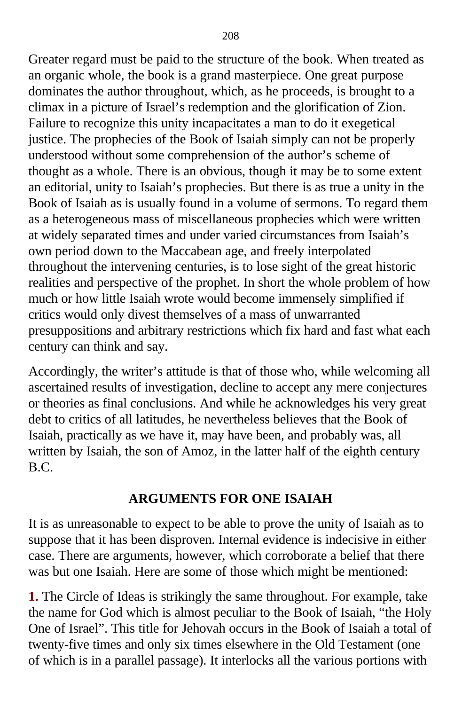Greater regard must be paid to the structure of the book. When treated as an organic whole, the book is a grand masterpiece. One great purpose dominates the author throughout, which, as he proceeds, is brought to a climax in a picture of Israel's redemption and the glorification of Zion. Failure to recognize this unity incapacitates a man to do it exegetical justice. The prophecies of the Book of Isaiah simply can not be properly understood without some comprehension of the author's scheme of thought as a whole. There is an obvious, though it may be to some extent an editorial, unity to Isaiah's prophecies. But there is as true a unity in the Book of Isaiah as is usually found in a volume of sermons. To regard them as a heterogeneous mass of miscellaneous prophecies which were written at widely separated times and under varied circumstances from Isaiah's own period down to the Maccabean age, and freely interpolated throughout the intervening centuries, is to lose sight of the great historic realities and perspective of the prophet. In short the whole problem of how much or how little Isaiah wrote would become immensely simplified if critics would only divest themselves of a mass of unwarranted presuppositions and arbitrary restrictions which fix hard and fast what each century can think and say.

Accordingly, the writer's attitude is that of those who, while welcoming all ascertained results of investigation, decline to accept any mere conjectures or theories as final conclusions. And while he acknowledges his very great debt to critics of all latitudes, he nevertheless believes that the Book of Isaiah, practically as we have it, may have been, and probably was, all written by Isaiah, the son of Amoz, in the latter half of the eighth century B.C.

## **ARGUMENTS FOR ONE ISAIAH**

It is as unreasonable to expect to be able to prove the unity of Isaiah as to suppose that it has been disproven. Internal evidence is indecisive in either case. There are arguments, however, which corroborate a belief that there was but one Isaiah. Here are some of those which might be mentioned:

**1.** The Circle of Ideas is strikingly the same throughout. For example, take the name for God which is almost peculiar to the Book of Isaiah, "the Holy One of Israel". This title for Jehovah occurs in the Book of Isaiah a total of twenty-five times and only six times elsewhere in the Old Testament (one of which is in a parallel passage). It interlocks all the various portions with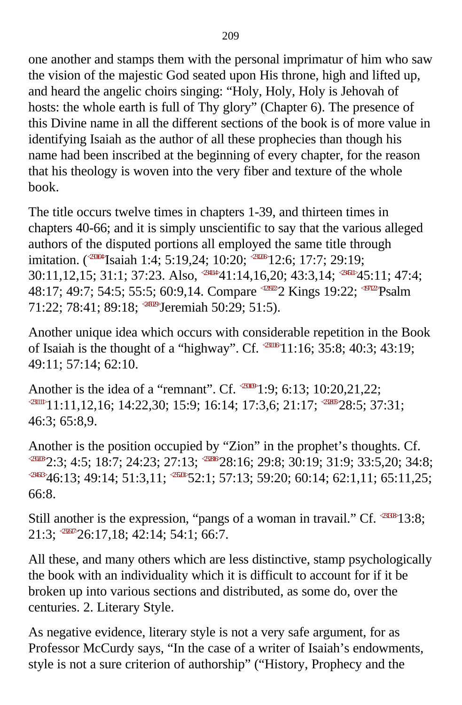one another and stamps them with the personal imprimatur of him who saw the vision of the majestic God seated upon His throne, high and lifted up, and heard the angelic choirs singing: "Holy, Holy, Holy is Jehovah of hosts: the whole earth is full of Thy glory" (Chapter 6). The presence of this Divine name in all the different sections of the book is of more value in identifying Isaiah as the author of all these prophecies than though his name had been inscribed at the beginning of every chapter, for the reason that his theology is woven into the very fiber and texture of the whole book.

The title occurs twelve times in chapters 1-39, and thirteen times in chapters 40-66; and it is simply unscientific to say that the various alleged authors of the disputed portions all employed the same title through imitation. (2004 Isaiah 1:4; 5:19,24; 10:20;  $20.26$ ; 17:7; 29:19;  $30:11,12,15$ ;  $31:1$ ;  $37:23$ . Also,  $\frac{29414}{41}:14,16,20$ ;  $43:3,14$ ;  $\frac{23515}{45}:11$ ;  $47:4$ ; 48:17; 49:7; 54:5; 55:5; 60:9,14. Compare <sup><2022</sup> Kings 19:22; <sup><m22</sup>Psalm 71:22; 78:41; 89:18; [<245029>](#page-1677-0)Jeremiah 50:29; 51:5).

Another unique idea which occurs with considerable repetition in the Book of Isaiah is the thought of a "highway". Cf.  $\frac{\text{QIII/6}}{11:16}$ ; 35:8; 40:3; 43:19; 49:11; 57:14; 62:10.

Another is the idea of a "remnant". Cf.  $\frac{\text{WID}}{2!}$ 1:9; 6:13; 10:20,21,22;  $\frac{2311}{111111216}$ ; 14:22,30; 15:9; 16:14; 17:3,6; 21:17;  $\frac{2385}{2815231}$ ; 37:31; 46:3; 65:8,9.

Another is the position occupied by "Zion" in the prophet's thoughts. Cf.  $\frac{\text{exp}_{2.3}}{2.3}$ ; 4:5; 18:7; 24:23; 27:13;  $\frac{\text{exp}_{6}}{28.16}$ ; 29:8; 30:19; 31:9; 33:5,20; 34:8;  $^{2863}$ 46:13; 49:14; 51:3,11;  $^{2863}$ 52:1; 57:13; 59:20; 60:14; 62:1,11; 65:11,25; 66:8.

Still another is the expression, "pangs of a woman in travail." Cf.  $\frac{\text{exp13:8}}{13:8}$ ;  $21:3$ ;  $\frac{2367}{26}:17,18$ ; 42:14; 54:1; 66:7.

All these, and many others which are less distinctive, stamp psychologically the book with an individuality which it is difficult to account for if it be broken up into various sections and distributed, as some do, over the centuries. 2. Literary Style.

As negative evidence, literary style is not a very safe argument, for as Professor McCurdy says, "In the case of a writer of Isaiah's endowments, style is not a sure criterion of authorship" ("History, Prophecy and the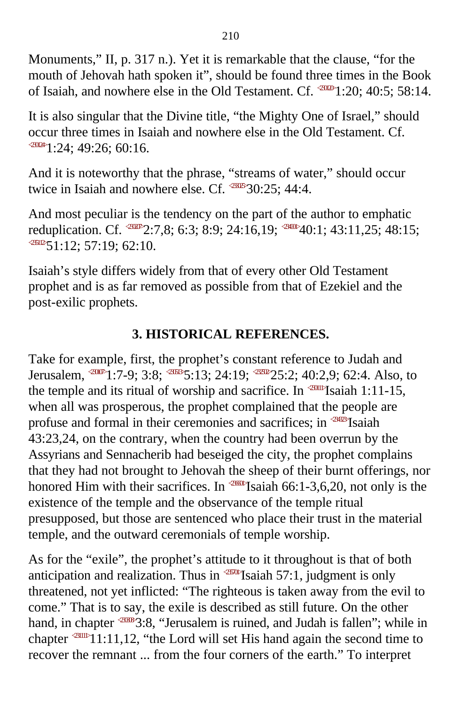Monuments," II, p. 317 n.). Yet it is remarkable that the clause, "for the mouth of Jehovah hath spoken it", should be found three times in the Book of Isaiah, and nowhere else in the Old Testament. Cf.  $\frac{\text{exp1}}{20}$ : 40:5: 58:14.

It is also singular that the Divine title, "the Mighty One of Israel," should occur three times in Isaiah and nowhere else in the Old Testament. Cf.  $49:24$ ; 49:26; 60:16.

And it is noteworthy that the phrase, "streams of water," should occur twice in Isaiah and nowhere else. Cf.  $280.25$ ; 44:4.

And most peculiar is the tendency on the part of the author to emphatic reduplication. Cf.  $\frac{\text{exp2}}{2}$ :7,8; 6:3; 8:9; 24:16,19;  $\frac{\text{exp4}}{2}$ 40:1; 43:11,25; 48:15;  $\sqrt{25125}$ 51:12; 57:19; 62:10.

Isaiah's style differs widely from that of every other Old Testament prophet and is as far removed as possible from that of Ezekiel and the post-exilic prophets.

## **3. HISTORICAL REFERENCES.**

Take for example, first, the prophet's constant reference to Judah and Jerusalem,  $\frac{20005}{1}$ : 7-9; 3:8;  $\frac{2358}{5}$ : 13; 24:19;  $\frac{2320}{25}$ : 2; 40: 2,9; 62: 4. Also, to the temple and its ritual of worship and sacrifice. In  $\frac{20115}{1}$  Saiah 1:11-15, when all was prosperous, the prophet complained that the people are profuse and formal in their ceremonies and sacrifices; in  $\frac{\text{exp}}{\text{2}}$ Isaiah 43:23,24, on the contrary, when the country had been overrun by the Assyrians and Sennacherib had beseiged the city, the prophet complains that they had not brought to Jehovah the sheep of their burnt offerings, nor honored Him with their sacrifices. In  $\frac{2460 \text{m}}{2560 \text{m}}$  Saiah 66:1-3,6,20, not only is the existence of the temple and the observance of the temple ritual presupposed, but those are sentenced who place their trust in the material temple, and the outward ceremonials of temple worship.

As for the "exile", the prophet's attitude to it throughout is that of both anticipation and realization. Thus in  $\frac{2570}{15}$  saiah 57:1, judgment is only threatened, not yet inflicted: "The righteous is taken away from the evil to come." That is to say, the exile is described as still future. On the other hand, in chapter  $\frac{2008}{38}$ :8, "Jerusalem is ruined, and Judah is fallen"; while in chapter  $\frac{23111}{1111112}$ , "the Lord will set His hand again the second time to recover the remnant ... from the four corners of the earth." To interpret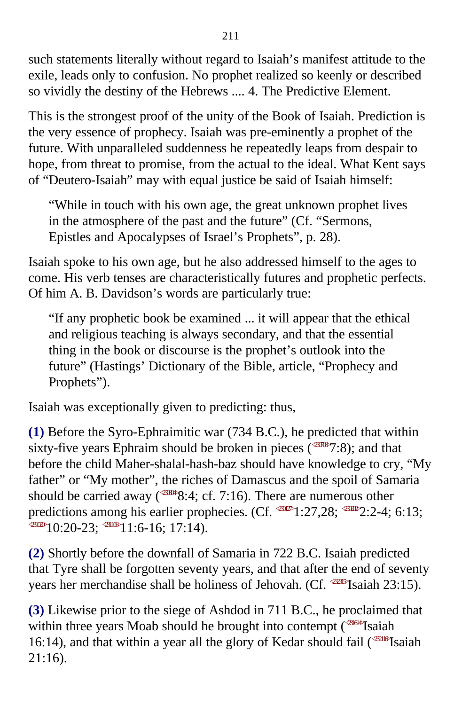such statements literally without regard to Isaiah's manifest attitude to the exile, leads only to confusion. No prophet realized so keenly or described so vividly the destiny of the Hebrews .... 4. The Predictive Element.

This is the strongest proof of the unity of the Book of Isaiah. Prediction is the very essence of prophecy. Isaiah was pre-eminently a prophet of the future. With unparalleled suddenness he repeatedly leaps from despair to hope, from threat to promise, from the actual to the ideal. What Kent says of "Deutero-Isaiah" may with equal justice be said of Isaiah himself:

"While in touch with his own age, the great unknown prophet lives in the atmosphere of the past and the future" (Cf. "Sermons, Epistles and Apocalypses of Israel's Prophets", p. 28).

Isaiah spoke to his own age, but he also addressed himself to the ages to come. His verb tenses are characteristically futures and prophetic perfects. Of him A. B. Davidson's words are particularly true:

"If any prophetic book be examined ... it will appear that the ethical and religious teaching is always secondary, and that the essential thing in the book or discourse is the prophet's outlook into the future" (Hastings' Dictionary of the Bible, article, "Prophecy and Prophets").

Isaiah was exceptionally given to predicting: thus,

**(1)** Before the Syro-Ephraimitic war (734 B.C.), he predicted that within sixty-five years Ephraim should be broken in pieces ( $\alpha$ <sub>3008</sub> $\gamma$ :8); and that before the child Maher-shalal-hash-baz should have knowledge to cry, "My father" or "My mother", the riches of Damascus and the spoil of Samaria should be carried away ( $\sqrt{280*8:4}$ ; cf. 7:16). There are numerous other predictions among his earlier prophecies. (Cf.  $\frac{\text{2012}}{27,28}$ ;  $\frac{\text{2112}}{22,24}$ ; 6:13;  $\frac{23000}{10:20-23}$ ;  $\frac{23106}{11:6-16}$ ; 17:14).

**(2)** Shortly before the downfall of Samaria in 722 B.C. Isaiah predicted that Tyre shall be forgotten seventy years, and that after the end of seventy years her merchandise shall be holiness of Jehovah. (Cf.  $\frac{2835}{15}$ Isaiah 23:15).

**(3)** Likewise prior to the siege of Ashdod in 711 B.C., he proclaimed that within three years Moab should he brought into contempt  $(2364)$ Isaiah 16:14), and that within a year all the glory of Kedar should fail  $(2216)$ Isaiah 21:16).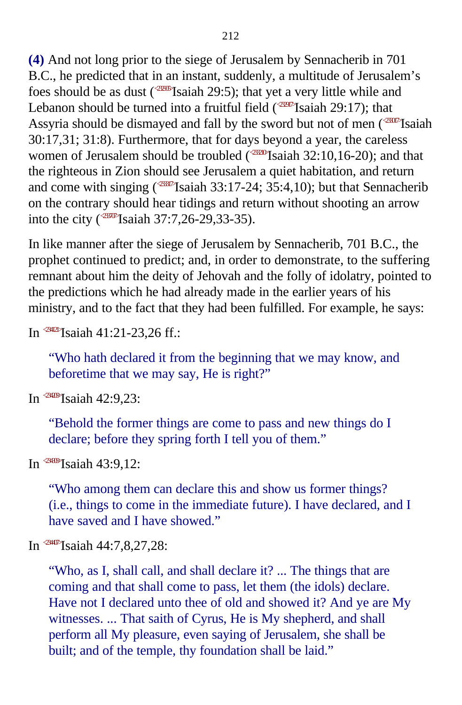**(4)** And not long prior to the siege of Jerusalem by Sennacherib in 701 B.C., he predicted that in an instant, suddenly, a multitude of Jerusalem's foes should be as dust ( $\frac{2926}{1}$ Saiah 29:5); that yet a very little while and Lebanon should be turned into a fruitful field  $(2912)$  Saiah 29:17); that Assyria should be dismayed and fall by the sword but not of men  $(2307)$  Isaiah 30:17,31; 31:8). Furthermore, that for days beyond a year, the careless women of Jerusalem should be troubled ( $\alpha$ <sup>2320</sup>Isaiah 32:10,16-20); and that the righteous in Zion should see Jerusalem a quiet habitation, and return and come with singing ( $\sqrt{2337}$ Isaiah 33:17-24; 35:4,10); but that Sennacherib on the contrary should hear tidings and return without shooting an arrow into the city ( $\frac{23502}{1}$ Isaiah 37:7,26-29,33-35).

In like manner after the siege of Jerusalem by Sennacherib, 701 B.C., the prophet continued to predict; and, in order to demonstrate, to the suffering remnant about him the deity of Jehovah and the folly of idolatry, pointed to the predictions which he had already made in the earlier years of his ministry, and to the fact that they had been fulfilled. For example, he says:

```
In \frac{2402}{1}Isaiah 41:21-23,26 ff.:
```
"Who hath declared it from the beginning that we may know, and beforetime that we may say, He is right?"

In  $\frac{\text{exp}}{\text{Saiah}}$  42:9.23:

"Behold the former things are come to pass and new things do I declare; before they spring forth I tell you of them."

In  $\frac{\text{exp}}{\text{Saiah}}$  43:9.12:

"Who among them can declare this and show us former things? (i.e., things to come in the immediate future). I have declared, and I have saved and I have showed."

```
In \frac{23407}{1}Isaiah 44:7,8,27,28:
```
"Who, as I, shall call, and shall declare it? ... The things that are coming and that shall come to pass, let them (the idols) declare. Have not I declared unto thee of old and showed it? And ye are My witnesses. ... That saith of Cyrus, He is My shepherd, and shall perform all My pleasure, even saying of Jerusalem, she shall be built; and of the temple, thy foundation shall be laid."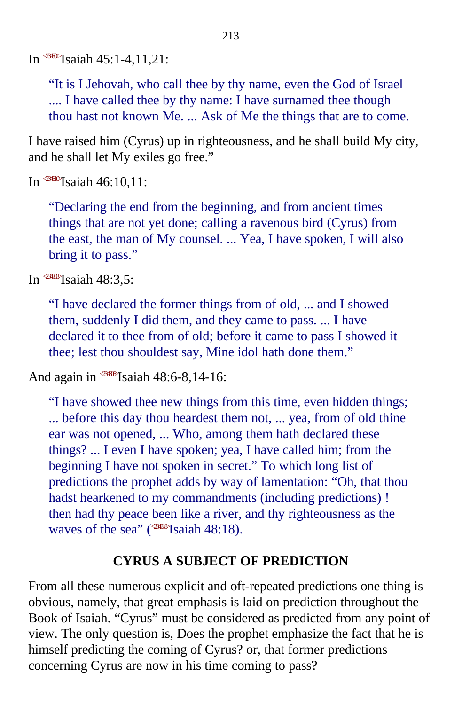In  $\frac{2450}{1}$ Isaiah 45:1-4,11,21:

"It is I Jehovah, who call thee by thy name, even the God of Israel .... I have called thee by thy name: I have surnamed thee though thou hast not known Me. ... Ask of Me the things that are to come.

I have raised him (Cyrus) up in righteousness, and he shall build My city, and he shall let My exiles go free."

In  $\frac{2360}{1}$ Isaiah 46:10,11:

"Declaring the end from the beginning, and from ancient times things that are not yet done; calling a ravenous bird (Cyrus) from the east, the man of My counsel. ... Yea, I have spoken, I will also bring it to pass."

In  $\frac{23808}{1}$ Isaiah 48:3.5:

"I have declared the former things from of old, ... and I showed them, suddenly I did them, and they came to pass. ... I have declared it to thee from of old; before it came to pass I showed it thee; lest thou shouldest say, Mine idol hath done them."

And again in  $\frac{29866}{15}$ Isaiah 48:6-8,14-16:

"I have showed thee new things from this time, even hidden things; ... before this day thou heardest them not, ... yea, from of old thine ear was not opened, ... Who, among them hath declared these things? ... I even I have spoken; yea, I have called him; from the beginning I have not spoken in secret." To which long list of predictions the prophet adds by way of lamentation: "Oh, that thou hadst hearkened to my commandments (including predictions) ! then had thy peace been like a river, and thy righteousness as the waves of the sea" ( $^{2888}$ Isaiah 48:18).

#### **CYRUS A SUBJECT OF PREDICTION**

From all these numerous explicit and oft-repeated predictions one thing is obvious, namely, that great emphasis is laid on prediction throughout the Book of Isaiah. "Cyrus" must be considered as predicted from any point of view. The only question is, Does the prophet emphasize the fact that he is himself predicting the coming of Cyrus? or, that former predictions concerning Cyrus are now in his time coming to pass?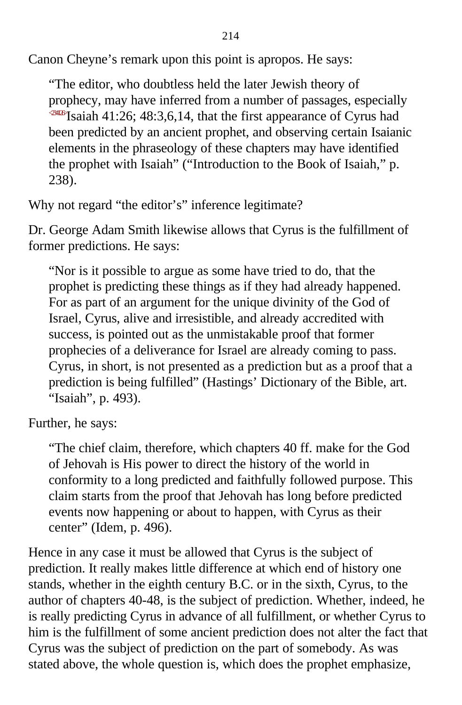Canon Cheyne's remark upon this point is apropos. He says:

"The editor, who doubtless held the later Jewish theory of prophecy, may have inferred from a number of passages, especially  $\frac{\text{QMD}}{\text{S}}$ Isaiah 41:26; 48:3,6,14, that the first appearance of Cyrus had been predicted by an ancient prophet, and observing certain Isaianic elements in the phraseology of these chapters may have identified the prophet with Isaiah" ("Introduction to the Book of Isaiah," p. 238).

Why not regard "the editor's" inference legitimate?

Dr. George Adam Smith likewise allows that Cyrus is the fulfillment of former predictions. He says:

"Nor is it possible to argue as some have tried to do, that the prophet is predicting these things as if they had already happened. For as part of an argument for the unique divinity of the God of Israel, Cyrus, alive and irresistible, and already accredited with success, is pointed out as the unmistakable proof that former prophecies of a deliverance for Israel are already coming to pass. Cyrus, in short, is not presented as a prediction but as a proof that a prediction is being fulfilled" (Hastings' Dictionary of the Bible, art. "Isaiah", p. 493).

Further, he says:

"The chief claim, therefore, which chapters 40 ff. make for the God of Jehovah is His power to direct the history of the world in conformity to a long predicted and faithfully followed purpose. This claim starts from the proof that Jehovah has long before predicted events now happening or about to happen, with Cyrus as their center" (Idem, p. 496).

Hence in any case it must be allowed that Cyrus is the subject of prediction. It really makes little difference at which end of history one stands, whether in the eighth century B.C. or in the sixth, Cyrus, to the author of chapters 40-48, is the subject of prediction. Whether, indeed, he is really predicting Cyrus in advance of all fulfillment, or whether Cyrus to him is the fulfillment of some ancient prediction does not alter the fact that Cyrus was the subject of prediction on the part of somebody. As was stated above, the whole question is, which does the prophet emphasize,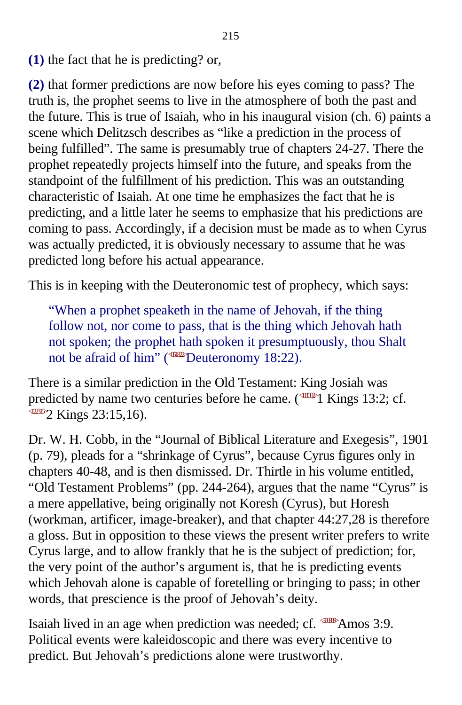<span id="page-214-0"></span>**(1)** the fact that he is predicting? or,

**(2)** that former predictions are now before his eyes coming to pass? The truth is, the prophet seems to live in the atmosphere of both the past and the future. This is true of Isaiah, who in his inaugural vision (ch. 6) paints a scene which Delitzsch describes as "like a prediction in the process of being fulfilled". The same is presumably true of chapters 24-27. There the prophet repeatedly projects himself into the future, and speaks from the standpoint of the fulfillment of his prediction. This was an outstanding characteristic of Isaiah. At one time he emphasizes the fact that he is predicting, and a little later he seems to emphasize that his predictions are coming to pass. Accordingly, if a decision must be made as to when Cyrus was actually predicted, it is obviously necessary to assume that he was predicted long before his actual appearance.

This is in keeping with the Deuteronomic test of prophecy, which says:

"When a prophet speaketh in the name of Jehovah, if the thing follow not, nor come to pass, that is the thing which Jehovah hath not spoken; the prophet hath spoken it presumptuously, thou Shalt not be afraid of him" ( $\Phi$ <sup>5522</sup>Deuteronomy 18:22).

There is a similar prediction in the Old Testament: King Josiah was predicted by name two centuries before he came.  $\left(\frac{\text{d}}{1110}\right)$  Kings 13:2; cf.  $\leq$  22315 $\frac{25}{2}$  Kings 23:15,16).

Dr. W. H. Cobb, in the "Journal of Biblical Literature and Exegesis", 1901 (p. 79), pleads for a "shrinkage of Cyrus", because Cyrus figures only in chapters 40-48, and is then dismissed. Dr. Thirtle in his volume entitled, "Old Testament Problems" (pp. 244-264), argues that the name "Cyrus" is a mere appellative, being originally not Koresh (Cyrus), but Horesh (workman, artificer, image-breaker), and that chapter 44:27,28 is therefore a gloss. But in opposition to these views the present writer prefers to write Cyrus large, and to allow frankly that he is the subject of prediction; for, the very point of the author's argument is, that he is predicting events which Jehovah alone is capable of foretelling or bringing to pass; in other words, that prescience is the proof of Jehovah's deity.

Isaiah lived in an age when prediction was needed; cf. **«BBB**Amos 3:9. Political events were kaleidoscopic and there was every incentive to predict. But Jehovah's predictions alone were trustworthy.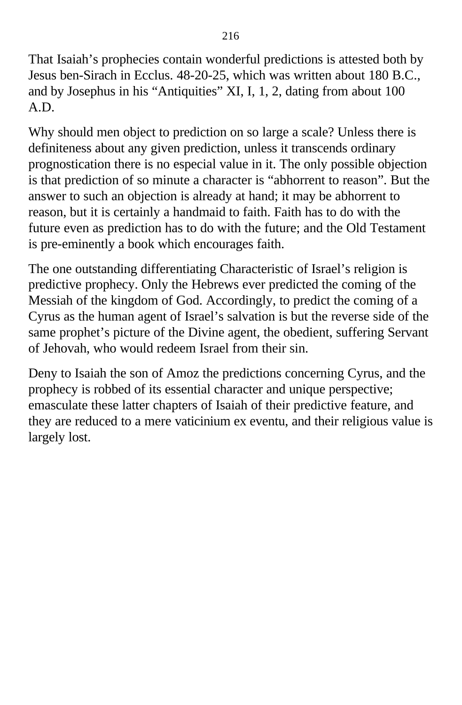That Isaiah's prophecies contain wonderful predictions is attested both by Jesus ben-Sirach in Ecclus. 48-20-25, which was written about 180 B.C., and by Josephus in his "Antiquities" XI, I, 1, 2, dating from about 100 A.D.

Why should men object to prediction on so large a scale? Unless there is definiteness about any given prediction, unless it transcends ordinary prognostication there is no especial value in it. The only possible objection is that prediction of so minute a character is "abhorrent to reason". But the answer to such an objection is already at hand; it may be abhorrent to reason, but it is certainly a handmaid to faith. Faith has to do with the future even as prediction has to do with the future; and the Old Testament is pre-eminently a book which encourages faith.

The one outstanding differentiating Characteristic of Israel's religion is predictive prophecy. Only the Hebrews ever predicted the coming of the Messiah of the kingdom of God. Accordingly, to predict the coming of a Cyrus as the human agent of Israel's salvation is but the reverse side of the same prophet's picture of the Divine agent, the obedient, suffering Servant of Jehovah, who would redeem Israel from their sin.

Deny to Isaiah the son of Amoz the predictions concerning Cyrus, and the prophecy is robbed of its essential character and unique perspective; emasculate these latter chapters of Isaiah of their predictive feature, and they are reduced to a mere vaticinium ex eventu, and their religious value is largely lost.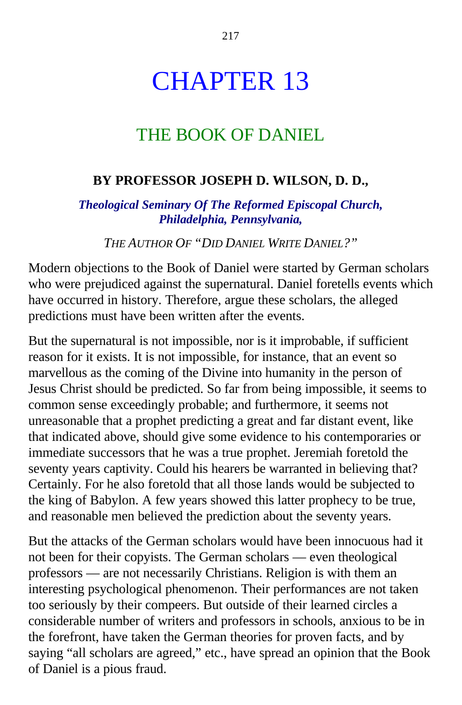# CHAPTER 13

# THE BOOK OF DANIEL

## **BY PROFESSOR JOSEPH D. WILSON, D. D.,**

## *Theological Seminary Of The Reformed Episcopal Church, Philadelphia, Pennsylvania,*

*THE AUTHOR OF "DID DANIEL WRITE DANIEL?"*

Modern objections to the Book of Daniel were started by German scholars who were prejudiced against the supernatural. Daniel foretells events which have occurred in history. Therefore, argue these scholars, the alleged predictions must have been written after the events.

But the supernatural is not impossible, nor is it improbable, if sufficient reason for it exists. It is not impossible, for instance, that an event so marvellous as the coming of the Divine into humanity in the person of Jesus Christ should be predicted. So far from being impossible, it seems to common sense exceedingly probable; and furthermore, it seems not unreasonable that a prophet predicting a great and far distant event, like that indicated above, should give some evidence to his contemporaries or immediate successors that he was a true prophet. Jeremiah foretold the seventy years captivity. Could his hearers be warranted in believing that? Certainly. For he also foretold that all those lands would be subjected to the king of Babylon. A few years showed this latter prophecy to be true, and reasonable men believed the prediction about the seventy years.

But the attacks of the German scholars would have been innocuous had it not been for their copyists. The German scholars — even theological professors — are not necessarily Christians. Religion is with them an interesting psychological phenomenon. Their performances are not taken too seriously by their compeers. But outside of their learned circles a considerable number of writers and professors in schools, anxious to be in the forefront, have taken the German theories for proven facts, and by saying "all scholars are agreed," etc., have spread an opinion that the Book of Daniel is a pious fraud.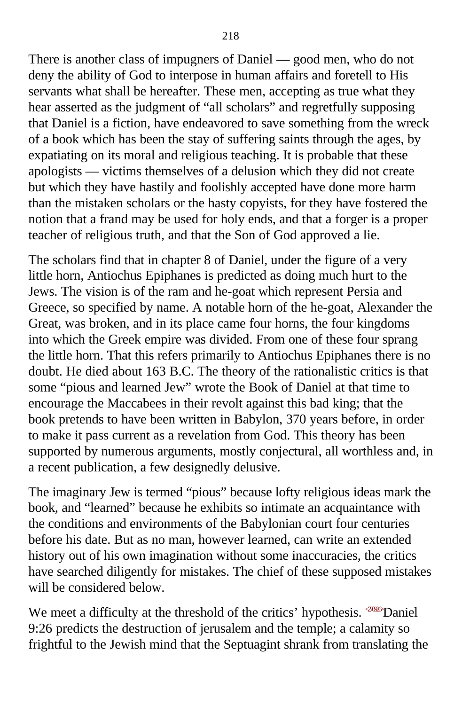There is another class of impugners of Daniel — good men, who do not deny the ability of God to interpose in human affairs and foretell to His servants what shall be hereafter. These men, accepting as true what they hear asserted as the judgment of "all scholars" and regretfully supposing that Daniel is a fiction, have endeavored to save something from the wreck of a book which has been the stay of suffering saints through the ages, by expatiating on its moral and religious teaching. It is probable that these apologists — victims themselves of a delusion which they did not create but which they have hastily and foolishly accepted have done more harm than the mistaken scholars or the hasty copyists, for they have fostered the notion that a frand may be used for holy ends, and that a forger is a proper teacher of religious truth, and that the Son of God approved a lie.

The scholars find that in chapter 8 of Daniel, under the figure of a very little horn, Antiochus Epiphanes is predicted as doing much hurt to the Jews. The vision is of the ram and he-goat which represent Persia and Greece, so specified by name. A notable horn of the he-goat, Alexander the Great, was broken, and in its place came four horns, the four kingdoms into which the Greek empire was divided. From one of these four sprang the little horn. That this refers primarily to Antiochus Epiphanes there is no doubt. He died about 163 B.C. The theory of the rationalistic critics is that some "pious and learned Jew" wrote the Book of Daniel at that time to encourage the Maccabees in their revolt against this bad king; that the book pretends to have been written in Babylon, 370 years before, in order to make it pass current as a revelation from God. This theory has been supported by numerous arguments, mostly conjectural, all worthless and, in a recent publication, a few designedly delusive.

The imaginary Jew is termed "pious" because lofty religious ideas mark the book, and "learned" because he exhibits so intimate an acquaintance with the conditions and environments of the Babylonian court four centuries before his date. But as no man, however learned, can write an extended history out of his own imagination without some inaccuracies, the critics have searched diligently for mistakes. The chief of these supposed mistakes will be considered below.

We meet a difficulty at the threshold of the critics' hypothesis.  $\frac{2006}{200}$ Daniel 9:26 predicts the destruction of jerusalem and the temple; a calamity so frightful to the Jewish mind that the Septuagint shrank from translating the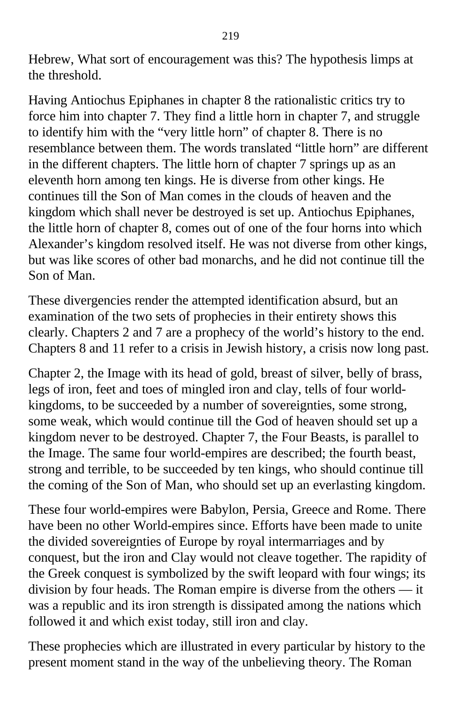Hebrew, What sort of encouragement was this? The hypothesis limps at the threshold.

Having Antiochus Epiphanes in chapter 8 the rationalistic critics try to force him into chapter 7. They find a little horn in chapter 7, and struggle to identify him with the "very little horn" of chapter 8. There is no resemblance between them. The words translated "little horn" are different in the different chapters. The little horn of chapter 7 springs up as an eleventh horn among ten kings. He is diverse from other kings. He continues till the Son of Man comes in the clouds of heaven and the kingdom which shall never be destroyed is set up. Antiochus Epiphanes, the little horn of chapter 8, comes out of one of the four horns into which Alexander's kingdom resolved itself. He was not diverse from other kings, but was like scores of other bad monarchs, and he did not continue till the Son of Man.

These divergencies render the attempted identification absurd, but an examination of the two sets of prophecies in their entirety shows this clearly. Chapters 2 and 7 are a prophecy of the world's history to the end. Chapters 8 and 11 refer to a crisis in Jewish history, a crisis now long past.

Chapter 2, the Image with its head of gold, breast of silver, belly of brass, legs of iron, feet and toes of mingled iron and clay, tells of four worldkingdoms, to be succeeded by a number of sovereignties, some strong, some weak, which would continue till the God of heaven should set up a kingdom never to be destroyed. Chapter 7, the Four Beasts, is parallel to the Image. The same four world-empires are described; the fourth beast, strong and terrible, to be succeeded by ten kings, who should continue till the coming of the Son of Man, who should set up an everlasting kingdom.

These four world-empires were Babylon, Persia, Greece and Rome. There have been no other World-empires since. Efforts have been made to unite the divided sovereignties of Europe by royal intermarriages and by conquest, but the iron and Clay would not cleave together. The rapidity of the Greek conquest is symbolized by the swift leopard with four wings; its division by four heads. The Roman empire is diverse from the others — it was a republic and its iron strength is dissipated among the nations which followed it and which exist today, still iron and clay.

These prophecies which are illustrated in every particular by history to the present moment stand in the way of the unbelieving theory. The Roman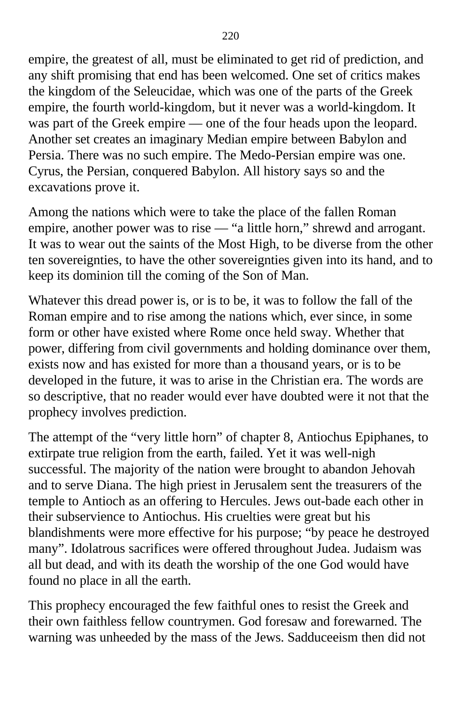empire, the greatest of all, must be eliminated to get rid of prediction, and any shift promising that end has been welcomed. One set of critics makes the kingdom of the Seleucidae, which was one of the parts of the Greek empire, the fourth world-kingdom, but it never was a world-kingdom. It was part of the Greek empire — one of the four heads upon the leopard. Another set creates an imaginary Median empire between Babylon and Persia. There was no such empire. The Medo-Persian empire was one. Cyrus, the Persian, conquered Babylon. All history says so and the excavations prove it.

Among the nations which were to take the place of the fallen Roman empire, another power was to rise — "a little horn," shrewd and arrogant. It was to wear out the saints of the Most High, to be diverse from the other ten sovereignties, to have the other sovereignties given into its hand, and to keep its dominion till the coming of the Son of Man.

Whatever this dread power is, or is to be, it was to follow the fall of the Roman empire and to rise among the nations which, ever since, in some form or other have existed where Rome once held sway. Whether that power, differing from civil governments and holding dominance over them, exists now and has existed for more than a thousand years, or is to be developed in the future, it was to arise in the Christian era. The words are so descriptive, that no reader would ever have doubted were it not that the prophecy involves prediction.

The attempt of the "very little horn" of chapter 8, Antiochus Epiphanes, to extirpate true religion from the earth, failed. Yet it was well-nigh successful. The majority of the nation were brought to abandon Jehovah and to serve Diana. The high priest in Jerusalem sent the treasurers of the temple to Antioch as an offering to Hercules. Jews out-bade each other in their subservience to Antiochus. His cruelties were great but his blandishments were more effective for his purpose; "by peace he destroyed many". Idolatrous sacrifices were offered throughout Judea. Judaism was all but dead, and with its death the worship of the one God would have found no place in all the earth.

This prophecy encouraged the few faithful ones to resist the Greek and their own faithless fellow countrymen. God foresaw and forewarned. The warning was unheeded by the mass of the Jews. Sadduceeism then did not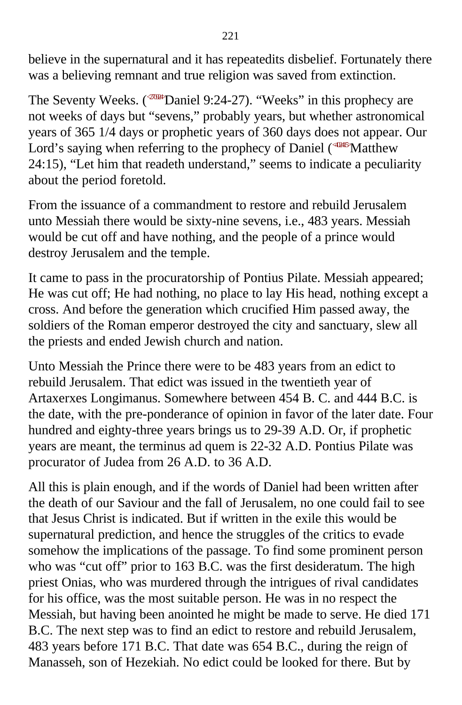believe in the supernatural and it has repeatedits disbelief. Fortunately there was a believing remnant and true religion was saved from extinction.

The Seventy Weeks. ( $\sqrt{2024}$ Daniel 9:24-27). "Weeks" in this prophecy are not weeks of days but "sevens," probably years, but whether astronomical years of 365 1/4 days or prophetic years of 360 days does not appear. Our Lord's saying when referring to the prophecy of Daniel (<a>4045</a>Matthew 24:15), "Let him that readeth understand," seems to indicate a peculiarity about the period foretold.

From the issuance of a commandment to restore and rebuild Jerusalem unto Messiah there would be sixty-nine sevens, i.e., 483 years. Messiah would be cut off and have nothing, and the people of a prince would destroy Jerusalem and the temple.

It came to pass in the procuratorship of Pontius Pilate. Messiah appeared; He was cut off; He had nothing, no place to lay His head, nothing except a cross. And before the generation which crucified Him passed away, the soldiers of the Roman emperor destroyed the city and sanctuary, slew all the priests and ended Jewish church and nation.

Unto Messiah the Prince there were to be 483 years from an edict to rebuild Jerusalem. That edict was issued in the twentieth year of Artaxerxes Longimanus. Somewhere between 454 B. C. and 444 B.C. is the date, with the pre-ponderance of opinion in favor of the later date. Four hundred and eighty-three years brings us to 29-39 A.D. Or, if prophetic years are meant, the terminus ad quem is 22-32 A.D. Pontius Pilate was procurator of Judea from 26 A.D. to 36 A.D.

All this is plain enough, and if the words of Daniel had been written after the death of our Saviour and the fall of Jerusalem, no one could fail to see that Jesus Christ is indicated. But if written in the exile this would be supernatural prediction, and hence the struggles of the critics to evade somehow the implications of the passage. To find some prominent person who was "cut off" prior to 163 B.C. was the first desideratum. The high priest Onias, who was murdered through the intrigues of rival candidates for his office, was the most suitable person. He was in no respect the Messiah, but having been anointed he might be made to serve. He died 171 B.C. The next step was to find an edict to restore and rebuild Jerusalem, 483 years before 171 B.C. That date was 654 B.C., during the reign of Manasseh, son of Hezekiah. No edict could be looked for there. But by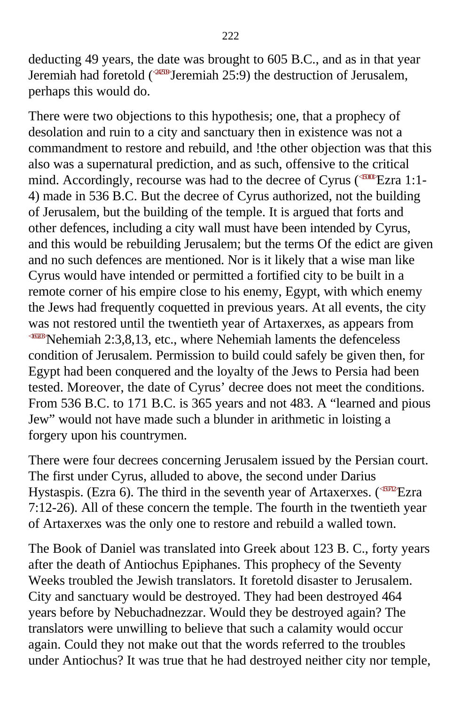deducting 49 years, the date was brought to 605 B.C., and as in that year Jeremiah had foretold (<sup>2009</sup>Jeremiah 25:9) the destruction of Jerusalem, perhaps this would do.

There were two objections to this hypothesis; one, that a prophecy of desolation and ruin to a city and sanctuary then in existence was not a commandment to restore and rebuild, and !the other objection was that this also was a supernatural prediction, and as such, offensive to the critical mind. Accordingly, recourse was had to the decree of Cyrus  $(1.1 - 1.1)$ 4) made in 536 B.C. But the decree of Cyrus authorized, not the building of Jerusalem, but the building of the temple. It is argued that forts and other defences, including a city wall must have been intended by Cyrus, and this would be rebuilding Jerusalem; but the terms Of the edict are given and no such defences are mentioned. Nor is it likely that a wise man like Cyrus would have intended or permitted a fortified city to be built in a remote corner of his empire close to his enemy, Egypt, with which enemy the Jews had frequently coquetted in previous years. At all events, the city was not restored until the twentieth year of Artaxerxes, as appears from  $\frac{1600}{1600}$  Nehemiah 2:3,8,13, etc., where Nehemiah laments the defenceless condition of Jerusalem. Permission to build could safely be given then, for Egypt had been conquered and the loyalty of the Jews to Persia had been tested. Moreover, the date of Cyrus' decree does not meet the conditions. From 536 B.C. to 171 B.C. is 365 years and not 483. A "learned and pious Jew" would not have made such a blunder in arithmetic in loisting a forgery upon his countrymen.

There were four decrees concerning Jerusalem issued by the Persian court. The first under Cyrus, alluded to above, the second under Darius Hystaspis. (Ezra 6). The third in the seventh year of Artaxerxes. ( $\text{MD}$ Ezra 7:12-26). All of these concern the temple. The fourth in the twentieth year of Artaxerxes was the only one to restore and rebuild a walled town.

The Book of Daniel was translated into Greek about 123 B. C., forty years after the death of Antiochus Epiphanes. This prophecy of the Seventy Weeks troubled the Jewish translators. It foretold disaster to Jerusalem. City and sanctuary would be destroyed. They had been destroyed 464 years before by Nebuchadnezzar. Would they be destroyed again? The translators were unwilling to believe that such a calamity would occur again. Could they not make out that the words referred to the troubles under Antiochus? It was true that he had destroyed neither city nor temple,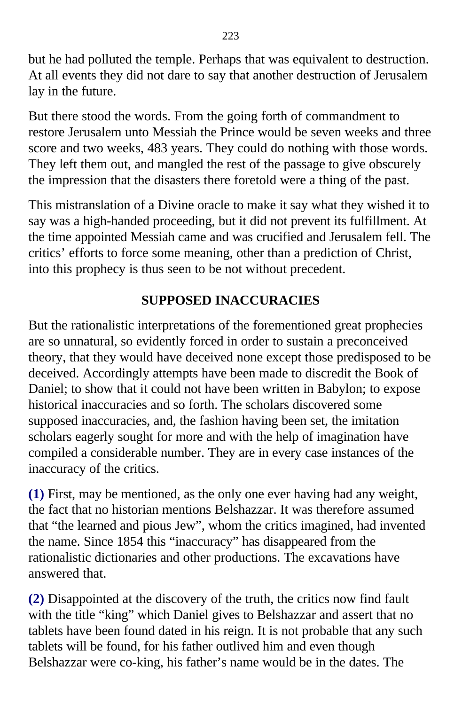but he had polluted the temple. Perhaps that was equivalent to destruction. At all events they did not dare to say that another destruction of Jerusalem lay in the future.

But there stood the words. From the going forth of commandment to restore Jerusalem unto Messiah the Prince would be seven weeks and three score and two weeks, 483 years. They could do nothing with those words. They left them out, and mangled the rest of the passage to give obscurely the impression that the disasters there foretold were a thing of the past.

This mistranslation of a Divine oracle to make it say what they wished it to say was a high-handed proceeding, but it did not prevent its fulfillment. At the time appointed Messiah came and was crucified and Jerusalem fell. The critics' efforts to force some meaning, other than a prediction of Christ, into this prophecy is thus seen to be not without precedent.

# **SUPPOSED INACCURACIES**

But the rationalistic interpretations of the forementioned great prophecies are so unnatural, so evidently forced in order to sustain a preconceived theory, that they would have deceived none except those predisposed to be deceived. Accordingly attempts have been made to discredit the Book of Daniel; to show that it could not have been written in Babylon; to expose historical inaccuracies and so forth. The scholars discovered some supposed inaccuracies, and, the fashion having been set, the imitation scholars eagerly sought for more and with the help of imagination have compiled a considerable number. They are in every case instances of the inaccuracy of the critics.

**(1)** First, may be mentioned, as the only one ever having had any weight, the fact that no historian mentions Belshazzar. It was therefore assumed that "the learned and pious Jew", whom the critics imagined, had invented the name. Since 1854 this "inaccuracy" has disappeared from the rationalistic dictionaries and other productions. The excavations have answered that.

**(2)** Disappointed at the discovery of the truth, the critics now find fault with the title "king" which Daniel gives to Belshazzar and assert that no tablets have been found dated in his reign. It is not probable that any such tablets will be found, for his father outlived him and even though Belshazzar were co-king, his father's name would be in the dates. The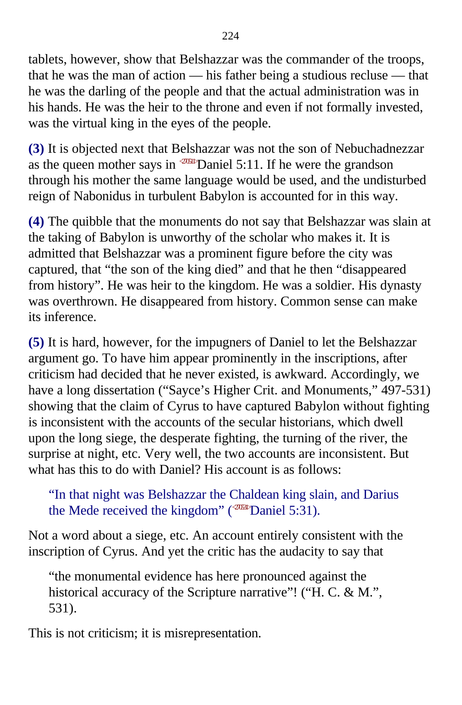tablets, however, show that Belshazzar was the commander of the troops, that he was the man of action — his father being a studious recluse — that he was the darling of the people and that the actual administration was in his hands. He was the heir to the throne and even if not formally invested, was the virtual king in the eyes of the people.

**(3)** It is objected next that Belshazzar was not the son of Nebuchadnezzar as the queen mother says in  $\sqrt{200}$  Daniel 5:11. If he were the grandson through his mother the same language would be used, and the undisturbed reign of Nabonidus in turbulent Babylon is accounted for in this way.

**(4)** The quibble that the monuments do not say that Belshazzar was slain at the taking of Babylon is unworthy of the scholar who makes it. It is admitted that Belshazzar was a prominent figure before the city was captured, that "the son of the king died" and that he then "disappeared from history". He was heir to the kingdom. He was a soldier. His dynasty was overthrown. He disappeared from history. Common sense can make its inference.

**(5)** It is hard, however, for the impugners of Daniel to let the Belshazzar argument go. To have him appear prominently in the inscriptions, after criticism had decided that he never existed, is awkward. Accordingly, we have a long dissertation ("Sayce's Higher Crit. and Monuments," 497-531) showing that the claim of Cyrus to have captured Babylon without fighting is inconsistent with the accounts of the secular historians, which dwell upon the long siege, the desperate fighting, the turning of the river, the surprise at night, etc. Very well, the two accounts are inconsistent. But what has this to do with Daniel? His account is as follows:

"In that night was Belshazzar the Chaldean king slain, and Darius the Mede received the kingdom" ( $\alpha$ <sub>531</sub>).

Not a word about a siege, etc. An account entirely consistent with the inscription of Cyrus. And yet the critic has the audacity to say that

"the monumental evidence has here pronounced against the historical accuracy of the Scripture narrative"! ("H. C. & M.", 531).

This is not criticism; it is misrepresentation.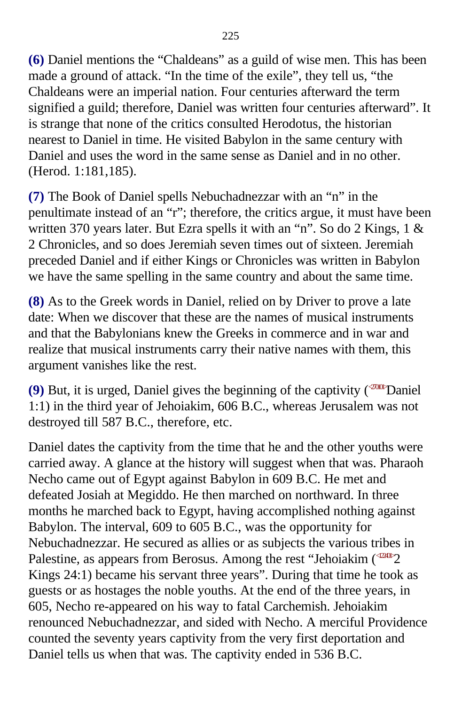**(6)** Daniel mentions the "Chaldeans" as a guild of wise men. This has been made a ground of attack. "In the time of the exile", they tell us, "the Chaldeans were an imperial nation. Four centuries afterward the term signified a guild; therefore, Daniel was written four centuries afterward". It is strange that none of the critics consulted Herodotus, the historian nearest to Daniel in time. He visited Babylon in the same century with Daniel and uses the word in the same sense as Daniel and in no other. (Herod. 1:181,185).

**(7)** The Book of Daniel spells Nebuchadnezzar with an "n" in the penultimate instead of an "r"; therefore, the critics argue, it must have been written 370 years later. But Ezra spells it with an "n". So do 2 Kings, 1 & 2 Chronicles, and so does Jeremiah seven times out of sixteen. Jeremiah preceded Daniel and if either Kings or Chronicles was written in Babylon we have the same spelling in the same country and about the same time.

**(8)** As to the Greek words in Daniel, relied on by Driver to prove a late date: When we discover that these are the names of musical instruments and that the Babylonians knew the Greeks in commerce and in war and realize that musical instruments carry their native names with them, this argument vanishes like the rest.

**(9)** But, it is urged, Daniel gives the beginning of the captivity  $\binom{2000}{1000}$ Daniel 1:1) in the third year of Jehoiakim, 606 B.C., whereas Jerusalem was not destroyed till 587 B.C., therefore, etc.

Daniel dates the captivity from the time that he and the other youths were carried away. A glance at the history will suggest when that was. Pharaoh Necho came out of Egypt against Babylon in 609 B.C. He met and defeated Josiah at Megiddo. He then marched on northward. In three months he marched back to Egypt, having accomplished nothing against Babylon. The interval, 609 to 605 B.C., was the opportunity for Nebuchadnezzar. He secured as allies or as subjects the various tribes in Palestine, as appears from Berosus. Among the rest "Jehoiakim  $\frac{120}{2}$ Kings 24:1) became his servant three years". During that time he took as guests or as hostages the noble youths. At the end of the three years, in 605, Necho re-appeared on his way to fatal Carchemish. Jehoiakim renounced Nebuchadnezzar, and sided with Necho. A merciful Providence counted the seventy years captivity from the very first deportation and Daniel tells us when that was. The captivity ended in 536 B.C.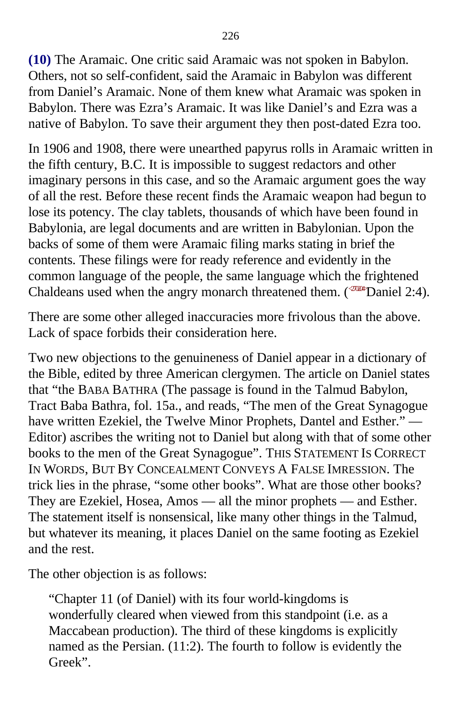**(10)** The Aramaic. One critic said Aramaic was not spoken in Babylon. Others, not so self-confident, said the Aramaic in Babylon was different from Daniel's Aramaic. None of them knew what Aramaic was spoken in Babylon. There was Ezra's Aramaic. It was like Daniel's and Ezra was a native of Babylon. To save their argument they then post-dated Ezra too.

In 1906 and 1908, there were unearthed papyrus rolls in Aramaic written in the fifth century, B.C. It is impossible to suggest redactors and other imaginary persons in this case, and so the Aramaic argument goes the way of all the rest. Before these recent finds the Aramaic weapon had begun to lose its potency. The clay tablets, thousands of which have been found in Babylonia, are legal documents and are written in Babylonian. Upon the backs of some of them were Aramaic filing marks stating in brief the contents. These filings were for ready reference and evidently in the common language of the people, the same language which the frightened Chaldeans used when the angry monarch threatened them. ( $\alpha$ <sup>TIM</sup><sup>t</sup>Daniel 2:4).

There are some other alleged inaccuracies more frivolous than the above. Lack of space forbids their consideration here.

Two new objections to the genuineness of Daniel appear in a dictionary of the Bible, edited by three American clergymen. The article on Daniel states that "the BABA BATHRA (The passage is found in the Talmud Babylon, Tract Baba Bathra, fol. 15a., and reads, "The men of the Great Synagogue have written Ezekiel, the Twelve Minor Prophets, Dantel and Esther." — Editor) ascribes the writing not to Daniel but along with that of some other books to the men of the Great Synagogue". THIS STATEMENT IS CORRECT IN WORDS, BUT BY CONCEALMENT CONVEYS A FALSE IMRESSION. The trick lies in the phrase, "some other books". What are those other books? They are Ezekiel, Hosea, Amos — all the minor prophets — and Esther. The statement itself is nonsensical, like many other things in the Talmud, but whatever its meaning, it places Daniel on the same footing as Ezekiel and the rest.

The other objection is as follows:

"Chapter 11 (of Daniel) with its four world-kingdoms is wonderfully cleared when viewed from this standpoint (i.e. as a Maccabean production). The third of these kingdoms is explicitly named as the Persian. (11:2). The fourth to follow is evidently the Greek".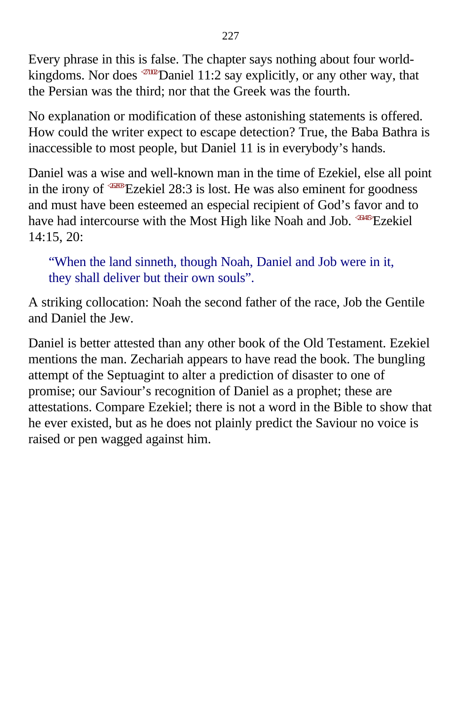Every phrase in this is false. The chapter says nothing about four worldkingdoms. Nor does  $\sqrt{2710}$  Daniel 11:2 say explicitly, or any other way, that the Persian was the third; nor that the Greek was the fourth.

No explanation or modification of these astonishing statements is offered. How could the writer expect to escape detection? True, the Baba Bathra is inaccessible to most people, but Daniel 11 is in everybody's hands.

Daniel was a wise and well-known man in the time of Ezekiel, else all point in the irony of  $\sqrt{2600}$ Ezekiel 28:3 is lost. He was also eminent for goodness and must have been esteemed an especial recipient of God's favor and to have had intercourse with the Most High like Noah and Job. <sup>26415</sup> Ezekiel 14:15, 20:

"When the land sinneth, though Noah, Daniel and Job were in it, they shall deliver but their own souls".

A striking collocation: Noah the second father of the race, Job the Gentile and Daniel the Jew.

Daniel is better attested than any other book of the Old Testament. Ezekiel mentions the man. Zechariah appears to have read the book. The bungling attempt of the Septuagint to alter a prediction of disaster to one of promise; our Saviour's recognition of Daniel as a prophet; these are attestations. Compare Ezekiel; there is not a word in the Bible to show that he ever existed, but as he does not plainly predict the Saviour no voice is raised or pen wagged against him.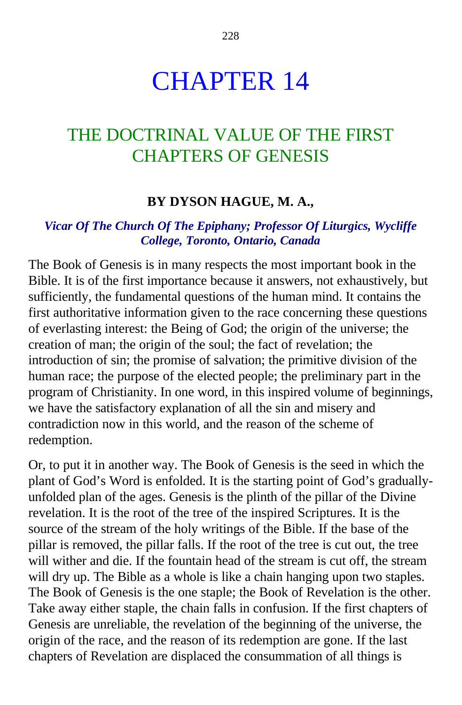# CHAPTER 14

# THE DOCTRINAL VALUE OF THE FIRST CHAPTERS OF GENESIS

### **BY DYSON HAGUE, M. A.,**

#### *Vicar Of The Church Of The Epiphany; Professor Of Liturgics, Wycliffe College, Toronto, Ontario, Canada*

The Book of Genesis is in many respects the most important book in the Bible. It is of the first importance because it answers, not exhaustively, but sufficiently, the fundamental questions of the human mind. It contains the first authoritative information given to the race concerning these questions of everlasting interest: the Being of God; the origin of the universe; the creation of man; the origin of the soul; the fact of revelation; the introduction of sin; the promise of salvation; the primitive division of the human race; the purpose of the elected people; the preliminary part in the program of Christianity. In one word, in this inspired volume of beginnings, we have the satisfactory explanation of all the sin and misery and contradiction now in this world, and the reason of the scheme of redemption.

Or, to put it in another way. The Book of Genesis is the seed in which the plant of God's Word is enfolded. It is the starting point of God's graduallyunfolded plan of the ages. Genesis is the plinth of the pillar of the Divine revelation. It is the root of the tree of the inspired Scriptures. It is the source of the stream of the holy writings of the Bible. If the base of the pillar is removed, the pillar falls. If the root of the tree is cut out, the tree will wither and die. If the fountain head of the stream is cut off, the stream will dry up. The Bible as a whole is like a chain hanging upon two staples. The Book of Genesis is the one staple; the Book of Revelation is the other. Take away either staple, the chain falls in confusion. If the first chapters of Genesis are unreliable, the revelation of the beginning of the universe, the origin of the race, and the reason of its redemption are gone. If the last chapters of Revelation are displaced the consummation of all things is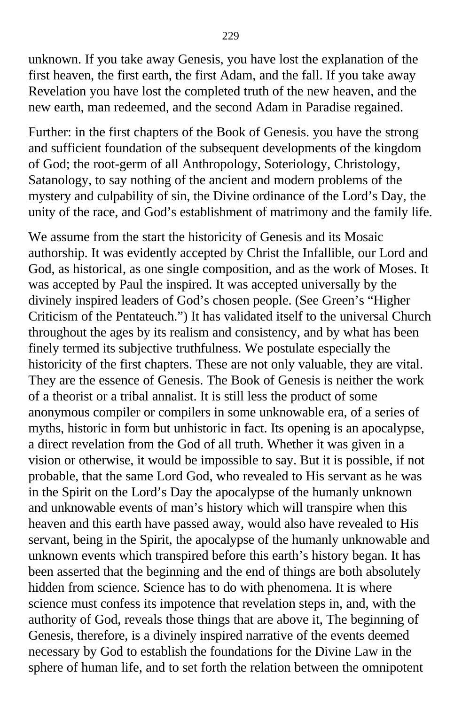unknown. If you take away Genesis, you have lost the explanation of the first heaven, the first earth, the first Adam, and the fall. If you take away Revelation you have lost the completed truth of the new heaven, and the new earth, man redeemed, and the second Adam in Paradise regained.

Further: in the first chapters of the Book of Genesis. you have the strong and sufficient foundation of the subsequent developments of the kingdom of God; the root-germ of all Anthropology, Soteriology, Christology, Satanology, to say nothing of the ancient and modern problems of the mystery and culpability of sin, the Divine ordinance of the Lord's Day, the unity of the race, and God's establishment of matrimony and the family life.

We assume from the start the historicity of Genesis and its Mosaic authorship. It was evidently accepted by Christ the Infallible, our Lord and God, as historical, as one single composition, and as the work of Moses. It was accepted by Paul the inspired. It was accepted universally by the divinely inspired leaders of God's chosen people. (See Green's "Higher Criticism of the Pentateuch.") It has validated itself to the universal Church throughout the ages by its realism and consistency, and by what has been finely termed its subjective truthfulness. We postulate especially the historicity of the first chapters. These are not only valuable, they are vital. They are the essence of Genesis. The Book of Genesis is neither the work of a theorist or a tribal annalist. It is still less the product of some anonymous compiler or compilers in some unknowable era, of a series of myths, historic in form but unhistoric in fact. Its opening is an apocalypse, a direct revelation from the God of all truth. Whether it was given in a vision or otherwise, it would be impossible to say. But it is possible, if not probable, that the same Lord God, who revealed to His servant as he was in the Spirit on the Lord's Day the apocalypse of the humanly unknown and unknowable events of man's history which will transpire when this heaven and this earth have passed away, would also have revealed to His servant, being in the Spirit, the apocalypse of the humanly unknowable and unknown events which transpired before this earth's history began. It has been asserted that the beginning and the end of things are both absolutely hidden from science. Science has to do with phenomena. It is where science must confess its impotence that revelation steps in, and, with the authority of God, reveals those things that are above it, The beginning of Genesis, therefore, is a divinely inspired narrative of the events deemed necessary by God to establish the foundations for the Divine Law in the sphere of human life, and to set forth the relation between the omnipotent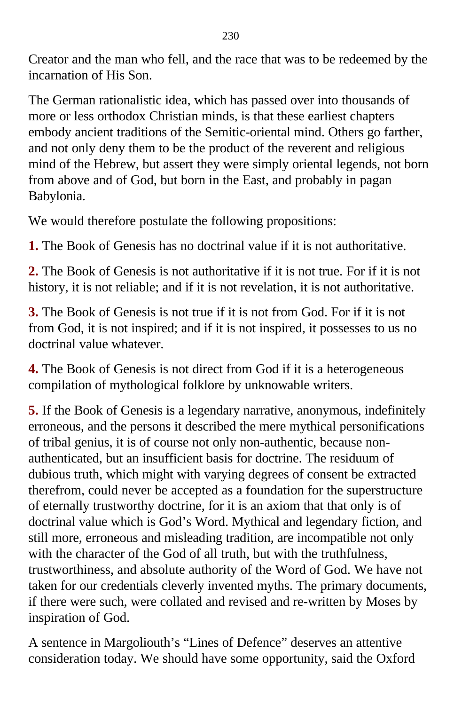<span id="page-229-0"></span>Creator and the man who fell, and the race that was to be redeemed by the incarnation of His Son.

The German rationalistic idea, which has passed over into thousands of more or less orthodox Christian minds, is that these earliest chapters embody ancient traditions of the Semitic-oriental mind. Others go farther, and not only deny them to be the product of the reverent and religious mind of the Hebrew, but assert they were simply oriental legends, not born from above and of God, but born in the East, and probably in pagan Babylonia.

We would therefore postulate the following propositions:

**1.** The Book of Genesis has no doctrinal value if it is not authoritative.

**2.** The Book of Genesis is not authoritative if it is not true. For if it is not history, it is not reliable; and if it is not revelation, it is not authoritative.

**3.** The Book of Genesis is not true if it is not from God. For if it is not from God, it is not inspired; and if it is not inspired, it possesses to us no doctrinal value whatever.

**4.** The Book of Genesis is not direct from God if it is a heterogeneous compilation of mythological folklore by unknowable writers.

**5.** If the Book of Genesis is a legendary narrative, anonymous, indefinitely erroneous, and the persons it described the mere mythical personifications of tribal genius, it is of course not only non-authentic, because nonauthenticated, but an insufficient basis for doctrine. The residuum of dubious truth, which might with varying degrees of consent be extracted therefrom, could never be accepted as a foundation for the superstructure of eternally trustworthy doctrine, for it is an axiom that that only is of doctrinal value which is God's Word. Mythical and legendary fiction, and still more, erroneous and misleading tradition, are incompatible not only with the character of the God of all truth, but with the truthfulness, trustworthiness, and absolute authority of the Word of God. We have not taken for our credentials cleverly invented myths. The primary documents, if there were such, were collated and revised and re-written by Moses by inspiration of God.

A sentence in Margoliouth's "Lines of Defence" deserves an attentive consideration today. We should have some opportunity, said the Oxford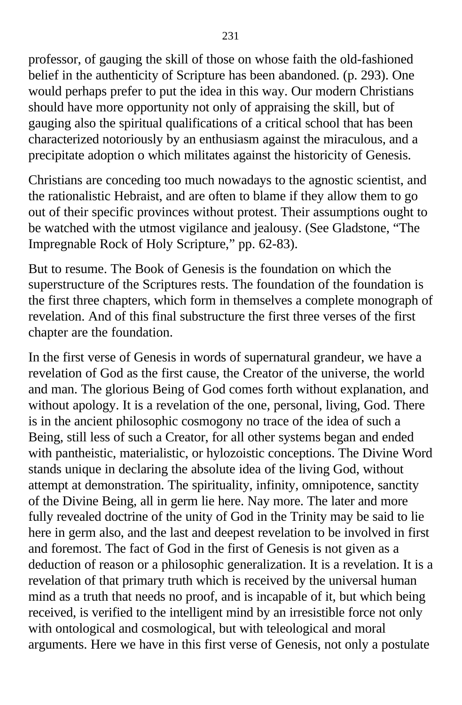professor, of gauging the skill of those on whose faith the old-fashioned belief in the authenticity of Scripture has been abandoned. (p. 293). One would perhaps prefer to put the idea in this way. Our modern Christians should have more opportunity not only of appraising the skill, but of gauging also the spiritual qualifications of a critical school that has been characterized notoriously by an enthusiasm against the miraculous, and a precipitate adoption o which militates against the historicity of Genesis.

Christians are conceding too much nowadays to the agnostic scientist, and the rationalistic Hebraist, and are often to blame if they allow them to go out of their specific provinces without protest. Their assumptions ought to be watched with the utmost vigilance and jealousy. (See Gladstone, "The Impregnable Rock of Holy Scripture," pp. 62-83).

But to resume. The Book of Genesis is the foundation on which the superstructure of the Scriptures rests. The foundation of the foundation is the first three chapters, which form in themselves a complete monograph of revelation. And of this final substructure the first three verses of the first chapter are the foundation.

In the first verse of Genesis in words of supernatural grandeur, we have a revelation of God as the first cause, the Creator of the universe, the world and man. The glorious Being of God comes forth without explanation, and without apology. It is a revelation of the one, personal, living, God. There is in the ancient philosophic cosmogony no trace of the idea of such a Being, still less of such a Creator, for all other systems began and ended with pantheistic, materialistic, or hylozoistic conceptions. The Divine Word stands unique in declaring the absolute idea of the living God, without attempt at demonstration. The spirituality, infinity, omnipotence, sanctity of the Divine Being, all in germ lie here. Nay more. The later and more fully revealed doctrine of the unity of God in the Trinity may be said to lie here in germ also, and the last and deepest revelation to be involved in first and foremost. The fact of God in the first of Genesis is not given as a deduction of reason or a philosophic generalization. It is a revelation. It is a revelation of that primary truth which is received by the universal human mind as a truth that needs no proof, and is incapable of it, but which being received, is verified to the intelligent mind by an irresistible force not only with ontological and cosmological, but with teleological and moral arguments. Here we have in this first verse of Genesis, not only a postulate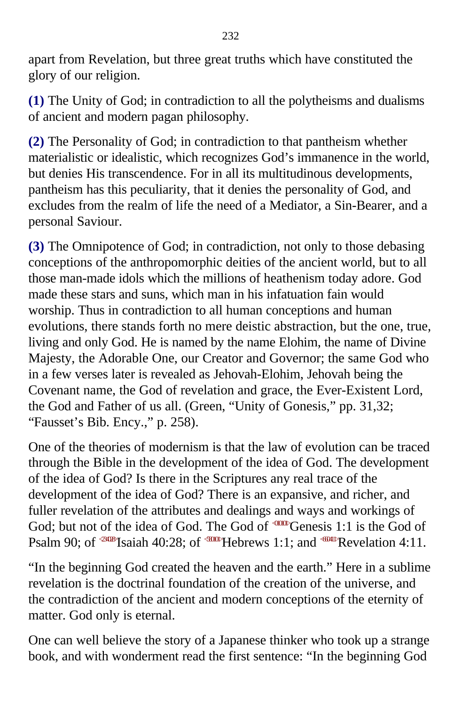apart from Revelation, but three great truths which have constituted the glory of our religion.

**(1)** The Unity of God; in contradiction to all the polytheisms and dualisms of ancient and modern pagan philosophy.

**(2)** The Personality of God; in contradiction to that pantheism whether materialistic or idealistic, which recognizes God's immanence in the world, but denies His transcendence. For in all its multitudinous developments, pantheism has this peculiarity, that it denies the personality of God, and excludes from the realm of life the need of a Mediator, a Sin-Bearer, and a personal Saviour.

**(3)** The Omnipotence of God; in contradiction, not only to those debasing conceptions of the anthropomorphic deities of the ancient world, but to all those man-made idols which the millions of heathenism today adore. God made these stars and suns, which man in his infatuation fain would worship. Thus in contradiction to all human conceptions and human evolutions, there stands forth no mere deistic abstraction, but the one, true, living and only God. He is named by the name Elohim, the name of Divine Majesty, the Adorable One, our Creator and Governor; the same God who in a few verses later is revealed as Jehovah-Elohim, Jehovah being the Covenant name, the God of revelation and grace, the Ever-Existent Lord, the God and Father of us all. (Green, "Unity of Gonesis," pp. 31,32; "Fausset's Bib. Ency.," p. 258).

One of the theories of modernism is that the law of evolution can be traced through the Bible in the development of the idea of God. The development of the idea of God? Is there in the Scriptures any real trace of the development of the idea of God? There is an expansive, and richer, and fuller revelation of the attributes and dealings and ways and workings of God; but not of the idea of God. The God of  $\frac{1000}{2}$ Genesis 1:1 is the God of Psalm 90; of  $\frac{4000}{128}$  and  $\frac{40128}{128}$ ; of  $\frac{4000}{128}$  Hebrews 1:1; and  $\frac{4000}{128}$  Revelation 4:11.

"In the beginning God created the heaven and the earth." Here in a sublime revelation is the doctrinal foundation of the creation of the universe, and the contradiction of the ancient and modern conceptions of the eternity of matter. God only is eternal.

One can well believe the story of a Japanese thinker who took up a strange book, and with wonderment read the first sentence: "In the beginning God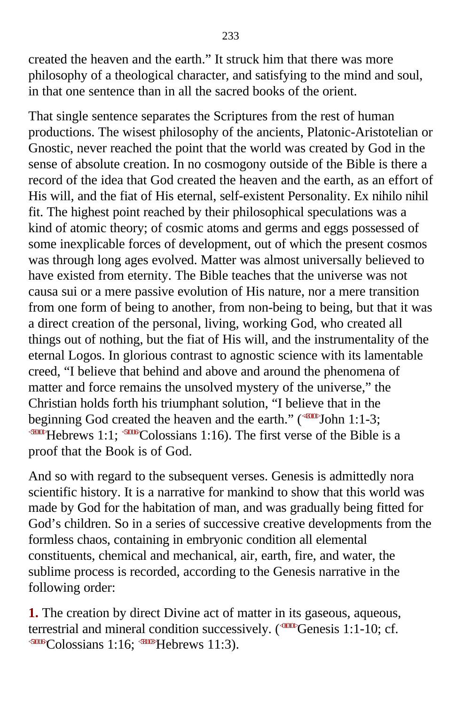created the heaven and the earth." It struck him that there was more philosophy of a theological character, and satisfying to the mind and soul, in that one sentence than in all the sacred books of the orient.

That single sentence separates the Scriptures from the rest of human productions. The wisest philosophy of the ancients, Platonic-Aristotelian or Gnostic, never reached the point that the world was created by God in the sense of absolute creation. In no cosmogony outside of the Bible is there a record of the idea that God created the heaven and the earth, as an effort of His will, and the fiat of His eternal, self-existent Personality. Ex nihilo nihil fit. The highest point reached by their philosophical speculations was a kind of atomic theory; of cosmic atoms and germs and eggs possessed of some inexplicable forces of development, out of which the present cosmos was through long ages evolved. Matter was almost universally believed to have existed from eternity. The Bible teaches that the universe was not causa sui or a mere passive evolution of His nature, nor a mere transition from one form of being to another, from non-being to being, but that it was a direct creation of the personal, living, working God, who created all things out of nothing, but the fiat of His will, and the instrumentality of the eternal Logos. In glorious contrast to agnostic science with its lamentable creed, "I believe that behind and above and around the phenomena of matter and force remains the unsolved mystery of the universe," the Christian holds forth his triumphant solution, "I believe that in the beginning God created the heaven and the earth."  $(\sqrt{4000})$ ohn 1:1-3;  $\frac{1}{1}$ ;  $\frac{5016}{1}$ Colossians 1:16). The first verse of the Bible is a proof that the Book is of God.

And so with regard to the subsequent verses. Genesis is admittedly nora scientific history. It is a narrative for mankind to show that this world was made by God for the habitation of man, and was gradually being fitted for God's children. So in a series of successive creative developments from the formless chaos, containing in embryonic condition all elemental constituents, chemical and mechanical, air, earth, fire, and water, the sublime process is recorded, according to the Genesis narrative in the following order:

**1.** The creation by direct Divine act of matter in its gaseous, aqueous, terrestrial and mineral condition successively.  $(1000)$ Genesis 1:1-10; cf.  $5016$ Colossians 1:16;  $5016$ Hebrews 11:3).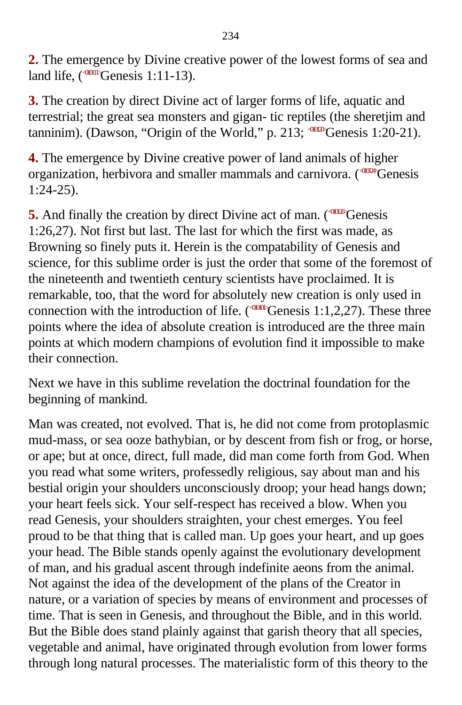**2.** The emergence by Divine creative power of the lowest forms of sea and land life,  $($ <sup>ollan</sup>denesis 1:11-13).

**3.** The creation by direct Divine act of larger forms of life, aquatic and terrestrial; the great sea monsters and gigan- tic reptiles (the sheretjim and tanninim). (Dawson, "Origin of the World," p. 213;  $\frac{130000}{20}$ Genesis 1:20-21).

**4.** The emergence by Divine creative power of land animals of higher organization, herbivora and smaller mammals and carnivora.  $(40024)$ Genesis 1:24-25).

**5.** And finally the creation by direct Divine act of man. (<sup>40026</sup>Genesis 1:26,27). Not first but last. The last for which the first was made, as Browning so finely puts it. Herein is the compatability of Genesis and science, for this sublime order is just the order that some of the foremost of the nineteenth and twentieth century scientists have proclaimed. It is remarkable, too, that the word for absolutely new creation is only used in connection with the introduction of life.  $(4000 \text{ Geness } 1:1,2,27)$ . These three points where the idea of absolute creation is introduced are the three main points at which modern champions of evolution find it impossible to make their connection.

Next we have in this sublime revelation the doctrinal foundation for the beginning of mankind.

Man was created, not evolved. That is, he did not come from protoplasmic mud-mass, or sea ooze bathybian, or by descent from fish or frog, or horse, or ape; but at once, direct, full made, did man come forth from God. When you read what some writers, professedly religious, say about man and his bestial origin your shoulders unconsciously droop; your head hangs down; your heart feels sick. Your self-respect has received a blow. When you read Genesis, your shoulders straighten, your chest emerges. You feel proud to be that thing that is called man. Up goes your heart, and up goes your head. The Bible stands openly against the evolutionary development of man, and his gradual ascent through indefinite aeons from the animal. Not against the idea of the development of the plans of the Creator in nature, or a variation of species by means of environment and processes of time. That is seen in Genesis, and throughout the Bible, and in this world. But the Bible does stand plainly against that garish theory that all species, vegetable and animal, have originated through evolution from lower forms through long natural processes. The materialistic form of this theory to the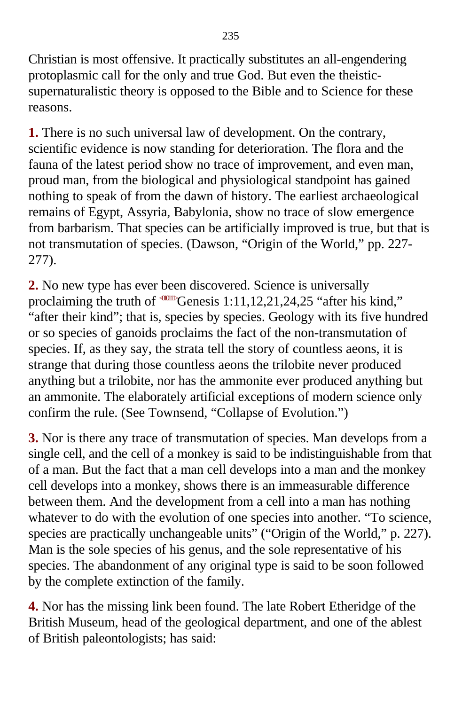Christian is most offensive. It practically substitutes an all-engendering protoplasmic call for the only and true God. But even the theisticsupernaturalistic theory is opposed to the Bible and to Science for these reasons.

**1.** There is no such universal law of development. On the contrary, scientific evidence is now standing for deterioration. The flora and the fauna of the latest period show no trace of improvement, and even man, proud man, from the biological and physiological standpoint has gained nothing to speak of from the dawn of history. The earliest archaeological remains of Egypt, Assyria, Babylonia, show no trace of slow emergence from barbarism. That species can be artificially improved is true, but that is not transmutation of species. (Dawson, "Origin of the World," pp. 227- 277).

**2.** No new type has ever been discovered. Science is universally proclaiming the truth of  $\frac{1}{111}$ Genesis 1:11,12,21,24,25 "after his kind," "after their kind"; that is, species by species. Geology with its five hundred or so species of ganoids proclaims the fact of the non-transmutation of species. If, as they say, the strata tell the story of countless aeons, it is strange that during those countless aeons the trilobite never produced anything but a trilobite, nor has the ammonite ever produced anything but an ammonite. The elaborately artificial exceptions of modern science only confirm the rule. (See Townsend, "Collapse of Evolution.")

**3.** Nor is there any trace of transmutation of species. Man develops from a single cell, and the cell of a monkey is said to be indistinguishable from that of a man. But the fact that a man cell develops into a man and the monkey cell develops into a monkey, shows there is an immeasurable difference between them. And the development from a cell into a man has nothing whatever to do with the evolution of one species into another. "To science, species are practically unchangeable units" ("Origin of the World," p. 227). Man is the sole species of his genus, and the sole representative of his species. The abandonment of any original type is said to be soon followed by the complete extinction of the family.

**4.** Nor has the missing link been found. The late Robert Etheridge of the British Museum, head of the geological department, and one of the ablest of British paleontologists; has said: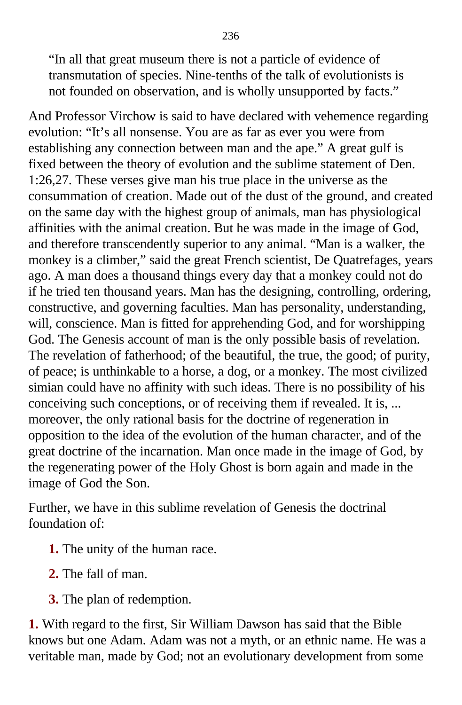"In all that great museum there is not a particle of evidence of transmutation of species. Nine-tenths of the talk of evolutionists is not founded on observation, and is wholly unsupported by facts."

And Professor Virchow is said to have declared with vehemence regarding evolution: "It's all nonsense. You are as far as ever you were from establishing any connection between man and the ape." A great gulf is fixed between the theory of evolution and the sublime statement of Den. 1:26,27. These verses give man his true place in the universe as the consummation of creation. Made out of the dust of the ground, and created on the same day with the highest group of animals, man has physiological affinities with the animal creation. But he was made in the image of God, and therefore transcendently superior to any animal. "Man is a walker, the monkey is a climber," said the great French scientist, De Quatrefages, years ago. A man does a thousand things every day that a monkey could not do if he tried ten thousand years. Man has the designing, controlling, ordering, constructive, and governing faculties. Man has personality, understanding, will, conscience. Man is fitted for apprehending God, and for worshipping God. The Genesis account of man is the only possible basis of revelation. The revelation of fatherhood; of the beautiful, the true, the good; of purity, of peace; is unthinkable to a horse, a dog, or a monkey. The most civilized simian could have no affinity with such ideas. There is no possibility of his conceiving such conceptions, or of receiving them if revealed. It is, ... moreover, the only rational basis for the doctrine of regeneration in opposition to the idea of the evolution of the human character, and of the great doctrine of the incarnation. Man once made in the image of God, by the regenerating power of the Holy Ghost is born again and made in the image of God the Son.

Further, we have in this sublime revelation of Genesis the doctrinal foundation of:

- **1.** The unity of the human race.
- **2.** The fall of man.
- **3.** The plan of redemption.

**1.** With regard to the first, Sir William Dawson has said that the Bible knows but one Adam. Adam was not a myth, or an ethnic name. He was a veritable man, made by God; not an evolutionary development from some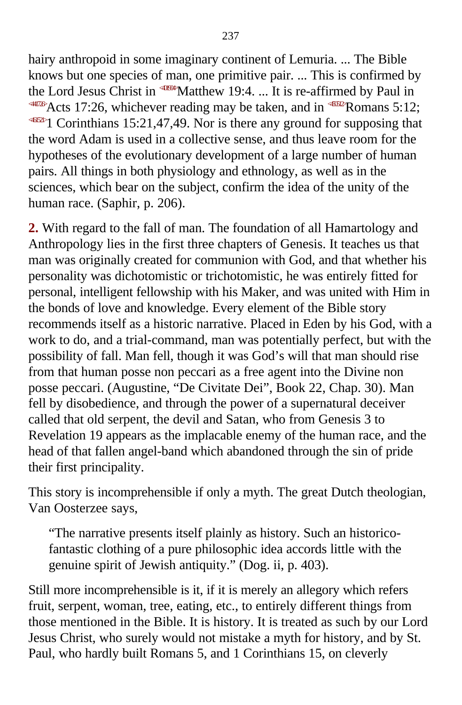hairy anthropoid in some imaginary continent of Lemuria. ... The Bible knows but one species of man, one primitive pair. ... This is confirmed by the Lord Jesus Christ in <sup>4004</sup>Matthew 19:4. ... It is re-affirmed by Paul in  $44726$ , whichever reading may be taken, and in  $4552$  Romans 5:12;  $482$ <sup>1</sup> Corinthians 15:21,47,49. Nor is there any ground for supposing that the word Adam is used in a collective sense, and thus leave room for the hypotheses of the evolutionary development of a large number of human pairs. All things in both physiology and ethnology, as well as in the sciences, which bear on the subject, confirm the idea of the unity of the human race. (Saphir, p. 206).

**2.** With regard to the fall of man. The foundation of all Hamartology and Anthropology lies in the first three chapters of Genesis. It teaches us that man was originally created for communion with God, and that whether his personality was dichotomistic or trichotomistic, he was entirely fitted for personal, intelligent fellowship with his Maker, and was united with Him in the bonds of love and knowledge. Every element of the Bible story recommends itself as a historic narrative. Placed in Eden by his God, with a work to do, and a trial-command, man was potentially perfect, but with the possibility of fall. Man fell, though it was God's will that man should rise from that human posse non peccari as a free agent into the Divine non posse peccari. (Augustine, "De Civitate Dei", Book 22, Chap. 30). Man fell by disobedience, and through the power of a supernatural deceiver called that old serpent, the devil and Satan, who from Genesis 3 to Revelation 19 appears as the implacable enemy of the human race, and the head of that fallen angel-band which abandoned through the sin of pride their first principality.

This story is incomprehensible if only a myth. The great Dutch theologian, Van Oosterzee says,

"The narrative presents itself plainly as history. Such an historicofantastic clothing of a pure philosophic idea accords little with the genuine spirit of Jewish antiquity." (Dog. ii, p. 403).

Still more incomprehensible is it, if it is merely an allegory which refers fruit, serpent, woman, tree, eating, etc., to entirely different things from those mentioned in the Bible. It is history. It is treated as such by our Lord Jesus Christ, who surely would not mistake a myth for history, and by St. Paul, who hardly built Romans 5, and 1 Corinthians 15, on cleverly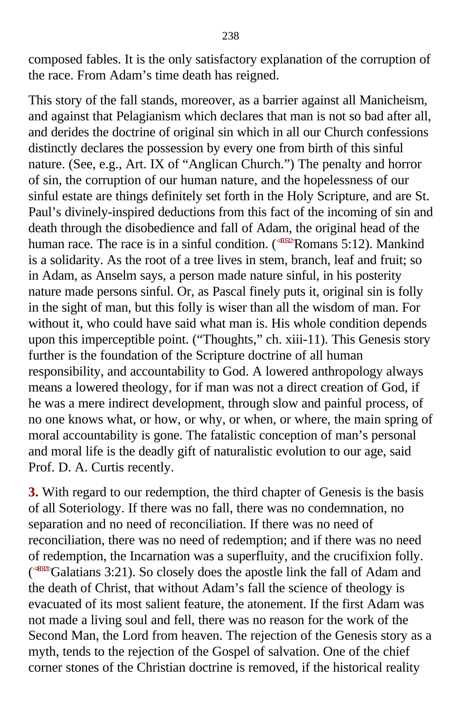composed fables. It is the only satisfactory explanation of the corruption of the race. From Adam's time death has reigned.

This story of the fall stands, moreover, as a barrier against all Manicheism, and against that Pelagianism which declares that man is not so bad after all, and derides the doctrine of original sin which in all our Church confessions distinctly declares the possession by every one from birth of this sinful nature. (See, e.g., Art. IX of "Anglican Church.") The penalty and horror of sin, the corruption of our human nature, and the hopelessness of our sinful estate are things definitely set forth in the Holy Scripture, and are St. Paul's divinely-inspired deductions from this fact of the incoming of sin and death through the disobedience and fall of Adam, the original head of the human race. The race is in a sinful condition. ( $EDE$ Romans 5:12). Mankind is a solidarity. As the root of a tree lives in stem, branch, leaf and fruit; so in Adam, as Anselm says, a person made nature sinful, in his posterity nature made persons sinful. Or, as Pascal finely puts it, original sin is folly in the sight of man, but this folly is wiser than all the wisdom of man. For without it, who could have said what man is. His whole condition depends upon this imperceptible point. ("Thoughts," ch. xiii-11). This Genesis story further is the foundation of the Scripture doctrine of all human responsibility, and accountability to God. A lowered anthropology always means a lowered theology, for if man was not a direct creation of God, if he was a mere indirect development, through slow and painful process, of no one knows what, or how, or why, or when, or where, the main spring of moral accountability is gone. The fatalistic conception of man's personal and moral life is the deadly gift of naturalistic evolution to our age, said Prof. D. A. Curtis recently.

**3.** With regard to our redemption, the third chapter of Genesis is the basis of all Soteriology. If there was no fall, there was no condemnation, no separation and no need of reconciliation. If there was no need of reconciliation, there was no need of redemption; and if there was no need of redemption, the Incarnation was a superfluity, and the crucifixion folly.  $(\sqrt[4802]{\text{Galatians}} 3:21)$ . So closely does the apostle link the fall of Adam and the death of Christ, that without Adam's fall the science of theology is evacuated of its most salient feature, the atonement. If the first Adam was not made a living soul and fell, there was no reason for the work of the Second Man, the Lord from heaven. The rejection of the Genesis story as a myth, tends to the rejection of the Gospel of salvation. One of the chief corner stones of the Christian doctrine is removed, if the historical reality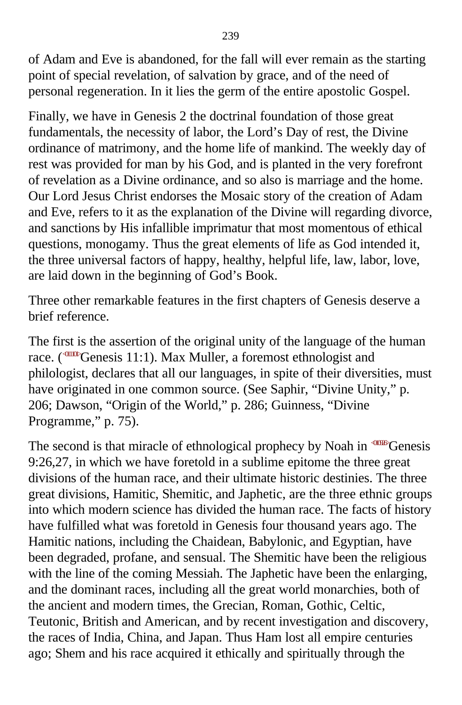of Adam and Eve is abandoned, for the fall will ever remain as the starting point of special revelation, of salvation by grace, and of the need of personal regeneration. In it lies the germ of the entire apostolic Gospel.

Finally, we have in Genesis 2 the doctrinal foundation of those great fundamentals, the necessity of labor, the Lord's Day of rest, the Divine ordinance of matrimony, and the home life of mankind. The weekly day of rest was provided for man by his God, and is planted in the very forefront of revelation as a Divine ordinance, and so also is marriage and the home. Our Lord Jesus Christ endorses the Mosaic story of the creation of Adam and Eve, refers to it as the explanation of the Divine will regarding divorce, and sanctions by His infallible imprimatur that most momentous of ethical questions, monogamy. Thus the great elements of life as God intended it, the three universal factors of happy, healthy, helpful life, law, labor, love, are laid down in the beginning of God's Book.

Three other remarkable features in the first chapters of Genesis deserve a brief reference.

The first is the assertion of the original unity of the language of the human race. (<sup>«nm</sup>Genesis 11:1). Max Muller, a foremost ethnologist and philologist, declares that all our languages, in spite of their diversities, must have originated in one common source. (See Saphir, "Divine Unity," p. 206; Dawson, "Origin of the World," p. 286; Guinness, "Divine Programme," p. 75).

The second is that miracle of ethnological prophecy by Noah in  $\frac{1}{2}$ Genesis 9:26,27, in which we have foretold in a sublime epitome the three great divisions of the human race, and their ultimate historic destinies. The three great divisions, Hamitic, Shemitic, and Japhetic, are the three ethnic groups into which modern science has divided the human race. The facts of history have fulfilled what was foretold in Genesis four thousand years ago. The Hamitic nations, including the Chaidean, Babylonic, and Egyptian, have been degraded, profane, and sensual. The Shemitic have been the religious with the line of the coming Messiah. The Japhetic have been the enlarging, and the dominant races, including all the great world monarchies, both of the ancient and modern times, the Grecian, Roman, Gothic, Celtic, Teutonic, British and American, and by recent investigation and discovery, the races of India, China, and Japan. Thus Ham lost all empire centuries ago; Shem and his race acquired it ethically and spiritually through the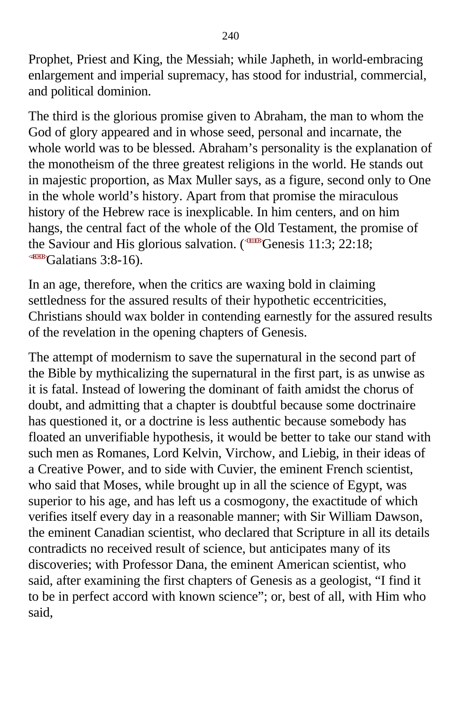Prophet, Priest and King, the Messiah; while Japheth, in world-embracing enlargement and imperial supremacy, has stood for industrial, commercial, and political dominion.

The third is the glorious promise given to Abraham, the man to whom the God of glory appeared and in whose seed, personal and incarnate, the whole world was to be blessed. Abraham's personality is the explanation of the monotheism of the three greatest religions in the world. He stands out in majestic proportion, as Max Muller says, as a figure, second only to One in the whole world's history. Apart from that promise the miraculous history of the Hebrew race is inexplicable. In him centers, and on him hangs, the central fact of the whole of the Old Testament, the promise of the Saviour and His glorious salvation. ( $\frac{\text{diff}}{\text{G}}$ Genesis 11:3; 22:18;  $4888$ Galatians 3:8-16).

In an age, therefore, when the critics are waxing bold in claiming settledness for the assured results of their hypothetic eccentricities, Christians should wax bolder in contending earnestly for the assured results of the revelation in the opening chapters of Genesis.

The attempt of modernism to save the supernatural in the second part of the Bible by mythicalizing the supernatural in the first part, is as unwise as it is fatal. Instead of lowering the dominant of faith amidst the chorus of doubt, and admitting that a chapter is doubtful because some doctrinaire has questioned it, or a doctrine is less authentic because somebody has floated an unverifiable hypothesis, it would be better to take our stand with such men as Romanes, Lord Kelvin, Virchow, and Liebig, in their ideas of a Creative Power, and to side with Cuvier, the eminent French scientist, who said that Moses, while brought up in all the science of Egypt, was superior to his age, and has left us a cosmogony, the exactitude of which verifies itself every day in a reasonable manner; with Sir William Dawson, the eminent Canadian scientist, who declared that Scripture in all its details contradicts no received result of science, but anticipates many of its discoveries; with Professor Dana, the eminent American scientist, who said, after examining the first chapters of Genesis as a geologist, "I find it to be in perfect accord with known science"; or, best of all, with Him who said,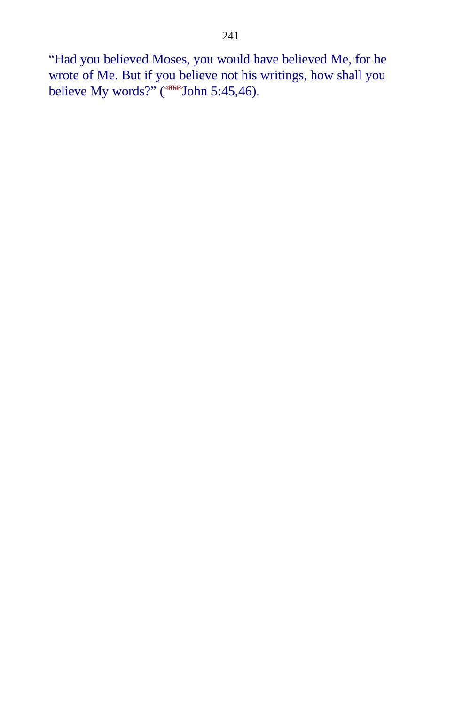"Had you believed Moses, you would have believed Me, for he wrote of Me. But if you believe not his writings, how shall you believe My words?" ( $405\text{fb}$ Tohn 5:45,46).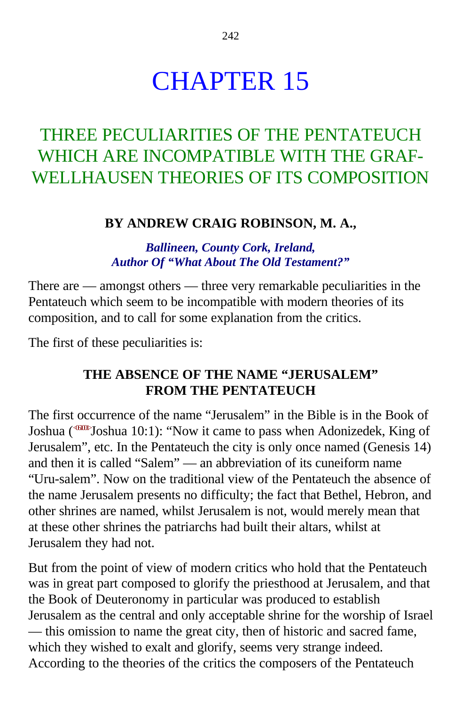# CHAPTER 15

# THREE PECULIARITIES OF THE PENTATEUCH WHICH ARE INCOMPATIBLE WITH THE GRAF-WELLHAUSEN THEORIES OF ITS COMPOSITION

### **BY ANDREW CRAIG ROBINSON, M. A.,**

#### *Ballineen, County Cork, Ireland, Author Of "What About The Old Testament?"*

There are — amongst others — three very remarkable peculiarities in the Pentateuch which seem to be incompatible with modern theories of its composition, and to call for some explanation from the critics.

The first of these peculiarities is:

## **THE ABSENCE OF THE NAME "JERUSALEM" FROM THE PENTATEUCH**

The first occurrence of the name "Jerusalem" in the Bible is in the Book of Joshua (<sup>4600</sup>Joshua 10:1): "Now it came to pass when Adonizedek, King of Jerusalem", etc. In the Pentateuch the city is only once named (Genesis 14) and then it is called "Salem" — an abbreviation of its cuneiform name "Uru-salem". Now on the traditional view of the Pentateuch the absence of the name Jerusalem presents no difficulty; the fact that Bethel, Hebron, and other shrines are named, whilst Jerusalem is not, would merely mean that at these other shrines the patriarchs had built their altars, whilst at Jerusalem they had not.

But from the point of view of modern critics who hold that the Pentateuch was in great part composed to glorify the priesthood at Jerusalem, and that the Book of Deuteronomy in particular was produced to establish Jerusalem as the central and only acceptable shrine for the worship of Israel — this omission to name the great city, then of historic and sacred fame, which they wished to exalt and glorify, seems very strange indeed. According to the theories of the critics the composers of the Pentateuch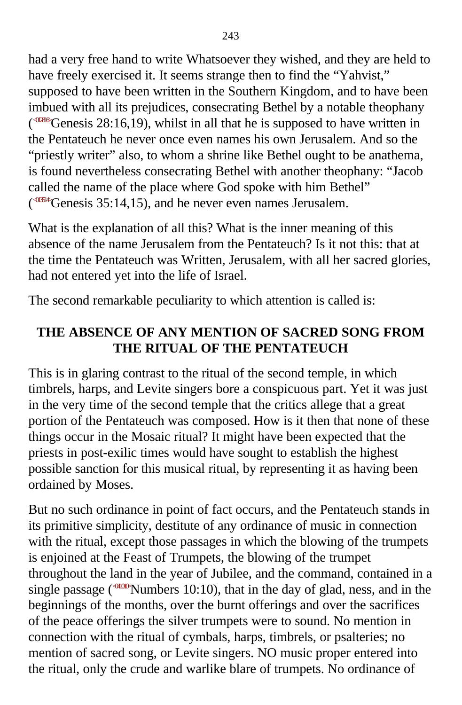had a very free hand to write Whatsoever they wished, and they are held to have freely exercised it. It seems strange then to find the "Yahvist," supposed to have been written in the Southern Kingdom, and to have been imbued with all its prejudices, consecrating Bethel by a notable theophany  $($ <sup>-0286</sup> Genesis 28:16,19), whilst in all that he is supposed to have written in the Pentateuch he never once even names his own Jerusalem. And so the "priestly writer" also, to whom a shrine like Bethel ought to be anathema, is found nevertheless consecrating Bethel with another theophany: "Jacob called the name of the place where God spoke with him Bethel"  $(\sqrt{454} \text{Genesis } 35:14,15)$ , and he never even names Jerusalem.

What is the explanation of all this? What is the inner meaning of this absence of the name Jerusalem from the Pentateuch? Is it not this: that at the time the Pentateuch was Written, Jerusalem, with all her sacred glories, had not entered yet into the life of Israel.

The second remarkable peculiarity to which attention is called is:

# **THE ABSENCE OF ANY MENTION OF SACRED SONG FROM THE RITUAL OF THE PENTATEUCH**

This is in glaring contrast to the ritual of the second temple, in which timbrels, harps, and Levite singers bore a conspicuous part. Yet it was just in the very time of the second temple that the critics allege that a great portion of the Pentateuch was composed. How is it then that none of these things occur in the Mosaic ritual? It might have been expected that the priests in post-exilic times would have sought to establish the highest possible sanction for this musical ritual, by representing it as having been ordained by Moses.

But no such ordinance in point of fact occurs, and the Pentateuch stands in its primitive simplicity, destitute of any ordinance of music in connection with the ritual, except those passages in which the blowing of the trumpets is enjoined at the Feast of Trumpets, the blowing of the trumpet throughout the land in the year of Jubilee, and the command, contained in a single passage ( $\frac{4400}{N}$ Numbers 10:10), that in the day of glad, ness, and in the beginnings of the months, over the burnt offerings and over the sacrifices of the peace offerings the silver trumpets were to sound. No mention in connection with the ritual of cymbals, harps, timbrels, or psalteries; no mention of sacred song, or Levite singers. NO music proper entered into the ritual, only the crude and warlike blare of trumpets. No ordinance of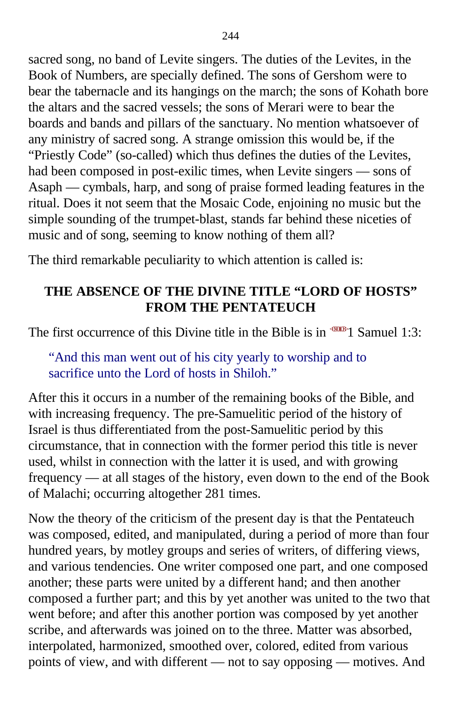sacred song, no band of Levite singers. The duties of the Levites, in the Book of Numbers, are specially defined. The sons of Gershom were to bear the tabernacle and its hangings on the march; the sons of Kohath bore the altars and the sacred vessels; the sons of Merari were to bear the boards and bands and pillars of the sanctuary. No mention whatsoever of any ministry of sacred song. A strange omission this would be, if the "Priestly Code" (so-called) which thus defines the duties of the Levites, had been composed in post-exilic times, when Levite singers — sons of Asaph — cymbals, harp, and song of praise formed leading features in the ritual. Does it not seem that the Mosaic Code, enjoining no music but the simple sounding of the trumpet-blast, stands far behind these niceties of music and of song, seeming to know nothing of them all?

The third remarkable peculiarity to which attention is called is:

# **THE ABSENCE OF THE DIVINE TITLE "LORD OF HOSTS" FROM THE PENTATEUCH**

The first occurrence of this Divine title in the Bible is in  $\frac{40000}{1000}$  Samuel 1:3:

# "And this man went out of his city yearly to worship and to sacrifice unto the Lord of hosts in Shiloh."

After this it occurs in a number of the remaining books of the Bible, and with increasing frequency. The pre-Samuelitic period of the history of Israel is thus differentiated from the post-Samuelitic period by this circumstance, that in connection with the former period this title is never used, whilst in connection with the latter it is used, and with growing frequency — at all stages of the history, even down to the end of the Book of Malachi; occurring altogether 281 times.

Now the theory of the criticism of the present day is that the Pentateuch was composed, edited, and manipulated, during a period of more than four hundred years, by motley groups and series of writers, of differing views, and various tendencies. One writer composed one part, and one composed another; these parts were united by a different hand; and then another composed a further part; and this by yet another was united to the two that went before; and after this another portion was composed by yet another scribe, and afterwards was joined on to the three. Matter was absorbed, interpolated, harmonized, smoothed over, colored, edited from various points of view, and with different — not to say opposing — motives. And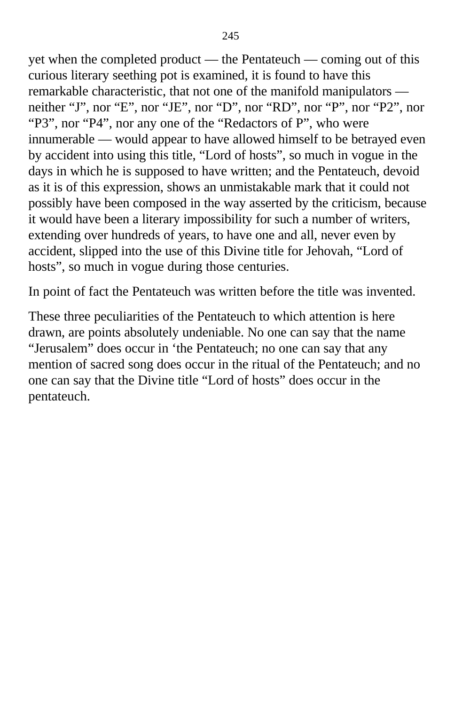yet when the completed product — the Pentateuch — coming out of this curious literary seething pot is examined, it is found to have this remarkable characteristic, that not one of the manifold manipulators neither "J", nor "E", nor "JE", nor "D", nor "RD", nor "P", nor "P2", nor "P3", nor "P4", nor any one of the "Redactors of P", who were innumerable — would appear to have allowed himself to be betrayed even by accident into using this title, "Lord of hosts", so much in vogue in the days in which he is supposed to have written; and the Pentateuch, devoid as it is of this expression, shows an unmistakable mark that it could not possibly have been composed in the way asserted by the criticism, because it would have been a literary impossibility for such a number of writers, extending over hundreds of years, to have one and all, never even by accident, slipped into the use of this Divine title for Jehovah, "Lord of hosts", so much in vogue during those centuries.

In point of fact the Pentateuch was written before the title was invented.

These three peculiarities of the Pentateuch to which attention is here drawn, are points absolutely undeniable. No one can say that the name "Jerusalem" does occur in 'the Pentateuch; no one can say that any mention of sacred song does occur in the ritual of the Pentateuch; and no one can say that the Divine title "Lord of hosts" does occur in the pentateuch.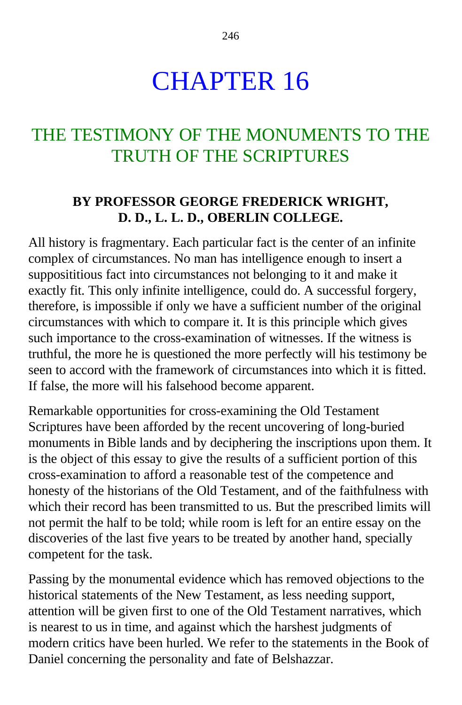# CHAPTER 16

# THE TESTIMONY OF THE MONUMENTS TO THE TRUTH OF THE SCRIPTURES

# **BY PROFESSOR GEORGE FREDERICK WRIGHT, D. D., L. L. D., OBERLIN COLLEGE.**

All history is fragmentary. Each particular fact is the center of an infinite complex of circumstances. No man has intelligence enough to insert a supposititious fact into circumstances not belonging to it and make it exactly fit. This only infinite intelligence, could do. A successful forgery, therefore, is impossible if only we have a sufficient number of the original circumstances with which to compare it. It is this principle which gives such importance to the cross-examination of witnesses. If the witness is truthful, the more he is questioned the more perfectly will his testimony be seen to accord with the framework of circumstances into which it is fitted. If false, the more will his falsehood become apparent.

Remarkable opportunities for cross-examining the Old Testament Scriptures have been afforded by the recent uncovering of long-buried monuments in Bible lands and by deciphering the inscriptions upon them. It is the object of this essay to give the results of a sufficient portion of this cross-examination to afford a reasonable test of the competence and honesty of the historians of the Old Testament, and of the faithfulness with which their record has been transmitted to us. But the prescribed limits will not permit the half to be told; while room is left for an entire essay on the discoveries of the last five years to be treated by another hand, specially competent for the task.

Passing by the monumental evidence which has removed objections to the historical statements of the New Testament, as less needing support, attention will be given first to one of the Old Testament narratives, which is nearest to us in time, and against which the harshest judgments of modern critics have been hurled. We refer to the statements in the Book of Daniel concerning the personality and fate of Belshazzar.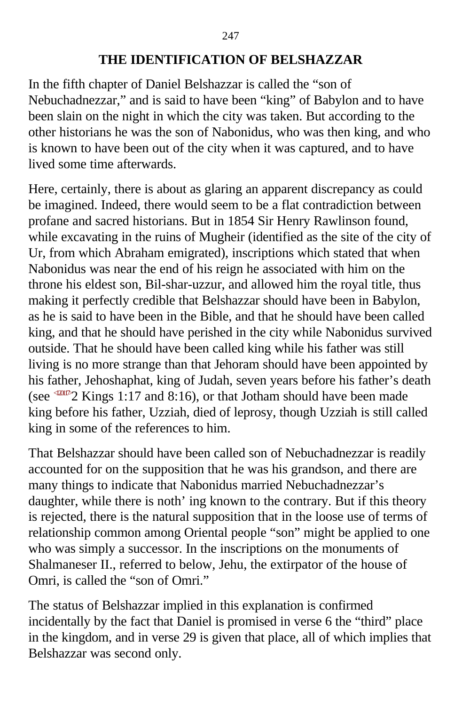# **THE IDENTIFICATION OF BELSHAZZAR**

In the fifth chapter of Daniel Belshazzar is called the "son of Nebuchadnezzar," and is said to have been "king" of Babylon and to have been slain on the night in which the city was taken. But according to the other historians he was the son of Nabonidus, who was then king, and who is known to have been out of the city when it was captured, and to have lived some time afterwards.

Here, certainly, there is about as glaring an apparent discrepancy as could be imagined. Indeed, there would seem to be a flat contradiction between profane and sacred historians. But in 1854 Sir Henry Rawlinson found, while excavating in the ruins of Mugheir (identified as the site of the city of Ur, from which Abraham emigrated), inscriptions which stated that when Nabonidus was near the end of his reign he associated with him on the throne his eldest son, Bil-shar-uzzur, and allowed him the royal title, thus making it perfectly credible that Belshazzar should have been in Babylon, as he is said to have been in the Bible, and that he should have been called king, and that he should have perished in the city while Nabonidus survived outside. That he should have been called king while his father was still living is no more strange than that Jehoram should have been appointed by his father, Jehoshaphat, king of Judah, seven years before his father's death (see  $\frac{400\pi}{2}$  Kings 1:17 and 8:16), or that Jotham should have been made king before his father, Uzziah, died of leprosy, though Uzziah is still called king in some of the references to him.

That Belshazzar should have been called son of Nebuchadnezzar is readily accounted for on the supposition that he was his grandson, and there are many things to indicate that Nabonidus married Nebuchadnezzar's daughter, while there is noth' ing known to the contrary. But if this theory is rejected, there is the natural supposition that in the loose use of terms of relationship common among Oriental people "son" might be applied to one who was simply a successor. In the inscriptions on the monuments of Shalmaneser II., referred to below, Jehu, the extirpator of the house of Omri, is called the "son of Omri."

The status of Belshazzar implied in this explanation is confirmed incidentally by the fact that Daniel is promised in verse 6 the "third" place in the kingdom, and in verse 29 is given that place, all of which implies that Belshazzar was second only.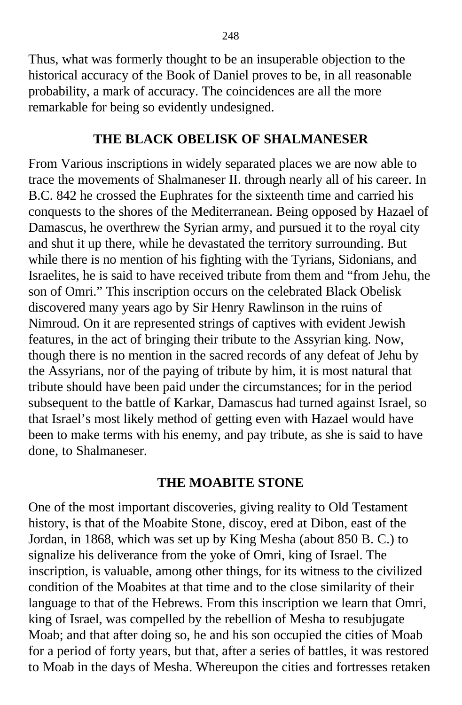Thus, what was formerly thought to be an insuperable objection to the historical accuracy of the Book of Daniel proves to be, in all reasonable probability, a mark of accuracy. The coincidences are all the more remarkable for being so evidently undesigned.

### **THE BLACK OBELISK OF SHALMANESER**

From Various inscriptions in widely separated places we are now able to trace the movements of Shalmaneser II. through nearly all of his career. In B.C. 842 he crossed the Euphrates for the sixteenth time and carried his conquests to the shores of the Mediterranean. Being opposed by Hazael of Damascus, he overthrew the Syrian army, and pursued it to the royal city and shut it up there, while he devastated the territory surrounding. But while there is no mention of his fighting with the Tyrians, Sidonians, and Israelites, he is said to have received tribute from them and "from Jehu, the son of Omri." This inscription occurs on the celebrated Black Obelisk discovered many years ago by Sir Henry Rawlinson in the ruins of Nimroud. On it are represented strings of captives with evident Jewish features, in the act of bringing their tribute to the Assyrian king. Now, though there is no mention in the sacred records of any defeat of Jehu by the Assyrians, nor of the paying of tribute by him, it is most natural that tribute should have been paid under the circumstances; for in the period subsequent to the battle of Karkar, Damascus had turned against Israel, so that Israel's most likely method of getting even with Hazael would have been to make terms with his enemy, and pay tribute, as she is said to have done, to Shalmaneser.

#### **THE MOABITE STONE**

One of the most important discoveries, giving reality to Old Testament history, is that of the Moabite Stone, discoy, ered at Dibon, east of the Jordan, in 1868, which was set up by King Mesha (about 850 B. C.) to signalize his deliverance from the yoke of Omri, king of Israel. The inscription, is valuable, among other things, for its witness to the civilized condition of the Moabites at that time and to the close similarity of their language to that of the Hebrews. From this inscription we learn that Omri, king of Israel, was compelled by the rebellion of Mesha to resubjugate Moab; and that after doing so, he and his son occupied the cities of Moab for a period of forty years, but that, after a series of battles, it was restored to Moab in the days of Mesha. Whereupon the cities and fortresses retaken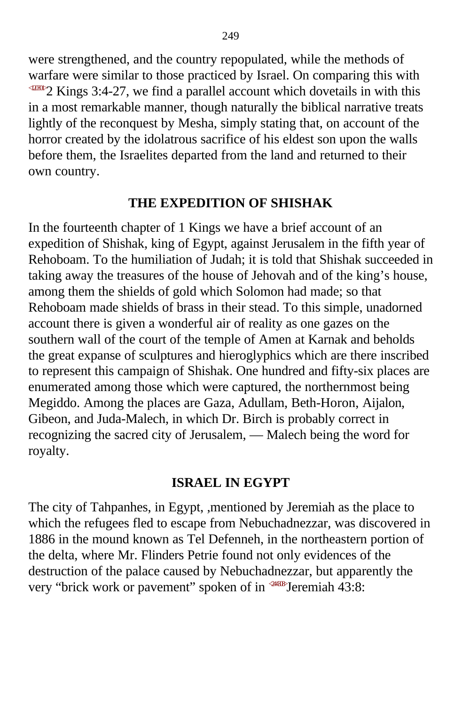were strengthened, and the country repopulated, while the methods of warfare were similar to those practiced by Israel. On comparing this with  $\frac{4000}{2}$  Kings 3:4-27, we find a parallel account which dovetails in with this in a most remarkable manner, though naturally the biblical narrative treats lightly of the reconquest by Mesha, simply stating that, on account of the horror created by the idolatrous sacrifice of his eldest son upon the walls before them, the Israelites departed from the land and returned to their own country.

#### **THE EXPEDITION OF SHISHAK**

In the fourteenth chapter of 1 Kings we have a brief account of an expedition of Shishak, king of Egypt, against Jerusalem in the fifth year of Rehoboam. To the humiliation of Judah; it is told that Shishak succeeded in taking away the treasures of the house of Jehovah and of the king's house, among them the shields of gold which Solomon had made; so that Rehoboam made shields of brass in their stead. To this simple, unadorned account there is given a wonderful air of reality as one gazes on the southern wall of the court of the temple of Amen at Karnak and beholds the great expanse of sculptures and hieroglyphics which are there inscribed to represent this campaign of Shishak. One hundred and fifty-six places are enumerated among those which were captured, the northernmost being Megiddo. Among the places are Gaza, Adullam, Beth-Horon, Aijalon, Gibeon, and Juda-Malech, in which Dr. Birch is probably correct in recognizing the sacred city of Jerusalem, — Malech being the word for royalty.

#### **ISRAEL IN EGYPT**

The city of Tahpanhes, in Egypt, ,mentioned by Jeremiah as the place to which the refugees fled to escape from Nebuchadnezzar, was discovered in 1886 in the mound known as Tel Defenneh, in the northeastern portion of the delta, where Mr. Flinders Petrie found not only evidences of the destruction of the palace caused by Nebuchadnezzar, but apparently the very "brick work or pavement" spoken of in <sup>2468</sup>Jeremiah 43:8: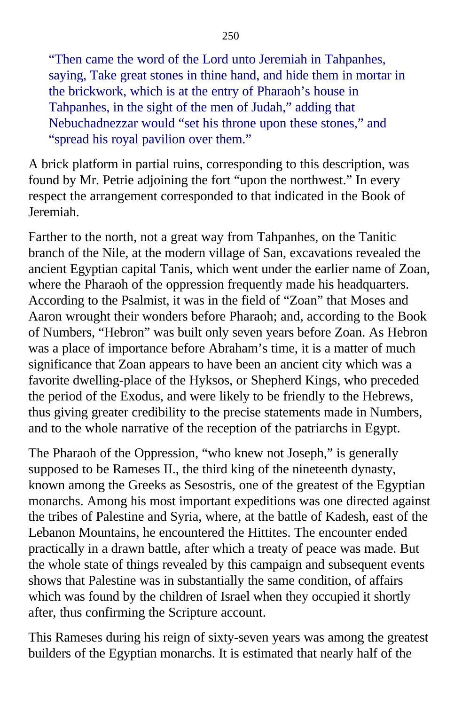"Then came the word of the Lord unto Jeremiah in Tahpanhes, saying, Take great stones in thine hand, and hide them in mortar in the brickwork, which is at the entry of Pharaoh's house in Tahpanhes, in the sight of the men of Judah," adding that Nebuchadnezzar would "set his throne upon these stones," and "spread his royal pavilion over them."

A brick platform in partial ruins, corresponding to this description, was found by Mr. Petrie adjoining the fort "upon the northwest." In every respect the arrangement corresponded to that indicated in the Book of Jeremiah.

Farther to the north, not a great way from Tahpanhes, on the Tanitic branch of the Nile, at the modern village of San, excavations revealed the ancient Egyptian capital Tanis, which went under the earlier name of Zoan, where the Pharaoh of the oppression frequently made his headquarters. According to the Psalmist, it was in the field of "Zoan" that Moses and Aaron wrought their wonders before Pharaoh; and, according to the Book of Numbers, "Hebron" was built only seven years before Zoan. As Hebron was a place of importance before Abraham's time, it is a matter of much significance that Zoan appears to have been an ancient city which was a favorite dwelling-place of the Hyksos, or Shepherd Kings, who preceded the period of the Exodus, and were likely to be friendly to the Hebrews, thus giving greater credibility to the precise statements made in Numbers, and to the whole narrative of the reception of the patriarchs in Egypt.

The Pharaoh of the Oppression, "who knew not Joseph," is generally supposed to be Rameses II., the third king of the nineteenth dynasty, known among the Greeks as Sesostris, one of the greatest of the Egyptian monarchs. Among his most important expeditions was one directed against the tribes of Palestine and Syria, where, at the battle of Kadesh, east of the Lebanon Mountains, he encountered the Hittites. The encounter ended practically in a drawn battle, after which a treaty of peace was made. But the whole state of things revealed by this campaign and subsequent events shows that Palestine was in substantially the same condition, of affairs which was found by the children of Israel when they occupied it shortly after, thus confirming the Scripture account.

This Rameses during his reign of sixty-seven years was among the greatest builders of the Egyptian monarchs. It is estimated that nearly half of the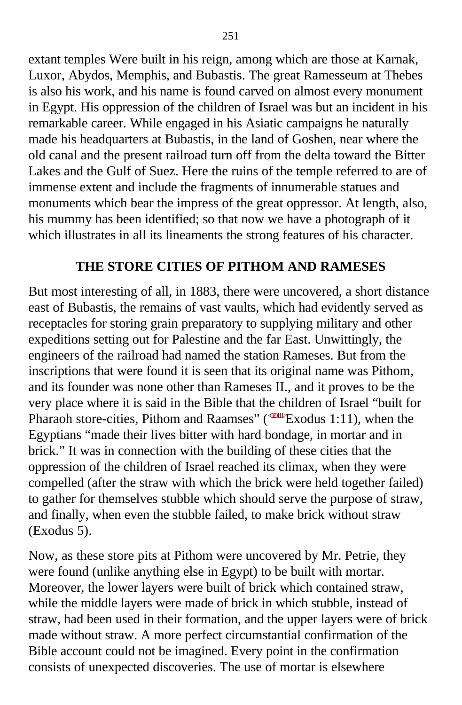extant temples Were built in his reign, among which are those at Karnak, Luxor, Abydos, Memphis, and Bubastis. The great Ramesseum at Thebes is also his work, and his name is found carved on almost every monument in Egypt. His oppression of the children of Israel was but an incident in his remarkable career. While engaged in his Asiatic campaigns he naturally made his headquarters at Bubastis, in the land of Goshen, near where the old canal and the present railroad turn off from the delta toward the Bitter Lakes and the Gulf of Suez. Here the ruins of the temple referred to are of immense extent and include the fragments of innumerable statues and monuments which bear the impress of the great oppressor. At length, also, his mummy has been identified; so that now we have a photograph of it which illustrates in all its lineaments the strong features of his character.

## **THE STORE CITIES OF PITHOM AND RAMESES**

But most interesting of all, in 1883, there were uncovered, a short distance east of Bubastis, the remains of vast vaults, which had evidently served as receptacles for storing grain preparatory to supplying military and other expeditions setting out for Palestine and the far East. Unwittingly, the engineers of the railroad had named the station Rameses. But from the inscriptions that were found it is seen that its original name was Pithom, and its founder was none other than Rameses II., and it proves to be the very place where it is said in the Bible that the children of Israel "built for Pharaoh store-cities, Pithom and Raamses" ( $\sqrt{2}$ Exodus 1:11), when the Egyptians "made their lives bitter with hard bondage, in mortar and in brick." It was in connection with the building of these cities that the oppression of the children of Israel reached its climax, when they were compelled (after the straw with which the brick were held together failed) to gather for themselves stubble which should serve the purpose of straw, and finally, when even the stubble failed, to make brick without straw (Exodus 5).

Now, as these store pits at Pithom were uncovered by Mr. Petrie, they were found (unlike anything else in Egypt) to be built with mortar. Moreover, the lower layers were built of brick which contained straw, while the middle layers were made of brick in which stubble, instead of straw, had been used in their formation, and the upper layers were of brick made without straw. A more perfect circumstantial confirmation of the Bible account could not be imagined. Every point in the confirmation consists of unexpected discoveries. The use of mortar is elsewhere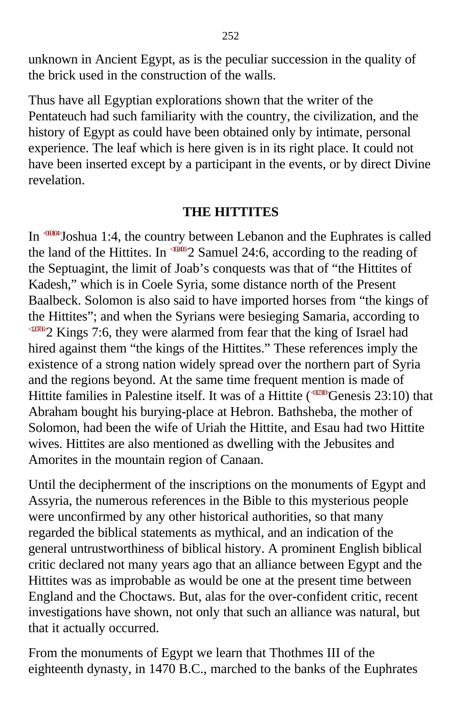unknown in Ancient Egypt, as is the peculiar succession in the quality of the brick used in the construction of the walls.

Thus have all Egyptian explorations shown that the writer of the Pentateuch had such familiarity with the country, the civilization, and the history of Egypt as could have been obtained only by intimate, personal experience. The leaf which is here given is in its right place. It could not have been inserted except by a participant in the events, or by direct Divine revelation.

## **THE HITTITES**

In  $\frac{40004}{2}$  Joshua 1:4, the country between Lebanon and the Euphrates is called the land of the Hittites. In  $\frac{4006}{2}$  Samuel 24:6, according to the reading of the Septuagint, the limit of Joab's conquests was that of "the Hittites of Kadesh," which is in Coele Syria, some distance north of the Present Baalbeck. Solomon is also said to have imported horses from "the kings of the Hittites"; and when the Syrians were besieging Samaria, according to  $\frac{4006}{2}$  Kings 7:6, they were alarmed from fear that the king of Israel had hired against them "the kings of the Hittites." These references imply the existence of a strong nation widely spread over the northern part of Syria and the regions beyond. At the same time frequent mention is made of Hittite families in Palestine itself. It was of a Hittite ( $\frac{\text{dB3D}}{\text{Geodesic}}$  23:10) that Abraham bought his burying-place at Hebron. Bathsheba, the mother of Solomon, had been the wife of Uriah the Hittite, and Esau had two Hittite wives. Hittites are also mentioned as dwelling with the Jebusites and Amorites in the mountain region of Canaan.

Until the decipherment of the inscriptions on the monuments of Egypt and Assyria, the numerous references in the Bible to this mysterious people were unconfirmed by any other historical authorities, so that many regarded the biblical statements as mythical, and an indication of the general untrustworthiness of biblical history. A prominent English biblical critic declared not many years ago that an alliance between Egypt and the Hittites was as improbable as would be one at the present time between England and the Choctaws. But, alas for the over-confident critic, recent investigations have shown, not only that such an alliance was natural, but that it actually occurred.

From the monuments of Egypt we learn that Thothmes III of the eighteenth dynasty, in 1470 B.C., marched to the banks of the Euphrates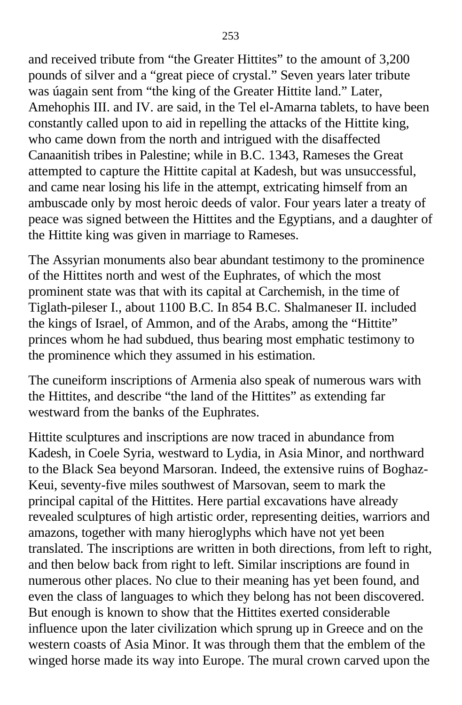and received tribute from "the Greater Hittites" to the amount of 3,200 pounds of silver and a "great piece of crystal." Seven years later tribute was úagain sent from "the king of the Greater Hittite land." Later, Amehophis III. and IV. are said, in the Tel el-Amarna tablets, to have been constantly called upon to aid in repelling the attacks of the Hittite king, who came down from the north and intrigued with the disaffected Canaanitish tribes in Palestine; while in B.C. 1343, Rameses the Great attempted to capture the Hittite capital at Kadesh, but was unsuccessful, and came near losing his life in the attempt, extricating himself from an ambuscade only by most heroic deeds of valor. Four years later a treaty of peace was signed between the Hittites and the Egyptians, and a daughter of the Hittite king was given in marriage to Rameses.

The Assyrian monuments also bear abundant testimony to the prominence of the Hittites north and west of the Euphrates, of which the most prominent state was that with its capital at Carchemish, in the time of Tiglath-pileser I., about 1100 B.C. In 854 B.C. Shalmaneser II. included the kings of Israel, of Ammon, and of the Arabs, among the "Hittite" princes whom he had subdued, thus bearing most emphatic testimony to the prominence which they assumed in his estimation.

The cuneiform inscriptions of Armenia also speak of numerous wars with the Hittites, and describe "the land of the Hittites" as extending far westward from the banks of the Euphrates.

Hittite sculptures and inscriptions are now traced in abundance from Kadesh, in Coele Syria, westward to Lydia, in Asia Minor, and northward to the Black Sea beyond Marsoran. Indeed, the extensive ruins of Boghaz-Keui, seventy-five miles southwest of Marsovan, seem to mark the principal capital of the Hittites. Here partial excavations have already revealed sculptures of high artistic order, representing deities, warriors and amazons, together with many hieroglyphs which have not yet been translated. The inscriptions are written in both directions, from left to right, and then below back from right to left. Similar inscriptions are found in numerous other places. No clue to their meaning has yet been found, and even the class of languages to which they belong has not been discovered. But enough is known to show that the Hittites exerted considerable influence upon the later civilization which sprung up in Greece and on the western coasts of Asia Minor. It was through them that the emblem of the winged horse made its way into Europe. The mural crown carved upon the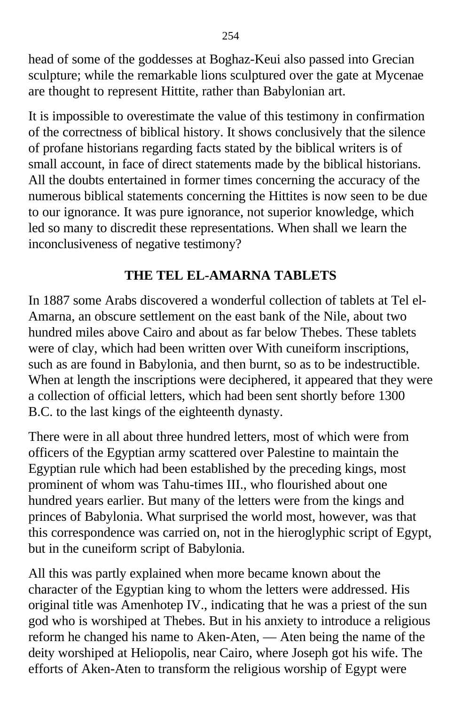head of some of the goddesses at Boghaz-Keui also passed into Grecian sculpture; while the remarkable lions sculptured over the gate at Mycenae are thought to represent Hittite, rather than Babylonian art.

It is impossible to overestimate the value of this testimony in confirmation of the correctness of biblical history. It shows conclusively that the silence of profane historians regarding facts stated by the biblical writers is of small account, in face of direct statements made by the biblical historians. All the doubts entertained in former times concerning the accuracy of the numerous biblical statements concerning the Hittites is now seen to be due to our ignorance. It was pure ignorance, not superior knowledge, which led so many to discredit these representations. When shall we learn the inconclusiveness of negative testimony?

# **THE TEL EL-AMARNA TABLETS**

In 1887 some Arabs discovered a wonderful collection of tablets at Tel el-Amarna, an obscure settlement on the east bank of the Nile, about two hundred miles above Cairo and about as far below Thebes. These tablets were of clay, which had been written over With cuneiform inscriptions, such as are found in Babylonia, and then burnt, so as to be indestructible. When at length the inscriptions were deciphered, it appeared that they were a collection of official letters, which had been sent shortly before 1300 B.C. to the last kings of the eighteenth dynasty.

There were in all about three hundred letters, most of which were from officers of the Egyptian army scattered over Palestine to maintain the Egyptian rule which had been established by the preceding kings, most prominent of whom was Tahu-times III., who flourished about one hundred years earlier. But many of the letters were from the kings and princes of Babylonia. What surprised the world most, however, was that this correspondence was carried on, not in the hieroglyphic script of Egypt, but in the cuneiform script of Babylonia.

All this was partly explained when more became known about the character of the Egyptian king to whom the letters were addressed. His original title was Amenhotep IV., indicating that he was a priest of the sun god who is worshiped at Thebes. But in his anxiety to introduce a religious reform he changed his name to Aken-Aten, — Aten being the name of the deity worshiped at Heliopolis, near Cairo, where Joseph got his wife. The efforts of Aken-Aten to transform the religious worship of Egypt were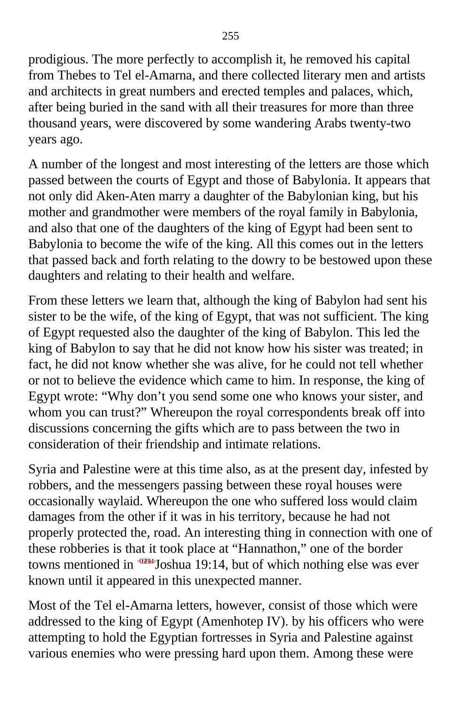prodigious. The more perfectly to accomplish it, he removed his capital from Thebes to Tel el-Amarna, and there collected literary men and artists and architects in great numbers and erected temples and palaces, which, after being buried in the sand with all their treasures for more than three thousand years, were discovered by some wandering Arabs twenty-two years ago.

A number of the longest and most interesting of the letters are those which passed between the courts of Egypt and those of Babylonia. It appears that not only did Aken-Aten marry a daughter of the Babylonian king, but his mother and grandmother were members of the royal family in Babylonia, and also that one of the daughters of the king of Egypt had been sent to Babylonia to become the wife of the king. All this comes out in the letters that passed back and forth relating to the dowry to be bestowed upon these daughters and relating to their health and welfare.

From these letters we learn that, although the king of Babylon had sent his sister to be the wife, of the king of Egypt, that was not sufficient. The king of Egypt requested also the daughter of the king of Babylon. This led the king of Babylon to say that he did not know how his sister was treated; in fact, he did not know whether she was alive, for he could not tell whether or not to believe the evidence which came to him. In response, the king of Egypt wrote: "Why don't you send some one who knows your sister, and whom you can trust?" Whereupon the royal correspondents break off into discussions concerning the gifts which are to pass between the two in consideration of their friendship and intimate relations.

Syria and Palestine were at this time also, as at the present day, infested by robbers, and the messengers passing between these royal houses were occasionally waylaid. Whereupon the one who suffered loss would claim damages from the other if it was in his territory, because he had not properly protected the, road. An interesting thing in connection with one of these robberies is that it took place at "Hannathon," one of the border towns mentioned in  $4604$ Joshua 19:14, but of which nothing else was ever known until it appeared in this unexpected manner.

Most of the Tel el-Amarna letters, however, consist of those which were addressed to the king of Egypt (Amenhotep IV). by his officers who were attempting to hold the Egyptian fortresses in Syria and Palestine against various enemies who were pressing hard upon them. Among these were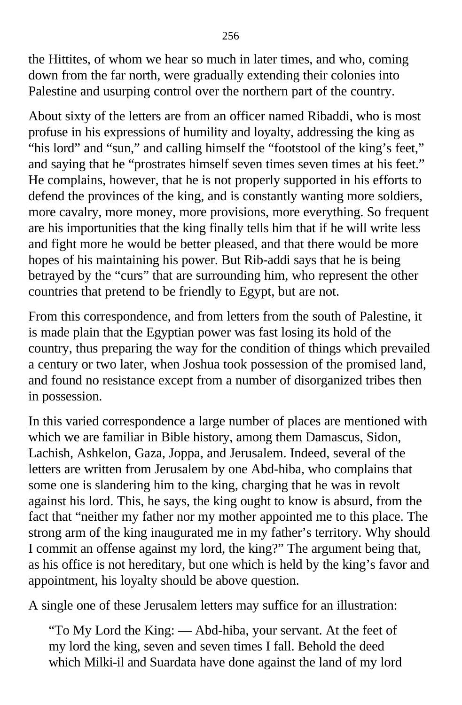the Hittites, of whom we hear so much in later times, and who, coming down from the far north, were gradually extending their colonies into Palestine and usurping control over the northern part of the country.

About sixty of the letters are from an officer named Ribaddi, who is most profuse in his expressions of humility and loyalty, addressing the king as "his lord" and "sun," and calling himself the "footstool of the king's feet," and saying that he "prostrates himself seven times seven times at his feet." He complains, however, that he is not properly supported in his efforts to defend the provinces of the king, and is constantly wanting more soldiers, more cavalry, more money, more provisions, more everything. So frequent are his importunities that the king finally tells him that if he will write less and fight more he would be better pleased, and that there would be more hopes of his maintaining his power. But Rib-addi says that he is being betrayed by the "curs" that are surrounding him, who represent the other countries that pretend to be friendly to Egypt, but are not.

From this correspondence, and from letters from the south of Palestine, it is made plain that the Egyptian power was fast losing its hold of the country, thus preparing the way for the condition of things which prevailed a century or two later, when Joshua took possession of the promised land, and found no resistance except from a number of disorganized tribes then in possession.

In this varied correspondence a large number of places are mentioned with which we are familiar in Bible history, among them Damascus, Sidon, Lachish, Ashkelon, Gaza, Joppa, and Jerusalem. Indeed, several of the letters are written from Jerusalem by one Abd-hiba, who complains that some one is slandering him to the king, charging that he was in revolt against his lord. This, he says, the king ought to know is absurd, from the fact that "neither my father nor my mother appointed me to this place. The strong arm of the king inaugurated me in my father's territory. Why should I commit an offense against my lord, the king?" The argument being that, as his office is not hereditary, but one which is held by the king's favor and appointment, his loyalty should be above question.

A single one of these Jerusalem letters may suffice for an illustration:

"To My Lord the King: — Abd-hiba, your servant. At the feet of my lord the king, seven and seven times I fall. Behold the deed which Milki-il and Suardata have done against the land of my lord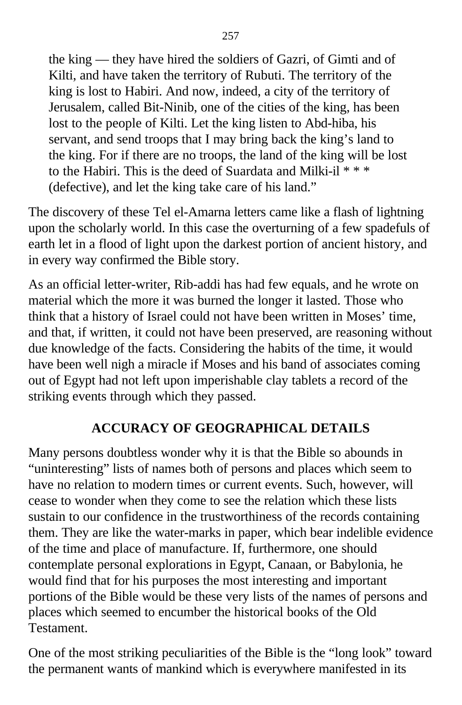the king — they have hired the soldiers of Gazri, of Gimti and of Kilti, and have taken the territory of Rubuti. The territory of the king is lost to Habiri. And now, indeed, a city of the territory of Jerusalem, called Bit-Ninib, one of the cities of the king, has been lost to the people of Kilti. Let the king listen to Abd-hiba, his servant, and send troops that I may bring back the king's land to the king. For if there are no troops, the land of the king will be lost to the Habiri. This is the deed of Suardata and Milki-il  $***$ (defective), and let the king take care of his land."

The discovery of these Tel el-Amarna letters came like a flash of lightning upon the scholarly world. In this case the overturning of a few spadefuls of earth let in a flood of light upon the darkest portion of ancient history, and in every way confirmed the Bible story.

As an official letter-writer, Rib-addi has had few equals, and he wrote on material which the more it was burned the longer it lasted. Those who think that a history of Israel could not have been written in Moses' time, and that, if written, it could not have been preserved, are reasoning without due knowledge of the facts. Considering the habits of the time, it would have been well nigh a miracle if Moses and his band of associates coming out of Egypt had not left upon imperishable clay tablets a record of the striking events through which they passed.

# **ACCURACY OF GEOGRAPHICAL DETAILS**

Many persons doubtless wonder why it is that the Bible so abounds in "uninteresting" lists of names both of persons and places which seem to have no relation to modern times or current events. Such, however, will cease to wonder when they come to see the relation which these lists sustain to our confidence in the trustworthiness of the records containing them. They are like the water-marks in paper, which bear indelible evidence of the time and place of manufacture. If, furthermore, one should contemplate personal explorations in Egypt, Canaan, or Babylonia, he would find that for his purposes the most interesting and important portions of the Bible would be these very lists of the names of persons and places which seemed to encumber the historical books of the Old Testament.

One of the most striking peculiarities of the Bible is the "long look" toward the permanent wants of mankind which is everywhere manifested in its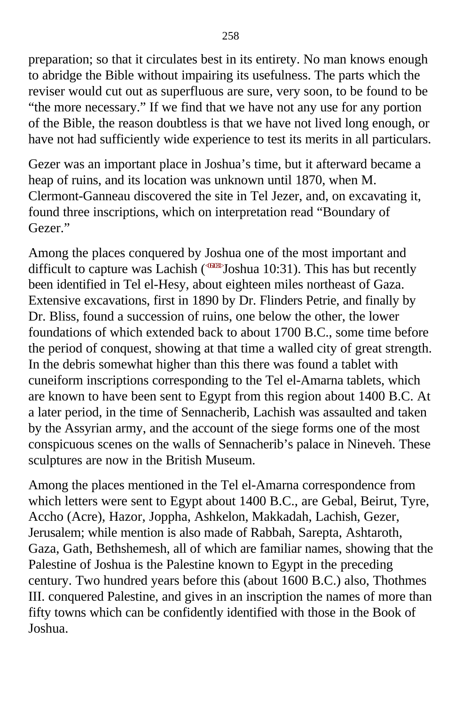preparation; so that it circulates best in its entirety. No man knows enough to abridge the Bible without impairing its usefulness. The parts which the reviser would cut out as superfluous are sure, very soon, to be found to be "the more necessary." If we find that we have not any use for any portion of the Bible, the reason doubtless is that we have not lived long enough, or have not had sufficiently wide experience to test its merits in all particulars.

Gezer was an important place in Joshua's time, but it afterward became a heap of ruins, and its location was unknown until 1870, when M. Clermont-Ganneau discovered the site in Tel Jezer, and, on excavating it, found three inscriptions, which on interpretation read "Boundary of Gezer."

Among the places conquered by Joshua one of the most important and difficult to capture was Lachish ( $\frac{4600}{3}$ Joshua 10:31). This has but recently been identified in Tel el-Hesy, about eighteen miles northeast of Gaza. Extensive excavations, first in 1890 by Dr. Flinders Petrie, and finally by Dr. Bliss, found a succession of ruins, one below the other, the lower foundations of which extended back to about 1700 B.C., some time before the period of conquest, showing at that time a walled city of great strength. In the debris somewhat higher than this there was found a tablet with cuneiform inscriptions corresponding to the Tel el-Amarna tablets, which are known to have been sent to Egypt from this region about 1400 B.C. At a later period, in the time of Sennacherib, Lachish was assaulted and taken by the Assyrian army, and the account of the siege forms one of the most conspicuous scenes on the walls of Sennacherib's palace in Nineveh. These sculptures are now in the British Museum.

Among the places mentioned in the Tel el-Amarna correspondence from which letters were sent to Egypt about 1400 B.C., are Gebal, Beirut, Tyre, Accho (Acre), Hazor, Joppha, Ashkelon, Makkadah, Lachish, Gezer, Jerusalem; while mention is also made of Rabbah, Sarepta, Ashtaroth, Gaza, Gath, Bethshemesh, all of which are familiar names, showing that the Palestine of Joshua is the Palestine known to Egypt in the preceding century. Two hundred years before this (about 1600 B.C.) also, Thothmes III. conquered Palestine, and gives in an inscription the names of more than fifty towns which can be confidently identified with those in the Book of Joshua.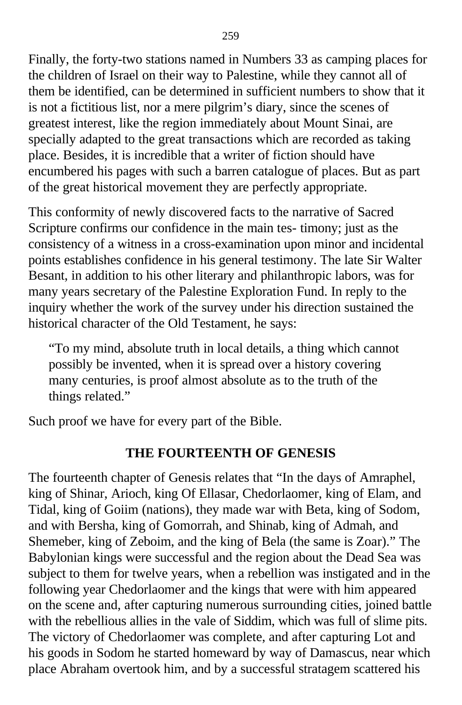Finally, the forty-two stations named in Numbers 33 as camping places for the children of Israel on their way to Palestine, while they cannot all of them be identified, can be determined in sufficient numbers to show that it is not a fictitious list, nor a mere pilgrim's diary, since the scenes of greatest interest, like the region immediately about Mount Sinai, are specially adapted to the great transactions which are recorded as taking place. Besides, it is incredible that a writer of fiction should have encumbered his pages with such a barren catalogue of places. But as part of the great historical movement they are perfectly appropriate.

This conformity of newly discovered facts to the narrative of Sacred Scripture confirms our confidence in the main tes- timony; just as the consistency of a witness in a cross-examination upon minor and incidental points establishes confidence in his general testimony. The late Sir Walter Besant, in addition to his other literary and philanthropic labors, was for many years secretary of the Palestine Exploration Fund. In reply to the inquiry whether the work of the survey under his direction sustained the historical character of the Old Testament, he says:

"To my mind, absolute truth in local details, a thing which cannot possibly be invented, when it is spread over a history covering many centuries, is proof almost absolute as to the truth of the things related."

Such proof we have for every part of the Bible.

# **THE FOURTEENTH OF GENESIS**

The fourteenth chapter of Genesis relates that "In the days of Amraphel, king of Shinar, Arioch, king Of Ellasar, Chedorlaomer, king of Elam, and Tidal, king of Goiim (nations), they made war with Beta, king of Sodom, and with Bersha, king of Gomorrah, and Shinab, king of Admah, and Shemeber, king of Zeboim, and the king of Bela (the same is Zoar)." The Babylonian kings were successful and the region about the Dead Sea was subject to them for twelve years, when a rebellion was instigated and in the following year Chedorlaomer and the kings that were with him appeared on the scene and, after capturing numerous surrounding cities, joined battle with the rebellious allies in the vale of Siddim, which was full of slime pits. The victory of Chedorlaomer was complete, and after capturing Lot and his goods in Sodom he started homeward by way of Damascus, near which place Abraham overtook him, and by a successful stratagem scattered his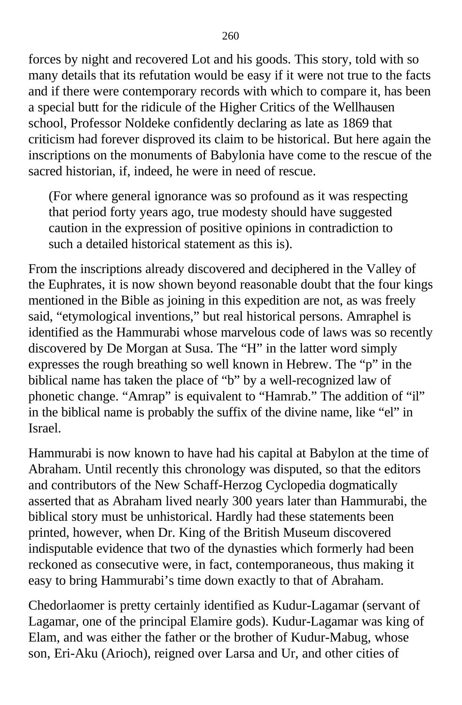forces by night and recovered Lot and his goods. This story, told with so many details that its refutation would be easy if it were not true to the facts and if there were contemporary records with which to compare it, has been a special butt for the ridicule of the Higher Critics of the Wellhausen school, Professor Noldeke confidently declaring as late as 1869 that criticism had forever disproved its claim to be historical. But here again the inscriptions on the monuments of Babylonia have come to the rescue of the sacred historian, if, indeed, he were in need of rescue.

(For where general ignorance was so profound as it was respecting that period forty years ago, true modesty should have suggested caution in the expression of positive opinions in contradiction to such a detailed historical statement as this is).

From the inscriptions already discovered and deciphered in the Valley of the Euphrates, it is now shown beyond reasonable doubt that the four kings mentioned in the Bible as joining in this expedition are not, as was freely said, "etymological inventions," but real historical persons. Amraphel is identified as the Hammurabi whose marvelous code of laws was so recently discovered by De Morgan at Susa. The "H" in the latter word simply expresses the rough breathing so well known in Hebrew. The "p" in the biblical name has taken the place of "b" by a well-recognized law of phonetic change. "Amrap" is equivalent to "Hamrab." The addition of "il" in the biblical name is probably the suffix of the divine name, like "el" in Israel.

Hammurabi is now known to have had his capital at Babylon at the time of Abraham. Until recently this chronology was disputed, so that the editors and contributors of the New Schaff-Herzog Cyclopedia dogmatically asserted that as Abraham lived nearly 300 years later than Hammurabi, the biblical story must be unhistorical. Hardly had these statements been printed, however, when Dr. King of the British Museum discovered indisputable evidence that two of the dynasties which formerly had been reckoned as consecutive were, in fact, contemporaneous, thus making it easy to bring Hammurabi's time down exactly to that of Abraham.

Chedorlaomer is pretty certainly identified as Kudur-Lagamar (servant of Lagamar, one of the principal Elamire gods). Kudur-Lagamar was king of Elam, and was either the father or the brother of Kudur-Mabug, whose son, Eri-Aku (Arioch), reigned over Larsa and Ur, and other cities of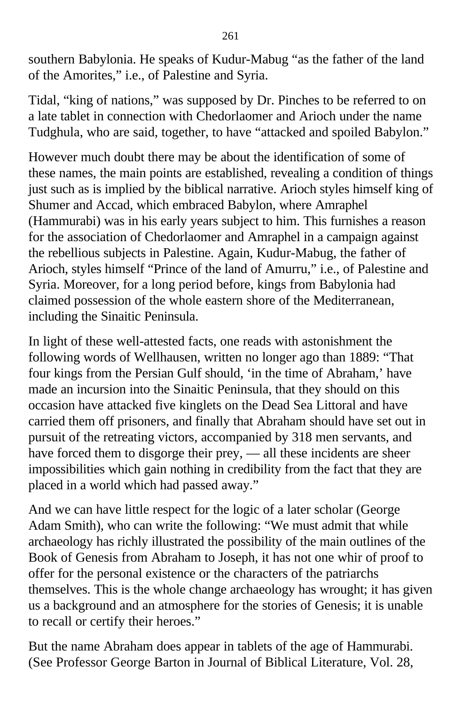southern Babylonia. He speaks of Kudur-Mabug "as the father of the land of the Amorites," i.e., of Palestine and Syria.

Tidal, "king of nations," was supposed by Dr. Pinches to be referred to on a late tablet in connection with Chedorlaomer and Arioch under the name Tudghula, who are said, together, to have "attacked and spoiled Babylon."

However much doubt there may be about the identification of some of these names, the main points are established, revealing a condition of things just such as is implied by the biblical narrative. Arioch styles himself king of Shumer and Accad, which embraced Babylon, where Amraphel (Hammurabi) was in his early years subject to him. This furnishes a reason for the association of Chedorlaomer and Amraphel in a campaign against the rebellious subjects in Palestine. Again, Kudur-Mabug, the father of Arioch, styles himself "Prince of the land of Amurru," i.e., of Palestine and Syria. Moreover, for a long period before, kings from Babylonia had claimed possession of the whole eastern shore of the Mediterranean, including the Sinaitic Peninsula.

In light of these well-attested facts, one reads with astonishment the following words of Wellhausen, written no longer ago than 1889: "That four kings from the Persian Gulf should, 'in the time of Abraham,' have made an incursion into the Sinaitic Peninsula, that they should on this occasion have attacked five kinglets on the Dead Sea Littoral and have carried them off prisoners, and finally that Abraham should have set out in pursuit of the retreating victors, accompanied by 318 men servants, and have forced them to disgorge their prey, — all these incidents are sheer impossibilities which gain nothing in credibility from the fact that they are placed in a world which had passed away."

And we can have little respect for the logic of a later scholar (George Adam Smith), who can write the following: "We must admit that while archaeology has richly illustrated the possibility of the main outlines of the Book of Genesis from Abraham to Joseph, it has not one whir of proof to offer for the personal existence or the characters of the patriarchs themselves. This is the whole change archaeology has wrought; it has given us a background and an atmosphere for the stories of Genesis; it is unable to recall or certify their heroes."

But the name Abraham does appear in tablets of the age of Hammurabi. (See Professor George Barton in Journal of Biblical Literature, Vol. 28,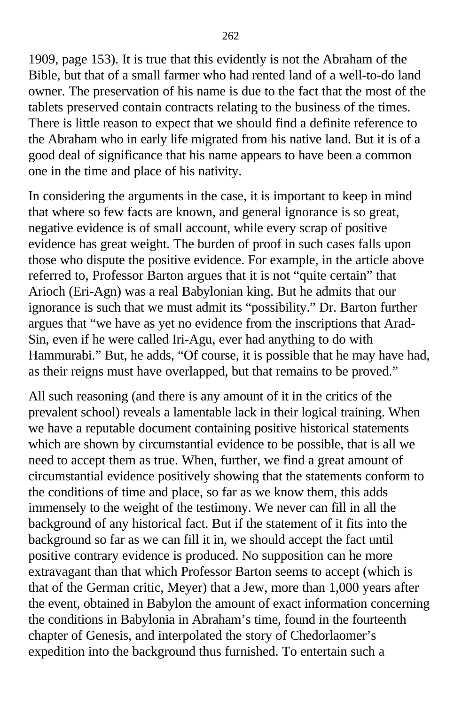1909, page 153). It is true that this evidently is not the Abraham of the Bible, but that of a small farmer who had rented land of a well-to-do land owner. The preservation of his name is due to the fact that the most of the tablets preserved contain contracts relating to the business of the times. There is little reason to expect that we should find a definite reference to the Abraham who in early life migrated from his native land. But it is of a good deal of significance that his name appears to have been a common one in the time and place of his nativity.

In considering the arguments in the case, it is important to keep in mind that where so few facts are known, and general ignorance is so great, negative evidence is of small account, while every scrap of positive evidence has great weight. The burden of proof in such cases falls upon those who dispute the positive evidence. For example, in the article above referred to, Professor Barton argues that it is not "quite certain" that Arioch (Eri-Agn) was a real Babylonian king. But he admits that our ignorance is such that we must admit its "possibility." Dr. Barton further argues that "we have as yet no evidence from the inscriptions that Arad-Sin, even if he were called Iri-Agu, ever had anything to do with Hammurabi." But, he adds, "Of course, it is possible that he may have had, as their reigns must have overlapped, but that remains to be proved."

All such reasoning (and there is any amount of it in the critics of the prevalent school) reveals a lamentable lack in their logical training. When we have a reputable document containing positive historical statements which are shown by circumstantial evidence to be possible, that is all we need to accept them as true. When, further, we find a great amount of circumstantial evidence positively showing that the statements conform to the conditions of time and place, so far as we know them, this adds immensely to the weight of the testimony. We never can fill in all the background of any historical fact. But if the statement of it fits into the background so far as we can fill it in, we should accept the fact until positive contrary evidence is produced. No supposition can he more extravagant than that which Professor Barton seems to accept (which is that of the German critic, Meyer) that a Jew, more than 1,000 years after the event, obtained in Babylon the amount of exact information concerning the conditions in Babylonia in Abraham's time, found in the fourteenth chapter of Genesis, and interpolated the story of Chedorlaomer's expedition into the background thus furnished. To entertain such a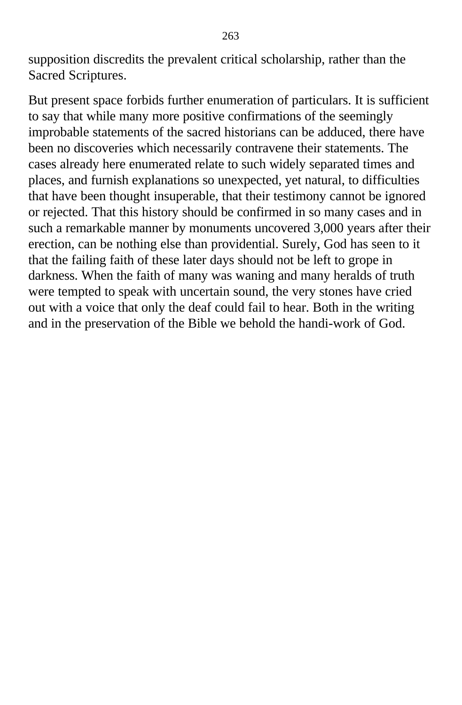supposition discredits the prevalent critical scholarship, rather than the Sacred Scriptures.

But present space forbids further enumeration of particulars. It is sufficient to say that while many more positive confirmations of the seemingly improbable statements of the sacred historians can be adduced, there have been no discoveries which necessarily contravene their statements. The cases already here enumerated relate to such widely separated times and places, and furnish explanations so unexpected, yet natural, to difficulties that have been thought insuperable, that their testimony cannot be ignored or rejected. That this history should be confirmed in so many cases and in such a remarkable manner by monuments uncovered 3,000 years after their erection, can be nothing else than providential. Surely, God has seen to it that the failing faith of these later days should not be left to grope in darkness. When the faith of many was waning and many heralds of truth were tempted to speak with uncertain sound, the very stones have cried out with a voice that only the deaf could fail to hear. Both in the writing and in the preservation of the Bible we behold the handi-work of God.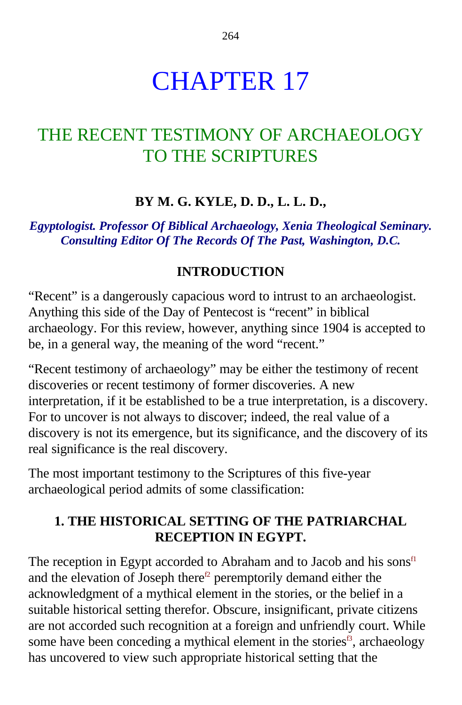# CHAPTER 17

# THE RECENT TESTIMONY OF ARCHAEOLOGY TO THE SCRIPTURES

## **BY M. G. KYLE, D. D., L. L. D.,**

*Egyptologist. Professor Of Biblical Archaeology, Xenia Theological Seminary. Consulting Editor Of The Records Of The Past, Washington, D.C.*

#### **INTRODUCTION**

"Recent" is a dangerously capacious word to intrust to an archaeologist. Anything this side of the Day of Pentecost is "recent" in biblical archaeology. For this review, however, anything since 1904 is accepted to be, in a general way, the meaning of the word "recent."

"Recent testimony of archaeology" may be either the testimony of recent discoveries or recent testimony of former discoveries. A new interpretation, if it be established to be a true interpretation, is a discovery. For to uncover is not always to discover; indeed, the real value of a discovery is not its emergence, but its significance, and the discovery of its real significance is the real discovery.

The most important testimony to the Scriptures of this five-year archaeological period admits of some classification:

## **1. THE HISTORICAL SETTING OF THE PATRIARCHAL RECEPTION IN EGYPT.**

The reception in Egypt accorded to Abraham and to Jacob and his sons<sup>f1</sup> and the elevation of Joseph there<sup>12</sup> peremptorily demand either the acknowledgment of a mythical element in the stories, or the belief in a suitable historical setting therefor. Obscure, insignificant, private citizens are not accorded such recognition at a foreign and unfriendly court. While some have been conceding a mythical element in the stories<sup>13</sup>, archaeology has uncovered to view such appropriate historical setting that the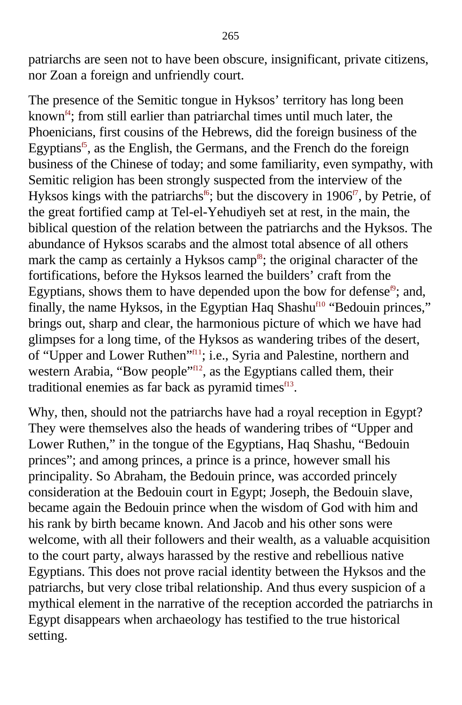patriarchs are seen not to have been obscure, insignificant, private citizens, nor Zoan a foreign and unfriendly court.

The presence of the Semitic tongue in Hyksos' territory has long been known<sup>41</sup>; from still earlier than patriarchal times until much later, the Phoenicians, first cousins of the Hebrews, did the foreign business of the Egyptians<sup>5</sup>, as the English, the Germans, and the French do the foreign business of the Chinese of today; and some familiarity, even sympathy, with Semitic religion has been strongly suspected from the interview of the Hyksos kings with the patriarchs<sup> $66$ </sup>; but the discovery in 1906<sup> $7$ </sup>, by Petrie, of the great fortified camp at Tel-el-Yehudiyeh set at rest, in the main, the biblical question of the relation between the patriarchs and the Hyksos. The abundance of Hyksos scarabs and the almost total absence of all others mark the camp as certainly a Hyksos camp<sup>8</sup>; the original character of the fortifications, before the Hyksos learned the builders' craft from the Egyptians, shows them to have depended upon the bow for defense $\mathbf{B}$ ; and, finally, the name Hyksos, in the Egyptian Haq Shashu<sup>f10</sup> "Bedouin princes," brings out, sharp and clear, the harmonious picture of which we have had glimpses for a long time, of the Hyksos as wandering tribes of the desert, of "Upper and Lower Ruthen"f11; i.e., Syria and Palestine, northern and western Arabia, "Bow people"<sup>f12</sup>, as the Egyptians called them, their traditional enemies as far back as pyramid times<sup>f13</sup>.

Why, then, should not the patriarchs have had a royal reception in Egypt? They were themselves also the heads of wandering tribes of "Upper and Lower Ruthen," in the tongue of the Egyptians, Haq Shashu, "Bedouin princes"; and among princes, a prince is a prince, however small his principality. So Abraham, the Bedouin prince, was accorded princely consideration at the Bedouin court in Egypt; Joseph, the Bedouin slave, became again the Bedouin prince when the wisdom of God with him and his rank by birth became known. And Jacob and his other sons were welcome, with all their followers and their wealth, as a valuable acquisition to the court party, always harassed by the restive and rebellious native Egyptians. This does not prove racial identity between the Hyksos and the patriarchs, but very close tribal relationship. And thus every suspicion of a mythical element in the narrative of the reception accorded the patriarchs in Egypt disappears when archaeology has testified to the true historical setting.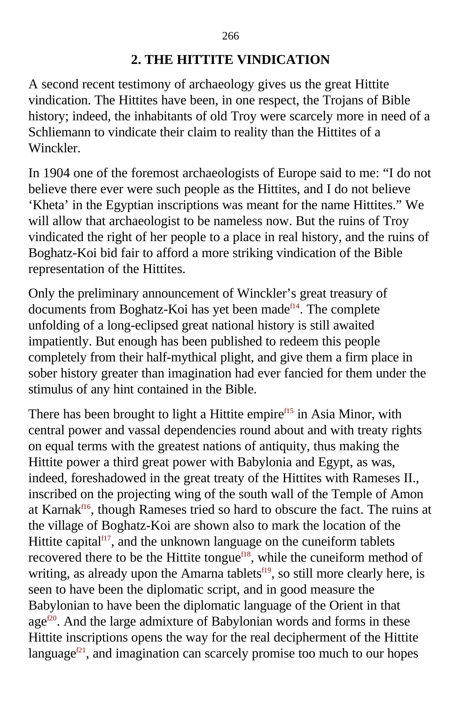# **2. THE HITTITE VINDICATION**

A second recent testimony of archaeology gives us the great Hittite vindication. The Hittites have been, in one respect, the Trojans of Bible history; indeed, the inhabitants of old Troy were scarcely more in need of a Schliemann to vindicate their claim to reality than the Hittites of a Winckler.

In 1904 one of the foremost archaeologists of Europe said to me: "I do not believe there ever were such people as the Hittites, and I do not believe 'Kheta' in the Egyptian inscriptions was meant for the name Hittites." We will allow that archaeologist to be nameless now. But the ruins of Troy vindicated the right of her people to a place in real history, and the ruins of Boghatz-Koi bid fair to afford a more striking vindication of the Bible representation of the Hittites.

Only the preliminary announcement of Winckler's great treasury of documents from Boghatz-Koi has yet been made<sup>f14</sup>. The complete unfolding of a long-eclipsed great national history is still awaited impatiently. But enough has been published to redeem this people completely from their half-mythical plight, and give them a firm place in sober history greater than imagination had ever fancied for them under the stimulus of any hint contained in the Bible.

There has been brought to light a Hittite empire<sup>f15</sup> in Asia Minor, with central power and vassal dependencies round about and with treaty rights on equal terms with the greatest nations of antiquity, thus making the Hittite power a third great power with Babylonia and Egypt, as was, indeed, foreshadowed in the great treaty of the Hittites with Rameses II., inscribed on the projecting wing of the south wall of the Temple of Amon at Karnak<sup>f16</sup>, though Rameses tried so hard to obscure the fact. The ruins at the village of Boghatz-Koi are shown also to mark the location of the Hittite capital $f_1^{f_17}$ , and the unknown language on the cuneiform tablets recovered there to be the Hittite tongue<sup>f18</sup>, while the cuneiform method of writing, as already upon the Amarna tablets<sup>f19</sup>, so still more clearly here, is seen to have been the diplomatic script, and in good measure the Babylonian to have been the diplomatic language of the Orient in that  $age^{20}$ . And the large admixture of Babylonian words and forms in these Hittite inscriptions opens the way for the real decipherment of the Hittite language $f<sup>21</sup>$ , and imagination can scarcely promise too much to our hopes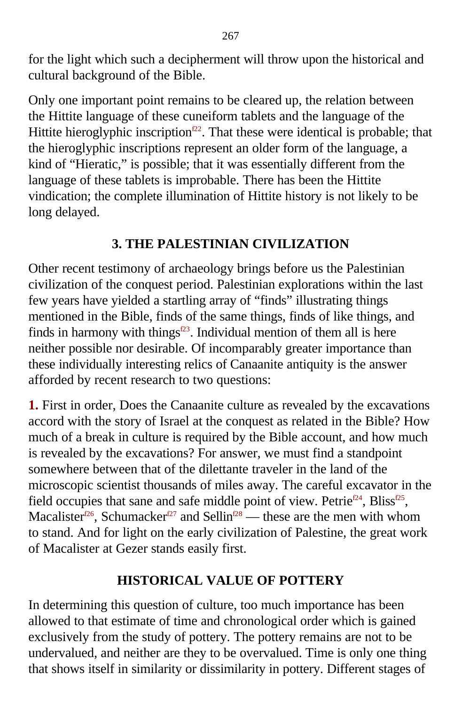for the light which such a decipherment will throw upon the historical and cultural background of the Bible.

Only one important point remains to be cleared up, the relation between the Hittite language of these cuneiform tablets and the language of the Hittite hieroglyphic inscription $f^{22}$ . That these were identical is probable; that the hieroglyphic inscriptions represent an older form of the language, a kind of "Hieratic," is possible; that it was essentially different from the language of these tablets is improbable. There has been the Hittite vindication; the complete illumination of Hittite history is not likely to be long delayed.

# **3. THE PALESTINIAN CIVILIZATION**

Other recent testimony of archaeology brings before us the Palestinian civilization of the conquest period. Palestinian explorations within the last few years have yielded a startling array of "finds" illustrating things mentioned in the Bible, finds of the same things, finds of like things, and finds in harmony with things $^{23}$ . Individual mention of them all is here neither possible nor desirable. Of incomparably greater importance than these individually interesting relics of Canaanite antiquity is the answer afforded by recent research to two questions:

**1.** First in order, Does the Canaanite culture as revealed by the excavations accord with the story of Israel at the conquest as related in the Bible? How much of a break in culture is required by the Bible account, and how much is revealed by the excavations? For answer, we must find a standpoint somewhere between that of the dilettante traveler in the land of the microscopic scientist thousands of miles away. The careful excavator in the field occupies that sane and safe middle point of view. Petrie<sup> $t24$ </sup>, Bliss<sup> $t25$ </sup>, Macalister<sup> $26$ </sup>, Schumacker<sup> $27$ </sup> and Sellin<sup> $28$ </sup> — these are the men with whom to stand. And for light on the early civilization of Palestine, the great work of Macalister at Gezer stands easily first.

# **HISTORICAL VALUE OF POTTERY**

In determining this question of culture, too much importance has been allowed to that estimate of time and chronological order which is gained exclusively from the study of pottery. The pottery remains are not to be undervalued, and neither are they to be overvalued. Time is only one thing that shows itself in similarity or dissimilarity in pottery. Different stages of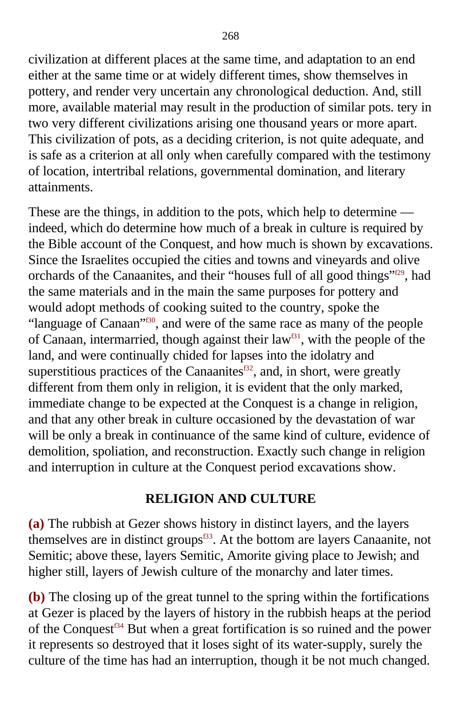civilization at different places at the same time, and adaptation to an end either at the same time or at widely different times, show themselves in pottery, and render very uncertain any chronological deduction. And, still more, available material may result in the production of similar pots. tery in two very different civilizations arising one thousand years or more apart. This civilization of pots, as a deciding criterion, is not quite adequate, and is safe as a criterion at all only when carefully compared with the testimony of location, intertribal relations, governmental domination, and literary attainments.

These are the things, in addition to the pots, which help to determine indeed, which do determine how much of a break in culture is required by the Bible account of the Conquest, and how much is shown by excavations. Since the Israelites occupied the cities and towns and vineyards and olive orchards of the Canaanites, and their "houses full of all good things"<sup>129</sup>, had the same materials and in the main the same purposes for pottery and would adopt methods of cooking suited to the country, spoke the "language of Canaan"<sup>150</sup>, and were of the same race as many of the people of Canaan, intermarried, though against their law $^{51}$ , with the people of the land, and were continually chided for lapses into the idolatry and superstitious practices of the Canaanites $^{52}$ , and, in short, were greatly different from them only in religion, it is evident that the only marked, immediate change to be expected at the Conquest is a change in religion, and that any other break in culture occasioned by the devastation of war will be only a break in continuance of the same kind of culture, evidence of demolition, spoliation, and reconstruction. Exactly such change in religion and interruption in culture at the Conquest period excavations show.

#### **RELIGION AND CULTURE**

**(a)** The rubbish at Gezer shows history in distinct layers, and the layers themselves are in distinct groups<sup>f33</sup>. At the bottom are layers Canaanite, not Semitic; above these, layers Semitic, Amorite giving place to Jewish; and higher still, layers of Jewish culture of the monarchy and later times.

**(b)** The closing up of the great tunnel to the spring within the fortifications at Gezer is placed by the layers of history in the rubbish heaps at the period of the Conquest<sup> $34$ </sup> But when a great fortification is so ruined and the power it represents so destroyed that it loses sight of its water-supply, surely the culture of the time has had an interruption, though it be not much changed.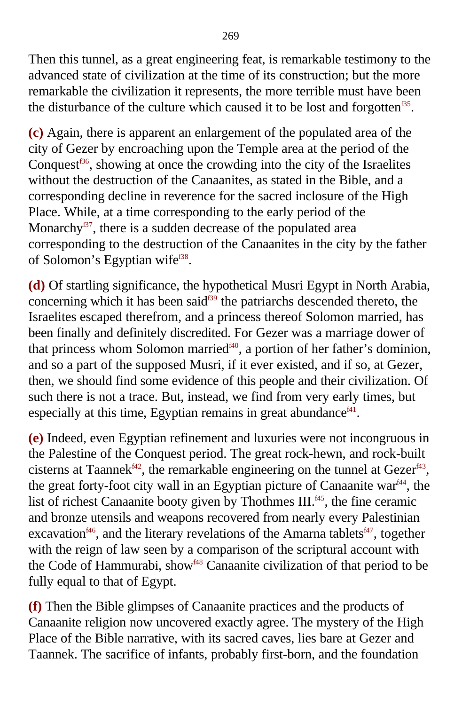Then this tunnel, as a great engineering feat, is remarkable testimony to the advanced state of civilization at the time of its construction; but the more remarkable the civilization it represents, the more terrible must have been the disturbance of the culture which caused it to be lost and forgotten $^{35}$ .

**(c)** Again, there is apparent an enlargement of the populated area of the city of Gezer by encroaching upon the Temple area at the period of the Conquest<sup> $36$ </sup>, showing at once the crowding into the city of the Israelites without the destruction of the Canaanites, as stated in the Bible, and a corresponding decline in reverence for the sacred inclosure of the High Place. While, at a time corresponding to the early period of the Monarchy $^{57}$ , there is a sudden decrease of the populated area corresponding to the destruction of the Canaanites in the city by the father of Solomon's Egyptian wife<sup>138</sup>.

**(d)** Of startling significance, the hypothetical Musri Egypt in North Arabia, concerning which it has been said<sup>139</sup> the patriarchs descended thereto, the Israelites escaped therefrom, and a princess thereof Solomon married, has been finally and definitely discredited. For Gezer was a marriage dower of that princess whom Solomon married<sup> $f40$ </sup>, a portion of her father's dominion, and so a part of the supposed Musri, if it ever existed, and if so, at Gezer, then, we should find some evidence of this people and their civilization. Of such there is not a trace. But, instead, we find from very early times, but especially at this time, Egyptian remains in great abundance<sup>f41</sup>.

**(e)** Indeed, even Egyptian refinement and luxuries were not incongruous in the Palestine of the Conquest period. The great rock-hewn, and rock-built cisterns at Taannek $^{442}$ , the remarkable engineering on the tunnel at Gezer $^{43}$ , the great forty-foot city wall in an Egyptian picture of Canaanite war $^{44}$ , the list of richest Canaanite booty given by Thothmes  $III.^{445}$ , the fine ceramic and bronze utensils and weapons recovered from nearly every Palestinian excavation<sup> $446$ </sup>, and the literary revelations of the Amarna tablets<sup> $447$ </sup>, together with the reign of law seen by a comparison of the scriptural account with the Code of Hammurabi, show<sup>148</sup> Canaanite civilization of that period to be fully equal to that of Egypt.

**(f)** Then the Bible glimpses of Canaanite practices and the products of Canaanite religion now uncovered exactly agree. The mystery of the High Place of the Bible narrative, with its sacred caves, lies bare at Gezer and Taannek. The sacrifice of infants, probably first-born, and the foundation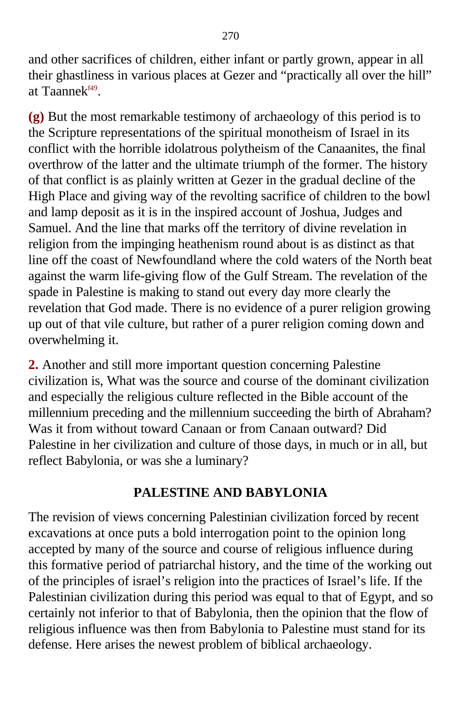and other sacrifices of children, either infant or partly grown, appear in all their ghastliness in various places at Gezer and "practically all over the hill" at Taannek<sup> $f49$ </sup>.

**(g)** But the most remarkable testimony of archaeology of this period is to the Scripture representations of the spiritual monotheism of Israel in its conflict with the horrible idolatrous polytheism of the Canaanites, the final overthrow of the latter and the ultimate triumph of the former. The history of that conflict is as plainly written at Gezer in the gradual decline of the High Place and giving way of the revolting sacrifice of children to the bowl and lamp deposit as it is in the inspired account of Joshua, Judges and Samuel. And the line that marks off the territory of divine revelation in religion from the impinging heathenism round about is as distinct as that line off the coast of Newfoundland where the cold waters of the North beat against the warm life-giving flow of the Gulf Stream. The revelation of the spade in Palestine is making to stand out every day more clearly the revelation that God made. There is no evidence of a purer religion growing up out of that vile culture, but rather of a purer religion coming down and overwhelming it.

**2.** Another and still more important question concerning Palestine civilization is, What was the source and course of the dominant civilization and especially the religious culture reflected in the Bible account of the millennium preceding and the millennium succeeding the birth of Abraham? Was it from without toward Canaan or from Canaan outward? Did Palestine in her civilization and culture of those days, in much or in all, but reflect Babylonia, or was she a luminary?

# **PALESTINE AND BABYLONIA**

The revision of views concerning Palestinian civilization forced by recent excavations at once puts a bold interrogation point to the opinion long accepted by many of the source and course of religious influence during this formative period of patriarchal history, and the time of the working out of the principles of israel's religion into the practices of Israel's life. If the Palestinian civilization during this period was equal to that of Egypt, and so certainly not inferior to that of Babylonia, then the opinion that the flow of religious influence was then from Babylonia to Palestine must stand for its defense. Here arises the newest problem of biblical archaeology.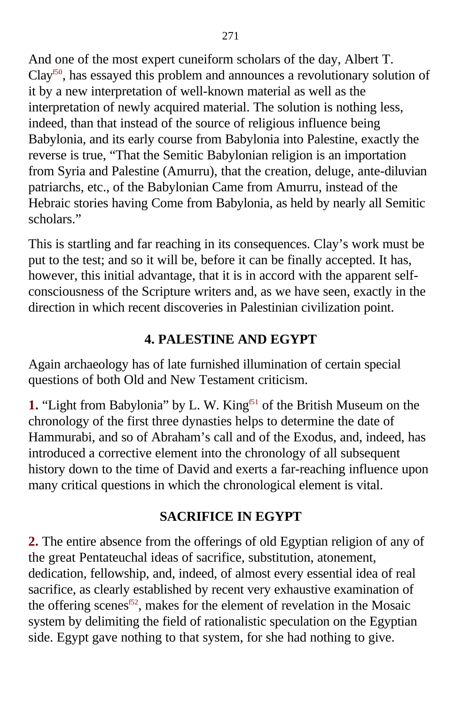And one of the most expert cuneiform scholars of the day, Albert T.  $Clay<sup>50</sup>$ , has essayed this problem and announces a revolutionary solution of it by a new interpretation of well-known material as well as the interpretation of newly acquired material. The solution is nothing less, indeed, than that instead of the source of religious influence being Babylonia, and its early course from Babylonia into Palestine, exactly the reverse is true, "That the Semitic Babylonian religion is an importation from Syria and Palestine (Amurru), that the creation, deluge, ante-diluvian patriarchs, etc., of the Babylonian Came from Amurru, instead of the Hebraic stories having Come from Babylonia, as held by nearly all Semitic scholars."

This is startling and far reaching in its consequences. Clay's work must be put to the test; and so it will be, before it can be finally accepted. It has, however, this initial advantage, that it is in accord with the apparent selfconsciousness of the Scripture writers and, as we have seen, exactly in the direction in which recent discoveries in Palestinian civilization point.

# **4. PALESTINE AND EGYPT**

Again archaeology has of late furnished illumination of certain special questions of both Old and New Testament criticism.

**1.** "Light from Babylonia" by L. W. King<sup>51</sup> of the British Museum on the chronology of the first three dynasties helps to determine the date of Hammurabi, and so of Abraham's call and of the Exodus, and, indeed, has introduced a corrective element into the chronology of all subsequent history down to the time of David and exerts a far-reaching influence upon many critical questions in which the chronological element is vital.

# **SACRIFICE IN EGYPT**

**2.** The entire absence from the offerings of old Egyptian religion of any of the great Pentateuchal ideas of sacrifice, substitution, atonement, dedication, fellowship, and, indeed, of almost every essential idea of real sacrifice, as clearly established by recent very exhaustive examination of the offering scenes<sup> $52$ </sup>, makes for the element of revelation in the Mosaic system by delimiting the field of rationalistic speculation on the Egyptian side. Egypt gave nothing to that system, for she had nothing to give.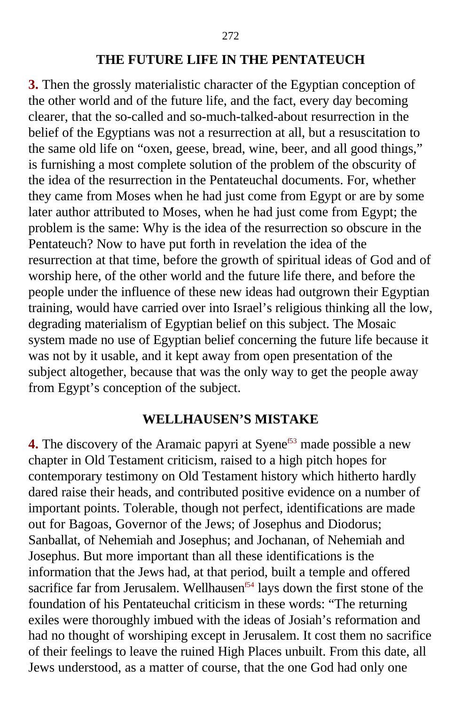**3.** Then the grossly materialistic character of the Egyptian conception of the other world and of the future life, and the fact, every day becoming clearer, that the so-called and so-much-talked-about resurrection in the belief of the Egyptians was not a resurrection at all, but a resuscitation to the same old life on "oxen, geese, bread, wine, beer, and all good things," is furnishing a most complete solution of the problem of the obscurity of the idea of the resurrection in the Pentateuchal documents. For, whether they came from Moses when he had just come from Egypt or are by some later author attributed to Moses, when he had just come from Egypt; the problem is the same: Why is the idea of the resurrection so obscure in the Pentateuch? Now to have put forth in revelation the idea of the resurrection at that time, before the growth of spiritual ideas of God and of worship here, of the other world and the future life there, and before the people under the influence of these new ideas had outgrown their Egyptian training, would have carried over into Israel's religious thinking all the low, degrading materialism of Egyptian belief on this subject. The Mosaic system made no use of Egyptian belief concerning the future life because it was not by it usable, and it kept away from open presentation of the subject altogether, because that was the only way to get the people away from Egypt's conception of the subject.

#### **WELLHAUSEN'S MISTAKE**

**4.** The discovery of the Aramaic papyri at Syene<sup>53</sup> made possible a new chapter in Old Testament criticism, raised to a high pitch hopes for contemporary testimony on Old Testament history which hitherto hardly dared raise their heads, and contributed positive evidence on a number of important points. Tolerable, though not perfect, identifications are made out for Bagoas, Governor of the Jews; of Josephus and Diodorus; Sanballat, of Nehemiah and Josephus; and Jochanan, of Nehemiah and Josephus. But more important than all these identifications is the information that the Jews had, at that period, built a temple and offered sacrifice far from Jerusalem. Wellhausen<sup>54</sup> lays down the first stone of the foundation of his Pentateuchal criticism in these words: "The returning exiles were thoroughly imbued with the ideas of Josiah's reformation and had no thought of worshiping except in Jerusalem. It cost them no sacrifice of their feelings to leave the ruined High Places unbuilt. From this date, all Jews understood, as a matter of course, that the one God had only one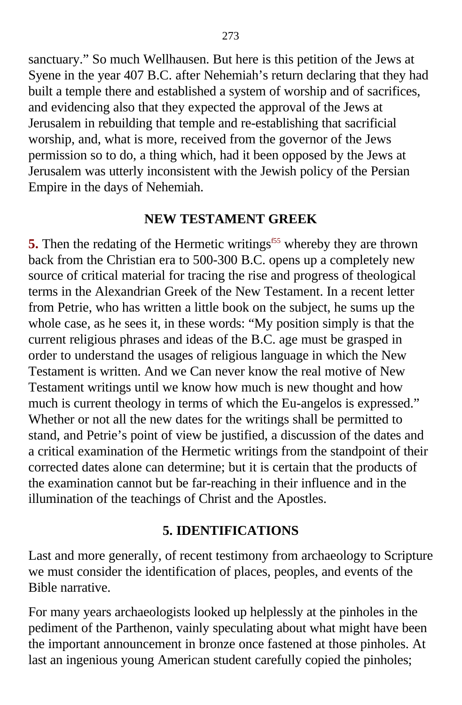sanctuary." So much Wellhausen. But here is this petition of the Jews at Syene in the year 407 B.C. after Nehemiah's return declaring that they had built a temple there and established a system of worship and of sacrifices, and evidencing also that they expected the approval of the Jews at Jerusalem in rebuilding that temple and re-establishing that sacrificial worship, and, what is more, received from the governor of the Jews permission so to do, a thing which, had it been opposed by the Jews at Jerusalem was utterly inconsistent with the Jewish policy of the Persian Empire in the days of Nehemiah.

#### **NEW TESTAMENT GREEK**

**5.** Then the redating of the Hermetic writings<sup> $55$ </sup> whereby they are thrown back from the Christian era to 500-300 B.C. opens up a completely new source of critical material for tracing the rise and progress of theological terms in the Alexandrian Greek of the New Testament. In a recent letter from Petrie, who has written a little book on the subject, he sums up the whole case, as he sees it, in these words: "My position simply is that the current religious phrases and ideas of the B.C. age must be grasped in order to understand the usages of religious language in which the New Testament is written. And we Can never know the real motive of New Testament writings until we know how much is new thought and how much is current theology in terms of which the Eu-angelos is expressed." Whether or not all the new dates for the writings shall be permitted to stand, and Petrie's point of view be justified, a discussion of the dates and a critical examination of the Hermetic writings from the standpoint of their corrected dates alone can determine; but it is certain that the products of the examination cannot but be far-reaching in their influence and in the illumination of the teachings of Christ and the Apostles.

#### **5. IDENTIFICATIONS**

Last and more generally, of recent testimony from archaeology to Scripture we must consider the identification of places, peoples, and events of the Bible narrative.

For many years archaeologists looked up helplessly at the pinholes in the pediment of the Parthenon, vainly speculating about what might have been the important announcement in bronze once fastened at those pinholes. At last an ingenious young American student carefully copied the pinholes;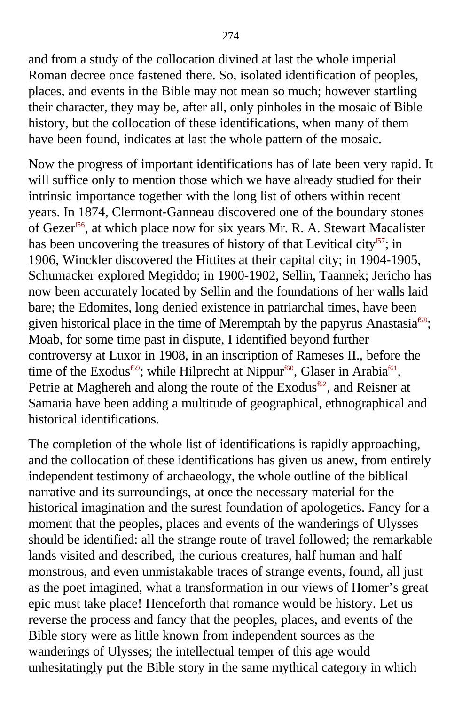and from a study of the collocation divined at last the whole imperial Roman decree once fastened there. So, isolated identification of peoples, places, and events in the Bible may not mean so much; however startling their character, they may be, after all, only pinholes in the mosaic of Bible history, but the collocation of these identifications, when many of them have been found, indicates at last the whole pattern of the mosaic.

Now the progress of important identifications has of late been very rapid. It will suffice only to mention those which we have already studied for their intrinsic importance together with the long list of others within recent years. In 1874, Clermont-Ganneau discovered one of the boundary stones of Gezer<sup>56</sup>, at which place now for six years Mr. R. A. Stewart Macalister has been uncovering the treasures of history of that Levitical city<sup>57</sup>; in 1906, Winckler discovered the Hittites at their capital city; in 1904-1905, Schumacker explored Megiddo; in 1900-1902, Sellin, Taannek; Jericho has now been accurately located by Sellin and the foundations of her walls laid bare; the Edomites, long denied existence in patriarchal times, have been given historical place in the time of Meremptah by the papyrus Anastasia<sup> $58$ </sup>; Moab, for some time past in dispute, I identified beyond further controversy at Luxor in 1908, in an inscription of Rameses II., before the time of the Exodus<sup>59</sup>; while Hilprecht at Nippur<sup>60</sup>, Glaser in Arabia<sup>661</sup>, Petrie at Maghereh and along the route of the Exodus<sup>662</sup>, and Reisner at Samaria have been adding a multitude of geographical, ethnographical and historical identifications.

The completion of the whole list of identifications is rapidly approaching, and the collocation of these identifications has given us anew, from entirely independent testimony of archaeology, the whole outline of the biblical narrative and its surroundings, at once the necessary material for the historical imagination and the surest foundation of apologetics. Fancy for a moment that the peoples, places and events of the wanderings of Ulysses should be identified: all the strange route of travel followed; the remarkable lands visited and described, the curious creatures, half human and half monstrous, and even unmistakable traces of strange events, found, all just as the poet imagined, what a transformation in our views of Homer's great epic must take place! Henceforth that romance would be history. Let us reverse the process and fancy that the peoples, places, and events of the Bible story were as little known from independent sources as the wanderings of Ulysses; the intellectual temper of this age would unhesitatingly put the Bible story in the same mythical category in which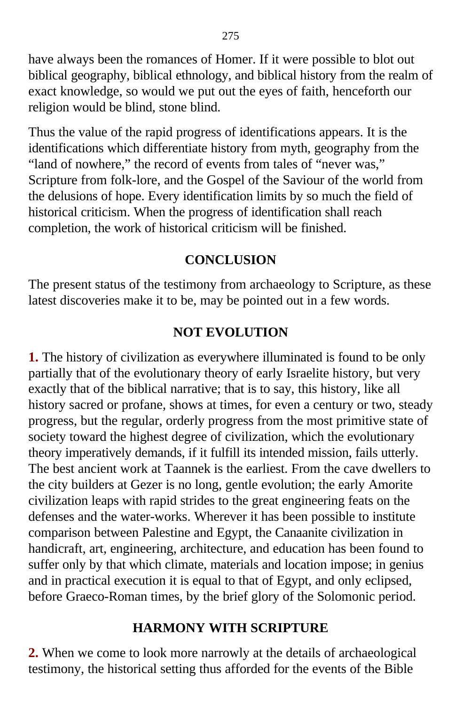have always been the romances of Homer. If it were possible to blot out biblical geography, biblical ethnology, and biblical history from the realm of exact knowledge, so would we put out the eyes of faith, henceforth our religion would be blind, stone blind.

Thus the value of the rapid progress of identifications appears. It is the identifications which differentiate history from myth, geography from the "land of nowhere," the record of events from tales of "never was," Scripture from folk-lore, and the Gospel of the Saviour of the world from the delusions of hope. Every identification limits by so much the field of historical criticism. When the progress of identification shall reach completion, the work of historical criticism will be finished.

#### **CONCLUSION**

The present status of the testimony from archaeology to Scripture, as these latest discoveries make it to be, may be pointed out in a few words.

#### **NOT EVOLUTION**

**1.** The history of civilization as everywhere illuminated is found to be only partially that of the evolutionary theory of early Israelite history, but very exactly that of the biblical narrative; that is to say, this history, like all history sacred or profane, shows at times, for even a century or two, steady progress, but the regular, orderly progress from the most primitive state of society toward the highest degree of civilization, which the evolutionary theory imperatively demands, if it fulfill its intended mission, fails utterly. The best ancient work at Taannek is the earliest. From the cave dwellers to the city builders at Gezer is no long, gentle evolution; the early Amorite civilization leaps with rapid strides to the great engineering feats on the defenses and the water-works. Wherever it has been possible to institute comparison between Palestine and Egypt, the Canaanite civilization in handicraft, art, engineering, architecture, and education has been found to suffer only by that which climate, materials and location impose; in genius and in practical execution it is equal to that of Egypt, and only eclipsed, before Graeco-Roman times, by the brief glory of the Solomonic period.

#### **HARMONY WITH SCRIPTURE**

**2.** When we come to look more narrowly at the details of archaeological testimony, the historical setting thus afforded for the events of the Bible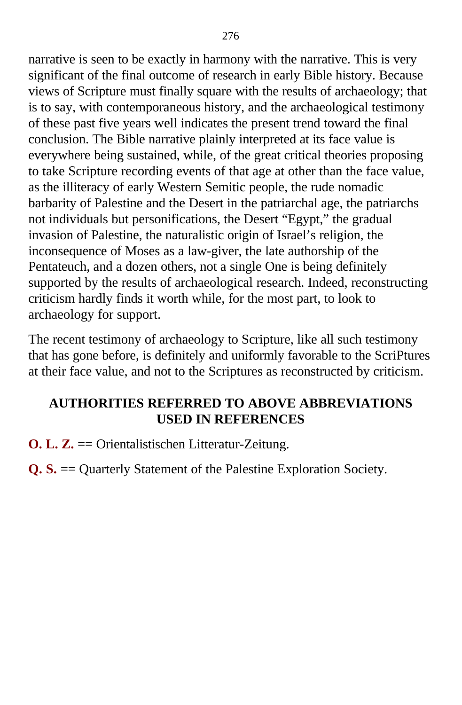narrative is seen to be exactly in harmony with the narrative. This is very significant of the final outcome of research in early Bible history. Because views of Scripture must finally square with the results of archaeology; that is to say, with contemporaneous history, and the archaeological testimony of these past five years well indicates the present trend toward the final conclusion. The Bible narrative plainly interpreted at its face value is everywhere being sustained, while, of the great critical theories proposing to take Scripture recording events of that age at other than the face value, as the illiteracy of early Western Semitic people, the rude nomadic barbarity of Palestine and the Desert in the patriarchal age, the patriarchs not individuals but personifications, the Desert "Egypt," the gradual invasion of Palestine, the naturalistic origin of Israel's religion, the inconsequence of Moses as a law-giver, the late authorship of the Pentateuch, and a dozen others, not a single One is being definitely supported by the results of archaeological research. Indeed, reconstructing criticism hardly finds it worth while, for the most part, to look to archaeology for support.

The recent testimony of archaeology to Scripture, like all such testimony that has gone before, is definitely and uniformly favorable to the ScriPtures at their face value, and not to the Scriptures as reconstructed by criticism.

# **AUTHORITIES REFERRED TO ABOVE ABBREVIATIONS USED IN REFERENCES**

- **O. L. Z.** == Orientalistischen Litteratur-Zeitung.
- **Q. S.** = Quarterly Statement of the Palestine Exploration Society.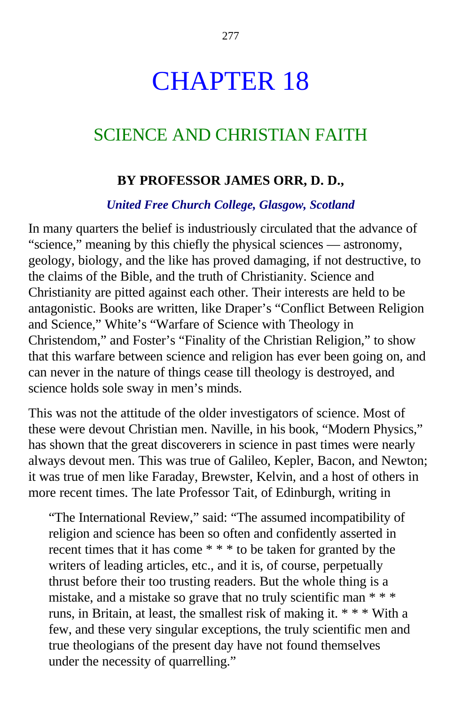# CHAPTER 18

# SCIENCE AND CHRISTIAN FAITH

#### **BY PROFESSOR JAMES ORR, D. D.,**

#### *United Free Church College, Glasgow, Scotland*

In many quarters the belief is industriously circulated that the advance of "science," meaning by this chiefly the physical sciences — astronomy, geology, biology, and the like has proved damaging, if not destructive, to the claims of the Bible, and the truth of Christianity. Science and Christianity are pitted against each other. Their interests are held to be antagonistic. Books are written, like Draper's "Conflict Between Religion and Science," White's "Warfare of Science with Theology in Christendom," and Foster's "Finality of the Christian Religion," to show that this warfare between science and religion has ever been going on, and can never in the nature of things cease till theology is destroyed, and science holds sole sway in men's minds.

This was not the attitude of the older investigators of science. Most of these were devout Christian men. Naville, in his book, "Modern Physics," has shown that the great discoverers in science in past times were nearly always devout men. This was true of Galileo, Kepler, Bacon, and Newton; it was true of men like Faraday, Brewster, Kelvin, and a host of others in more recent times. The late Professor Tait, of Edinburgh, writing in

"The International Review," said: "The assumed incompatibility of religion and science has been so often and confidently asserted in recent times that it has come \* \* \* to be taken for granted by the writers of leading articles, etc., and it is, of course, perpetually thrust before their too trusting readers. But the whole thing is a mistake, and a mistake so grave that no truly scientific man \* \* \* runs, in Britain, at least, the smallest risk of making it. \* \* \* With a few, and these very singular exceptions, the truly scientific men and true theologians of the present day have not found themselves under the necessity of quarrelling."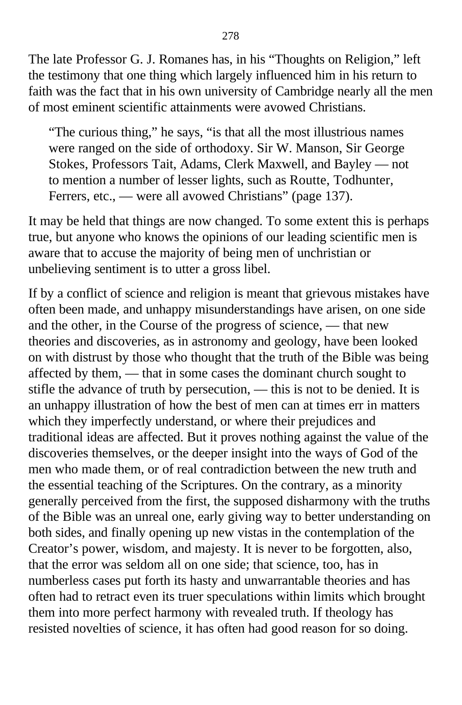The late Professor G. J. Romanes has, in his "Thoughts on Religion," left the testimony that one thing which largely influenced him in his return to faith was the fact that in his own university of Cambridge nearly all the men of most eminent scientific attainments were avowed Christians.

"The curious thing," he says, "is that all the most illustrious names were ranged on the side of orthodoxy. Sir W. Manson, Sir George Stokes, Professors Tait, Adams, Clerk Maxwell, and Bayley — not to mention a number of lesser lights, such as Routte, Todhunter, Ferrers, etc., — were all avowed Christians" (page 137).

It may be held that things are now changed. To some extent this is perhaps true, but anyone who knows the opinions of our leading scientific men is aware that to accuse the majority of being men of unchristian or unbelieving sentiment is to utter a gross libel.

If by a conflict of science and religion is meant that grievous mistakes have often been made, and unhappy misunderstandings have arisen, on one side and the other, in the Course of the progress of science, — that new theories and discoveries, as in astronomy and geology, have been looked on with distrust by those who thought that the truth of the Bible was being affected by them, — that in some cases the dominant church sought to stifle the advance of truth by persecution, — this is not to be denied. It is an unhappy illustration of how the best of men can at times err in matters which they imperfectly understand, or where their prejudices and traditional ideas are affected. But it proves nothing against the value of the discoveries themselves, or the deeper insight into the ways of God of the men who made them, or of real contradiction between the new truth and the essential teaching of the Scriptures. On the contrary, as a minority generally perceived from the first, the supposed disharmony with the truths of the Bible was an unreal one, early giving way to better understanding on both sides, and finally opening up new vistas in the contemplation of the Creator's power, wisdom, and majesty. It is never to be forgotten, also, that the error was seldom all on one side; that science, too, has in numberless cases put forth its hasty and unwarrantable theories and has often had to retract even its truer speculations within limits which brought them into more perfect harmony with revealed truth. If theology has resisted novelties of science, it has often had good reason for so doing.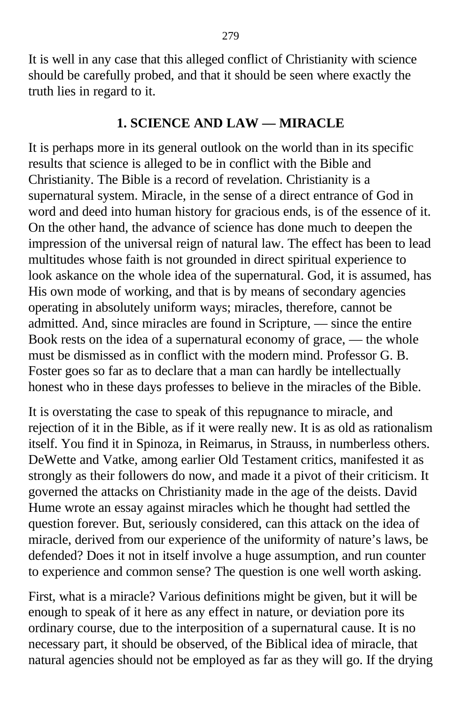It is well in any case that this alleged conflict of Christianity with science should be carefully probed, and that it should be seen where exactly the truth lies in regard to it.

### **1. SCIENCE AND LAW — MIRACLE**

It is perhaps more in its general outlook on the world than in its specific results that science is alleged to be in conflict with the Bible and Christianity. The Bible is a record of revelation. Christianity is a supernatural system. Miracle, in the sense of a direct entrance of God in word and deed into human history for gracious ends, is of the essence of it. On the other hand, the advance of science has done much to deepen the impression of the universal reign of natural law. The effect has been to lead multitudes whose faith is not grounded in direct spiritual experience to look askance on the whole idea of the supernatural. God, it is assumed, has His own mode of working, and that is by means of secondary agencies operating in absolutely uniform ways; miracles, therefore, cannot be admitted. And, since miracles are found in Scripture, — since the entire Book rests on the idea of a supernatural economy of grace, — the whole must be dismissed as in conflict with the modern mind. Professor G. B. Foster goes so far as to declare that a man can hardly be intellectually honest who in these days professes to believe in the miracles of the Bible.

It is overstating the case to speak of this repugnance to miracle, and rejection of it in the Bible, as if it were really new. It is as old as rationalism itself. You find it in Spinoza, in Reimarus, in Strauss, in numberless others. DeWette and Vatke, among earlier Old Testament critics, manifested it as strongly as their followers do now, and made it a pivot of their criticism. It governed the attacks on Christianity made in the age of the deists. David Hume wrote an essay against miracles which he thought had settled the question forever. But, seriously considered, can this attack on the idea of miracle, derived from our experience of the uniformity of nature's laws, be defended? Does it not in itself involve a huge assumption, and run counter to experience and common sense? The question is one well worth asking.

First, what is a miracle? Various definitions might be given, but it will be enough to speak of it here as any effect in nature, or deviation pore its ordinary course, due to the interposition of a supernatural cause. It is no necessary part, it should be observed, of the Biblical idea of miracle, that natural agencies should not be employed as far as they will go. If the drying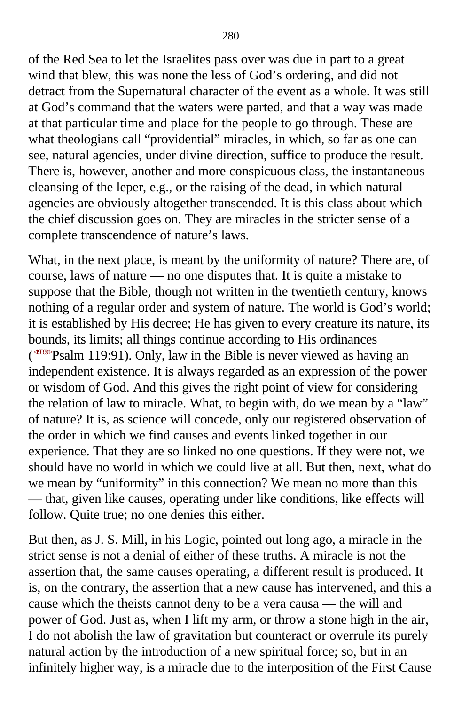of the Red Sea to let the Israelites pass over was due in part to a great wind that blew, this was none the less of God's ordering, and did not

detract from the Supernatural character of the event as a whole. It was still at God's command that the waters were parted, and that a way was made at that particular time and place for the people to go through. These are what theologians call "providential" miracles, in which, so far as one can see, natural agencies, under divine direction, suffice to produce the result. There is, however, another and more conspicuous class, the instantaneous cleansing of the leper, e.g., or the raising of the dead, in which natural agencies are obviously altogether transcended. It is this class about which the chief discussion goes on. They are miracles in the stricter sense of a complete transcendence of nature's laws.

What, in the next place, is meant by the uniformity of nature? There are, of course, laws of nature — no one disputes that. It is quite a mistake to suppose that the Bible, though not written in the twentieth century, knows nothing of a regular order and system of nature. The world is God's world; it is established by His decree; He has given to every creature its nature, its bounds, its limits; all things continue according to His ordinances  $(\sqrt{1999}P_{\text{Salm}} 119.91)$ . Only, law in the Bible is never viewed as having an independent existence. It is always regarded as an expression of the power or wisdom of God. And this gives the right point of view for considering the relation of law to miracle. What, to begin with, do we mean by a "law" of nature? It is, as science will concede, only our registered observation of the order in which we find causes and events linked together in our experience. That they are so linked no one questions. If they were not, we should have no world in which we could live at all. But then, next, what do we mean by "uniformity" in this connection? We mean no more than this — that, given like causes, operating under like conditions, like effects will follow. Quite true; no one denies this either.

But then, as J. S. Mill, in his Logic, pointed out long ago, a miracle in the strict sense is not a denial of either of these truths. A miracle is not the assertion that, the same causes operating, a different result is produced. It is, on the contrary, the assertion that a new cause has intervened, and this a cause which the theists cannot deny to be a vera causa — the will and power of God. Just as, when I lift my arm, or throw a stone high in the air, I do not abolish the law of gravitation but counteract or overrule its purely natural action by the introduction of a new spiritual force; so, but in an infinitely higher way, is a miracle due to the interposition of the First Cause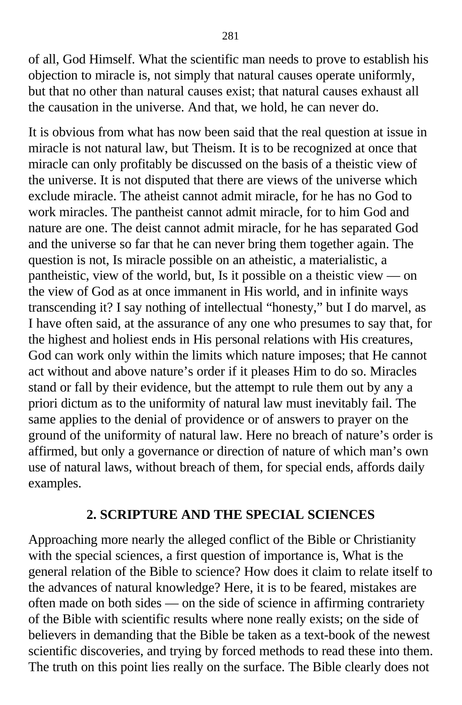of all, God Himself. What the scientific man needs to prove to establish his objection to miracle is, not simply that natural causes operate uniformly, but that no other than natural causes exist; that natural causes exhaust all the causation in the universe. And that, we hold, he can never do.

It is obvious from what has now been said that the real question at issue in miracle is not natural law, but Theism. It is to be recognized at once that miracle can only profitably be discussed on the basis of a theistic view of the universe. It is not disputed that there are views of the universe which exclude miracle. The atheist cannot admit miracle, for he has no God to work miracles. The pantheist cannot admit miracle, for to him God and nature are one. The deist cannot admit miracle, for he has separated God and the universe so far that he can never bring them together again. The question is not, Is miracle possible on an atheistic, a materialistic, a pantheistic, view of the world, but, Is it possible on a theistic view — on the view of God as at once immanent in His world, and in infinite ways transcending it? I say nothing of intellectual "honesty," but I do marvel, as I have often said, at the assurance of any one who presumes to say that, for the highest and holiest ends in His personal relations with His creatures, God can work only within the limits which nature imposes; that He cannot act without and above nature's order if it pleases Him to do so. Miracles stand or fall by their evidence, but the attempt to rule them out by any a priori dictum as to the uniformity of natural law must inevitably fail. The same applies to the denial of providence or of answers to prayer on the ground of the uniformity of natural law. Here no breach of nature's order is affirmed, but only a governance or direction of nature of which man's own use of natural laws, without breach of them, for special ends, affords daily examples.

## **2. SCRIPTURE AND THE SPECIAL SCIENCES**

Approaching more nearly the alleged conflict of the Bible or Christianity with the special sciences, a first question of importance is, What is the general relation of the Bible to science? How does it claim to relate itself to the advances of natural knowledge? Here, it is to be feared, mistakes are often made on both sides — on the side of science in affirming contrariety of the Bible with scientific results where none really exists; on the side of believers in demanding that the Bible be taken as a text-book of the newest scientific discoveries, and trying by forced methods to read these into them. The truth on this point lies really on the surface. The Bible clearly does not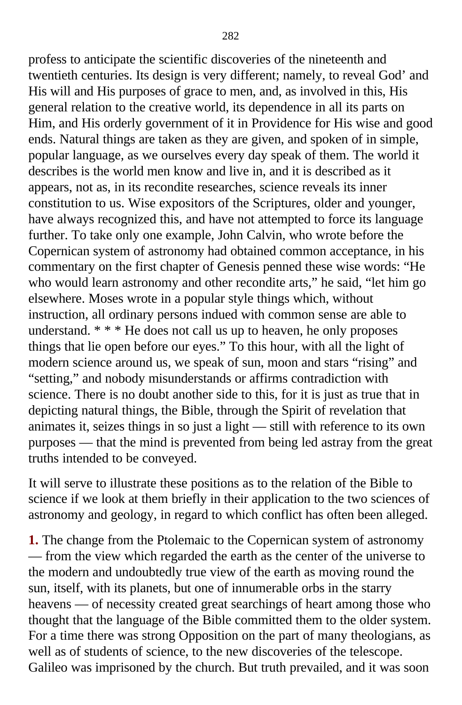profess to anticipate the scientific discoveries of the nineteenth and twentieth centuries. Its design is very different; namely, to reveal God' and His will and His purposes of grace to men, and, as involved in this, His general relation to the creative world, its dependence in all its parts on Him, and His orderly government of it in Providence for His wise and good ends. Natural things are taken as they are given, and spoken of in simple, popular language, as we ourselves every day speak of them. The world it describes is the world men know and live in, and it is described as it appears, not as, in its recondite researches, science reveals its inner constitution to us. Wise expositors of the Scriptures, older and younger, have always recognized this, and have not attempted to force its language further. To take only one example, John Calvin, who wrote before the Copernican system of astronomy had obtained common acceptance, in his commentary on the first chapter of Genesis penned these wise words: "He who would learn astronomy and other recondite arts," he said, "let him go elsewhere. Moses wrote in a popular style things which, without instruction, all ordinary persons indued with common sense are able to understand. \* \* \* He does not call us up to heaven, he only proposes things that lie open before our eyes." To this hour, with all the light of modern science around us, we speak of sun, moon and stars "rising" and "setting," and nobody misunderstands or affirms contradiction with science. There is no doubt another side to this, for it is just as true that in depicting natural things, the Bible, through the Spirit of revelation that animates it, seizes things in so just a light — still with reference to its own purposes — that the mind is prevented from being led astray from the great truths intended to be conveyed.

It will serve to illustrate these positions as to the relation of the Bible to science if we look at them briefly in their application to the two sciences of astronomy and geology, in regard to which conflict has often been alleged.

**1.** The change from the Ptolemaic to the Copernican system of astronomy — from the view which regarded the earth as the center of the universe to the modern and undoubtedly true view of the earth as moving round the sun, itself, with its planets, but one of innumerable orbs in the starry heavens — of necessity created great searchings of heart among those who thought that the language of the Bible committed them to the older system. For a time there was strong Opposition on the part of many theologians, as well as of students of science, to the new discoveries of the telescope. Galileo was imprisoned by the church. But truth prevailed, and it was soon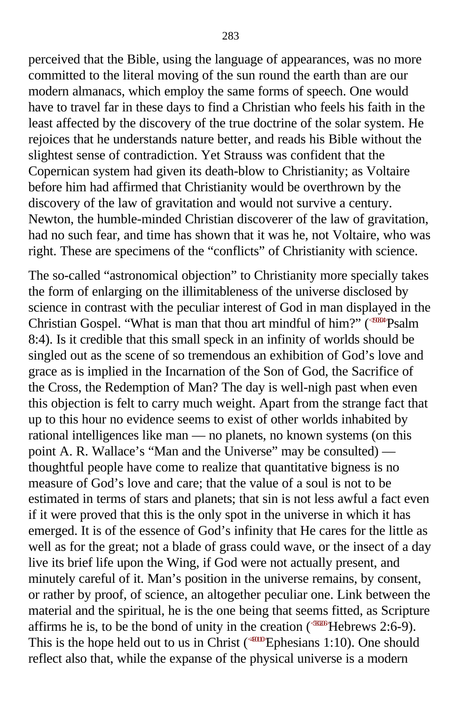283

perceived that the Bible, using the language of appearances, was no more committed to the literal moving of the sun round the earth than are our modern almanacs, which employ the same forms of speech. One would have to travel far in these days to find a Christian who feels his faith in the least affected by the discovery of the true doctrine of the solar system. He rejoices that he understands nature better, and reads his Bible without the slightest sense of contradiction. Yet Strauss was confident that the Copernican system had given its death-blow to Christianity; as Voltaire before him had affirmed that Christianity would be overthrown by the discovery of the law of gravitation and would not survive a century. Newton, the humble-minded Christian discoverer of the law of gravitation, had no such fear, and time has shown that it was he, not Voltaire, who was right. These are specimens of the "conflicts" of Christianity with science.

The so-called "astronomical objection" to Christianity more specially takes the form of enlarging on the illimitableness of the universe disclosed by science in contrast with the peculiar interest of God in man displayed in the Christian Gospel. "What is man that thou art mindful of him?" ( $49804$ Psalm 8:4). Is it credible that this small speck in an infinity of worlds should be singled out as the scene of so tremendous an exhibition of God's love and grace as is implied in the Incarnation of the Son of God, the Sacrifice of the Cross, the Redemption of Man? The day is well-nigh past when even this objection is felt to carry much weight. Apart from the strange fact that up to this hour no evidence seems to exist of other worlds inhabited by rational intelligences like man — no planets, no known systems (on this point A. R. Wallace's "Man and the Universe" may be consulted) thoughtful people have come to realize that quantitative bigness is no measure of God's love and care; that the value of a soul is not to be estimated in terms of stars and planets; that sin is not less awful a fact even if it were proved that this is the only spot in the universe in which it has emerged. It is of the essence of God's infinity that He cares for the little as well as for the great; not a blade of grass could wave, or the insect of a day live its brief life upon the Wing, if God were not actually present, and minutely careful of it. Man's position in the universe remains, by consent, or rather by proof, of science, an altogether peculiar one. Link between the material and the spiritual, he is the one being that seems fitted, as Scripture affirms he is, to be the bond of unity in the creation  $($ <sup> $\alpha$ 026</sup>Hebrews 2:6-9). This is the hope held out to us in Christ ( $\text{WID}$ Ephesians 1:10). One should reflect also that, while the expanse of the physical universe is a modern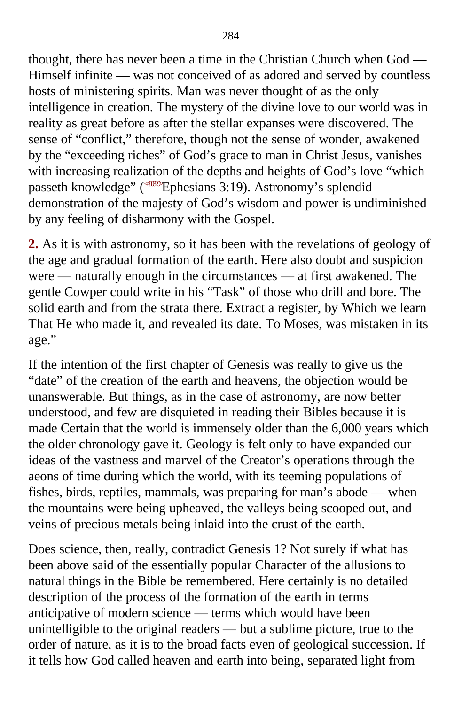284

thought, there has never been a time in the Christian Church when God — Himself infinite — was not conceived of as adored and served by countless hosts of ministering spirits. Man was never thought of as the only intelligence in creation. The mystery of the divine love to our world was in reality as great before as after the stellar expanses were discovered. The sense of "conflict," therefore, though not the sense of wonder, awakened by the "exceeding riches" of God's grace to man in Christ Jesus, vanishes with increasing realization of the depths and heights of God's love "which passeth knowledge" (<sup>4089</sup>Ephesians 3:19). Astronomy's splendid demonstration of the majesty of God's wisdom and power is undiminished by any feeling of disharmony with the Gospel.

**2.** As it is with astronomy, so it has been with the revelations of geology of the age and gradual formation of the earth. Here also doubt and suspicion were — naturally enough in the circumstances — at first awakened. The gentle Cowper could write in his "Task" of those who drill and bore. The solid earth and from the strata there. Extract a register, by Which we learn That He who made it, and revealed its date. To Moses, was mistaken in its age."

If the intention of the first chapter of Genesis was really to give us the "date" of the creation of the earth and heavens, the objection would be unanswerable. But things, as in the case of astronomy, are now better understood, and few are disquieted in reading their Bibles because it is made Certain that the world is immensely older than the 6,000 years which the older chronology gave it. Geology is felt only to have expanded our ideas of the vastness and marvel of the Creator's operations through the aeons of time during which the world, with its teeming populations of fishes, birds, reptiles, mammals, was preparing for man's abode — when the mountains were being upheaved, the valleys being scooped out, and veins of precious metals being inlaid into the crust of the earth.

Does science, then, really, contradict Genesis 1? Not surely if what has been above said of the essentially popular Character of the allusions to natural things in the Bible be remembered. Here certainly is no detailed description of the process of the formation of the earth in terms anticipative of modern science — terms which would have been unintelligible to the original readers — but a sublime picture, true to the order of nature, as it is to the broad facts even of geological succession. If it tells how God called heaven and earth into being, separated light from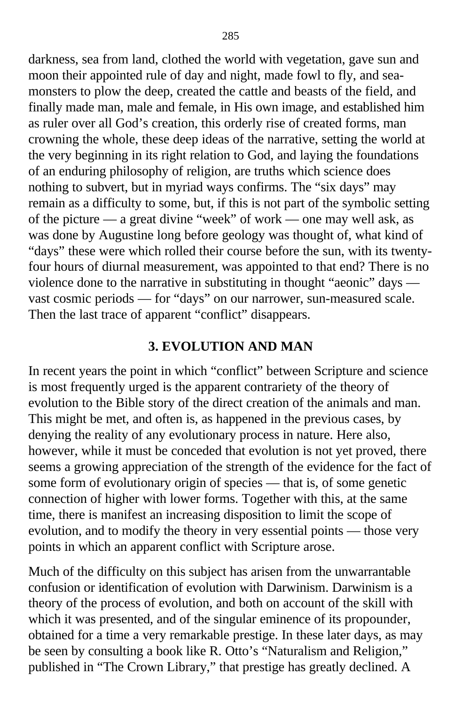darkness, sea from land, clothed the world with vegetation, gave sun and moon their appointed rule of day and night, made fowl to fly, and seamonsters to plow the deep, created the cattle and beasts of the field, and finally made man, male and female, in His own image, and established him as ruler over all God's creation, this orderly rise of created forms, man crowning the whole, these deep ideas of the narrative, setting the world at the very beginning in its right relation to God, and laying the foundations of an enduring philosophy of religion, are truths which science does nothing to subvert, but in myriad ways confirms. The "six days" may remain as a difficulty to some, but, if this is not part of the symbolic setting of the picture — a great divine "week" of work — one may well ask, as was done by Augustine long before geology was thought of, what kind of "days" these were which rolled their course before the sun, with its twentyfour hours of diurnal measurement, was appointed to that end? There is no violence done to the narrative in substituting in thought "aeonic" days vast cosmic periods — for "days" on our narrower, sun-measured scale. Then the last trace of apparent "conflict" disappears.

## **3. EVOLUTION AND MAN**

In recent years the point in which "conflict" between Scripture and science is most frequently urged is the apparent contrariety of the theory of evolution to the Bible story of the direct creation of the animals and man. This might be met, and often is, as happened in the previous cases, by denying the reality of any evolutionary process in nature. Here also, however, while it must be conceded that evolution is not yet proved, there seems a growing appreciation of the strength of the evidence for the fact of some form of evolutionary origin of species — that is, of some genetic connection of higher with lower forms. Together with this, at the same time, there is manifest an increasing disposition to limit the scope of evolution, and to modify the theory in very essential points — those very points in which an apparent conflict with Scripture arose.

Much of the difficulty on this subject has arisen from the unwarrantable confusion or identification of evolution with Darwinism. Darwinism is a theory of the process of evolution, and both on account of the skill with which it was presented, and of the singular eminence of its propounder, obtained for a time a very remarkable prestige. In these later days, as may be seen by consulting a book like R. Otto's "Naturalism and Religion," published in "The Crown Library," that prestige has greatly declined. A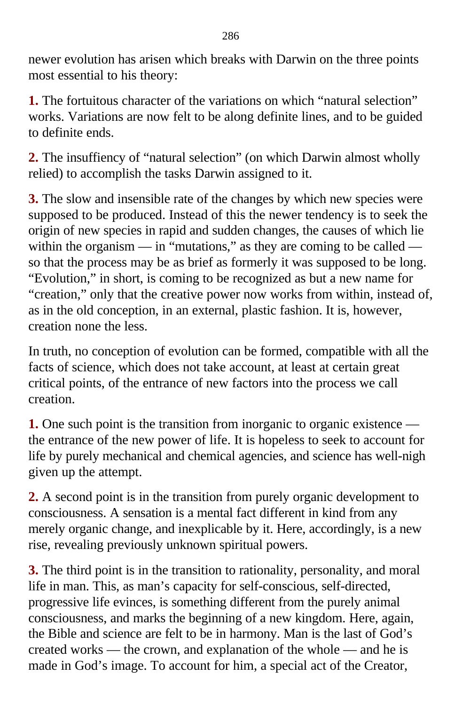newer evolution has arisen which breaks with Darwin on the three points most essential to his theory:

**1.** The fortuitous character of the variations on which "natural selection" works. Variations are now felt to be along definite lines, and to be guided to definite ends.

**2.** The insuffiency of "natural selection" (on which Darwin almost wholly relied) to accomplish the tasks Darwin assigned to it.

**3.** The slow and insensible rate of the changes by which new species were supposed to be produced. Instead of this the newer tendency is to seek the origin of new species in rapid and sudden changes, the causes of which lie within the organism — in "mutations," as they are coming to be called so that the process may be as brief as formerly it was supposed to be long. "Evolution," in short, is coming to be recognized as but a new name for "creation," only that the creative power now works from within, instead of, as in the old conception, in an external, plastic fashion. It is, however, creation none the less.

In truth, no conception of evolution can be formed, compatible with all the facts of science, which does not take account, at least at certain great critical points, of the entrance of new factors into the process we call creation.

**1.** One such point is the transition from inorganic to organic existence the entrance of the new power of life. It is hopeless to seek to account for life by purely mechanical and chemical agencies, and science has well-nigh given up the attempt.

**2.** A second point is in the transition from purely organic development to consciousness. A sensation is a mental fact different in kind from any merely organic change, and inexplicable by it. Here, accordingly, is a new rise, revealing previously unknown spiritual powers.

**3.** The third point is in the transition to rationality, personality, and moral life in man. This, as man's capacity for self-conscious, self-directed, progressive life evinces, is something different from the purely animal consciousness, and marks the beginning of a new kingdom. Here, again, the Bible and science are felt to be in harmony. Man is the last of God's created works — the crown, and explanation of the whole — and he is made in God's image. To account for him, a special act of the Creator,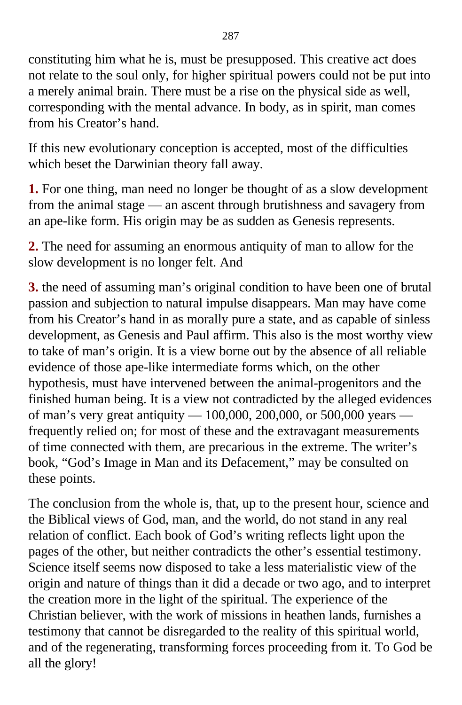constituting him what he is, must be presupposed. This creative act does not relate to the soul only, for higher spiritual powers could not be put into a merely animal brain. There must be a rise on the physical side as well, corresponding with the mental advance. In body, as in spirit, man comes from his Creator's hand.

If this new evolutionary conception is accepted, most of the difficulties which beset the Darwinian theory fall away.

**1.** For one thing, man need no longer be thought of as a slow development from the animal stage — an ascent through brutishness and savagery from an ape-like form. His origin may be as sudden as Genesis represents.

**2.** The need for assuming an enormous antiquity of man to allow for the slow development is no longer felt. And

**3.** the need of assuming man's original condition to have been one of brutal passion and subjection to natural impulse disappears. Man may have come from his Creator's hand in as morally pure a state, and as capable of sinless development, as Genesis and Paul affirm. This also is the most worthy view to take of man's origin. It is a view borne out by the absence of all reliable evidence of those ape-like intermediate forms which, on the other hypothesis, must have intervened between the animal-progenitors and the finished human being. It is a view not contradicted by the alleged evidences of man's very great antiquity — 100,000, 200,000, or 500,000 years frequently relied on; for most of these and the extravagant measurements of time connected with them, are precarious in the extreme. The writer's book, "God's Image in Man and its Defacement," may be consulted on these points.

The conclusion from the whole is, that, up to the present hour, science and the Biblical views of God, man, and the world, do not stand in any real relation of conflict. Each book of God's writing reflects light upon the pages of the other, but neither contradicts the other's essential testimony. Science itself seems now disposed to take a less materialistic view of the origin and nature of things than it did a decade or two ago, and to interpret the creation more in the light of the spiritual. The experience of the Christian believer, with the work of missions in heathen lands, furnishes a testimony that cannot be disregarded to the reality of this spiritual world, and of the regenerating, transforming forces proceeding from it. To God be all the glory!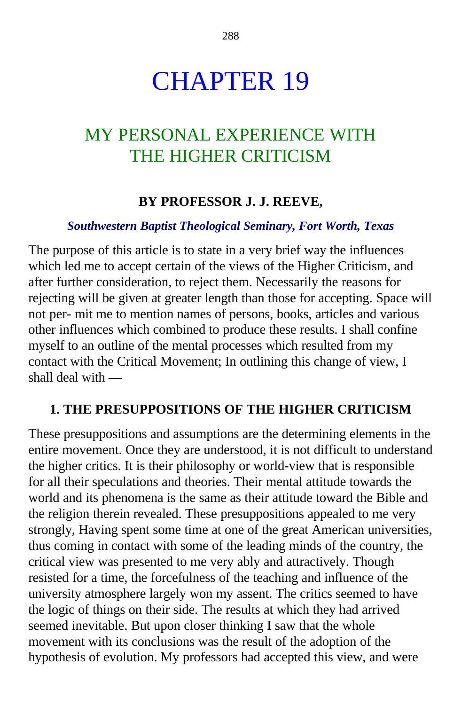# CHAPTER 19

# MY PERSONAL EXPERIENCE WITH THE HIGHER CRITICISM

#### **BY PROFESSOR J. J. REEVE,**

#### *Southwestern Baptist Theological Seminary, Fort Worth, Texas*

The purpose of this article is to state in a very brief way the influences which led me to accept certain of the views of the Higher Criticism, and after further consideration, to reject them. Necessarily the reasons for rejecting will be given at greater length than those for accepting. Space will not per- mit me to mention names of persons, books, articles and various other influences which combined to produce these results. I shall confine myself to an outline of the mental processes which resulted from my contact with the Critical Movement; In outlining this change of view, I shall deal with —

#### **1. THE PRESUPPOSITIONS OF THE HIGHER CRITICISM**

These presuppositions and assumptions are the determining elements in the entire movement. Once they are understood, it is not difficult to understand the higher critics. It is their philosophy or world-view that is responsible for all their speculations and theories. Their mental attitude towards the world and its phenomena is the same as their attitude toward the Bible and the religion therein revealed. These presuppositions appealed to me very strongly, Having spent some time at one of the great American universities, thus coming in contact with some of the leading minds of the country, the critical view was presented to me very ably and attractively. Though resisted for a time, the forcefulness of the teaching and influence of the university atmosphere largely won my assent. The critics seemed to have the logic of things on their side. The results at which they had arrived seemed inevitable. But upon closer thinking I saw that the whole movement with its conclusions was the result of the adoption of the hypothesis of evolution. My professors had accepted this view, and were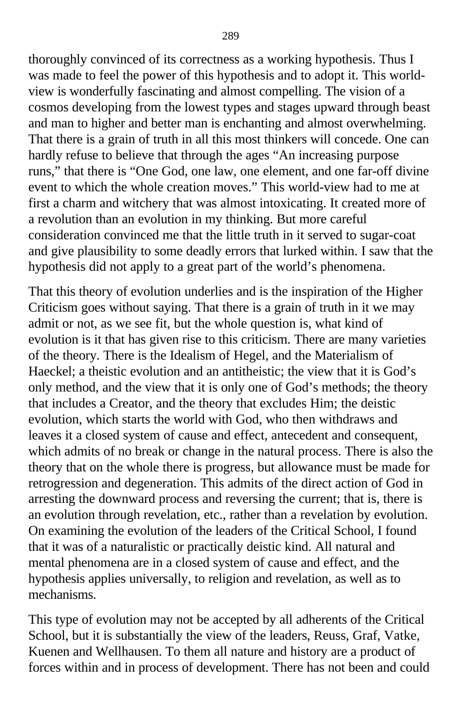thoroughly convinced of its correctness as a working hypothesis. Thus I was made to feel the power of this hypothesis and to adopt it. This worldview is wonderfully fascinating and almost compelling. The vision of a cosmos developing from the lowest types and stages upward through beast and man to higher and better man is enchanting and almost overwhelming. That there is a grain of truth in all this most thinkers will concede. One can hardly refuse to believe that through the ages "An increasing purpose runs," that there is "One God, one law, one element, and one far-off divine event to which the whole creation moves." This world-view had to me at first a charm and witchery that was almost intoxicating. It created more of a revolution than an evolution in my thinking. But more careful consideration convinced me that the little truth in it served to sugar-coat and give plausibility to some deadly errors that lurked within. I saw that the hypothesis did not apply to a great part of the world's phenomena.

That this theory of evolution underlies and is the inspiration of the Higher Criticism goes without saying. That there is a grain of truth in it we may admit or not, as we see fit, but the whole question is, what kind of evolution is it that has given rise to this criticism. There are many varieties of the theory. There is the Idealism of Hegel, and the Materialism of Haeckel; a theistic evolution and an antitheistic; the view that it is God's only method, and the view that it is only one of God's methods; the theory that includes a Creator, and the theory that excludes Him; the deistic evolution, which starts the world with God, who then withdraws and leaves it a closed system of cause and effect, antecedent and consequent, which admits of no break or change in the natural process. There is also the theory that on the whole there is progress, but allowance must be made for retrogression and degeneration. This admits of the direct action of God in arresting the downward process and reversing the current; that is, there is an evolution through revelation, etc., rather than a revelation by evolution. On examining the evolution of the leaders of the Critical School, I found that it was of a naturalistic or practically deistic kind. All natural and mental phenomena are in a closed system of cause and effect, and the hypothesis applies universally, to religion and revelation, as well as to mechanisms.

This type of evolution may not be accepted by all adherents of the Critical School, but it is substantially the view of the leaders, Reuss, Graf, Vatke, Kuenen and Wellhausen. To them all nature and history are a product of forces within and in process of development. There has not been and could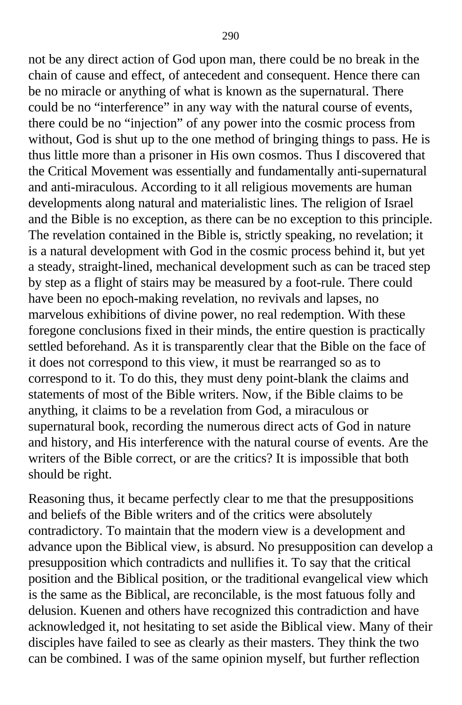not be any direct action of God upon man, there could be no break in the chain of cause and effect, of antecedent and consequent. Hence there can be no miracle or anything of what is known as the supernatural. There could be no "interference" in any way with the natural course of events, there could be no "injection" of any power into the cosmic process from without, God is shut up to the one method of bringing things to pass. He is thus little more than a prisoner in His own cosmos. Thus I discovered that the Critical Movement was essentially and fundamentally anti-supernatural and anti-miraculous. According to it all religious movements are human developments along natural and materialistic lines. The religion of Israel and the Bible is no exception, as there can be no exception to this principle. The revelation contained in the Bible is, strictly speaking, no revelation; it is a natural development with God in the cosmic process behind it, but yet a steady, straight-lined, mechanical development such as can be traced step by step as a flight of stairs may be measured by a foot-rule. There could have been no epoch-making revelation, no revivals and lapses, no marvelous exhibitions of divine power, no real redemption. With these foregone conclusions fixed in their minds, the entire question is practically settled beforehand. As it is transparently clear that the Bible on the face of it does not correspond to this view, it must be rearranged so as to correspond to it. To do this, they must deny point-blank the claims and statements of most of the Bible writers. Now, if the Bible claims to be anything, it claims to be a revelation from God, a miraculous or supernatural book, recording the numerous direct acts of God in nature and history, and His interference with the natural course of events. Are the writers of the Bible correct, or are the critics? It is impossible that both should be right.

Reasoning thus, it became perfectly clear to me that the presuppositions and beliefs of the Bible writers and of the critics were absolutely contradictory. To maintain that the modern view is a development and advance upon the Biblical view, is absurd. No presupposition can develop a presupposition which contradicts and nullifies it. To say that the critical position and the Biblical position, or the traditional evangelical view which is the same as the Biblical, are reconcilable, is the most fatuous folly and delusion. Kuenen and others have recognized this contradiction and have acknowledged it, not hesitating to set aside the Biblical view. Many of their disciples have failed to see as clearly as their masters. They think the two can be combined. I was of the same opinion myself, but further reflection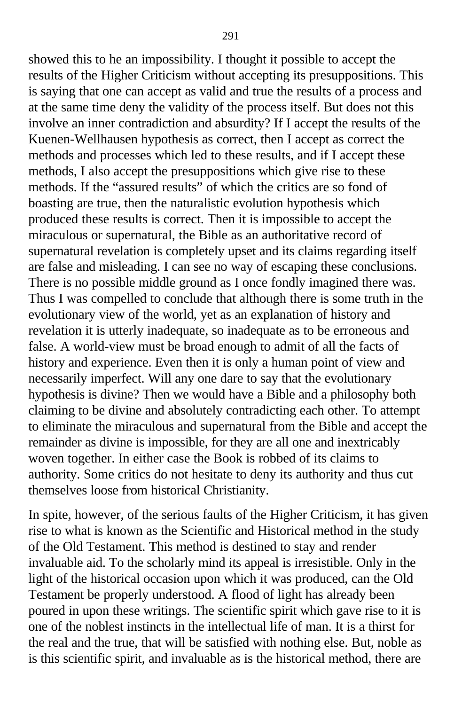showed this to he an impossibility. I thought it possible to accept the results of the Higher Criticism without accepting its presuppositions. This is saying that one can accept as valid and true the results of a process and at the same time deny the validity of the process itself. But does not this involve an inner contradiction and absurdity? If I accept the results of the Kuenen-Wellhausen hypothesis as correct, then I accept as correct the methods and processes which led to these results, and if I accept these methods, I also accept the presuppositions which give rise to these methods. If the "assured results" of which the critics are so fond of boasting are true, then the naturalistic evolution hypothesis which produced these results is correct. Then it is impossible to accept the miraculous or supernatural, the Bible as an authoritative record of supernatural revelation is completely upset and its claims regarding itself are false and misleading. I can see no way of escaping these conclusions. There is no possible middle ground as I once fondly imagined there was. Thus I was compelled to conclude that although there is some truth in the evolutionary view of the world, yet as an explanation of history and revelation it is utterly inadequate, so inadequate as to be erroneous and false. A world-view must be broad enough to admit of all the facts of history and experience. Even then it is only a human point of view and necessarily imperfect. Will any one dare to say that the evolutionary hypothesis is divine? Then we would have a Bible and a philosophy both claiming to be divine and absolutely contradicting each other. To attempt to eliminate the miraculous and supernatural from the Bible and accept the remainder as divine is impossible, for they are all one and inextricably woven together. In either case the Book is robbed of its claims to authority. Some critics do not hesitate to deny its authority and thus cut themselves loose from historical Christianity.

In spite, however, of the serious faults of the Higher Criticism, it has given rise to what is known as the Scientific and Historical method in the study of the Old Testament. This method is destined to stay and render invaluable aid. To the scholarly mind its appeal is irresistible. Only in the light of the historical occasion upon which it was produced, can the Old Testament be properly understood. A flood of light has already been poured in upon these writings. The scientific spirit which gave rise to it is one of the noblest instincts in the intellectual life of man. It is a thirst for the real and the true, that will be satisfied with nothing else. But, noble as is this scientific spirit, and invaluable as is the historical method, there are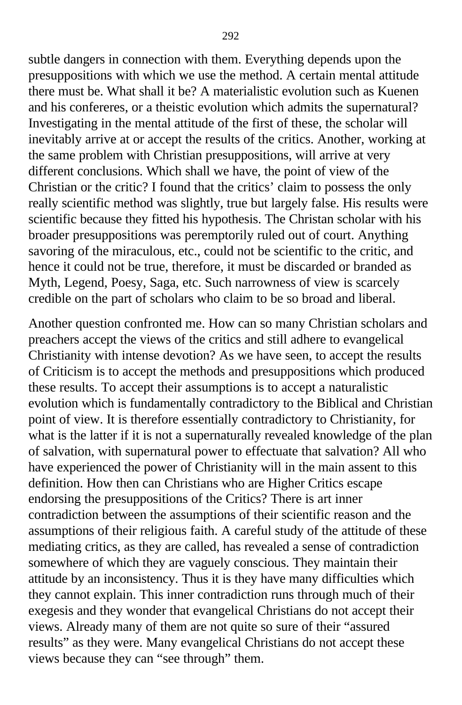subtle dangers in connection with them. Everything depends upon the presuppositions with which we use the method. A certain mental attitude there must be. What shall it be? A materialistic evolution such as Kuenen and his confereres, or a theistic evolution which admits the supernatural? Investigating in the mental attitude of the first of these, the scholar will inevitably arrive at or accept the results of the critics. Another, working at the same problem with Christian presuppositions, will arrive at very different conclusions. Which shall we have, the point of view of the Christian or the critic? I found that the critics' claim to possess the only really scientific method was slightly, true but largely false. His results were scientific because they fitted his hypothesis. The Christan scholar with his broader presuppositions was peremptorily ruled out of court. Anything savoring of the miraculous, etc., could not be scientific to the critic, and hence it could not be true, therefore, it must be discarded or branded as Myth, Legend, Poesy, Saga, etc. Such narrowness of view is scarcely credible on the part of scholars who claim to be so broad and liberal.

Another question confronted me. How can so many Christian scholars and preachers accept the views of the critics and still adhere to evangelical Christianity with intense devotion? As we have seen, to accept the results of Criticism is to accept the methods and presuppositions which produced these results. To accept their assumptions is to accept a naturalistic evolution which is fundamentally contradictory to the Biblical and Christian point of view. It is therefore essentially contradictory to Christianity, for what is the latter if it is not a supernaturally revealed knowledge of the plan of salvation, with supernatural power to effectuate that salvation? All who have experienced the power of Christianity will in the main assent to this definition. How then can Christians who are Higher Critics escape endorsing the presuppositions of the Critics? There is art inner contradiction between the assumptions of their scientific reason and the assumptions of their religious faith. A careful study of the attitude of these mediating critics, as they are called, has revealed a sense of contradiction somewhere of which they are vaguely conscious. They maintain their attitude by an inconsistency. Thus it is they have many difficulties which they cannot explain. This inner contradiction runs through much of their exegesis and they wonder that evangelical Christians do not accept their views. Already many of them are not quite so sure of their "assured results" as they were. Many evangelical Christians do not accept these views because they can "see through" them.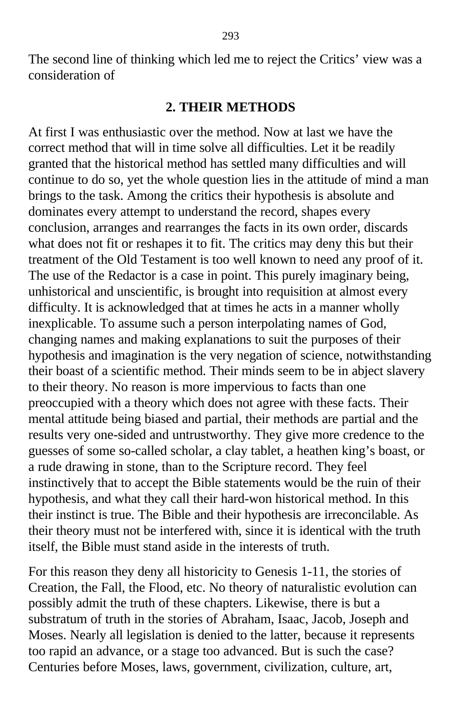The second line of thinking which led me to reject the Critics' view was a consideration of

## **2. THEIR METHODS**

At first I was enthusiastic over the method. Now at last we have the correct method that will in time solve all difficulties. Let it be readily granted that the historical method has settled many difficulties and will continue to do so, yet the whole question lies in the attitude of mind a man brings to the task. Among the critics their hypothesis is absolute and dominates every attempt to understand the record, shapes every conclusion, arranges and rearranges the facts in its own order, discards what does not fit or reshapes it to fit. The critics may deny this but their treatment of the Old Testament is too well known to need any proof of it. The use of the Redactor is a case in point. This purely imaginary being, unhistorical and unscientific, is brought into requisition at almost every difficulty. It is acknowledged that at times he acts in a manner wholly inexplicable. To assume such a person interpolating names of God, changing names and making explanations to suit the purposes of their hypothesis and imagination is the very negation of science, notwithstanding their boast of a scientific method. Their minds seem to be in abject slavery to their theory. No reason is more impervious to facts than one preoccupied with a theory which does not agree with these facts. Their mental attitude being biased and partial, their methods are partial and the results very one-sided and untrustworthy. They give more credence to the guesses of some so-called scholar, a clay tablet, a heathen king's boast, or a rude drawing in stone, than to the Scripture record. They feel instinctively that to accept the Bible statements would be the ruin of their hypothesis, and what they call their hard-won historical method. In this their instinct is true. The Bible and their hypothesis are irreconcilable. As their theory must not be interfered with, since it is identical with the truth itself, the Bible must stand aside in the interests of truth.

For this reason they deny all historicity to Genesis 1-11, the stories of Creation, the Fall, the Flood, etc. No theory of naturalistic evolution can possibly admit the truth of these chapters. Likewise, there is but a substratum of truth in the stories of Abraham, Isaac, Jacob, Joseph and Moses. Nearly all legislation is denied to the latter, because it represents too rapid an advance, or a stage too advanced. But is such the case? Centuries before Moses, laws, government, civilization, culture, art,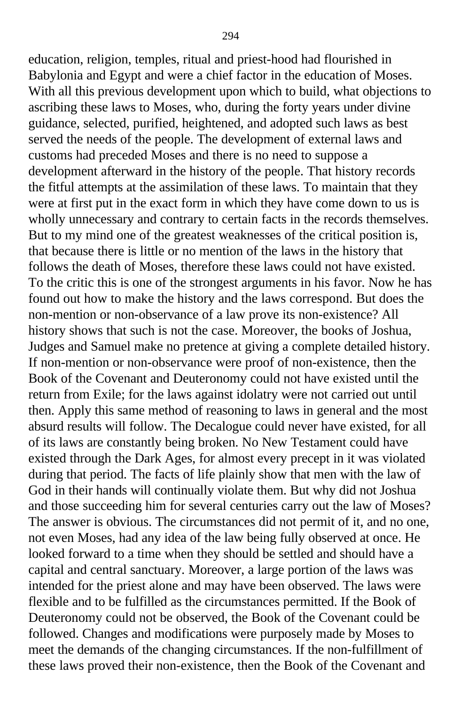education, religion, temples, ritual and priest-hood had flourished in Babylonia and Egypt and were a chief factor in the education of Moses. With all this previous development upon which to build, what objections to ascribing these laws to Moses, who, during the forty years under divine guidance, selected, purified, heightened, and adopted such laws as best served the needs of the people. The development of external laws and customs had preceded Moses and there is no need to suppose a development afterward in the history of the people. That history records the fitful attempts at the assimilation of these laws. To maintain that they were at first put in the exact form in which they have come down to us is wholly unnecessary and contrary to certain facts in the records themselves. But to my mind one of the greatest weaknesses of the critical position is, that because there is little or no mention of the laws in the history that follows the death of Moses, therefore these laws could not have existed. To the critic this is one of the strongest arguments in his favor. Now he has found out how to make the history and the laws correspond. But does the non-mention or non-observance of a law prove its non-existence? All history shows that such is not the case. Moreover, the books of Joshua, Judges and Samuel make no pretence at giving a complete detailed history. If non-mention or non-observance were proof of non-existence, then the Book of the Covenant and Deuteronomy could not have existed until the return from Exile; for the laws against idolatry were not carried out until then. Apply this same method of reasoning to laws in general and the most absurd results will follow. The Decalogue could never have existed, for all of its laws are constantly being broken. No New Testament could have existed through the Dark Ages, for almost every precept in it was violated during that period. The facts of life plainly show that men with the law of God in their hands will continually violate them. But why did not Joshua and those succeeding him for several centuries carry out the law of Moses? The answer is obvious. The circumstances did not permit of it, and no one, not even Moses, had any idea of the law being fully observed at once. He looked forward to a time when they should be settled and should have a capital and central sanctuary. Moreover, a large portion of the laws was intended for the priest alone and may have been observed. The laws were flexible and to be fulfilled as the circumstances permitted. If the Book of Deuteronomy could not be observed, the Book of the Covenant could be followed. Changes and modifications were purposely made by Moses to meet the demands of the changing circumstances. If the non-fulfillment of these laws proved their non-existence, then the Book of the Covenant and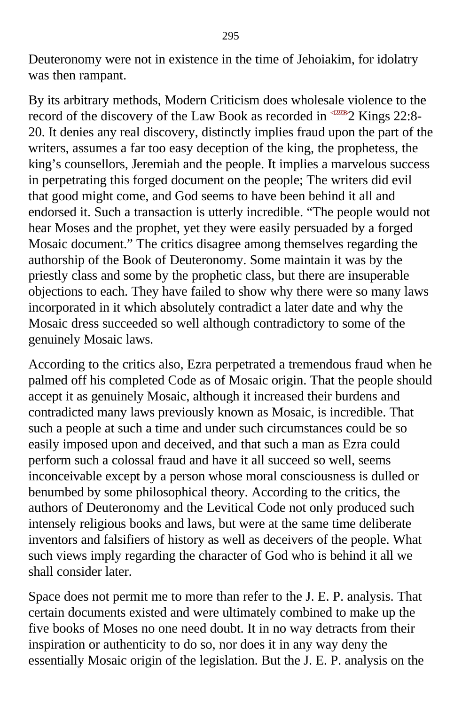Deuteronomy were not in existence in the time of Jehoiakim, for idolatry was then rampant.

By its arbitrary methods, Modern Criticism does wholesale violence to the record of the discovery of the Law Book as recorded in  $\frac{\text{max}}{2}$  Kings 22:8-20. It denies any real discovery, distinctly implies fraud upon the part of the writers, assumes a far too easy deception of the king, the prophetess, the king's counsellors, Jeremiah and the people. It implies a marvelous success in perpetrating this forged document on the people; The writers did evil that good might come, and God seems to have been behind it all and endorsed it. Such a transaction is utterly incredible. "The people would not hear Moses and the prophet, yet they were easily persuaded by a forged Mosaic document." The critics disagree among themselves regarding the authorship of the Book of Deuteronomy. Some maintain it was by the priestly class and some by the prophetic class, but there are insuperable objections to each. They have failed to show why there were so many laws incorporated in it which absolutely contradict a later date and why the Mosaic dress succeeded so well although contradictory to some of the genuinely Mosaic laws.

According to the critics also, Ezra perpetrated a tremendous fraud when he palmed off his completed Code as of Mosaic origin. That the people should accept it as genuinely Mosaic, although it increased their burdens and contradicted many laws previously known as Mosaic, is incredible. That such a people at such a time and under such circumstances could be so easily imposed upon and deceived, and that such a man as Ezra could perform such a colossal fraud and have it all succeed so well, seems inconceivable except by a person whose moral consciousness is dulled or benumbed by some philosophical theory. According to the critics, the authors of Deuteronomy and the Levitical Code not only produced such intensely religious books and laws, but were at the same time deliberate inventors and falsifiers of history as well as deceivers of the people. What such views imply regarding the character of God who is behind it all we shall consider later.

Space does not permit me to more than refer to the J. E. P. analysis. That certain documents existed and were ultimately combined to make up the five books of Moses no one need doubt. It in no way detracts from their inspiration or authenticity to do so, nor does it in any way deny the essentially Mosaic origin of the legislation. But the J. E. P. analysis on the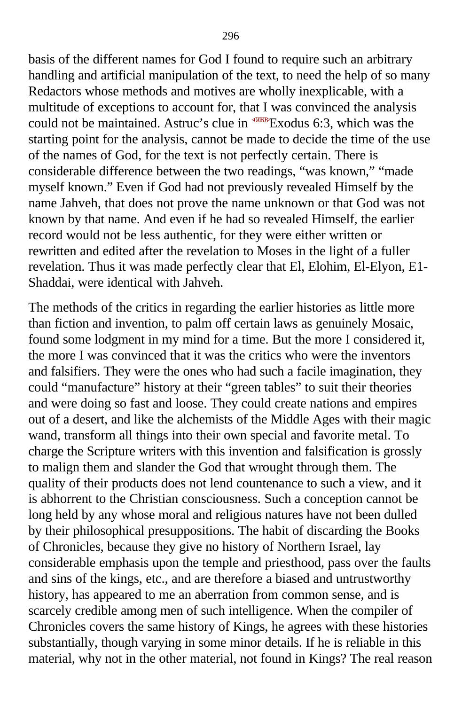basis of the different names for God I found to require such an arbitrary handling and artificial manipulation of the text, to need the help of so many Redactors whose methods and motives are wholly inexplicable, with a multitude of exceptions to account for, that I was convinced the analysis could not be maintained. Astruc's clue in  $\sqrt{2000}$ Exodus 6:3, which was the starting point for the analysis, cannot be made to decide the time of the use of the names of God, for the text is not perfectly certain. There is considerable difference between the two readings, "was known," "made myself known." Even if God had not previously revealed Himself by the name Jahveh, that does not prove the name unknown or that God was not known by that name. And even if he had so revealed Himself, the earlier record would not be less authentic, for they were either written or rewritten and edited after the revelation to Moses in the light of a fuller revelation. Thus it was made perfectly clear that El, Elohim, El-Elyon, E1- Shaddai, were identical with Jahveh.

The methods of the critics in regarding the earlier histories as little more than fiction and invention, to palm off certain laws as genuinely Mosaic, found some lodgment in my mind for a time. But the more I considered it, the more I was convinced that it was the critics who were the inventors and falsifiers. They were the ones who had such a facile imagination, they could "manufacture" history at their "green tables" to suit their theories and were doing so fast and loose. They could create nations and empires out of a desert, and like the alchemists of the Middle Ages with their magic wand, transform all things into their own special and favorite metal. To charge the Scripture writers with this invention and falsification is grossly to malign them and slander the God that wrought through them. The quality of their products does not lend countenance to such a view, and it is abhorrent to the Christian consciousness. Such a conception cannot be long held by any whose moral and religious natures have not been dulled by their philosophical presuppositions. The habit of discarding the Books of Chronicles, because they give no history of Northern Israel, lay considerable emphasis upon the temple and priesthood, pass over the faults and sins of the kings, etc., and are therefore a biased and untrustworthy history, has appeared to me an aberration from common sense, and is scarcely credible among men of such intelligence. When the compiler of Chronicles covers the same history of Kings, he agrees with these histories substantially, though varying in some minor details. If he is reliable in this material, why not in the other material, not found in Kings? The real reason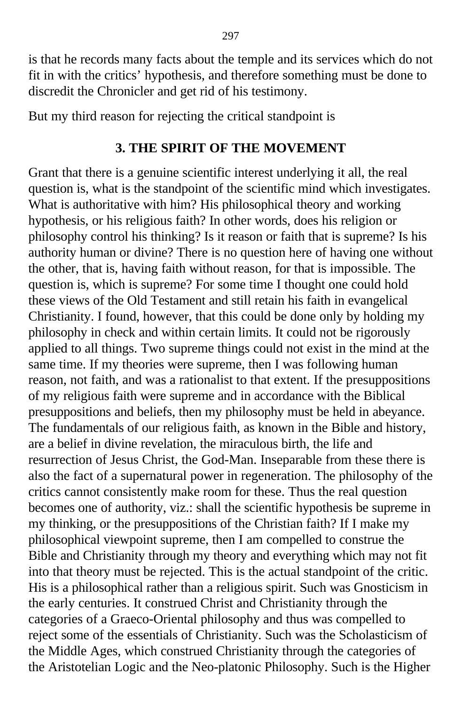is that he records many facts about the temple and its services which do not fit in with the critics' hypothesis, and therefore something must be done to discredit the Chronicler and get rid of his testimony.

But my third reason for rejecting the critical standpoint is

## **3. THE SPIRIT OF THE MOVEMENT**

Grant that there is a genuine scientific interest underlying it all, the real question is, what is the standpoint of the scientific mind which investigates. What is authoritative with him? His philosophical theory and working hypothesis, or his religious faith? In other words, does his religion or philosophy control his thinking? Is it reason or faith that is supreme? Is his authority human or divine? There is no question here of having one without the other, that is, having faith without reason, for that is impossible. The question is, which is supreme? For some time I thought one could hold these views of the Old Testament and still retain his faith in evangelical Christianity. I found, however, that this could be done only by holding my philosophy in check and within certain limits. It could not be rigorously applied to all things. Two supreme things could not exist in the mind at the same time. If my theories were supreme, then I was following human reason, not faith, and was a rationalist to that extent. If the presuppositions of my religious faith were supreme and in accordance with the Biblical presuppositions and beliefs, then my philosophy must be held in abeyance. The fundamentals of our religious faith, as known in the Bible and history, are a belief in divine revelation, the miraculous birth, the life and resurrection of Jesus Christ, the God-Man. Inseparable from these there is also the fact of a supernatural power in regeneration. The philosophy of the critics cannot consistently make room for these. Thus the real question becomes one of authority, viz.: shall the scientific hypothesis be supreme in my thinking, or the presuppositions of the Christian faith? If I make my philosophical viewpoint supreme, then I am compelled to construe the Bible and Christianity through my theory and everything which may not fit into that theory must be rejected. This is the actual standpoint of the critic. His is a philosophical rather than a religious spirit. Such was Gnosticism in the early centuries. It construed Christ and Christianity through the categories of a Graeco-Oriental philosophy and thus was compelled to reject some of the essentials of Christianity. Such was the Scholasticism of the Middle Ages, which construed Christianity through the categories of the Aristotelian Logic and the Neo-platonic Philosophy. Such is the Higher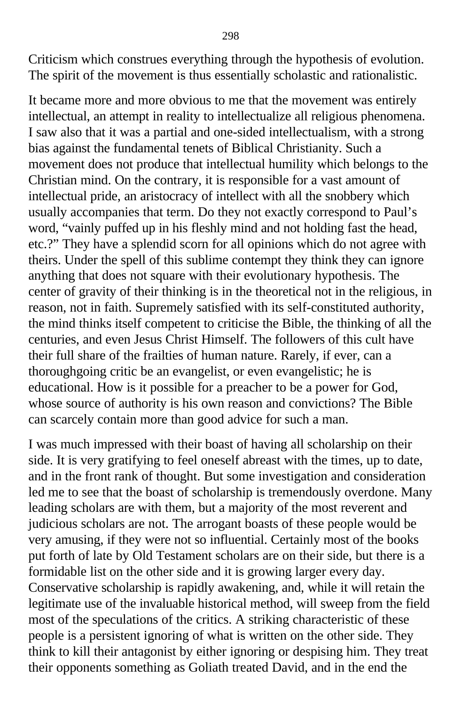Criticism which construes everything through the hypothesis of evolution. The spirit of the movement is thus essentially scholastic and rationalistic.

It became more and more obvious to me that the movement was entirely intellectual, an attempt in reality to intellectualize all religious phenomena. I saw also that it was a partial and one-sided intellectualism, with a strong bias against the fundamental tenets of Biblical Christianity. Such a movement does not produce that intellectual humility which belongs to the Christian mind. On the contrary, it is responsible for a vast amount of intellectual pride, an aristocracy of intellect with all the snobbery which usually accompanies that term. Do they not exactly correspond to Paul's word, "vainly puffed up in his fleshly mind and not holding fast the head, etc.?" They have a splendid scorn for all opinions which do not agree with theirs. Under the spell of this sublime contempt they think they can ignore anything that does not square with their evolutionary hypothesis. The center of gravity of their thinking is in the theoretical not in the religious, in reason, not in faith. Supremely satisfied with its self-constituted authority, the mind thinks itself competent to criticise the Bible, the thinking of all the centuries, and even Jesus Christ Himself. The followers of this cult have their full share of the frailties of human nature. Rarely, if ever, can a thoroughgoing critic be an evangelist, or even evangelistic; he is educational. How is it possible for a preacher to be a power for God, whose source of authority is his own reason and convictions? The Bible can scarcely contain more than good advice for such a man.

I was much impressed with their boast of having all scholarship on their side. It is very gratifying to feel oneself abreast with the times, up to date, and in the front rank of thought. But some investigation and consideration led me to see that the boast of scholarship is tremendously overdone. Many leading scholars are with them, but a majority of the most reverent and judicious scholars are not. The arrogant boasts of these people would be very amusing, if they were not so influential. Certainly most of the books put forth of late by Old Testament scholars are on their side, but there is a formidable list on the other side and it is growing larger every day. Conservative scholarship is rapidly awakening, and, while it will retain the legitimate use of the invaluable historical method, will sweep from the field most of the speculations of the critics. A striking characteristic of these people is a persistent ignoring of what is written on the other side. They think to kill their antagonist by either ignoring or despising him. They treat their opponents something as Goliath treated David, and in the end the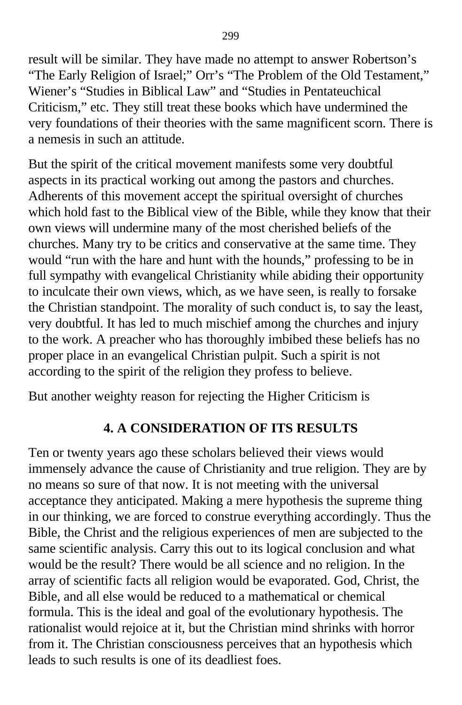result will be similar. They have made no attempt to answer Robertson's "The Early Religion of Israel;" Orr's "The Problem of the Old Testament," Wiener's "Studies in Biblical Law" and "Studies in Pentateuchical Criticism," etc. They still treat these books which have undermined the very foundations of their theories with the same magnificent scorn. There is a nemesis in such an attitude.

But the spirit of the critical movement manifests some very doubtful aspects in its practical working out among the pastors and churches. Adherents of this movement accept the spiritual oversight of churches which hold fast to the Biblical view of the Bible, while they know that their own views will undermine many of the most cherished beliefs of the churches. Many try to be critics and conservative at the same time. They would "run with the hare and hunt with the hounds," professing to be in full sympathy with evangelical Christianity while abiding their opportunity to inculcate their own views, which, as we have seen, is really to forsake the Christian standpoint. The morality of such conduct is, to say the least, very doubtful. It has led to much mischief among the churches and injury to the work. A preacher who has thoroughly imbibed these beliefs has no proper place in an evangelical Christian pulpit. Such a spirit is not according to the spirit of the religion they profess to believe.

But another weighty reason for rejecting the Higher Criticism is

## **4. A CONSIDERATION OF ITS RESULTS**

Ten or twenty years ago these scholars believed their views would immensely advance the cause of Christianity and true religion. They are by no means so sure of that now. It is not meeting with the universal acceptance they anticipated. Making a mere hypothesis the supreme thing in our thinking, we are forced to construe everything accordingly. Thus the Bible, the Christ and the religious experiences of men are subjected to the same scientific analysis. Carry this out to its logical conclusion and what would be the result? There would be all science and no religion. In the array of scientific facts all religion would be evaporated. God, Christ, the Bible, and all else would be reduced to a mathematical or chemical formula. This is the ideal and goal of the evolutionary hypothesis. The rationalist would rejoice at it, but the Christian mind shrinks with horror from it. The Christian consciousness perceives that an hypothesis which leads to such results is one of its deadliest foes.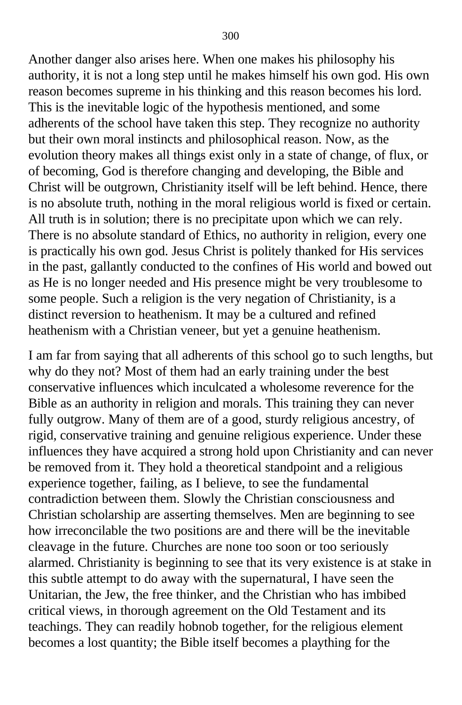Another danger also arises here. When one makes his philosophy his authority, it is not a long step until he makes himself his own god. His own reason becomes supreme in his thinking and this reason becomes his lord. This is the inevitable logic of the hypothesis mentioned, and some adherents of the school have taken this step. They recognize no authority but their own moral instincts and philosophical reason. Now, as the evolution theory makes all things exist only in a state of change, of flux, or of becoming, God is therefore changing and developing, the Bible and Christ will be outgrown, Christianity itself will be left behind. Hence, there is no absolute truth, nothing in the moral religious world is fixed or certain. All truth is in solution; there is no precipitate upon which we can rely. There is no absolute standard of Ethics, no authority in religion, every one is practically his own god. Jesus Christ is politely thanked for His services in the past, gallantly conducted to the confines of His world and bowed out as He is no longer needed and His presence might be very troublesome to some people. Such a religion is the very negation of Christianity, is a distinct reversion to heathenism. It may be a cultured and refined heathenism with a Christian veneer, but yet a genuine heathenism.

I am far from saying that all adherents of this school go to such lengths, but why do they not? Most of them had an early training under the best conservative influences which inculcated a wholesome reverence for the Bible as an authority in religion and morals. This training they can never fully outgrow. Many of them are of a good, sturdy religious ancestry, of rigid, conservative training and genuine religious experience. Under these influences they have acquired a strong hold upon Christianity and can never be removed from it. They hold a theoretical standpoint and a religious experience together, failing, as I believe, to see the fundamental contradiction between them. Slowly the Christian consciousness and Christian scholarship are asserting themselves. Men are beginning to see how irreconcilable the two positions are and there will be the inevitable cleavage in the future. Churches are none too soon or too seriously alarmed. Christianity is beginning to see that its very existence is at stake in this subtle attempt to do away with the supernatural, I have seen the Unitarian, the Jew, the free thinker, and the Christian who has imbibed critical views, in thorough agreement on the Old Testament and its teachings. They can readily hobnob together, for the religious element becomes a lost quantity; the Bible itself becomes a plaything for the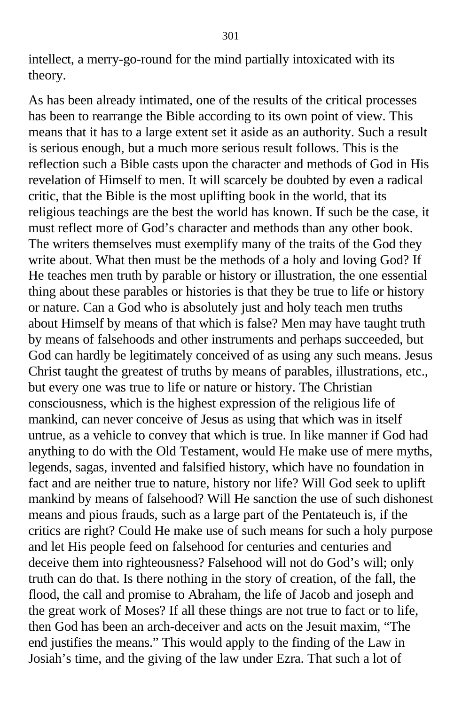intellect, a merry-go-round for the mind partially intoxicated with its theory.

As has been already intimated, one of the results of the critical processes has been to rearrange the Bible according to its own point of view. This means that it has to a large extent set it aside as an authority. Such a result is serious enough, but a much more serious result follows. This is the reflection such a Bible casts upon the character and methods of God in His revelation of Himself to men. It will scarcely be doubted by even a radical critic, that the Bible is the most uplifting book in the world, that its religious teachings are the best the world has known. If such be the case, it must reflect more of God's character and methods than any other book. The writers themselves must exemplify many of the traits of the God they write about. What then must be the methods of a holy and loving God? If He teaches men truth by parable or history or illustration, the one essential thing about these parables or histories is that they be true to life or history or nature. Can a God who is absolutely just and holy teach men truths about Himself by means of that which is false? Men may have taught truth by means of falsehoods and other instruments and perhaps succeeded, but God can hardly be legitimately conceived of as using any such means. Jesus Christ taught the greatest of truths by means of parables, illustrations, etc., but every one was true to life or nature or history. The Christian consciousness, which is the highest expression of the religious life of mankind, can never conceive of Jesus as using that which was in itself untrue, as a vehicle to convey that which is true. In like manner if God had anything to do with the Old Testament, would He make use of mere myths, legends, sagas, invented and falsified history, which have no foundation in fact and are neither true to nature, history nor life? Will God seek to uplift mankind by means of falsehood? Will He sanction the use of such dishonest means and pious frauds, such as a large part of the Pentateuch is, if the critics are right? Could He make use of such means for such a holy purpose and let His people feed on falsehood for centuries and centuries and deceive them into righteousness? Falsehood will not do God's will; only truth can do that. Is there nothing in the story of creation, of the fall, the flood, the call and promise to Abraham, the life of Jacob and joseph and the great work of Moses? If all these things are not true to fact or to life, then God has been an arch-deceiver and acts on the Jesuit maxim, "The end justifies the means." This would apply to the finding of the Law in Josiah's time, and the giving of the law under Ezra. That such a lot of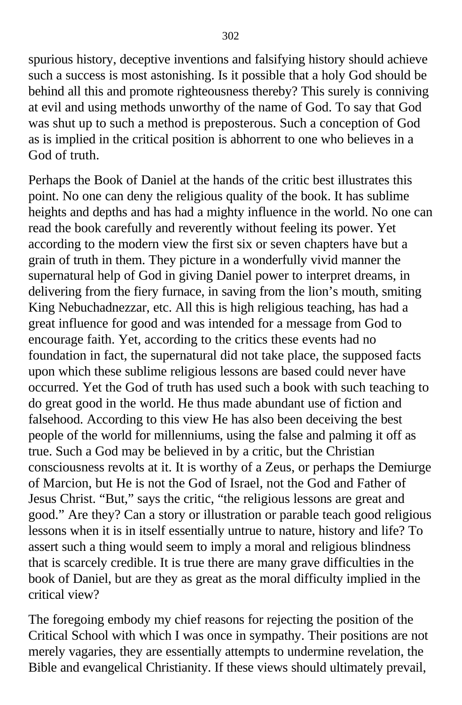spurious history, deceptive inventions and falsifying history should achieve such a success is most astonishing. Is it possible that a holy God should be behind all this and promote righteousness thereby? This surely is conniving at evil and using methods unworthy of the name of God. To say that God was shut up to such a method is preposterous. Such a conception of God as is implied in the critical position is abhorrent to one who believes in a God of truth.

Perhaps the Book of Daniel at the hands of the critic best illustrates this point. No one can deny the religious quality of the book. It has sublime heights and depths and has had a mighty influence in the world. No one can read the book carefully and reverently without feeling its power. Yet according to the modern view the first six or seven chapters have but a grain of truth in them. They picture in a wonderfully vivid manner the supernatural help of God in giving Daniel power to interpret dreams, in delivering from the fiery furnace, in saving from the lion's mouth, smiting King Nebuchadnezzar, etc. All this is high religious teaching, has had a great influence for good and was intended for a message from God to encourage faith. Yet, according to the critics these events had no foundation in fact, the supernatural did not take place, the supposed facts upon which these sublime religious lessons are based could never have occurred. Yet the God of truth has used such a book with such teaching to do great good in the world. He thus made abundant use of fiction and falsehood. According to this view He has also been deceiving the best people of the world for millenniums, using the false and palming it off as true. Such a God may be believed in by a critic, but the Christian consciousness revolts at it. It is worthy of a Zeus, or perhaps the Demiurge of Marcion, but He is not the God of Israel, not the God and Father of Jesus Christ. "But," says the critic, "the religious lessons are great and good." Are they? Can a story or illustration or parable teach good religious lessons when it is in itself essentially untrue to nature, history and life? To assert such a thing would seem to imply a moral and religious blindness that is scarcely credible. It is true there are many grave difficulties in the book of Daniel, but are they as great as the moral difficulty implied in the critical view?

The foregoing embody my chief reasons for rejecting the position of the Critical School with which I was once in sympathy. Their positions are not merely vagaries, they are essentially attempts to undermine revelation, the Bible and evangelical Christianity. If these views should ultimately prevail,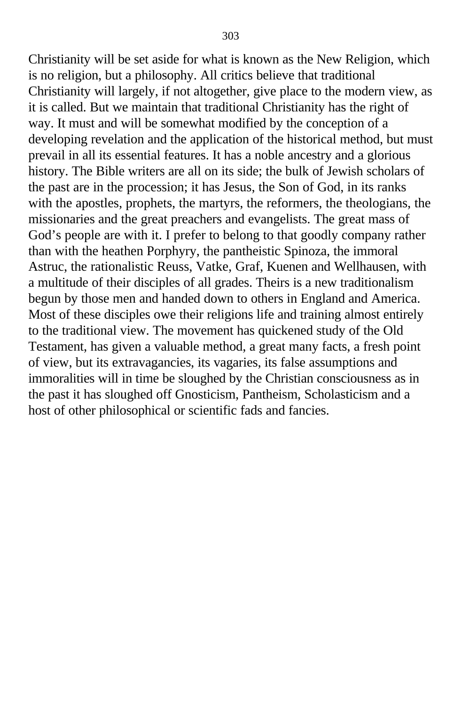Christianity will be set aside for what is known as the New Religion, which is no religion, but a philosophy. All critics believe that traditional Christianity will largely, if not altogether, give place to the modern view, as it is called. But we maintain that traditional Christianity has the right of way. It must and will be somewhat modified by the conception of a developing revelation and the application of the historical method, but must prevail in all its essential features. It has a noble ancestry and a glorious history. The Bible writers are all on its side; the bulk of Jewish scholars of the past are in the procession; it has Jesus, the Son of God, in its ranks with the apostles, prophets, the martyrs, the reformers, the theologians, the missionaries and the great preachers and evangelists. The great mass of God's people are with it. I prefer to belong to that goodly company rather than with the heathen Porphyry, the pantheistic Spinoza, the immoral Astruc, the rationalistic Reuss, Vatke, Graf, Kuenen and Wellhausen, with a multitude of their disciples of all grades. Theirs is a new traditionalism begun by those men and handed down to others in England and America. Most of these disciples owe their religions life and training almost entirely to the traditional view. The movement has quickened study of the Old Testament, has given a valuable method, a great many facts, a fresh point of view, but its extravagancies, its vagaries, its false assumptions and immoralities will in time be sloughed by the Christian consciousness as in the past it has sloughed off Gnosticism, Pantheism, Scholasticism and a host of other philosophical or scientific fads and fancies.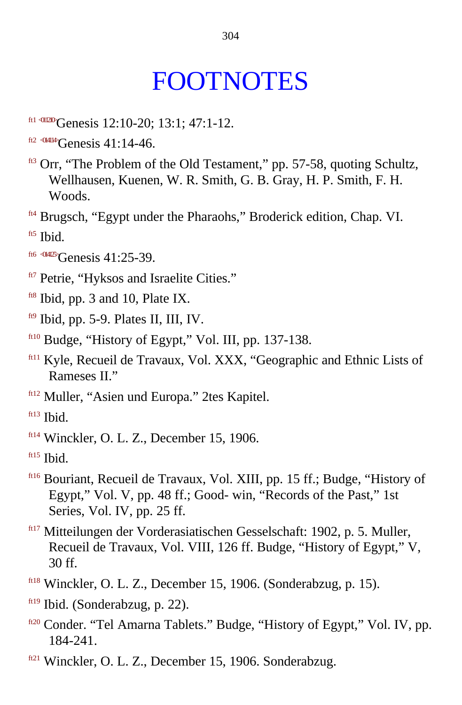## FOOTNOTES

- ft1<0120Genesis 12:10-20; 13:1; 47:1-12.
- ft<sup>2  $\langle \frac{0 \text{MHz}}{100 \text{ meters}} \cdot \frac{41 \cdot 14}{46} \cdot \frac{46}{5} \cdot \frac{41 \cdot 14}{16} \cdot \frac{46}{16} \cdot \frac{46}{16} \cdot \frac{46}{16} \cdot \frac{46}{16} \cdot \frac{46}{16} \cdot \frac{46}{16} \cdot \frac{46}{16} \cdot \frac{46}{16} \cdot \frac{46}{16} \cdot \frac{46}{16} \cdot \frac{46}{16} \cdot \frac{46}{16} \cdot \frac{46}{16} \cdot \frac{46}{16$
- ft<sup>3</sup> Orr, "The Problem of the Old Testament," pp. 57-58, quoting Schultz, Wellhausen, Kuenen, W. R. Smith, G. B. Gray, H. P. Smith, F. H. Woods.
- ft4 Brugsch, "Egypt under the Pharaohs," Broderick edition, Chap. VI.
- $<sup>ft5</sup>$  Ibid.</sup>
- ft6  $\triangleleft$ M<sub>125</sub> $\triangleleft$ Genesis 41:25-39.
- ft7 Petrie, "Hyksos and Israelite Cities."
- $f<sup>18</sup>$  Ibid, pp. 3 and 10, Plate IX.
- $f<sup>19</sup>$  Ibid, pp. 5-9. Plates II, III, IV.
- ft10 Budge, "History of Egypt," Vol. III, pp. 137-138.
- ft11 Kyle, Recueil de Travaux, Vol. XXX, "Geographic and Ethnic Lists of Rameses II."
- ft12 Muller, "Asien und Europa." 2tes Kapitel.
- ft13 Ibid.
- ft14 Winckler, O. L. Z., December 15, 1906.
- ft15 Ibid.
- ft16 Bouriant, Recueil de Travaux, Vol. XIII, pp. 15 ff.; Budge, "History of Egypt," Vol. V, pp. 48 ff.; Good- win, "Records of the Past," 1st Series, Vol. IV, pp. 25 ff.
- ft17 Mitteilungen der Vorderasiatischen Gesselschaft: 1902, p. 5. Muller, Recueil de Travaux, Vol. VIII, 126 ff. Budge, "History of Egypt," V, 30 ff.
- ft18 Winckler, O. L. Z., December 15, 1906. (Sonderabzug, p. 15).
- ft19 Ibid. (Sonderabzug, p. 22).
- ft20 Conder. "Tel Amarna Tablets." Budge, "History of Egypt," Vol. IV, pp. 184-241.
- ft21 Winckler, O. L. Z., December 15, 1906. Sonderabzug.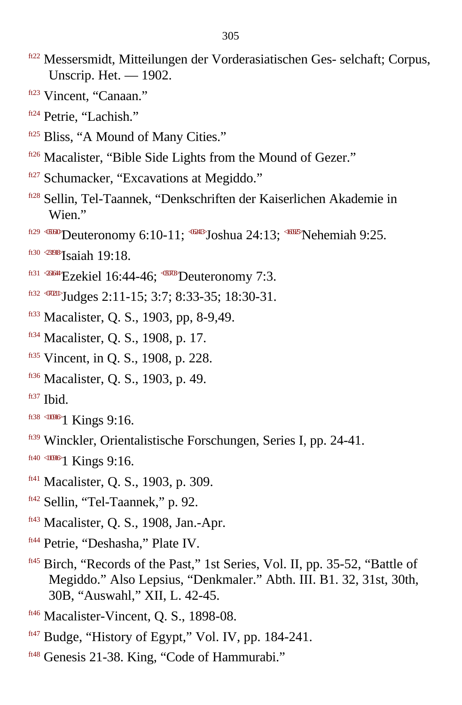- ft22 Messersmidt, Mitteilungen der Vorderasiatischen Ges- selchaft; Corpus, Unscrip. Het. — 1902.
- ft23 Vincent, "Canaan."
- ft24 Petrie, "Lachish."
- ft<sup>25</sup> Bliss, "A Mound of Many Cities."
- ft26 Macalister, "Bible Side Lights from the Mound of Gezer."
- ft27 Schumacker, "Excavations at Megiddo."
- ft28 Sellin, Tel-Taannek, "Denkschriften der Kaiserlichen Akademie in Wien."
- ft<sup>29 <br/> <0560</sup>Deuteronomy 6:10-11;  $\frac{4640}{3}$ Joshua 24:13;  $\frac{4692}{3}$ Nehemiah 9:25.
- ft<sup>30  $\ll 18$ </sup>Saiah 19:18.
- ft31  $\triangleq$ 6644<sub>Ezekiel</sub> 16:44-46;  $\triangleq$ 800 $\triangleq$ Deuteronomy 7:3.
- ft32  $\sqrt{102}$ Judges 2:11-15; 3:7; 8:33-35; 18:30-31.
- ft<sup>33</sup> Macalister, Q. S., 1903, pp, 8-9,49.
- ft34 Macalister, Q. S., 1908, p. 17.
- ft35 Vincent, in Q. S., 1908, p. 228.
- ft36 Macalister, Q. S., 1903, p. 49.
- ft37 Ibid.
- ft38 <1096 $\text{1}$  Kings 9:16.
- ft39 Winckler, Orientalistische Forschungen, Series I, pp. 24-41.
- ft40 <109661 Kings 9:16.
- ft41 Macalister, Q. S., 1903, p. 309.
- ft42 Sellin, "Tel-Taannek," p. 92.
- ft43 Macalister, Q. S., 1908, Jan.-Apr.
- ft44 Petrie, "Deshasha," Plate IV.
- ft45 Birch, "Records of the Past," 1st Series, Vol. II, pp. 35-52, "Battle of Megiddo." Also Lepsius, "Denkmaler." Abth. III. B1. 32, 31st, 30th, 30B, "Auswahl," XII, L. 42-45.
- ft46 Macalister-Vincent, Q. S., 1898-08.
- ft47 Budge, "History of Egypt," Vol. IV, pp. 184-241.
- ft48 Genesis 21-38. King, "Code of Hammurabi."